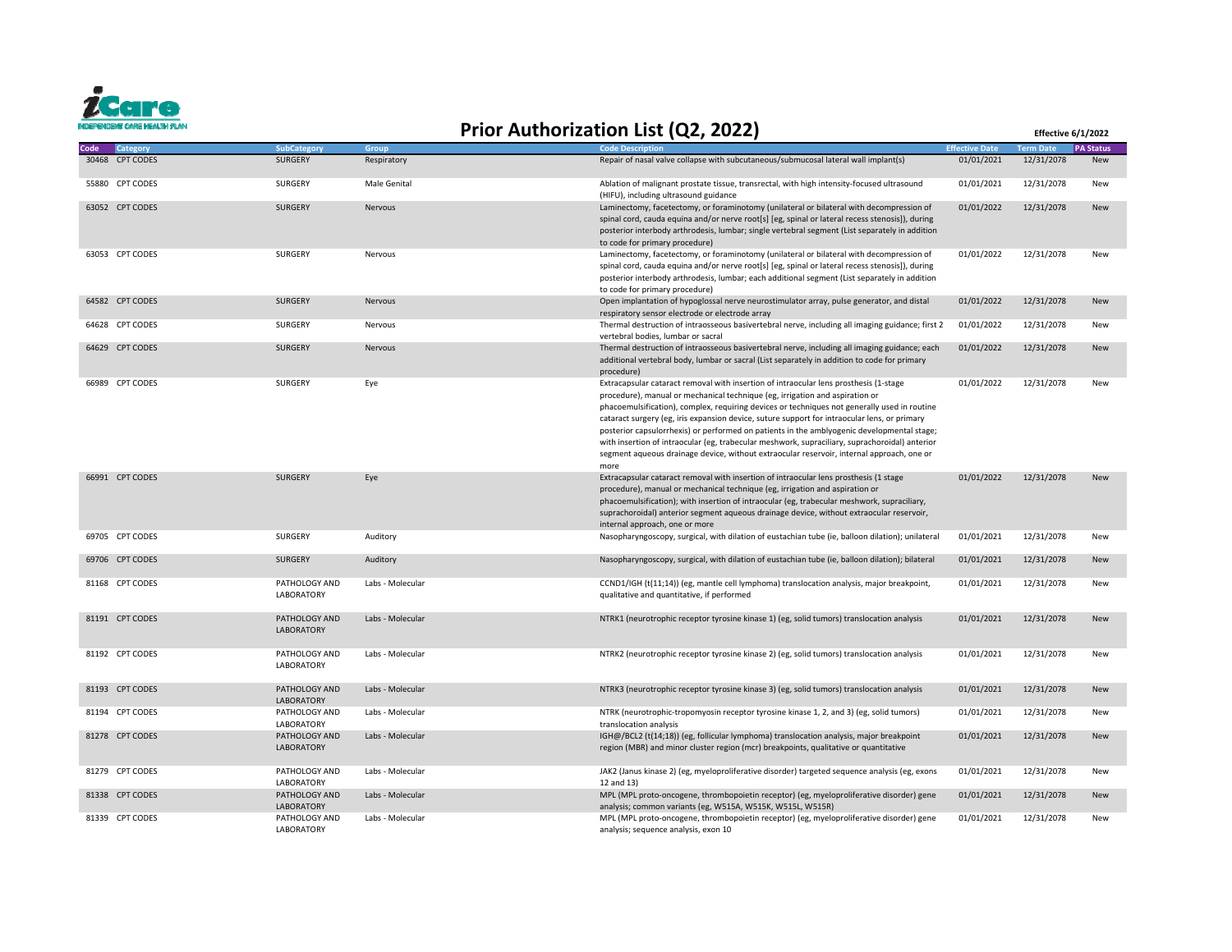

## **Prior Authorization List (Q2, 2022) Effective 6/1/2022**

| Code | <b>Category</b> | <b>SubCategory</b>                 | Group            | <b>Code Description</b>                                                                                                                                                                                                                                                                                                                                                                                                                                                                                                                                                                                                                                                    | <b>Effective Date</b> | <b>Term Date</b> | <b>PA Status</b> |
|------|-----------------|------------------------------------|------------------|----------------------------------------------------------------------------------------------------------------------------------------------------------------------------------------------------------------------------------------------------------------------------------------------------------------------------------------------------------------------------------------------------------------------------------------------------------------------------------------------------------------------------------------------------------------------------------------------------------------------------------------------------------------------------|-----------------------|------------------|------------------|
|      | 30468 CPT CODES | <b>SURGERY</b>                     | Respiratory      | Repair of nasal valve collapse with subcutaneous/submucosal lateral wall implant(s)                                                                                                                                                                                                                                                                                                                                                                                                                                                                                                                                                                                        | 01/01/2021            | 12/31/2078       | New              |
|      | 55880 CPT CODES | SURGERY                            | Male Genital     | Ablation of malignant prostate tissue, transrectal, with high intensity-focused ultrasound<br>(HIFU), including ultrasound guidance                                                                                                                                                                                                                                                                                                                                                                                                                                                                                                                                        | 01/01/2021            | 12/31/2078       | New              |
|      | 63052 CPT CODES | <b>SURGERY</b>                     | Nervous          | Laminectomy, facetectomy, or foraminotomy (unilateral or bilateral with decompression of<br>spinal cord, cauda equina and/or nerve root[s] [eg, spinal or lateral recess stenosis]), during<br>posterior interbody arthrodesis, lumbar; single vertebral segment (List separately in addition<br>to code for primary procedure)                                                                                                                                                                                                                                                                                                                                            | 01/01/2022            | 12/31/2078       | <b>New</b>       |
|      | 63053 CPT CODES | SURGERY                            | Nervous          | Laminectomy, facetectomy, or foraminotomy (unilateral or bilateral with decompression of<br>spinal cord, cauda equina and/or nerve root[s] [eg, spinal or lateral recess stenosis]), during<br>posterior interbody arthrodesis, lumbar; each additional segment (List separately in addition<br>to code for primary procedure)                                                                                                                                                                                                                                                                                                                                             | 01/01/2022            | 12/31/2078       | New              |
|      | 64582 CPT CODES | <b>SURGERY</b>                     | Nervous          | Open implantation of hypoglossal nerve neurostimulator array, pulse generator, and distal<br>respiratory sensor electrode or electrode array                                                                                                                                                                                                                                                                                                                                                                                                                                                                                                                               | 01/01/2022            | 12/31/2078       | New              |
|      | 64628 CPT CODES | <b>SURGERY</b>                     | Nervous          | Thermal destruction of intraosseous basivertebral nerve, including all imaging guidance; first 2<br>vertebral bodies, lumbar or sacral                                                                                                                                                                                                                                                                                                                                                                                                                                                                                                                                     | 01/01/2022            | 12/31/2078       | New              |
|      | 64629 CPT CODES | <b>SURGERY</b>                     | Nervous          | Thermal destruction of intraosseous basivertebral nerve, including all imaging guidance; each<br>additional vertebral body, lumbar or sacral (List separately in addition to code for primary<br>procedure)                                                                                                                                                                                                                                                                                                                                                                                                                                                                | 01/01/2022            | 12/31/2078       | New              |
|      | 66989 CPT CODES | SURGERY                            | Eye              | Extracapsular cataract removal with insertion of intraocular lens prosthesis (1-stage<br>procedure), manual or mechanical technique (eg, irrigation and aspiration or<br>phacoemulsification), complex, requiring devices or techniques not generally used in routine<br>cataract surgery (eg, iris expansion device, suture support for intraocular lens, or primary<br>posterior capsulorrhexis) or performed on patients in the amblyogenic developmental stage;<br>with insertion of intraocular (eg, trabecular meshwork, supraciliary, suprachoroidal) anterior<br>segment aqueous drainage device, without extraocular reservoir, internal approach, one or<br>more | 01/01/2022            | 12/31/2078       | New              |
|      | 66991 CPT CODES | <b>SURGERY</b>                     | Eye              | Extracapsular cataract removal with insertion of intraocular lens prosthesis (1 stage<br>procedure), manual or mechanical technique (eg, irrigation and aspiration or<br>phacoemulsification); with insertion of intraocular (eg, trabecular meshwork, supraciliary,<br>suprachoroidal) anterior segment aqueous drainage device, without extraocular reservoir,<br>internal approach, one or more                                                                                                                                                                                                                                                                         | 01/01/2022            | 12/31/2078       | New              |
|      | 69705 CPT CODES | SURGERY                            | Auditory         | Nasopharyngoscopy, surgical, with dilation of eustachian tube (ie, balloon dilation); unilateral                                                                                                                                                                                                                                                                                                                                                                                                                                                                                                                                                                           | 01/01/2021            | 12/31/2078       | New              |
|      | 69706 CPT CODES | <b>SURGERY</b>                     | Auditory         | Nasopharyngoscopy, surgical, with dilation of eustachian tube (ie, balloon dilation); bilateral                                                                                                                                                                                                                                                                                                                                                                                                                                                                                                                                                                            | 01/01/2021            | 12/31/2078       | New              |
|      | 81168 CPT CODES | PATHOLOGY AND<br><b>LABORATORY</b> | Labs - Molecular | CCND1/IGH (t(11;14)) (eg, mantle cell lymphoma) translocation analysis, major breakpoint,<br>qualitative and quantitative, if performed                                                                                                                                                                                                                                                                                                                                                                                                                                                                                                                                    | 01/01/2021            | 12/31/2078       | New              |
|      | 81191 CPT CODES | PATHOLOGY AND<br><b>LABORATORY</b> | Labs - Molecular | NTRK1 (neurotrophic receptor tyrosine kinase 1) (eg, solid tumors) translocation analysis                                                                                                                                                                                                                                                                                                                                                                                                                                                                                                                                                                                  | 01/01/2021            | 12/31/2078       | <b>New</b>       |
|      | 81192 CPT CODES | PATHOLOGY AND<br>LABORATORY        | Labs - Molecular | NTRK2 (neurotrophic receptor tyrosine kinase 2) (eg, solid tumors) translocation analysis                                                                                                                                                                                                                                                                                                                                                                                                                                                                                                                                                                                  | 01/01/2021            | 12/31/2078       | New              |
|      | 81193 CPT CODES | PATHOLOGY AND<br><b>LABORATORY</b> | Labs - Molecular | NTRK3 (neurotrophic receptor tyrosine kinase 3) (eg, solid tumors) translocation analysis                                                                                                                                                                                                                                                                                                                                                                                                                                                                                                                                                                                  | 01/01/2021            | 12/31/2078       | New              |
|      | 81194 CPT CODES | PATHOLOGY AND<br>LABORATORY        | Labs - Molecular | NTRK (neurotrophic-tropomyosin receptor tyrosine kinase 1, 2, and 3) (eg, solid tumors)<br>translocation analysis                                                                                                                                                                                                                                                                                                                                                                                                                                                                                                                                                          | 01/01/2021            | 12/31/2078       | New              |
|      | 81278 CPT CODES | PATHOLOGY AND<br>LABORATORY        | Labs - Molecular | IGH@/BCL2 (t(14;18)) (eg, follicular lymphoma) translocation analysis, major breakpoint<br>region (MBR) and minor cluster region (mcr) breakpoints, qualitative or quantitative                                                                                                                                                                                                                                                                                                                                                                                                                                                                                            | 01/01/2021            | 12/31/2078       | New              |
|      | 81279 CPT CODES | PATHOLOGY AND<br>LABORATORY        | Labs - Molecular | JAK2 (Janus kinase 2) (eg, myeloproliferative disorder) targeted sequence analysis (eg, exons<br>12 and 13)                                                                                                                                                                                                                                                                                                                                                                                                                                                                                                                                                                | 01/01/2021            | 12/31/2078       | New              |
|      | 81338 CPT CODES | PATHOLOGY AND<br>LABORATORY        | Labs - Molecular | MPL (MPL proto-oncogene, thrombopoietin receptor) (eg, myeloproliferative disorder) gene<br>analysis; common variants (eg, W515A, W515K, W515L, W515R)                                                                                                                                                                                                                                                                                                                                                                                                                                                                                                                     | 01/01/2021            | 12/31/2078       | New              |
|      | 81339 CPT CODES | PATHOLOGY AND<br>LABORATORY        | Labs - Molecular | MPL (MPL proto-oncogene, thrombopoietin receptor) (eg, myeloproliferative disorder) gene<br>analysis; sequence analysis, exon 10                                                                                                                                                                                                                                                                                                                                                                                                                                                                                                                                           | 01/01/2021            | 12/31/2078       | New              |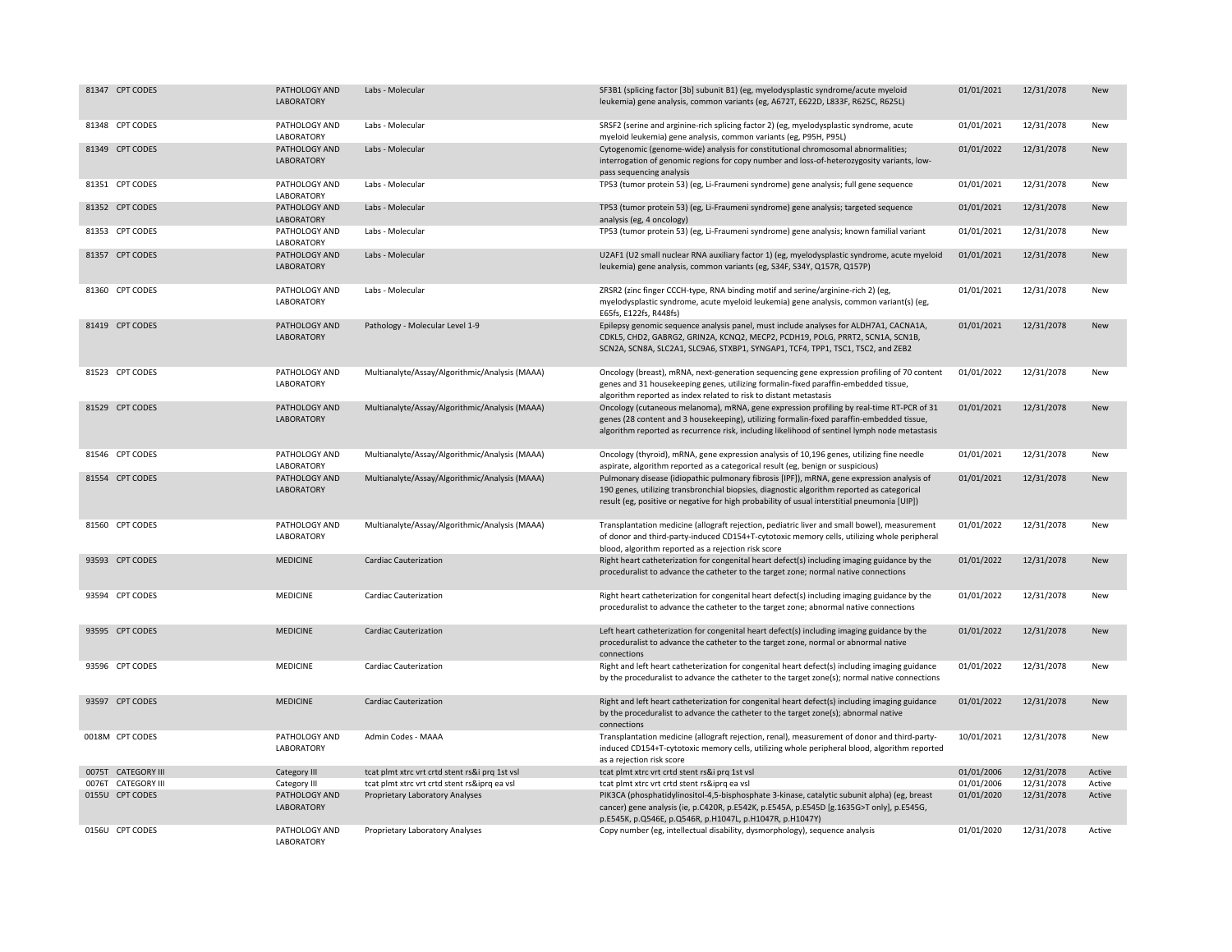| 81347 CPT CODES    | PATHOLOGY AND<br><b>LABORATORY</b> | Labs - Molecular                               | SF3B1 (splicing factor [3b] subunit B1) (eg, myelodysplastic syndrome/acute myeloid<br>leukemia) gene analysis, common variants (eg, A672T, E622D, L833F, R625C, R625L)                                                                                                                  | 01/01/2021 | 12/31/2078 | New        |
|--------------------|------------------------------------|------------------------------------------------|------------------------------------------------------------------------------------------------------------------------------------------------------------------------------------------------------------------------------------------------------------------------------------------|------------|------------|------------|
| 81348 CPT CODES    | PATHOLOGY AND<br>LABORATORY        | Labs - Molecular                               | SRSF2 (serine and arginine-rich splicing factor 2) (eg, myelodysplastic syndrome, acute<br>myeloid leukemia) gene analysis, common variants (eg, P95H, P95L)                                                                                                                             | 01/01/2021 | 12/31/2078 | New        |
| 81349 CPT CODES    | PATHOLOGY AND<br>LABORATORY        | Labs - Molecular                               | Cytogenomic (genome-wide) analysis for constitutional chromosomal abnormalities;<br>interrogation of genomic regions for copy number and loss-of-heterozygosity variants, low-<br>pass sequencing analysis                                                                               | 01/01/2022 | 12/31/2078 | New        |
| 81351 CPT CODES    | PATHOLOGY AND<br>LABORATORY        | Labs - Molecular                               | TP53 (tumor protein 53) (eg, Li-Fraumeni syndrome) gene analysis; full gene sequence                                                                                                                                                                                                     | 01/01/2021 | 12/31/2078 | New        |
| 81352 CPT CODES    | PATHOLOGY AND<br>LABORATORY        | Labs - Molecular                               | TP53 (tumor protein 53) (eg, Li-Fraumeni syndrome) gene analysis; targeted sequence<br>analysis (eg, 4 oncology)                                                                                                                                                                         | 01/01/2021 | 12/31/2078 | New        |
| 81353 CPT CODES    | PATHOLOGY AND<br>LABORATORY        | Labs - Molecular                               | TP53 (tumor protein 53) (eg, Li-Fraumeni syndrome) gene analysis; known familial variant                                                                                                                                                                                                 | 01/01/2021 | 12/31/2078 | New        |
| 81357 CPT CODES    | PATHOLOGY AND<br>LABORATORY        | Labs - Molecular                               | U2AF1 (U2 small nuclear RNA auxiliary factor 1) (eg, myelodysplastic syndrome, acute myeloid<br>leukemia) gene analysis, common variants (eg, S34F, S34Y, Q157R, Q157P)                                                                                                                  | 01/01/2021 | 12/31/2078 | <b>New</b> |
| 81360 CPT CODES    | PATHOLOGY AND<br>LABORATORY        | Labs - Molecular                               | ZRSR2 (zinc finger CCCH-type, RNA binding motif and serine/arginine-rich 2) (eg,<br>myelodysplastic syndrome, acute myeloid leukemia) gene analysis, common variant(s) (eg,<br>E65fs, E122fs, R448fs)                                                                                    | 01/01/2021 | 12/31/2078 | New        |
| 81419 CPT CODES    | PATHOLOGY AND<br>LABORATORY        | Pathology - Molecular Level 1-9                | Epilepsy genomic sequence analysis panel, must include analyses for ALDH7A1, CACNA1A,<br>CDKL5, CHD2, GABRG2, GRIN2A, KCNQ2, MECP2, PCDH19, POLG, PRRT2, SCN1A, SCN1B,<br>SCN2A, SCN8A, SLC2A1, SLC9A6, STXBP1, SYNGAP1, TCF4, TPP1, TSC1, TSC2, and ZEB2                                | 01/01/2021 | 12/31/2078 | New        |
| 81523 CPT CODES    | PATHOLOGY AND<br>LABORATORY        | Multianalyte/Assay/Algorithmic/Analysis (MAAA) | Oncology (breast), mRNA, next-generation sequencing gene expression profiling of 70 content<br>genes and 31 housekeeping genes, utilizing formalin-fixed paraffin-embedded tissue,<br>algorithm reported as index related to risk to distant metastasis                                  | 01/01/2022 | 12/31/2078 | New        |
| 81529 CPT CODES    | PATHOLOGY AND<br><b>LABORATORY</b> | Multianalyte/Assay/Algorithmic/Analysis (MAAA) | Oncology (cutaneous melanoma), mRNA, gene expression profiling by real-time RT-PCR of 31<br>genes (28 content and 3 housekeeping), utilizing formalin-fixed paraffin-embedded tissue,<br>algorithm reported as recurrence risk, including likelihood of sentinel lymph node metastasis   | 01/01/2021 | 12/31/2078 | New        |
| 81546 CPT CODES    | PATHOLOGY AND<br>LABORATORY        | Multianalyte/Assay/Algorithmic/Analysis (MAAA) | Oncology (thyroid), mRNA, gene expression analysis of 10,196 genes, utilizing fine needle<br>aspirate, algorithm reported as a categorical result (eg, benign or suspicious)                                                                                                             | 01/01/2021 | 12/31/2078 | New        |
| 81554 CPT CODES    | PATHOLOGY AND<br>LABORATORY        | Multianalyte/Assay/Algorithmic/Analysis (MAAA) | Pulmonary disease (idiopathic pulmonary fibrosis [IPF]), mRNA, gene expression analysis of<br>190 genes, utilizing transbronchial biopsies, diagnostic algorithm reported as categorical<br>result (eg, positive or negative for high probability of usual interstitial pneumonia [UIP]) | 01/01/2021 | 12/31/2078 | New        |
| 81560 CPT CODES    | PATHOLOGY AND<br>LABORATORY        | Multianalyte/Assay/Algorithmic/Analysis (MAAA) | Transplantation medicine (allograft rejection, pediatric liver and small bowel), measurement<br>of donor and third-party-induced CD154+T-cytotoxic memory cells, utilizing whole peripheral<br>blood, algorithm reported as a rejection risk score                                       | 01/01/2022 | 12/31/2078 | New        |
| 93593 CPT CODES    | <b>MEDICINE</b>                    | <b>Cardiac Cauterization</b>                   | Right heart catheterization for congenital heart defect(s) including imaging guidance by the<br>proceduralist to advance the catheter to the target zone; normal native connections                                                                                                      | 01/01/2022 | 12/31/2078 | New        |
| 93594 CPT CODES    | MEDICINE                           | <b>Cardiac Cauterization</b>                   | Right heart catheterization for congenital heart defect(s) including imaging guidance by the<br>proceduralist to advance the catheter to the target zone; abnormal native connections                                                                                                    | 01/01/2022 | 12/31/2078 | New        |
| 93595 CPT CODES    | <b>MEDICINE</b>                    | <b>Cardiac Cauterization</b>                   | Left heart catheterization for congenital heart defect(s) including imaging guidance by the<br>proceduralist to advance the catheter to the target zone, normal or abnormal native<br>connections                                                                                        | 01/01/2022 | 12/31/2078 | New        |
| 93596 CPT CODES    | <b>MEDICINE</b>                    | Cardiac Cauterization                          | Right and left heart catheterization for congenital heart defect(s) including imaging guidance<br>by the proceduralist to advance the catheter to the target zone(s); normal native connections                                                                                          | 01/01/2022 | 12/31/2078 | New        |
| 93597 CPT CODES    | <b>MEDICINE</b>                    | <b>Cardiac Cauterization</b>                   | Right and left heart catheterization for congenital heart defect(s) including imaging guidance<br>by the proceduralist to advance the catheter to the target zone(s); abnormal native<br>connections                                                                                     | 01/01/2022 | 12/31/2078 | New        |
| 0018M CPT CODES    | PATHOLOGY AND<br>LABORATORY        | Admin Codes - MAAA                             | Transplantation medicine (allograft rejection, renal), measurement of donor and third-party-<br>induced CD154+T-cytotoxic memory cells, utilizing whole peripheral blood, algorithm reported<br>as a rejection risk score                                                                | 10/01/2021 | 12/31/2078 | New        |
| 0075T CATEGORY III | Category III                       | tcat plmt xtrc vrt crtd stent rs&i prq 1st vsl | tcat plmt xtrc vrt crtd stent rs&i prq 1st vsl                                                                                                                                                                                                                                           | 01/01/2006 | 12/31/2078 | Active     |
| 0076T CATEGORY III | Category III                       | tcat plmt xtrc vrt crtd stent rs&iprq ea vsl   | tcat plmt xtrc vrt crtd stent rs&iprq ea vsl                                                                                                                                                                                                                                             | 01/01/2006 | 12/31/2078 | Active     |
| 0155U CPT CODES    | PATHOLOGY AND<br>LABORATORY        | Proprietary Laboratory Analyses                | PIK3CA (phosphatidylinositol-4,5-bisphosphate 3-kinase, catalytic subunit alpha) (eg, breast<br>cancer) gene analysis (ie, p.C420R, p.E542K, p.E545A, p.E545D [g.1635G>T only], p.E545G,<br>p.E545K, p.Q546E, p.Q546R, p.H1047L, p.H1047R, p.H1047Y)                                     | 01/01/2020 | 12/31/2078 | Active     |
| 0156U CPT CODES    | PATHOLOGY AND<br>LABORATORY        | Proprietary Laboratory Analyses                | Copy number (eg, intellectual disability, dysmorphology), sequence analysis                                                                                                                                                                                                              | 01/01/2020 | 12/31/2078 | Active     |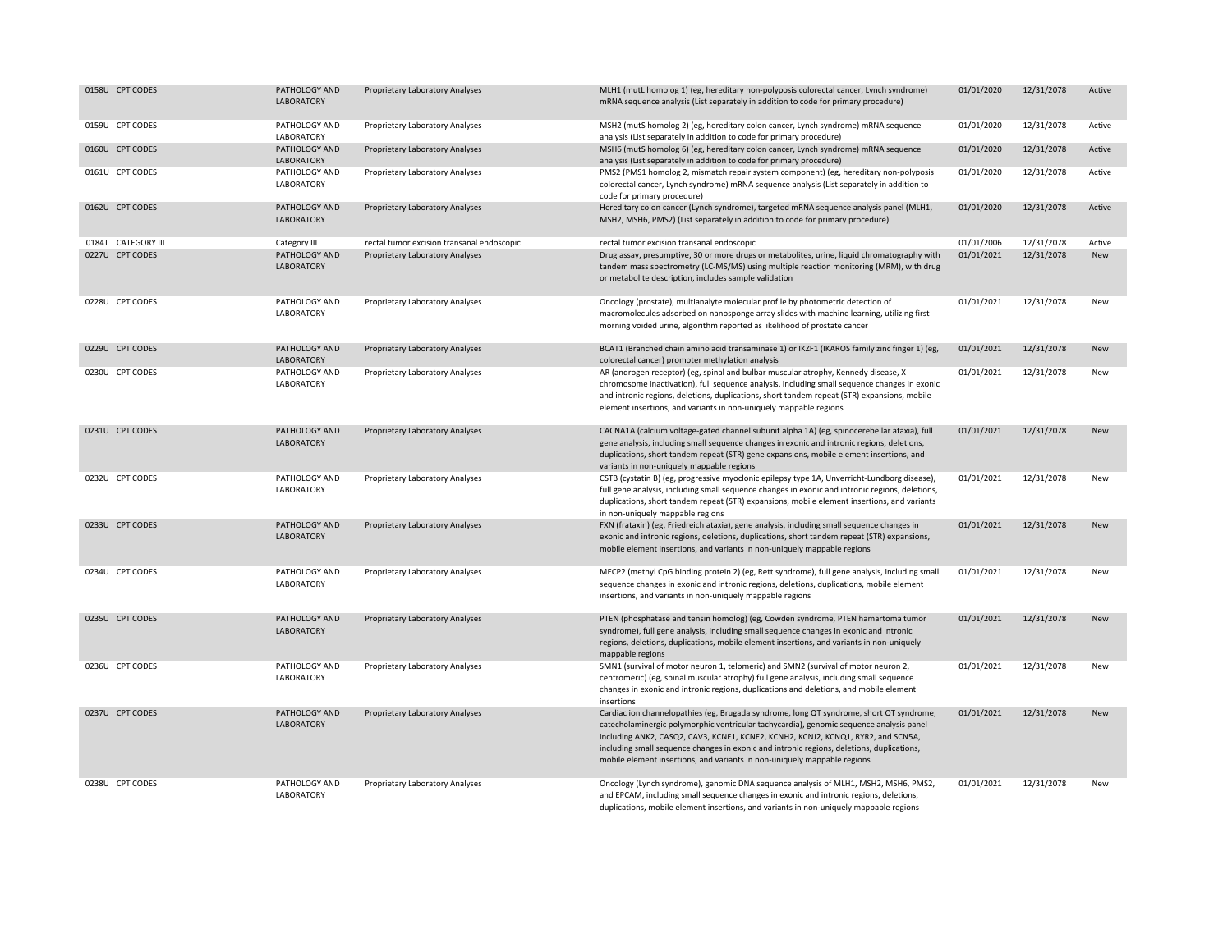| 0158U CPT CODES    | PATHOLOGY AND<br>LABORATORY        | Proprietary Laboratory Analyses            | MLH1 (mutL homolog 1) (eg, hereditary non-polyposis colorectal cancer, Lynch syndrome)<br>mRNA sequence analysis (List separately in addition to code for primary procedure)                                                                                                                                                                                                                                                                    | 01/01/2020 | 12/31/2078 | Active     |
|--------------------|------------------------------------|--------------------------------------------|-------------------------------------------------------------------------------------------------------------------------------------------------------------------------------------------------------------------------------------------------------------------------------------------------------------------------------------------------------------------------------------------------------------------------------------------------|------------|------------|------------|
| 0159U CPT CODES    | PATHOLOGY AND<br>LABORATORY        | Proprietary Laboratory Analyses            | MSH2 (mutS homolog 2) (eg, hereditary colon cancer, Lynch syndrome) mRNA sequence<br>analysis (List separately in addition to code for primary procedure)                                                                                                                                                                                                                                                                                       | 01/01/2020 | 12/31/2078 | Active     |
| 0160U CPT CODES    | PATHOLOGY AND<br>LABORATORY        | Proprietary Laboratory Analyses            | MSH6 (mutS homolog 6) (eg, hereditary colon cancer, Lynch syndrome) mRNA sequence<br>analysis (List separately in addition to code for primary procedure)                                                                                                                                                                                                                                                                                       | 01/01/2020 | 12/31/2078 | Active     |
| 0161U CPT CODES    | PATHOLOGY AND<br>LABORATORY        | Proprietary Laboratory Analyses            | PMS2 (PMS1 homolog 2, mismatch repair system component) (eg, hereditary non-polyposis<br>colorectal cancer, Lynch syndrome) mRNA sequence analysis (List separately in addition to<br>code for primary procedure)                                                                                                                                                                                                                               | 01/01/2020 | 12/31/2078 | Active     |
| 0162U CPT CODES    | PATHOLOGY AND<br>LABORATORY        | Proprietary Laboratory Analyses            | Hereditary colon cancer (Lynch syndrome), targeted mRNA sequence analysis panel (MLH1,<br>MSH2, MSH6, PMS2) (List separately in addition to code for primary procedure)                                                                                                                                                                                                                                                                         | 01/01/2020 | 12/31/2078 | Active     |
| 0184T CATEGORY III | Category III                       | rectal tumor excision transanal endoscopic | rectal tumor excision transanal endoscopic                                                                                                                                                                                                                                                                                                                                                                                                      | 01/01/2006 | 12/31/2078 | Active     |
| 0227U CPT CODES    | PATHOLOGY AND<br><b>LABORATORY</b> | Proprietary Laboratory Analyses            | Drug assay, presumptive, 30 or more drugs or metabolites, urine, liquid chromatography with<br>tandem mass spectrometry (LC-MS/MS) using multiple reaction monitoring (MRM), with drug<br>or metabolite description, includes sample validation                                                                                                                                                                                                 | 01/01/2021 | 12/31/2078 | New        |
| 0228U CPT CODES    | PATHOLOGY AND<br>LABORATORY        | Proprietary Laboratory Analyses            | Oncology (prostate), multianalyte molecular profile by photometric detection of<br>macromolecules adsorbed on nanosponge array slides with machine learning, utilizing first<br>morning voided urine, algorithm reported as likelihood of prostate cancer                                                                                                                                                                                       | 01/01/2021 | 12/31/2078 | New        |
| 0229U CPT CODES    | PATHOLOGY AND<br>LABORATORY        | Proprietary Laboratory Analyses            | BCAT1 (Branched chain amino acid transaminase 1) or IKZF1 (IKAROS family zinc finger 1) (eg,<br>colorectal cancer) promoter methylation analysis                                                                                                                                                                                                                                                                                                | 01/01/2021 | 12/31/2078 | <b>New</b> |
| 0230U CPT CODES    | PATHOLOGY AND<br>LABORATORY        | Proprietary Laboratory Analyses            | AR (androgen receptor) (eg, spinal and bulbar muscular atrophy, Kennedy disease, X<br>chromosome inactivation), full sequence analysis, including small sequence changes in exonic<br>and intronic regions, deletions, duplications, short tandem repeat (STR) expansions, mobile<br>element insertions, and variants in non-uniquely mappable regions                                                                                          | 01/01/2021 | 12/31/2078 | New        |
| 0231U CPT CODES    | PATHOLOGY AND<br>LABORATORY        | Proprietary Laboratory Analyses            | CACNA1A (calcium voltage-gated channel subunit alpha 1A) (eg, spinocerebellar ataxia), full<br>gene analysis, including small sequence changes in exonic and intronic regions, deletions,<br>duplications, short tandem repeat (STR) gene expansions, mobile element insertions, and<br>variants in non-uniquely mappable regions                                                                                                               | 01/01/2021 | 12/31/2078 | New        |
| 0232U CPT CODES    | PATHOLOGY AND<br>LABORATORY        | Proprietary Laboratory Analyses            | CSTB (cystatin B) (eg, progressive myoclonic epilepsy type 1A, Unverricht-Lundborg disease),<br>full gene analysis, including small sequence changes in exonic and intronic regions, deletions,<br>duplications, short tandem repeat (STR) expansions, mobile element insertions, and variants<br>in non-uniquely mappable regions                                                                                                              | 01/01/2021 | 12/31/2078 | New        |
| 0233U CPT CODES    | PATHOLOGY AND<br>LABORATORY        | Proprietary Laboratory Analyses            | FXN (frataxin) (eg, Friedreich ataxia), gene analysis, including small sequence changes in<br>exonic and intronic regions, deletions, duplications, short tandem repeat (STR) expansions,<br>mobile element insertions, and variants in non-uniquely mappable regions                                                                                                                                                                           | 01/01/2021 | 12/31/2078 | New        |
| 0234U CPT CODES    | PATHOLOGY AND<br>LABORATORY        | Proprietary Laboratory Analyses            | MECP2 (methyl CpG binding protein 2) (eg, Rett syndrome), full gene analysis, including small<br>sequence changes in exonic and intronic regions, deletions, duplications, mobile element<br>insertions, and variants in non-uniquely mappable regions                                                                                                                                                                                          | 01/01/2021 | 12/31/2078 | New        |
| 0235U CPT CODES    | PATHOLOGY AND<br>LABORATORY        | <b>Proprietary Laboratory Analyses</b>     | PTEN (phosphatase and tensin homolog) (eg, Cowden syndrome, PTEN hamartoma tumor<br>syndrome), full gene analysis, including small sequence changes in exonic and intronic<br>regions, deletions, duplications, mobile element insertions, and variants in non-uniquely<br>mappable regions                                                                                                                                                     | 01/01/2021 | 12/31/2078 | New        |
| 0236U CPT CODES    | PATHOLOGY AND<br>LABORATORY        | Proprietary Laboratory Analyses            | SMN1 (survival of motor neuron 1, telomeric) and SMN2 (survival of motor neuron 2,<br>centromeric) (eg, spinal muscular atrophy) full gene analysis, including small sequence<br>changes in exonic and intronic regions, duplications and deletions, and mobile element<br>insertions                                                                                                                                                           | 01/01/2021 | 12/31/2078 | New        |
| 0237U CPT CODES    | PATHOLOGY AND<br>LABORATORY        | Proprietary Laboratory Analyses            | Cardiac ion channelopathies (eg, Brugada syndrome, long QT syndrome, short QT syndrome,<br>catecholaminergic polymorphic ventricular tachycardia), genomic sequence analysis panel<br>including ANK2, CASQ2, CAV3, KCNE1, KCNE2, KCNH2, KCNJ2, KCNQ1, RYR2, and SCN5A,<br>including small sequence changes in exonic and intronic regions, deletions, duplications,<br>mobile element insertions, and variants in non-uniquely mappable regions | 01/01/2021 | 12/31/2078 | New        |
| 0238U CPT CODES    | PATHOLOGY AND<br>LABORATORY        | Proprietary Laboratory Analyses            | Oncology (Lynch syndrome), genomic DNA sequence analysis of MLH1, MSH2, MSH6, PMS2,<br>and EPCAM, including small sequence changes in exonic and intronic regions, deletions,<br>duplications, mobile element insertions, and variants in non-uniquely mappable regions                                                                                                                                                                         | 01/01/2021 | 12/31/2078 | New        |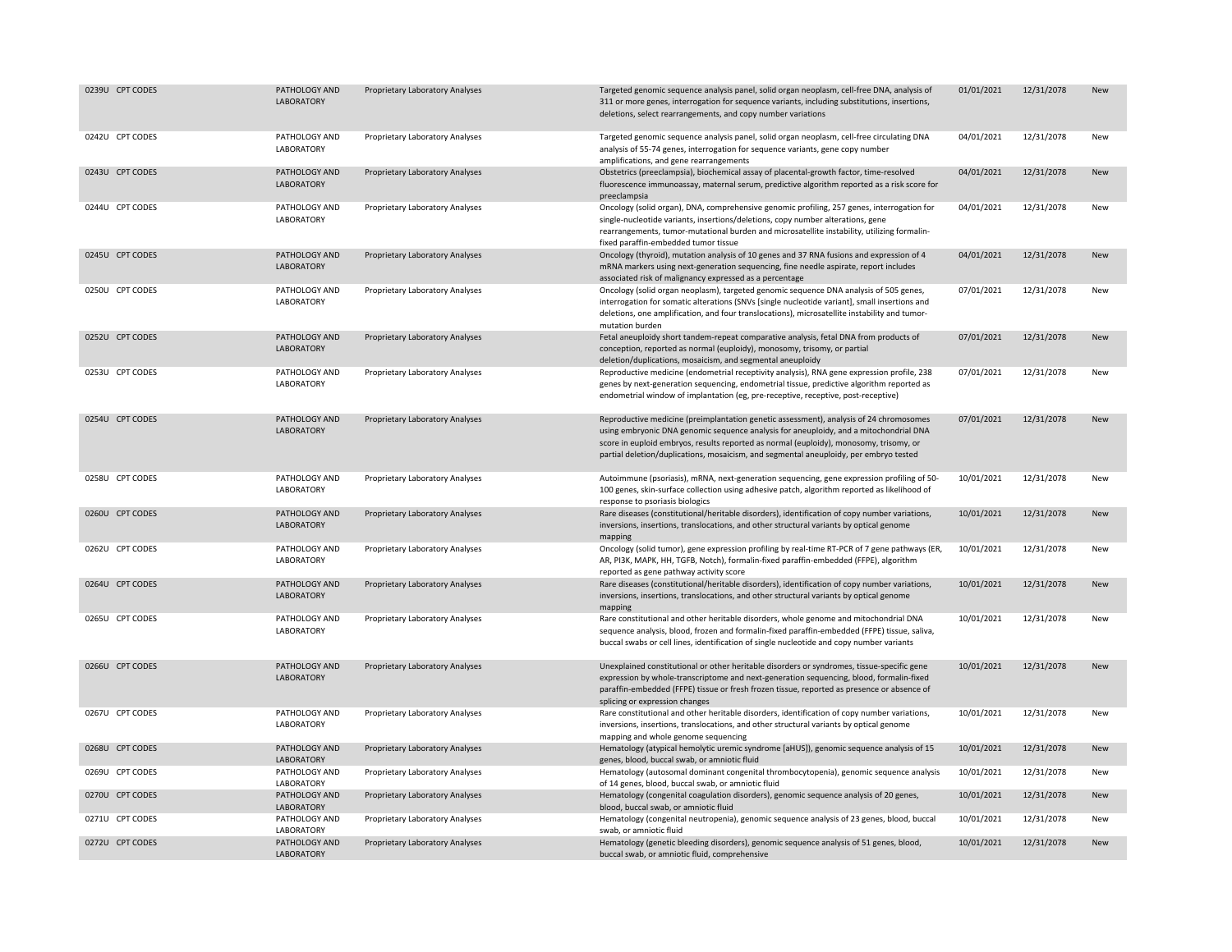| 0239U CPT CODES | PATHOLOGY AND<br>LABORATORY        | Proprietary Laboratory Analyses | Targeted genomic sequence analysis panel, solid organ neoplasm, cell-free DNA, analysis of<br>311 or more genes, interrogation for sequence variants, including substitutions, insertions,<br>deletions, select rearrangements, and copy number variations                                                                                                         | 01/01/2021 | 12/31/2078 | New        |
|-----------------|------------------------------------|---------------------------------|--------------------------------------------------------------------------------------------------------------------------------------------------------------------------------------------------------------------------------------------------------------------------------------------------------------------------------------------------------------------|------------|------------|------------|
| 0242U CPT CODES | PATHOLOGY AND<br>LABORATORY        | Proprietary Laboratory Analyses | Targeted genomic sequence analysis panel, solid organ neoplasm, cell-free circulating DNA<br>analysis of 55-74 genes, interrogation for sequence variants, gene copy number<br>amplifications, and gene rearrangements                                                                                                                                             | 04/01/2021 | 12/31/2078 | New        |
| 0243U CPT CODES | PATHOLOGY AND<br>LABORATORY        | Proprietary Laboratory Analyses | Obstetrics (preeclampsia), biochemical assay of placental-growth factor, time-resolved<br>fluorescence immunoassay, maternal serum, predictive algorithm reported as a risk score for<br>preeclampsia                                                                                                                                                              | 04/01/2021 | 12/31/2078 | <b>New</b> |
| 0244U CPT CODES | PATHOLOGY AND<br>LABORATORY        | Proprietary Laboratory Analyses | Oncology (solid organ), DNA, comprehensive genomic profiling, 257 genes, interrogation for<br>single-nucleotide variants, insertions/deletions, copy number alterations, gene<br>rearrangements, tumor-mutational burden and microsatellite instability, utilizing formalin-<br>fixed paraffin-embedded tumor tissue                                               | 04/01/2021 | 12/31/2078 | New        |
| 0245U CPT CODES | PATHOLOGY AND<br><b>LABORATORY</b> | Proprietary Laboratory Analyses | Oncology (thyroid), mutation analysis of 10 genes and 37 RNA fusions and expression of 4<br>mRNA markers using next-generation sequencing, fine needle aspirate, report includes<br>associated risk of malignancy expressed as a percentage                                                                                                                        | 04/01/2021 | 12/31/2078 | New        |
| 0250U CPT CODES | PATHOLOGY AND<br>LABORATORY        | Proprietary Laboratory Analyses | Oncology (solid organ neoplasm), targeted genomic sequence DNA analysis of 505 genes,<br>interrogation for somatic alterations (SNVs [single nucleotide variant], small insertions and<br>deletions, one amplification, and four translocations), microsatellite instability and tumor-<br>mutation burden                                                         | 07/01/2021 | 12/31/2078 | New        |
| 0252U CPT CODES | PATHOLOGY AND<br>LABORATORY        | Proprietary Laboratory Analyses | Fetal aneuploidy short tandem-repeat comparative analysis, fetal DNA from products of<br>conception, reported as normal (euploidy), monosomy, trisomy, or partial<br>deletion/duplications, mosaicism, and segmental aneuploidy                                                                                                                                    | 07/01/2021 | 12/31/2078 | <b>New</b> |
| 0253U CPT CODES | PATHOLOGY AND<br>LABORATORY        | Proprietary Laboratory Analyses | Reproductive medicine (endometrial receptivity analysis), RNA gene expression profile, 238<br>genes by next-generation sequencing, endometrial tissue, predictive algorithm reported as<br>endometrial window of implantation (eg, pre-receptive, receptive, post-receptive)                                                                                       | 07/01/2021 | 12/31/2078 | New        |
| 0254U CPT CODES | PATHOLOGY AND<br>LABORATORY        | Proprietary Laboratory Analyses | Reproductive medicine (preimplantation genetic assessment), analysis of 24 chromosomes<br>using embryonic DNA genomic sequence analysis for aneuploidy, and a mitochondrial DNA<br>score in euploid embryos, results reported as normal (euploidy), monosomy, trisomy, or<br>partial deletion/duplications, mosaicism, and segmental aneuploidy, per embryo tested | 07/01/2021 | 12/31/2078 | New        |
| 0258U CPT CODES | PATHOLOGY AND<br>LABORATORY        | Proprietary Laboratory Analyses | Autoimmune (psoriasis), mRNA, next-generation sequencing, gene expression profiling of 50-<br>100 genes, skin-surface collection using adhesive patch, algorithm reported as likelihood of<br>response to psoriasis biologics                                                                                                                                      | 10/01/2021 | 12/31/2078 | New        |
| 0260U CPT CODES | PATHOLOGY AND<br>LABORATORY        | Proprietary Laboratory Analyses | Rare diseases (constitutional/heritable disorders), identification of copy number variations,<br>inversions, insertions, translocations, and other structural variants by optical genome<br>mapping                                                                                                                                                                | 10/01/2021 | 12/31/2078 | <b>New</b> |
| 0262U CPT CODES | PATHOLOGY AND<br>LABORATORY        | Proprietary Laboratory Analyses | Oncology (solid tumor), gene expression profiling by real-time RT-PCR of 7 gene pathways (ER,<br>AR, PI3K, MAPK, HH, TGFB, Notch), formalin-fixed paraffin-embedded (FFPE), algorithm<br>reported as gene pathway activity score                                                                                                                                   | 10/01/2021 | 12/31/2078 | New        |
| 0264U CPT CODES | PATHOLOGY AND<br>LABORATORY        | Proprietary Laboratory Analyses | Rare diseases (constitutional/heritable disorders), identification of copy number variations,<br>inversions, insertions, translocations, and other structural variants by optical genome<br>mapping                                                                                                                                                                | 10/01/2021 | 12/31/2078 | New        |
| 0265U CPT CODES | PATHOLOGY AND<br>LABORATORY        | Proprietary Laboratory Analyses | Rare constitutional and other heritable disorders, whole genome and mitochondrial DNA<br>sequence analysis, blood, frozen and formalin-fixed paraffin-embedded (FFPE) tissue, saliva,<br>buccal swabs or cell lines, identification of single nucleotide and copy number variants                                                                                  | 10/01/2021 | 12/31/2078 | New        |
| 0266U CPT CODES | PATHOLOGY AND<br><b>LABORATORY</b> | Proprietary Laboratory Analyses | Unexplained constitutional or other heritable disorders or syndromes, tissue-specific gene<br>expression by whole-transcriptome and next-generation sequencing, blood, formalin-fixed<br>paraffin-embedded (FFPE) tissue or fresh frozen tissue, reported as presence or absence of<br>splicing or expression changes                                              | 10/01/2021 | 12/31/2078 | New        |
| 0267U CPT CODES | PATHOLOGY AND<br>LABORATORY        | Proprietary Laboratory Analyses | Rare constitutional and other heritable disorders, identification of copy number variations,<br>inversions, insertions, translocations, and other structural variants by optical genome<br>mapping and whole genome sequencing                                                                                                                                     | 10/01/2021 | 12/31/2078 | New        |
| 0268U CPT CODES | PATHOLOGY AND<br><b>LABORATORY</b> | Proprietary Laboratory Analyses | Hematology (atypical hemolytic uremic syndrome [aHUS]), genomic sequence analysis of 15<br>genes, blood, buccal swab, or amniotic fluid                                                                                                                                                                                                                            | 10/01/2021 | 12/31/2078 | New        |
| 0269U CPT CODES | PATHOLOGY AND<br>LABORATORY        | Proprietary Laboratory Analyses | Hematology (autosomal dominant congenital thrombocytopenia), genomic sequence analysis<br>of 14 genes, blood, buccal swab, or amniotic fluid                                                                                                                                                                                                                       | 10/01/2021 | 12/31/2078 | New        |
| 0270U CPT CODES | PATHOLOGY AND<br><b>LABORATORY</b> | Proprietary Laboratory Analyses | Hematology (congenital coagulation disorders), genomic sequence analysis of 20 genes,<br>blood, buccal swab, or amniotic fluid                                                                                                                                                                                                                                     | 10/01/2021 | 12/31/2078 | New        |
| 0271U CPT CODES | PATHOLOGY AND<br>LABORATORY        | Proprietary Laboratory Analyses | Hematology (congenital neutropenia), genomic sequence analysis of 23 genes, blood, buccal<br>swab, or amniotic fluid                                                                                                                                                                                                                                               | 10/01/2021 | 12/31/2078 | New        |
| 0272U CPT CODES | PATHOLOGY AND<br><b>LABORATORY</b> | Proprietary Laboratory Analyses | Hematology (genetic bleeding disorders), genomic sequence analysis of 51 genes, blood,<br>buccal swab, or amniotic fluid, comprehensive                                                                                                                                                                                                                            | 10/01/2021 | 12/31/2078 | New        |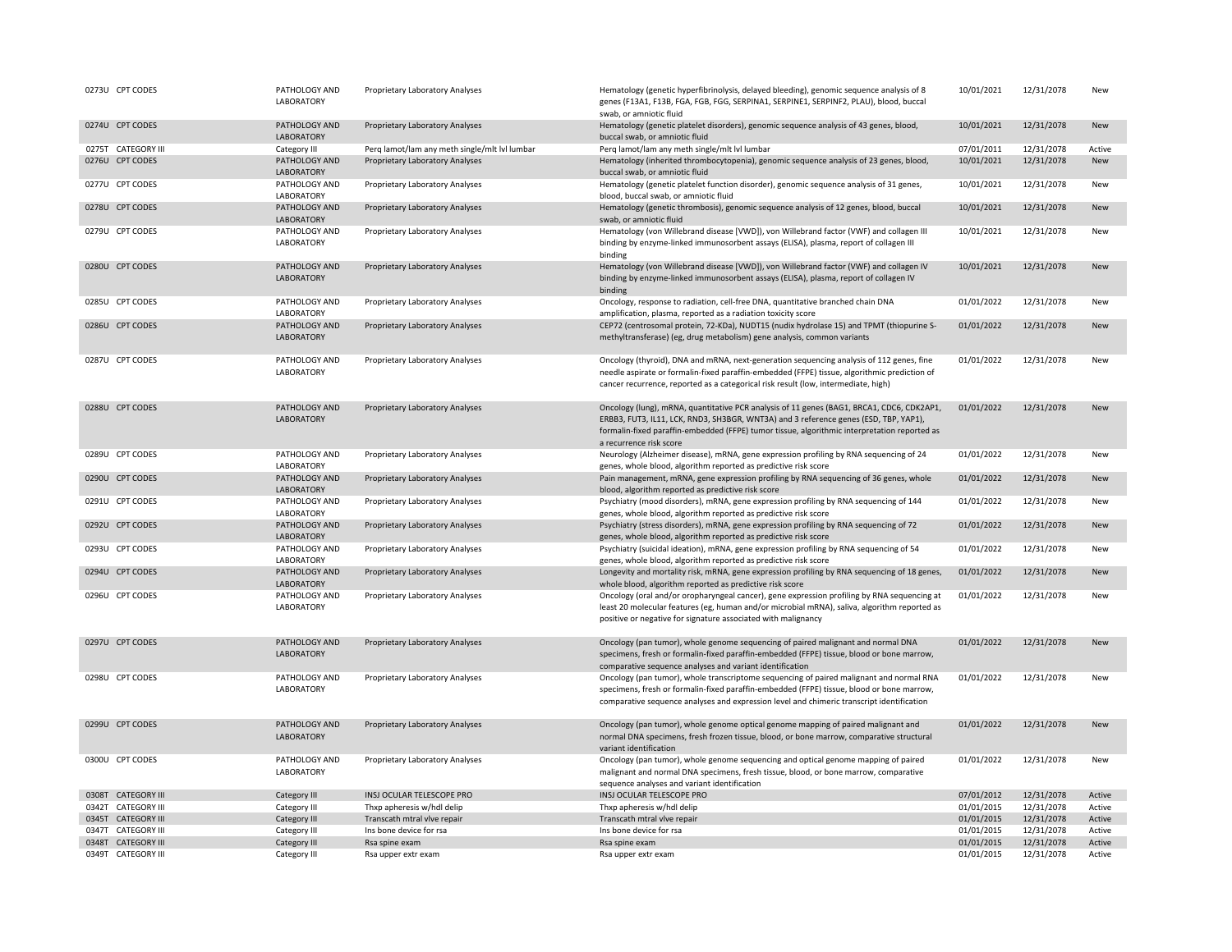| 0273U CPT CODES    | PATHOLOGY AND<br>LABORATORY | Proprietary Laboratory Analyses               | Hematology (genetic hyperfibrinolysis, delayed bleeding), genomic sequence analysis of 8<br>genes (F13A1, F13B, FGA, FGB, FGG, SERPINA1, SERPINE1, SERPINF2, PLAU), blood, buccal<br>swab, or amniotic fluid                                                                                                 | 10/01/2021 | 12/31/2078 | New        |
|--------------------|-----------------------------|-----------------------------------------------|--------------------------------------------------------------------------------------------------------------------------------------------------------------------------------------------------------------------------------------------------------------------------------------------------------------|------------|------------|------------|
| 0274U CPT CODES    | PATHOLOGY AND<br>LABORATORY | Proprietary Laboratory Analyses               | Hematology (genetic platelet disorders), genomic sequence analysis of 43 genes, blood,<br>buccal swab, or amniotic fluid                                                                                                                                                                                     | 10/01/2021 | 12/31/2078 | New        |
| 0275T CATEGORY III | Category III                | Perq lamot/lam any meth single/mlt lvl lumbar | Perq lamot/lam any meth single/mlt lvl lumbar                                                                                                                                                                                                                                                                | 07/01/2011 | 12/31/2078 | Active     |
| 0276U CPT CODES    | PATHOLOGY AND<br>LABORATORY | Proprietary Laboratory Analyses               | Hematology (inherited thrombocytopenia), genomic sequence analysis of 23 genes, blood,<br>buccal swab, or amniotic fluid                                                                                                                                                                                     | 10/01/2021 | 12/31/2078 | New        |
| 0277U CPT CODES    | PATHOLOGY AND<br>LABORATORY | Proprietary Laboratory Analyses               | Hematology (genetic platelet function disorder), genomic sequence analysis of 31 genes,<br>blood, buccal swab, or amniotic fluid                                                                                                                                                                             | 10/01/2021 | 12/31/2078 | New        |
| 0278U CPT CODES    | PATHOLOGY AND<br>LABORATORY | Proprietary Laboratory Analyses               | Hematology (genetic thrombosis), genomic sequence analysis of 12 genes, blood, buccal<br>swab, or amniotic fluid                                                                                                                                                                                             | 10/01/2021 | 12/31/2078 | <b>New</b> |
| 0279U CPT CODES    | PATHOLOGY AND<br>LABORATORY | Proprietary Laboratory Analyses               | Hematology (von Willebrand disease [VWD]), von Willebrand factor (VWF) and collagen III<br>binding by enzyme-linked immunosorbent assays (ELISA), plasma, report of collagen III<br>binding                                                                                                                  | 10/01/2021 | 12/31/2078 | New        |
| 0280U CPT CODES    | PATHOLOGY AND<br>LABORATORY | Proprietary Laboratory Analyses               | Hematology (von Willebrand disease [VWD]), von Willebrand factor (VWF) and collagen IV<br>binding by enzyme-linked immunosorbent assays (ELISA), plasma, report of collagen IV<br>binding                                                                                                                    | 10/01/2021 | 12/31/2078 | New        |
| 0285U CPT CODES    | PATHOLOGY AND<br>LABORATORY | Proprietary Laboratory Analyses               | Oncology, response to radiation, cell-free DNA, quantitative branched chain DNA<br>amplification, plasma, reported as a radiation toxicity score                                                                                                                                                             | 01/01/2022 | 12/31/2078 | New        |
| 0286U CPT CODES    | PATHOLOGY AND<br>LABORATORY | Proprietary Laboratory Analyses               | CEP72 (centrosomal protein, 72-KDa), NUDT15 (nudix hydrolase 15) and TPMT (thiopurine S-<br>methyltransferase) (eg, drug metabolism) gene analysis, common variants                                                                                                                                          | 01/01/2022 | 12/31/2078 | New        |
| 0287U CPT CODES    | PATHOLOGY AND<br>LABORATORY | Proprietary Laboratory Analyses               | Oncology (thyroid), DNA and mRNA, next-generation sequencing analysis of 112 genes, fine<br>needle aspirate or formalin-fixed paraffin-embedded (FFPE) tissue, algorithmic prediction of<br>cancer recurrence, reported as a categorical risk result (low, intermediate, high)                               | 01/01/2022 | 12/31/2078 | New        |
| 0288U CPT CODES    | PATHOLOGY AND<br>LABORATORY | Proprietary Laboratory Analyses               | Oncology (lung), mRNA, quantitative PCR analysis of 11 genes (BAG1, BRCA1, CDC6, CDK2AP1,<br>ERBB3, FUT3, IL11, LCK, RND3, SH3BGR, WNT3A) and 3 reference genes (ESD, TBP, YAP1),<br>formalin-fixed paraffin-embedded (FFPE) tumor tissue, algorithmic interpretation reported as<br>a recurrence risk score | 01/01/2022 | 12/31/2078 | New        |
| 0289U CPT CODES    | PATHOLOGY AND<br>LABORATORY | Proprietary Laboratory Analyses               | Neurology (Alzheimer disease), mRNA, gene expression profiling by RNA sequencing of 24<br>genes, whole blood, algorithm reported as predictive risk score                                                                                                                                                    | 01/01/2022 | 12/31/2078 | New        |
| 0290U CPT CODES    | PATHOLOGY AND<br>LABORATORY | Proprietary Laboratory Analyses               | Pain management, mRNA, gene expression profiling by RNA sequencing of 36 genes, whole<br>blood, algorithm reported as predictive risk score                                                                                                                                                                  | 01/01/2022 | 12/31/2078 | New        |
| 0291U CPT CODES    | PATHOLOGY AND<br>LABORATORY | Proprietary Laboratory Analyses               | Psychiatry (mood disorders), mRNA, gene expression profiling by RNA sequencing of 144<br>genes, whole blood, algorithm reported as predictive risk score                                                                                                                                                     | 01/01/2022 | 12/31/2078 | New        |
| 0292U CPT CODES    | PATHOLOGY AND<br>LABORATORY | Proprietary Laboratory Analyses               | Psychiatry (stress disorders), mRNA, gene expression profiling by RNA sequencing of 72<br>genes, whole blood, algorithm reported as predictive risk score                                                                                                                                                    | 01/01/2022 | 12/31/2078 | <b>New</b> |
| 0293U CPT CODES    | PATHOLOGY AND<br>LABORATORY | Proprietary Laboratory Analyses               | Psychiatry (suicidal ideation), mRNA, gene expression profiling by RNA sequencing of 54<br>genes, whole blood, algorithm reported as predictive risk score                                                                                                                                                   | 01/01/2022 | 12/31/2078 | New        |
| 0294U CPT CODES    | PATHOLOGY AND<br>LABORATORY | Proprietary Laboratory Analyses               | Longevity and mortality risk, mRNA, gene expression profiling by RNA sequencing of 18 genes,<br>whole blood, algorithm reported as predictive risk score                                                                                                                                                     | 01/01/2022 | 12/31/2078 | New        |
| 0296U CPT CODES    | PATHOLOGY AND<br>LABORATORY | Proprietary Laboratory Analyses               | Oncology (oral and/or oropharyngeal cancer), gene expression profiling by RNA sequencing at<br>least 20 molecular features (eg, human and/or microbial mRNA), saliva, algorithm reported as<br>positive or negative for signature associated with malignancy                                                 | 01/01/2022 | 12/31/2078 | New        |
| 0297U CPT CODES    | PATHOLOGY AND<br>LABORATORY | Proprietary Laboratory Analyses               | Oncology (pan tumor), whole genome sequencing of paired malignant and normal DNA<br>specimens, fresh or formalin-fixed paraffin-embedded (FFPE) tissue, blood or bone marrow,<br>comparative sequence analyses and variant identification                                                                    | 01/01/2022 | 12/31/2078 | New        |
| 0298U CPT CODES    | PATHOLOGY AND<br>LABORATORY | Proprietary Laboratory Analyses               | Oncology (pan tumor), whole transcriptome sequencing of paired malignant and normal RNA<br>specimens, fresh or formalin-fixed paraffin-embedded (FFPE) tissue, blood or bone marrow,<br>comparative sequence analyses and expression level and chimeric transcript identification                            | 01/01/2022 | 12/31/2078 | New        |
| 0299U CPT CODES    | PATHOLOGY AND<br>LABORATORY | Proprietary Laboratory Analyses               | Oncology (pan tumor), whole genome optical genome mapping of paired malignant and<br>normal DNA specimens, fresh frozen tissue, blood, or bone marrow, comparative structural<br>variant identification                                                                                                      | 01/01/2022 | 12/31/2078 | New        |
| 0300U CPT CODES    | PATHOLOGY AND<br>LABORATORY | Proprietary Laboratory Analyses               | Oncology (pan tumor), whole genome sequencing and optical genome mapping of paired<br>malignant and normal DNA specimens, fresh tissue, blood, or bone marrow, comparative<br>sequence analyses and variant identification                                                                                   | 01/01/2022 | 12/31/2078 | New        |
| 0308T CATEGORY III | Category III                | INSJ OCULAR TELESCOPE PRO                     | INSJ OCULAR TELESCOPE PRO                                                                                                                                                                                                                                                                                    | 07/01/2012 | 12/31/2078 | Active     |
| 0342T CATEGORY III | Category III                | Thxp apheresis w/hdl delip                    | Thxp apheresis w/hdl delip                                                                                                                                                                                                                                                                                   | 01/01/2015 | 12/31/2078 | Active     |
| 0345T CATEGORY III | Category III                | Transcath mtral vlve repair                   | Transcath mtral vlve repair                                                                                                                                                                                                                                                                                  | 01/01/2015 | 12/31/2078 | Active     |
| 0347T CATEGORY III | Category III                | Ins bone device for rsa                       | Ins bone device for rsa                                                                                                                                                                                                                                                                                      | 01/01/2015 | 12/31/2078 | Active     |
| 0348T CATEGORY III | Category III                | Rsa spine exam                                | Rsa spine exam                                                                                                                                                                                                                                                                                               | 01/01/2015 | 12/31/2078 | Active     |
| 0349T CATEGORY III | Category III                | Rsa upper extr exam                           | Rsa upper extr exam                                                                                                                                                                                                                                                                                          | 01/01/2015 | 12/31/2078 | Active     |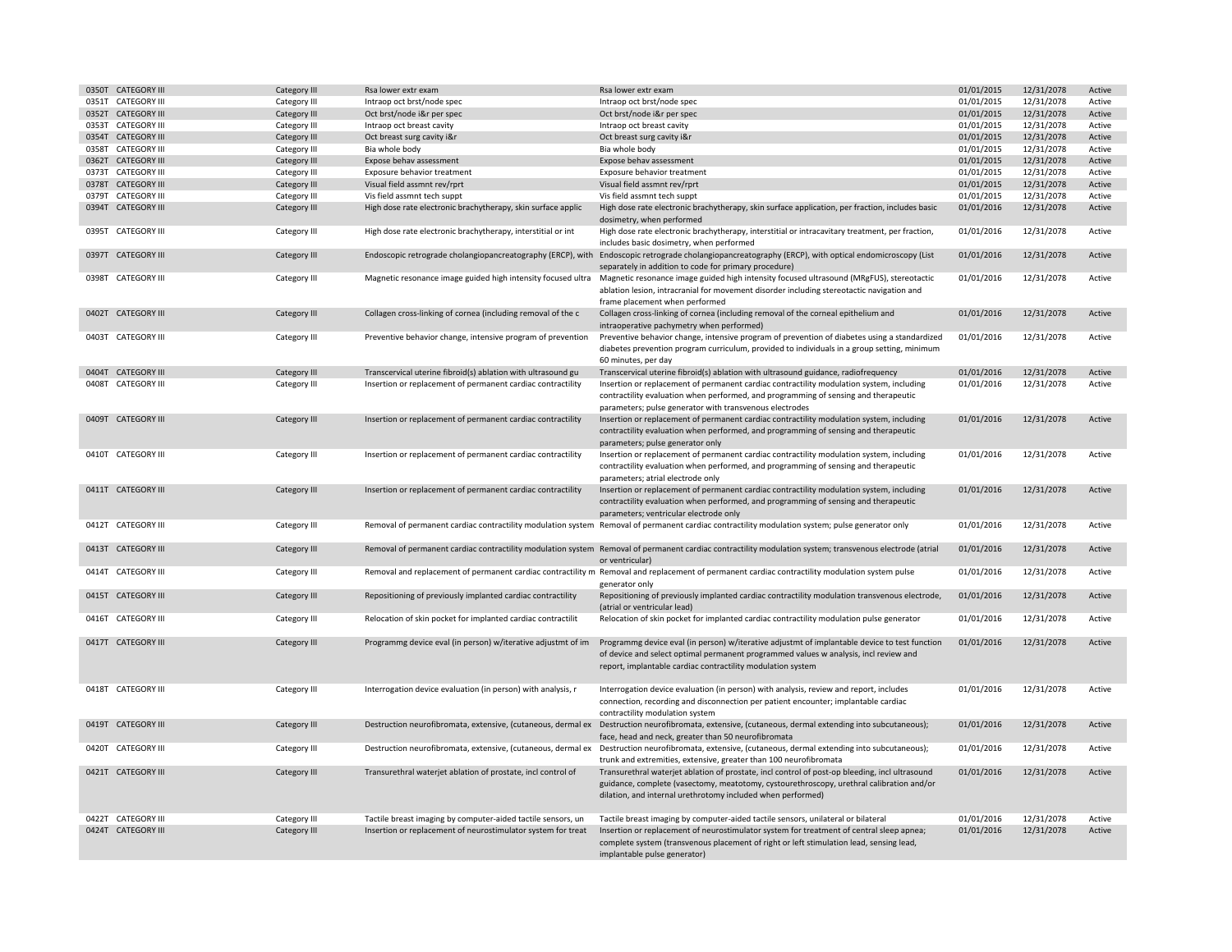|       | 0350T CATEGORY III  | Category III        | Rsa lower extr exam                                          | Rsa lower extr exam                                                                                                                                                                                                                                       | 01/01/2015 | 12/31/2078 | Active |
|-------|---------------------|---------------------|--------------------------------------------------------------|-----------------------------------------------------------------------------------------------------------------------------------------------------------------------------------------------------------------------------------------------------------|------------|------------|--------|
|       | 0351T CATEGORY III  | Category III        | Intraop oct brst/node spec                                   | Intraop oct brst/node spec                                                                                                                                                                                                                                | 01/01/2015 | 12/31/2078 | Active |
| 0352T | <b>CATEGORY III</b> | Category III        | Oct brst/node i&r per spec                                   | Oct brst/node i&r per spec                                                                                                                                                                                                                                | 01/01/2015 | 12/31/2078 | Active |
|       | 0353T CATEGORY III  | Category III        | Intraop oct breast cavity                                    | Intraop oct breast cavity                                                                                                                                                                                                                                 | 01/01/2015 | 12/31/2078 | Active |
|       | 0354T CATEGORY III  | Category III        | Oct breast surg cavity i&r                                   | Oct breast surg cavity i&r                                                                                                                                                                                                                                | 01/01/2015 | 12/31/2078 | Active |
|       | 0358T CATEGORY III  | Category III        | Bia whole body                                               | Bia whole body                                                                                                                                                                                                                                            | 01/01/2015 | 12/31/2078 | Active |
|       | 0362T CATEGORY III  | Category III        | Expose behav assessment                                      | Expose behav assessment                                                                                                                                                                                                                                   | 01/01/2015 | 12/31/2078 | Active |
|       | 0373T CATEGORY III  | Category III        | Exposure behavior treatment                                  | Exposure behavior treatment                                                                                                                                                                                                                               | 01/01/2015 | 12/31/2078 | Active |
|       | 0378T CATEGORY III  | Category III        | Visual field assmnt rev/rprt                                 | Visual field assmnt rev/rprt                                                                                                                                                                                                                              | 01/01/2015 | 12/31/2078 | Active |
|       | 0379T CATEGORY III  | Category III        | Vis field assmnt tech suppt                                  | Vis field assmnt tech suppt                                                                                                                                                                                                                               | 01/01/2015 | 12/31/2078 | Active |
|       |                     |                     |                                                              |                                                                                                                                                                                                                                                           |            |            |        |
|       | 0394T CATEGORY III  | Category III        | High dose rate electronic brachytherapy, skin surface applic | High dose rate electronic brachytherapy, skin surface application, per fraction, includes basic<br>dosimetry, when performed                                                                                                                              | 01/01/2016 | 12/31/2078 | Active |
|       | 0395T CATEGORY III  | Category III        | High dose rate electronic brachytherapy, interstitial or int | High dose rate electronic brachytherapy, interstitial or intracavitary treatment, per fraction,<br>includes basic dosimetry, when performed                                                                                                               | 01/01/2016 | 12/31/2078 | Active |
|       | 0397T CATEGORY III  | Category III        |                                                              | Endoscopic retrograde cholangiopancreatography (ERCP), with Endoscopic retrograde cholangiopancreatography (ERCP), with optical endomicroscopy (List<br>separately in addition to code for primary procedure)                                             | 01/01/2016 | 12/31/2078 | Active |
|       | 0398T CATEGORY III  | Category III        |                                                              | Magnetic resonance image guided high intensity focused ultra Magnetic resonance image guided high intensity focused ultrasound (MRgFUS), stereotactic<br>ablation lesion, intracranial for movement disorder including stereotactic navigation and        | 01/01/2016 | 12/31/2078 | Active |
|       |                     |                     |                                                              | frame placement when performed                                                                                                                                                                                                                            |            |            |        |
|       | 0402T CATEGORY III  | Category III        | Collagen cross-linking of cornea (including removal of the c | Collagen cross-linking of cornea (including removal of the corneal epithelium and<br>intraoperative pachymetry when performed)                                                                                                                            | 01/01/2016 | 12/31/2078 | Active |
|       | 0403T CATEGORY III  | Category III        | Preventive behavior change, intensive program of prevention  | Preventive behavior change, intensive program of prevention of diabetes using a standardized                                                                                                                                                              | 01/01/2016 | 12/31/2078 | Active |
|       |                     |                     |                                                              | diabetes prevention program curriculum, provided to individuals in a group setting, minimum<br>60 minutes, per day                                                                                                                                        |            |            |        |
|       | 0404T CATEGORY III  | <b>Category III</b> | Transcervical uterine fibroid(s) ablation with ultrasound gu | Transcervical uterine fibroid(s) ablation with ultrasound guidance, radiofrequency                                                                                                                                                                        | 01/01/2016 | 12/31/2078 | Active |
|       | 0408T CATEGORY III  | Category III        | Insertion or replacement of permanent cardiac contractility  | Insertion or replacement of permanent cardiac contractility modulation system, including                                                                                                                                                                  | 01/01/2016 | 12/31/2078 | Active |
|       |                     |                     |                                                              | contractility evaluation when performed, and programming of sensing and therapeutic<br>parameters; pulse generator with transvenous electrodes                                                                                                            |            |            |        |
|       | 0409T CATEGORY III  | <b>Category III</b> | Insertion or replacement of permanent cardiac contractility  | Insertion or replacement of permanent cardiac contractility modulation system, including<br>contractility evaluation when performed, and programming of sensing and therapeutic                                                                           | 01/01/2016 | 12/31/2078 | Active |
|       |                     |                     |                                                              | parameters; pulse generator only                                                                                                                                                                                                                          |            |            |        |
|       | 0410T CATEGORY III  | Category III        | Insertion or replacement of permanent cardiac contractility  | Insertion or replacement of permanent cardiac contractility modulation system, including<br>contractility evaluation when performed, and programming of sensing and therapeutic                                                                           | 01/01/2016 | 12/31/2078 | Active |
|       |                     |                     |                                                              | parameters; atrial electrode only                                                                                                                                                                                                                         |            |            |        |
|       | 0411T CATEGORY III  | Category III        | Insertion or replacement of permanent cardiac contractility  | Insertion or replacement of permanent cardiac contractility modulation system, including<br>contractility evaluation when performed, and programming of sensing and therapeutic<br>parameters; ventricular electrode only                                 | 01/01/2016 | 12/31/2078 | Active |
|       | 0412T CATEGORY III  | Category III        |                                                              | Removal of permanent cardiac contractility modulation system Removal of permanent cardiac contractility modulation system; pulse generator only                                                                                                           | 01/01/2016 | 12/31/2078 | Active |
|       | 0413T CATEGORY III  | <b>Category III</b> |                                                              | Removal of permanent cardiac contractility modulation system Removal of permanent cardiac contractility modulation system; transvenous electrode (atrial<br>or ventricular)                                                                               | 01/01/2016 | 12/31/2078 | Active |
|       | 0414T CATEGORY III  | Category III        |                                                              | Removal and replacement of permanent cardiac contractility m Removal and replacement of permanent cardiac contractility modulation system pulse<br>generator only                                                                                         | 01/01/2016 | 12/31/2078 | Active |
|       | 0415T CATEGORY III  | Category III        | Repositioning of previously implanted cardiac contractility  | Repositioning of previously implanted cardiac contractility modulation transvenous electrode,<br>(atrial or ventricular lead)                                                                                                                             | 01/01/2016 | 12/31/2078 | Active |
|       | 0416T CATEGORY III  | Category III        | Relocation of skin pocket for implanted cardiac contractilit | Relocation of skin pocket for implanted cardiac contractility modulation pulse generator                                                                                                                                                                  | 01/01/2016 | 12/31/2078 | Active |
|       | 0417T CATEGORY III  | Category III        | Programmg device eval (in person) w/iterative adjustmt of im | Programmg device eval (in person) w/iterative adjustmt of implantable device to test function<br>of device and select optimal permanent programmed values w analysis, incl review and<br>report, implantable cardiac contractility modulation system      | 01/01/2016 | 12/31/2078 | Active |
|       | 0418T CATEGORY III  | Category III        | Interrogation device evaluation (in person) with analysis, r | Interrogation device evaluation (in person) with analysis, review and report, includes<br>connection, recording and disconnection per patient encounter; implantable cardiac<br>contractility modulation system                                           | 01/01/2016 | 12/31/2078 | Active |
|       | 0419T CATEGORY III  | Category III        |                                                              | Destruction neurofibromata, extensive, (cutaneous, dermal ex Destruction neurofibromata, extensive, (cutaneous, dermal extending into subcutaneous);<br>face, head and neck, greater than 50 neurofibromata                                               | 01/01/2016 | 12/31/2078 | Active |
|       | 0420T CATEGORY III  | Category III        | Destruction neurofibromata, extensive, (cutaneous, dermal ex | Destruction neurofibromata, extensive, (cutaneous, dermal extending into subcutaneous);<br>trunk and extremities, extensive, greater than 100 neurofibromata                                                                                              | 01/01/2016 | 12/31/2078 | Active |
|       | 0421T CATEGORY III  | <b>Category III</b> | Transurethral waterjet ablation of prostate, incl control of | Transurethral waterjet ablation of prostate, incl control of post-op bleeding, incl ultrasound<br>guidance, complete (vasectomy, meatotomy, cystourethroscopy, urethral calibration and/or<br>dilation, and internal urethrotomy included when performed) | 01/01/2016 | 12/31/2078 | Active |
|       | 0422T CATEGORY III  | Category III        | Tactile breast imaging by computer-aided tactile sensors, un | Tactile breast imaging by computer-aided tactile sensors, unilateral or bilateral                                                                                                                                                                         | 01/01/2016 | 12/31/2078 | Active |
|       | 0424T CATEGORY III  | Category III        | Insertion or replacement of neurostimulator system for treat | Insertion or replacement of neurostimulator system for treatment of central sleep apnea;<br>complete system (transvenous placement of right or left stimulation lead, sensing lead,<br>implantable pulse generator)                                       | 01/01/2016 | 12/31/2078 | Active |
|       |                     |                     |                                                              |                                                                                                                                                                                                                                                           |            |            |        |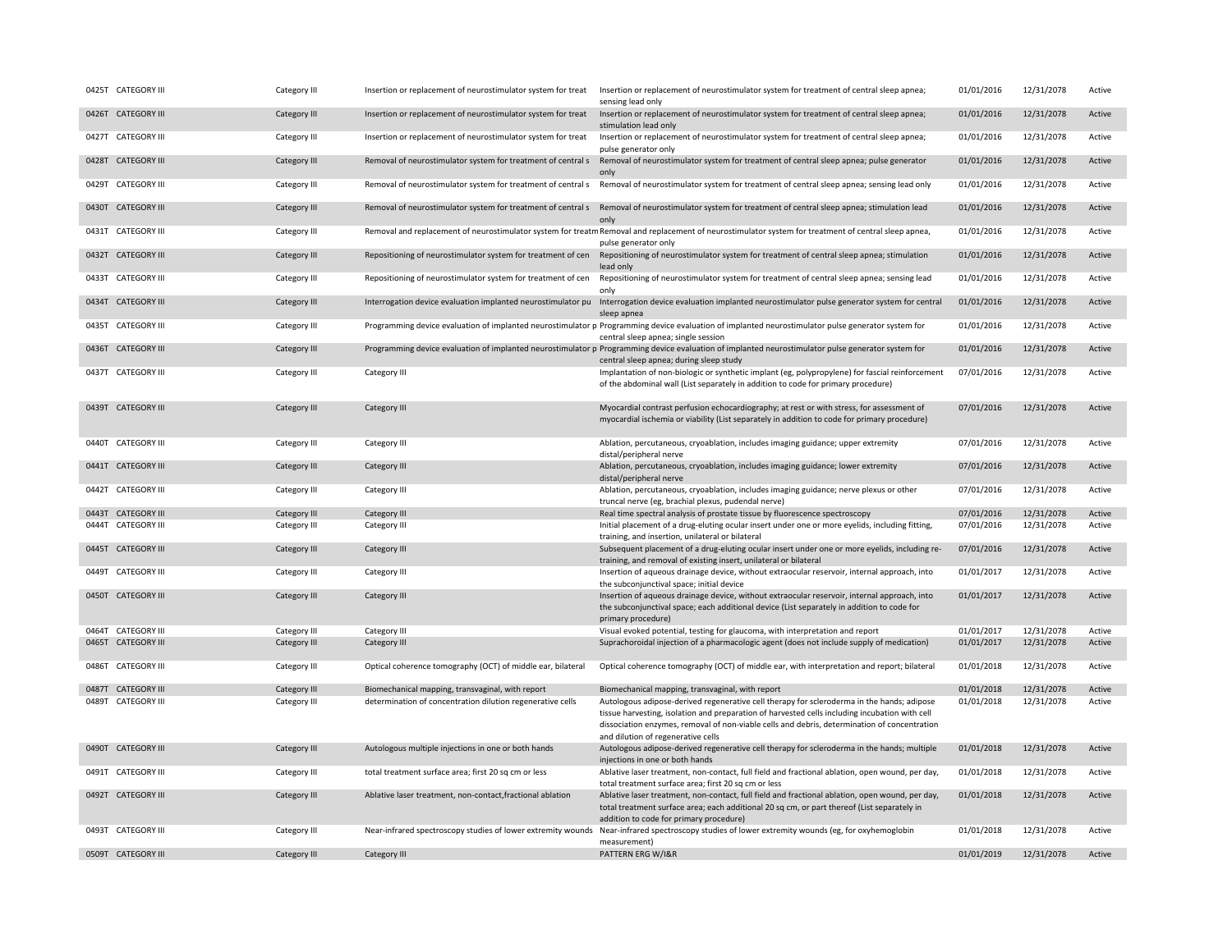|       | 0425T CATEGORY III  | Category III | Insertion or replacement of neurostimulator system for treat | Insertion or replacement of neurostimulator system for treatment of central sleep apnea;<br>sensing lead only                                                                                                                                                                                                                      | 01/01/2016 | 12/31/2078 | Active |
|-------|---------------------|--------------|--------------------------------------------------------------|------------------------------------------------------------------------------------------------------------------------------------------------------------------------------------------------------------------------------------------------------------------------------------------------------------------------------------|------------|------------|--------|
|       | 0426T CATEGORY III  | Category III | Insertion or replacement of neurostimulator system for treat | Insertion or replacement of neurostimulator system for treatment of central sleep apnea;<br>stimulation lead only                                                                                                                                                                                                                  | 01/01/2016 | 12/31/2078 | Active |
|       | 0427T CATEGORY III  | Category III | Insertion or replacement of neurostimulator system for treat | Insertion or replacement of neurostimulator system for treatment of central sleep apnea;<br>pulse generator only                                                                                                                                                                                                                   | 01/01/2016 | 12/31/2078 | Active |
|       | 0428T CATEGORY III  | Category III | Removal of neurostimulator system for treatment of central s | Removal of neurostimulator system for treatment of central sleep apnea; pulse generator<br>only                                                                                                                                                                                                                                    | 01/01/2016 | 12/31/2078 | Active |
|       | 0429T CATEGORY III  | Category III |                                                              | Removal of neurostimulator system for treatment of central s<br>Removal of neurostimulator system for treatment of central s<br>Removal of neurostimulator system for central sleep appear and year only                                                                                                                           | 01/01/2016 | 12/31/2078 | Active |
| 0430T | <b>CATEGORY III</b> | Category III | Removal of neurostimulator system for treatment of central s | Removal of neurostimulator system for treatment of central sleep apnea; stimulation lead<br>only                                                                                                                                                                                                                                   | 01/01/2016 | 12/31/2078 | Active |
|       | 0431T CATEGORY III  | Category III |                                                              | Removal and replacement of neurostimulator system for treatm Removal and replacement of neurostimulator system for treatment of central sleep apnea,<br>pulse generator only                                                                                                                                                       | 01/01/2016 | 12/31/2078 | Active |
|       | 0432T CATEGORY III  | Category III | Repositioning of neurostimulator system for treatment of cen | Repositioning of neurostimulator system for treatment of central sleep apnea; stimulation<br>lead only                                                                                                                                                                                                                             | 01/01/2016 | 12/31/2078 | Active |
|       | 0433T CATEGORY III  | Category III | Repositioning of neurostimulator system for treatment of cen | Repositioning of neurostimulator system for treatment of central sleep apnea; sensing lead<br>only                                                                                                                                                                                                                                 | 01/01/2016 | 12/31/2078 | Active |
|       | 0434T CATEGORY III  | Category III | Interrogation device evaluation implanted neurostimulator pu | Interrogation device evaluation implanted neurostimulator pulse generator system for central<br>sleep apnea                                                                                                                                                                                                                        | 01/01/2016 | 12/31/2078 | Active |
|       | 0435T CATEGORY III  | Category III |                                                              | Programming device evaluation of implanted neurostimulator p Programming device evaluation of implanted neurostimulator pulse generator system for<br>central sleep apnea; single session                                                                                                                                          | 01/01/2016 | 12/31/2078 | Active |
|       | 0436T CATEGORY III  | Category III |                                                              | Programming device evaluation of implanted neurostimulator p Programming device evaluation of implanted neurostimulator pulse generator system for<br>central sleep apnea; during sleep study                                                                                                                                      | 01/01/2016 | 12/31/2078 | Active |
|       | 0437T CATEGORY III  | Category III | Category III                                                 | Implantation of non-biologic or synthetic implant (eg, polypropylene) for fascial reinforcement<br>of the abdominal wall (List separately in addition to code for primary procedure)                                                                                                                                               | 07/01/2016 | 12/31/2078 | Active |
|       | 0439T CATEGORY III  | Category III | Category III                                                 | Myocardial contrast perfusion echocardiography; at rest or with stress, for assessment of<br>myocardial ischemia or viability (List separately in addition to code for primary procedure)                                                                                                                                          | 07/01/2016 | 12/31/2078 | Active |
|       | 0440T CATEGORY III  | Category III | Category III                                                 | Ablation, percutaneous, cryoablation, includes imaging guidance; upper extremity<br>distal/peripheral nerve                                                                                                                                                                                                                        | 07/01/2016 | 12/31/2078 | Active |
|       | 0441T CATEGORY III  | Category III | Category III                                                 | Ablation, percutaneous, cryoablation, includes imaging guidance; lower extremity<br>distal/peripheral nerve                                                                                                                                                                                                                        | 07/01/2016 | 12/31/2078 | Active |
|       | 0442T CATEGORY III  | Category III | Category III                                                 | Ablation, percutaneous, cryoablation, includes imaging guidance; nerve plexus or other<br>truncal nerve (eg, brachial plexus, pudendal nerve)                                                                                                                                                                                      | 07/01/2016 | 12/31/2078 | Active |
|       | 0443T CATEGORY III  | Category III | Category III                                                 | Real time spectral analysis of prostate tissue by fluorescence spectroscopy                                                                                                                                                                                                                                                        | 07/01/2016 | 12/31/2078 | Active |
|       | 0444T CATEGORY III  | Category III | Category III                                                 | Initial placement of a drug-eluting ocular insert under one or more eyelids, including fitting,<br>training, and insertion, unilateral or bilateral                                                                                                                                                                                | 07/01/2016 | 12/31/2078 | Active |
|       | 0445T CATEGORY III  | Category III | Category III                                                 | Subsequent placement of a drug-eluting ocular insert under one or more eyelids, including re-<br>training, and removal of existing insert, unilateral or bilateral                                                                                                                                                                 | 07/01/2016 | 12/31/2078 | Active |
|       | 0449T CATEGORY III  | Category III | Category III                                                 | Insertion of aqueous drainage device, without extraocular reservoir, internal approach, into<br>the subconjunctival space; initial device                                                                                                                                                                                          | 01/01/2017 | 12/31/2078 | Active |
|       | 0450T CATEGORY III  | Category III | Category III                                                 | Insertion of aqueous drainage device, without extraocular reservoir, internal approach, into<br>the subconjunctival space; each additional device (List separately in addition to code for<br>primary procedure)                                                                                                                   | 01/01/2017 | 12/31/2078 | Active |
|       | 0464T CATEGORY III  | Category III | Category III                                                 | Visual evoked potential, testing for glaucoma, with interpretation and report                                                                                                                                                                                                                                                      | 01/01/2017 | 12/31/2078 | Active |
|       | 0465T CATEGORY III  | Category III | Category III                                                 | Suprachoroidal injection of a pharmacologic agent (does not include supply of medication)                                                                                                                                                                                                                                          | 01/01/2017 | 12/31/2078 | Active |
|       | 0486T CATEGORY III  | Category III | Optical coherence tomography (OCT) of middle ear, bilateral  | Optical coherence tomography (OCT) of middle ear, with interpretation and report; bilateral                                                                                                                                                                                                                                        | 01/01/2018 | 12/31/2078 | Active |
|       | 0487T CATEGORY III  | Category III | Biomechanical mapping, transvaginal, with report             | Biomechanical mapping, transvaginal, with report                                                                                                                                                                                                                                                                                   | 01/01/2018 | 12/31/2078 | Active |
|       | 0489T CATEGORY III  | Category III | determination of concentration dilution regenerative cells   | Autologous adipose-derived regenerative cell therapy for scleroderma in the hands; adipose<br>tissue harvesting, isolation and preparation of harvested cells including incubation with cell<br>dissociation enzymes, removal of non-viable cells and debris, determination of concentration<br>and dilution of regenerative cells | 01/01/2018 | 12/31/2078 | Active |
|       | 0490T CATEGORY III  | Category III | Autologous multiple injections in one or both hands          | Autologous adipose-derived regenerative cell therapy for scleroderma in the hands; multiple<br>injections in one or both hands                                                                                                                                                                                                     | 01/01/2018 | 12/31/2078 | Active |
|       | 0491T CATEGORY III  | Category III | total treatment surface area; first 20 sq cm or less         | Ablative laser treatment, non-contact, full field and fractional ablation, open wound, per day,<br>total treatment surface area; first 20 sq cm or less                                                                                                                                                                            | 01/01/2018 | 12/31/2078 | Active |
|       | 0492T CATEGORY III  | Category III | Ablative laser treatment, non-contact, fractional ablation   | Ablative laser treatment, non-contact, full field and fractional ablation, open wound, per day,<br>total treatment surface area; each additional 20 sq cm, or part thereof (List separately in<br>addition to code for primary procedure)                                                                                          | 01/01/2018 | 12/31/2078 | Active |
|       | 0493T CATEGORY III  | Category III |                                                              | Near-infrared spectroscopy studies of lower extremity wounds Near-infrared spectroscopy studies of lower extremity wounds (eg, for oxyhemoglobin<br>measurement)                                                                                                                                                                   | 01/01/2018 | 12/31/2078 | Active |
|       | 0509T CATEGORY III  | Category III | Category III                                                 | PATTERN ERG W/I&R                                                                                                                                                                                                                                                                                                                  | 01/01/2019 | 12/31/2078 | Active |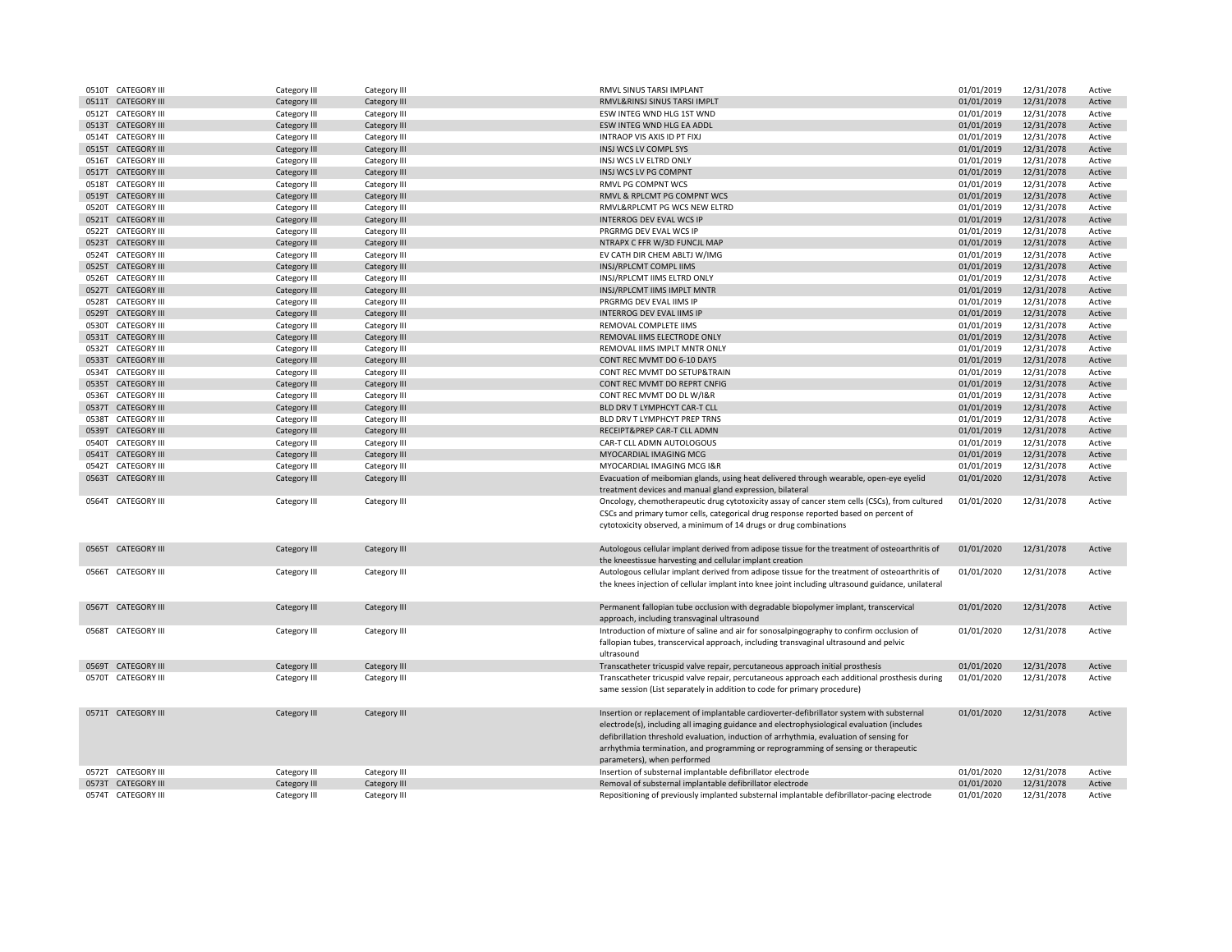|       | 0510T CATEGORY III  | Category III        | Category III | RMVL SINUS TARSI IMPLANT                                                                                                                           | 01/01/2019 | 12/31/2078 | Active |
|-------|---------------------|---------------------|--------------|----------------------------------------------------------------------------------------------------------------------------------------------------|------------|------------|--------|
|       | 0511T CATEGORY III  | Category III        | Category III | RMVL&RINSJ SINUS TARSI IMPLT                                                                                                                       | 01/01/2019 | 12/31/2078 | Active |
|       | 0512T CATEGORY III  | Category III        | Category III | ESW INTEG WND HLG 1ST WND                                                                                                                          | 01/01/2019 | 12/31/2078 | Active |
|       | 0513T CATEGORY III  | Category III        | Category III | ESW INTEG WND HLG EA ADDL                                                                                                                          | 01/01/2019 | 12/31/2078 | Active |
|       | 0514T CATEGORY III  | Category III        | Category III | INTRAOP VIS AXIS ID PT FIXJ                                                                                                                        | 01/01/2019 | 12/31/2078 | Active |
|       | 0515T CATEGORY III  | Category III        | Category III | INSJ WCS LV COMPL SYS                                                                                                                              | 01/01/2019 | 12/31/2078 | Active |
|       |                     |                     |              |                                                                                                                                                    |            |            |        |
| 0516T | <b>CATEGORY III</b> | Category III        | Category III | INSJ WCS LV ELTRD ONLY                                                                                                                             | 01/01/2019 | 12/31/2078 | Active |
|       | 0517T CATEGORY III  | Category III        | Category III | INSJ WCS LV PG COMPNT                                                                                                                              | 01/01/2019 | 12/31/2078 | Active |
|       | 0518T CATEGORY III  | Category III        | Category III | RMVL PG COMPNT WCS                                                                                                                                 | 01/01/2019 | 12/31/2078 | Active |
|       | 0519T CATEGORY III  | Category III        | Category III | RMVL & RPLCMT PG COMPNT WCS                                                                                                                        | 01/01/2019 | 12/31/2078 | Active |
| 0520T | <b>CATEGORY III</b> | Category III        | Category III | RMVL&RPLCMT PG WCS NEW ELTRD                                                                                                                       | 01/01/2019 | 12/31/2078 | Active |
|       | 0521T CATEGORY III  | <b>Category III</b> | Category III | INTERROG DEV EVAL WCS IP                                                                                                                           | 01/01/2019 | 12/31/2078 | Active |
|       | 0522T CATEGORY III  | Category III        | Category III | PRGRMG DEV EVAL WCS IP                                                                                                                             | 01/01/2019 | 12/31/2078 | Active |
|       | 0523T CATEGORY III  | Category III        | Category III | NTRAPX C FFR W/3D FUNCJL MAP                                                                                                                       | 01/01/2019 | 12/31/2078 | Active |
|       | 0524T CATEGORY III  | Category III        | Category III | EV CATH DIR CHEM ABLTJ W/IMG                                                                                                                       | 01/01/2019 | 12/31/2078 | Active |
|       | 0525T CATEGORY III  | Category III        | Category III | INSJ/RPLCMT COMPL IIMS                                                                                                                             | 01/01/2019 | 12/31/2078 | Active |
|       | 0526T CATEGORY III  | Category III        | Category III | INSJ/RPLCMT IIMS ELTRD ONLY                                                                                                                        | 01/01/2019 | 12/31/2078 | Active |
| 0527T | <b>CATEGORY III</b> | Category III        | Category III | INSJ/RPLCMT IIMS IMPLT MNTR                                                                                                                        | 01/01/2019 | 12/31/2078 | Active |
|       |                     |                     |              |                                                                                                                                                    |            |            |        |
|       | 0528T CATEGORY III  | Category III        | Category III | PRGRMG DEV EVAL IIMS IP                                                                                                                            | 01/01/2019 | 12/31/2078 | Active |
| 0529T | <b>CATEGORY III</b> | Category III        | Category III | <b>INTERROG DEV EVAL IIMS IP</b>                                                                                                                   | 01/01/2019 | 12/31/2078 | Active |
|       | 0530T CATEGORY III  | Category III        | Category III | REMOVAL COMPLETE IIMS                                                                                                                              | 01/01/2019 | 12/31/2078 | Active |
| 0531T | <b>CATEGORY III</b> | Category III        | Category III | REMOVAL IIMS ELECTRODE ONLY                                                                                                                        | 01/01/2019 | 12/31/2078 | Active |
|       | 0532T CATEGORY III  | Category III        | Category III | REMOVAL IIMS IMPLT MNTR ONLY                                                                                                                       | 01/01/2019 | 12/31/2078 | Active |
| 0533T | <b>CATEGORY III</b> | Category III        | Category III | CONT REC MVMT DO 6-10 DAYS                                                                                                                         | 01/01/2019 | 12/31/2078 | Active |
| 0534T | <b>CATEGORY III</b> | Category III        | Category III | CONT REC MVMT DO SETUP&TRAIN                                                                                                                       | 01/01/2019 | 12/31/2078 | Active |
| 0535T | <b>CATEGORY III</b> | Category III        | Category III | CONT REC MVMT DO REPRT CNFIG                                                                                                                       | 01/01/2019 | 12/31/2078 | Active |
|       | 0536T CATEGORY III  | Category III        | Category III | CONT REC MVMT DO DL W/I&R                                                                                                                          | 01/01/2019 | 12/31/2078 | Active |
|       | 0537T CATEGORY III  | Category III        | Category III | BLD DRV T LYMPHCYT CAR-T CLL                                                                                                                       | 01/01/2019 | 12/31/2078 | Active |
|       | 0538T CATEGORY III  | Category III        | Category III | BLD DRV T LYMPHCYT PREP TRNS                                                                                                                       | 01/01/2019 | 12/31/2078 | Active |
|       | 0539T CATEGORY III  | Category III        | Category III | RECEIPT&PREP CAR-T CLL ADMN                                                                                                                        | 01/01/2019 | 12/31/2078 | Active |
|       | 0540T CATEGORY III  |                     |              | CAR-T CLL ADMN AUTOLOGOUS                                                                                                                          | 01/01/2019 | 12/31/2078 |        |
|       |                     | Category III        | Category III |                                                                                                                                                    |            |            | Active |
|       | 0541T CATEGORY III  | Category III        | Category III | MYOCARDIAL IMAGING MCG                                                                                                                             | 01/01/2019 | 12/31/2078 | Active |
|       | 0542T CATEGORY III  | Category III        | Category III | MYOCARDIAL IMAGING MCG I&R                                                                                                                         | 01/01/2019 | 12/31/2078 | Active |
|       | 0563T CATEGORY III  | Category III        | Category III | Evacuation of meibomian glands, using heat delivered through wearable, open-eye eyelid<br>treatment devices and manual gland expression, bilateral | 01/01/2020 | 12/31/2078 | Active |
|       | 0564T CATEGORY III  | Category III        | Category III | Oncology, chemotherapeutic drug cytotoxicity assay of cancer stem cells (CSCs), from cultured                                                      | 01/01/2020 | 12/31/2078 | Active |
|       |                     |                     |              |                                                                                                                                                    |            |            |        |
|       |                     |                     |              | CSCs and primary tumor cells, categorical drug response reported based on percent of                                                               |            |            |        |
|       |                     |                     |              | cytotoxicity observed, a minimum of 14 drugs or drug combinations                                                                                  |            |            |        |
|       |                     |                     |              |                                                                                                                                                    |            |            |        |
|       | 0565T CATEGORY III  | Category III        | Category III | Autologous cellular implant derived from adipose tissue for the treatment of osteoarthritis of                                                     | 01/01/2020 | 12/31/2078 | Active |
|       |                     |                     |              | the kneestissue harvesting and cellular implant creation                                                                                           |            |            |        |
|       | 0566T CATEGORY III  | Category III        | Category III | Autologous cellular implant derived from adipose tissue for the treatment of osteoarthritis of                                                     | 01/01/2020 | 12/31/2078 | Active |
|       |                     |                     |              | the knees injection of cellular implant into knee joint including ultrasound guidance, unilateral                                                  |            |            |        |
|       |                     |                     |              |                                                                                                                                                    |            |            |        |
|       | 0567T CATEGORY III  | <b>Category III</b> | Category III | Permanent fallopian tube occlusion with degradable biopolymer implant, transcervical                                                               | 01/01/2020 | 12/31/2078 | Active |
|       |                     |                     |              |                                                                                                                                                    |            |            |        |
|       | 0568T CATEGORY III  |                     |              | approach, including transvaginal ultrasound                                                                                                        |            |            |        |
|       |                     | Category III        | Category III | Introduction of mixture of saline and air for sonosalpingography to confirm occlusion of                                                           | 01/01/2020 | 12/31/2078 | Active |
|       |                     |                     |              | fallopian tubes, transcervical approach, including transvaginal ultrasound and pelvic                                                              |            |            |        |
|       |                     |                     |              | ultrasound                                                                                                                                         |            |            |        |
|       | 0569T CATEGORY III  | Category III        | Category III | Transcatheter tricuspid valve repair, percutaneous approach initial prosthesis                                                                     | 01/01/2020 | 12/31/2078 | Active |
|       | 0570T CATEGORY III  | Category III        | Category III | Transcatheter tricuspid valve repair, percutaneous approach each additional prosthesis during                                                      | 01/01/2020 | 12/31/2078 | Active |
|       |                     |                     |              | same session (List separately in addition to code for primary procedure)                                                                           |            |            |        |
|       |                     |                     |              |                                                                                                                                                    |            |            |        |
|       | 0571T CATEGORY III  | Category III        | Category III | Insertion or replacement of implantable cardioverter-defibrillator system with substernal                                                          | 01/01/2020 | 12/31/2078 | Active |
|       |                     |                     |              | electrode(s), including all imaging guidance and electrophysiological evaluation (includes                                                         |            |            |        |
|       |                     |                     |              | defibrillation threshold evaluation, induction of arrhythmia, evaluation of sensing for                                                            |            |            |        |
|       |                     |                     |              | arrhythmia termination, and programming or reprogramming of sensing or therapeutic                                                                 |            |            |        |
|       |                     |                     |              | parameters), when performed                                                                                                                        |            |            |        |
|       | 0572T CATEGORY III  |                     |              | Insertion of substernal implantable defibrillator electrode                                                                                        | 01/01/2020 | 12/31/2078 |        |
|       |                     | Category III        | Category III |                                                                                                                                                    |            |            | Active |
|       | 0573T CATEGORY III  | Category III        | Category III | Removal of substernal implantable defibrillator electrode                                                                                          | 01/01/2020 | 12/31/2078 | Active |
|       | 0574T CATEGORY III  | Category III        | Category III | Repositioning of previously implanted substernal implantable defibrillator-pacing electrode                                                        | 01/01/2020 | 12/31/2078 | Active |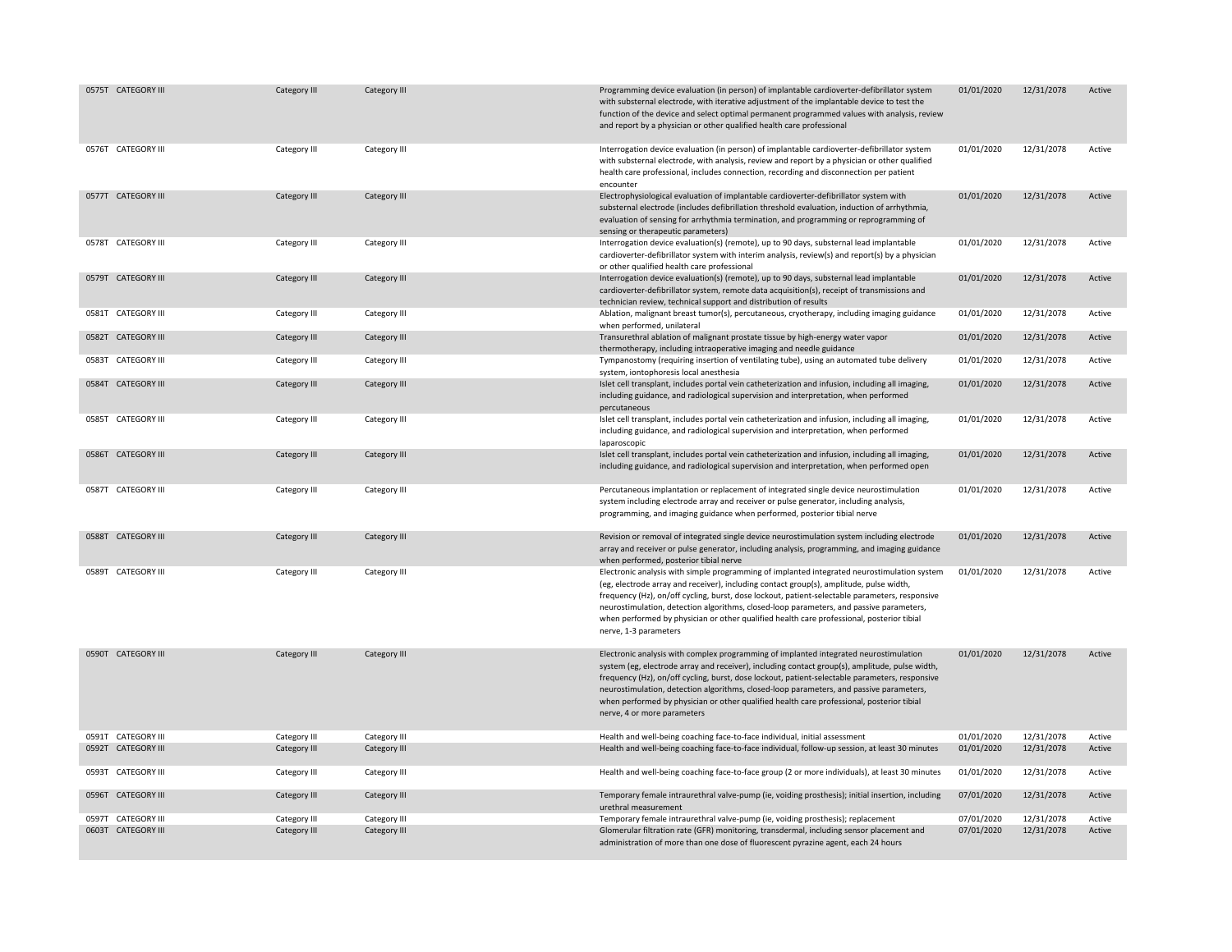| 0575T CATEGORY III | Category III | Category III | Programming device evaluation (in person) of implantable cardioverter-defibrillator system<br>with substernal electrode, with iterative adjustment of the implantable device to test the<br>function of the device and select optimal permanent programmed values with analysis, review<br>and report by a physician or other qualified health care professional                                                                                                                                                 | 01/01/2020 | 12/31/2078 | Active |
|--------------------|--------------|--------------|------------------------------------------------------------------------------------------------------------------------------------------------------------------------------------------------------------------------------------------------------------------------------------------------------------------------------------------------------------------------------------------------------------------------------------------------------------------------------------------------------------------|------------|------------|--------|
| 0576T CATEGORY III | Category III | Category III | Interrogation device evaluation (in person) of implantable cardioverter-defibrillator system<br>with substernal electrode, with analysis, review and report by a physician or other qualified<br>health care professional, includes connection, recording and disconnection per patient<br>encounter                                                                                                                                                                                                             | 01/01/2020 | 12/31/2078 | Active |
| 0577T CATEGORY III | Category III | Category III | Electrophysiological evaluation of implantable cardioverter-defibrillator system with<br>substernal electrode (includes defibrillation threshold evaluation, induction of arrhythmia,<br>evaluation of sensing for arrhythmia termination, and programming or reprogramming of<br>sensing or therapeutic parameters)                                                                                                                                                                                             | 01/01/2020 | 12/31/2078 | Active |
| 0578T CATEGORY III | Category III | Category III | Interrogation device evaluation(s) (remote), up to 90 days, substernal lead implantable<br>cardioverter-defibrillator system with interim analysis, review(s) and report(s) by a physician<br>or other qualified health care professional                                                                                                                                                                                                                                                                        | 01/01/2020 | 12/31/2078 | Active |
| 0579T CATEGORY III | Category III | Category III | Interrogation device evaluation(s) (remote), up to 90 days, substernal lead implantable<br>cardioverter-defibrillator system, remote data acquisition(s), receipt of transmissions and<br>technician review, technical support and distribution of results                                                                                                                                                                                                                                                       | 01/01/2020 | 12/31/2078 | Active |
| 0581T CATEGORY III | Category III | Category III | Ablation, malignant breast tumor(s), percutaneous, cryotherapy, including imaging guidance<br>when performed, unilateral                                                                                                                                                                                                                                                                                                                                                                                         | 01/01/2020 | 12/31/2078 | Active |
| 0582T CATEGORY III | Category III | Category III | Transurethral ablation of malignant prostate tissue by high-energy water vapor<br>thermotherapy, including intraoperative imaging and needle guidance                                                                                                                                                                                                                                                                                                                                                            | 01/01/2020 | 12/31/2078 | Active |
| 0583T CATEGORY III | Category III | Category III | Tympanostomy (requiring insertion of ventilating tube), using an automated tube delivery<br>system, iontophoresis local anesthesia                                                                                                                                                                                                                                                                                                                                                                               | 01/01/2020 | 12/31/2078 | Active |
| 0584T CATEGORY III | Category III | Category III | Islet cell transplant, includes portal vein catheterization and infusion, including all imaging,<br>including guidance, and radiological supervision and interpretation, when performed<br>percutaneous                                                                                                                                                                                                                                                                                                          | 01/01/2020 | 12/31/2078 | Active |
| 0585T CATEGORY III | Category III | Category III | Islet cell transplant, includes portal vein catheterization and infusion, including all imaging,<br>including guidance, and radiological supervision and interpretation, when performed<br>laparoscopic                                                                                                                                                                                                                                                                                                          | 01/01/2020 | 12/31/2078 | Active |
| 0586T CATEGORY III | Category III | Category III | Islet cell transplant, includes portal vein catheterization and infusion, including all imaging,<br>including guidance, and radiological supervision and interpretation, when performed open                                                                                                                                                                                                                                                                                                                     | 01/01/2020 | 12/31/2078 | Active |
| 0587T CATEGORY III | Category III | Category III | Percutaneous implantation or replacement of integrated single device neurostimulation<br>system including electrode array and receiver or pulse generator, including analysis,<br>programming, and imaging guidance when performed, posterior tibial nerve                                                                                                                                                                                                                                                       | 01/01/2020 | 12/31/2078 | Active |
| 0588T CATEGORY III | Category III | Category III | Revision or removal of integrated single device neurostimulation system including electrode<br>array and receiver or pulse generator, including analysis, programming, and imaging guidance<br>when performed, posterior tibial nerve                                                                                                                                                                                                                                                                            | 01/01/2020 | 12/31/2078 | Active |
| 0589T CATEGORY III | Category III | Category III | Electronic analysis with simple programming of implanted integrated neurostimulation system<br>(eg, electrode array and receiver), including contact group(s), amplitude, pulse width,<br>frequency (Hz), on/off cycling, burst, dose lockout, patient-selectable parameters, responsive<br>neurostimulation, detection algorithms, closed-loop parameters, and passive parameters,<br>when performed by physician or other qualified health care professional, posterior tibial<br>nerve, 1-3 parameters        | 01/01/2020 | 12/31/2078 | Active |
| 0590T CATEGORY III | Category III | Category III | Electronic analysis with complex programming of implanted integrated neurostimulation<br>system (eg, electrode array and receiver), including contact group(s), amplitude, pulse width,<br>frequency (Hz), on/off cycling, burst, dose lockout, patient-selectable parameters, responsive<br>neurostimulation, detection algorithms, closed-loop parameters, and passive parameters,<br>when performed by physician or other qualified health care professional, posterior tibial<br>nerve, 4 or more parameters | 01/01/2020 | 12/31/2078 | Active |
| 0591T CATEGORY III | Category III | Category III | Health and well-being coaching face-to-face individual, initial assessment                                                                                                                                                                                                                                                                                                                                                                                                                                       | 01/01/2020 | 12/31/2078 | Active |
| 0592T CATEGORY III | Category III | Category III | Health and well-being coaching face-to-face individual, follow-up session, at least 30 minutes                                                                                                                                                                                                                                                                                                                                                                                                                   | 01/01/2020 | 12/31/2078 | Active |
| 0593T CATEGORY III | Category III | Category III | Health and well-being coaching face-to-face group (2 or more individuals), at least 30 minutes                                                                                                                                                                                                                                                                                                                                                                                                                   | 01/01/2020 | 12/31/2078 | Active |
| 0596T CATEGORY III | Category III | Category III | Temporary female intraurethral valve-pump (ie, voiding prosthesis); initial insertion, including<br>urethral measurement                                                                                                                                                                                                                                                                                                                                                                                         | 07/01/2020 | 12/31/2078 | Active |
| 0597T CATEGORY III | Category III | Category III | Temporary female intraurethral valve-pump (ie, voiding prosthesis); replacement                                                                                                                                                                                                                                                                                                                                                                                                                                  | 07/01/2020 | 12/31/2078 | Active |
| 0603T CATEGORY III | Category III | Category III | Glomerular filtration rate (GFR) monitoring, transdermal, including sensor placement and<br>administration of more than one dose of fluorescent pyrazine agent, each 24 hours                                                                                                                                                                                                                                                                                                                                    | 07/01/2020 | 12/31/2078 | Active |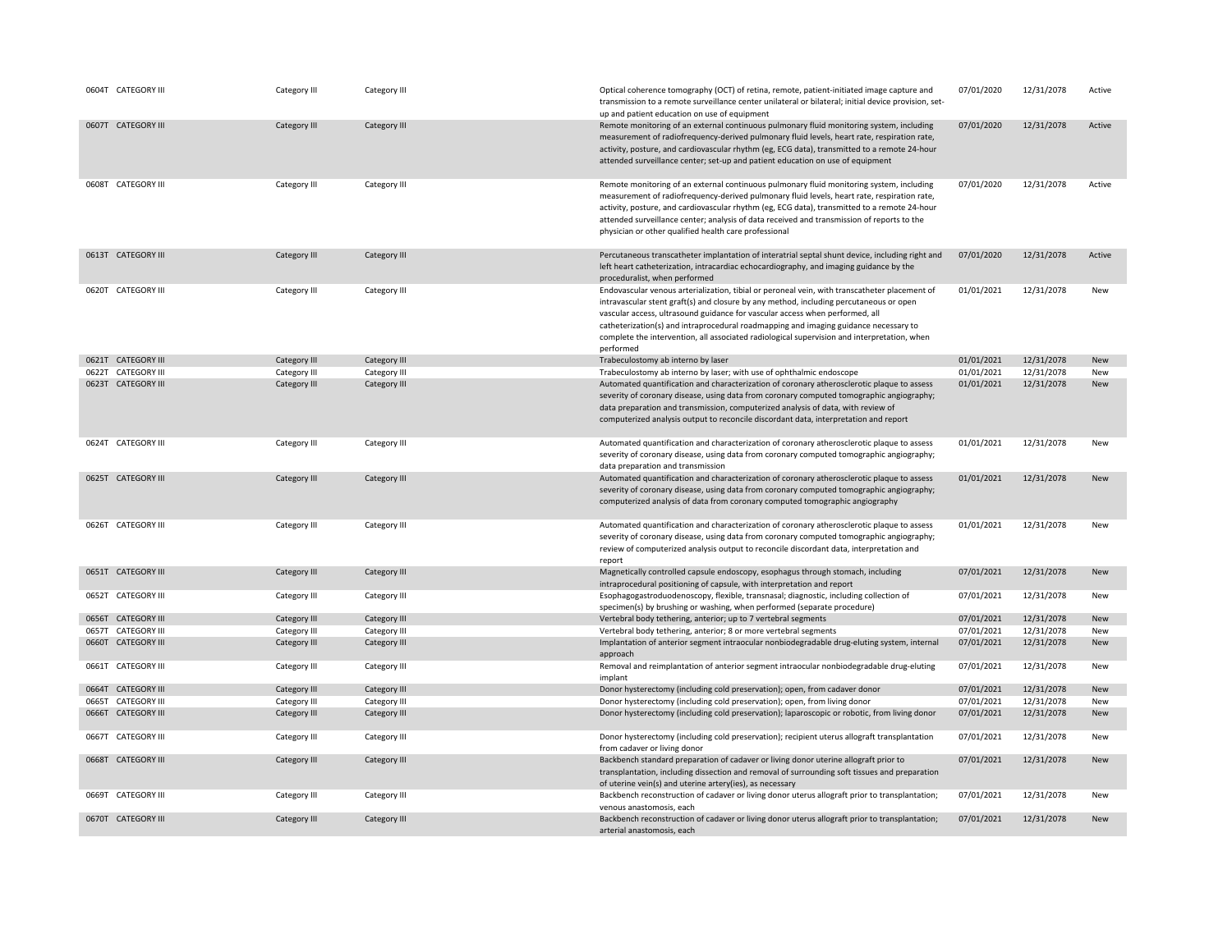|       | 0604T CATEGORY III  | Category III | Category III | Optical coherence tomography (OCT) of retina, remote, patient-initiated image capture and<br>transmission to a remote surveillance center unilateral or bilateral; initial device provision, set-<br>up and patient education on use of equipment                                                                                                                                                                                                                           | 07/01/2020 | 12/31/2078 | Active     |
|-------|---------------------|--------------|--------------|-----------------------------------------------------------------------------------------------------------------------------------------------------------------------------------------------------------------------------------------------------------------------------------------------------------------------------------------------------------------------------------------------------------------------------------------------------------------------------|------------|------------|------------|
|       | 0607T CATEGORY III  | Category III | Category III | Remote monitoring of an external continuous pulmonary fluid monitoring system, including<br>measurement of radiofrequency-derived pulmonary fluid levels, heart rate, respiration rate,<br>activity, posture, and cardiovascular rhythm (eg, ECG data), transmitted to a remote 24-hour<br>attended surveillance center; set-up and patient education on use of equipment                                                                                                   | 07/01/2020 | 12/31/2078 | Active     |
|       | 0608T CATEGORY III  | Category III | Category III | Remote monitoring of an external continuous pulmonary fluid monitoring system, including<br>measurement of radiofrequency-derived pulmonary fluid levels, heart rate, respiration rate,<br>activity, posture, and cardiovascular rhythm (eg, ECG data), transmitted to a remote 24-hour<br>attended surveillance center; analysis of data received and transmission of reports to the<br>physician or other qualified health care professional                              | 07/01/2020 | 12/31/2078 | Active     |
|       | 0613T CATEGORY III  | Category III | Category III | Percutaneous transcatheter implantation of interatrial septal shunt device, including right and<br>left heart catheterization, intracardiac echocardiography, and imaging guidance by the<br>proceduralist, when performed                                                                                                                                                                                                                                                  | 07/01/2020 | 12/31/2078 | Active     |
|       | 0620T CATEGORY III  | Category III | Category III | Endovascular venous arterialization, tibial or peroneal vein, with transcatheter placement of<br>intravascular stent graft(s) and closure by any method, including percutaneous or open<br>vascular access, ultrasound guidance for vascular access when performed, all<br>catheterization(s) and intraprocedural roadmapping and imaging guidance necessary to<br>complete the intervention, all associated radiological supervision and interpretation, when<br>performed | 01/01/2021 | 12/31/2078 | New        |
|       | 0621T CATEGORY III  | Category III | Category III | Trabeculostomy ab interno by laser                                                                                                                                                                                                                                                                                                                                                                                                                                          | 01/01/2021 | 12/31/2078 | New        |
|       | 0622T CATEGORY III  | Category III | Category III | Trabeculostomy ab interno by laser; with use of ophthalmic endoscope                                                                                                                                                                                                                                                                                                                                                                                                        | 01/01/2021 | 12/31/2078 | New        |
|       | 0623T CATEGORY III  | Category III | Category III | Automated quantification and characterization of coronary atherosclerotic plaque to assess<br>severity of coronary disease, using data from coronary computed tomographic angiography;<br>data preparation and transmission, computerized analysis of data, with review of<br>computerized analysis output to reconcile discordant data, interpretation and report                                                                                                          | 01/01/2021 | 12/31/2078 | New        |
|       | 0624T CATEGORY III  | Category III | Category III | Automated quantification and characterization of coronary atherosclerotic plaque to assess<br>severity of coronary disease, using data from coronary computed tomographic angiography;<br>data preparation and transmission                                                                                                                                                                                                                                                 | 01/01/2021 | 12/31/2078 | New        |
|       | 0625T CATEGORY III  | Category III | Category III | Automated quantification and characterization of coronary atherosclerotic plaque to assess<br>severity of coronary disease, using data from coronary computed tomographic angiography;<br>computerized analysis of data from coronary computed tomographic angiography                                                                                                                                                                                                      | 01/01/2021 | 12/31/2078 | New        |
|       | 0626T CATEGORY III  | Category III | Category III | Automated quantification and characterization of coronary atherosclerotic plaque to assess<br>severity of coronary disease, using data from coronary computed tomographic angiography;<br>review of computerized analysis output to reconcile discordant data, interpretation and<br>report                                                                                                                                                                                 | 01/01/2021 | 12/31/2078 | New        |
|       | 0651T CATEGORY III  | Category III | Category III | Magnetically controlled capsule endoscopy, esophagus through stomach, including<br>intraprocedural positioning of capsule, with interpretation and report                                                                                                                                                                                                                                                                                                                   | 07/01/2021 | 12/31/2078 | New        |
|       | 0652T CATEGORY III  | Category III | Category III | Esophagogastroduodenoscopy, flexible, transnasal; diagnostic, including collection of<br>specimen(s) by brushing or washing, when performed (separate procedure)                                                                                                                                                                                                                                                                                                            | 07/01/2021 | 12/31/2078 | New        |
|       | 0656T CATEGORY III  | Category III | Category III | Vertebral body tethering, anterior; up to 7 vertebral segments                                                                                                                                                                                                                                                                                                                                                                                                              | 07/01/2021 | 12/31/2078 | <b>New</b> |
|       | 0657T CATEGORY III  | Category III | Category III | Vertebral body tethering, anterior; 8 or more vertebral segments                                                                                                                                                                                                                                                                                                                                                                                                            | 07/01/2021 | 12/31/2078 | New        |
|       | 0660T CATEGORY III  | Category III | Category III | Implantation of anterior segment intraocular nonbiodegradable drug-eluting system, internal<br>approach                                                                                                                                                                                                                                                                                                                                                                     | 07/01/2021 | 12/31/2078 | New        |
|       | 0661T CATEGORY III  | Category III | Category III | Removal and reimplantation of anterior segment intraocular nonbiodegradable drug-eluting<br>implant                                                                                                                                                                                                                                                                                                                                                                         | 07/01/2021 | 12/31/2078 | New        |
| 0664T | <b>CATEGORY III</b> | Category III | Category III | Donor hysterectomy (including cold preservation); open, from cadaver donor                                                                                                                                                                                                                                                                                                                                                                                                  | 07/01/2021 | 12/31/2078 | <b>New</b> |
|       | 0665T CATEGORY III  | Category III | Category III | Donor hysterectomy (including cold preservation); open, from living donor                                                                                                                                                                                                                                                                                                                                                                                                   | 07/01/2021 | 12/31/2078 | New        |
|       | 0666T CATEGORY III  | Category III | Category III | Donor hysterectomy (including cold preservation); laparoscopic or robotic, from living donor                                                                                                                                                                                                                                                                                                                                                                                | 07/01/2021 | 12/31/2078 | New        |
|       | 0667T CATEGORY III  | Category III | Category III | Donor hysterectomy (including cold preservation); recipient uterus allograft transplantation<br>from cadaver or living donor                                                                                                                                                                                                                                                                                                                                                | 07/01/2021 | 12/31/2078 | New        |
|       | 0668T CATEGORY III  | Category III | Category III | Backbench standard preparation of cadaver or living donor uterine allograft prior to<br>transplantation, including dissection and removal of surrounding soft tissues and preparation<br>of uterine vein(s) and uterine artery(ies), as necessary                                                                                                                                                                                                                           | 07/01/2021 | 12/31/2078 | New        |
|       | 0669T CATEGORY III  | Category III | Category III | Backbench reconstruction of cadaver or living donor uterus allograft prior to transplantation;<br>venous anastomosis, each                                                                                                                                                                                                                                                                                                                                                  | 07/01/2021 | 12/31/2078 | New        |
|       | 0670T CATEGORY III  | Category III | Category III | Backbench reconstruction of cadaver or living donor uterus allograft prior to transplantation;<br>arterial anastomosis, each                                                                                                                                                                                                                                                                                                                                                | 07/01/2021 | 12/31/2078 | New        |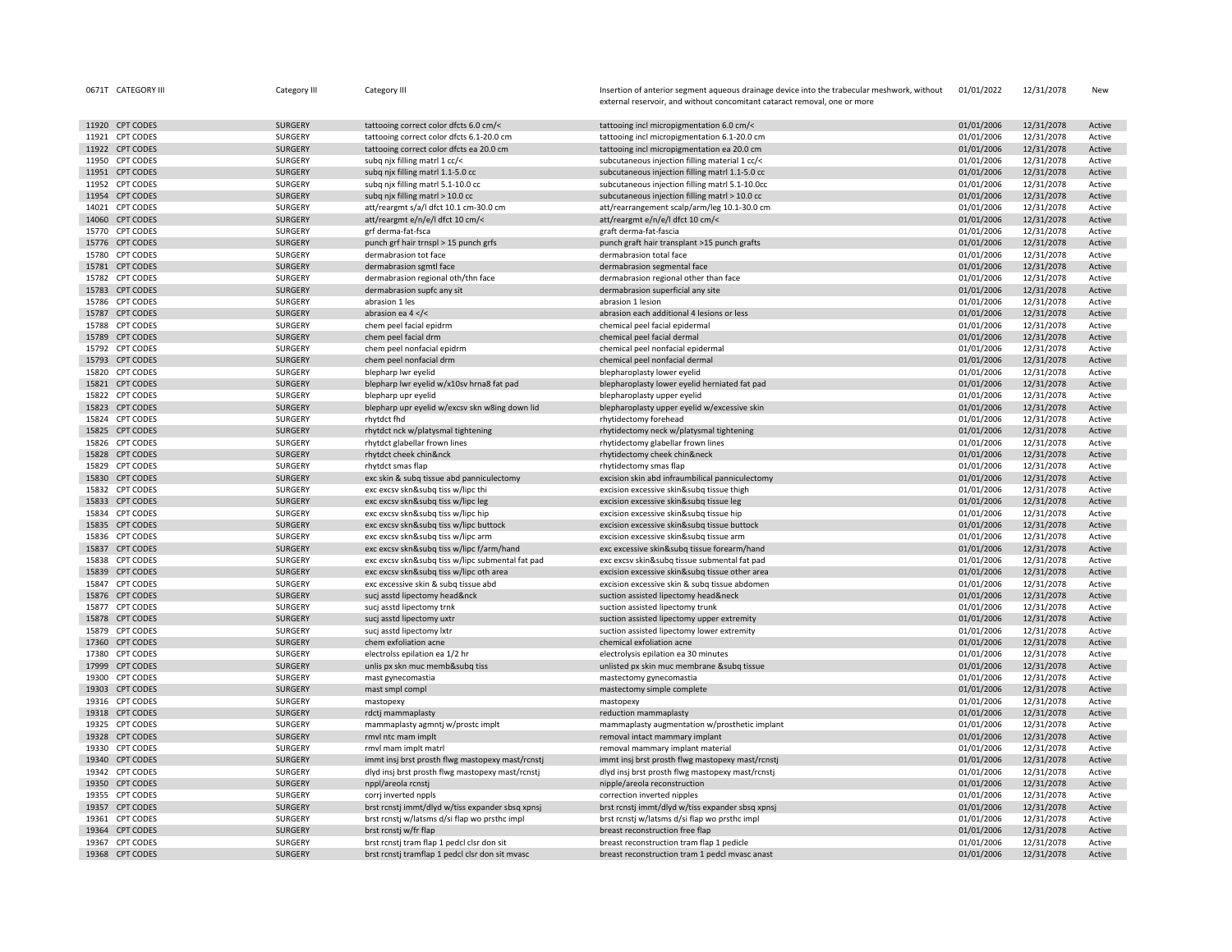|       | 0671T CATEGORY III                  | Category III       | Category III                                                                 | Insertion of anterior segment aqueous drainage device into the trabecular meshwork, without | 01/01/2022               | 12/31/2078               | New              |
|-------|-------------------------------------|--------------------|------------------------------------------------------------------------------|---------------------------------------------------------------------------------------------|--------------------------|--------------------------|------------------|
|       |                                     |                    |                                                                              | external reservoir, and without concomitant cataract removal, one or more                   |                          |                          |                  |
|       | 11920 CPT CODES                     | <b>SURGERY</b>     | tattooing correct color dfcts 6.0 cm/<                                       | tattooing incl micropigmentation 6.0 cm/<                                                   | 01/01/2006               | 12/31/2078               | Active           |
|       | 11921 CPT CODES                     | SURGERY            | tattooing correct color dfcts 6.1-20.0 cm                                    | tattooing incl micropigmentation 6.1-20.0 cm                                                | 01/01/2006               | 12/31/2078               | Active           |
|       | 11922 CPT CODES                     | SURGERY            | tattooing correct color dfcts ea 20.0 cm                                     | tattooing incl micropigmentation ea 20.0 cm                                                 | 01/01/2006               | 12/31/2078               | Active           |
|       | 11950 CPT CODES                     | SURGERY            | subg njx filling matrl 1 cc/<                                                | subcutaneous injection filling material 1 cc/<                                              | 01/01/2006               | 12/31/2078               | Active           |
|       | 11951 CPT CODES                     | <b>SURGERY</b>     | subg njx filling matrl 1.1-5.0 cc                                            | subcutaneous injection filling matrl 1.1-5.0 cc                                             | 01/01/2006               | 12/31/2078               | Active           |
|       | 11952 CPT CODES                     | SURGERY            | subq njx filling matrl 5.1-10.0 cc                                           | subcutaneous injection filling matrl 5.1-10.0cc                                             | 01/01/2006               | 12/31/2078               | Active           |
|       | 11954 CPT CODES                     | <b>SURGERY</b>     | subq njx filling matrl > 10.0 cc                                             | subcutaneous injection filling matrl > 10.0 cc                                              | 01/01/2006               | 12/31/2078               | Active           |
|       | 14021 CPT CODES                     | SURGERY            | att/reargmt s/a/l dfct 10.1 cm-30.0 cm                                       | att/rearrangement scalp/arm/leg 10.1-30.0 cm                                                | 01/01/2006               | 12/31/2078               | Active           |
|       | 14060 CPT CODES                     | <b>SURGERY</b>     | att/reargmt e/n/e/l dfct 10 cm/<                                             | att/reargmt e/n/e/l dfct 10 cm/<                                                            | 01/01/2006               | 12/31/2078               | Active           |
|       | 15770 CPT CODES                     | SURGERY            | grf derma-fat-fsca                                                           | graft derma-fat-fascia                                                                      | 01/01/2006               | 12/31/2078               | Active           |
|       | 15776 CPT CODES                     | <b>SURGERY</b>     | punch grf hair trnspl > 15 punch grfs                                        | punch graft hair transplant >15 punch grafts                                                | 01/01/2006               | 12/31/2078               | Active           |
|       | 15780 CPT CODES                     | SURGERY            | dermabrasion tot face                                                        | dermabrasion total face                                                                     | 01/01/2006               | 12/31/2078               | Active           |
|       | 15781 CPT CODES                     | <b>SURGERY</b>     | dermabrasion sgmtl face                                                      | dermabrasion segmental face                                                                 | 01/01/2006               | 12/31/2078               | Active           |
|       | 15782 CPT CODES                     | SURGERY            | dermabrasion regional oth/thn face                                           | dermabrasion regional other than face                                                       | 01/01/2006               | 12/31/2078               | Active           |
|       | 15783 CPT CODES                     | <b>SURGERY</b>     | dermabrasion supfc any sit                                                   | dermabrasion superficial any site                                                           | 01/01/2006               | 12/31/2078               | Active           |
|       | 15786 CPT CODES                     | SURGERY            | abrasion 1 les                                                               | abrasion 1 lesion                                                                           | 01/01/2006               | 12/31/2078               | Active           |
| 15787 | <b>CPT CODES</b>                    | <b>SURGERY</b>     | abrasion ea $4 <$ /<                                                         | abrasion each additional 4 lesions or less                                                  | 01/01/2006               | 12/31/2078               | Active           |
|       | 15788 CPT CODES                     | SURGERY            | chem peel facial epidrm                                                      | chemical peel facial epidermal                                                              | 01/01/2006               | 12/31/2078               | Active           |
|       | 15789 CPT CODES                     | SURGERY            | chem peel facial drm                                                         | chemical peel facial dermal                                                                 | 01/01/2006               | 12/31/2078               | Active           |
|       | 15792 CPT CODES                     | SURGERY            | chem peel nonfacial epidrm                                                   | chemical peel nonfacial epidermal                                                           | 01/01/2006               | 12/31/2078               | Active           |
|       | 15793 CPT CODES                     | <b>SURGERY</b>     | chem peel nonfacial drm                                                      | chemical peel nonfacial dermal                                                              | 01/01/2006               | 12/31/2078               | Active           |
|       | 15820 CPT CODES                     | SURGERY            | blepharp lwr eyelid                                                          | blepharoplasty lower eyelid                                                                 | 01/01/2006               | 12/31/2078               | Active           |
|       | 15821 CPT CODES                     | <b>SURGERY</b>     | blepharp Iwr eyelid w/x10sv hrna8 fat pad                                    | blepharoplasty lower eyelid herniated fat pad                                               | 01/01/2006               | 12/31/2078               | Active           |
|       | 15822 CPT CODES                     | SURGERY            | blepharp upr eyelid                                                          | blepharoplasty upper eyelid                                                                 | 01/01/2006               | 12/31/2078               | Active           |
|       | 15823 CPT CODES                     | <b>SURGERY</b>     | blepharp upr eyelid w/excsv skn w8ing down lid                               | blepharoplasty upper eyelid w/excessive skin                                                | 01/01/2006               | 12/31/2078               | Active           |
|       | 15824 CPT CODES                     | SURGERY            | rhytdct fhd                                                                  | rhytidectomy forehead                                                                       | 01/01/2006               | 12/31/2078               | Active           |
|       | 15825 CPT CODES                     | SURGERY            | rhytdct nck w/platysmal tightening                                           | rhytidectomy neck w/platysmal tightening                                                    | 01/01/2006               | 12/31/2078               | Active           |
|       | 15826 CPT CODES                     | SURGERY            | rhytdct glabellar frown lines                                                | rhytidectomy glabellar frown lines                                                          | 01/01/2006               | 12/31/2078               | Active           |
|       | 15828 CPT CODES                     | SURGERY            | rhytdct cheek chin&nck                                                       | rhytidectomy cheek chin&neck                                                                | 01/01/2006               | 12/31/2078               | Active           |
|       | 15829 CPT CODES                     | SURGERY            | rhytdct smas flap                                                            | rhytidectomy smas flap                                                                      | 01/01/2006               | 12/31/2078               | Active           |
|       | 15830 CPT CODES                     | SURGERY            | exc skin & subq tissue abd panniculectomy                                    | excision skin abd infraumbilical panniculectomy                                             | 01/01/2006               | 12/31/2078               | Active           |
|       | 15832 CPT CODES                     | SURGERY            | exc excsv skn&subq tiss w/lipc thi                                           | excision excessive skin&subq tissue thigh                                                   | 01/01/2006               | 12/31/2078               | Active           |
|       | 15833 CPT CODES                     | <b>SURGERY</b>     | exc excsv skn&subq tiss w/lipc leg                                           | excision excessive skin&subq tissue leg                                                     | 01/01/2006               | 12/31/2078               | Active           |
|       | 15834 CPT CODES                     | SURGERY            | exc excsv skn&subq tiss w/lipc hip                                           | excision excessive skin&subq tissue hip                                                     | 01/01/2006               | 12/31/2078               | Active           |
| 15835 | <b>CPT CODES</b><br>15836 CPT CODES | SURGERY<br>SURGERY | exc excsv skn&subq tiss w/lipc buttock<br>exc excsv skn&subq tiss w/lipc arm | excision excessive skin&subq tissue buttock                                                 | 01/01/2006<br>01/01/2006 | 12/31/2078<br>12/31/2078 | Active<br>Active |
|       | 15837 CPT CODES                     | SURGERY            | exc excsv skn&subq tiss w/lipc f/arm/hand                                    | excision excessive skin&subq tissue arm<br>exc excessive skin&subq tissue forearm/hand      | 01/01/2006               | 12/31/2078               | Active           |
|       | 15838 CPT CODES                     | SURGERY            | exc excsv skn&subq tiss w/lipc submental fat pad                             | exc excsv skin&subq tissue submental fat pad                                                | 01/01/2006               | 12/31/2078               | Active           |
| 15839 | <b>CPT CODES</b>                    | SURGERY            | exc excsv skn&subq tiss w/lipc oth area                                      | excision excessive skin&subg tissue other area                                              | 01/01/2006               | 12/31/2078               | Active           |
|       | 15847 CPT CODES                     | SURGERY            | exc excessive skin & subg tissue abd                                         | excision excessive skin & subq tissue abdomen                                               | 01/01/2006               | 12/31/2078               | Active           |
|       | 15876 CPT CODES                     | <b>SURGERY</b>     | sucj asstd lipectomy head&nck                                                | suction assisted lipectomy head&neck                                                        | 01/01/2006               | 12/31/2078               | Active           |
|       | 15877 CPT CODES                     | SURGERY            | sucj asstd lipectomy trnk                                                    | suction assisted lipectomy trunk                                                            | 01/01/2006               | 12/31/2078               | Active           |
|       | 15878 CPT CODES                     | <b>SURGERY</b>     | sucj asstd lipectomy uxtr                                                    | suction assisted lipectomy upper extremity                                                  | 01/01/2006               | 12/31/2078               | Active           |
|       | 15879 CPT CODES                     | SURGERY            | sucj asstd lipectomy lxtr                                                    | suction assisted lipectomy lower extremity                                                  | 01/01/2006               | 12/31/2078               | Active           |
|       | 17360 CPT CODES                     | <b>SURGERY</b>     | chem exfoliation acne                                                        | chemical exfoliation acne                                                                   | 01/01/2006               | 12/31/2078               | Active           |
|       | 17380 CPT CODES                     | SURGERY            | electrolss epilation ea 1/2 hr                                               | electrolysis epilation ea 30 minutes                                                        | 01/01/2006               | 12/31/2078               | Active           |
|       | 17999 CPT CODES                     | SURGERY            | unlis px skn muc memb&subq tiss                                              | unlisted px skin muc membrane &subq tissue                                                  | 01/01/2006               | 12/31/2078               | Active           |
|       | 19300 CPT CODES                     | SURGERY            | mast gynecomastia                                                            | mastectomy gynecomastia                                                                     | 01/01/2006               | 12/31/2078               | Active           |
|       | 19303 CPT CODES                     | SURGERY            | mast smpl compl                                                              | mastectomy simple complete                                                                  | 01/01/2006               | 12/31/2078               | Active           |
|       | 19316 CPT CODES                     | SURGERY            | mastopexy                                                                    | mastopexy                                                                                   | 01/01/2006               | 12/31/2078               | Active           |
|       | 19318 CPT CODES                     | SURGERY            | rdctj mammaplasty                                                            | reduction mammaplasty                                                                       | 01/01/2006               | 12/31/2078               | Active           |
|       | 19325 CPT CODES                     | SURGERY            | mammaplasty agmntj w/prostc implt                                            | mammaplasty augmentation w/prosthetic implant                                               | 01/01/2006               | 12/31/2078               | Active           |
| 19328 | <b>CPT CODES</b>                    | SURGERY            | rmvl ntc mam implt                                                           | removal intact mammary implant                                                              | 01/01/2006               | 12/31/2078               | Active           |
|       | 19330 CPT CODES                     | SURGERY            | rmvl mam implt matrl                                                         | removal mammary implant material                                                            | 01/01/2006               | 12/31/2078               | Active           |
|       | 19340 CPT CODES                     | <b>SURGERY</b>     | immt insj brst prosth flwg mastopexy mast/rcnstj                             | immt insj brst prosth flwg mastopexy mast/rcnstj                                            | 01/01/2006               | 12/31/2078               | Active           |
|       | 19342 CPT CODES                     | SURGERY            | dlyd insj brst prosth flwg mastopexy mast/rcnstj                             | dlyd insj brst prosth flwg mastopexy mast/rcnstj                                            | 01/01/2006               | 12/31/2078               | Active           |
|       | 19350 CPT CODES                     | <b>SURGERY</b>     | nppl/areola rcnstj                                                           | nipple/areola reconstruction                                                                | 01/01/2006               | 12/31/2078               | Active           |
|       | 19355 CPT CODES                     | SURGERY            | corri inverted nppls                                                         | correction inverted nipples                                                                 | 01/01/2006               | 12/31/2078               | Active           |
|       | 19357 CPT CODES                     | <b>SURGERY</b>     | brst rcnstj immt/dlyd w/tiss expander sbsq xpnsj                             | brst rcnstj immt/dlyd w/tiss expander sbsq xpnsj                                            | 01/01/2006               | 12/31/2078               | Active           |
|       | 19361 CPT CODES                     | SURGERY            | brst rcnstj w/latsms d/si flap wo prsthc impl                                | brst rcnstj w/latsms d/si flap wo prsthc impl                                               | 01/01/2006               | 12/31/2078               | Active           |
|       | 19364 CPT CODES                     | <b>SURGERY</b>     | brst rcnstj w/fr flap                                                        | breast reconstruction free flap                                                             | 01/01/2006               | 12/31/2078               | Active           |
|       | 19367 CPT CODES                     | SURGERY            | brst rcnstj tram flap 1 pedcl clsr don sit                                   | breast reconstruction tram flap 1 pedicle                                                   | 01/01/2006               | 12/31/2078               | Active           |
|       | 19368 CPT CODES                     | <b>SURGERY</b>     | brst rcnstj tramflap 1 pedcl clsr don sit mvasc                              | breast reconstruction tram 1 pedcl mvasc anast                                              | 01/01/2006               | 12/31/2078               | Active           |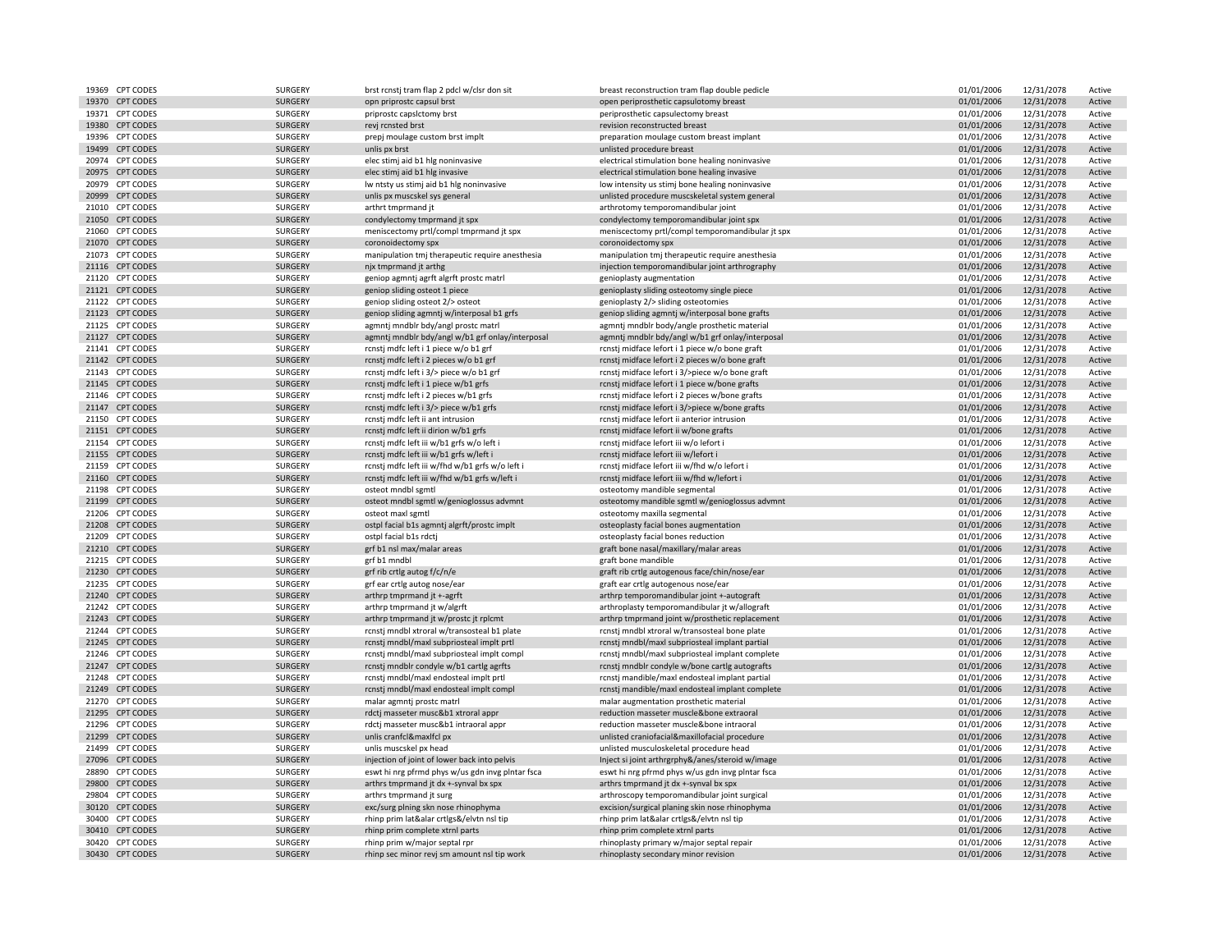|       | 19369 CPT CODES  | SURGERY        | brst rcnstj tram flap 2 pdcl w/clsr don sit                                             | breast reconstruction tram flap double pedicle                                                    | 01/01/2006 | 12/31/2078 | Active |
|-------|------------------|----------------|-----------------------------------------------------------------------------------------|---------------------------------------------------------------------------------------------------|------------|------------|--------|
|       | 19370 CPT CODES  | SURGERY        | opn priprostc capsul brst                                                               | open periprosthetic capsulotomy breast                                                            | 01/01/2006 | 12/31/2078 | Active |
|       | 19371 CPT CODES  | SURGERY        | priprostc capsictomy brst                                                               | periprosthetic capsulectomy breast                                                                | 01/01/2006 | 12/31/2078 | Active |
|       | 19380 CPT CODES  | SURGERY        | revj rcnsted brst                                                                       | revision reconstructed breast                                                                     | 01/01/2006 | 12/31/2078 | Active |
|       | 19396 CPT CODES  | SURGERY        | prepj moulage custom brst implt                                                         | preparation moulage custom breast implant                                                         | 01/01/2006 | 12/31/2078 | Active |
|       | 19499 CPT CODES  | SURGERY        | unlis px brst                                                                           | unlisted procedure breast                                                                         | 01/01/2006 | 12/31/2078 | Active |
|       | 20974 CPT CODES  | SURGERY        | elec stimj aid b1 hlg noninvasive                                                       | electrical stimulation bone healing noninvasive                                                   | 01/01/2006 | 12/31/2078 | Active |
|       | 20975 CPT CODES  | <b>SURGERY</b> | elec stimj aid b1 hlg invasive                                                          | electrical stimulation bone healing invasive                                                      | 01/01/2006 | 12/31/2078 | Active |
|       | 20979 CPT CODES  | SURGERY        | Iw ntsty us stimj aid b1 hlg noninvasive                                                | low intensity us stimj bone healing noninvasive                                                   | 01/01/2006 | 12/31/2078 | Active |
|       | 20999 CPT CODES  | <b>SURGERY</b> | unlis px muscskel sys general                                                           | unlisted procedure muscskeletal system general                                                    | 01/01/2006 | 12/31/2078 | Active |
|       | 21010 CPT CODES  |                |                                                                                         |                                                                                                   |            |            |        |
|       |                  | SURGERY        | arthrt tmprmand jt                                                                      | arthrotomy temporomandibular joint                                                                | 01/01/2006 | 12/31/2078 | Active |
|       | 21050 CPT CODES  | SURGERY        | condylectomy tmprmand jt spx                                                            | condylectomy temporomandibular joint spx                                                          | 01/01/2006 | 12/31/2078 | Active |
|       | 21060 CPT CODES  | SURGERY        | meniscectomy prtl/compl tmprmand jt spx                                                 | meniscectomy prtl/compl temporomandibular jt spx                                                  | 01/01/2006 | 12/31/2078 | Active |
|       | 21070 CPT CODES  | <b>SURGERY</b> | coronoidectomy spx                                                                      | coronoidectomy spx                                                                                | 01/01/2006 | 12/31/2078 | Active |
|       | 21073 CPT CODES  | SURGERY        | manipulation tmj therapeutic require anesthesia                                         | manipulation tmj therapeutic require anesthesia                                                   | 01/01/2006 | 12/31/2078 | Active |
|       | 21116 CPT CODES  | SURGERY        | njx tmprmand jt arthg                                                                   | injection temporomandibular joint arthrography                                                    | 01/01/2006 | 12/31/2078 | Active |
|       | 21120 CPT CODES  | SURGERY        | geniop agmntj agrft algrft prostc matrl                                                 | genioplasty augmentation                                                                          | 01/01/2006 | 12/31/2078 | Active |
|       | 21121 CPT CODES  | SURGERY        | geniop sliding osteot 1 piece                                                           | genioplasty sliding osteotomy single piece                                                        | 01/01/2006 | 12/31/2078 | Active |
|       | 21122 CPT CODES  | SURGERY        | geniop sliding osteot 2/> osteot                                                        | genioplasty 2/> sliding osteotomies                                                               | 01/01/2006 | 12/31/2078 | Active |
|       | 21123 CPT CODES  | SURGERY        | geniop sliding agmntj w/interposal b1 grfs                                              | geniop sliding agmntj w/interposal bone grafts                                                    | 01/01/2006 | 12/31/2078 | Active |
|       | 21125 CPT CODES  | SURGERY        | agmntj mndblr bdy/angl prostc matrl                                                     | agmntj mndblr body/angle prosthetic material                                                      | 01/01/2006 | 12/31/2078 | Active |
|       | 21127 CPT CODES  | SURGERY        | agmntj mndblr bdy/angl w/b1 grf onlay/interposal                                        | agmntj mndblr bdy/angl w/b1 grf onlay/interposal                                                  | 01/01/2006 | 12/31/2078 | Active |
|       | 21141 CPT CODES  | SURGERY        | rcnstj mdfc left i 1 piece w/o b1 grf                                                   | rcnstj midface lefort i 1 piece w/o bone graft                                                    | 01/01/2006 | 12/31/2078 | Active |
|       | 21142 CPT CODES  | SURGERY        | rcnstj mdfc left i 2 pieces w/o b1 grf                                                  | rcnstj midface lefort i 2 pieces w/o bone graft                                                   | 01/01/2006 | 12/31/2078 | Active |
|       | 21143 CPT CODES  | SURGERY        | rcnstj mdfc left i 3/> piece w/o b1 grf                                                 | rcnstj midface lefort i 3/>piece w/o bone graft                                                   | 01/01/2006 | 12/31/2078 | Active |
|       | 21145 CPT CODES  | SURGERY        | rcnstj mdfc left i 1 piece w/b1 grfs                                                    | rcnstj midface lefort i 1 piece w/bone grafts                                                     | 01/01/2006 | 12/31/2078 | Active |
|       | 21146 CPT CODES  | SURGERY        | rcnstj mdfc left i 2 pieces w/b1 grfs                                                   | rcnstj midface lefort i 2 pieces w/bone grafts                                                    | 01/01/2006 | 12/31/2078 | Active |
|       | 21147 CPT CODES  | SURGERY        | rcnstj mdfc left i 3/> piece w/b1 grfs                                                  | rcnstj midface lefort i 3/>piece w/bone grafts                                                    | 01/01/2006 | 12/31/2078 | Active |
|       | 21150 CPT CODES  | SURGERY        | rcnsti mdfc left ii ant intrusion                                                       | rcnstj midface lefort ii anterior intrusion                                                       | 01/01/2006 | 12/31/2078 | Active |
|       |                  |                |                                                                                         |                                                                                                   |            |            |        |
|       | 21151 CPT CODES  | SURGERY        | rcnstj mdfc left ii dirion w/b1 grfs                                                    | rcnstj midface lefort ii w/bone grafts                                                            | 01/01/2006 | 12/31/2078 | Active |
|       | 21154 CPT CODES  | SURGERY        | rcnstj mdfc left iii w/b1 grfs w/o left i                                               | rcnstj midface lefort iii w/o lefort i                                                            | 01/01/2006 | 12/31/2078 | Active |
|       | 21155 CPT CODES  | <b>SURGERY</b> | rcnstj mdfc left iii w/b1 grfs w/left i                                                 | rcnstj midface lefort iii w/lefort i                                                              | 01/01/2006 | 12/31/2078 | Active |
|       | 21159 CPT CODES  | SURGERY        | rcnstj mdfc left iii w/fhd w/b1 grfs w/o left i                                         | rcnstj midface lefort iii w/fhd w/o lefort i                                                      | 01/01/2006 | 12/31/2078 | Active |
|       | 21160 CPT CODES  | <b>SURGERY</b> | rcnstj mdfc left iii w/fhd w/b1 grfs w/left i                                           | rcnstj midface lefort iii w/fhd w/lefort i                                                        | 01/01/2006 | 12/31/2078 | Active |
|       | 21198 CPT CODES  | SURGERY        | osteot mndbl sgmtl                                                                      | osteotomy mandible segmental                                                                      | 01/01/2006 | 12/31/2078 | Active |
|       | 21199 CPT CODES  | SURGERY        | osteot mndbl sgmtl w/genioglossus advmnt                                                | osteotomy mandible sgmtl w/genioglossus advmnt                                                    | 01/01/2006 | 12/31/2078 | Active |
|       | 21206 CPT CODES  | SURGERY        | osteot maxl sgmtl                                                                       | osteotomy maxilla segmental                                                                       | 01/01/2006 | 12/31/2078 | Active |
|       | 21208 CPT CODES  | SURGERY        | ostpl facial b1s agmntj algrft/prostc implt                                             | osteoplasty facial bones augmentation                                                             | 01/01/2006 | 12/31/2078 | Active |
|       | 21209 CPT CODES  | SURGERY        | ostpl facial b1s rdctj                                                                  | osteoplasty facial bones reduction                                                                | 01/01/2006 | 12/31/2078 | Active |
|       | 21210 CPT CODES  | SURGERY        | grf b1 nsl max/malar areas                                                              | graft bone nasal/maxillary/malar areas                                                            | 01/01/2006 | 12/31/2078 | Active |
|       | 21215 CPT CODES  | SURGERY        | grf b1 mndbl                                                                            | graft bone mandible                                                                               | 01/01/2006 | 12/31/2078 | Active |
|       | 21230 CPT CODES  | SURGERY        | grf rib crtlg autog f/c/n/e                                                             | graft rib crtlg autogenous face/chin/nose/ear                                                     | 01/01/2006 | 12/31/2078 | Active |
|       | 21235 CPT CODES  | SURGERY        | grf ear crtlg autog nose/ear                                                            | graft ear crtlg autogenous nose/ear                                                               | 01/01/2006 | 12/31/2078 | Active |
|       | 21240 CPT CODES  | SURGERY        | arthrp tmprmand jt +-agrft                                                              | arthrp temporomandibular joint +-autograft                                                        | 01/01/2006 | 12/31/2078 | Active |
|       | 21242 CPT CODES  | SURGERY        | arthrp tmprmand jt w/algrft                                                             | arthroplasty temporomandibular jt w/allograft                                                     | 01/01/2006 | 12/31/2078 | Active |
|       | 21243 CPT CODES  | SURGERY        | arthrp tmprmand jt w/prostc jt rplcmt                                                   | arthrp tmprmand joint w/prosthetic replacement                                                    | 01/01/2006 | 12/31/2078 | Active |
|       | 21244 CPT CODES  | SURGERY        | rcnstj mndbl xtroral w/transosteal b1 plate                                             | rcnstj mndbl xtroral w/transosteal bone plate                                                     | 01/01/2006 | 12/31/2078 | Active |
|       | 21245 CPT CODES  | SURGERY        |                                                                                         |                                                                                                   | 01/01/2006 | 12/31/2078 | Active |
|       | 21246 CPT CODES  | SURGERY        | rcnstj mndbl/maxl subpriosteal implt prtl<br>rcnstj mndbl/maxl subpriosteal implt compl | rcnstj mndbl/maxl subpriosteal implant partial<br>rcnstj mndbl/maxl subpriosteal implant complete | 01/01/2006 | 12/31/2078 |        |
|       |                  |                |                                                                                         |                                                                                                   |            |            | Active |
|       | 21247 CPT CODES  | SURGERY        | rcnstj mndblr condyle w/b1 cartlg agrfts                                                | rcnstj mndblr condyle w/bone cartlg autografts                                                    | 01/01/2006 | 12/31/2078 | Active |
|       | 21248 CPT CODES  | SURGERY        | rcnstj mndbl/maxl endosteal implt prtl                                                  | rcnstj mandible/maxl endosteal implant partial                                                    | 01/01/2006 | 12/31/2078 | Active |
|       | 21249 CPT CODES  | SURGERY        | rcnstj mndbl/maxl endosteal implt compl                                                 | rcnstj mandible/maxl endosteal implant complete                                                   | 01/01/2006 | 12/31/2078 | Active |
|       | 21270 CPT CODES  | SURGERY        | malar agmnti prostc matrl                                                               | malar augmentation prosthetic material                                                            | 01/01/2006 | 12/31/2078 | Active |
|       | 21295 CPT CODES  | <b>SURGERY</b> | rdctj masseter musc&b1 xtroral appr                                                     | reduction masseter muscle&bone extraoral                                                          | 01/01/2006 | 12/31/2078 | Active |
|       | 21296 CPT CODES  | SURGERY        | rdctj masseter musc&b1 intraoral appr                                                   | reduction masseter muscle&bone intraoral                                                          | 01/01/2006 | 12/31/2078 | Active |
| 21299 | <b>CPT CODES</b> | SURGERY        | unlis cranfcl&maxlfcl px                                                                | unlisted craniofacial&maxillofacial procedure                                                     | 01/01/2006 | 12/31/2078 | Active |
|       | 21499 CPT CODES  | SURGERY        | unlis muscskel px head                                                                  | unlisted musculoskeletal procedure head                                                           | 01/01/2006 | 12/31/2078 | Active |
|       | 27096 CPT CODES  | <b>SURGERY</b> | injection of joint of lower back into pelvis                                            | Inject si joint arthrgrphy&/anes/steroid w/image                                                  | 01/01/2006 | 12/31/2078 | Active |
|       | 28890 CPT CODES  | SURGERY        | eswt hi nrg pfrmd phys w/us gdn invg plntar fsca                                        | eswt hi nrg pfrmd phys w/us gdn invg plntar fsca                                                  | 01/01/2006 | 12/31/2078 | Active |
|       | 29800 CPT CODES  | SURGERY        | arthrs tmprmand jt dx +-synval bx spx                                                   | arthrs tmprmand jt dx +-synval bx spx                                                             | 01/01/2006 | 12/31/2078 | Active |
|       | 29804 CPT CODES  | SURGERY        | arthrs tmprmand jt surg                                                                 | arthroscopy temporomandibular joint surgical                                                      | 01/01/2006 | 12/31/2078 | Active |
|       | 30120 CPT CODES  | SURGERY        | exc/surg plning skn nose rhinophyma                                                     | excision/surgical planing skin nose rhinophyma                                                    | 01/01/2006 | 12/31/2078 | Active |
|       | 30400 CPT CODES  | SURGERY        | rhinp prim lat&alar crtlgs&/elvtn nsl tip                                               | rhinp prim lat&alar crtlgs&/elvtn nsl tip                                                         | 01/01/2006 | 12/31/2078 | Active |
|       | 30410 CPT CODES  | <b>SURGERY</b> | rhinp prim complete xtrnl parts                                                         | rhinp prim complete xtrnl parts                                                                   | 01/01/2006 | 12/31/2078 | Active |
|       | 30420 CPT CODES  | SURGERY        | rhinp prim w/major septal rpr                                                           | rhinoplasty primary w/major septal repair                                                         | 01/01/2006 | 12/31/2078 | Active |
|       | 30430 CPT CODES  | <b>SURGERY</b> | rhinp sec minor revj sm amount nsl tip work                                             | rhinoplasty secondary minor revision                                                              | 01/01/2006 | 12/31/2078 | Active |
|       |                  |                |                                                                                         |                                                                                                   |            |            |        |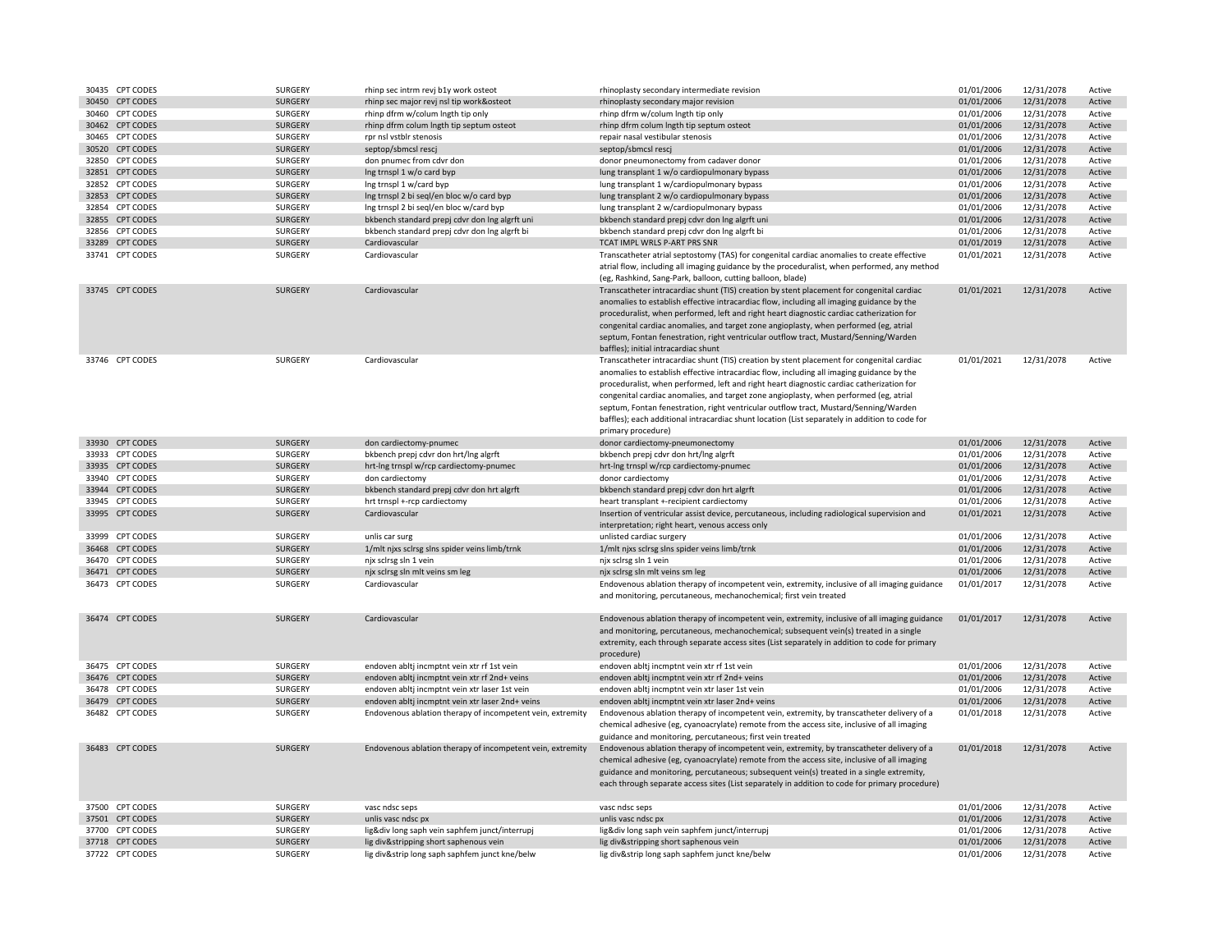| 30435 CPT CODES | SURGERY        | rhinp sec intrm revj b1y work osteot                       | rhinoplasty secondary intermediate revision                                                                                                                                                                                                                                                                                                                                                                                                                                                                                                                                                 | 01/01/2006 | 12/31/2078 | Active |
|-----------------|----------------|------------------------------------------------------------|---------------------------------------------------------------------------------------------------------------------------------------------------------------------------------------------------------------------------------------------------------------------------------------------------------------------------------------------------------------------------------------------------------------------------------------------------------------------------------------------------------------------------------------------------------------------------------------------|------------|------------|--------|
| 30450 CPT CODES | <b>SURGERY</b> | rhinp sec major revi nsl tip work&osteot                   | rhinoplasty secondary major revision                                                                                                                                                                                                                                                                                                                                                                                                                                                                                                                                                        | 01/01/2006 | 12/31/2078 | Active |
| 30460 CPT CODES | SURGERY        | rhinp dfrm w/colum Ingth tip only                          | rhinp dfrm w/colum Ingth tip only                                                                                                                                                                                                                                                                                                                                                                                                                                                                                                                                                           | 01/01/2006 | 12/31/2078 | Active |
| 30462 CPT CODES | SURGERY        | rhinp dfrm colum Ingth tip septum osteot                   | rhinp dfrm colum Ingth tip septum osteot                                                                                                                                                                                                                                                                                                                                                                                                                                                                                                                                                    | 01/01/2006 | 12/31/2078 | Active |
| 30465 CPT CODES | SURGERY        | rpr nsl vstblr stenosis                                    | repair nasal vestibular stenosis                                                                                                                                                                                                                                                                                                                                                                                                                                                                                                                                                            | 01/01/2006 | 12/31/2078 | Active |
| 30520 CPT CODES | SURGERY        | septop/sbmcsl rescj                                        | septop/sbmcsl rescj                                                                                                                                                                                                                                                                                                                                                                                                                                                                                                                                                                         | 01/01/2006 | 12/31/2078 | Active |
| 32850 CPT CODES | SURGERY        | don pnumec from cdvr don                                   | donor pneumonectomy from cadaver donor                                                                                                                                                                                                                                                                                                                                                                                                                                                                                                                                                      | 01/01/2006 | 12/31/2078 | Active |
| 32851 CPT CODES | SURGERY        | Ing trnspl 1 w/o card byp                                  | lung transplant 1 w/o cardiopulmonary bypass                                                                                                                                                                                                                                                                                                                                                                                                                                                                                                                                                | 01/01/2006 | 12/31/2078 | Active |
| 32852 CPT CODES | SURGERY        | Ing trnspl 1 w/card byp                                    | lung transplant 1 w/cardiopulmonary bypass                                                                                                                                                                                                                                                                                                                                                                                                                                                                                                                                                  | 01/01/2006 | 12/31/2078 | Active |
| 32853 CPT CODES | SURGERY        | Ing trnspl 2 bi seql/en bloc w/o card byp                  | lung transplant 2 w/o cardiopulmonary bypass                                                                                                                                                                                                                                                                                                                                                                                                                                                                                                                                                | 01/01/2006 | 12/31/2078 | Active |
| 32854 CPT CODES | SURGERY        | Ing trnspl 2 bi seql/en bloc w/card byp                    | lung transplant 2 w/cardiopulmonary bypass                                                                                                                                                                                                                                                                                                                                                                                                                                                                                                                                                  | 01/01/2006 | 12/31/2078 | Active |
| 32855 CPT CODES | <b>SURGERY</b> | bkbench standard prepj cdvr don Ing algrft uni             | bkbench standard prepj cdvr don Ing algrft uni                                                                                                                                                                                                                                                                                                                                                                                                                                                                                                                                              | 01/01/2006 | 12/31/2078 | Active |
| 32856 CPT CODES | SURGERY        | bkbench standard prepj cdvr don Ing algrft bi              | bkbench standard prepj cdvr don Ing algrft bi                                                                                                                                                                                                                                                                                                                                                                                                                                                                                                                                               | 01/01/2006 | 12/31/2078 | Active |
| 33289 CPT CODES | SURGERY        | Cardiovascular                                             | TCAT IMPL WRLS P-ART PRS SNR                                                                                                                                                                                                                                                                                                                                                                                                                                                                                                                                                                | 01/01/2019 | 12/31/2078 | Active |
| 33741 CPT CODES | SURGERY        | Cardiovascular                                             | Transcatheter atrial septostomy (TAS) for congenital cardiac anomalies to create effective                                                                                                                                                                                                                                                                                                                                                                                                                                                                                                  | 01/01/2021 | 12/31/2078 | Active |
|                 |                |                                                            | atrial flow, including all imaging guidance by the proceduralist, when performed, any method<br>(eg, Rashkind, Sang-Park, balloon, cutting balloon, blade)                                                                                                                                                                                                                                                                                                                                                                                                                                  |            |            |        |
| 33745 CPT CODES | SURGERY        | Cardiovascular                                             | Transcatheter intracardiac shunt (TIS) creation by stent placement for congenital cardiac<br>anomalies to establish effective intracardiac flow, including all imaging guidance by the<br>proceduralist, when performed, left and right heart diagnostic cardiac catherization for<br>congenital cardiac anomalies, and target zone angioplasty, when performed (eg, atrial<br>septum, Fontan fenestration, right ventricular outflow tract, Mustard/Senning/Warden<br>baffles); initial intracardiac shunt                                                                                 | 01/01/2021 | 12/31/2078 | Active |
| 33746 CPT CODES | SURGERY        | Cardiovascular                                             | Transcatheter intracardiac shunt (TIS) creation by stent placement for congenital cardiac<br>anomalies to establish effective intracardiac flow, including all imaging guidance by the<br>proceduralist, when performed, left and right heart diagnostic cardiac catherization for<br>congenital cardiac anomalies, and target zone angioplasty, when performed (eg, atrial<br>septum, Fontan fenestration, right ventricular outflow tract, Mustard/Senning/Warden<br>baffles); each additional intracardiac shunt location (List separately in addition to code for<br>primary procedure) | 01/01/2021 | 12/31/2078 | Active |
| 33930 CPT CODES | SURGERY        | don cardiectomy-pnumec                                     | donor cardiectomy-pneumonectomy                                                                                                                                                                                                                                                                                                                                                                                                                                                                                                                                                             | 01/01/2006 | 12/31/2078 | Active |
| 33933 CPT CODES | SURGERY        | bkbench prepj cdvr don hrt/Ing algrft                      | bkbench prepj cdvr don hrt/lng algrft                                                                                                                                                                                                                                                                                                                                                                                                                                                                                                                                                       | 01/01/2006 | 12/31/2078 | Active |
| 33935 CPT CODES | SURGERY        | hrt-Ing trnspl w/rcp cardiectomy-pnumec                    | hrt-Ing trnspl w/rcp cardiectomy-pnumec                                                                                                                                                                                                                                                                                                                                                                                                                                                                                                                                                     | 01/01/2006 | 12/31/2078 | Active |
| 33940 CPT CODES | SURGERY        | don cardiectomy                                            | donor cardiectomy                                                                                                                                                                                                                                                                                                                                                                                                                                                                                                                                                                           | 01/01/2006 | 12/31/2078 | Active |
| 33944 CPT CODES | SURGERY        | bkbench standard prepj cdvr don hrt algrft                 | bkbench standard prepj cdvr don hrt algrft                                                                                                                                                                                                                                                                                                                                                                                                                                                                                                                                                  | 01/01/2006 | 12/31/2078 | Active |
| 33945 CPT CODES | SURGERY        | hrt trnspl +-rcp cardiectomy                               | heart transplant +-recipient cardiectomy                                                                                                                                                                                                                                                                                                                                                                                                                                                                                                                                                    | 01/01/2006 | 12/31/2078 | Active |
| 33995 CPT CODES | SURGERY        | Cardiovascular                                             | Insertion of ventricular assist device, percutaneous, including radiological supervision and<br>interpretation; right heart, venous access only                                                                                                                                                                                                                                                                                                                                                                                                                                             | 01/01/2021 | 12/31/2078 | Active |
| 33999 CPT CODES | SURGERY        | unlis car surg                                             | unlisted cardiac surgery                                                                                                                                                                                                                                                                                                                                                                                                                                                                                                                                                                    | 01/01/2006 | 12/31/2078 | Active |
| 36468 CPT CODES | SURGERY        | 1/mlt njxs sclrsg slns spider veins limb/trnk              | 1/mlt njxs sclrsg slns spider veins limb/trnk                                                                                                                                                                                                                                                                                                                                                                                                                                                                                                                                               | 01/01/2006 | 12/31/2078 | Active |
| 36470 CPT CODES | SURGERY        | njx sclrsg sln 1 vein                                      | njx sclrsg sln 1 vein                                                                                                                                                                                                                                                                                                                                                                                                                                                                                                                                                                       | 01/01/2006 | 12/31/2078 | Active |
| 36471 CPT CODES | <b>SURGERY</b> | njx sclrsg sln mlt veins sm leg                            | njx sclrsg sln mlt veins sm leg                                                                                                                                                                                                                                                                                                                                                                                                                                                                                                                                                             | 01/01/2006 | 12/31/2078 | Active |
| 36473 CPT CODES | <b>SURGERY</b> | Cardiovascular                                             | Endovenous ablation therapy of incompetent vein, extremity, inclusive of all imaging guidance<br>and monitoring, percutaneous, mechanochemical; first vein treated                                                                                                                                                                                                                                                                                                                                                                                                                          | 01/01/2017 | 12/31/2078 | Active |
| 36474 CPT CODES | SURGERY        | Cardiovascular                                             | Endovenous ablation therapy of incompetent vein, extremity, inclusive of all imaging guidance<br>and monitoring, percutaneous, mechanochemical; subsequent vein(s) treated in a single<br>extremity, each through separate access sites (List separately in addition to code for primary<br>procedure)                                                                                                                                                                                                                                                                                      | 01/01/2017 | 12/31/2078 | Active |
| 36475 CPT CODES | SURGERY        | endoven abltj incmptnt vein xtr rf 1st vein                | endoven abltj incmptnt vein xtr rf 1st vein                                                                                                                                                                                                                                                                                                                                                                                                                                                                                                                                                 | 01/01/2006 | 12/31/2078 | Active |
| 36476 CPT CODES | SURGERY        | endoven abltj incmptnt vein xtr rf 2nd+ veins              | endoven abltj incmptnt vein xtr rf 2nd+ veins                                                                                                                                                                                                                                                                                                                                                                                                                                                                                                                                               | 01/01/2006 | 12/31/2078 | Active |
| 36478 CPT CODES | SURGERY        | endoven abltj incmptnt vein xtr laser 1st vein             | endoven abltj incmptnt vein xtr laser 1st vein                                                                                                                                                                                                                                                                                                                                                                                                                                                                                                                                              | 01/01/2006 | 12/31/2078 | Active |
| 36479 CPT CODES | <b>SURGERY</b> | endoven abltj incmptnt vein xtr laser 2nd+ veins           | endoven abltj incmptnt vein xtr laser 2nd+ veins                                                                                                                                                                                                                                                                                                                                                                                                                                                                                                                                            | 01/01/2006 | 12/31/2078 | Active |
| 36482 CPT CODES | SURGERY        | Endovenous ablation therapy of incompetent vein, extremity | Endovenous ablation therapy of incompetent vein, extremity, by transcatheter delivery of a<br>chemical adhesive (eg, cyanoacrylate) remote from the access site, inclusive of all imaging<br>guidance and monitoring, percutaneous; first vein treated                                                                                                                                                                                                                                                                                                                                      | 01/01/2018 | 12/31/2078 | Active |
| 36483 CPT CODES | <b>SURGERY</b> | Endovenous ablation therapy of incompetent vein, extremity | Endovenous ablation therapy of incompetent vein, extremity, by transcatheter delivery of a<br>chemical adhesive (eg, cyanoacrylate) remote from the access site, inclusive of all imaging<br>guidance and monitoring, percutaneous; subsequent vein(s) treated in a single extremity,<br>each through separate access sites (List separately in addition to code for primary procedure)                                                                                                                                                                                                     | 01/01/2018 | 12/31/2078 | Active |
| 37500 CPT CODES | SURGERY        | vasc ndsc seps                                             | vasc ndsc seps                                                                                                                                                                                                                                                                                                                                                                                                                                                                                                                                                                              | 01/01/2006 | 12/31/2078 | Active |
| 37501 CPT CODES | SURGERY        | unlis vasc ndsc px                                         | unlis vasc ndsc px                                                                                                                                                                                                                                                                                                                                                                                                                                                                                                                                                                          | 01/01/2006 | 12/31/2078 | Active |
| 37700 CPT CODES | SURGERY        | lig÷ long saph vein saphfem junct/interrupj                | lig÷ long saph vein saphfem junct/interrupj                                                                                                                                                                                                                                                                                                                                                                                                                                                                                                                                                 | 01/01/2006 | 12/31/2078 | Active |
| 37718 CPT CODES | <b>SURGERY</b> | lig div&stripping short saphenous vein                     | lig div&stripping short saphenous vein                                                                                                                                                                                                                                                                                                                                                                                                                                                                                                                                                      | 01/01/2006 | 12/31/2078 | Active |
| 37722 CPT CODES | SURGERY        | lig div&strip long saph saphfem junct kne/belw             | lig div&strip long saph saphfem junct kne/belw                                                                                                                                                                                                                                                                                                                                                                                                                                                                                                                                              | 01/01/2006 | 12/31/2078 | Active |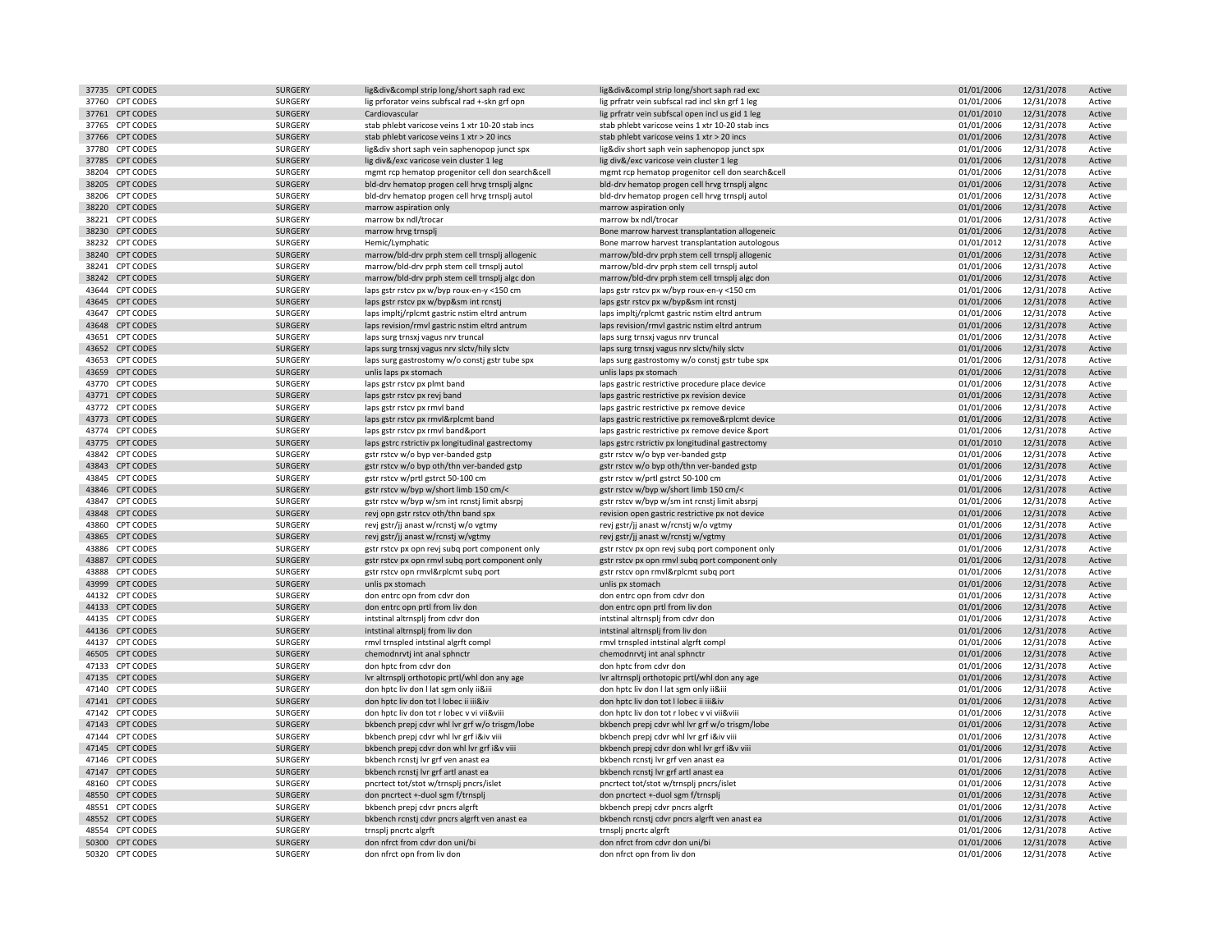| 37735 CPT CODES                    | <b>SURGERY</b>     | lig÷&compl strip long/short saph rad exc         | lig÷&compl strip long/short saph rad exc         | 01/01/2006               | 12/31/2078 | Active           |
|------------------------------------|--------------------|--------------------------------------------------|--------------------------------------------------|--------------------------|------------|------------------|
| 37760 CPT CODES                    | SURGERY            | lig prforator veins subfscal rad +-skn grf opn   | lig prfratr vein subfscal rad incl skn grf 1 leg | 01/01/2006               | 12/31/2078 | Active           |
| 37761 CPT CODES                    | SURGERY            | Cardiovascular                                   | lig prfratr vein subfscal open incl us gid 1 leg | 01/01/2010               | 12/31/2078 | Active           |
| 37765 CPT CODES                    | SURGERY            | stab phlebt varicose veins 1 xtr 10-20 stab incs | stab phlebt varicose veins 1 xtr 10-20 stab incs | 01/01/2006               | 12/31/2078 | Active           |
| 37766 CPT CODES                    | SURGERY            | stab phlebt varicose veins 1 xtr > 20 incs       | stab phlebt varicose veins 1 xtr > 20 incs       | 01/01/2006               | 12/31/2078 | Active           |
| 37780 CPT CODES                    | SURGERY            | lig÷ short saph vein saphenopop junct spx        | lig÷ short saph vein saphenopop junct spx        | 01/01/2006               | 12/31/2078 | Active           |
| 37785 CPT CODES                    | SURGERY            | lig div&/exc varicose vein cluster 1 leg         | lig div&/exc varicose vein cluster 1 leg         | 01/01/2006               | 12/31/2078 | Active           |
| 38204 CPT CODES                    | SURGERY            | mgmt rcp hematop progenitor cell don search&cell | mgmt rcp hematop progenitor cell don search&cell | 01/01/2006               | 12/31/2078 | Active           |
| 38205 CPT CODES                    | SURGERY            | bld-drv hematop progen cell hrvg trnsplj algnc   | bld-drv hematop progen cell hrvg trnsplj algnc   | 01/01/2006               | 12/31/2078 | Active           |
| 38206 CPT CODES                    | SURGERY            | bld-drv hematop progen cell hrvg trnsplj autol   | bld-drv hematop progen cell hrvg trnsplj autol   | 01/01/2006               | 12/31/2078 | Active           |
| 38220 CPT CODES                    | SURGERY            | marrow aspiration only                           | marrow aspiration only                           | 01/01/2006               | 12/31/2078 | Active           |
| 38221 CPT CODES                    | SURGERY            | marrow bx ndl/trocar                             | marrow bx ndl/trocar                             | 01/01/2006               | 12/31/2078 | Active           |
| 38230 CPT CODES                    | SURGERY            | marrow hrvg trnsplj                              | Bone marrow harvest transplantation allogeneic   | 01/01/2006               | 12/31/2078 | Active           |
| 38232 CPT CODES                    | SURGERY            | Hemic/Lymphatic                                  | Bone marrow harvest transplantation autologous   | 01/01/2012               | 12/31/2078 | Active           |
| 38240 CPT CODES                    | <b>SURGERY</b>     | marrow/bld-drv prph stem cell trnsplj allogenic  | marrow/bld-drv prph stem cell trnsplj allogenic  | 01/01/2006               | 12/31/2078 | Active           |
| 38241 CPT CODES                    | SURGERY            | marrow/bld-drv prph stem cell trnsplj autol      | marrow/bld-drv prph stem cell trnsplj autol      | 01/01/2006               | 12/31/2078 | Active           |
| 38242 CPT CODES                    | SURGERY            | marrow/bld-drv prph stem cell trnsplj algc don   | marrow/bld-drv prph stem cell trnsplj algc don   | 01/01/2006               | 12/31/2078 | Active           |
| 43644 CPT CODES                    | SURGERY            | laps gstr rstcv px w/byp roux-en-y <150 cm       | laps gstr rstcv px w/byp roux-en-y <150 cm       | 01/01/2006               | 12/31/2078 | Active           |
| 43645 CPT CODES                    | SURGERY            | laps gstr rstcv px w/byp&sm int rcnstj           | laps gstr rstcv px w/byp&sm int rcnstj           | 01/01/2006               | 12/31/2078 | Active           |
| 43647 CPT CODES                    | SURGERY            | laps impltj/rplcmt gastric nstim eltrd antrum    | laps impltj/rplcmt gastric nstim eltrd antrum    | 01/01/2006               | 12/31/2078 | Active           |
| 43648 CPT CODES                    | SURGERY            | laps revision/rmvl gastric nstim eltrd antrum    | laps revision/rmvl gastric nstim eltrd antrum    | 01/01/2006               | 12/31/2078 | Active           |
| 43651 CPT CODES                    | SURGERY            | laps surg trnsxj vagus nrv truncal               | laps surg trnsxj vagus nrv truncal               | 01/01/2006               | 12/31/2078 | Active           |
| 43652 CPT CODES                    | SURGERY            |                                                  |                                                  | 01/01/2006               | 12/31/2078 | Active           |
| 43653 CPT CODES                    | SURGERY            | laps surg trnsxj vagus nrv slctv/hily slctv      | laps surg trnsxj vagus nrv slctv/hily slctv      | 01/01/2006               |            | Active           |
| 43659 CPT CODES                    | SURGERY            | laps surg gastrostomy w/o constj gstr tube spx   | laps surg gastrostomy w/o constj gstr tube spx   | 01/01/2006               | 12/31/2078 | Active           |
|                                    |                    | unlis laps px stomach                            | unlis laps px stomach                            |                          | 12/31/2078 |                  |
| 43770 CPT CODES<br>43771 CPT CODES | SURGERY<br>SURGERY | laps gstr rstcv px plmt band                     | laps gastric restrictive procedure place device  | 01/01/2006<br>01/01/2006 | 12/31/2078 | Active<br>Active |
|                                    |                    | laps gstr rstcv px revj band                     | laps gastric restrictive px revision device      |                          | 12/31/2078 |                  |
| 43772 CPT CODES<br>43773 CPT CODES | SURGERY<br>SURGERY | laps gstr rstcv px rmvl band                     | laps gastric restrictive px remove device        | 01/01/2006               | 12/31/2078 | Active<br>Active |
|                                    |                    | laps gstr rstcv px rmvl&rplcmt band              | laps gastric restrictive px remove&rplcmt device | 01/01/2006               | 12/31/2078 |                  |
| 43774 CPT CODES                    | SURGERY            | laps gstr rstcv px rmvl band&port                | laps gastric restrictive px remove device &port  | 01/01/2006               | 12/31/2078 | Active           |
| 43775 CPT CODES                    | SURGERY            | laps gstrc rstrictiv px longitudinal gastrectomy | laps gstrc rstrictiv px longitudinal gastrectomy | 01/01/2010               | 12/31/2078 | Active           |
| 43842 CPT CODES                    | SURGERY            | gstr rstcv w/o byp ver-banded gstp               | gstr rstcv w/o byp ver-banded gstp               | 01/01/2006               | 12/31/2078 | Active           |
| 43843 CPT CODES                    | SURGERY            | gstr rstcv w/o byp oth/thn ver-banded gstp       | gstr rstcv w/o byp oth/thn ver-banded gstp       | 01/01/2006               | 12/31/2078 | Active           |
| 43845 CPT CODES                    | SURGERY            | gstr rstcv w/prtl gstrct 50-100 cm               | gstr rstcv w/prtl gstrct 50-100 cm               | 01/01/2006               | 12/31/2078 | Active           |
| 43846 CPT CODES                    | SURGERY            | gstr rstcv w/byp w/short limb 150 cm/<           | gstr rstcv w/byp w/short limb 150 cm/<           | 01/01/2006               | 12/31/2078 | Active           |
| 43847 CPT CODES                    | SURGERY            | gstr rstcv w/byp w/sm int rcnstj limit absrpj    | gstr rstcv w/byp w/sm int rcnstj limit absrpj    | 01/01/2006               | 12/31/2078 | Active           |
| 43848 CPT CODES                    | <b>SURGERY</b>     | revj opn gstr rstcv oth/thn band spx             | revision open gastric restrictive px not device  | 01/01/2006               | 12/31/2078 | Active           |
| 43860 CPT CODES                    | SURGERY            | revj gstr/jj anast w/rcnstj w/o vgtmy            | revj gstr/jj anast w/rcnstj w/o vgtmy            | 01/01/2006               | 12/31/2078 | Active           |
| 43865 CPT CODES                    | <b>SURGERY</b>     | revj gstr/jj anast w/rcnstj w/vgtmy              | revj gstr/jj anast w/rcnstj w/vgtmy              | 01/01/2006               | 12/31/2078 | Active           |
| 43886 CPT CODES                    | SURGERY            | gstr rstcv px opn revj subq port component only  | gstr rstcv px opn revj subq port component only  | 01/01/2006               | 12/31/2078 | Active           |
| 43887 CPT CODES                    | SURGERY            | gstr rstcv px opn rmvl subq port component only  | gstr rstcv px opn rmvl subq port component only  | 01/01/2006               | 12/31/2078 | Active           |
| 43888 CPT CODES                    | SURGERY            | gstr rstcv opn rmvl&rplcmt subq port             | gstr rstcv opn rmvl&rplcmt subq port             | 01/01/2006               | 12/31/2078 | Active           |
| 43999 CPT CODES                    | SURGERY            | unlis px stomach                                 | unlis px stomach                                 | 01/01/2006               | 12/31/2078 | Active           |
| 44132 CPT CODES                    | SURGERY            | don entrc opn from cdvr don                      | don entrc opn from cdvr don                      | 01/01/2006               | 12/31/2078 | Active           |
| 44133 CPT CODES                    | SURGERY            | don entrc opn prtl from liv don                  | don entrc opn prtl from liv don                  | 01/01/2006               | 12/31/2078 | Active           |
| 44135 CPT CODES                    | SURGERY            | intstinal altrnsplj from cdvr don                | intstinal altrnsplj from cdvr don                | 01/01/2006               | 12/31/2078 | Active           |
| 44136 CPT CODES                    | SURGERY            | intstinal altrnsplj from liv don                 | intstinal altrnsplj from liv don                 | 01/01/2006               | 12/31/2078 | Active           |
| 44137 CPT CODES                    | SURGERY            | rmvl trnspled intstinal algrft compl             | rmvl trnspled intstinal algrft compl             | 01/01/2006               | 12/31/2078 | Active           |
| 46505 CPT CODES                    | SURGERY            | chemodnrvtj int anal sphnctr                     | chemodnrvtj int anal sphnctr                     | 01/01/2006               | 12/31/2078 | Active           |
| 47133 CPT CODES                    | SURGERY            | don hptc from cdvr don                           | don hptc from cdvr don                           | 01/01/2006               | 12/31/2078 | Active           |
| 47135 CPT CODES                    | SURGERY            | Ivr altrnsplj orthotopic prtl/whl don any age    | Ivr altrnsplj orthotopic prtl/whl don any age    | 01/01/2006               | 12/31/2078 | Active           |
| 47140 CPT CODES                    | SURGERY            | don hptc liv don I lat sgm only ii&iii           | don hptc liv don I lat sgm only ii&iii           | 01/01/2006               | 12/31/2078 | Active           |
| 47141 CPT CODES                    | SURGERY            | don hptc liv don tot I lobec ii iii&iv           | don hptc liv don tot I lobec ii iii&iv           | 01/01/2006               | 12/31/2078 | Active           |
| 47142 CPT CODES                    | SURGERY            | don hptc liv don tot r lobec v vi vii&viii       | don hptc liv don tot r lobec v vi vii&viii       | 01/01/2006               | 12/31/2078 | Active           |
| 47143 CPT CODES                    | SURGERY            | bkbench prepj cdvr whl lvr grf w/o trisgm/lobe   | bkbench prepj cdvr whl lvr grf w/o trisgm/lobe   | 01/01/2006               | 12/31/2078 | Active           |
| 47144 CPT CODES                    | SURGERY            | bkbench prepj cdvr whl lvr grf i&iv viii         | bkbench prepj cdvr whl lvr grf i&iv viii         | 01/01/2006               | 12/31/2078 | Active           |
| 47145 CPT CODES                    | SURGERY            | bkbench prepj cdvr don whl lvr grf i&v viii      | bkbench prepj cdvr don whl lvr grf i&v viii      | 01/01/2006               | 12/31/2078 | Active           |
| 47146 CPT CODES                    | SURGERY            | bkbench rcnstj lvr grf ven anast ea              | bkbench rcnstj lvr grf ven anast ea              | 01/01/2006               | 12/31/2078 | Active           |
| 47147 CPT CODES                    | SURGERY            | bkbench rcnstj lvr grf artl anast ea             | bkbench rcnstj lvr grf artl anast ea             | 01/01/2006               | 12/31/2078 | Active           |
| 48160 CPT CODES                    | SURGERY            | pncrtect tot/stot w/trnsplj pncrs/islet          | pncrtect tot/stot w/trnsplj pncrs/islet          | 01/01/2006               | 12/31/2078 | Active           |
| 48550 CPT CODES                    | <b>SURGERY</b>     | don pncrtect +-duol sgm f/trnsplj                | don pncrtect +-duol sgm f/trnsplj                | 01/01/2006               | 12/31/2078 | Active           |
| 48551 CPT CODES                    | SURGERY            | bkbench prepj cdvr pncrs algrft                  | bkbench prepj cdvr pncrs algrft                  | 01/01/2006               | 12/31/2078 | Active           |
| 48552 CPT CODES                    | <b>SURGERY</b>     | bkbench rcnstj cdvr pncrs algrft ven anast ea    | bkbench rcnstj cdvr pncrs algrft ven anast ea    | 01/01/2006               | 12/31/2078 | Active           |
| 48554 CPT CODES                    | SURGERY            | trnsplj pncrtc algrft                            | trnsplj pncrtc algrft                            | 01/01/2006               | 12/31/2078 | Active           |
| 50300 CPT CODES                    | SURGERY            | don nfrct from cdvr don uni/bi                   | don nfrct from cdvr don uni/bi                   | 01/01/2006               | 12/31/2078 | Active           |
| 50320 CPT CODES                    | SURGERY            | don nfrct opn from liv don                       | don nfrct opn from liv don                       | 01/01/2006               | 12/31/2078 | Active           |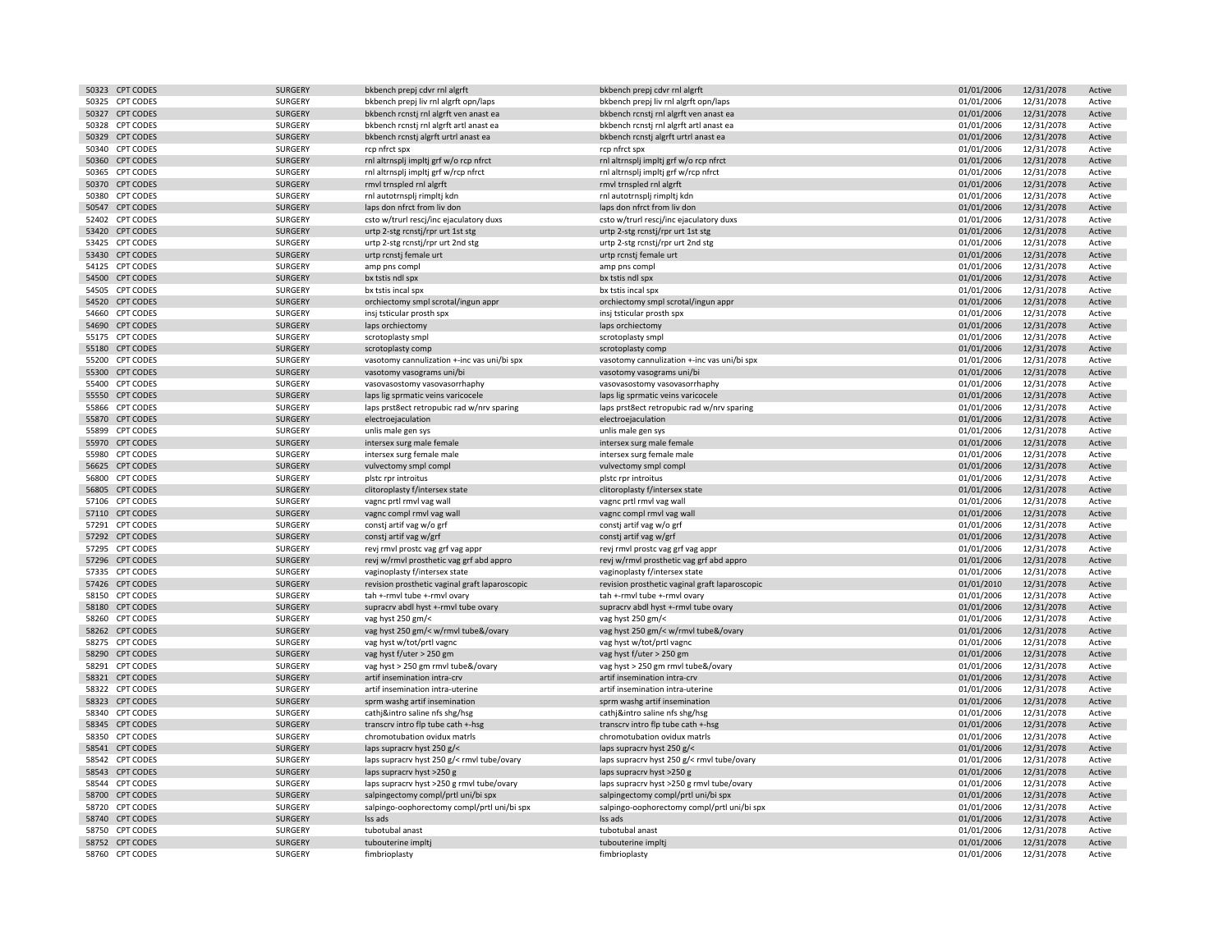| 50323 CPT CODES | <b>SURGERY</b> | bkbench prepj cdvr rnl algrft                  | bkbench prepj cdvr rnl algrft                  | 01/01/2006 | 12/31/2078 | Active |
|-----------------|----------------|------------------------------------------------|------------------------------------------------|------------|------------|--------|
| 50325 CPT CODES | SURGERY        | bkbench prepj liv rnl algrft opn/laps          | bkbench prepj liv rnl algrft opn/laps          | 01/01/2006 | 12/31/2078 | Active |
| 50327 CPT CODES | <b>SURGERY</b> | bkbench rcnstj rnl algrft ven anast ea         | bkbench rcnstj rnl algrft ven anast ea         | 01/01/2006 | 12/31/2078 | Active |
| 50328 CPT CODES | SURGERY        | bkbench rcnstj rnl algrft artl anast ea        | bkbench rcnstj rnl algrft artl anast ea        | 01/01/2006 | 12/31/2078 | Active |
|                 |                |                                                |                                                |            |            |        |
| 50329 CPT CODES | <b>SURGERY</b> | bkbench rcnstj algrft urtrl anast ea           | bkbench rcnstj algrft urtrl anast ea           | 01/01/2006 | 12/31/2078 | Active |
| 50340 CPT CODES | SURGERY        | rcp nfrct spx                                  | rcp nfrct spx                                  | 01/01/2006 | 12/31/2078 | Active |
| 50360 CPT CODES | SURGERY        | rnl altrnsplj impltj grf w/o rcp nfrct         | rnl altrnsplj impltj grf w/o rcp nfrct         | 01/01/2006 | 12/31/2078 | Active |
| 50365 CPT CODES | SURGERY        | rnl altrnsplj impltj grf w/rcp nfrct           | rnl altrnsplj impltj grf w/rcp nfrct           | 01/01/2006 | 12/31/2078 | Active |
| 50370 CPT CODES | <b>SURGERY</b> | rmvl trnspled rnl algrft                       | rmvl trnspled rnl algrft                       | 01/01/2006 | 12/31/2078 | Active |
| 50380 CPT CODES | SURGERY        | rnl autotrnsplj rimpltj kdn                    | rnl autotrnsplj rimpltj kdn                    | 01/01/2006 | 12/31/2078 | Active |
| 50547 CPT CODES | <b>SURGERY</b> | laps don nfrct from liv don                    | laps don nfrct from liv don                    | 01/01/2006 | 12/31/2078 | Active |
| 52402 CPT CODES | SURGERY        |                                                |                                                |            |            |        |
|                 |                | csto w/trurl rescj/inc ejaculatory duxs        | csto w/trurl rescj/inc ejaculatory duxs        | 01/01/2006 | 12/31/2078 | Active |
| 53420 CPT CODES | <b>SURGERY</b> | urtp 2-stg rcnstj/rpr urt 1st stg              | urtp 2-stg rcnstj/rpr urt 1st stg              | 01/01/2006 | 12/31/2078 | Active |
| 53425 CPT CODES | SURGERY        | urtp 2-stg rcnstj/rpr urt 2nd stg              | urtp 2-stg rcnstj/rpr urt 2nd stg              | 01/01/2006 | 12/31/2078 | Active |
| 53430 CPT CODES | <b>SURGERY</b> | urtp rcnstj female urt                         | urtp rcnstj female urt                         | 01/01/2006 | 12/31/2078 | Active |
| 54125 CPT CODES | SURGERY        | amp pns compl                                  | amp pns compl                                  | 01/01/2006 | 12/31/2078 | Active |
| 54500 CPT CODES | <b>SURGERY</b> | bx tstis ndl spx                               | bx tstis ndl spx                               | 01/01/2006 | 12/31/2078 | Active |
| 54505 CPT CODES | SURGERY        | bx tstis incal spx                             | bx tstis incal spx                             | 01/01/2006 | 12/31/2078 | Active |
| 54520 CPT CODES | <b>SURGERY</b> |                                                |                                                | 01/01/2006 | 12/31/2078 | Active |
|                 |                | orchiectomy smpl scrotal/ingun appr            | orchiectomy smpl scrotal/ingun appr            |            |            |        |
| 54660 CPT CODES | SURGERY        | insj tsticular prosth spx                      | insj tsticular prosth spx                      | 01/01/2006 | 12/31/2078 | Active |
| 54690 CPT CODES | <b>SURGERY</b> | laps orchiectomy                               | laps orchiectomy                               | 01/01/2006 | 12/31/2078 | Active |
| 55175 CPT CODES | SURGERY        | scrotoplasty smpl                              | scrotoplasty smpl                              | 01/01/2006 | 12/31/2078 | Active |
| 55180 CPT CODES | <b>SURGERY</b> | scrotoplasty comp                              | scrotoplasty comp                              | 01/01/2006 | 12/31/2078 | Active |
| 55200 CPT CODES | SURGERY        | vasotomy cannulization +-inc vas uni/bi spx    | vasotomy cannulization +-inc vas uni/bi spx    | 01/01/2006 | 12/31/2078 | Active |
| 55300 CPT CODES | <b>SURGERY</b> | vasotomy vasograms uni/bi                      | vasotomy vasograms uni/bi                      | 01/01/2006 | 12/31/2078 | Active |
| 55400 CPT CODES | SURGERY        | vasovasostomy vasovasorrhaphy                  | vasovasostomy vasovasorrhaphy                  | 01/01/2006 | 12/31/2078 | Active |
|                 |                |                                                |                                                |            |            |        |
| 55550 CPT CODES | <b>SURGERY</b> | laps lig sprmatic veins varicocele             | laps lig sprmatic veins varicocele             | 01/01/2006 | 12/31/2078 | Active |
| 55866 CPT CODES | SURGERY        | laps prst8ect retropubic rad w/nrv sparing     | laps prst8ect retropubic rad w/nrv sparing     | 01/01/2006 | 12/31/2078 | Active |
| 55870 CPT CODES | SURGERY        | electroejaculation                             | electroejaculation                             | 01/01/2006 | 12/31/2078 | Active |
| 55899 CPT CODES | SURGERY        | unlis male gen sys                             | unlis male gen sys                             | 01/01/2006 | 12/31/2078 | Active |
| 55970 CPT CODES | <b>SURGERY</b> | intersex surg male female                      | intersex surg male female                      | 01/01/2006 | 12/31/2078 | Active |
| 55980 CPT CODES | SURGERY        | intersex surg female male                      | intersex surg female male                      | 01/01/2006 | 12/31/2078 | Active |
| 56625 CPT CODES | <b>SURGERY</b> | vulvectomy smpl compl                          | vulvectomy smpl compl                          | 01/01/2006 | 12/31/2078 | Active |
| 56800 CPT CODES | SURGERY        | plstc rpr introitus                            | plstc rpr introitus                            | 01/01/2006 | 12/31/2078 | Active |
|                 |                |                                                |                                                |            |            |        |
| 56805 CPT CODES | <b>SURGERY</b> | clitoroplasty f/intersex state                 | clitoroplasty f/intersex state                 | 01/01/2006 | 12/31/2078 | Active |
| 57106 CPT CODES | SURGERY        | vagnc prtl rmvl vag wall                       | vagnc prtl rmvl vag wall                       | 01/01/2006 | 12/31/2078 | Active |
| 57110 CPT CODES | <b>SURGERY</b> | vagnc compl rmvl vag wall                      | vagnc compl rmvl vag wall                      | 01/01/2006 | 12/31/2078 | Active |
| 57291 CPT CODES | SURGERY        | consti artif vag w/o grf                       | consti artif vag w/o grf                       | 01/01/2006 | 12/31/2078 | Active |
| 57292 CPT CODES | <b>SURGERY</b> | constj artif vag w/grf                         | constj artif vag w/grf                         | 01/01/2006 | 12/31/2078 | Active |
| 57295 CPT CODES | SURGERY        | revj rmvl prostc vag grf vag appr              | revj rmvl prostc vag grf vag appr              | 01/01/2006 | 12/31/2078 | Active |
| 57296 CPT CODES | <b>SURGERY</b> | revj w/rmvl prosthetic vag grf abd appro       | revj w/rmvl prosthetic vag grf abd appro       | 01/01/2006 | 12/31/2078 | Active |
| 57335 CPT CODES | SURGERY        | vaginoplasty f/intersex state                  | vaginoplasty f/intersex state                  | 01/01/2006 | 12/31/2078 | Active |
|                 |                |                                                |                                                |            |            |        |
| 57426 CPT CODES | SURGERY        | revision prosthetic vaginal graft laparoscopic | revision prosthetic vaginal graft laparoscopic | 01/01/2010 | 12/31/2078 | Active |
| 58150 CPT CODES | SURGERY        | tah +-rmvl tube +-rmvl ovary                   | tah +-rmvl tube +-rmvl ovary                   | 01/01/2006 | 12/31/2078 | Active |
| 58180 CPT CODES | <b>SURGERY</b> | supracrv abdl hyst +-rmvl tube ovary           | supracrv abdl hyst +-rmvl tube ovary           | 01/01/2006 | 12/31/2078 | Active |
| 58260 CPT CODES | SURGERY        | vag hyst 250 gm/<                              | vag hyst 250 gm/<                              | 01/01/2006 | 12/31/2078 | Active |
| 58262 CPT CODES | <b>SURGERY</b> | vag hyst 250 gm/< w/rmvl tube&/ovary           | vag hyst 250 gm/< w/rmvl tube&/ovary           | 01/01/2006 | 12/31/2078 | Active |
| 58275 CPT CODES | SURGERY        | vag hyst w/tot/prtl vagnc                      | vag hyst w/tot/prtl vagnc                      | 01/01/2006 | 12/31/2078 | Active |
| 58290 CPT CODES | SURGERY        | vag hyst f/uter > 250 gm                       | vag hyst f/uter > 250 gm                       | 01/01/2006 | 12/31/2078 | Active |
| 58291 CPT CODES | SURGERY        | vag hyst > 250 gm rmvl tube&/ovary             | vag hyst > 250 gm rmvl tube&/ovary             | 01/01/2006 | 12/31/2078 | Active |
| 58321 CPT CODES | SURGERY        | artif insemination intra-crv                   | artif insemination intra-crv                   | 01/01/2006 | 12/31/2078 | Active |
|                 |                |                                                |                                                |            |            |        |
| 58322 CPT CODES | SURGERY        | artif insemination intra-uterine               | artif insemination intra-uterine               | 01/01/2006 | 12/31/2078 | Active |
| 58323 CPT CODES | <b>SURGERY</b> | sprm washg artif insemination                  | sprm washg artif insemination                  | 01/01/2006 | 12/31/2078 | Active |
| 58340 CPT CODES | SURGERY        | cathj&intro saline nfs shg/hsg                 | cathj&intro saline nfs shg/hsg                 | 01/01/2006 | 12/31/2078 | Active |
| 58345 CPT CODES | SURGERY        | transcrv intro flp tube cath +-hsg             | transcrv intro flp tube cath +-hsg             | 01/01/2006 | 12/31/2078 | Active |
| 58350 CPT CODES | SURGERY        | chromotubation ovidux matrls                   | chromotubation ovidux matrls                   | 01/01/2006 | 12/31/2078 | Active |
| 58541 CPT CODES | <b>SURGERY</b> | laps supracrv hyst 250 g/<                     | laps supracrv hyst 250 g/<                     | 01/01/2006 | 12/31/2078 | Active |
| 58542 CPT CODES | SURGERY        | laps supracry hyst 250 g/< rmyl tube/ovary     | laps supracry hyst 250 g/< rmyl tube/ovary     | 01/01/2006 | 12/31/2078 | Active |
| 58543 CPT CODES | <b>SURGERY</b> |                                                |                                                | 01/01/2006 | 12/31/2078 | Active |
|                 |                | laps supracry hyst >250 g                      | laps supracry hyst >250 g                      |            |            |        |
| 58544 CPT CODES | SURGERY        | laps supracrv hyst >250 g rmvl tube/ovary      | laps supracrv hyst >250 g rmvl tube/ovary      | 01/01/2006 | 12/31/2078 | Active |
| 58700 CPT CODES | <b>SURGERY</b> | salpingectomy compl/prtl uni/bi spx            | salpingectomy compl/prtl uni/bi spx            | 01/01/2006 | 12/31/2078 | Active |
| 58720 CPT CODES | SURGERY        | salpingo-oophorectomy compl/prtl uni/bi spx    | salpingo-oophorectomy compl/prtl uni/bi spx    | 01/01/2006 | 12/31/2078 | Active |
| 58740 CPT CODES | <b>SURGERY</b> | Iss ads                                        | Iss ads                                        | 01/01/2006 | 12/31/2078 | Active |
| 58750 CPT CODES | SURGERY        | tubotubal anast                                | tubotubal anast                                | 01/01/2006 | 12/31/2078 | Active |
| 58752 CPT CODES | <b>SURGERY</b> | tubouterine impltj                             | tubouterine implt                              | 01/01/2006 | 12/31/2078 | Active |
| 58760 CPT CODES | SURGERY        | fimbrioplasty                                  | fimbrioplasty                                  | 01/01/2006 | 12/31/2078 | Active |
|                 |                |                                                |                                                |            |            |        |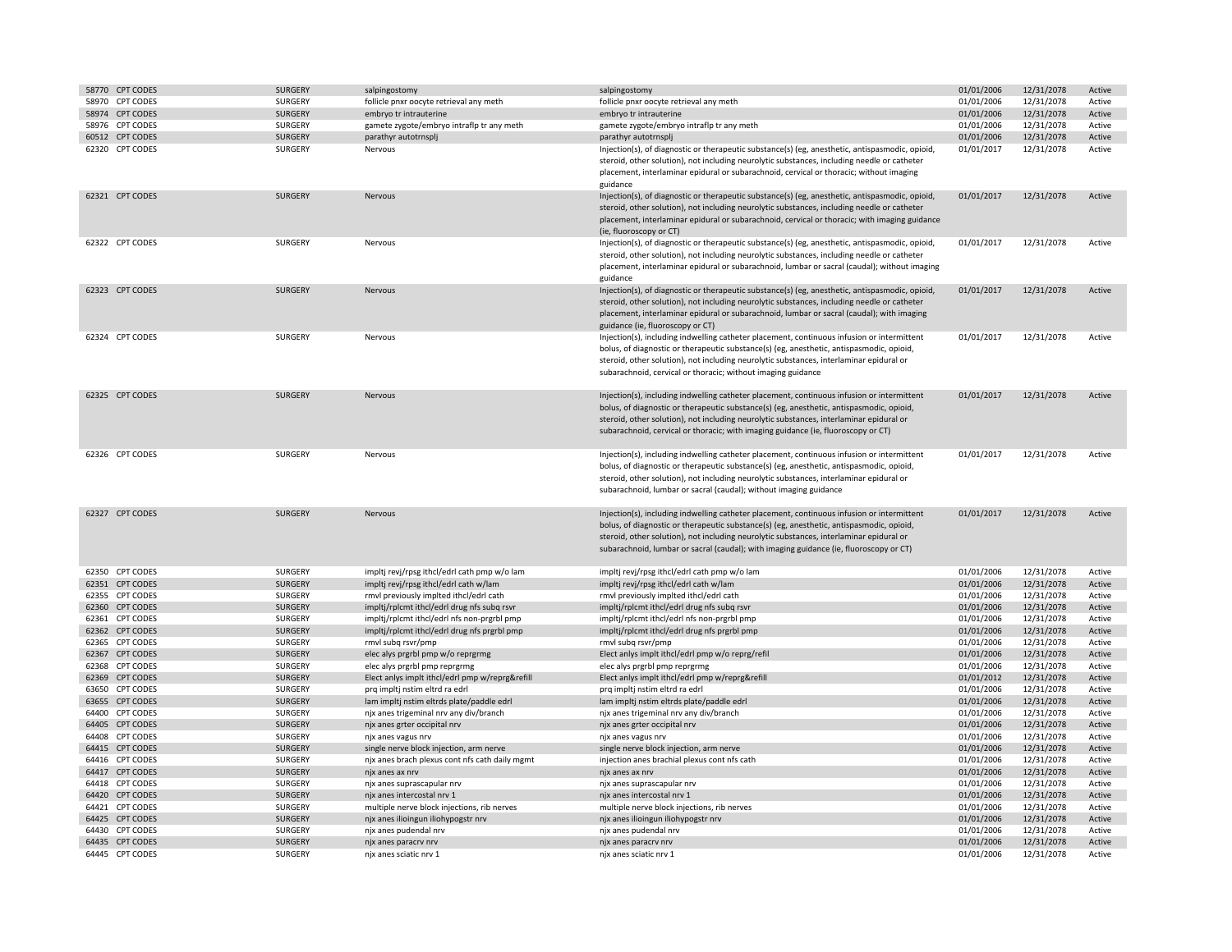| 58770 CPT CODES | <b>SURGERY</b> | salpingostomy                                   | salpingostomy                                                                                                                                                                                                                                                                                                                                                               | 01/01/2006 | 12/31/2078 | Active |
|-----------------|----------------|-------------------------------------------------|-----------------------------------------------------------------------------------------------------------------------------------------------------------------------------------------------------------------------------------------------------------------------------------------------------------------------------------------------------------------------------|------------|------------|--------|
| 58970 CPT CODES | SURGERY        | follicle pnxr oocyte retrieval any meth         | follicle pnxr oocyte retrieval any meth                                                                                                                                                                                                                                                                                                                                     | 01/01/2006 | 12/31/2078 | Active |
| 58974 CPT CODES | SURGERY        | embryo tr intrauterine                          | embryo tr intrauterine                                                                                                                                                                                                                                                                                                                                                      | 01/01/2006 | 12/31/2078 | Active |
| 58976 CPT CODES | SURGERY        | gamete zygote/embryo intraflp tr any meth       | gamete zygote/embryo intraflp tr any meth                                                                                                                                                                                                                                                                                                                                   | 01/01/2006 | 12/31/2078 | Active |
| 60512 CPT CODES | <b>SURGERY</b> | parathyr autotrnsplj                            | parathyr autotrnsplj                                                                                                                                                                                                                                                                                                                                                        | 01/01/2006 | 12/31/2078 | Active |
| 62320 CPT CODES | SURGERY        | Nervous                                         | Injection(s), of diagnostic or therapeutic substance(s) (eg, anesthetic, antispasmodic, opioid,<br>steroid, other solution), not including neurolytic substances, including needle or catheter<br>placement, interlaminar epidural or subarachnoid, cervical or thoracic; without imaging<br>guidance                                                                       | 01/01/2017 | 12/31/2078 | Active |
| 62321 CPT CODES | <b>SURGERY</b> | Nervous                                         | Injection(s), of diagnostic or therapeutic substance(s) (eg, anesthetic, antispasmodic, opioid,<br>steroid, other solution), not including neurolytic substances, including needle or catheter<br>placement, interlaminar epidural or subarachnoid, cervical or thoracic; with imaging guidance<br>(ie, fluoroscopy or CT)                                                  | 01/01/2017 | 12/31/2078 | Active |
| 62322 CPT CODES | SURGERY        | Nervous                                         | Injection(s), of diagnostic or therapeutic substance(s) (eg, anesthetic, antispasmodic, opioid,<br>steroid, other solution), not including neurolytic substances, including needle or catheter<br>placement, interlaminar epidural or subarachnoid, lumbar or sacral (caudal); without imaging<br>guidance                                                                  | 01/01/2017 | 12/31/2078 | Active |
| 62323 CPT CODES | <b>SURGERY</b> | Nervous                                         | Injection(s), of diagnostic or therapeutic substance(s) (eg, anesthetic, antispasmodic, opioid,<br>steroid, other solution), not including neurolytic substances, including needle or catheter<br>placement, interlaminar epidural or subarachnoid, lumbar or sacral (caudal); with imaging<br>guidance (ie, fluoroscopy or CT)                                             | 01/01/2017 | 12/31/2078 | Active |
| 62324 CPT CODES | SURGERY        | Nervous                                         | Injection(s), including indwelling catheter placement, continuous infusion or intermittent<br>bolus, of diagnostic or therapeutic substance(s) (eg, anesthetic, antispasmodic, opioid,<br>steroid, other solution), not including neurolytic substances, interlaminar epidural or<br>subarachnoid, cervical or thoracic; without imaging guidance                           | 01/01/2017 | 12/31/2078 | Active |
| 62325 CPT CODES | <b>SURGERY</b> | Nervous                                         | Injection(s), including indwelling catheter placement, continuous infusion or intermittent<br>bolus, of diagnostic or therapeutic substance(s) (eg, anesthetic, antispasmodic, opioid,<br>steroid, other solution), not including neurolytic substances, interlaminar epidural or<br>subarachnoid, cervical or thoracic; with imaging guidance (ie, fluoroscopy or CT)      | 01/01/2017 | 12/31/2078 | Active |
| 62326 CPT CODES | SURGERY        | Nervous                                         | Injection(s), including indwelling catheter placement, continuous infusion or intermittent<br>bolus, of diagnostic or therapeutic substance(s) (eg, anesthetic, antispasmodic, opioid,<br>steroid, other solution), not including neurolytic substances, interlaminar epidural or<br>subarachnoid, lumbar or sacral (caudal); without imaging guidance                      | 01/01/2017 | 12/31/2078 | Active |
| 62327 CPT CODES | <b>SURGERY</b> | Nervous                                         | Injection(s), including indwelling catheter placement, continuous infusion or intermittent<br>bolus, of diagnostic or therapeutic substance(s) (eg, anesthetic, antispasmodic, opioid,<br>steroid, other solution), not including neurolytic substances, interlaminar epidural or<br>subarachnoid, lumbar or sacral (caudal); with imaging guidance (ie, fluoroscopy or CT) | 01/01/2017 | 12/31/2078 | Active |
| 62350 CPT CODES | SURGERY        | impltj revj/rpsg ithcl/edrl cath pmp w/o lam    | impltj revj/rpsg ithcl/edrl cath pmp w/o lam                                                                                                                                                                                                                                                                                                                                | 01/01/2006 | 12/31/2078 | Active |
| 62351 CPT CODES | <b>SURGERY</b> | impltj revj/rpsg ithcl/edrl cath w/lam          | impltj revj/rpsg ithcl/edrl cath w/lam                                                                                                                                                                                                                                                                                                                                      | 01/01/2006 | 12/31/2078 | Active |
| 62355 CPT CODES | SURGERY        | rmvl previously implted ithcl/edrl cath         | rmvl previously implted ithcl/edrl cath                                                                                                                                                                                                                                                                                                                                     | 01/01/2006 | 12/31/2078 | Active |
| 62360 CPT CODES | SURGERY        | impltj/rplcmt ithcl/edrl drug nfs subq rsvr     | impltj/rplcmt ithcl/edrl drug nfs subq rsvr                                                                                                                                                                                                                                                                                                                                 | 01/01/2006 | 12/31/2078 | Active |
| 62361 CPT CODES | SURGERY        | impltj/rplcmt ithcl/edrl nfs non-prgrbl pmp     | impltj/rplcmt ithcl/edrl nfs non-prgrbl pmp                                                                                                                                                                                                                                                                                                                                 | 01/01/2006 | 12/31/2078 | Active |
| 62362 CPT CODES | <b>SURGERY</b> | impltj/rplcmt ithcl/edrl drug nfs prgrbl pmp    | impltj/rplcmt ithcl/edrl drug nfs prgrbl pmp                                                                                                                                                                                                                                                                                                                                | 01/01/2006 | 12/31/2078 | Active |
| 62365 CPT CODES | SURGERY        | rmvl subq rsvr/pmp                              | rmvl subg rsvr/pmp                                                                                                                                                                                                                                                                                                                                                          | 01/01/2006 | 12/31/2078 | Active |
| 62367 CPT CODES | <b>SURGERY</b> | elec alys prgrbl pmp w/o reprgrmg               | Elect anlys implt ithcl/edrl pmp w/o reprg/refil                                                                                                                                                                                                                                                                                                                            | 01/01/2006 | 12/31/2078 | Active |
| 62368 CPT CODES | SURGERY        | elec alys prgrbl pmp reprgrmg                   | elec alys prgrbl pmp reprgrmg                                                                                                                                                                                                                                                                                                                                               | 01/01/2006 | 12/31/2078 | Active |
| 62369 CPT CODES | <b>SURGERY</b> | Elect anlys implt ithcl/edrl pmp w/reprg&refill | Elect anlys implt ithcl/edrl pmp w/reprg&refill                                                                                                                                                                                                                                                                                                                             | 01/01/2012 | 12/31/2078 | Active |
| 63650 CPT CODES | SURGERY        | prq impltj nstim eltrd ra edrl                  | prq impltj nstim eltrd ra edrl                                                                                                                                                                                                                                                                                                                                              | 01/01/2006 | 12/31/2078 | Active |
| 63655 CPT CODES | <b>SURGERY</b> | lam impltj nstim eltrds plate/paddle edrl       | lam impltj nstim eltrds plate/paddle edrl                                                                                                                                                                                                                                                                                                                                   | 01/01/2006 | 12/31/2078 | Active |
| 64400 CPT CODES | SURGERY        | njx anes trigeminal nrv any div/branch          | njx anes trigeminal nrv any div/branch                                                                                                                                                                                                                                                                                                                                      | 01/01/2006 | 12/31/2078 | Active |
| 64405 CPT CODES | <b>SURGERY</b> | njx anes grter occipital nrv                    | njx anes grter occipital nrv                                                                                                                                                                                                                                                                                                                                                | 01/01/2006 | 12/31/2078 | Active |
| 64408 CPT CODES | SURGERY        | njx anes vagus nrv                              | njx anes vagus nrv                                                                                                                                                                                                                                                                                                                                                          | 01/01/2006 | 12/31/2078 | Active |
| 64415 CPT CODES | <b>SURGERY</b> | single nerve block injection, arm nerve         | single nerve block injection, arm nerve                                                                                                                                                                                                                                                                                                                                     | 01/01/2006 | 12/31/2078 | Active |
| 64416 CPT CODES | <b>SURGERY</b> | njx anes brach plexus cont nfs cath daily mgmt  | injection anes brachial plexus cont nfs cath                                                                                                                                                                                                                                                                                                                                | 01/01/2006 | 12/31/2078 | Active |
| 64417 CPT CODES | <b>SURGERY</b> | njx anes ax nrv                                 | njx anes ax nrv                                                                                                                                                                                                                                                                                                                                                             | 01/01/2006 | 12/31/2078 | Active |
| 64418 CPT CODES | SURGERY        | njx anes suprascapular nrv                      | njx anes suprascapular nrv                                                                                                                                                                                                                                                                                                                                                  | 01/01/2006 | 12/31/2078 | Active |
| 64420 CPT CODES | <b>SURGERY</b> | njx anes intercostal nrv 1                      | njx anes intercostal nrv 1                                                                                                                                                                                                                                                                                                                                                  | 01/01/2006 | 12/31/2078 | Active |
| 64421 CPT CODES | SURGERY        | multiple nerve block injections, rib nerves     | multiple nerve block injections, rib nerves                                                                                                                                                                                                                                                                                                                                 | 01/01/2006 | 12/31/2078 | Active |
| 64425 CPT CODES | SURGERY        | njx anes ilioingun iliohypogstr nrv             | njx anes ilioingun iliohypogstr nrv                                                                                                                                                                                                                                                                                                                                         | 01/01/2006 | 12/31/2078 | Active |
| 64430 CPT CODES | SURGERY        | njx anes pudendal nrv                           | njx anes pudendal nrv                                                                                                                                                                                                                                                                                                                                                       | 01/01/2006 | 12/31/2078 | Active |
| 64435 CPT CODES | <b>SURGERY</b> | njx anes paracrv nrv                            | njx anes paracrv nrv                                                                                                                                                                                                                                                                                                                                                        | 01/01/2006 | 12/31/2078 | Active |
| 64445 CPT CODES | SURGERY        | njx anes sciatic nrv 1                          | njx anes sciatic nrv 1                                                                                                                                                                                                                                                                                                                                                      | 01/01/2006 | 12/31/2078 | Active |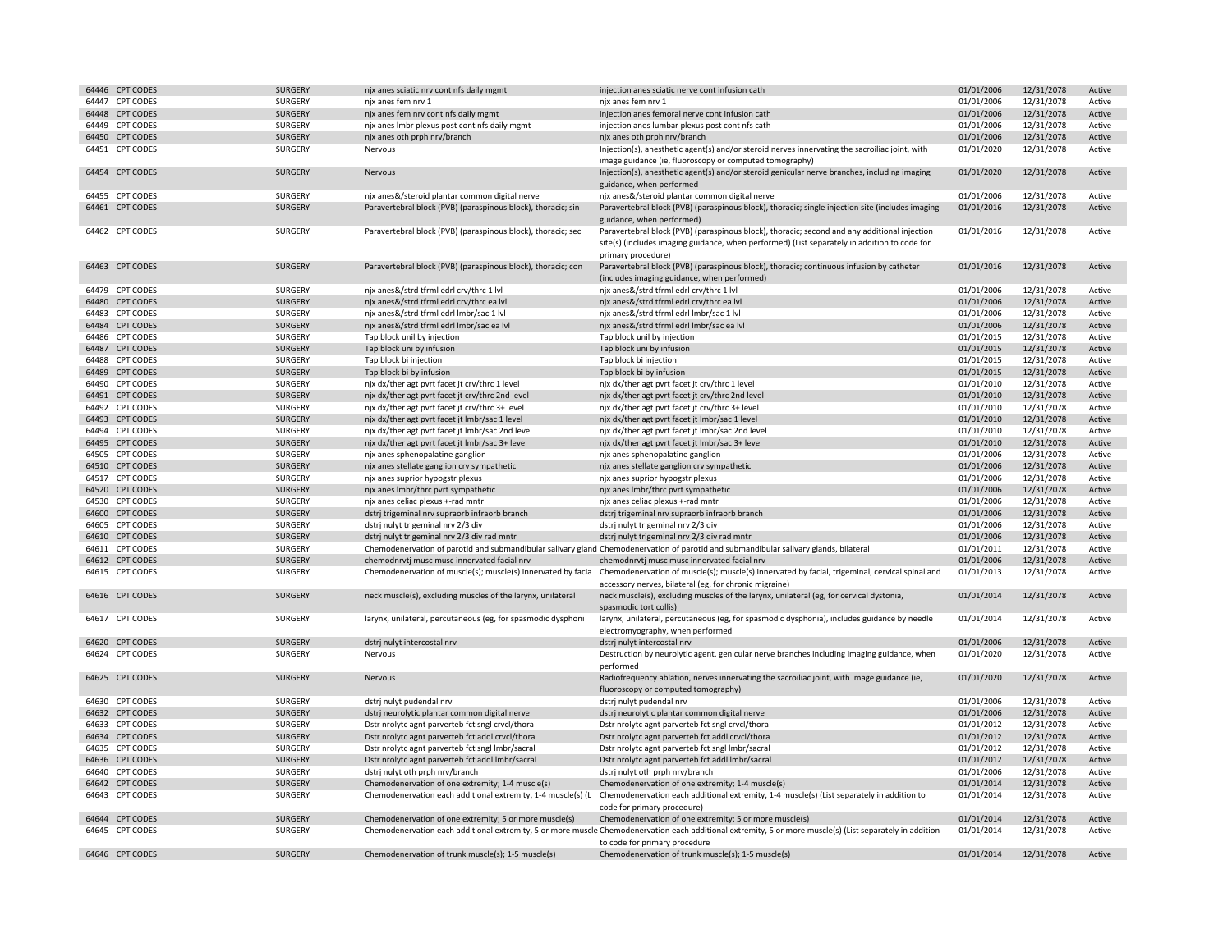| 64446 |                  |                |                                                              |                                                                                                                                                             |            |            |        |
|-------|------------------|----------------|--------------------------------------------------------------|-------------------------------------------------------------------------------------------------------------------------------------------------------------|------------|------------|--------|
|       | <b>CPT CODES</b> | <b>SURGERY</b> | njx anes sciatic nrv cont nfs daily mgmt                     | injection anes sciatic nerve cont infusion cath                                                                                                             | 01/01/2006 | 12/31/2078 | Active |
| 64447 | <b>CPT CODES</b> | SURGERY        | njx anes fem nrv 1                                           | njx anes fem nrv 1                                                                                                                                          | 01/01/2006 | 12/31/2078 | Active |
|       | 64448 CPT CODES  | <b>SURGERY</b> | njx anes fem nrv cont nfs daily mgmt                         | injection anes femoral nerve cont infusion cath                                                                                                             | 01/01/2006 | 12/31/2078 | Active |
| 64449 | <b>CPT CODES</b> | SURGERY        | njx anes Imbr plexus post cont nfs daily mgmt                | injection anes lumbar plexus post cont nfs cath                                                                                                             | 01/01/2006 | 12/31/2078 | Active |
|       | 64450 CPT CODES  | <b>SURGERY</b> | njx anes oth prph nrv/branch                                 | njx anes oth prph nrv/branch                                                                                                                                | 01/01/2006 | 12/31/2078 | Active |
|       |                  |                |                                                              |                                                                                                                                                             |            |            |        |
|       | 64451 CPT CODES  | SURGERY        | Nervous                                                      | Injection(s), anesthetic agent(s) and/or steroid nerves innervating the sacroiliac joint, with                                                              | 01/01/2020 | 12/31/2078 | Active |
|       |                  |                |                                                              | image guidance (ie, fluoroscopy or computed tomography)                                                                                                     |            |            |        |
|       | 64454 CPT CODES  | SURGERY        | Nervous                                                      | Injection(s), anesthetic agent(s) and/or steroid genicular nerve branches, including imaging                                                                | 01/01/2020 | 12/31/2078 | Active |
|       |                  |                |                                                              | guidance, when performed                                                                                                                                    |            |            |        |
|       | 64455 CPT CODES  | SURGERY        | njx anes&/steroid plantar common digital nerve               | njx anes&/steroid plantar common digital nerve                                                                                                              | 01/01/2006 | 12/31/2078 | Active |
|       |                  |                |                                                              |                                                                                                                                                             |            |            |        |
|       | 64461 CPT CODES  | SURGERY        | Paravertebral block (PVB) (paraspinous block), thoracic; sin | Paravertebral block (PVB) (paraspinous block), thoracic; single injection site (includes imaging                                                            | 01/01/2016 | 12/31/2078 | Active |
|       |                  |                |                                                              | guidance, when performed)                                                                                                                                   |            |            |        |
|       | 64462 CPT CODES  | SURGERY        | Paravertebral block (PVB) (paraspinous block), thoracic; sec | Paravertebral block (PVB) (paraspinous block), thoracic; second and any additional injection                                                                | 01/01/2016 | 12/31/2078 | Active |
|       |                  |                |                                                              | site(s) (includes imaging guidance, when performed) (List separately in addition to code for                                                                |            |            |        |
|       |                  |                |                                                              | primary procedure)                                                                                                                                          |            |            |        |
|       | 64463 CPT CODES  | SURGERY        | Paravertebral block (PVB) (paraspinous block), thoracic; con | Paravertebral block (PVB) (paraspinous block), thoracic; continuous infusion by catheter                                                                    | 01/01/2016 | 12/31/2078 | Active |
|       |                  |                |                                                              |                                                                                                                                                             |            |            |        |
|       |                  |                |                                                              | (includes imaging guidance, when performed)                                                                                                                 |            |            |        |
|       | 64479 CPT CODES  | SURGERY        | njx anes&/strd tfrml edrl crv/thrc 1 lvl                     | njx anes&/strd tfrml edrl crv/thrc 1 lvl                                                                                                                    | 01/01/2006 | 12/31/2078 | Active |
| 64480 | <b>CPT CODES</b> | <b>SURGERY</b> | nix anes&/strd tfrml edrl crv/thrc ea lvl                    | njx anes&/strd tfrml edrl crv/thrc ea lvl                                                                                                                   | 01/01/2006 | 12/31/2078 | Active |
|       | 64483 CPT CODES  | SURGERY        | njx anes&/strd tfrml edrl Imbr/sac 1 lvl                     | njx anes&/strd tfrml edrl lmbr/sac 1 lvl                                                                                                                    | 01/01/2006 | 12/31/2078 | Active |
|       | 64484 CPT CODES  | <b>SURGERY</b> | njx anes&/strd tfrml edrl Imbr/sac ea lvl                    | njx anes&/strd tfrml edrl Imbr/sac ea lvl                                                                                                                   | 01/01/2006 | 12/31/2078 | Active |
|       |                  |                |                                                              |                                                                                                                                                             |            |            |        |
|       | 64486 CPT CODES  | SURGERY        | Tap block unil by injection                                  | Tap block unil by injection                                                                                                                                 | 01/01/2015 | 12/31/2078 | Active |
|       | 64487 CPT CODES  | SURGERY        | Tap block uni by infusion                                    | Tap block uni by infusion                                                                                                                                   | 01/01/2015 | 12/31/2078 | Active |
| 64488 | <b>CPT CODES</b> | SURGERY        | Tap block bi injection                                       | Tap block bi injection                                                                                                                                      | 01/01/2015 | 12/31/2078 | Active |
|       | 64489 CPT CODES  | SURGERY        | Tap block bi by infusion                                     | Tap block bi by infusion                                                                                                                                    | 01/01/2015 | 12/31/2078 | Active |
| 64490 | <b>CPT CODES</b> | SURGERY        | njx dx/ther agt pvrt facet jt crv/thrc 1 level               | njx dx/ther agt pvrt facet jt crv/thrc 1 level                                                                                                              | 01/01/2010 | 12/31/2078 | Active |
|       | 64491 CPT CODES  | SURGERY        | njx dx/ther agt pvrt facet jt crv/thrc 2nd level             | njx dx/ther agt pvrt facet jt crv/thrc 2nd level                                                                                                            | 01/01/2010 | 12/31/2078 | Active |
|       |                  |                |                                                              |                                                                                                                                                             |            |            |        |
|       | 64492 CPT CODES  | SURGERY        | njx dx/ther agt pvrt facet jt crv/thrc 3+ level              | njx dx/ther agt pvrt facet jt crv/thrc 3+ level                                                                                                             | 01/01/2010 | 12/31/2078 | Active |
|       | 64493 CPT CODES  | SURGERY        | njx dx/ther agt pvrt facet jt Imbr/sac 1 level               | njx dx/ther agt pvrt facet jt Imbr/sac 1 level                                                                                                              | 01/01/2010 | 12/31/2078 | Active |
|       | 64494 CPT CODES  | SURGERY        | njx dx/ther agt pvrt facet jt Imbr/sac 2nd level             | njx dx/ther agt pvrt facet jt Imbr/sac 2nd level                                                                                                            | 01/01/2010 | 12/31/2078 | Active |
|       | 64495 CPT CODES  | SURGERY        | njx dx/ther agt pvrt facet jt Imbr/sac 3+ level              | njx dx/ther agt pvrt facet jt Imbr/sac 3+ level                                                                                                             | 01/01/2010 | 12/31/2078 | Active |
|       | 64505 CPT CODES  | SURGERY        | njx anes sphenopalatine ganglion                             | njx anes sphenopalatine ganglion                                                                                                                            | 01/01/2006 | 12/31/2078 | Active |
|       | 64510 CPT CODES  | SURGERY        | njx anes stellate ganglion crv sympathetic                   | njx anes stellate ganglion crv sympathetic                                                                                                                  | 01/01/2006 | 12/31/2078 | Active |
|       | 64517 CPT CODES  | SURGERY        | njx anes suprior hypogstr plexus                             | njx anes suprior hypogstr plexus                                                                                                                            | 01/01/2006 | 12/31/2078 | Active |
|       |                  |                |                                                              |                                                                                                                                                             |            |            |        |
|       | 64520 CPT CODES  | SURGERY        | njx anes Imbr/thrc pvrt sympathetic                          | njx anes Imbr/thrc pvrt sympathetic                                                                                                                         | 01/01/2006 | 12/31/2078 | Active |
|       | 64530 CPT CODES  | SURGERY        | njx anes celiac plexus +-rad mntr                            | njx anes celiac plexus +-rad mntr                                                                                                                           | 01/01/2006 | 12/31/2078 | Active |
| 64600 | <b>CPT CODES</b> | SURGERY        | dstrj trigeminal nrv supraorb infraorb branch                | dstrj trigeminal nrv supraorb infraorb branch                                                                                                               | 01/01/2006 | 12/31/2078 | Active |
|       | 64605 CPT CODES  | SURGERY        | dstrj nulyt trigeminal nrv 2/3 div                           | dstrj nulyt trigeminal nrv 2/3 div                                                                                                                          | 01/01/2006 | 12/31/2078 | Active |
|       | 64610 CPT CODES  | SURGERY        | dstrj nulyt trigeminal nrv 2/3 div rad mntr                  | dstrj nulyt trigeminal nrv 2/3 div rad mntr                                                                                                                 | 01/01/2006 | 12/31/2078 | Active |
|       | 64611 CPT CODES  | SURGERY        |                                                              | Chemodenervation of parotid and submandibular salivary gland Chemodenervation of parotid and submandibular salivary glands, bilateral                       | 01/01/2011 | 12/31/2078 | Active |
|       |                  |                |                                                              |                                                                                                                                                             |            |            |        |
|       | 64612 CPT CODES  | <b>SURGERY</b> | chemodnrvtj musc musc innervated facial nrv                  | chemodnrvtj musc musc innervated facial nrv                                                                                                                 | 01/01/2006 | 12/31/2078 | Active |
|       | 64615 CPT CODES  | SURGERY        |                                                              | Chemodenervation of muscle(s); muscle(s) innervated by facia Chemodenervation of muscle(s); muscle(s) innervated by facial, trigeminal, cervical spinal and | 01/01/2013 | 12/31/2078 | Active |
|       |                  |                |                                                              | accessory nerves, bilateral (eg, for chronic migraine)                                                                                                      |            |            |        |
|       | 64616 CPT CODES  | SURGERY        | neck muscle(s), excluding muscles of the larynx, unilateral  | neck muscle(s), excluding muscles of the larynx, unilateral (eg, for cervical dystonia,                                                                     | 01/01/2014 | 12/31/2078 | Active |
|       |                  |                |                                                              | spasmodic torticollis)                                                                                                                                      |            |            |        |
|       | 64617 CPT CODES  | SURGERY        | larynx, unilateral, percutaneous (eg, for spasmodic dysphoni | larynx, unilateral, percutaneous (eg, for spasmodic dysphonia), includes guidance by needle                                                                 | 01/01/2014 | 12/31/2078 | Active |
|       |                  |                |                                                              |                                                                                                                                                             |            |            |        |
|       |                  |                |                                                              | electromyography, when performed                                                                                                                            |            |            |        |
| 64620 | <b>CPT CODES</b> | <b>SURGERY</b> | dstrj nulyt intercostal nrv                                  | dstrj nulyt intercostal nrv                                                                                                                                 | 01/01/2006 | 12/31/2078 | Active |
|       | 64624 CPT CODES  | SURGERY        | Nervous                                                      | Destruction by neurolytic agent, genicular nerve branches including imaging guidance, when                                                                  | 01/01/2020 | 12/31/2078 | Active |
|       |                  |                |                                                              | performed                                                                                                                                                   |            |            |        |
|       | 64625 CPT CODES  | <b>SURGERY</b> | Nervous                                                      | Radiofrequency ablation, nerves innervating the sacroiliac joint, with image guidance (ie,                                                                  | 01/01/2020 | 12/31/2078 | Active |
|       |                  |                |                                                              | fluoroscopy or computed tomography)                                                                                                                         |            |            |        |
|       | 64630 CPT CODES  | SURGERY        | dstrj nulyt pudendal nrv                                     | dstrj nulyt pudendal nrv                                                                                                                                    | 01/01/2006 | 12/31/2078 | Active |
|       |                  |                |                                                              |                                                                                                                                                             |            |            |        |
|       | 64632 CPT CODES  | <b>SURGERY</b> | dstrj neurolytic plantar common digital nerve                | dstrj neurolytic plantar common digital nerve                                                                                                               | 01/01/2006 | 12/31/2078 | Active |
|       | 64633 CPT CODES  | SURGERY        | Dstr nrolytc agnt parverteb fct sngl crvcl/thora             | Dstr nrolytc agnt parverteb fct sngl crvcl/thora                                                                                                            | 01/01/2012 | 12/31/2078 | Active |
|       | 64634 CPT CODES  | SURGERY        | Dstr nrolytc agnt parverteb fct addl crvcl/thora             | Dstr nrolytc agnt parverteb fct addl crvcl/thora                                                                                                            | 01/01/2012 | 12/31/2078 | Active |
|       | 64635 CPT CODES  | SURGERY        | Dstr nrolytc agnt parverteb fct sngl Imbr/sacral             | Dstr nrolytc agnt parverteb fct sngl Imbr/sacral                                                                                                            | 01/01/2012 | 12/31/2078 | Active |
|       | 64636 CPT CODES  | SURGERY        | Dstr nrolytc agnt parverteb fct addl Imbr/sacral             | Dstr nrolytc agnt parverteb fct addl Imbr/sacral                                                                                                            | 01/01/2012 | 12/31/2078 | Active |
|       | 64640 CPT CODES  | SURGERY        | dstrj nulyt oth prph nrv/branch                              | dstrj nulyt oth prph nrv/branch                                                                                                                             | 01/01/2006 | 12/31/2078 | Active |
|       |                  |                |                                                              |                                                                                                                                                             |            |            |        |
|       | 64642 CPT CODES  | SURGERY        | Chemodenervation of one extremity; 1-4 muscle(s)             | Chemodenervation of one extremity; 1-4 muscle(s)                                                                                                            | 01/01/2014 | 12/31/2078 | Active |
|       | 64643 CPT CODES  | SURGERY        | Chemodenervation each additional extremity, 1-4 muscle(s) (L | Chemodenervation each additional extremity, 1-4 muscle(s) (List separately in addition to                                                                   | 01/01/2014 | 12/31/2078 | Active |
|       |                  |                |                                                              | code for primary procedure)                                                                                                                                 |            |            |        |
|       | 64644 CPT CODES  | <b>SURGERY</b> | Chemodenervation of one extremity; 5 or more muscle(s)       | Chemodenervation of one extremity; 5 or more muscle(s)                                                                                                      | 01/01/2014 | 12/31/2078 | Active |
|       | 64645 CPT CODES  | SURGERY        |                                                              | Chemodenervation each additional extremity, 5 or more muscle Chemodenervation each additional extremity, 5 or more muscle(s) (List separately in addition   | 01/01/2014 | 12/31/2078 | Active |
|       |                  |                |                                                              | to code for primary procedure                                                                                                                               |            |            |        |
|       | 64646 CPT CODES  | SURGERY        | Chemodenervation of trunk muscle(s); 1-5 muscle(s)           | Chemodenervation of trunk muscle(s); 1-5 muscle(s)                                                                                                          | 01/01/2014 | 12/31/2078 | Active |
|       |                  |                |                                                              |                                                                                                                                                             |            |            |        |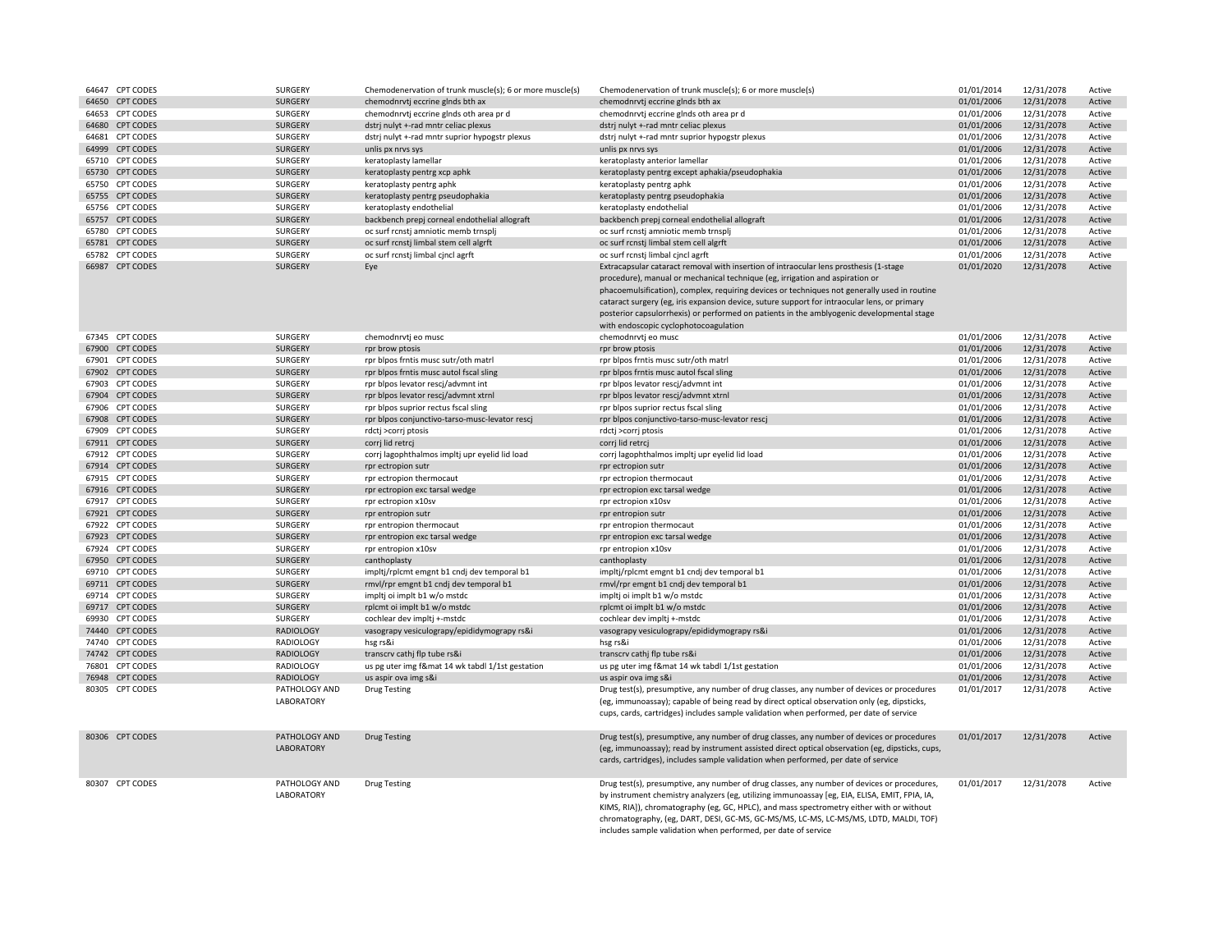| 64647 CPT CODES | SURGERY                            | Chemodenervation of trunk muscle(s); 6 or more muscle(s) | Chemodenervation of trunk muscle(s); 6 or more muscle(s)                                                                                                                                                                                                                                                                                                                                                                                                                                                    | 01/01/2014 | 12/31/2078 | Active |
|-----------------|------------------------------------|----------------------------------------------------------|-------------------------------------------------------------------------------------------------------------------------------------------------------------------------------------------------------------------------------------------------------------------------------------------------------------------------------------------------------------------------------------------------------------------------------------------------------------------------------------------------------------|------------|------------|--------|
| 64650 CPT CODES | SURGERY                            | chemodnrvtj eccrine glnds bth ax                         | chemodnrvtj eccrine glnds bth ax                                                                                                                                                                                                                                                                                                                                                                                                                                                                            | 01/01/2006 | 12/31/2078 | Active |
| 64653 CPT CODES | SURGERY                            | chemodnrvtj eccrine glnds oth area pr d                  | chemodnrvtj eccrine glnds oth area pr d                                                                                                                                                                                                                                                                                                                                                                                                                                                                     | 01/01/2006 | 12/31/2078 | Active |
| 64680 CPT CODES | SURGERY                            | dstrj nulyt +-rad mntr celiac plexus                     | dstrj nulyt +-rad mntr celiac plexus                                                                                                                                                                                                                                                                                                                                                                                                                                                                        | 01/01/2006 | 12/31/2078 | Active |
| 64681 CPT CODES | SURGERY                            | dstrj nulyt +-rad mntr suprior hypogstr plexus           | dstrj nulyt +-rad mntr suprior hypogstr plexus                                                                                                                                                                                                                                                                                                                                                                                                                                                              | 01/01/2006 | 12/31/2078 | Active |
| 64999 CPT CODES | SURGERY                            | unlis px nrvs sys                                        | unlis px nrvs sys                                                                                                                                                                                                                                                                                                                                                                                                                                                                                           | 01/01/2006 | 12/31/2078 | Active |
| 65710 CPT CODES | SURGERY                            | keratoplasty lamellar                                    | keratoplasty anterior lamellar                                                                                                                                                                                                                                                                                                                                                                                                                                                                              | 01/01/2006 | 12/31/2078 | Active |
| 65730 CPT CODES | SURGERY                            | keratoplasty pentrg xcp aphk                             | keratoplasty pentrg except aphakia/pseudophakia                                                                                                                                                                                                                                                                                                                                                                                                                                                             | 01/01/2006 | 12/31/2078 | Active |
| 65750 CPT CODES | SURGERY                            | keratoplasty pentrg aphk                                 | keratoplasty pentrg aphk                                                                                                                                                                                                                                                                                                                                                                                                                                                                                    | 01/01/2006 | 12/31/2078 | Active |
| 65755 CPT CODES | SURGERY                            | keratoplasty pentrg pseudophakia                         | keratoplasty pentrg pseudophakia                                                                                                                                                                                                                                                                                                                                                                                                                                                                            | 01/01/2006 | 12/31/2078 | Active |
| 65756 CPT CODES | SURGERY                            | keratoplasty endothelial                                 | keratoplasty endothelial                                                                                                                                                                                                                                                                                                                                                                                                                                                                                    | 01/01/2006 | 12/31/2078 | Active |
| 65757 CPT CODES | SURGERY                            | backbench prepj corneal endothelial allograft            | backbench prepj corneal endothelial allograft                                                                                                                                                                                                                                                                                                                                                                                                                                                               | 01/01/2006 | 12/31/2078 | Active |
| 65780 CPT CODES | SURGERY                            | oc surf rcnstj amniotic memb trnsplj                     | oc surf rcnstj amniotic memb trnsplj                                                                                                                                                                                                                                                                                                                                                                                                                                                                        | 01/01/2006 | 12/31/2078 | Active |
| 65781 CPT CODES | SURGERY                            | oc surf rcnstj limbal stem cell algrft                   | oc surf rcnsti limbal stem cell algrft                                                                                                                                                                                                                                                                                                                                                                                                                                                                      | 01/01/2006 |            | Active |
|                 |                                    |                                                          |                                                                                                                                                                                                                                                                                                                                                                                                                                                                                                             |            | 12/31/2078 |        |
| 65782 CPT CODES | SURGERY                            | oc surf rcnsti limbal cincl agrft                        | oc surf rcnsti limbal cincl agrft                                                                                                                                                                                                                                                                                                                                                                                                                                                                           | 01/01/2006 | 12/31/2078 | Active |
| 66987 CPT CODES | SURGERY                            | Eye                                                      | Extracapsular cataract removal with insertion of intraocular lens prosthesis (1-stage<br>procedure), manual or mechanical technique (eg, irrigation and aspiration or<br>phacoemulsification), complex, requiring devices or techniques not generally used in routine<br>cataract surgery (eg, iris expansion device, suture support for intraocular lens, or primary<br>posterior capsulorrhexis) or performed on patients in the amblyogenic developmental stage<br>with endoscopic cyclophotocoagulation | 01/01/2020 | 12/31/2078 | Active |
| 67345 CPT CODES | SURGERY                            | chemodnrvtj eo musc                                      | chemodnrvtj eo musc                                                                                                                                                                                                                                                                                                                                                                                                                                                                                         | 01/01/2006 | 12/31/2078 | Active |
| 67900 CPT CODES | SURGERY                            | rpr brow ptosis                                          | rpr brow ptosis                                                                                                                                                                                                                                                                                                                                                                                                                                                                                             | 01/01/2006 | 12/31/2078 | Active |
| 67901 CPT CODES | SURGERY                            | rpr blpos frntis musc sutr/oth matrl                     | rpr blpos frntis musc sutr/oth matrl                                                                                                                                                                                                                                                                                                                                                                                                                                                                        | 01/01/2006 | 12/31/2078 | Active |
| 67902 CPT CODES | SURGERY                            | rpr blpos frntis musc autol fscal sling                  | rpr blpos frntis musc autol fscal sling                                                                                                                                                                                                                                                                                                                                                                                                                                                                     | 01/01/2006 | 12/31/2078 | Active |
| 67903 CPT CODES | SURGERY                            | rpr blpos levator rescj/advmnt int                       | rpr blpos levator rescj/advmnt int                                                                                                                                                                                                                                                                                                                                                                                                                                                                          | 01/01/2006 | 12/31/2078 | Active |
| 67904 CPT CODES | SURGERY                            | rpr blpos levator rescj/advmnt xtrnl                     | rpr blpos levator rescj/advmnt xtrnl                                                                                                                                                                                                                                                                                                                                                                                                                                                                        | 01/01/2006 | 12/31/2078 | Active |
| 67906 CPT CODES | SURGERY                            | rpr blpos suprior rectus fscal sling                     | rpr blpos suprior rectus fscal sling                                                                                                                                                                                                                                                                                                                                                                                                                                                                        | 01/01/2006 | 12/31/2078 | Active |
| 67908 CPT CODES | SURGERY                            | rpr blpos conjunctivo-tarso-musc-levator rescj           | rpr blpos conjunctivo-tarso-musc-levator rescj                                                                                                                                                                                                                                                                                                                                                                                                                                                              | 01/01/2006 | 12/31/2078 | Active |
| 67909 CPT CODES | SURGERY                            | rdctj >corrj ptosis                                      | rdctj >corrj ptosis                                                                                                                                                                                                                                                                                                                                                                                                                                                                                         | 01/01/2006 | 12/31/2078 | Active |
| 67911 CPT CODES | SURGERY                            | corri lid retrci                                         | corri lid retrci                                                                                                                                                                                                                                                                                                                                                                                                                                                                                            | 01/01/2006 | 12/31/2078 | Active |
| 67912 CPT CODES | SURGERY                            | corrj lagophthalmos impltj upr eyelid lid load           | corrj lagophthalmos impltj upr eyelid lid load                                                                                                                                                                                                                                                                                                                                                                                                                                                              | 01/01/2006 | 12/31/2078 | Active |
| 67914 CPT CODES | SURGERY                            | rpr ectropion sutr                                       | rpr ectropion sutr                                                                                                                                                                                                                                                                                                                                                                                                                                                                                          | 01/01/2006 | 12/31/2078 | Active |
| 67915 CPT CODES | SURGERY                            | rpr ectropion thermocaut                                 | rpr ectropion thermocaut                                                                                                                                                                                                                                                                                                                                                                                                                                                                                    | 01/01/2006 | 12/31/2078 | Active |
| 67916 CPT CODES | SURGERY                            | rpr ectropion exc tarsal wedge                           | rpr ectropion exc tarsal wedge                                                                                                                                                                                                                                                                                                                                                                                                                                                                              | 01/01/2006 | 12/31/2078 | Active |
| 67917 CPT CODES |                                    |                                                          |                                                                                                                                                                                                                                                                                                                                                                                                                                                                                                             |            |            |        |
|                 | SURGERY                            | rpr ectropion x10sv                                      | rpr ectropion x10sv                                                                                                                                                                                                                                                                                                                                                                                                                                                                                         | 01/01/2006 | 12/31/2078 | Active |
| 67921 CPT CODES | SURGERY                            | rpr entropion sutr                                       | rpr entropion sutr                                                                                                                                                                                                                                                                                                                                                                                                                                                                                          | 01/01/2006 | 12/31/2078 | Active |
| 67922 CPT CODES | <b>SURGERY</b>                     | rpr entropion thermocaut                                 | rpr entropion thermocaut                                                                                                                                                                                                                                                                                                                                                                                                                                                                                    | 01/01/2006 | 12/31/2078 | Active |
| 67923 CPT CODES | SURGERY                            | rpr entropion exc tarsal wedge                           | rpr entropion exc tarsal wedge                                                                                                                                                                                                                                                                                                                                                                                                                                                                              | 01/01/2006 | 12/31/2078 | Active |
| 67924 CPT CODES | SURGERY                            | rpr entropion x10sv                                      | rpr entropion x10sv                                                                                                                                                                                                                                                                                                                                                                                                                                                                                         | 01/01/2006 | 12/31/2078 | Active |
| 67950 CPT CODES | <b>SURGERY</b>                     | canthoplasty                                             | canthoplasty                                                                                                                                                                                                                                                                                                                                                                                                                                                                                                | 01/01/2006 | 12/31/2078 | Active |
| 69710 CPT CODES | SURGERY                            | impltj/rplcmt emgnt b1 cndj dev temporal b1              | impltj/rplcmt emgnt b1 cndj dev temporal b1                                                                                                                                                                                                                                                                                                                                                                                                                                                                 | 01/01/2006 | 12/31/2078 | Active |
| 69711 CPT CODES | SURGERY                            | rmvl/rpr emgnt b1 cndj dev temporal b1                   | rmvl/rpr emgnt b1 cndj dev temporal b1                                                                                                                                                                                                                                                                                                                                                                                                                                                                      | 01/01/2006 | 12/31/2078 | Active |
| 69714 CPT CODES | SURGERY                            | impltj oi implt b1 w/o mstdc                             | impltj oi implt b1 w/o mstdc                                                                                                                                                                                                                                                                                                                                                                                                                                                                                | 01/01/2006 | 12/31/2078 | Active |
| 69717 CPT CODES | SURGERY                            | rplcmt oi implt b1 w/o mstdc                             | rplcmt oi implt b1 w/o mstdc                                                                                                                                                                                                                                                                                                                                                                                                                                                                                | 01/01/2006 | 12/31/2078 | Active |
| 69930 CPT CODES | SURGERY                            | cochlear dev impltj +-mstdc                              | cochlear dev impltj +-mstdc                                                                                                                                                                                                                                                                                                                                                                                                                                                                                 | 01/01/2006 | 12/31/2078 | Active |
| 74440 CPT CODES | <b>RADIOLOGY</b>                   | vasograpy vesiculograpy/epididymograpy rs&i              | vasograpy vesiculograpy/epididymograpy rs&i                                                                                                                                                                                                                                                                                                                                                                                                                                                                 | 01/01/2006 | 12/31/2078 | Active |
| 74740 CPT CODES | <b>RADIOLOGY</b>                   | hsg rs&i                                                 | hsg rs&i                                                                                                                                                                                                                                                                                                                                                                                                                                                                                                    | 01/01/2006 | 12/31/2078 | Active |
| 74742 CPT CODES | <b>RADIOLOGY</b>                   | transcrv cathj flp tube rs&i                             | transcrv cathj flp tube rs&i                                                                                                                                                                                                                                                                                                                                                                                                                                                                                | 01/01/2006 | 12/31/2078 | Active |
| 76801 CPT CODES | RADIOLOGY                          | us pg uter img f&mat 14 wk tabdl 1/1st gestation         | us pg uter img f&mat 14 wk tabdl 1/1st gestation                                                                                                                                                                                                                                                                                                                                                                                                                                                            | 01/01/2006 | 12/31/2078 | Active |
| 76948 CPT CODES | <b>RADIOLOGY</b>                   | us aspir ova img s&i                                     | us aspir ova img s&i                                                                                                                                                                                                                                                                                                                                                                                                                                                                                        | 01/01/2006 | 12/31/2078 | Active |
| 80305 CPT CODES | PATHOLOGY AND<br>LABORATORY        | <b>Drug Testing</b>                                      | Drug test(s), presumptive, any number of drug classes, any number of devices or procedures<br>(eg, immunoassay); capable of being read by direct optical observation only (eg, dipsticks,<br>cups, cards, cartridges) includes sample validation when performed, per date of service                                                                                                                                                                                                                        | 01/01/2017 | 12/31/2078 | Active |
| 80306 CPT CODES | PATHOLOGY AND<br><b>LABORATORY</b> | <b>Drug Testing</b>                                      | Drug test(s), presumptive, any number of drug classes, any number of devices or procedures<br>(eg, immunoassay); read by instrument assisted direct optical observation (eg, dipsticks, cups,<br>cards, cartridges), includes sample validation when performed, per date of service                                                                                                                                                                                                                         | 01/01/2017 | 12/31/2078 | Active |
| 80307 CPT CODES | PATHOLOGY AND<br><b>LABORATORY</b> | <b>Drug Testing</b>                                      | Drug test(s), presumptive, any number of drug classes, any number of devices or procedures,<br>by instrument chemistry analyzers (eg, utilizing immunoassay [eg, EIA, ELISA, EMIT, FPIA, IA,<br>KIMS, RIA]), chromatography (eg, GC, HPLC), and mass spectrometry either with or without<br>chromatography, (eg, DART, DESI, GC-MS, GC-MS/MS, LC-MS, LC-MS/MS, LDTD, MALDI, TOF)<br>includes sample validation when performed, per date of service                                                          | 01/01/2017 | 12/31/2078 | Active |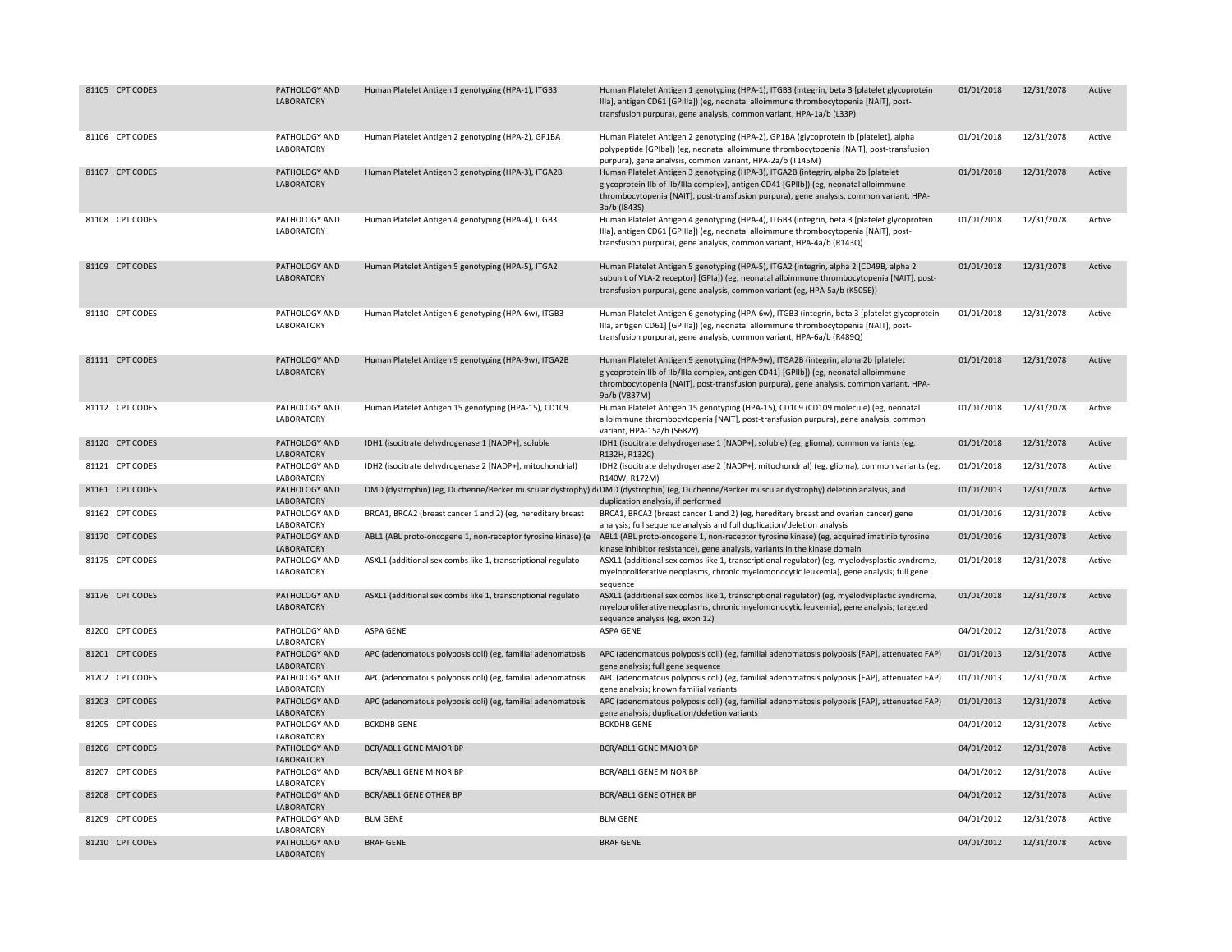| 81105 CPT CODES | PATHOLOGY AND<br>LABORATORY | Human Platelet Antigen 1 genotyping (HPA-1), ITGB3           | Human Platelet Antigen 1 genotyping (HPA-1), ITGB3 (integrin, beta 3 [platelet glycoprotein<br>IIIa], antigen CD61 [GPIIIa]) (eg, neonatal alloimmune thrombocytopenia [NAIT], post-<br>transfusion purpura), gene analysis, common variant, HPA-1a/b (L33P)                           | 01/01/2018 | 12/31/2078 | Active |
|-----------------|-----------------------------|--------------------------------------------------------------|----------------------------------------------------------------------------------------------------------------------------------------------------------------------------------------------------------------------------------------------------------------------------------------|------------|------------|--------|
| 81106 CPT CODES | PATHOLOGY AND<br>LABORATORY | Human Platelet Antigen 2 genotyping (HPA-2), GP1BA           | Human Platelet Antigen 2 genotyping (HPA-2), GP1BA (glycoprotein Ib [platelet], alpha<br>polypeptide [GPIba]) (eg, neonatal alloimmune thrombocytopenia [NAIT], post-transfusion<br>purpura), gene analysis, common variant, HPA-2a/b (T145M)                                          | 01/01/2018 | 12/31/2078 | Active |
| 81107 CPT CODES | PATHOLOGY AND<br>LABORATORY | Human Platelet Antigen 3 genotyping (HPA-3), ITGA2B          | Human Platelet Antigen 3 genotyping (HPA-3), ITGA2B (integrin, alpha 2b [platelet<br>glycoprotein IIb of IIb/IIIa complex], antigen CD41 [GPIIb]) (eg, neonatal alloimmune<br>thrombocytopenia [NAIT], post-transfusion purpura), gene analysis, common variant, HPA-<br>3a/b (1843S)  | 01/01/2018 | 12/31/2078 | Active |
| 81108 CPT CODES | PATHOLOGY AND<br>LABORATORY | Human Platelet Antigen 4 genotyping (HPA-4), ITGB3           | Human Platelet Antigen 4 genotyping (HPA-4), ITGB3 (integrin, beta 3 [platelet glycoprotein<br>Illa], antigen CD61 [GPIIIa]) (eg, neonatal alloimmune thrombocytopenia [NAIT], post-<br>transfusion purpura), gene analysis, common variant, HPA-4a/b (R143Q)                          | 01/01/2018 | 12/31/2078 | Active |
| 81109 CPT CODES | PATHOLOGY AND<br>LABORATORY | Human Platelet Antigen 5 genotyping (HPA-5), ITGA2           | Human Platelet Antigen 5 genotyping (HPA-5), ITGA2 (integrin, alpha 2 [CD49B, alpha 2<br>subunit of VLA-2 receptor] [GPIa]) (eg, neonatal alloimmune thrombocytopenia [NAIT], post-<br>transfusion purpura), gene analysis, common variant (eg, HPA-5a/b (K505E))                      | 01/01/2018 | 12/31/2078 | Active |
| 81110 CPT CODES | PATHOLOGY AND<br>LABORATORY | Human Platelet Antigen 6 genotyping (HPA-6w), ITGB3          | Human Platelet Antigen 6 genotyping (HPA-6w), ITGB3 (integrin, beta 3 [platelet glycoprotein<br>Illa, antigen CD61] [GPIIIa]) (eg, neonatal alloimmune thrombocytopenia [NAIT], post-<br>transfusion purpura), gene analysis, common variant, HPA-6a/b (R489Q)                         | 01/01/2018 | 12/31/2078 | Active |
| 81111 CPT CODES | PATHOLOGY AND<br>LABORATORY | Human Platelet Antigen 9 genotyping (HPA-9w), ITGA2B         | Human Platelet Antigen 9 genotyping (HPA-9w), ITGA2B (integrin, alpha 2b [platelet<br>glycoprotein IIb of IIb/IIIa complex, antigen CD41] [GPIIb]) (eg, neonatal alloimmune<br>thrombocytopenia [NAIT], post-transfusion purpura), gene analysis, common variant, HPA-<br>9a/b (V837M) | 01/01/2018 | 12/31/2078 | Active |
| 81112 CPT CODES | PATHOLOGY AND<br>LABORATORY | Human Platelet Antigen 15 genotyping (HPA-15), CD109         | Human Platelet Antigen 15 genotyping (HPA-15), CD109 (CD109 molecule) (eg, neonatal<br>alloimmune thrombocytopenia [NAIT], post-transfusion purpura), gene analysis, common<br>variant, HPA-15a/b (S682Y)                                                                              | 01/01/2018 | 12/31/2078 | Active |
| 81120 CPT CODES | PATHOLOGY AND<br>LABORATORY | IDH1 (isocitrate dehydrogenase 1 [NADP+], soluble            | IDH1 (isocitrate dehydrogenase 1 [NADP+], soluble) (eg, glioma), common variants (eg,<br>R132H, R132C)                                                                                                                                                                                 | 01/01/2018 | 12/31/2078 | Active |
| 81121 CPT CODES | PATHOLOGY AND<br>LABORATORY | IDH2 (isocitrate dehydrogenase 2 [NADP+], mitochondrial)     | IDH2 (isocitrate dehydrogenase 2 [NADP+], mitochondrial) (eg, glioma), common variants (eg,<br>R140W, R172M)                                                                                                                                                                           | 01/01/2018 | 12/31/2078 | Active |
| 81161 CPT CODES | PATHOLOGY AND<br>LABORATORY |                                                              | DMD (dystrophin) (eg, Duchenne/Becker muscular dystrophy) d <sub>1</sub> DMD (dystrophin) (eg, Duchenne/Becker muscular dystrophy) deletion analysis, and<br>duplication analysis, if performed                                                                                        | 01/01/2013 | 12/31/2078 | Active |
| 81162 CPT CODES | PATHOLOGY AND<br>LABORATORY | BRCA1, BRCA2 (breast cancer 1 and 2) (eg, hereditary breast  | BRCA1, BRCA2 (breast cancer 1 and 2) (eg, hereditary breast and ovarian cancer) gene<br>analysis; full sequence analysis and full duplication/deletion analysis                                                                                                                        | 01/01/2016 | 12/31/2078 | Active |
| 81170 CPT CODES | PATHOLOGY AND<br>LABORATORY | ABL1 (ABL proto-oncogene 1, non-receptor tyrosine kinase) (e | ABL1 (ABL proto-oncogene 1, non-receptor tyrosine kinase) (eg, acquired imatinib tyrosine<br>kinase inhibitor resistance), gene analysis, variants in the kinase domain                                                                                                                | 01/01/2016 | 12/31/2078 | Active |
| 81175 CPT CODES | PATHOLOGY AND<br>LABORATORY | ASXL1 (additional sex combs like 1, transcriptional regulato | ASXL1 (additional sex combs like 1, transcriptional regulator) (eg, myelodysplastic syndrome,<br>myeloproliferative neoplasms, chronic myelomonocytic leukemia), gene analysis; full gene<br>sequence                                                                                  | 01/01/2018 | 12/31/2078 | Active |
| 81176 CPT CODES | PATHOLOGY AND<br>LABORATORY | ASXL1 (additional sex combs like 1, transcriptional regulato | ASXL1 (additional sex combs like 1, transcriptional regulator) (eg, myelodysplastic syndrome,<br>myeloproliferative neoplasms, chronic myelomonocytic leukemia), gene analysis; targeted<br>sequence analysis (eg, exon 12)                                                            | 01/01/2018 | 12/31/2078 | Active |
| 81200 CPT CODES | PATHOLOGY AND<br>LABORATORY | ASPA GENE                                                    | ASPA GENE                                                                                                                                                                                                                                                                              | 04/01/2012 | 12/31/2078 | Active |
| 81201 CPT CODES | PATHOLOGY AND<br>LABORATORY | APC (adenomatous polyposis coli) (eg, familial adenomatosis  | APC (adenomatous polyposis coli) (eg, familial adenomatosis polyposis [FAP], attenuated FAP)<br>gene analysis; full gene sequence                                                                                                                                                      | 01/01/2013 | 12/31/2078 | Active |
| 81202 CPT CODES | PATHOLOGY AND<br>LABORATORY | APC (adenomatous polyposis coli) (eg, familial adenomatosis  | APC (adenomatous polyposis coli) (eg, familial adenomatosis polyposis [FAP], attenuated FAP)<br>gene analysis; known familial variants                                                                                                                                                 | 01/01/2013 | 12/31/2078 | Active |
| 81203 CPT CODES | PATHOLOGY AND<br>LABORATORY | APC (adenomatous polyposis coli) (eg, familial adenomatosis  | APC (adenomatous polyposis coli) (eg, familial adenomatosis polyposis [FAP], attenuated FAP)<br>gene analysis; duplication/deletion variants                                                                                                                                           | 01/01/2013 | 12/31/2078 | Active |
| 81205 CPT CODES | PATHOLOGY AND<br>LABORATORY | <b>BCKDHB GENE</b>                                           | <b>BCKDHB GENE</b>                                                                                                                                                                                                                                                                     | 04/01/2012 | 12/31/2078 | Active |
| 81206 CPT CODES | PATHOLOGY AND<br>LABORATORY | <b>BCR/ABL1 GENE MAJOR BP</b>                                | <b>BCR/ABL1 GENE MAJOR BP</b>                                                                                                                                                                                                                                                          | 04/01/2012 | 12/31/2078 | Active |
| 81207 CPT CODES | PATHOLOGY AND<br>LABORATORY | <b>BCR/ABL1 GENE MINOR BP</b>                                | BCR/ABL1 GENE MINOR BP                                                                                                                                                                                                                                                                 | 04/01/2012 | 12/31/2078 | Active |
| 81208 CPT CODES | PATHOLOGY AND<br>LABORATORY | BCR/ABL1 GENE OTHER BP                                       | <b>BCR/ABL1 GENE OTHER BP</b>                                                                                                                                                                                                                                                          | 04/01/2012 | 12/31/2078 | Active |
| 81209 CPT CODES | PATHOLOGY AND<br>LABORATORY | <b>BLM GENE</b>                                              | <b>BLM GENE</b>                                                                                                                                                                                                                                                                        | 04/01/2012 | 12/31/2078 | Active |
| 81210 CPT CODES | PATHOLOGY AND<br>LABORATORY | <b>BRAF GENE</b>                                             | <b>BRAF GENE</b>                                                                                                                                                                                                                                                                       | 04/01/2012 | 12/31/2078 | Active |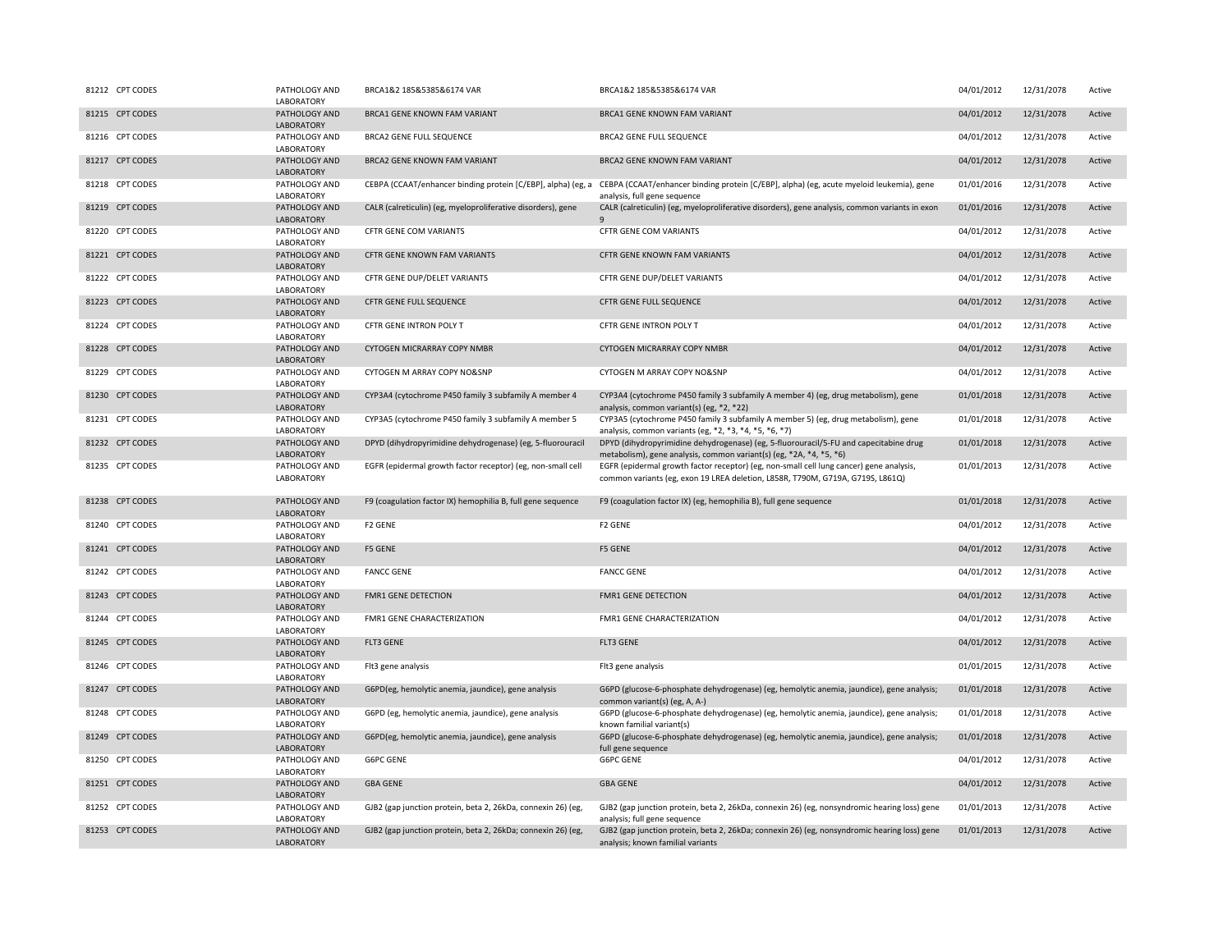| 81212 CPT CODES | PATHOLOGY AND<br>LABORATORY        | BRCA1&2 185&5385&6174 VAR                                    | BRCA1&2 185&5385&6174 VAR                                                                                                                                                             | 04/01/2012 | 12/31/2078 | Active |
|-----------------|------------------------------------|--------------------------------------------------------------|---------------------------------------------------------------------------------------------------------------------------------------------------------------------------------------|------------|------------|--------|
| 81215 CPT CODES | PATHOLOGY AND<br>LABORATORY        | BRCA1 GENE KNOWN FAM VARIANT                                 | BRCA1 GENE KNOWN FAM VARIANT                                                                                                                                                          | 04/01/2012 | 12/31/2078 | Active |
| 81216 CPT CODES | PATHOLOGY AND<br>LABORATORY        | <b>BRCA2 GENE FULL SEQUENCE</b>                              | <b>BRCA2 GENE FULL SEQUENCE</b>                                                                                                                                                       | 04/01/2012 | 12/31/2078 | Active |
| 81217 CPT CODES | PATHOLOGY AND<br>LABORATORY        | BRCA2 GENE KNOWN FAM VARIANT                                 | BRCA2 GENE KNOWN FAM VARIANT                                                                                                                                                          | 04/01/2012 | 12/31/2078 | Active |
| 81218 CPT CODES | PATHOLOGY AND<br>LABORATORY        |                                                              | CEBPA (CCAAT/enhancer binding protein [C/EBP], alpha) (eg, a CEBPA (CCAAT/enhancer binding protein [C/EBP], alpha) (eg, acute myeloid leukemia), gene<br>analysis, full gene sequence | 01/01/2016 | 12/31/2078 | Active |
| 81219 CPT CODES | PATHOLOGY AND<br>LABORATORY        | CALR (calreticulin) (eg, myeloproliferative disorders), gene | CALR (calreticulin) (eg, myeloproliferative disorders), gene analysis, common variants in exon                                                                                        | 01/01/2016 | 12/31/2078 | Active |
| 81220 CPT CODES | PATHOLOGY AND<br>LABORATORY        | CFTR GENE COM VARIANTS                                       | CFTR GENE COM VARIANTS                                                                                                                                                                | 04/01/2012 | 12/31/2078 | Active |
| 81221 CPT CODES | PATHOLOGY AND<br>LABORATORY        | CFTR GENE KNOWN FAM VARIANTS                                 | CFTR GENE KNOWN FAM VARIANTS                                                                                                                                                          | 04/01/2012 | 12/31/2078 | Active |
| 81222 CPT CODES | PATHOLOGY AND<br>LABORATORY        | CFTR GENE DUP/DELET VARIANTS                                 | CFTR GENE DUP/DELET VARIANTS                                                                                                                                                          | 04/01/2012 | 12/31/2078 | Active |
| 81223 CPT CODES | PATHOLOGY AND<br>LABORATORY        | CFTR GENE FULL SEQUENCE                                      | CFTR GENE FULL SEQUENCE                                                                                                                                                               | 04/01/2012 | 12/31/2078 | Active |
| 81224 CPT CODES | PATHOLOGY AND<br>LABORATORY        | CFTR GENE INTRON POLY T                                      | CFTR GENE INTRON POLY T                                                                                                                                                               | 04/01/2012 | 12/31/2078 | Active |
| 81228 CPT CODES | PATHOLOGY AND<br>LABORATORY        | CYTOGEN MICRARRAY COPY NMBR                                  | CYTOGEN MICRARRAY COPY NMBR                                                                                                                                                           | 04/01/2012 | 12/31/2078 | Active |
| 81229 CPT CODES | PATHOLOGY AND<br>LABORATORY        | CYTOGEN M ARRAY COPY NO&SNP                                  | CYTOGEN M ARRAY COPY NO&SNP                                                                                                                                                           | 04/01/2012 | 12/31/2078 | Active |
| 81230 CPT CODES | PATHOLOGY AND<br>LABORATORY        | CYP3A4 (cytochrome P450 family 3 subfamily A member 4        | CYP3A4 (cytochrome P450 family 3 subfamily A member 4) (eg, drug metabolism), gene<br>analysis, common variant(s) (eg, *2, *22)                                                       | 01/01/2018 | 12/31/2078 | Active |
| 81231 CPT CODES | PATHOLOGY AND<br>LABORATORY        | CYP3A5 (cytochrome P450 family 3 subfamily A member 5        | CYP3A5 (cytochrome P450 family 3 subfamily A member 5) (eg, drug metabolism), gene<br>analysis, common variants (eg, *2, *3, *4, *5, *6, *7)                                          | 01/01/2018 | 12/31/2078 | Active |
| 81232 CPT CODES | PATHOLOGY AND<br>LABORATORY        | DPYD (dihydropyrimidine dehydrogenase) (eg, 5-fluorouracil   | DPYD (dihydropyrimidine dehydrogenase) (eg, 5-fluorouracil/5-FU and capecitabine drug<br>metabolism), gene analysis, common variant(s) (eg, *2A, *4, *5, *6)                          | 01/01/2018 | 12/31/2078 | Active |
| 81235 CPT CODES | PATHOLOGY AND<br>LABORATORY        | EGFR (epidermal growth factor receptor) (eg, non-small cell  | EGFR (epidermal growth factor receptor) (eg, non-small cell lung cancer) gene analysis,<br>common variants (eg, exon 19 LREA deletion, L858R, T790M, G719A, G719S, L861Q)             | 01/01/2013 | 12/31/2078 | Active |
| 81238 CPT CODES | PATHOLOGY AND<br>LABORATORY        | F9 (coagulation factor IX) hemophilia B, full gene sequence  | F9 (coagulation factor IX) (eg, hemophilia B), full gene sequence                                                                                                                     | 01/01/2018 | 12/31/2078 | Active |
| 81240 CPT CODES | PATHOLOGY AND<br>LABORATORY        | F2 GENE                                                      | F2 GENE                                                                                                                                                                               | 04/01/2012 | 12/31/2078 | Active |
| 81241 CPT CODES | PATHOLOGY AND<br>LABORATORY        | F5 GENE                                                      | F5 GENE                                                                                                                                                                               | 04/01/2012 | 12/31/2078 | Active |
| 81242 CPT CODES | PATHOLOGY AND<br>LABORATORY        | <b>FANCC GENE</b>                                            | <b>FANCC GENE</b>                                                                                                                                                                     | 04/01/2012 | 12/31/2078 | Active |
| 81243 CPT CODES | PATHOLOGY AND<br>LABORATORY        | <b>FMR1 GENE DETECTION</b>                                   | <b>FMR1 GENE DETECTION</b>                                                                                                                                                            | 04/01/2012 | 12/31/2078 | Active |
| 81244 CPT CODES | PATHOLOGY AND<br>LABORATORY        | FMR1 GENE CHARACTERIZATION                                   | FMR1 GENE CHARACTERIZATION                                                                                                                                                            | 04/01/2012 | 12/31/2078 | Active |
| 81245 CPT CODES | PATHOLOGY AND<br>LABORATORY        | FLT3 GENE                                                    | <b>FLT3 GENE</b>                                                                                                                                                                      | 04/01/2012 | 12/31/2078 | Active |
| 81246 CPT CODES | PATHOLOGY AND<br>LABORATORY        | Flt3 gene analysis                                           | Flt3 gene analysis                                                                                                                                                                    | 01/01/2015 | 12/31/2078 | Active |
| 81247 CPT CODES | PATHOLOGY AND<br>LABORATORY        | G6PD(eg, hemolytic anemia, jaundice), gene analysis          | G6PD (glucose-6-phosphate dehydrogenase) (eg, hemolytic anemia, jaundice), gene analysis;<br>common variant(s) (eg, A, A-)                                                            | 01/01/2018 | 12/31/2078 | Active |
| 81248 CPT CODES | PATHOLOGY AND<br>LABORATORY        | G6PD (eg, hemolytic anemia, jaundice), gene analysis         | G6PD (glucose-6-phosphate dehydrogenase) (eg, hemolytic anemia, jaundice), gene analysis;<br>known familial variant(s)                                                                | 01/01/2018 | 12/31/2078 | Active |
| 81249 CPT CODES | PATHOLOGY AND<br>LABORATORY        | G6PD(eg, hemolytic anemia, jaundice), gene analysis          | G6PD (glucose-6-phosphate dehydrogenase) (eg, hemolytic anemia, jaundice), gene analysis;<br>full gene sequence                                                                       | 01/01/2018 | 12/31/2078 | Active |
| 81250 CPT CODES | PATHOLOGY AND<br>LABORATORY        | <b>G6PC GENE</b>                                             | G6PC GENE                                                                                                                                                                             | 04/01/2012 | 12/31/2078 | Active |
| 81251 CPT CODES | PATHOLOGY AND<br>LABORATORY        | <b>GBA GENE</b>                                              | <b>GBA GENE</b>                                                                                                                                                                       | 04/01/2012 | 12/31/2078 | Active |
| 81252 CPT CODES | PATHOLOGY AND<br>LABORATORY        | GJB2 (gap junction protein, beta 2, 26kDa, connexin 26) (eg, | GJB2 (gap junction protein, beta 2, 26kDa, connexin 26) (eg, nonsyndromic hearing loss) gene<br>analysis; full gene sequence                                                          | 01/01/2013 | 12/31/2078 | Active |
| 81253 CPT CODES | PATHOLOGY AND<br><b>LABORATORY</b> | GJB2 (gap junction protein, beta 2, 26kDa; connexin 26) (eg, | GJB2 (gap junction protein, beta 2, 26kDa; connexin 26) (eg, nonsyndromic hearing loss) gene<br>analysis; known familial variants                                                     | 01/01/2013 | 12/31/2078 | Active |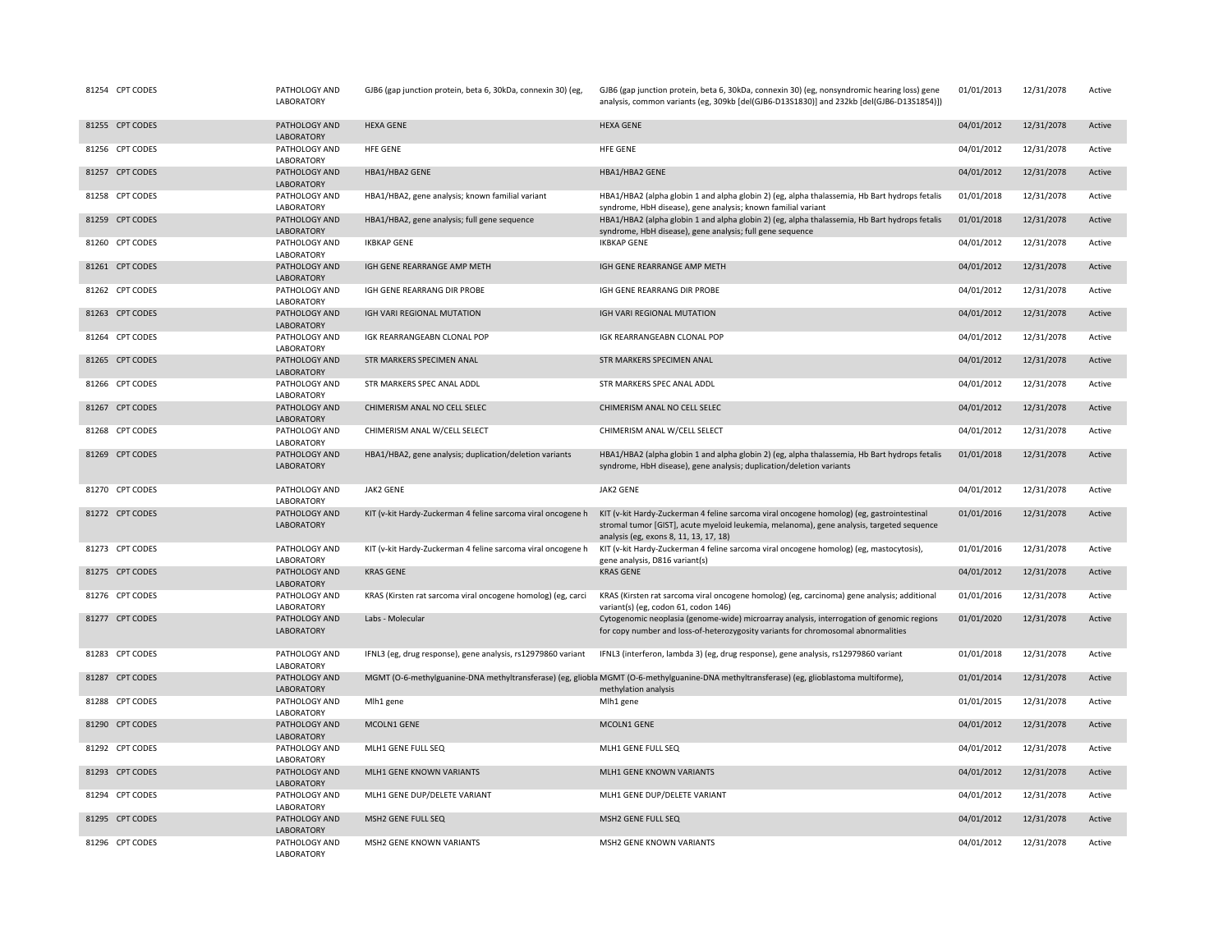| 81254 CPT CODES | PATHOLOGY AND<br>LABORATORY        | GJB6 (gap junction protein, beta 6, 30kDa, connexin 30) (eg, | GJB6 (gap junction protein, beta 6, 30kDa, connexin 30) (eg, nonsyndromic hearing loss) gene<br>analysis, common variants (eg, 309kb [del(GJB6-D13S1830)] and 232kb [del(GJB6-D13S1854)])                                        | 01/01/2013 | 12/31/2078 | Active |
|-----------------|------------------------------------|--------------------------------------------------------------|----------------------------------------------------------------------------------------------------------------------------------------------------------------------------------------------------------------------------------|------------|------------|--------|
| 81255 CPT CODES | PATHOLOGY AND<br>LABORATORY        | <b>HEXA GENE</b>                                             | <b>HEXA GENE</b>                                                                                                                                                                                                                 | 04/01/2012 | 12/31/2078 | Active |
| 81256 CPT CODES | PATHOLOGY AND<br>LABORATORY        | <b>HFE GENE</b>                                              | HFE GENE                                                                                                                                                                                                                         | 04/01/2012 | 12/31/2078 | Active |
| 81257 CPT CODES | PATHOLOGY AND<br>LABORATORY        | HBA1/HBA2 GENE                                               | HBA1/HBA2 GENE                                                                                                                                                                                                                   | 04/01/2012 | 12/31/2078 | Active |
| 81258 CPT CODES | PATHOLOGY AND<br>LABORATORY        | HBA1/HBA2, gene analysis; known familial variant             | HBA1/HBA2 (alpha globin 1 and alpha globin 2) (eg, alpha thalassemia, Hb Bart hydrops fetalis<br>syndrome, HbH disease), gene analysis; known familial variant                                                                   | 01/01/2018 | 12/31/2078 | Active |
| 81259 CPT CODES | PATHOLOGY AND<br>LABORATORY        | HBA1/HBA2, gene analysis; full gene sequence                 | HBA1/HBA2 (alpha globin 1 and alpha globin 2) (eg, alpha thalassemia, Hb Bart hydrops fetalis<br>syndrome, HbH disease), gene analysis; full gene sequence                                                                       | 01/01/2018 | 12/31/2078 | Active |
| 81260 CPT CODES | PATHOLOGY AND<br>LABORATORY        | <b>IKBKAP GENE</b>                                           | <b>IKBKAP GENE</b>                                                                                                                                                                                                               | 04/01/2012 | 12/31/2078 | Active |
| 81261 CPT CODES | PATHOLOGY AND<br>LABORATORY        | IGH GENE REARRANGE AMP METH                                  | IGH GENE REARRANGE AMP METH                                                                                                                                                                                                      | 04/01/2012 | 12/31/2078 | Active |
| 81262 CPT CODES | PATHOLOGY AND<br>LABORATORY        | IGH GENE REARRANG DIR PROBE                                  | IGH GENE REARRANG DIR PROBE                                                                                                                                                                                                      | 04/01/2012 | 12/31/2078 | Active |
| 81263 CPT CODES | PATHOLOGY AND<br>LABORATORY        | IGH VARI REGIONAL MUTATION                                   | IGH VARI REGIONAL MUTATION                                                                                                                                                                                                       | 04/01/2012 | 12/31/2078 | Active |
| 81264 CPT CODES | PATHOLOGY AND<br>LABORATORY        | IGK REARRANGEABN CLONAL POP                                  | IGK REARRANGEABN CLONAL POP                                                                                                                                                                                                      | 04/01/2012 | 12/31/2078 | Active |
| 81265 CPT CODES | PATHOLOGY AND<br>LABORATORY        | STR MARKERS SPECIMEN ANAL                                    | STR MARKERS SPECIMEN ANAL                                                                                                                                                                                                        | 04/01/2012 | 12/31/2078 | Active |
| 81266 CPT CODES | PATHOLOGY AND<br>LABORATORY        | STR MARKERS SPEC ANAL ADDL                                   | STR MARKERS SPEC ANAL ADDL                                                                                                                                                                                                       | 04/01/2012 | 12/31/2078 | Active |
| 81267 CPT CODES | PATHOLOGY AND<br>LABORATORY        | CHIMERISM ANAL NO CELL SELEC                                 | CHIMERISM ANAL NO CELL SELEC                                                                                                                                                                                                     | 04/01/2012 | 12/31/2078 | Active |
| 81268 CPT CODES | PATHOLOGY AND<br>LABORATORY        | CHIMERISM ANAL W/CELL SELECT                                 | CHIMERISM ANAL W/CELL SELECT                                                                                                                                                                                                     | 04/01/2012 | 12/31/2078 | Active |
| 81269 CPT CODES | PATHOLOGY AND<br><b>LABORATORY</b> | HBA1/HBA2, gene analysis; duplication/deletion variants      | HBA1/HBA2 (alpha globin 1 and alpha globin 2) (eg, alpha thalassemia, Hb Bart hydrops fetalis<br>syndrome, HbH disease), gene analysis; duplication/deletion variants                                                            | 01/01/2018 | 12/31/2078 | Active |
| 81270 CPT CODES | PATHOLOGY AND<br>LABORATORY        | <b>JAK2 GENE</b>                                             | <b>JAK2 GENE</b>                                                                                                                                                                                                                 | 04/01/2012 | 12/31/2078 | Active |
| 81272 CPT CODES | PATHOLOGY AND<br>LABORATORY        | KIT (v-kit Hardy-Zuckerman 4 feline sarcoma viral oncogene h | KIT (v-kit Hardy-Zuckerman 4 feline sarcoma viral oncogene homolog) (eg, gastrointestinal<br>stromal tumor [GIST], acute myeloid leukemia, melanoma), gene analysis, targeted sequence<br>analysis (eg, exons 8, 11, 13, 17, 18) | 01/01/2016 | 12/31/2078 | Active |
| 81273 CPT CODES | PATHOLOGY AND<br>LABORATORY        | KIT (v-kit Hardy-Zuckerman 4 feline sarcoma viral oncogene h | KIT (v-kit Hardy-Zuckerman 4 feline sarcoma viral oncogene homolog) (eg, mastocytosis),<br>gene analysis, D816 variant(s)                                                                                                        | 01/01/2016 | 12/31/2078 | Active |
| 81275 CPT CODES | PATHOLOGY AND<br>LABORATORY        | <b>KRAS GENE</b>                                             | <b>KRAS GENE</b>                                                                                                                                                                                                                 | 04/01/2012 | 12/31/2078 | Active |
| 81276 CPT CODES | PATHOLOGY AND<br>LABORATORY        | KRAS (Kirsten rat sarcoma viral oncogene homolog) (eg, carci | KRAS (Kirsten rat sarcoma viral oncogene homolog) (eg, carcinoma) gene analysis; additional<br>variant(s) (eg, codon 61, codon 146)                                                                                              | 01/01/2016 | 12/31/2078 | Active |
| 81277 CPT CODES | PATHOLOGY AND<br>LABORATORY        | Labs - Molecular                                             | Cytogenomic neoplasia (genome-wide) microarray analysis, interrogation of genomic regions<br>for copy number and loss-of-heterozygosity variants for chromosomal abnormalities                                                   | 01/01/2020 | 12/31/2078 | Active |
| 81283 CPT CODES | PATHOLOGY AND<br>LABORATORY        | IFNL3 (eg, drug response), gene analysis, rs12979860 variant | IFNL3 (interferon, lambda 3) (eg, drug response), gene analysis, rs12979860 variant                                                                                                                                              | 01/01/2018 | 12/31/2078 | Active |
| 81287 CPT CODES | PATHOLOGY AND<br>LABORATORY        |                                                              | MGMT (O-6-methylguanine-DNA methyltransferase) (eg, gliobla MGMT (O-6-methylguanine-DNA methyltransferase) (eg, glioblastoma multiforme),<br>methylation analysis                                                                | 01/01/2014 | 12/31/2078 | Active |
| 81288 CPT CODES | PATHOLOGY AND<br>LABORATORY        | Mlh1 gene                                                    | Mlh1 gene                                                                                                                                                                                                                        | 01/01/2015 | 12/31/2078 | Active |
| 81290 CPT CODES | PATHOLOGY AND<br><b>LABORATORY</b> | MCOLN1 GENE                                                  | MCOLN1 GENE                                                                                                                                                                                                                      | 04/01/2012 | 12/31/2078 | Active |
| 81292 CPT CODES | PATHOLOGY AND<br>LABORATORY        | MLH1 GENE FULL SEQ                                           | MLH1 GENE FULL SEQ                                                                                                                                                                                                               | 04/01/2012 | 12/31/2078 | Active |
| 81293 CPT CODES | PATHOLOGY AND<br>LABORATORY        | MLH1 GENE KNOWN VARIANTS                                     | MLH1 GENE KNOWN VARIANTS                                                                                                                                                                                                         | 04/01/2012 | 12/31/2078 | Active |
| 81294 CPT CODES | PATHOLOGY AND<br>LABORATORY        | MLH1 GENE DUP/DELETE VARIANT                                 | MLH1 GENE DUP/DELETE VARIANT                                                                                                                                                                                                     | 04/01/2012 | 12/31/2078 | Active |
| 81295 CPT CODES | PATHOLOGY AND<br>LABORATORY        | MSH2 GENE FULL SEQ                                           | MSH2 GENE FULL SEQ                                                                                                                                                                                                               | 04/01/2012 | 12/31/2078 | Active |
| 81296 CPT CODES | PATHOLOGY AND<br><b>LABORATORY</b> | MSH2 GENE KNOWN VARIANTS                                     | MSH2 GENE KNOWN VARIANTS                                                                                                                                                                                                         | 04/01/2012 | 12/31/2078 | Active |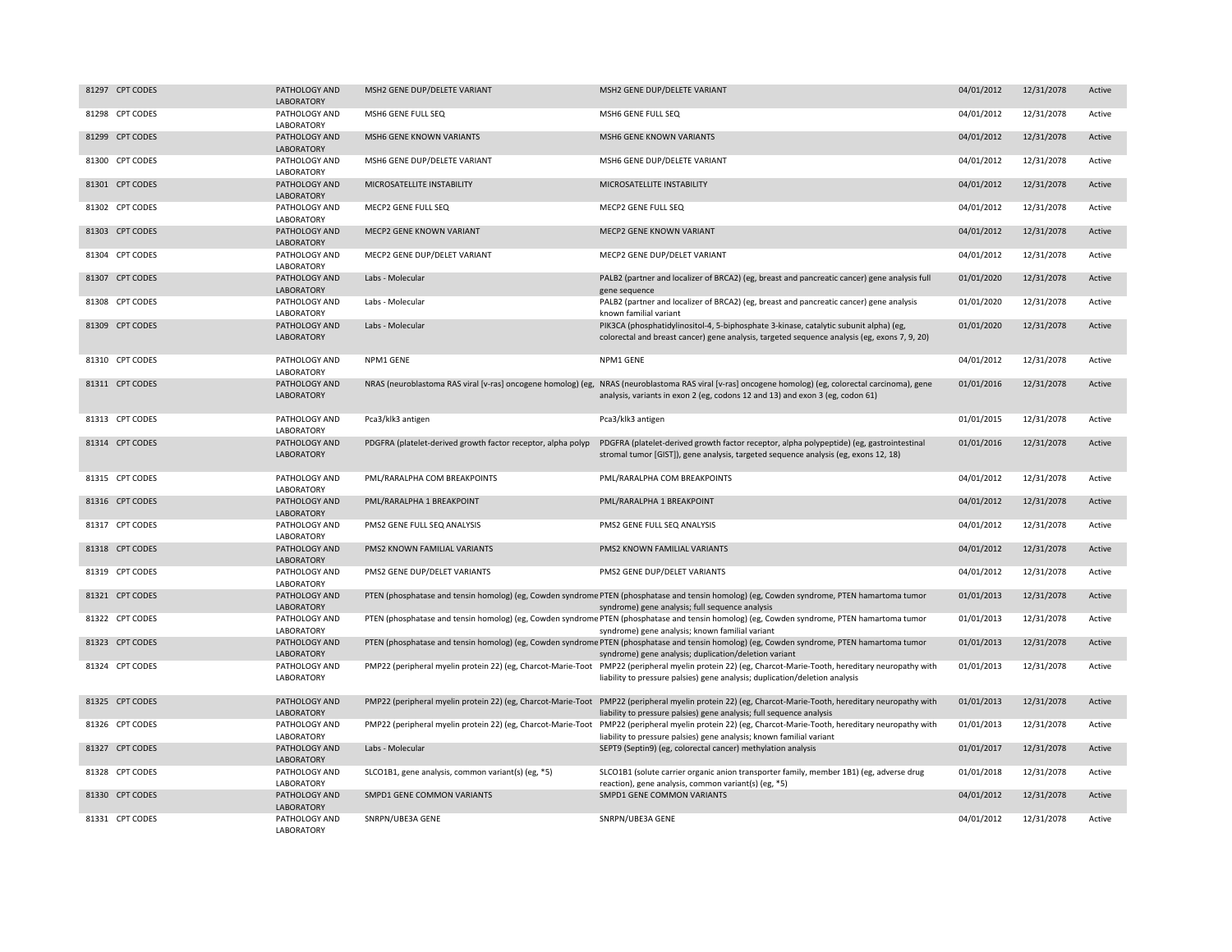| 81297 CPT CODES | PATHOLOGY AND<br><b>LABORATORY</b> | MSH2 GENE DUP/DELETE VARIANT                                 | MSH2 GENE DUP/DELETE VARIANT                                                                                                                                                                                                           | 04/01/2012 | 12/31/2078 | Active |
|-----------------|------------------------------------|--------------------------------------------------------------|----------------------------------------------------------------------------------------------------------------------------------------------------------------------------------------------------------------------------------------|------------|------------|--------|
| 81298 CPT CODES | PATHOLOGY AND<br>LABORATORY        | MSH6 GENE FULL SEQ                                           | MSH6 GENE FULL SEQ                                                                                                                                                                                                                     | 04/01/2012 | 12/31/2078 | Active |
| 81299 CPT CODES | PATHOLOGY AND<br>LABORATORY        | <b>MSH6 GENE KNOWN VARIANTS</b>                              | <b>MSH6 GENE KNOWN VARIANTS</b>                                                                                                                                                                                                        | 04/01/2012 | 12/31/2078 | Active |
| 81300 CPT CODES | PATHOLOGY AND<br>LABORATORY        | MSH6 GENE DUP/DELETE VARIANT                                 | MSH6 GENE DUP/DELETE VARIANT                                                                                                                                                                                                           | 04/01/2012 | 12/31/2078 | Active |
| 81301 CPT CODES | PATHOLOGY AND<br>LABORATORY        | MICROSATELLITE INSTABILITY                                   | MICROSATELLITE INSTABILITY                                                                                                                                                                                                             | 04/01/2012 | 12/31/2078 | Active |
| 81302 CPT CODES | PATHOLOGY AND<br>LABORATORY        | MECP2 GENE FULL SEQ                                          | MECP2 GENE FULL SEQ                                                                                                                                                                                                                    | 04/01/2012 | 12/31/2078 | Active |
| 81303 CPT CODES | PATHOLOGY AND<br><b>LABORATORY</b> | MECP2 GENE KNOWN VARIANT                                     | MECP2 GENE KNOWN VARIANT                                                                                                                                                                                                               | 04/01/2012 | 12/31/2078 | Active |
| 81304 CPT CODES | PATHOLOGY AND<br>LABORATORY        | MECP2 GENE DUP/DELET VARIANT                                 | MECP2 GENE DUP/DELET VARIANT                                                                                                                                                                                                           | 04/01/2012 | 12/31/2078 | Active |
| 81307 CPT CODES | PATHOLOGY AND<br><b>LABORATORY</b> | Labs - Molecular                                             | PALB2 (partner and localizer of BRCA2) (eg, breast and pancreatic cancer) gene analysis full<br>gene sequence                                                                                                                          | 01/01/2020 | 12/31/2078 | Active |
| 81308 CPT CODES | PATHOLOGY AND<br>LABORATORY        | Labs - Molecular                                             | PALB2 (partner and localizer of BRCA2) (eg, breast and pancreatic cancer) gene analysis<br>known familial variant                                                                                                                      | 01/01/2020 | 12/31/2078 | Active |
| 81309 CPT CODES | PATHOLOGY AND<br><b>LABORATORY</b> | Labs - Molecular                                             | PIK3CA (phosphatidylinositol-4, 5-biphosphate 3-kinase, catalytic subunit alpha) (eg,<br>colorectal and breast cancer) gene analysis, targeted sequence analysis (eg, exons 7, 9, 20)                                                  | 01/01/2020 | 12/31/2078 | Active |
| 81310 CPT CODES | PATHOLOGY AND<br>LABORATORY        | NPM1 GENE                                                    | NPM1 GENE                                                                                                                                                                                                                              | 04/01/2012 | 12/31/2078 | Active |
| 81311 CPT CODES | PATHOLOGY AND<br>LABORATORY        |                                                              | NRAS (neuroblastoma RAS viral [v-ras] oncogene homolog) (eg, NRAS (neuroblastoma RAS viral [v-ras] oncogene homolog) (eg, colorectal carcinoma), gene<br>analysis, variants in exon 2 (eg, codons 12 and 13) and exon 3 (eg, codon 61) | 01/01/2016 | 12/31/2078 | Active |
| 81313 CPT CODES | PATHOLOGY AND<br>LABORATORY        | Pca3/klk3 antigen                                            | Pca3/klk3 antigen                                                                                                                                                                                                                      | 01/01/2015 | 12/31/2078 | Active |
| 81314 CPT CODES | PATHOLOGY AND<br><b>LABORATORY</b> | PDGFRA (platelet-derived growth factor receptor, alpha polyp | PDGFRA (platelet-derived growth factor receptor, alpha polypeptide) (eg, gastrointestinal<br>stromal tumor [GIST]), gene analysis, targeted sequence analysis (eg, exons 12, 18)                                                       | 01/01/2016 | 12/31/2078 | Active |
| 81315 CPT CODES | PATHOLOGY AND<br>LABORATORY        | PML/RARALPHA COM BREAKPOINTS                                 | PML/RARALPHA COM BREAKPOINTS                                                                                                                                                                                                           | 04/01/2012 | 12/31/2078 | Active |
| 81316 CPT CODES | PATHOLOGY AND<br>LABORATORY        | PML/RARALPHA 1 BREAKPOINT                                    | PML/RARALPHA 1 BREAKPOINT                                                                                                                                                                                                              | 04/01/2012 | 12/31/2078 | Active |
| 81317 CPT CODES | PATHOLOGY AND<br>LABORATORY        | PMS2 GENE FULL SEQ ANALYSIS                                  | PMS2 GENE FULL SEQ ANALYSIS                                                                                                                                                                                                            | 04/01/2012 | 12/31/2078 | Active |
| 81318 CPT CODES | PATHOLOGY AND<br><b>LABORATORY</b> | PMS2 KNOWN FAMILIAL VARIANTS                                 | PMS2 KNOWN FAMILIAL VARIANTS                                                                                                                                                                                                           | 04/01/2012 | 12/31/2078 | Active |
| 81319 CPT CODES | PATHOLOGY AND<br>LABORATORY        | PMS2 GENE DUP/DELET VARIANTS                                 | PMS2 GENE DUP/DELET VARIANTS                                                                                                                                                                                                           | 04/01/2012 | 12/31/2078 | Active |
| 81321 CPT CODES | PATHOLOGY AND<br>LABORATORY        |                                                              | PTEN (phosphatase and tensin homolog) (eg, Cowden syndrome PTEN (phosphatase and tensin homolog) (eg, Cowden syndrome, PTEN hamartoma tumor<br>syndrome) gene analysis; full sequence analysis                                         | 01/01/2013 | 12/31/2078 | Active |
| 81322 CPT CODES | PATHOLOGY AND<br>LABORATORY        |                                                              | PTEN (phosphatase and tensin homolog) (eg, Cowden syndrome PTEN (phosphatase and tensin homolog) (eg, Cowden syndrome, PTEN hamartoma tumor<br>syndrome) gene analysis; known familial variant                                         | 01/01/2013 | 12/31/2078 | Active |
| 81323 CPT CODES | PATHOLOGY AND<br>LABORATORY        |                                                              | PTEN (phosphatase and tensin homolog) (eg, Cowden syndrome PTEN (phosphatase and tensin homolog) (eg, Cowden syndrome, PTEN hamartoma tumor<br>syndrome) gene analysis; duplication/deletion variant                                   | 01/01/2013 | 12/31/2078 | Active |
| 81324 CPT CODES | PATHOLOGY AND<br>LABORATORY        |                                                              | PMP22 (peripheral myelin protein 22) (eg, Charcot-Marie-Toot PMP22 (peripheral myelin protein 22) (eg, Charcot-Marie-Tooth, hereditary neuropathy with<br>liability to pressure palsies) gene analysis; duplication/deletion analysis  | 01/01/2013 | 12/31/2078 | Active |
| 81325 CPT CODES | PATHOLOGY AND<br>LABORATORY        |                                                              | PMP22 (peripheral myelin protein 22) (eg, Charcot-Marie-Toot PMP22 (peripheral myelin protein 22) (eg, Charcot-Marie-Tooth, hereditary neuropathy with<br>liability to pressure palsies) gene analysis; full sequence analysis         | 01/01/2013 | 12/31/2078 | Active |
| 81326 CPT CODES | PATHOLOGY AND<br>LABORATORY        |                                                              | PMP22 (peripheral myelin protein 22) (eg, Charcot-Marie-Toot PMP22 (peripheral myelin protein 22) (eg, Charcot-Marie-Tooth, hereditary neuropathy with<br>liability to pressure palsies) gene analysis; known familial variant         | 01/01/2013 | 12/31/2078 | Active |
| 81327 CPT CODES | PATHOLOGY AND<br>LABORATORY        | Labs - Molecular                                             | SEPT9 (Septin9) (eg, colorectal cancer) methylation analysis                                                                                                                                                                           | 01/01/2017 | 12/31/2078 | Active |
| 81328 CPT CODES | PATHOLOGY AND<br>LABORATORY        | SLCO1B1, gene analysis, common variant(s) (eg, *5)           | SLCO1B1 (solute carrier organic anion transporter family, member 1B1) (eg, adverse drug<br>reaction), gene analysis, common variant(s) (eg, *5)                                                                                        | 01/01/2018 | 12/31/2078 | Active |
| 81330 CPT CODES | PATHOLOGY AND<br>LABORATORY        | SMPD1 GENE COMMON VARIANTS                                   | SMPD1 GENE COMMON VARIANTS                                                                                                                                                                                                             | 04/01/2012 | 12/31/2078 | Active |
| 81331 CPT CODES | PATHOLOGY AND<br>LABORATORY        | SNRPN/UBE3A GENE                                             | SNRPN/UBE3A GENE                                                                                                                                                                                                                       | 04/01/2012 | 12/31/2078 | Active |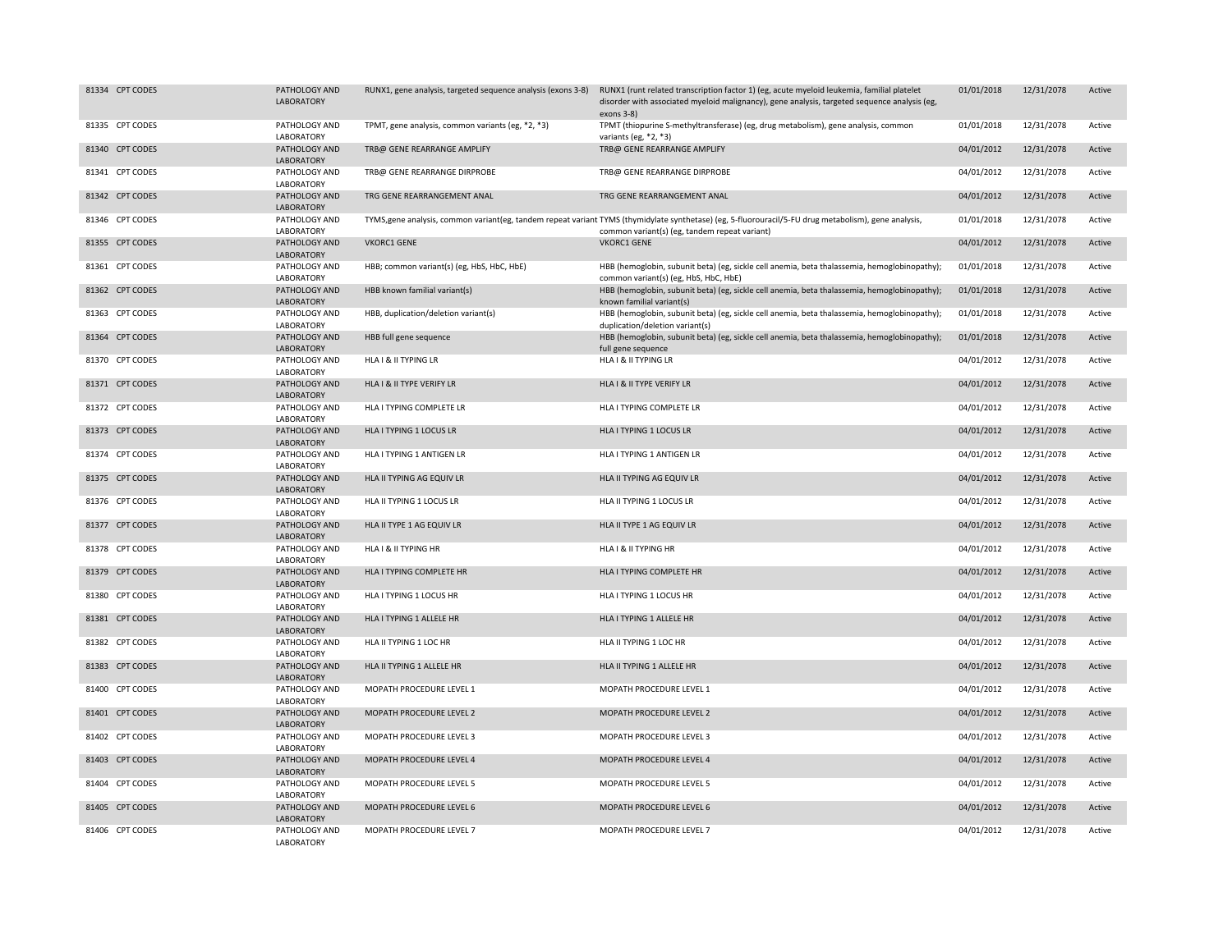| 81334 CPT CODES | PATHOLOGY AND<br>LABORATORY        |                                                   | RUNX1, gene analysis, targeted sequence analysis (exons 3-8) RUNX1 (runt related transcription factor 1) (eg, acute myeloid leukemia, familial platelet<br>disorder with associated myeloid malignancy), gene analysis, targeted sequence analysis (eg,<br>$exons$ 3-8) | 01/01/2018 | 12/31/2078 | Active |
|-----------------|------------------------------------|---------------------------------------------------|-------------------------------------------------------------------------------------------------------------------------------------------------------------------------------------------------------------------------------------------------------------------------|------------|------------|--------|
| 81335 CPT CODES | PATHOLOGY AND<br>LABORATORY        | TPMT, gene analysis, common variants (eg, *2, *3) | TPMT (thiopurine S-methyltransferase) (eg, drug metabolism), gene analysis, common<br>variants (eg, $*2, *3$ )                                                                                                                                                          | 01/01/2018 | 12/31/2078 | Active |
| 81340 CPT CODES | PATHOLOGY AND<br>LABORATORY        | TRB@ GENE REARRANGE AMPLIFY                       | TRB@ GENE REARRANGE AMPLIFY                                                                                                                                                                                                                                             | 04/01/2012 | 12/31/2078 | Active |
| 81341 CPT CODES | PATHOLOGY AND<br>LABORATORY        | TRB@ GENE REARRANGE DIRPROBE                      | TRB@ GENE REARRANGE DIRPROBE                                                                                                                                                                                                                                            | 04/01/2012 | 12/31/2078 | Active |
| 81342 CPT CODES | PATHOLOGY AND<br><b>LABORATORY</b> | TRG GENE REARRANGEMENT ANAL                       | TRG GENE REARRANGEMENT ANAL                                                                                                                                                                                                                                             | 04/01/2012 | 12/31/2078 | Active |
| 81346 CPT CODES | PATHOLOGY AND<br>LABORATORY        |                                                   | TYMS, gene analysis, common variant (eg, tandem repeat variant TYMS (thymidylate synthetase) (eg, 5-fluorouracil/5-FU drug metabolism), gene analysis,<br>common variant(s) (eg, tandem repeat variant)                                                                 | 01/01/2018 | 12/31/2078 | Active |
| 81355 CPT CODES | PATHOLOGY AND<br>LABORATORY        | <b>VKORC1 GENE</b>                                | <b>VKORC1 GENE</b>                                                                                                                                                                                                                                                      | 04/01/2012 | 12/31/2078 | Active |
| 81361 CPT CODES | PATHOLOGY AND<br>LABORATORY        | HBB; common variant(s) (eg, HbS, HbC, HbE)        | HBB (hemoglobin, subunit beta) (eg, sickle cell anemia, beta thalassemia, hemoglobinopathy);<br>common variant(s) (eg, HbS, HbC, HbE)                                                                                                                                   | 01/01/2018 | 12/31/2078 | Active |
| 81362 CPT CODES | PATHOLOGY AND<br>LABORATORY        | HBB known familial variant(s)                     | HBB (hemoglobin, subunit beta) (eg, sickle cell anemia, beta thalassemia, hemoglobinopathy);<br>known familial variant(s)                                                                                                                                               | 01/01/2018 | 12/31/2078 | Active |
| 81363 CPT CODES | PATHOLOGY AND<br>LABORATORY        | HBB, duplication/deletion variant(s)              | HBB (hemoglobin, subunit beta) (eg, sickle cell anemia, beta thalassemia, hemoglobinopathy);<br>duplication/deletion variant(s)                                                                                                                                         | 01/01/2018 | 12/31/2078 | Active |
| 81364 CPT CODES | PATHOLOGY AND<br>LABORATORY        | HBB full gene sequence                            | HBB (hemoglobin, subunit beta) (eg, sickle cell anemia, beta thalassemia, hemoglobinopathy);<br>full gene sequence                                                                                                                                                      | 01/01/2018 | 12/31/2078 | Active |
| 81370 CPT CODES | PATHOLOGY AND<br>LABORATORY        | HLA I & II TYPING LR                              | HLA I & II TYPING LR                                                                                                                                                                                                                                                    | 04/01/2012 | 12/31/2078 | Active |
| 81371 CPT CODES | PATHOLOGY AND<br>LABORATORY        | HLA I & II TYPE VERIFY LR                         | HLA I & II TYPE VERIFY LR                                                                                                                                                                                                                                               | 04/01/2012 | 12/31/2078 | Active |
| 81372 CPT CODES | PATHOLOGY AND<br>LABORATORY        | HLA I TYPING COMPLETE LR                          | HLA I TYPING COMPLETE LR                                                                                                                                                                                                                                                | 04/01/2012 | 12/31/2078 | Active |
| 81373 CPT CODES | PATHOLOGY AND<br>LABORATORY        | HLA I TYPING 1 LOCUS LR                           | HLA I TYPING 1 LOCUS LR                                                                                                                                                                                                                                                 | 04/01/2012 | 12/31/2078 | Active |
| 81374 CPT CODES | PATHOLOGY AND<br>LABORATORY        | HLA I TYPING 1 ANTIGEN LR                         | HLA I TYPING 1 ANTIGEN LR                                                                                                                                                                                                                                               | 04/01/2012 | 12/31/2078 | Active |
| 81375 CPT CODES | PATHOLOGY AND<br>LABORATORY        | HLA II TYPING AG EQUIV LR                         | HLA II TYPING AG EQUIV LR                                                                                                                                                                                                                                               | 04/01/2012 | 12/31/2078 | Active |
| 81376 CPT CODES | PATHOLOGY AND<br>LABORATORY        | HLA II TYPING 1 LOCUS LR                          | HLA II TYPING 1 LOCUS LR                                                                                                                                                                                                                                                | 04/01/2012 | 12/31/2078 | Active |
| 81377 CPT CODES | PATHOLOGY AND<br>LABORATORY        | HLA II TYPE 1 AG EQUIV LR                         | HLA II TYPE 1 AG EQUIV LR                                                                                                                                                                                                                                               | 04/01/2012 | 12/31/2078 | Active |
| 81378 CPT CODES | PATHOLOGY AND<br>LABORATORY        | HLA I & II TYPING HR                              | HLA I & II TYPING HR                                                                                                                                                                                                                                                    | 04/01/2012 | 12/31/2078 | Active |
| 81379 CPT CODES | PATHOLOGY AND<br>LABORATORY        | HLA I TYPING COMPLETE HR                          | HLA I TYPING COMPLETE HR                                                                                                                                                                                                                                                | 04/01/2012 | 12/31/2078 | Active |
| 81380 CPT CODES | PATHOLOGY AND<br>LABORATORY        | HLA I TYPING 1 LOCUS HR                           | HLA I TYPING 1 LOCUS HR                                                                                                                                                                                                                                                 | 04/01/2012 | 12/31/2078 | Active |
| 81381 CPT CODES | PATHOLOGY AND<br>LABORATORY        | HLA I TYPING 1 ALLELE HR                          | HLA I TYPING 1 ALLELE HR                                                                                                                                                                                                                                                | 04/01/2012 | 12/31/2078 | Active |
| 81382 CPT CODES | PATHOLOGY AND<br>LABORATORY        | HLA II TYPING 1 LOC HR                            | HLA II TYPING 1 LOC HR                                                                                                                                                                                                                                                  | 04/01/2012 | 12/31/2078 | Active |
| 81383 CPT CODES | PATHOLOGY AND<br>LABORATORY        | HLA II TYPING 1 ALLELE HR                         | HLA II TYPING 1 ALLELE HR                                                                                                                                                                                                                                               | 04/01/2012 | 12/31/2078 | Active |
| 81400 CPT CODES | PATHOLOGY AND<br>LABORATORY        | MOPATH PROCEDURE LEVEL 1                          | MOPATH PROCEDURE LEVEL 1                                                                                                                                                                                                                                                | 04/01/2012 | 12/31/2078 | Active |
| 81401 CPT CODES | PATHOLOGY AND<br>LABORATORY        | MOPATH PROCEDURE LEVEL 2                          | MOPATH PROCEDURE LEVEL 2                                                                                                                                                                                                                                                | 04/01/2012 | 12/31/2078 | Active |
| 81402 CPT CODES | PATHOLOGY AND<br>LABORATORY        | MOPATH PROCEDURE LEVEL 3                          | MOPATH PROCEDURE LEVEL 3                                                                                                                                                                                                                                                | 04/01/2012 | 12/31/2078 | Active |
| 81403 CPT CODES | PATHOLOGY AND<br>LABORATORY        | MOPATH PROCEDURE LEVEL 4                          | MOPATH PROCEDURE LEVEL 4                                                                                                                                                                                                                                                | 04/01/2012 | 12/31/2078 | Active |
| 81404 CPT CODES | PATHOLOGY AND<br>LABORATORY        | MOPATH PROCEDURE LEVEL 5                          | MOPATH PROCEDURE LEVEL 5                                                                                                                                                                                                                                                | 04/01/2012 | 12/31/2078 | Active |
| 81405 CPT CODES | PATHOLOGY AND<br>LABORATORY        | MOPATH PROCEDURE LEVEL 6                          | MOPATH PROCEDURE LEVEL 6                                                                                                                                                                                                                                                | 04/01/2012 | 12/31/2078 | Active |
| 81406 CPT CODES | PATHOLOGY AND<br>LABORATORY        | MOPATH PROCEDURE LEVEL 7                          | MOPATH PROCEDURE LEVEL 7                                                                                                                                                                                                                                                | 04/01/2012 | 12/31/2078 | Active |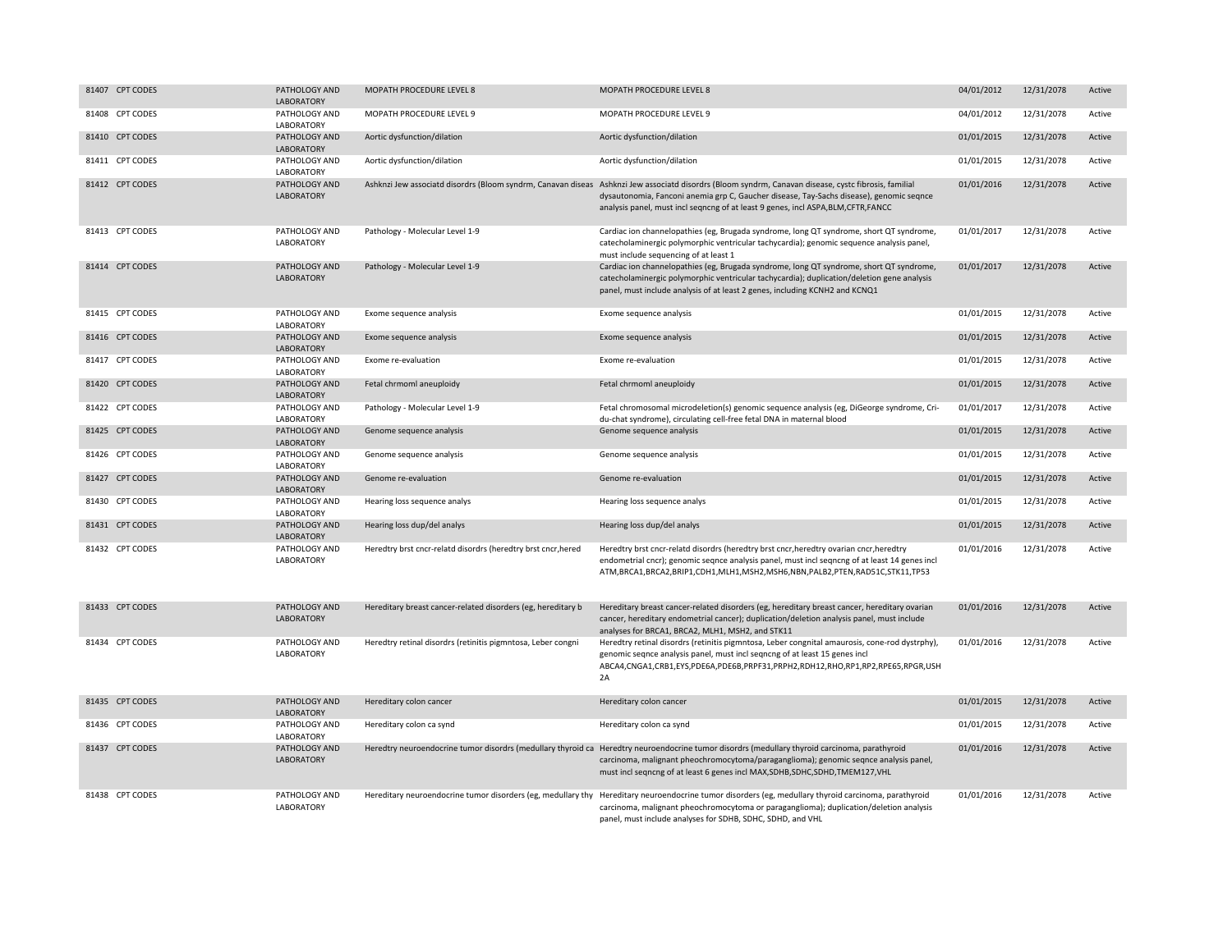| 81407 CPT CODES | PATHOLOGY AND<br>LABORATORY        | MOPATH PROCEDURE LEVEL 8                                      | MOPATH PROCEDURE LEVEL 8                                                                                                                                                                                                                                                                                                              | 04/01/2012 | 12/31/2078 | Active |
|-----------------|------------------------------------|---------------------------------------------------------------|---------------------------------------------------------------------------------------------------------------------------------------------------------------------------------------------------------------------------------------------------------------------------------------------------------------------------------------|------------|------------|--------|
| 81408 CPT CODES | PATHOLOGY AND<br>LABORATORY        | MOPATH PROCEDURE LEVEL 9                                      | MOPATH PROCEDURE LEVEL 9                                                                                                                                                                                                                                                                                                              | 04/01/2012 | 12/31/2078 | Active |
| 81410 CPT CODES | PATHOLOGY AND<br>LABORATORY        | Aortic dysfunction/dilation                                   | Aortic dysfunction/dilation                                                                                                                                                                                                                                                                                                           | 01/01/2015 | 12/31/2078 | Active |
| 81411 CPT CODES | PATHOLOGY AND<br>LABORATORY        | Aortic dysfunction/dilation                                   | Aortic dysfunction/dilation                                                                                                                                                                                                                                                                                                           | 01/01/2015 | 12/31/2078 | Active |
| 81412 CPT CODES | PATHOLOGY AND<br><b>LABORATORY</b> |                                                               | Ashknzi Jew associatd disordrs (Bloom syndrm, Canavan diseas Ashknzi Jew associatd disordrs (Bloom syndrm, Canavan disease, cystc fibrosis, familial<br>dysautonomia, Fanconi anemia grp C, Gaucher disease, Tay-Sachs disease), genomic seqnce<br>analysis panel, must incl seqncng of at least 9 genes, incl ASPA, BLM, CFTR, FANCC | 01/01/2016 | 12/31/2078 | Active |
| 81413 CPT CODES | PATHOLOGY AND<br>LABORATORY        | Pathology - Molecular Level 1-9                               | Cardiac ion channelopathies (eg, Brugada syndrome, long QT syndrome, short QT syndrome,<br>catecholaminergic polymorphic ventricular tachycardia); genomic sequence analysis panel,<br>must include sequencing of at least 1                                                                                                          | 01/01/2017 | 12/31/2078 | Active |
| 81414 CPT CODES | PATHOLOGY AND<br>LABORATORY        | Pathology - Molecular Level 1-9                               | Cardiac ion channelopathies (eg, Brugada syndrome, long QT syndrome, short QT syndrome,<br>catecholaminergic polymorphic ventricular tachycardia); duplication/deletion gene analysis<br>panel, must include analysis of at least 2 genes, including KCNH2 and KCNQ1                                                                  | 01/01/2017 | 12/31/2078 | Active |
| 81415 CPT CODES | PATHOLOGY AND<br>LABORATORY        | Exome sequence analysis                                       | Exome sequence analysis                                                                                                                                                                                                                                                                                                               | 01/01/2015 | 12/31/2078 | Active |
| 81416 CPT CODES | PATHOLOGY AND<br>LABORATORY        | Exome sequence analysis                                       | Exome sequence analysis                                                                                                                                                                                                                                                                                                               | 01/01/2015 | 12/31/2078 | Active |
| 81417 CPT CODES | PATHOLOGY AND<br>LABORATORY        | Exome re-evaluation                                           | Exome re-evaluation                                                                                                                                                                                                                                                                                                                   | 01/01/2015 | 12/31/2078 | Active |
| 81420 CPT CODES | PATHOLOGY AND<br>LABORATORY        | Fetal chrmoml aneuploidy                                      | Fetal chrmoml aneuploidy                                                                                                                                                                                                                                                                                                              | 01/01/2015 | 12/31/2078 | Active |
| 81422 CPT CODES | PATHOLOGY AND<br>LABORATORY        | Pathology - Molecular Level 1-9                               | Fetal chromosomal microdeletion(s) genomic sequence analysis (eg, DiGeorge syndrome, Cri-<br>du-chat syndrome), circulating cell-free fetal DNA in maternal blood                                                                                                                                                                     | 01/01/2017 | 12/31/2078 | Active |
| 81425 CPT CODES | PATHOLOGY AND<br><b>LABORATORY</b> | Genome sequence analysis                                      | Genome sequence analysis                                                                                                                                                                                                                                                                                                              | 01/01/2015 | 12/31/2078 | Active |
| 81426 CPT CODES | PATHOLOGY AND<br>LABORATORY        | Genome sequence analysis                                      | Genome sequence analysis                                                                                                                                                                                                                                                                                                              | 01/01/2015 | 12/31/2078 | Active |
| 81427 CPT CODES | PATHOLOGY AND<br>LABORATORY        | Genome re-evaluation                                          | Genome re-evaluation                                                                                                                                                                                                                                                                                                                  | 01/01/2015 | 12/31/2078 | Active |
| 81430 CPT CODES | PATHOLOGY AND<br>LABORATORY        | Hearing loss sequence analys                                  | Hearing loss sequence analys                                                                                                                                                                                                                                                                                                          | 01/01/2015 | 12/31/2078 | Active |
| 81431 CPT CODES | PATHOLOGY AND<br>LABORATORY        | Hearing loss dup/del analys                                   | Hearing loss dup/del analys                                                                                                                                                                                                                                                                                                           | 01/01/2015 | 12/31/2078 | Active |
| 81432 CPT CODES | PATHOLOGY AND<br>LABORATORY        | Heredtry brst cncr-relatd disordrs (heredtry brst cncr, hered | Heredtry brst cncr-relatd disordrs (heredtry brst cncr, heredtry ovarian cncr, heredtry<br>endometrial cncr); genomic seqnce analysis panel, must incl seqncng of at least 14 genes incl<br>ATM,BRCA1,BRCA2,BRIP1,CDH1,MLH1,MSH2,MSH6,NBN,PALB2,PTEN,RAD51C,STK11,TP53                                                                | 01/01/2016 | 12/31/2078 | Active |
| 81433 CPT CODES | PATHOLOGY AND<br>LABORATORY        | Hereditary breast cancer-related disorders (eg, hereditary b  | Hereditary breast cancer-related disorders (eg, hereditary breast cancer, hereditary ovarian<br>cancer, hereditary endometrial cancer); duplication/deletion analysis panel, must include<br>analyses for BRCA1, BRCA2, MLH1, MSH2, and STK11                                                                                         | 01/01/2016 | 12/31/2078 | Active |
| 81434 CPT CODES | PATHOLOGY AND<br>LABORATORY        | Heredtry retinal disordrs (retinitis pigmntosa, Leber congni  | Heredtry retinal disordrs (retinitis pigmntosa, Leber congnital amaurosis, cone-rod dystrphy),<br>genomic seqnce analysis panel, must incl seqncng of at least 15 genes incl<br>ABCA4,CNGA1,CRB1,EYS,PDE6A,PDE6B,PRPF31,PRPH2,RDH12,RHO,RP1,RP2,RPE65,RPGR,USH<br>2A                                                                  | 01/01/2016 | 12/31/2078 | Active |
| 81435 CPT CODES | PATHOLOGY AND<br>LABORATORY        | Hereditary colon cancer                                       | Hereditary colon cancer                                                                                                                                                                                                                                                                                                               | 01/01/2015 | 12/31/2078 | Active |
| 81436 CPT CODES | PATHOLOGY AND<br>LABORATORY        | Hereditary colon ca synd                                      | Hereditary colon ca synd                                                                                                                                                                                                                                                                                                              | 01/01/2015 | 12/31/2078 | Active |
| 81437 CPT CODES | PATHOLOGY AND<br><b>LABORATORY</b> |                                                               | Heredtry neuroendocrine tumor disordrs (medullary thyroid ca Heredtry neuroendocrine tumor disordrs (medullary thyroid carcinoma, parathyroid<br>carcinoma, malignant pheochromocytoma/paraganglioma); genomic seqnce analysis panel,<br>must incl seqncng of at least 6 genes incl MAX, SDHB, SDHC, SDHD, TMEM127, VHL               | 01/01/2016 | 12/31/2078 | Active |
| 81438 CPT CODES | PATHOLOGY AND<br>LABORATORY        |                                                               | Hereditary neuroendocrine tumor disorders (eg, medullary thy Hereditary neuroendocrine tumor disorders (eg, medullary thyroid carcinoma, parathyroid<br>carcinoma, malignant pheochromocytoma or paraganglioma); duplication/deletion analysis<br>panel, must include analyses for SDHB, SDHC, SDHD, and VHL                          | 01/01/2016 | 12/31/2078 | Active |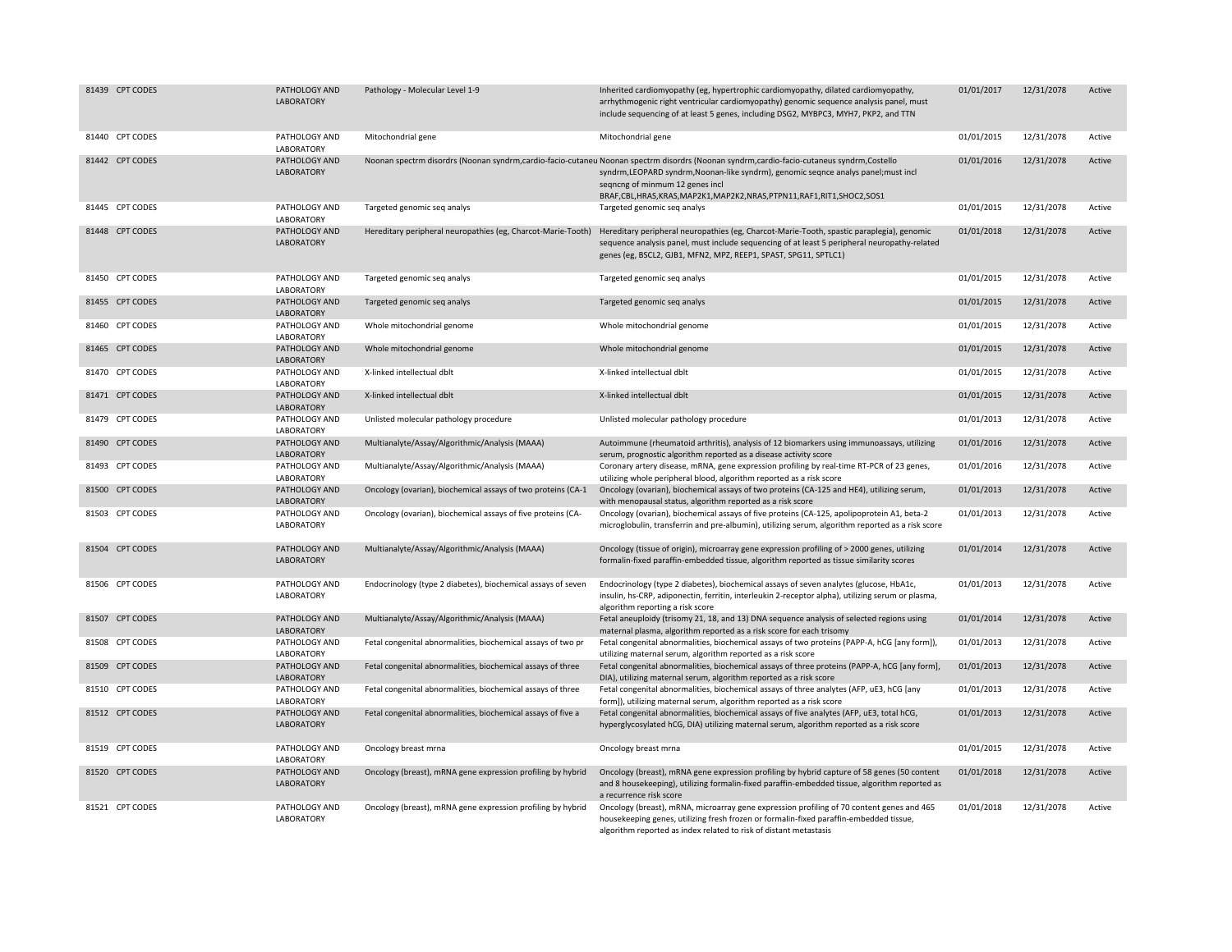| 81439 CPT CODES | PATHOLOGY AND<br>LABORATORY        | Pathology - Molecular Level 1-9                              | Inherited cardiomyopathy (eg, hypertrophic cardiomyopathy, dilated cardiomyopathy,<br>arrhythmogenic right ventricular cardiomyopathy) genomic sequence analysis panel, must<br>include sequencing of at least 5 genes, including DSG2, MYBPC3, MYH7, PKP2, and TTN                                                                     | 01/01/2017 | 12/31/2078 | Active |
|-----------------|------------------------------------|--------------------------------------------------------------|-----------------------------------------------------------------------------------------------------------------------------------------------------------------------------------------------------------------------------------------------------------------------------------------------------------------------------------------|------------|------------|--------|
| 81440 CPT CODES | PATHOLOGY AND<br>LABORATORY        | Mitochondrial gene                                           | Mitochondrial gene                                                                                                                                                                                                                                                                                                                      | 01/01/2015 | 12/31/2078 | Active |
| 81442 CPT CODES | PATHOLOGY AND<br><b>LABORATORY</b> |                                                              | Noonan spectrm disordrs (Noonan syndrm,cardio-facio-cutaneu Noonan spectrm disordrs (Noonan syndrm,cardio-facio-cutaneus syndrm,Costello<br>syndrm, LEOPARD syndrm, Noonan-like syndrm), genomic seqnce analys panel; must incl<br>seqncng of minmum 12 genes incl<br>BRAF,CBL,HRAS,KRAS,MAP2K1,MAP2K2,NRAS,PTPN11,RAF1,RIT1,SHOC2,SOS1 | 01/01/2016 | 12/31/2078 | Active |
| 81445 CPT CODES | PATHOLOGY AND<br>LABORATORY        | Targeted genomic seq analys                                  | Targeted genomic seq analys                                                                                                                                                                                                                                                                                                             | 01/01/2015 | 12/31/2078 | Active |
| 81448 CPT CODES | PATHOLOGY AND<br>LABORATORY        |                                                              | Hereditary peripheral neuropathies (eg, Charcot-Marie-Tooth) Hereditary peripheral neuropathies (eg, Charcot-Marie-Tooth, spastic paraplegia), genomic<br>sequence analysis panel, must include sequencing of at least 5 peripheral neuropathy-related<br>genes (eg, BSCL2, GJB1, MFN2, MPZ, REEP1, SPAST, SPG11, SPTLC1)               | 01/01/2018 | 12/31/2078 | Active |
| 81450 CPT CODES | PATHOLOGY AND<br>LABORATORY        | Targeted genomic seq analys                                  | Targeted genomic seq analys                                                                                                                                                                                                                                                                                                             | 01/01/2015 | 12/31/2078 | Active |
| 81455 CPT CODES | PATHOLOGY AND<br>LABORATORY        | Targeted genomic seq analys                                  | Targeted genomic seq analys                                                                                                                                                                                                                                                                                                             | 01/01/2015 | 12/31/2078 | Active |
| 81460 CPT CODES | PATHOLOGY AND<br>LABORATORY        | Whole mitochondrial genome                                   | Whole mitochondrial genome                                                                                                                                                                                                                                                                                                              | 01/01/2015 | 12/31/2078 | Active |
| 81465 CPT CODES | PATHOLOGY AND<br>LABORATORY        | Whole mitochondrial genome                                   | Whole mitochondrial genome                                                                                                                                                                                                                                                                                                              | 01/01/2015 | 12/31/2078 | Active |
| 81470 CPT CODES | PATHOLOGY AND<br>LABORATORY        | X-linked intellectual dblt                                   | X-linked intellectual dblt                                                                                                                                                                                                                                                                                                              | 01/01/2015 | 12/31/2078 | Active |
| 81471 CPT CODES | PATHOLOGY AND<br>LABORATORY        | X-linked intellectual dblt                                   | X-linked intellectual dblt                                                                                                                                                                                                                                                                                                              | 01/01/2015 | 12/31/2078 | Active |
| 81479 CPT CODES | PATHOLOGY AND<br><b>LABORATORY</b> | Unlisted molecular pathology procedure                       | Unlisted molecular pathology procedure                                                                                                                                                                                                                                                                                                  | 01/01/2013 | 12/31/2078 | Active |
| 81490 CPT CODES | PATHOLOGY AND<br>LABORATORY        | Multianalyte/Assay/Algorithmic/Analysis (MAAA)               | Autoimmune (rheumatoid arthritis), analysis of 12 biomarkers using immunoassays, utilizing<br>serum, prognostic algorithm reported as a disease activity score                                                                                                                                                                          | 01/01/2016 | 12/31/2078 | Active |
| 81493 CPT CODES | PATHOLOGY AND<br>LABORATORY        | Multianalyte/Assay/Algorithmic/Analysis (MAAA)               | Coronary artery disease, mRNA, gene expression profiling by real-time RT-PCR of 23 genes,<br>utilizing whole peripheral blood, algorithm reported as a risk score                                                                                                                                                                       | 01/01/2016 | 12/31/2078 | Active |
| 81500 CPT CODES | PATHOLOGY AND<br>LABORATORY        | Oncology (ovarian), biochemical assays of two proteins (CA-1 | Oncology (ovarian), biochemical assays of two proteins (CA-125 and HE4), utilizing serum,<br>with menopausal status, algorithm reported as a risk score                                                                                                                                                                                 | 01/01/2013 | 12/31/2078 | Active |
| 81503 CPT CODES | PATHOLOGY AND<br>LABORATORY        | Oncology (ovarian), biochemical assays of five proteins (CA- | Oncology (ovarian), biochemical assays of five proteins (CA-125, apolipoprotein A1, beta-2<br>microglobulin, transferrin and pre-albumin), utilizing serum, algorithm reported as a risk score                                                                                                                                          | 01/01/2013 | 12/31/2078 | Active |
| 81504 CPT CODES | PATHOLOGY AND<br>LABORATORY        | Multianalyte/Assay/Algorithmic/Analysis (MAAA)               | Oncology (tissue of origin), microarray gene expression profiling of > 2000 genes, utilizing<br>formalin-fixed paraffin-embedded tissue, algorithm reported as tissue similarity scores                                                                                                                                                 | 01/01/2014 | 12/31/2078 | Active |
| 81506 CPT CODES | PATHOLOGY AND<br>LABORATORY        | Endocrinology (type 2 diabetes), biochemical assays of seven | Endocrinology (type 2 diabetes), biochemical assays of seven analytes (glucose, HbA1c,<br>insulin, hs-CRP, adiponectin, ferritin, interleukin 2-receptor alpha), utilizing serum or plasma,<br>algorithm reporting a risk score                                                                                                         | 01/01/2013 | 12/31/2078 | Active |
| 81507 CPT CODES | PATHOLOGY AND<br>LABORATORY        | Multianalyte/Assay/Algorithmic/Analysis (MAAA)               | Fetal aneuploidy (trisomy 21, 18, and 13) DNA sequence analysis of selected regions using<br>maternal plasma, algorithm reported as a risk score for each trisomy                                                                                                                                                                       | 01/01/2014 | 12/31/2078 | Active |
| 81508 CPT CODES | PATHOLOGY AND<br>LABORATORY        | Fetal congenital abnormalities, biochemical assays of two pr | Fetal congenital abnormalities, biochemical assays of two proteins (PAPP-A, hCG [any form]),<br>utilizing maternal serum, algorithm reported as a risk score                                                                                                                                                                            | 01/01/2013 | 12/31/2078 | Active |
| 81509 CPT CODES | PATHOLOGY AND<br>LABORATORY        | Fetal congenital abnormalities, biochemical assays of three  | Fetal congenital abnormalities, biochemical assays of three proteins (PAPP-A, hCG [any form],<br>DIA), utilizing maternal serum, algorithm reported as a risk score                                                                                                                                                                     | 01/01/2013 | 12/31/2078 | Active |
| 81510 CPT CODES | PATHOLOGY AND<br>LABORATORY        | Fetal congenital abnormalities, biochemical assays of three  | Fetal congenital abnormalities, biochemical assays of three analytes (AFP, uE3, hCG [any<br>form]), utilizing maternal serum, algorithm reported as a risk score                                                                                                                                                                        | 01/01/2013 | 12/31/2078 | Active |
| 81512 CPT CODES | PATHOLOGY AND<br>LABORATORY        | Fetal congenital abnormalities, biochemical assays of five a | Fetal congenital abnormalities, biochemical assays of five analytes (AFP, uE3, total hCG,<br>hyperglycosylated hCG, DIA) utilizing maternal serum, algorithm reported as a risk score                                                                                                                                                   | 01/01/2013 | 12/31/2078 | Active |
| 81519 CPT CODES | PATHOLOGY AND<br>LABORATORY        | Oncology breast mrna                                         | Oncology breast mrna                                                                                                                                                                                                                                                                                                                    | 01/01/2015 | 12/31/2078 | Active |
| 81520 CPT CODES | PATHOLOGY AND<br>LABORATORY        | Oncology (breast), mRNA gene expression profiling by hybrid  | Oncology (breast), mRNA gene expression profiling by hybrid capture of 58 genes (50 content<br>and 8 housekeeping), utilizing formalin-fixed paraffin-embedded tissue, algorithm reported as<br>a recurrence risk score                                                                                                                 | 01/01/2018 | 12/31/2078 | Active |
| 81521 CPT CODES | PATHOLOGY AND<br>LABORATORY        | Oncology (breast), mRNA gene expression profiling by hybrid  | Oncology (breast), mRNA, microarray gene expression profiling of 70 content genes and 465<br>housekeeping genes, utilizing fresh frozen or formalin-fixed paraffin-embedded tissue,<br>algorithm reported as index related to risk of distant metastasis                                                                                | 01/01/2018 | 12/31/2078 | Active |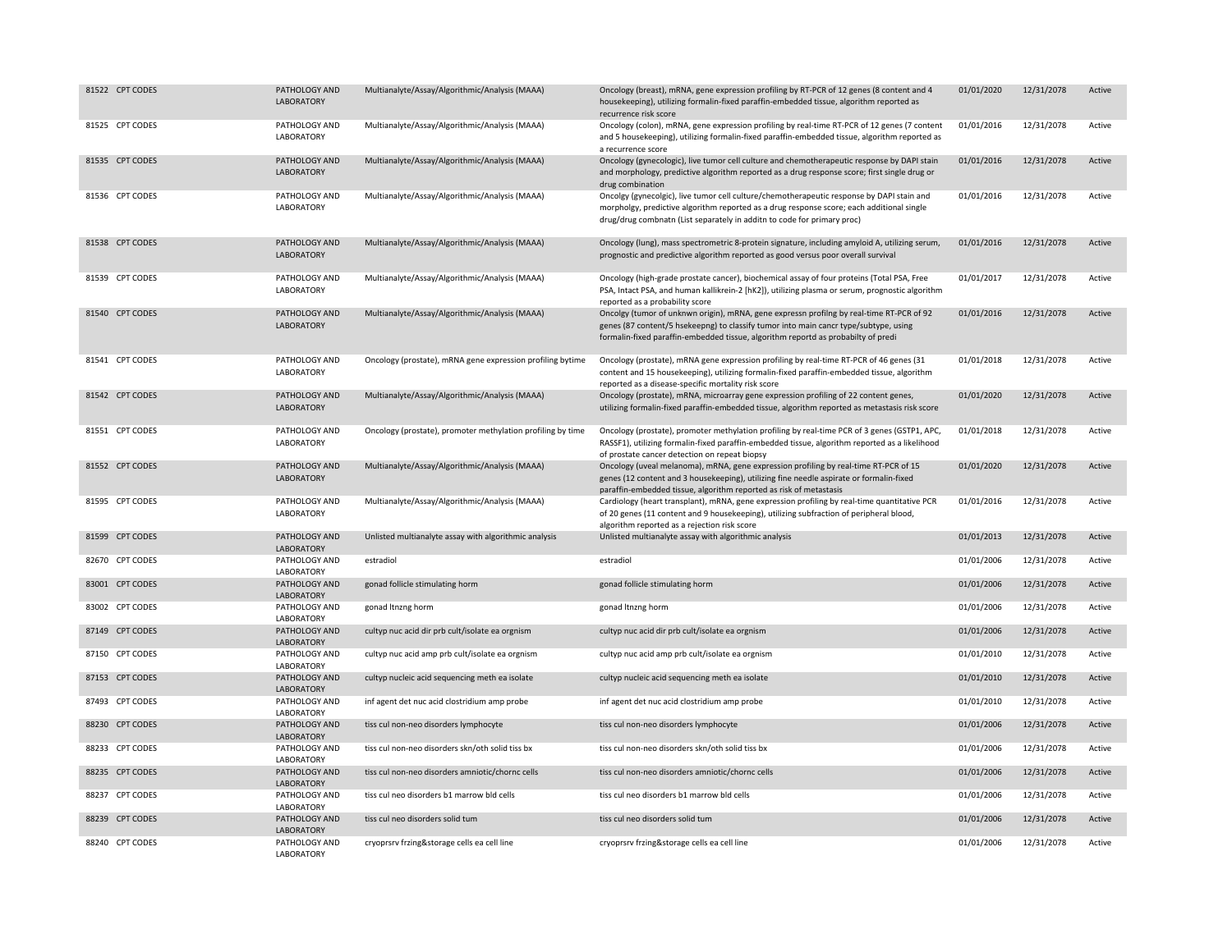| 81522 CPT CODES | PATHOLOGY AND<br>LABORATORY        | Multianalyte/Assay/Algorithmic/Analysis (MAAA)              | Oncology (breast), mRNA, gene expression profiling by RT-PCR of 12 genes (8 content and 4<br>housekeeping), utilizing formalin-fixed paraffin-embedded tissue, algorithm reported as<br>recurrence risk score                                                         | 01/01/2020 | 12/31/2078 | Active |
|-----------------|------------------------------------|-------------------------------------------------------------|-----------------------------------------------------------------------------------------------------------------------------------------------------------------------------------------------------------------------------------------------------------------------|------------|------------|--------|
| 81525 CPT CODES | PATHOLOGY AND<br>LABORATORY        | Multianalyte/Assay/Algorithmic/Analysis (MAAA)              | Oncology (colon), mRNA, gene expression profiling by real-time RT-PCR of 12 genes (7 content<br>and 5 housekeeping), utilizing formalin-fixed paraffin-embedded tissue, algorithm reported as<br>a recurrence score                                                   | 01/01/2016 | 12/31/2078 | Active |
| 81535 CPT CODES | PATHOLOGY AND<br><b>LABORATORY</b> | Multianalyte/Assay/Algorithmic/Analysis (MAAA)              | Oncology (gynecologic), live tumor cell culture and chemotherapeutic response by DAPI stain<br>and morphology, predictive algorithm reported as a drug response score; first single drug or<br>drug combination                                                       | 01/01/2016 | 12/31/2078 | Active |
| 81536 CPT CODES | PATHOLOGY AND<br>LABORATORY        | Multianalyte/Assay/Algorithmic/Analysis (MAAA)              | Oncolgy (gynecolgic), live tumor cell culture/chemotherapeutic response by DAPI stain and<br>morpholgy, predictive algorithm reported as a drug response score; each additional single<br>drug/drug combnatn (List separately in additn to code for primary proc)     | 01/01/2016 | 12/31/2078 | Active |
| 81538 CPT CODES | PATHOLOGY AND<br>LABORATORY        | Multianalyte/Assay/Algorithmic/Analysis (MAAA)              | Oncology (lung), mass spectrometric 8-protein signature, including amyloid A, utilizing serum,<br>prognostic and predictive algorithm reported as good versus poor overall survival                                                                                   | 01/01/2016 | 12/31/2078 | Active |
| 81539 CPT CODES | PATHOLOGY AND<br>LABORATORY        | Multianalyte/Assay/Algorithmic/Analysis (MAAA)              | Oncology (high-grade prostate cancer), biochemical assay of four proteins (Total PSA, Free<br>PSA, Intact PSA, and human kallikrein-2 [hK2]), utilizing plasma or serum, prognostic algorithm<br>reported as a probability score                                      | 01/01/2017 | 12/31/2078 | Active |
| 81540 CPT CODES | PATHOLOGY AND<br><b>LABORATORY</b> | Multianalyte/Assay/Algorithmic/Analysis (MAAA)              | Oncolgy (tumor of unknwn origin), mRNA, gene expressn profilng by real-time RT-PCR of 92<br>genes (87 content/5 hsekeepng) to classify tumor into main cancr type/subtype, using<br>formalin-fixed paraffin-embedded tissue, algorithm reportd as probabilty of predi | 01/01/2016 | 12/31/2078 | Active |
| 81541 CPT CODES | PATHOLOGY AND<br>LABORATORY        | Oncology (prostate), mRNA gene expression profiling bytime  | Oncology (prostate), mRNA gene expression profiling by real-time RT-PCR of 46 genes (31<br>content and 15 housekeeping), utilizing formalin-fixed paraffin-embedded tissue, algorithm<br>reported as a disease-specific mortality risk score                          | 01/01/2018 | 12/31/2078 | Active |
| 81542 CPT CODES | PATHOLOGY AND<br>LABORATORY        | Multianalyte/Assay/Algorithmic/Analysis (MAAA)              | Oncology (prostate), mRNA, microarray gene expression profiling of 22 content genes,<br>utilizing formalin-fixed paraffin-embedded tissue, algorithm reported as metastasis risk score                                                                                | 01/01/2020 | 12/31/2078 | Active |
| 81551 CPT CODES | PATHOLOGY AND<br>LABORATORY        | Oncology (prostate), promoter methylation profiling by time | Oncology (prostate), promoter methylation profiling by real-time PCR of 3 genes (GSTP1, APC,<br>RASSF1), utilizing formalin-fixed paraffin-embedded tissue, algorithm reported as a likelihood<br>of prostate cancer detection on repeat biopsy                       | 01/01/2018 | 12/31/2078 | Active |
| 81552 CPT CODES | PATHOLOGY AND<br>LABORATORY        | Multianalyte/Assay/Algorithmic/Analysis (MAAA)              | Oncology (uveal melanoma), mRNA, gene expression profiling by real-time RT-PCR of 15<br>genes (12 content and 3 housekeeping), utilizing fine needle aspirate or formalin-fixed<br>paraffin-embedded tissue, algorithm reported as risk of metastasis                 | 01/01/2020 | 12/31/2078 | Active |
| 81595 CPT CODES | PATHOLOGY AND<br>LABORATORY        | Multianalyte/Assay/Algorithmic/Analysis (MAAA)              | Cardiology (heart transplant), mRNA, gene expression profiling by real-time quantitative PCR<br>of 20 genes (11 content and 9 housekeeping), utilizing subfraction of peripheral blood,<br>algorithm reported as a rejection risk score                               | 01/01/2016 | 12/31/2078 | Active |
| 81599 CPT CODES | PATHOLOGY AND<br>LABORATORY        | Unlisted multianalyte assay with algorithmic analysis       | Unlisted multianalyte assay with algorithmic analysis                                                                                                                                                                                                                 | 01/01/2013 | 12/31/2078 | Active |
| 82670 CPT CODES | PATHOLOGY AND<br>LABORATORY        | estradiol                                                   | estradiol                                                                                                                                                                                                                                                             | 01/01/2006 | 12/31/2078 | Active |
| 83001 CPT CODES | PATHOLOGY AND<br>LABORATORY        | gonad follicle stimulating horm                             | gonad follicle stimulating horm                                                                                                                                                                                                                                       | 01/01/2006 | 12/31/2078 | Active |
| 83002 CPT CODES | PATHOLOGY AND<br>LABORATORY        | gonad Itnzng horm                                           | gonad Itnzng horm                                                                                                                                                                                                                                                     | 01/01/2006 | 12/31/2078 | Active |
| 87149 CPT CODES | PATHOLOGY AND<br>LABORATORY        | cultyp nuc acid dir prb cult/isolate ea orgnism             | cultyp nuc acid dir prb cult/isolate ea orgnism                                                                                                                                                                                                                       | 01/01/2006 | 12/31/2078 | Active |
| 87150 CPT CODES | PATHOLOGY AND<br>LABORATORY        | cultyp nuc acid amp prb cult/isolate ea orgnism             | cultyp nuc acid amp prb cult/isolate ea orgnism                                                                                                                                                                                                                       | 01/01/2010 | 12/31/2078 | Active |
| 87153 CPT CODES | PATHOLOGY AND<br>LABORATORY        | cultyp nucleic acid sequencing meth ea isolate              | cultyp nucleic acid sequencing meth ea isolate                                                                                                                                                                                                                        | 01/01/2010 | 12/31/2078 | Active |
| 87493 CPT CODES | PATHOLOGY AND<br>LABORATORY        | inf agent det nuc acid clostridium amp probe                | inf agent det nuc acid clostridium amp probe                                                                                                                                                                                                                          | 01/01/2010 | 12/31/2078 | Active |
| 88230 CPT CODES | PATHOLOGY AND<br>LABORATORY        | tiss cul non-neo disorders lymphocyte                       | tiss cul non-neo disorders lymphocyte                                                                                                                                                                                                                                 | 01/01/2006 | 12/31/2078 | Active |
| 88233 CPT CODES | PATHOLOGY AND<br>LABORATORY        | tiss cul non-neo disorders skn/oth solid tiss bx            | tiss cul non-neo disorders skn/oth solid tiss bx                                                                                                                                                                                                                      | 01/01/2006 | 12/31/2078 | Active |
| 88235 CPT CODES | PATHOLOGY AND<br>LABORATORY        | tiss cul non-neo disorders amniotic/chornc cells            | tiss cul non-neo disorders amniotic/chornc cells                                                                                                                                                                                                                      | 01/01/2006 | 12/31/2078 | Active |
| 88237 CPT CODES | PATHOLOGY AND<br>LABORATORY        | tiss cul neo disorders b1 marrow bld cells                  | tiss cul neo disorders b1 marrow bld cells                                                                                                                                                                                                                            | 01/01/2006 | 12/31/2078 | Active |
| 88239 CPT CODES | PATHOLOGY AND<br>LABORATORY        | tiss cul neo disorders solid tum                            | tiss cul neo disorders solid tum                                                                                                                                                                                                                                      | 01/01/2006 | 12/31/2078 | Active |
| 88240 CPT CODES | PATHOLOGY AND<br><b>LABORATORY</b> | cryoprsrv frzing&storage cells ea cell line                 | cryoprsrv frzing&storage cells ea cell line                                                                                                                                                                                                                           | 01/01/2006 | 12/31/2078 | Active |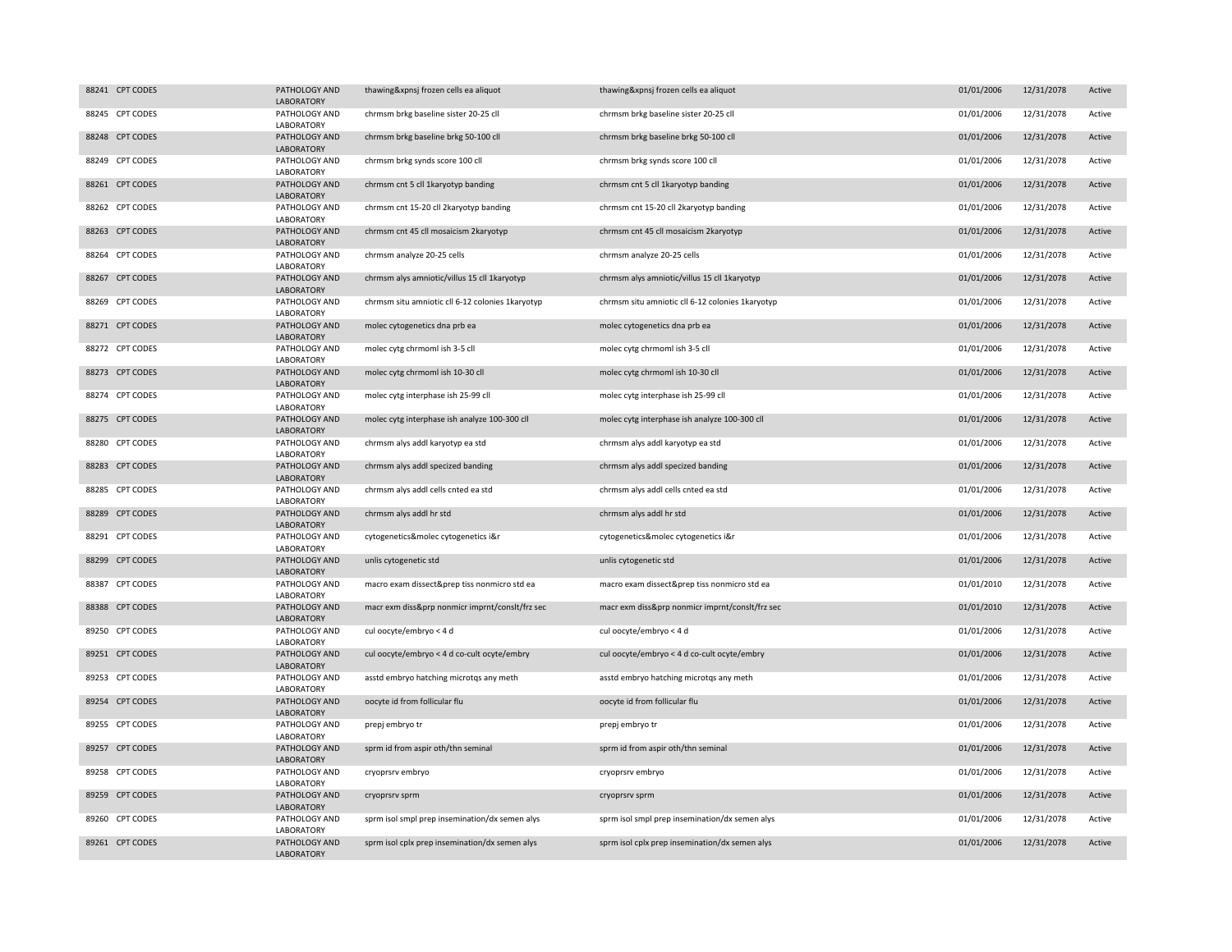| 88241 CPT CODES | PATHOLOGY AND<br><b>LABORATORY</b> | thawing&xpnsj frozen cells ea aliquot            | thawing&xpnsj frozen cells ea aliquot            | 01/01/2006 | 12/31/2078 | Active |
|-----------------|------------------------------------|--------------------------------------------------|--------------------------------------------------|------------|------------|--------|
| 88245 CPT CODES | PATHOLOGY AND<br>LABORATORY        | chrmsm brkg baseline sister 20-25 cll            | chrmsm brkg baseline sister 20-25 cll            | 01/01/2006 | 12/31/2078 | Active |
| 88248 CPT CODES | PATHOLOGY AND<br><b>LABORATORY</b> | chrmsm brkg baseline brkg 50-100 cll             | chrmsm brkg baseline brkg 50-100 cll             | 01/01/2006 | 12/31/2078 | Active |
| 88249 CPT CODES | PATHOLOGY AND<br>LABORATORY        | chrmsm brkg synds score 100 cll                  | chrmsm brkg synds score 100 cll                  | 01/01/2006 | 12/31/2078 | Active |
| 88261 CPT CODES | PATHOLOGY AND<br><b>LABORATORY</b> | chrmsm cnt 5 cll 1karyotyp banding               | chrmsm cnt 5 cll 1karyotyp banding               | 01/01/2006 | 12/31/2078 | Active |
| 88262 CPT CODES | PATHOLOGY AND<br>LABORATORY        | chrmsm cnt 15-20 cll 2karyotyp banding           | chrmsm cnt 15-20 cll 2karyotyp banding           | 01/01/2006 | 12/31/2078 | Active |
| 88263 CPT CODES | PATHOLOGY AND<br>LABORATORY        | chrmsm cnt 45 cll mosaicism 2karyotyp            | chrmsm cnt 45 cll mosaicism 2karyotyp            | 01/01/2006 | 12/31/2078 | Active |
| 88264 CPT CODES | PATHOLOGY AND<br>LABORATORY        | chrmsm analyze 20-25 cells                       | chrmsm analyze 20-25 cells                       | 01/01/2006 | 12/31/2078 | Active |
| 88267 CPT CODES | PATHOLOGY AND<br>LABORATORY        | chrmsm alys amniotic/villus 15 cll 1karyotyp     | chrmsm alys amniotic/villus 15 cll 1karyotyp     | 01/01/2006 | 12/31/2078 | Active |
| 88269 CPT CODES | PATHOLOGY AND<br>LABORATORY        | chrmsm situ amniotic cll 6-12 colonies 1karyotyp | chrmsm situ amniotic cll 6-12 colonies 1karyotyp | 01/01/2006 | 12/31/2078 | Active |
| 88271 CPT CODES | PATHOLOGY AND<br>LABORATORY        | molec cytogenetics dna prb ea                    | molec cytogenetics dna prb ea                    | 01/01/2006 | 12/31/2078 | Active |
| 88272 CPT CODES | PATHOLOGY AND<br>LABORATORY        | molec cytg chrmoml ish 3-5 cll                   | molec cytg chrmoml ish 3-5 cll                   | 01/01/2006 | 12/31/2078 | Active |
| 88273 CPT CODES | PATHOLOGY AND<br>LABORATORY        | molec cytg chrmoml ish 10-30 cll                 | molec cytg chrmoml ish 10-30 cll                 | 01/01/2006 | 12/31/2078 | Active |
| 88274 CPT CODES | PATHOLOGY AND<br>LABORATORY        | molec cytg interphase ish 25-99 cll              | molec cytg interphase ish 25-99 cll              | 01/01/2006 | 12/31/2078 | Active |
| 88275 CPT CODES | PATHOLOGY AND<br><b>LABORATORY</b> | molec cytg interphase ish analyze 100-300 cll    | molec cytg interphase ish analyze 100-300 cll    | 01/01/2006 | 12/31/2078 | Active |
| 88280 CPT CODES | PATHOLOGY AND<br>LABORATORY        | chrmsm alys addl karyotyp ea std                 | chrmsm alys addl karyotyp ea std                 | 01/01/2006 | 12/31/2078 | Active |
| 88283 CPT CODES | PATHOLOGY AND<br><b>LABORATORY</b> | chrmsm alys addl specized banding                | chrmsm alys addl specized banding                | 01/01/2006 | 12/31/2078 | Active |
| 88285 CPT CODES | PATHOLOGY AND<br>LABORATORY        | chrmsm alys addl cells cnted ea std              | chrmsm alys addl cells cnted ea std              | 01/01/2006 | 12/31/2078 | Active |
| 88289 CPT CODES | PATHOLOGY AND<br>LABORATORY        | chrmsm alys addl hr std                          | chrmsm alys addl hr std                          | 01/01/2006 | 12/31/2078 | Active |
| 88291 CPT CODES | PATHOLOGY AND<br>LABORATORY        | cytogenetics&molec cytogenetics i&r              | cytogenetics&molec cytogenetics i&r              | 01/01/2006 | 12/31/2078 | Active |
| 88299 CPT CODES | PATHOLOGY AND<br>LABORATORY        | unlis cytogenetic std                            | unlis cytogenetic std                            | 01/01/2006 | 12/31/2078 | Active |
| 88387 CPT CODES | PATHOLOGY AND<br>LABORATORY        | macro exam dissect&prep tiss nonmicro std ea     | macro exam dissect&prep tiss nonmicro std ea     | 01/01/2010 | 12/31/2078 | Active |
| 88388 CPT CODES | PATHOLOGY AND<br>LABORATORY        | macr exm diss&prp nonmicr imprnt/conslt/frz sec  | macr exm diss&prp nonmicr imprnt/conslt/frz sec  | 01/01/2010 | 12/31/2078 | Active |
| 89250 CPT CODES | PATHOLOGY AND<br>LABORATORY        | cul oocyte/embryo < 4 d                          | cul oocyte/embryo < 4 d                          | 01/01/2006 | 12/31/2078 | Active |
| 89251 CPT CODES | PATHOLOGY AND<br>LABORATORY        | cul oocyte/embryo < 4 d co-cult ocyte/embry      | cul oocyte/embryo < 4 d co-cult ocyte/embry      | 01/01/2006 | 12/31/2078 | Active |
| 89253 CPT CODES | PATHOLOGY AND<br>LABORATORY        | asstd embryo hatching microtqs any meth          | asstd embryo hatching microtqs any meth          | 01/01/2006 | 12/31/2078 | Active |
| 89254 CPT CODES | PATHOLOGY AND<br>LABORATORY        | oocyte id from follicular flu                    | oocyte id from follicular flu                    | 01/01/2006 | 12/31/2078 | Active |
| 89255 CPT CODES | PATHOLOGY AND<br>LABORATORY        | prepj embryo tr                                  | prepj embryo tr                                  | 01/01/2006 | 12/31/2078 | Active |
| 89257 CPT CODES | PATHOLOGY AND<br>LABORATORY        | sprm id from aspir oth/thn seminal               | sprm id from aspir oth/thn seminal               | 01/01/2006 | 12/31/2078 | Active |
| 89258 CPT CODES | PATHOLOGY AND<br>LABORATORY        | cryoprsrv embryo                                 | cryoprsrv embryo                                 | 01/01/2006 | 12/31/2078 | Active |
| 89259 CPT CODES | PATHOLOGY AND<br><b>LABORATORY</b> | cryoprsrv sprm                                   | cryoprsrv sprm                                   | 01/01/2006 | 12/31/2078 | Active |
| 89260 CPT CODES | PATHOLOGY AND<br>LABORATORY        | sprm isol smpl prep insemination/dx semen alys   | sprm isol smpl prep insemination/dx semen alys   | 01/01/2006 | 12/31/2078 | Active |
| 89261 CPT CODES | PATHOLOGY AND<br>LABORATORY        | sprm isol cplx prep insemination/dx semen alys   | sprm isol cplx prep insemination/dx semen alys   | 01/01/2006 | 12/31/2078 | Active |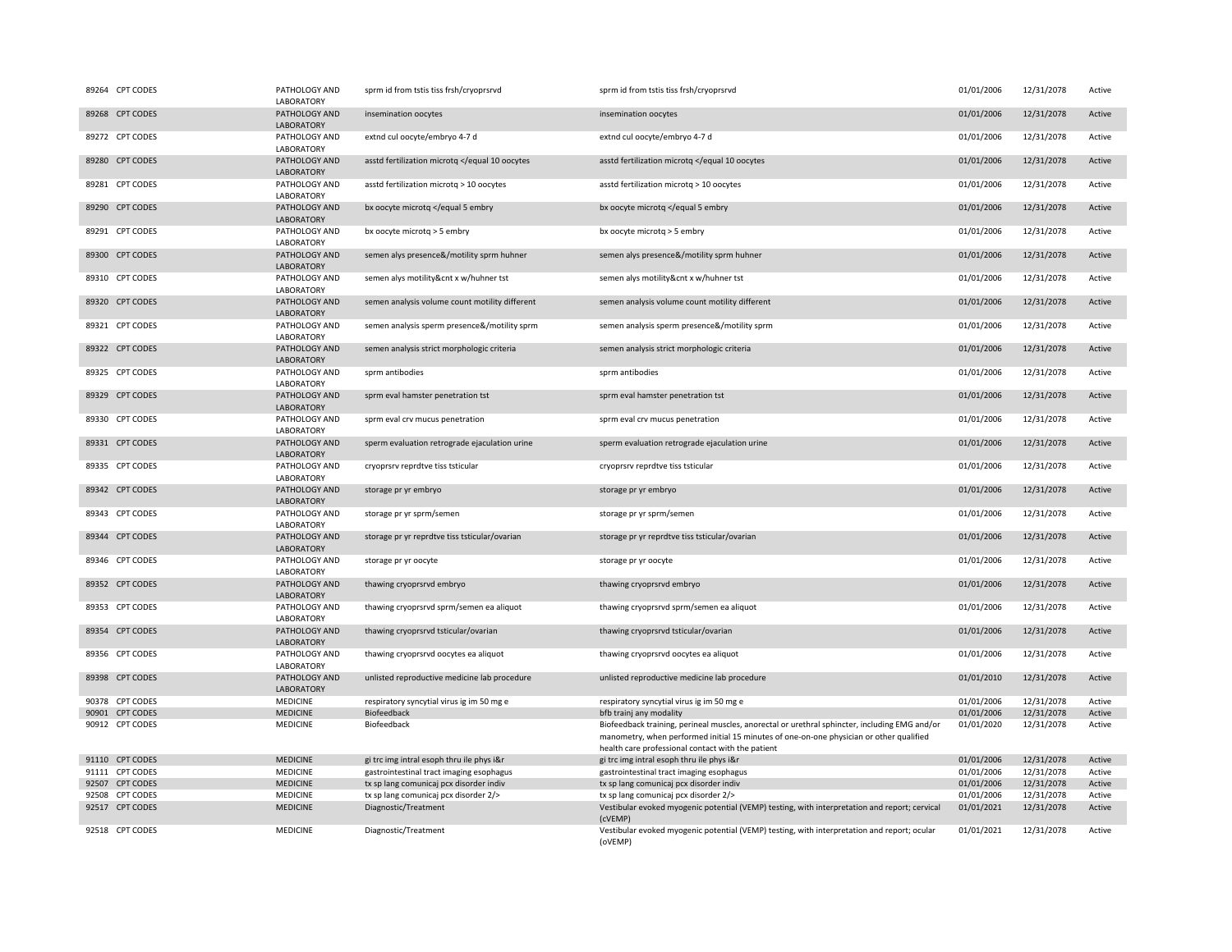| 89264 CPT CODES | PATHOLOGY AND<br>LABORATORY        | sprm id from tstis tiss frsh/cryoprsrvd                                                                                | sprm id from tstis tiss frsh/cryoprsrvd                                                                                                                                                                                                       | 01/01/2006 | 12/31/2078 | Active |
|-----------------|------------------------------------|------------------------------------------------------------------------------------------------------------------------|-----------------------------------------------------------------------------------------------------------------------------------------------------------------------------------------------------------------------------------------------|------------|------------|--------|
| 89268 CPT CODES | PATHOLOGY AND<br>LABORATORY        | insemination oocytes                                                                                                   | insemination oocytes                                                                                                                                                                                                                          | 01/01/2006 | 12/31/2078 | Active |
| 89272 CPT CODES | PATHOLOGY AND<br>LABORATORY        | extnd cul oocyte/embryo 4-7 d                                                                                          | extnd cul oocyte/embryo 4-7 d                                                                                                                                                                                                                 | 01/01/2006 | 12/31/2078 | Active |
| 89280 CPT CODES | PATHOLOGY AND<br>LABORATORY        | asstd fertilization microtq <td>asstd fertilization microtq <td>01/01/2006</td><td>12/31/2078</td><td>Active</td></td> | asstd fertilization microtq <td>01/01/2006</td> <td>12/31/2078</td> <td>Active</td>                                                                                                                                                           | 01/01/2006 | 12/31/2078 | Active |
| 89281 CPT CODES | PATHOLOGY AND<br>LABORATORY        | asstd fertilization microtq > 10 oocytes                                                                               | asstd fertilization microtq > 10 oocytes                                                                                                                                                                                                      | 01/01/2006 | 12/31/2078 | Active |
| 89290 CPT CODES | PATHOLOGY AND<br>LABORATORY        | bx oocyte microtq <td>bx oocyte microtq <td>01/01/2006</td><td>12/31/2078</td><td>Active</td></td>                     | bx oocyte microtq <td>01/01/2006</td> <td>12/31/2078</td> <td>Active</td>                                                                                                                                                                     | 01/01/2006 | 12/31/2078 | Active |
| 89291 CPT CODES | PATHOLOGY AND<br>LABORATORY        | bx oocyte microtq > 5 embry                                                                                            | bx oocyte microtq > 5 embry                                                                                                                                                                                                                   | 01/01/2006 | 12/31/2078 | Active |
| 89300 CPT CODES | PATHOLOGY AND<br>LABORATORY        | semen alys presence&/motility sprm huhner                                                                              | semen alys presence&/motility sprm huhner                                                                                                                                                                                                     | 01/01/2006 | 12/31/2078 | Active |
| 89310 CPT CODES | PATHOLOGY AND<br>LABORATORY        | semen alys motility&cnt x w/huhner tst                                                                                 | semen alys motility&cnt x w/huhner tst                                                                                                                                                                                                        | 01/01/2006 | 12/31/2078 | Active |
| 89320 CPT CODES | PATHOLOGY AND<br>LABORATORY        | semen analysis volume count motility different                                                                         | semen analysis volume count motility different                                                                                                                                                                                                | 01/01/2006 | 12/31/2078 | Active |
| 89321 CPT CODES | PATHOLOGY AND<br>LABORATORY        | semen analysis sperm presence&/motility sprm                                                                           | semen analysis sperm presence&/motility sprm                                                                                                                                                                                                  | 01/01/2006 | 12/31/2078 | Active |
| 89322 CPT CODES | PATHOLOGY AND<br>LABORATORY        | semen analysis strict morphologic criteria                                                                             | semen analysis strict morphologic criteria                                                                                                                                                                                                    | 01/01/2006 | 12/31/2078 | Active |
| 89325 CPT CODES | PATHOLOGY AND<br>LABORATORY        | sprm antibodies                                                                                                        | sprm antibodies                                                                                                                                                                                                                               | 01/01/2006 | 12/31/2078 | Active |
| 89329 CPT CODES | PATHOLOGY AND<br>LABORATORY        | sprm eval hamster penetration tst                                                                                      | sprm eval hamster penetration tst                                                                                                                                                                                                             | 01/01/2006 | 12/31/2078 | Active |
| 89330 CPT CODES | PATHOLOGY AND<br>LABORATORY        | sprm eval crv mucus penetration                                                                                        | sprm eval crv mucus penetration                                                                                                                                                                                                               | 01/01/2006 | 12/31/2078 | Active |
| 89331 CPT CODES | PATHOLOGY AND<br>LABORATORY        | sperm evaluation retrograde ejaculation urine                                                                          | sperm evaluation retrograde ejaculation urine                                                                                                                                                                                                 | 01/01/2006 | 12/31/2078 | Active |
| 89335 CPT CODES | PATHOLOGY AND<br>LABORATORY        | cryoprsrv reprdtve tiss tsticular                                                                                      | cryoprsrv reprdtve tiss tsticular                                                                                                                                                                                                             | 01/01/2006 | 12/31/2078 | Active |
| 89342 CPT CODES | PATHOLOGY AND<br>LABORATORY        | storage pr yr embryo                                                                                                   | storage pr yr embryo                                                                                                                                                                                                                          | 01/01/2006 | 12/31/2078 | Active |
| 89343 CPT CODES | PATHOLOGY AND<br>LABORATORY        | storage pr yr sprm/semen                                                                                               | storage pr yr sprm/semen                                                                                                                                                                                                                      | 01/01/2006 | 12/31/2078 | Active |
| 89344 CPT CODES | PATHOLOGY AND<br>LABORATORY        | storage pr yr reprdtve tiss tsticular/ovarian                                                                          | storage pr yr reprdtve tiss tsticular/ovarian                                                                                                                                                                                                 | 01/01/2006 | 12/31/2078 | Active |
| 89346 CPT CODES | PATHOLOGY AND<br>LABORATORY        | storage pr yr oocyte                                                                                                   | storage pr yr oocyte                                                                                                                                                                                                                          | 01/01/2006 | 12/31/2078 | Active |
| 89352 CPT CODES | PATHOLOGY AND<br>LABORATORY        | thawing cryoprsrvd embryo                                                                                              | thawing cryoprsrvd embryo                                                                                                                                                                                                                     | 01/01/2006 | 12/31/2078 | Active |
| 89353 CPT CODES | PATHOLOGY AND<br>LABORATORY        | thawing cryoprsrvd sprm/semen ea aliquot                                                                               | thawing cryoprsrvd sprm/semen ea aliquot                                                                                                                                                                                                      | 01/01/2006 | 12/31/2078 | Active |
| 89354 CPT CODES | PATHOLOGY AND<br><b>LABORATORY</b> | thawing cryoprsrvd tsticular/ovarian                                                                                   | thawing cryoprsrvd tsticular/ovarian                                                                                                                                                                                                          | 01/01/2006 | 12/31/2078 | Active |
| 89356 CPT CODES | PATHOLOGY AND<br>LABORATORY        | thawing cryoprsrvd oocytes ea aliquot                                                                                  | thawing cryoprsrvd oocytes ea aliquot                                                                                                                                                                                                         | 01/01/2006 | 12/31/2078 | Active |
| 89398 CPT CODES | PATHOLOGY AND<br>LABORATORY        | unlisted reproductive medicine lab procedure                                                                           | unlisted reproductive medicine lab procedure                                                                                                                                                                                                  | 01/01/2010 | 12/31/2078 | Active |
| 90378 CPT CODES | <b>MEDICINE</b>                    | respiratory syncytial virus ig im 50 mg e                                                                              | respiratory syncytial virus ig im 50 mg e                                                                                                                                                                                                     | 01/01/2006 | 12/31/2078 | Active |
| 90901 CPT CODES | <b>MEDICINE</b>                    | Biofeedback                                                                                                            | bfb trainj any modality                                                                                                                                                                                                                       | 01/01/2006 | 12/31/2078 | Active |
| 90912 CPT CODES | MEDICINE                           | Biofeedback                                                                                                            | Biofeedback training, perineal muscles, anorectal or urethral sphincter, including EMG and/or<br>manometry, when performed initial 15 minutes of one-on-one physician or other qualified<br>health care professional contact with the patient | 01/01/2020 | 12/31/2078 | Active |
| 91110 CPT CODES | <b>MEDICINE</b>                    | gi trc img intral esoph thru ile phys i&r                                                                              | gi trc img intral esoph thru ile phys i&r                                                                                                                                                                                                     | 01/01/2006 | 12/31/2078 | Active |
| 91111 CPT CODES | <b>MEDICINE</b>                    | gastrointestinal tract imaging esophagus                                                                               | gastrointestinal tract imaging esophagus                                                                                                                                                                                                      | 01/01/2006 | 12/31/2078 | Active |
| 92507 CPT CODES | <b>MEDICINE</b>                    | tx sp lang comunicaj pcx disorder indiv                                                                                | tx sp lang comunicaj pcx disorder indiv                                                                                                                                                                                                       | 01/01/2006 | 12/31/2078 | Active |
| 92508 CPT CODES | <b>MEDICINE</b>                    | tx sp lang comunical pcx disorder 2/>                                                                                  | tx sp lang comunicaj pcx disorder 2/>                                                                                                                                                                                                         | 01/01/2006 | 12/31/2078 | Active |
| 92517 CPT CODES | <b>MEDICINE</b>                    | Diagnostic/Treatment                                                                                                   | Vestibular evoked myogenic potential (VEMP) testing, with interpretation and report; cervical<br>(cVEMP)                                                                                                                                      | 01/01/2021 | 12/31/2078 | Active |
| 92518 CPT CODES | MEDICINE                           | Diagnostic/Treatment                                                                                                   | Vestibular evoked myogenic potential (VEMP) testing, with interpretation and report; ocular<br>(oVEMP)                                                                                                                                        | 01/01/2021 | 12/31/2078 | Active |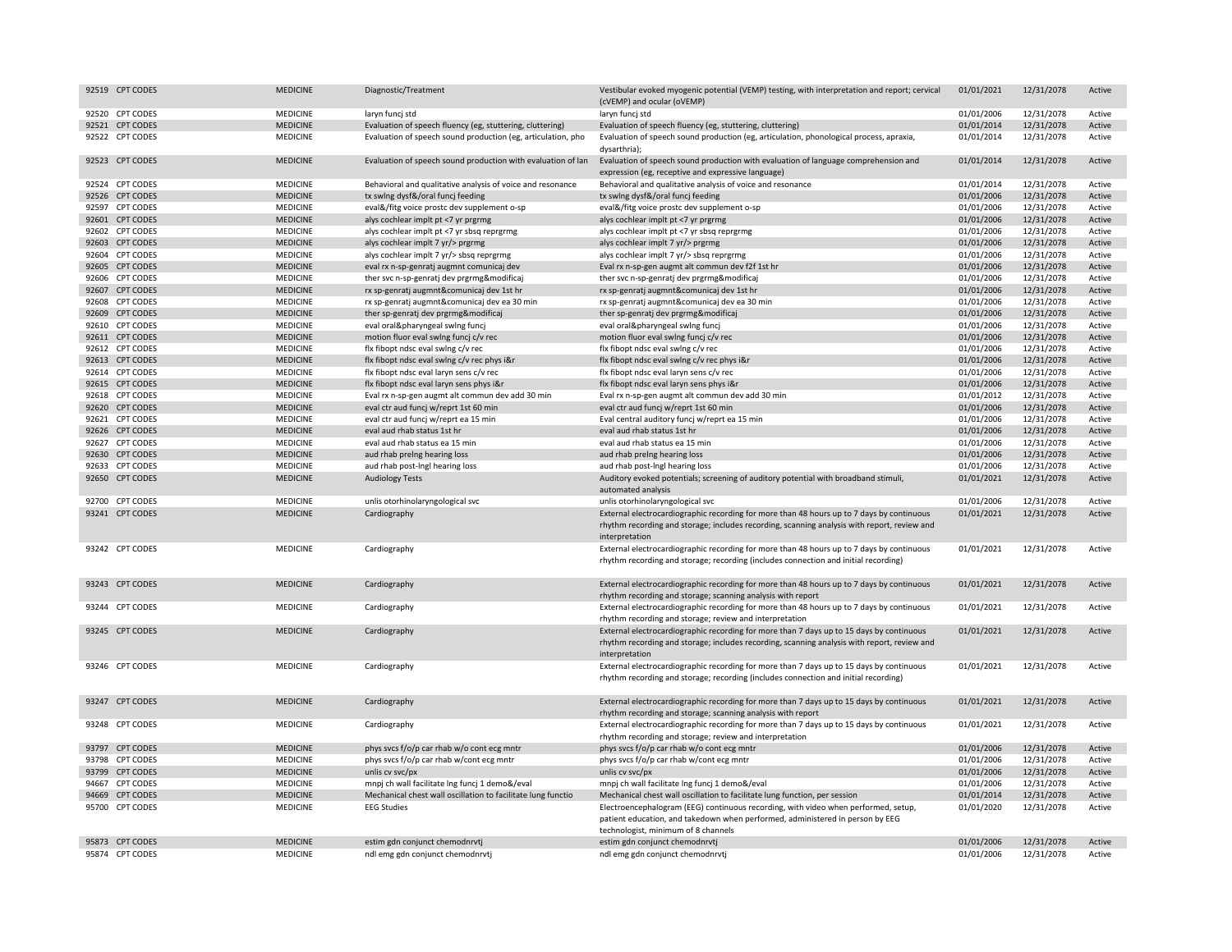|       | 92519 CPT CODES  | <b>MEDICINE</b> | Diagnostic/Treatment                                         | Vestibular evoked myogenic potential (VEMP) testing, with interpretation and report; cervical<br>(cVEMP) and ocular (oVEMP)                                                                                | 01/01/2021 | 12/31/2078 | Active |
|-------|------------------|-----------------|--------------------------------------------------------------|------------------------------------------------------------------------------------------------------------------------------------------------------------------------------------------------------------|------------|------------|--------|
|       | 92520 CPT CODES  | MEDICINE        | laryn funci std                                              | laryn funcj std                                                                                                                                                                                            | 01/01/2006 | 12/31/2078 | Active |
|       | 92521 CPT CODES  | <b>MEDICINE</b> | Evaluation of speech fluency (eg, stuttering, cluttering)    | Evaluation of speech fluency (eg, stuttering, cluttering)                                                                                                                                                  | 01/01/2014 | 12/31/2078 | Active |
|       | 92522 CPT CODES  | MEDICINE        | Evaluation of speech sound production (eg, articulation, pho | Evaluation of speech sound production (eg, articulation, phonological process, apraxia,<br>dysarthria);                                                                                                    | 01/01/2014 | 12/31/2078 | Active |
|       | 92523 CPT CODES  | <b>MEDICINE</b> | Evaluation of speech sound production with evaluation of lan | Evaluation of speech sound production with evaluation of language comprehension and<br>expression (eg, receptive and expressive language)                                                                  | 01/01/2014 | 12/31/2078 | Active |
|       | 92524 CPT CODES  | MEDICINE        | Behavioral and qualitative analysis of voice and resonance   | Behavioral and qualitative analysis of voice and resonance                                                                                                                                                 | 01/01/2014 | 12/31/2078 | Active |
|       | 92526 CPT CODES  | <b>MEDICINE</b> | tx swing dysf&/oral funcj feeding                            | tx swing dysf&/oral funcj feeding                                                                                                                                                                          | 01/01/2006 | 12/31/2078 | Active |
|       | 92597 CPT CODES  | <b>MEDICINE</b> | eval&/fitg voice prostc dev supplement o-sp                  | eval&/fitg voice prostc dev supplement o-sp                                                                                                                                                                | 01/01/2006 | 12/31/2078 | Active |
|       | 92601 CPT CODES  | <b>MEDICINE</b> | alys cochlear implt pt <7 yr prgrmg                          | alys cochlear implt pt <7 yr prgrmg                                                                                                                                                                        | 01/01/2006 | 12/31/2078 | Active |
|       | 92602 CPT CODES  | <b>MEDICINE</b> | alys cochlear implt pt <7 yr sbsq reprgrmg                   | alys cochlear implt pt <7 yr sbsq reprgrmg                                                                                                                                                                 | 01/01/2006 | 12/31/2078 | Active |
|       | 92603 CPT CODES  | <b>MEDICINE</b> | alys cochlear implt 7 yr/> prgrmg                            | alys cochlear implt 7 yr/> prgrmg                                                                                                                                                                          | 01/01/2006 | 12/31/2078 | Active |
|       | 92604 CPT CODES  | MEDICINE        | alys cochlear implt 7 yr/> sbsq reprgrmg                     | alys cochlear implt 7 yr/> sbsq reprgrmg                                                                                                                                                                   | 01/01/2006 | 12/31/2078 | Active |
|       | 92605 CPT CODES  | <b>MEDICINE</b> | eval rx n-sp-genratj augmnt comunicaj dev                    | Eval rx n-sp-gen augmt alt commun dev f2f 1st hr                                                                                                                                                           | 01/01/2006 | 12/31/2078 | Active |
|       | 92606 CPT CODES  | MEDICINE        | ther svc n-sp-genratj dev prgrmg&modificaj                   | ther svc n-sp-genrati dev prgrmg&modificaj                                                                                                                                                                 | 01/01/2006 | 12/31/2078 | Active |
| 92607 | <b>CPT CODES</b> | <b>MEDICINE</b> | rx sp-genratj augmnt&comunicaj dev 1st hr                    | rx sp-genratj augmnt&comunicaj dev 1st hr                                                                                                                                                                  | 01/01/2006 | 12/31/2078 | Active |
|       | 92608 CPT CODES  | MEDICINE        | rx sp-genrati augmnt&comunicaj dev ea 30 min                 | rx sp-genrati augmnt&comunicaj dev ea 30 min                                                                                                                                                               | 01/01/2006 | 12/31/2078 | Active |
|       | 92609 CPT CODES  | <b>MEDICINE</b> | ther sp-genratj dev prgrmg&modificaj                         | ther sp-genratj dev prgrmg&modificaj                                                                                                                                                                       | 01/01/2006 | 12/31/2078 | Active |
|       | 92610 CPT CODES  | MEDICINE        | eval oral&pharyngeal swing funcj                             | eval oral&pharyngeal swing funcj                                                                                                                                                                           | 01/01/2006 | 12/31/2078 | Active |
|       | 92611 CPT CODES  | <b>MEDICINE</b> | motion fluor eval swlng funcj c/v rec                        | motion fluor eval swing funcj c/v rec                                                                                                                                                                      | 01/01/2006 | 12/31/2078 | Active |
|       | 92612 CPT CODES  | MEDICINE        | flx fibopt ndsc eval swing c/v rec                           | flx fibopt ndsc eval swing c/v rec                                                                                                                                                                         | 01/01/2006 | 12/31/2078 | Active |
|       | 92613 CPT CODES  | <b>MEDICINE</b> | flx fibopt ndsc eval swing c/v rec phys i&r                  | flx fibopt ndsc eval swing c/v rec phys i&r                                                                                                                                                                | 01/01/2006 | 12/31/2078 | Active |
|       | 92614 CPT CODES  | MEDICINE        | flx fibopt ndsc eval laryn sens c/v rec                      | flx fibopt ndsc eval laryn sens c/v rec                                                                                                                                                                    | 01/01/2006 | 12/31/2078 | Active |
| 92615 | <b>CPT CODES</b> | <b>MEDICINE</b> | flx fibopt ndsc eval laryn sens phys i&r                     | flx fibopt ndsc eval laryn sens phys i&r                                                                                                                                                                   | 01/01/2006 | 12/31/2078 | Active |
|       | 92618 CPT CODES  | MEDICINE        | Eval rx n-sp-gen augmt alt commun dev add 30 min             | Eval rx n-sp-gen augmt alt commun dev add 30 min                                                                                                                                                           | 01/01/2012 | 12/31/2078 | Active |
|       | 92620 CPT CODES  | <b>MEDICINE</b> | eval ctr aud funcj w/reprt 1st 60 min                        | eval ctr aud funcj w/reprt 1st 60 min                                                                                                                                                                      | 01/01/2006 | 12/31/2078 | Active |
|       | 92621 CPT CODES  | MEDICINE        | eval ctr aud funcj w/reprt ea 15 min                         | Eval central auditory funcj w/reprt ea 15 min                                                                                                                                                              | 01/01/2006 | 12/31/2078 | Active |
|       | 92626 CPT CODES  | <b>MEDICINE</b> | eval aud rhab status 1st hr                                  | eval aud rhab status 1st hr                                                                                                                                                                                | 01/01/2006 | 12/31/2078 | Active |
|       | 92627 CPT CODES  | MEDICINE        | eval aud rhab status ea 15 min                               | eval aud rhab status ea 15 min                                                                                                                                                                             | 01/01/2006 | 12/31/2078 | Active |
|       | 92630 CPT CODES  | <b>MEDICINE</b> | aud rhab preing hearing loss                                 | aud rhab preing hearing loss                                                                                                                                                                               | 01/01/2006 | 12/31/2078 | Active |
|       | 92633 CPT CODES  | MEDICINE        | aud rhab post-Ingl hearing loss                              | aud rhab post-Ingl hearing loss                                                                                                                                                                            | 01/01/2006 | 12/31/2078 | Active |
|       | 92650 CPT CODES  | <b>MEDICINE</b> | <b>Audiology Tests</b>                                       | Auditory evoked potentials; screening of auditory potential with broadband stimuli,<br>automated analysis                                                                                                  | 01/01/2021 | 12/31/2078 | Active |
|       | 92700 CPT CODES  | MEDICINE        | unlis otorhinolaryngological svc                             | unlis otorhinolaryngological svc                                                                                                                                                                           | 01/01/2006 | 12/31/2078 | Active |
|       | 93241 CPT CODES  | <b>MEDICINE</b> | Cardiography                                                 | External electrocardiographic recording for more than 48 hours up to 7 days by continuous<br>rhythm recording and storage; includes recording, scanning analysis with report, review and<br>interpretation | 01/01/2021 | 12/31/2078 | Active |
|       | 93242 CPT CODES  | <b>MEDICINE</b> | Cardiography                                                 | External electrocardiographic recording for more than 48 hours up to 7 days by continuous<br>rhythm recording and storage; recording (includes connection and initial recording)                           | 01/01/2021 | 12/31/2078 | Active |
|       | 93243 CPT CODES  | <b>MEDICINE</b> | Cardiography                                                 | External electrocardiographic recording for more than 48 hours up to 7 days by continuous<br>rhythm recording and storage; scanning analysis with report                                                   | 01/01/2021 | 12/31/2078 | Active |
|       | 93244 CPT CODES  | MEDICINE        | Cardiography                                                 | External electrocardiographic recording for more than 48 hours up to 7 days by continuous<br>rhythm recording and storage; review and interpretation                                                       | 01/01/2021 | 12/31/2078 | Active |
|       | 93245 CPT CODES  | <b>MEDICINE</b> | Cardiography                                                 | External electrocardiographic recording for more than 7 days up to 15 days by continuous<br>rhythm recording and storage; includes recording, scanning analysis with report, review and<br>interpretation  | 01/01/2021 | 12/31/2078 | Active |
|       | 93246 CPT CODES  | <b>MEDICINE</b> | Cardiography                                                 | External electrocardiographic recording for more than 7 days up to 15 days by continuous<br>rhythm recording and storage; recording (includes connection and initial recording)                            | 01/01/2021 | 12/31/2078 | Active |
|       | 93247 CPT CODES  | <b>MEDICINE</b> | Cardiography                                                 | External electrocardiographic recording for more than 7 days up to 15 days by continuous<br>rhythm recording and storage; scanning analysis with report                                                    | 01/01/2021 | 12/31/2078 | Active |
|       | 93248 CPT CODES  | MEDICINE        | Cardiography                                                 | External electrocardiographic recording for more than 7 days up to 15 days by continuous<br>rhythm recording and storage; review and interpretation                                                        | 01/01/2021 | 12/31/2078 | Active |
|       | 93797 CPT CODES  | <b>MEDICINE</b> | phys svcs f/o/p car rhab w/o cont ecg mntr                   | phys svcs f/o/p car rhab w/o cont ecg mntr                                                                                                                                                                 | 01/01/2006 | 12/31/2078 | Active |
|       | 93798 CPT CODES  | MEDICINE        | phys svcs f/o/p car rhab w/cont ecg mntr                     | phys svcs f/o/p car rhab w/cont ecg mntr                                                                                                                                                                   | 01/01/2006 | 12/31/2078 | Active |
|       | 93799 CPT CODES  | <b>MEDICINE</b> | unlis cv svc/px                                              | unlis cv svc/px                                                                                                                                                                                            | 01/01/2006 | 12/31/2078 | Active |
|       | 94667 CPT CODES  | <b>MEDICINE</b> | mnpj ch wall facilitate Ing funcj 1 demo&/eval               | mnpj ch wall facilitate Ing funcj 1 demo&/eval                                                                                                                                                             | 01/01/2006 | 12/31/2078 | Active |
|       | 94669 CPT CODES  | <b>MEDICINE</b> | Mechanical chest wall oscillation to facilitate lung functio | Mechanical chest wall oscillation to facilitate lung function, per session                                                                                                                                 | 01/01/2014 | 12/31/2078 | Active |
|       | 95700 CPT CODES  | MEDICINE        | <b>EEG Studies</b>                                           | Electroencephalogram (EEG) continuous recording, with video when performed, setup,<br>patient education, and takedown when performed, administered in person by EEG<br>technologist, minimum of 8 channels | 01/01/2020 | 12/31/2078 | Active |
|       | 95873 CPT CODES  | <b>MEDICINE</b> | estim gdn conjunct chemodnrvtj                               | estim gdn conjunct chemodnrvtj                                                                                                                                                                             | 01/01/2006 | 12/31/2078 | Active |
|       | 95874 CPT CODES  | MEDICINE        | ndl emg gdn conjunct chemodnrvtj                             | ndl emg gdn conjunct chemodnrvtj                                                                                                                                                                           | 01/01/2006 | 12/31/2078 | Active |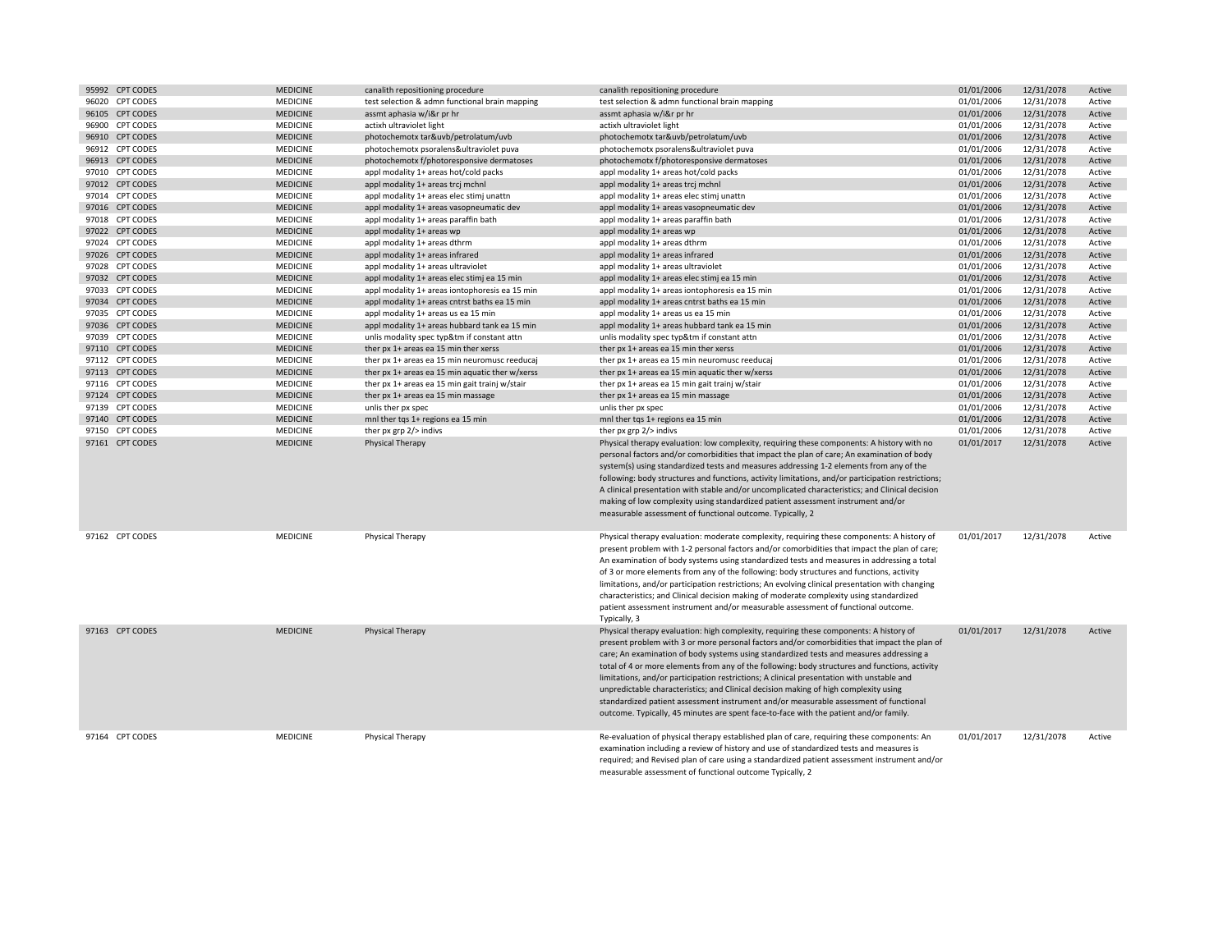| 95992 CPT CODES | <b>MEDICINE</b> | canalith repositioning procedure               |                                                 | canalith repositioning procedure                                                                                                                                                                                                                                                                                                                                                                                                                                                                                                                                                                                                                                                        | 01/01/2006 | 12/31/2078 | Active |
|-----------------|-----------------|------------------------------------------------|-------------------------------------------------|-----------------------------------------------------------------------------------------------------------------------------------------------------------------------------------------------------------------------------------------------------------------------------------------------------------------------------------------------------------------------------------------------------------------------------------------------------------------------------------------------------------------------------------------------------------------------------------------------------------------------------------------------------------------------------------------|------------|------------|--------|
| 96020 CPT CODES | <b>MEDICINE</b> |                                                | test selection & admn functional brain mapping  | test selection & admn functional brain mapping                                                                                                                                                                                                                                                                                                                                                                                                                                                                                                                                                                                                                                          | 01/01/2006 | 12/31/2078 | Active |
| 96105 CPT CODES | <b>MEDICINE</b> | assmt aphasia w/i&r pr hr                      |                                                 | assmt aphasia w/i&r pr hr                                                                                                                                                                                                                                                                                                                                                                                                                                                                                                                                                                                                                                                               | 01/01/2006 | 12/31/2078 | Active |
| 96900 CPT CODES | MEDICINE        | actixh ultraviolet light                       |                                                 | actixh ultraviolet light                                                                                                                                                                                                                                                                                                                                                                                                                                                                                                                                                                                                                                                                | 01/01/2006 | 12/31/2078 | Active |
| 96910 CPT CODES | <b>MEDICINE</b> | photochemotx tar&uvb/petrolatum/uvb            |                                                 | photochemotx tar&uvb/petrolatum/uvb                                                                                                                                                                                                                                                                                                                                                                                                                                                                                                                                                                                                                                                     | 01/01/2006 | 12/31/2078 | Active |
| 96912 CPT CODES | MEDICINE        | photochemotx psoralens&ultraviolet puva        |                                                 | photochemotx psoralens&ultraviolet puva                                                                                                                                                                                                                                                                                                                                                                                                                                                                                                                                                                                                                                                 | 01/01/2006 | 12/31/2078 | Active |
| 96913 CPT CODES | <b>MEDICINE</b> | photochemotx f/photoresponsive dermatoses      |                                                 | photochemotx f/photoresponsive dermatoses                                                                                                                                                                                                                                                                                                                                                                                                                                                                                                                                                                                                                                               | 01/01/2006 | 12/31/2078 | Active |
| 97010 CPT CODES | <b>MEDICINE</b> | appl modality 1+ areas hot/cold packs          |                                                 | appl modality 1+ areas hot/cold packs                                                                                                                                                                                                                                                                                                                                                                                                                                                                                                                                                                                                                                                   | 01/01/2006 | 12/31/2078 | Active |
| 97012 CPT CODES | <b>MEDICINE</b> | appl modality 1+ areas trcj mchnl              |                                                 | appl modality 1+ areas trcj mchnl                                                                                                                                                                                                                                                                                                                                                                                                                                                                                                                                                                                                                                                       | 01/01/2006 | 12/31/2078 | Active |
| 97014 CPT CODES | MEDICINE        | appl modality 1+ areas elec stimj unattn       |                                                 | appl modality 1+ areas elec stimj unattn                                                                                                                                                                                                                                                                                                                                                                                                                                                                                                                                                                                                                                                | 01/01/2006 | 12/31/2078 | Active |
| 97016 CPT CODES | <b>MEDICINE</b> | appl modality 1+ areas vasopneumatic dev       |                                                 | appl modality 1+ areas vasopneumatic dev                                                                                                                                                                                                                                                                                                                                                                                                                                                                                                                                                                                                                                                | 01/01/2006 | 12/31/2078 | Active |
| 97018 CPT CODES | MEDICINE        | appl modality 1+ areas paraffin bath           |                                                 | appl modality 1+ areas paraffin bath                                                                                                                                                                                                                                                                                                                                                                                                                                                                                                                                                                                                                                                    | 01/01/2006 | 12/31/2078 | Active |
| 97022 CPT CODES | <b>MEDICINE</b> | appl modality 1+ areas wp                      |                                                 | appl modality 1+ areas wp                                                                                                                                                                                                                                                                                                                                                                                                                                                                                                                                                                                                                                                               | 01/01/2006 | 12/31/2078 | Active |
| 97024 CPT CODES | <b>MEDICINE</b> | appl modality 1+ areas dthrm                   |                                                 | appl modality 1+ areas dthrm                                                                                                                                                                                                                                                                                                                                                                                                                                                                                                                                                                                                                                                            | 01/01/2006 | 12/31/2078 | Active |
| 97026 CPT CODES | <b>MEDICINE</b> | appl modality 1+ areas infrared                |                                                 | appl modality 1+ areas infrared                                                                                                                                                                                                                                                                                                                                                                                                                                                                                                                                                                                                                                                         | 01/01/2006 | 12/31/2078 | Active |
| 97028 CPT CODES | MEDICINE        | appl modality 1+ areas ultraviolet             |                                                 | appl modality 1+ areas ultraviolet                                                                                                                                                                                                                                                                                                                                                                                                                                                                                                                                                                                                                                                      | 01/01/2006 | 12/31/2078 | Active |
| 97032 CPT CODES | <b>MEDICINE</b> | appl modality 1+ areas elec stimj ea 15 min    |                                                 | appl modality 1+ areas elec stimj ea 15 min                                                                                                                                                                                                                                                                                                                                                                                                                                                                                                                                                                                                                                             | 01/01/2006 | 12/31/2078 | Active |
| 97033 CPT CODES | <b>MEDICINE</b> |                                                | appl modality 1+ areas iontophoresis ea 15 min  | appl modality 1+ areas iontophoresis ea 15 min                                                                                                                                                                                                                                                                                                                                                                                                                                                                                                                                                                                                                                          | 01/01/2006 | 12/31/2078 | Active |
| 97034 CPT CODES | <b>MEDICINE</b> | appl modality 1+ areas cntrst baths ea 15 min  |                                                 | appl modality 1+ areas cntrst baths ea 15 min                                                                                                                                                                                                                                                                                                                                                                                                                                                                                                                                                                                                                                           | 01/01/2006 | 12/31/2078 | Active |
| 97035 CPT CODES | MEDICINE        | appl modality 1+ areas us ea 15 min            |                                                 | appl modality 1+ areas us ea 15 min                                                                                                                                                                                                                                                                                                                                                                                                                                                                                                                                                                                                                                                     | 01/01/2006 | 12/31/2078 | Active |
| 97036 CPT CODES | <b>MEDICINE</b> | appl modality 1+ areas hubbard tank ea 15 min  |                                                 | appl modality 1+ areas hubbard tank ea 15 min                                                                                                                                                                                                                                                                                                                                                                                                                                                                                                                                                                                                                                           | 01/01/2006 | 12/31/2078 | Active |
| 97039 CPT CODES | MEDICINE        | unlis modality spec typ&tm if constant attn    |                                                 | unlis modality spec typ&tm if constant attn                                                                                                                                                                                                                                                                                                                                                                                                                                                                                                                                                                                                                                             | 01/01/2006 | 12/31/2078 | Active |
| 97110 CPT CODES | <b>MEDICINE</b> |                                                |                                                 |                                                                                                                                                                                                                                                                                                                                                                                                                                                                                                                                                                                                                                                                                         | 01/01/2006 |            |        |
|                 |                 | ther px 1+ areas ea 15 min ther xerss          |                                                 | ther px 1+ areas ea 15 min ther xerss                                                                                                                                                                                                                                                                                                                                                                                                                                                                                                                                                                                                                                                   |            | 12/31/2078 | Active |
| 97112 CPT CODES | MEDICINE        |                                                | ther px 1+ areas ea 15 min neuromusc reeducaj   | ther px 1+ areas ea 15 min neuromusc reeducaj                                                                                                                                                                                                                                                                                                                                                                                                                                                                                                                                                                                                                                           | 01/01/2006 | 12/31/2078 | Active |
| 97113 CPT CODES | <b>MEDICINE</b> |                                                | ther px 1+ areas ea 15 min aquatic ther w/xerss | ther px 1+ areas ea 15 min aquatic ther w/xerss                                                                                                                                                                                                                                                                                                                                                                                                                                                                                                                                                                                                                                         | 01/01/2006 | 12/31/2078 | Active |
| 97116 CPT CODES | MEDICINE        | ther px 1+ areas ea 15 min gait trainj w/stair |                                                 | ther px 1+ areas ea 15 min gait trainj w/stair                                                                                                                                                                                                                                                                                                                                                                                                                                                                                                                                                                                                                                          | 01/01/2006 | 12/31/2078 | Active |
| 97124 CPT CODES | <b>MEDICINE</b> | ther px 1+ areas ea 15 min massage             |                                                 | ther px 1+ areas ea 15 min massage                                                                                                                                                                                                                                                                                                                                                                                                                                                                                                                                                                                                                                                      | 01/01/2006 | 12/31/2078 | Active |
| 97139 CPT CODES | MEDICINE        | unlis ther px spec                             |                                                 | unlis ther px spec                                                                                                                                                                                                                                                                                                                                                                                                                                                                                                                                                                                                                                                                      | 01/01/2006 | 12/31/2078 | Active |
| 97140 CPT CODES | <b>MEDICINE</b> | mnl ther tqs 1+ regions ea 15 min              |                                                 | mnl ther tqs 1+ regions ea 15 min                                                                                                                                                                                                                                                                                                                                                                                                                                                                                                                                                                                                                                                       | 01/01/2006 | 12/31/2078 | Active |
| 97150 CPT CODES | <b>MEDICINE</b> | ther px grp 2/> indivs                         |                                                 | ther px grp 2/> indivs                                                                                                                                                                                                                                                                                                                                                                                                                                                                                                                                                                                                                                                                  | 01/01/2006 | 12/31/2078 | Active |
| 97161 CPT CODES | <b>MEDICINE</b> | Physical Therapy                               |                                                 | Physical therapy evaluation: low complexity, requiring these components: A history with no<br>personal factors and/or comorbidities that impact the plan of care; An examination of body<br>system(s) using standardized tests and measures addressing 1-2 elements from any of the<br>following: body structures and functions, activity limitations, and/or participation restrictions;<br>A clinical presentation with stable and/or uncomplicated characteristics; and Clinical decision<br>making of low complexity using standardized patient assessment instrument and/or<br>measurable assessment of functional outcome. Typically, 2                                           | 01/01/2017 | 12/31/2078 | Active |
| 97162 CPT CODES | <b>MEDICINE</b> | <b>Physical Therapy</b>                        |                                                 | Physical therapy evaluation: moderate complexity, requiring these components: A history of<br>present problem with 1-2 personal factors and/or comorbidities that impact the plan of care;<br>An examination of body systems using standardized tests and measures in addressing a total<br>of 3 or more elements from any of the following: body structures and functions, activity<br>limitations, and/or participation restrictions; An evolving clinical presentation with changing<br>characteristics; and Clinical decision making of moderate complexity using standardized<br>patient assessment instrument and/or measurable assessment of functional outcome.<br>Typically, 3 | 01/01/2017 | 12/31/2078 | Active |
| 97163 CPT CODES | <b>MEDICINE</b> | <b>Physical Therapy</b>                        |                                                 | Physical therapy evaluation: high complexity, requiring these components: A history of<br>present problem with 3 or more personal factors and/or comorbidities that impact the plan of<br>care; An examination of body systems using standardized tests and measures addressing a<br>total of 4 or more elements from any of the following: body structures and functions, activity                                                                                                                                                                                                                                                                                                     | 01/01/2017 | 12/31/2078 | Active |
|                 |                 |                                                |                                                 | limitations, and/or participation restrictions; A clinical presentation with unstable and<br>unpredictable characteristics; and Clinical decision making of high complexity using<br>standardized patient assessment instrument and/or measurable assessment of functional<br>outcome. Typically, 45 minutes are spent face-to-face with the patient and/or family.                                                                                                                                                                                                                                                                                                                     |            |            |        |

measurable assessment of functional outcome Typically, 2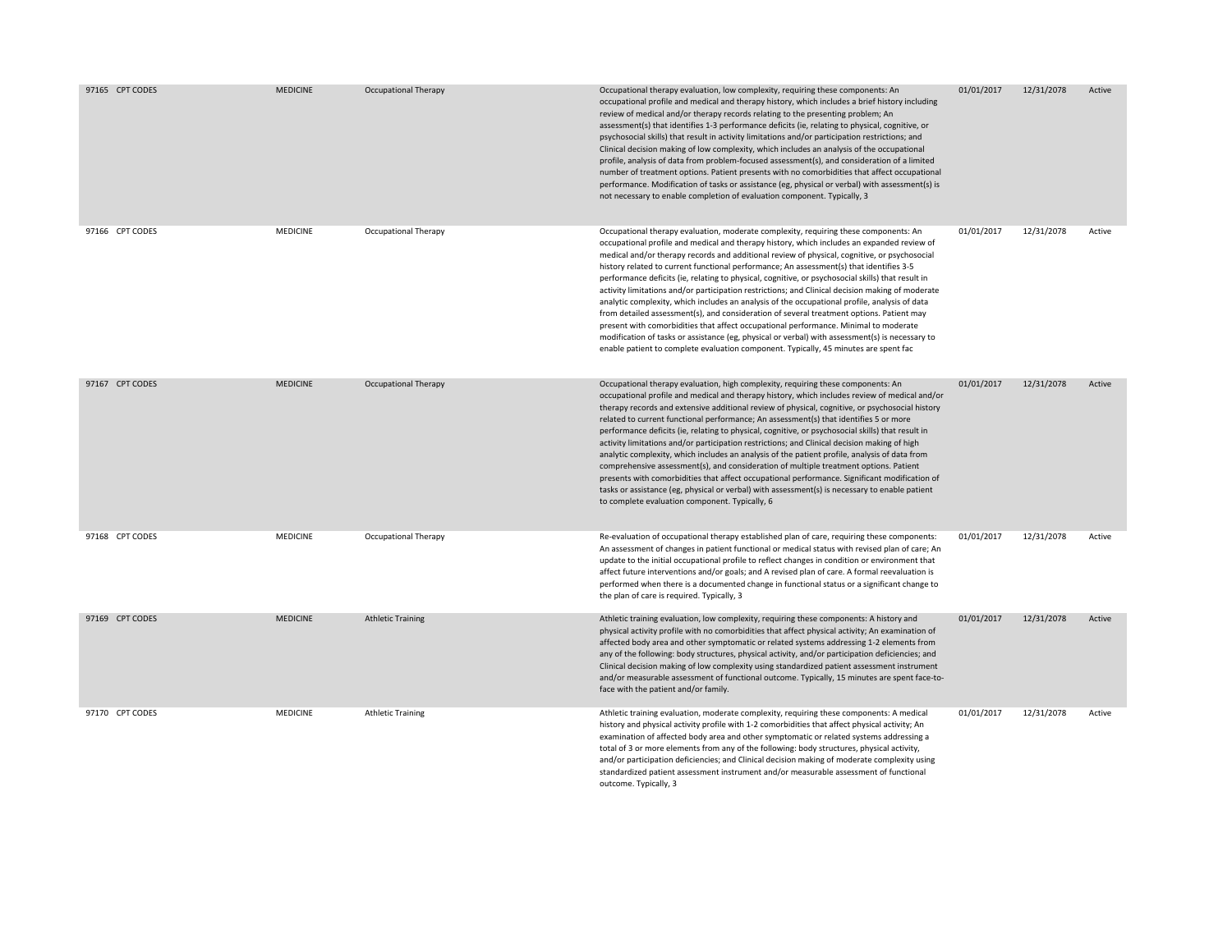| 97165 CPT CODES | <b>MEDICINE</b> | <b>Occupational Therapy</b> | Occupational therapy evaluation, low complexity, requiring these components: An<br>occupational profile and medical and therapy history, which includes a brief history including<br>review of medical and/or therapy records relating to the presenting problem; An<br>assessment(s) that identifies 1-3 performance deficits (ie, relating to physical, cognitive, or<br>psychosocial skills) that result in activity limitations and/or participation restrictions; and<br>Clinical decision making of low complexity, which includes an analysis of the occupational<br>profile, analysis of data from problem-focused assessment(s), and consideration of a limited<br>number of treatment options. Patient presents with no comorbidities that affect occupational<br>performance. Modification of tasks or assistance (eg, physical or verbal) with assessment(s) is<br>not necessary to enable completion of evaluation component. Typically, 3                                                                                                                | 01/01/2017 | 12/31/2078 | Active |
|-----------------|-----------------|-----------------------------|------------------------------------------------------------------------------------------------------------------------------------------------------------------------------------------------------------------------------------------------------------------------------------------------------------------------------------------------------------------------------------------------------------------------------------------------------------------------------------------------------------------------------------------------------------------------------------------------------------------------------------------------------------------------------------------------------------------------------------------------------------------------------------------------------------------------------------------------------------------------------------------------------------------------------------------------------------------------------------------------------------------------------------------------------------------------|------------|------------|--------|
| 97166 CPT CODES | MEDICINE        | Occupational Therapy        | Occupational therapy evaluation, moderate complexity, requiring these components: An<br>occupational profile and medical and therapy history, which includes an expanded review of<br>medical and/or therapy records and additional review of physical, cognitive, or psychosocial<br>history related to current functional performance; An assessment(s) that identifies 3-5<br>performance deficits (ie, relating to physical, cognitive, or psychosocial skills) that result in<br>activity limitations and/or participation restrictions; and Clinical decision making of moderate<br>analytic complexity, which includes an analysis of the occupational profile, analysis of data<br>from detailed assessment(s), and consideration of several treatment options. Patient may<br>present with comorbidities that affect occupational performance. Minimal to moderate<br>modification of tasks or assistance (eg, physical or verbal) with assessment(s) is necessary to<br>enable patient to complete evaluation component. Typically, 45 minutes are spent fac | 01/01/2017 | 12/31/2078 | Active |
| 97167 CPT CODES | <b>MEDICINE</b> | <b>Occupational Therapy</b> | Occupational therapy evaluation, high complexity, requiring these components: An<br>occupational profile and medical and therapy history, which includes review of medical and/or<br>therapy records and extensive additional review of physical, cognitive, or psychosocial history<br>related to current functional performance; An assessment(s) that identifies 5 or more<br>performance deficits (ie, relating to physical, cognitive, or psychosocial skills) that result in<br>activity limitations and/or participation restrictions; and Clinical decision making of high<br>analytic complexity, which includes an analysis of the patient profile, analysis of data from<br>comprehensive assessment(s), and consideration of multiple treatment options. Patient<br>presents with comorbidities that affect occupational performance. Significant modification of<br>tasks or assistance (eg, physical or verbal) with assessment(s) is necessary to enable patient<br>to complete evaluation component. Typically, 6                                      | 01/01/2017 | 12/31/2078 | Active |
| 97168 CPT CODES | MEDICINE        | Occupational Therapy        | Re-evaluation of occupational therapy established plan of care, requiring these components:<br>An assessment of changes in patient functional or medical status with revised plan of care; An<br>update to the initial occupational profile to reflect changes in condition or environment that<br>affect future interventions and/or goals; and A revised plan of care. A formal reevaluation is<br>performed when there is a documented change in functional status or a significant change to<br>the plan of care is required. Typically, 3                                                                                                                                                                                                                                                                                                                                                                                                                                                                                                                         | 01/01/2017 | 12/31/2078 | Active |
| 97169 CPT CODES | <b>MEDICINE</b> | <b>Athletic Training</b>    | Athletic training evaluation, low complexity, requiring these components: A history and<br>physical activity profile with no comorbidities that affect physical activity; An examination of<br>affected body area and other symptomatic or related systems addressing 1-2 elements from<br>any of the following: body structures, physical activity, and/or participation deficiencies; and<br>Clinical decision making of low complexity using standardized patient assessment instrument<br>and/or measurable assessment of functional outcome. Typically, 15 minutes are spent face-to-<br>face with the patient and/or family.                                                                                                                                                                                                                                                                                                                                                                                                                                     | 01/01/2017 | 12/31/2078 | Active |
| 97170 CPT CODES | MEDICINE        | <b>Athletic Training</b>    | Athletic training evaluation, moderate complexity, requiring these components: A medical<br>history and physical activity profile with 1-2 comorbidities that affect physical activity; An<br>examination of affected body area and other symptomatic or related systems addressing a<br>total of 3 or more elements from any of the following: body structures, physical activity,<br>and/or participation deficiencies; and Clinical decision making of moderate complexity using<br>standardized patient assessment instrument and/or measurable assessment of functional<br>outcome. Typically, 3                                                                                                                                                                                                                                                                                                                                                                                                                                                                  | 01/01/2017 | 12/31/2078 | Active |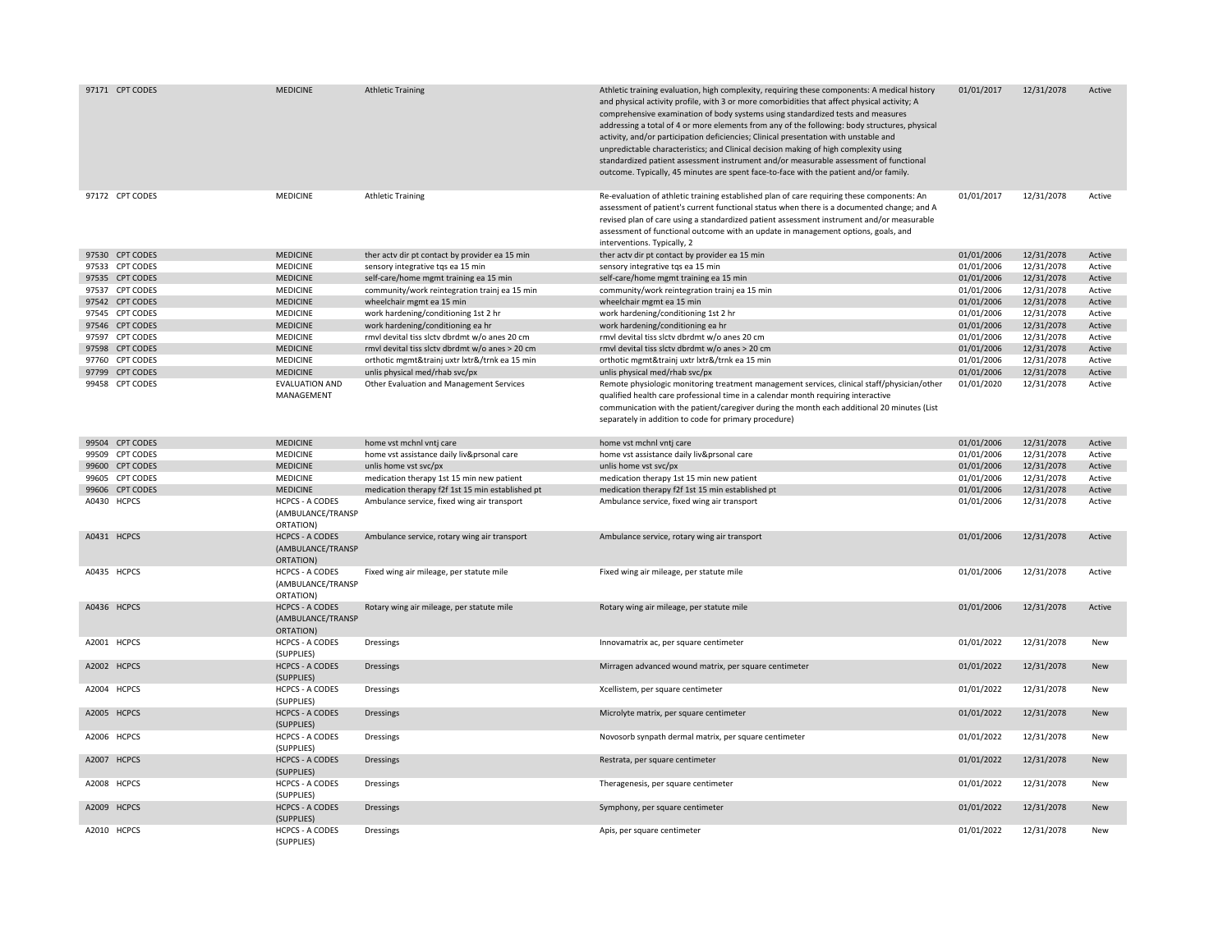| 97171 CPT CODES | <b>MEDICINE</b>                                          | <b>Athletic Training</b>                         | Athletic training evaluation, high complexity, requiring these components: A medical history<br>and physical activity profile, with 3 or more comorbidities that affect physical activity; A<br>comprehensive examination of body systems using standardized tests and measures<br>addressing a total of 4 or more elements from any of the following: body structures, physical<br>activity, and/or participation deficiencies; Clinical presentation with unstable and<br>unpredictable characteristics; and Clinical decision making of high complexity using<br>standardized patient assessment instrument and/or measurable assessment of functional<br>outcome. Typically, 45 minutes are spent face-to-face with the patient and/or family. | 01/01/2017 | 12/31/2078 | Active     |
|-----------------|----------------------------------------------------------|--------------------------------------------------|----------------------------------------------------------------------------------------------------------------------------------------------------------------------------------------------------------------------------------------------------------------------------------------------------------------------------------------------------------------------------------------------------------------------------------------------------------------------------------------------------------------------------------------------------------------------------------------------------------------------------------------------------------------------------------------------------------------------------------------------------|------------|------------|------------|
| 97172 CPT CODES | MEDICINE                                                 | <b>Athletic Training</b>                         | Re-evaluation of athletic training established plan of care requiring these components: An<br>assessment of patient's current functional status when there is a documented change; and A<br>revised plan of care using a standardized patient assessment instrument and/or measurable<br>assessment of functional outcome with an update in management options, goals, and<br>interventions. Typically, 2                                                                                                                                                                                                                                                                                                                                          | 01/01/2017 | 12/31/2078 | Active     |
| 97530 CPT CODES | <b>MEDICINE</b>                                          | ther actv dir pt contact by provider ea 15 min   | ther actv dir pt contact by provider ea 15 min                                                                                                                                                                                                                                                                                                                                                                                                                                                                                                                                                                                                                                                                                                     | 01/01/2006 | 12/31/2078 | Active     |
| 97533 CPT CODES | MEDICINE                                                 | sensory integrative tqs ea 15 min                | sensory integrative tqs ea 15 min                                                                                                                                                                                                                                                                                                                                                                                                                                                                                                                                                                                                                                                                                                                  | 01/01/2006 | 12/31/2078 | Active     |
| 97535 CPT CODES | <b>MEDICINE</b>                                          | self-care/home mgmt training ea 15 min           | self-care/home mgmt training ea 15 min                                                                                                                                                                                                                                                                                                                                                                                                                                                                                                                                                                                                                                                                                                             | 01/01/2006 | 12/31/2078 | Active     |
| 97537 CPT CODES | MEDICINE                                                 | community/work reintegration trainj ea 15 min    | community/work reintegration trainj ea 15 min                                                                                                                                                                                                                                                                                                                                                                                                                                                                                                                                                                                                                                                                                                      | 01/01/2006 | 12/31/2078 | Active     |
| 97542 CPT CODES | <b>MEDICINE</b>                                          | wheelchair mgmt ea 15 min                        | wheelchair mgmt ea 15 min                                                                                                                                                                                                                                                                                                                                                                                                                                                                                                                                                                                                                                                                                                                          | 01/01/2006 | 12/31/2078 | Active     |
| 97545 CPT CODES | MEDICINE                                                 | work hardening/conditioning 1st 2 hr             | work hardening/conditioning 1st 2 hr                                                                                                                                                                                                                                                                                                                                                                                                                                                                                                                                                                                                                                                                                                               | 01/01/2006 | 12/31/2078 | Active     |
| 97546 CPT CODES | <b>MEDICINE</b>                                          | work hardening/conditioning ea hr                | work hardening/conditioning ea hr                                                                                                                                                                                                                                                                                                                                                                                                                                                                                                                                                                                                                                                                                                                  | 01/01/2006 | 12/31/2078 | Active     |
| 97597 CPT CODES | MEDICINE                                                 | rmvl devital tiss slctv dbrdmt w/o anes 20 cm    | rmvl devital tiss slctv dbrdmt w/o anes 20 cm                                                                                                                                                                                                                                                                                                                                                                                                                                                                                                                                                                                                                                                                                                      | 01/01/2006 | 12/31/2078 | Active     |
| 97598 CPT CODES | <b>MEDICINE</b>                                          | rmvl devital tiss slctv dbrdmt w/o anes > 20 cm  | rmvl devital tiss slctv dbrdmt w/o anes > 20 cm                                                                                                                                                                                                                                                                                                                                                                                                                                                                                                                                                                                                                                                                                                    | 01/01/2006 | 12/31/2078 | Active     |
| 97760 CPT CODES | <b>MEDICINE</b>                                          | orthotic mgmt&trainj uxtr lxtr&/trnk ea 15 min   | orthotic mgmt&trainj uxtr lxtr&/trnk ea 15 min                                                                                                                                                                                                                                                                                                                                                                                                                                                                                                                                                                                                                                                                                                     | 01/01/2006 | 12/31/2078 | Active     |
| 97799 CPT CODES | <b>MEDICINE</b>                                          | unlis physical med/rhab svc/px                   | unlis physical med/rhab svc/px                                                                                                                                                                                                                                                                                                                                                                                                                                                                                                                                                                                                                                                                                                                     | 01/01/2006 | 12/31/2078 | Active     |
| 99458 CPT CODES | <b>EVALUATION AND</b><br>MANAGEMENT                      | Other Evaluation and Management Services         | Remote physiologic monitoring treatment management services, clinical staff/physician/other<br>qualified health care professional time in a calendar month requiring interactive<br>communication with the patient/caregiver during the month each additional 20 minutes (List<br>separately in addition to code for primary procedure)                                                                                                                                                                                                                                                                                                                                                                                                            | 01/01/2020 | 12/31/2078 | Active     |
| 99504 CPT CODES | <b>MEDICINE</b>                                          | home vst mchnl vntj care                         | home vst mchnl vntj care                                                                                                                                                                                                                                                                                                                                                                                                                                                                                                                                                                                                                                                                                                                           | 01/01/2006 | 12/31/2078 | Active     |
| 99509 CPT CODES | MEDICINE                                                 | home vst assistance daily liv&prsonal care       | home vst assistance daily liv&prsonal care                                                                                                                                                                                                                                                                                                                                                                                                                                                                                                                                                                                                                                                                                                         | 01/01/2006 | 12/31/2078 | Active     |
| 99600 CPT CODES | <b>MEDICINE</b>                                          |                                                  |                                                                                                                                                                                                                                                                                                                                                                                                                                                                                                                                                                                                                                                                                                                                                    | 01/01/2006 |            | Active     |
| 99605 CPT CODES | <b>MEDICINE</b>                                          | unlis home vst svc/px                            | unlis home vst svc/px                                                                                                                                                                                                                                                                                                                                                                                                                                                                                                                                                                                                                                                                                                                              |            | 12/31/2078 |            |
|                 |                                                          | medication therapy 1st 15 min new patient        | medication therapy 1st 15 min new patient                                                                                                                                                                                                                                                                                                                                                                                                                                                                                                                                                                                                                                                                                                          | 01/01/2006 | 12/31/2078 | Active     |
| 99606 CPT CODES | <b>MEDICINE</b>                                          | medication therapy f2f 1st 15 min established pt | medication therapy f2f 1st 15 min established pt                                                                                                                                                                                                                                                                                                                                                                                                                                                                                                                                                                                                                                                                                                   | 01/01/2006 | 12/31/2078 | Active     |
| A0430 HCPCS     | <b>HCPCS - A CODES</b><br>(AMBULANCE/TRANSP<br>ORTATION) | Ambulance service, fixed wing air transport      | Ambulance service, fixed wing air transport                                                                                                                                                                                                                                                                                                                                                                                                                                                                                                                                                                                                                                                                                                        | 01/01/2006 | 12/31/2078 | Active     |
| A0431 HCPCS     | <b>HCPCS - A CODES</b><br>(AMBULANCE/TRANSP<br>ORTATION) | Ambulance service, rotary wing air transport     | Ambulance service, rotary wing air transport                                                                                                                                                                                                                                                                                                                                                                                                                                                                                                                                                                                                                                                                                                       | 01/01/2006 | 12/31/2078 | Active     |
| A0435 HCPCS     | <b>HCPCS - A CODES</b><br>(AMBULANCE/TRANSP<br>ORTATION) | Fixed wing air mileage, per statute mile         | Fixed wing air mileage, per statute mile                                                                                                                                                                                                                                                                                                                                                                                                                                                                                                                                                                                                                                                                                                           | 01/01/2006 | 12/31/2078 | Active     |
| A0436 HCPCS     | <b>HCPCS - A CODES</b><br>(AMBULANCE/TRANSP<br>ORTATION) | Rotary wing air mileage, per statute mile        | Rotary wing air mileage, per statute mile                                                                                                                                                                                                                                                                                                                                                                                                                                                                                                                                                                                                                                                                                                          | 01/01/2006 | 12/31/2078 | Active     |
| A2001 HCPCS     | <b>HCPCS - A CODES</b><br>(SUPPLIES)                     | Dressings                                        | Innovamatrix ac, per square centimeter                                                                                                                                                                                                                                                                                                                                                                                                                                                                                                                                                                                                                                                                                                             | 01/01/2022 | 12/31/2078 | New        |
| A2002 HCPCS     | <b>HCPCS - A CODES</b><br>(SUPPLIES)                     | <b>Dressings</b>                                 | Mirragen advanced wound matrix, per square centimeter                                                                                                                                                                                                                                                                                                                                                                                                                                                                                                                                                                                                                                                                                              | 01/01/2022 | 12/31/2078 | New        |
| A2004 HCPCS     | <b>HCPCS - A CODES</b><br>(SUPPLIES)                     | Dressings                                        | Xcellistem, per square centimeter                                                                                                                                                                                                                                                                                                                                                                                                                                                                                                                                                                                                                                                                                                                  | 01/01/2022 | 12/31/2078 | <b>New</b> |
| A2005 HCPCS     | <b>HCPCS - A CODES</b><br>(SUPPLIES)                     | Dressings                                        | Microlyte matrix, per square centimeter                                                                                                                                                                                                                                                                                                                                                                                                                                                                                                                                                                                                                                                                                                            | 01/01/2022 | 12/31/2078 | New        |
| A2006 HCPCS     | <b>HCPCS - A CODES</b><br>(SUPPLIES)                     | Dressings                                        | Novosorb synpath dermal matrix, per square centimeter                                                                                                                                                                                                                                                                                                                                                                                                                                                                                                                                                                                                                                                                                              | 01/01/2022 | 12/31/2078 | <b>New</b> |
| A2007 HCPCS     | <b>HCPCS - A CODES</b><br>(SUPPLIES)                     | <b>Dressings</b>                                 | Restrata, per square centimeter                                                                                                                                                                                                                                                                                                                                                                                                                                                                                                                                                                                                                                                                                                                    | 01/01/2022 | 12/31/2078 | New        |
| A2008 HCPCS     | <b>HCPCS - A CODES</b><br>(SUPPLIES)                     | Dressings                                        | Theragenesis, per square centimeter                                                                                                                                                                                                                                                                                                                                                                                                                                                                                                                                                                                                                                                                                                                | 01/01/2022 | 12/31/2078 | New        |
| A2009 HCPCS     | <b>HCPCS - A CODES</b><br>(SUPPLIES)                     | Dressings                                        | Symphony, per square centimeter                                                                                                                                                                                                                                                                                                                                                                                                                                                                                                                                                                                                                                                                                                                    | 01/01/2022 | 12/31/2078 | <b>New</b> |
| A2010 HCPCS     | <b>HCPCS - A CODES</b><br>(SUPPLIES)                     | Dressings                                        | Apis, per square centimeter                                                                                                                                                                                                                                                                                                                                                                                                                                                                                                                                                                                                                                                                                                                        | 01/01/2022 | 12/31/2078 | New        |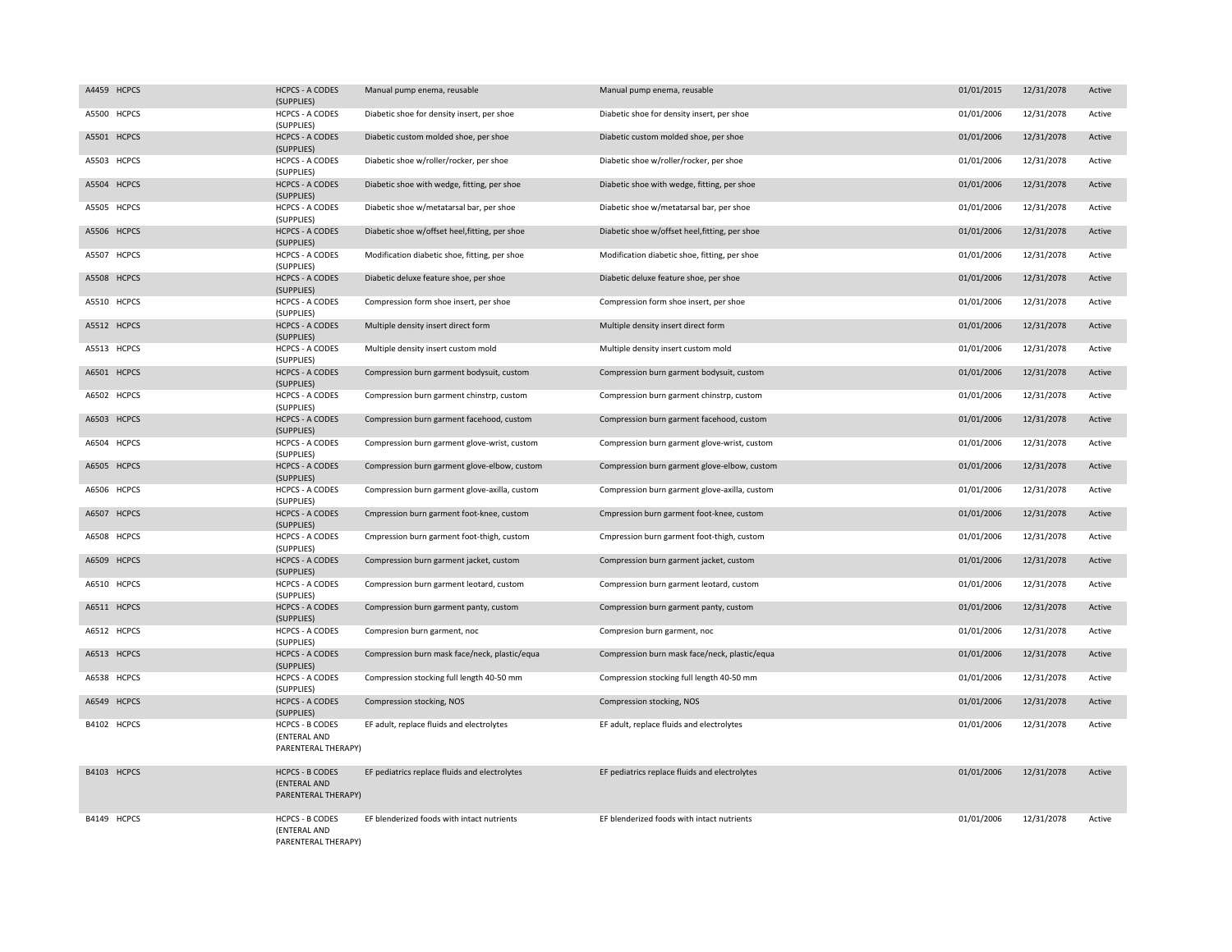| A4459 HCPCS | <b>HCPCS - A CODES</b><br>(SUPPLIES)                          | Manual pump enema, reusable                    | Manual pump enema, reusable                    | 01/01/2015 | 12/31/2078 | Active |
|-------------|---------------------------------------------------------------|------------------------------------------------|------------------------------------------------|------------|------------|--------|
| A5500 HCPCS | <b>HCPCS - A CODES</b><br>(SUPPLIES)                          | Diabetic shoe for density insert, per shoe     | Diabetic shoe for density insert, per shoe     | 01/01/2006 | 12/31/2078 | Active |
| A5501 HCPCS | <b>HCPCS - A CODES</b><br>(SUPPLIES)                          | Diabetic custom molded shoe, per shoe          | Diabetic custom molded shoe, per shoe          | 01/01/2006 | 12/31/2078 | Active |
| A5503 HCPCS | <b>HCPCS - A CODES</b><br>(SUPPLIES)                          | Diabetic shoe w/roller/rocker, per shoe        | Diabetic shoe w/roller/rocker, per shoe        | 01/01/2006 | 12/31/2078 | Active |
| A5504 HCPCS | <b>HCPCS - A CODES</b><br>(SUPPLIES)                          | Diabetic shoe with wedge, fitting, per shoe    | Diabetic shoe with wedge, fitting, per shoe    | 01/01/2006 | 12/31/2078 | Active |
| A5505 HCPCS | <b>HCPCS - A CODES</b><br>(SUPPLIES)                          | Diabetic shoe w/metatarsal bar, per shoe       | Diabetic shoe w/metatarsal bar, per shoe       | 01/01/2006 | 12/31/2078 | Active |
| A5506 HCPCS | <b>HCPCS - A CODES</b><br>(SUPPLIES)                          | Diabetic shoe w/offset heel, fitting, per shoe | Diabetic shoe w/offset heel, fitting, per shoe | 01/01/2006 | 12/31/2078 | Active |
| A5507 HCPCS | <b>HCPCS - A CODES</b><br>(SUPPLIES)                          | Modification diabetic shoe, fitting, per shoe  | Modification diabetic shoe, fitting, per shoe  | 01/01/2006 | 12/31/2078 | Active |
| A5508 HCPCS | <b>HCPCS - A CODES</b><br>(SUPPLIES)                          | Diabetic deluxe feature shoe, per shoe         | Diabetic deluxe feature shoe, per shoe         | 01/01/2006 | 12/31/2078 | Active |
| A5510 HCPCS | <b>HCPCS - A CODES</b><br>(SUPPLIES)                          | Compression form shoe insert, per shoe         | Compression form shoe insert, per shoe         | 01/01/2006 | 12/31/2078 | Active |
| A5512 HCPCS | <b>HCPCS - A CODES</b><br>(SUPPLIES)                          | Multiple density insert direct form            | Multiple density insert direct form            | 01/01/2006 | 12/31/2078 | Active |
| A5513 HCPCS | <b>HCPCS - A CODES</b><br>(SUPPLIES)                          | Multiple density insert custom mold            | Multiple density insert custom mold            | 01/01/2006 | 12/31/2078 | Active |
| A6501 HCPCS | <b>HCPCS - A CODES</b><br>(SUPPLIES)                          | Compression burn garment bodysuit, custom      | Compression burn garment bodysuit, custom      | 01/01/2006 | 12/31/2078 | Active |
| A6502 HCPCS | <b>HCPCS - A CODES</b><br>(SUPPLIES)                          | Compression burn garment chinstrp, custom      | Compression burn garment chinstrp, custom      | 01/01/2006 | 12/31/2078 | Active |
| A6503 HCPCS | <b>HCPCS - A CODES</b><br>(SUPPLIES)                          | Compression burn garment facehood, custom      | Compression burn garment facehood, custom      | 01/01/2006 | 12/31/2078 | Active |
| A6504 HCPCS | HCPCS - A CODES<br>(SUPPLIES)                                 | Compression burn garment glove-wrist, custom   | Compression burn garment glove-wrist, custom   | 01/01/2006 | 12/31/2078 | Active |
| A6505 HCPCS | <b>HCPCS - A CODES</b><br>(SUPPLIES)                          | Compression burn garment glove-elbow, custom   | Compression burn garment glove-elbow, custom   | 01/01/2006 | 12/31/2078 | Active |
| A6506 HCPCS | <b>HCPCS - A CODES</b><br>(SUPPLIES)                          | Compression burn garment glove-axilla, custom  | Compression burn garment glove-axilla, custom  | 01/01/2006 | 12/31/2078 | Active |
| A6507 HCPCS | <b>HCPCS - A CODES</b><br>(SUPPLIES)                          | Cmpression burn garment foot-knee, custom      | Cmpression burn garment foot-knee, custom      | 01/01/2006 | 12/31/2078 | Active |
| A6508 HCPCS | <b>HCPCS - A CODES</b><br>(SUPPLIES)                          | Cmpression burn garment foot-thigh, custom     | Cmpression burn garment foot-thigh, custom     | 01/01/2006 | 12/31/2078 | Active |
| A6509 HCPCS | <b>HCPCS - A CODES</b><br>(SUPPLIES)                          | Compression burn garment jacket, custom        | Compression burn garment jacket, custom        | 01/01/2006 | 12/31/2078 | Active |
| A6510 HCPCS | <b>HCPCS - A CODES</b><br>(SUPPLIES)                          | Compression burn garment leotard, custom       | Compression burn garment leotard, custom       | 01/01/2006 | 12/31/2078 | Active |
| A6511 HCPCS | <b>HCPCS - A CODES</b><br>(SUPPLIES)                          | Compression burn garment panty, custom         | Compression burn garment panty, custom         | 01/01/2006 | 12/31/2078 | Active |
| A6512 HCPCS | <b>HCPCS - A CODES</b><br>(SUPPLIES)                          | Compresion burn garment, noc                   | Compresion burn garment, noc                   | 01/01/2006 | 12/31/2078 | Active |
| A6513 HCPCS | <b>HCPCS - A CODES</b><br>(SUPPLIES)                          | Compression burn mask face/neck, plastic/equa  | Compression burn mask face/neck, plastic/equa  | 01/01/2006 | 12/31/2078 | Active |
| A6538 HCPCS | <b>HCPCS - A CODES</b><br>(SUPPLIES)                          | Compression stocking full length 40-50 mm      | Compression stocking full length 40-50 mm      | 01/01/2006 | 12/31/2078 | Active |
| A6549 HCPCS | <b>HCPCS - A CODES</b><br>(SUPPLIES)                          | Compression stocking, NOS                      | Compression stocking, NOS                      | 01/01/2006 | 12/31/2078 | Active |
| B4102 HCPCS | <b>HCPCS - B CODES</b><br>(ENTERAL AND<br>PARENTERAL THERAPY) | EF adult, replace fluids and electrolytes      | EF adult, replace fluids and electrolytes      | 01/01/2006 | 12/31/2078 | Active |
| B4103 HCPCS | <b>HCPCS - B CODES</b><br>(ENTERAL AND<br>PARENTERAL THERAPY) | EF pediatrics replace fluids and electrolytes  | EF pediatrics replace fluids and electrolytes  | 01/01/2006 | 12/31/2078 | Active |
| B4149 HCPCS | <b>HCPCS - B CODES</b><br>(ENTERAL AND<br>PARENTERAL THERAPY) | EF blenderized foods with intact nutrients     | EF blenderized foods with intact nutrients     | 01/01/2006 | 12/31/2078 | Active |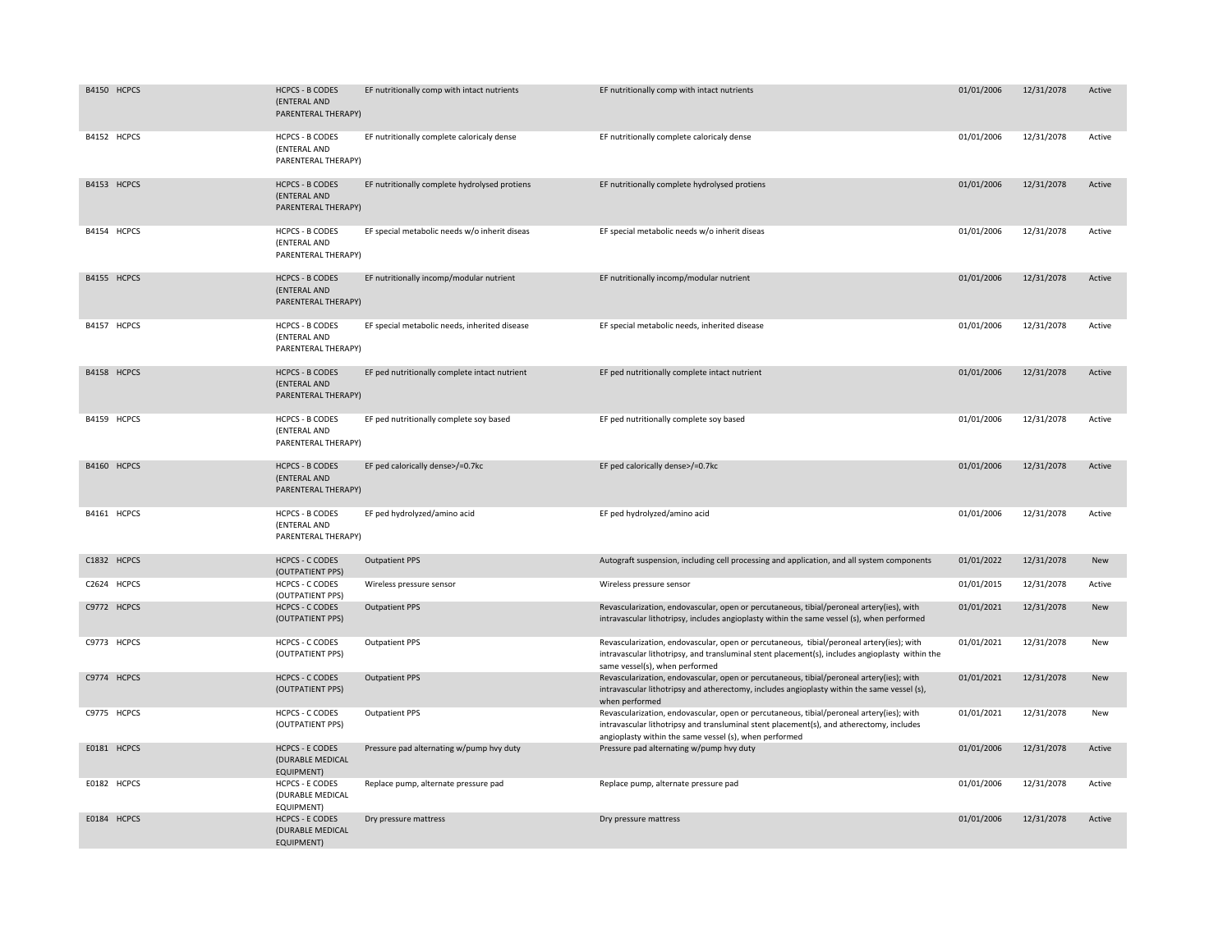| B4150 HCPCS | <b>HCPCS - B CODES</b><br>(ENTERAL AND<br>PARENTERAL THERAPY)   | EF nutritionally comp with intact nutrients   | EF nutritionally comp with intact nutrients                                                                                                                                                                                                    | 01/01/2006 | 12/31/2078 | Active     |
|-------------|-----------------------------------------------------------------|-----------------------------------------------|------------------------------------------------------------------------------------------------------------------------------------------------------------------------------------------------------------------------------------------------|------------|------------|------------|
| B4152 HCPCS | <b>HCPCS - B CODES</b><br>(ENTERAL AND<br>PARENTERAL THERAPY)   | EF nutritionally complete caloricaly dense    | EF nutritionally complete caloricaly dense                                                                                                                                                                                                     | 01/01/2006 | 12/31/2078 | Active     |
| B4153 HCPCS | <b>HCPCS - B CODES</b><br>(ENTERAL AND<br>PARENTERAL THERAPY)   | EF nutritionally complete hydrolysed protiens | EF nutritionally complete hydrolysed protiens                                                                                                                                                                                                  | 01/01/2006 | 12/31/2078 | Active     |
| B4154 HCPCS | <b>HCPCS - B CODES</b><br>(ENTERAL AND<br>PARENTERAL THERAPY)   | EF special metabolic needs w/o inherit diseas | EF special metabolic needs w/o inherit diseas                                                                                                                                                                                                  | 01/01/2006 | 12/31/2078 | Active     |
| B4155 HCPCS | <b>HCPCS - B CODES</b><br>(ENTERAL AND<br>PARENTERAL THERAPY)   | EF nutritionally incomp/modular nutrient      | EF nutritionally incomp/modular nutrient                                                                                                                                                                                                       | 01/01/2006 | 12/31/2078 | Active     |
| B4157 HCPCS | <b>HCPCS - B CODES</b><br>(ENTERAL AND<br>PARENTERAL THERAPY)   | EF special metabolic needs, inherited disease | EF special metabolic needs, inherited disease                                                                                                                                                                                                  | 01/01/2006 | 12/31/2078 | Active     |
| B4158 HCPCS | <b>HCPCS - B CODES</b><br>(ENTERAL AND<br>PARENTERAL THERAPY)   | EF ped nutritionally complete intact nutrient | EF ped nutritionally complete intact nutrient                                                                                                                                                                                                  | 01/01/2006 | 12/31/2078 | Active     |
| B4159 HCPCS | <b>HCPCS - B CODES</b><br>(ENTERAL AND<br>PARENTERAL THERAPY)   | EF ped nutritionally complete soy based       | EF ped nutritionally complete soy based                                                                                                                                                                                                        | 01/01/2006 | 12/31/2078 | Active     |
| B4160 HCPCS | <b>HCPCS - B CODES</b><br>(ENTERAL AND<br>PARENTERAL THERAPY)   | EF ped calorically dense>/=0.7kc              | EF ped calorically dense>/=0.7kc                                                                                                                                                                                                               | 01/01/2006 | 12/31/2078 | Active     |
| B4161 HCPCS | <b>HCPCS - B CODES</b><br>(ENTERAL AND<br>PARENTERAL THERAPY)   | EF ped hydrolyzed/amino acid                  | EF ped hydrolyzed/amino acid                                                                                                                                                                                                                   | 01/01/2006 | 12/31/2078 | Active     |
| C1832 HCPCS | <b>HCPCS - C CODES</b><br>(OUTPATIENT PPS)                      | <b>Outpatient PPS</b>                         | Autograft suspension, including cell processing and application, and all system components                                                                                                                                                     | 01/01/2022 | 12/31/2078 | New        |
| C2624 HCPCS | <b>HCPCS - C CODES</b><br>(OUTPATIENT PPS)                      | Wireless pressure sensor                      | Wireless pressure sensor                                                                                                                                                                                                                       | 01/01/2015 | 12/31/2078 | Active     |
| C9772 HCPCS | <b>HCPCS - C CODES</b><br>(OUTPATIENT PPS)                      | <b>Outpatient PPS</b>                         | Revascularization, endovascular, open or percutaneous, tibial/peroneal artery(ies), with<br>intravascular lithotripsy, includes angioplasty within the same vessel (s), when performed                                                         | 01/01/2021 | 12/31/2078 | New        |
| C9773 HCPCS | <b>HCPCS - C CODES</b><br>(OUTPATIENT PPS)                      | <b>Outpatient PPS</b>                         | Revascularization, endovascular, open or percutaneous, tibial/peroneal artery(ies); with<br>intravascular lithotripsy, and transluminal stent placement(s), includes angioplasty within the<br>same vessel(s), when performed                  | 01/01/2021 | 12/31/2078 | New        |
| C9774 HCPCS | <b>HCPCS - C CODES</b><br>(OUTPATIENT PPS)                      | <b>Outpatient PPS</b>                         | Revascularization, endovascular, open or percutaneous, tibial/peroneal artery(ies); with<br>intravascular lithotripsy and atherectomy, includes angioplasty within the same vessel (s),<br>when performed                                      | 01/01/2021 | 12/31/2078 | New        |
| C9775 HCPCS | <b>HCPCS - C CODES</b><br>(OUTPATIENT PPS)                      | <b>Outpatient PPS</b>                         | Revascularization, endovascular, open or percutaneous, tibial/peroneal artery(ies); with<br>intravascular lithotripsy and transluminal stent placement(s), and atherectomy, includes<br>angioplasty within the same vessel (s), when performed | 01/01/2021 | 12/31/2078 | <b>New</b> |
| E0181 HCPCS | <b>HCPCS - E CODES</b><br>(DURABLE MEDICAL<br><b>EQUIPMENT)</b> | Pressure pad alternating w/pump hvy duty      | Pressure pad alternating w/pump hvy duty                                                                                                                                                                                                       | 01/01/2006 | 12/31/2078 | Active     |
| E0182 HCPCS | <b>HCPCS - E CODES</b><br>(DURABLE MEDICAL<br>EQUIPMENT)        | Replace pump, alternate pressure pad          | Replace pump, alternate pressure pad                                                                                                                                                                                                           | 01/01/2006 | 12/31/2078 | Active     |
| E0184 HCPCS | <b>HCPCS - E CODES</b><br>(DURABLE MEDICAL<br>EQUIPMENT)        | Dry pressure mattress                         | Dry pressure mattress                                                                                                                                                                                                                          | 01/01/2006 | 12/31/2078 | Active     |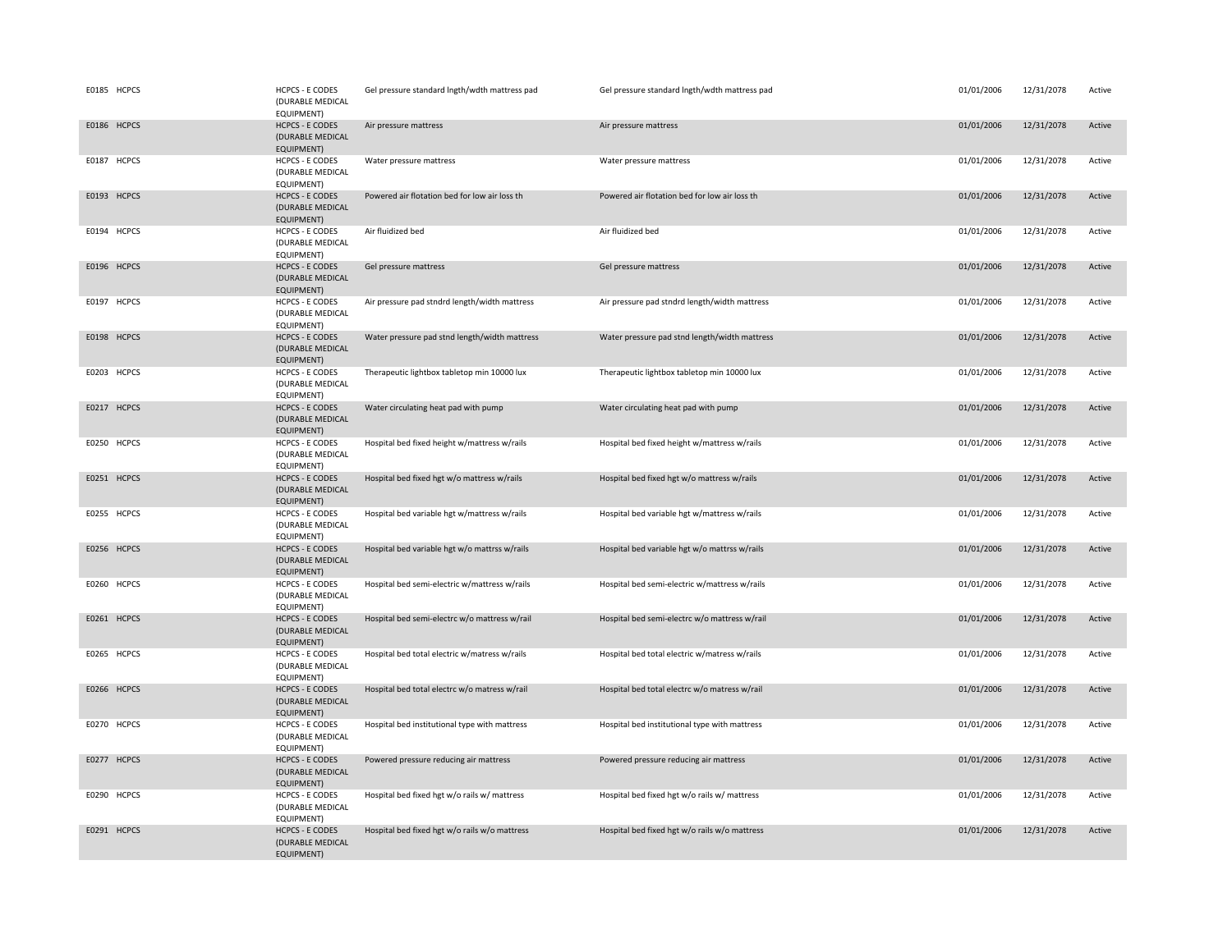| E0185 HCPCS | <b>HCPCS - E CODES</b><br>(DURABLE MEDICAL<br>EQUIPMENT)        | Gel pressure standard lngth/wdth mattress pad | Gel pressure standard lngth/wdth mattress pad | 01/01/2006 | 12/31/2078 | Active |
|-------------|-----------------------------------------------------------------|-----------------------------------------------|-----------------------------------------------|------------|------------|--------|
| E0186 HCPCS | <b>HCPCS - E CODES</b><br>(DURABLE MEDICAL<br><b>EQUIPMENT)</b> | Air pressure mattress                         | Air pressure mattress                         | 01/01/2006 | 12/31/2078 | Active |
| E0187 HCPCS | <b>HCPCS - E CODES</b><br>(DURABLE MEDICAL<br>EQUIPMENT)        | Water pressure mattress                       | Water pressure mattress                       | 01/01/2006 | 12/31/2078 | Active |
| E0193 HCPCS | <b>HCPCS - E CODES</b><br>(DURABLE MEDICAL<br>EQUIPMENT)        | Powered air flotation bed for low air loss th | Powered air flotation bed for low air loss th | 01/01/2006 | 12/31/2078 | Active |
| E0194 HCPCS | <b>HCPCS - E CODES</b><br>(DURABLE MEDICAL<br>EQUIPMENT)        | Air fluidized bed                             | Air fluidized bed                             | 01/01/2006 | 12/31/2078 | Active |
| E0196 HCPCS | <b>HCPCS - E CODES</b><br>(DURABLE MEDICAL<br>EQUIPMENT)        | Gel pressure mattress                         | Gel pressure mattress                         | 01/01/2006 | 12/31/2078 | Active |
| E0197 HCPCS | <b>HCPCS - E CODES</b><br>(DURABLE MEDICAL<br>EQUIPMENT)        | Air pressure pad stndrd length/width mattress | Air pressure pad stndrd length/width mattress | 01/01/2006 | 12/31/2078 | Active |
| E0198 HCPCS | <b>HCPCS - E CODES</b><br>(DURABLE MEDICAL<br>EQUIPMENT)        | Water pressure pad stnd length/width mattress | Water pressure pad stnd length/width mattress | 01/01/2006 | 12/31/2078 | Active |
| E0203 HCPCS | <b>HCPCS - E CODES</b><br>(DURABLE MEDICAL<br>EQUIPMENT)        | Therapeutic lightbox tabletop min 10000 lux   | Therapeutic lightbox tabletop min 10000 lux   | 01/01/2006 | 12/31/2078 | Active |
| E0217 HCPCS | <b>HCPCS - E CODES</b><br>(DURABLE MEDICAL<br>EQUIPMENT)        | Water circulating heat pad with pump          | Water circulating heat pad with pump          | 01/01/2006 | 12/31/2078 | Active |
| E0250 HCPCS | <b>HCPCS - E CODES</b><br>(DURABLE MEDICAL<br>EQUIPMENT)        | Hospital bed fixed height w/mattress w/rails  | Hospital bed fixed height w/mattress w/rails  | 01/01/2006 | 12/31/2078 | Active |
| E0251 HCPCS | <b>HCPCS - E CODES</b><br>(DURABLE MEDICAL<br>EQUIPMENT)        | Hospital bed fixed hgt w/o mattress w/rails   | Hospital bed fixed hgt w/o mattress w/rails   | 01/01/2006 | 12/31/2078 | Active |
| E0255 HCPCS | <b>HCPCS - E CODES</b><br>(DURABLE MEDICAL<br>EQUIPMENT)        | Hospital bed variable hgt w/mattress w/rails  | Hospital bed variable hgt w/mattress w/rails  | 01/01/2006 | 12/31/2078 | Active |
| E0256 HCPCS | <b>HCPCS - E CODES</b><br>(DURABLE MEDICAL<br>EQUIPMENT)        | Hospital bed variable hgt w/o mattrss w/rails | Hospital bed variable hgt w/o mattrss w/rails | 01/01/2006 | 12/31/2078 | Active |
| E0260 HCPCS | <b>HCPCS - E CODES</b><br>(DURABLE MEDICAL<br>EQUIPMENT)        | Hospital bed semi-electric w/mattress w/rails | Hospital bed semi-electric w/mattress w/rails | 01/01/2006 | 12/31/2078 | Active |
| E0261 HCPCS | <b>HCPCS - E CODES</b><br>(DURABLE MEDICAL<br>EQUIPMENT)        | Hospital bed semi-electrc w/o mattress w/rail | Hospital bed semi-electrc w/o mattress w/rail | 01/01/2006 | 12/31/2078 | Active |
| E0265 HCPCS | <b>HCPCS - E CODES</b><br>(DURABLE MEDICAL<br>EQUIPMENT)        | Hospital bed total electric w/matress w/rails | Hospital bed total electric w/matress w/rails | 01/01/2006 | 12/31/2078 | Active |
| E0266 HCPCS | <b>HCPCS - E CODES</b><br>(DURABLE MEDICAL<br>EQUIPMENT)        | Hospital bed total electrc w/o matress w/rail | Hospital bed total electrc w/o matress w/rail | 01/01/2006 | 12/31/2078 | Active |
| E0270 HCPCS | <b>HCPCS - E CODES</b><br>(DURABLE MEDICAL<br>EQUIPMENT)        | Hospital bed institutional type with mattress | Hospital bed institutional type with mattress | 01/01/2006 | 12/31/2078 | Active |
| E0277 HCPCS | <b>HCPCS - E CODES</b><br>(DURABLE MEDICAL<br><b>EQUIPMENT)</b> | Powered pressure reducing air mattress        | Powered pressure reducing air mattress        | 01/01/2006 | 12/31/2078 | Active |
| E0290 HCPCS | <b>HCPCS - E CODES</b><br>(DURABLE MEDICAL<br>EQUIPMENT)        | Hospital bed fixed hgt w/o rails w/ mattress  | Hospital bed fixed hgt w/o rails w/ mattress  | 01/01/2006 | 12/31/2078 | Active |
| E0291 HCPCS | <b>HCPCS - E CODES</b><br>(DURABLE MEDICAL<br><b>EQUIPMENT)</b> | Hospital bed fixed hgt w/o rails w/o mattress | Hospital bed fixed hgt w/o rails w/o mattress | 01/01/2006 | 12/31/2078 | Active |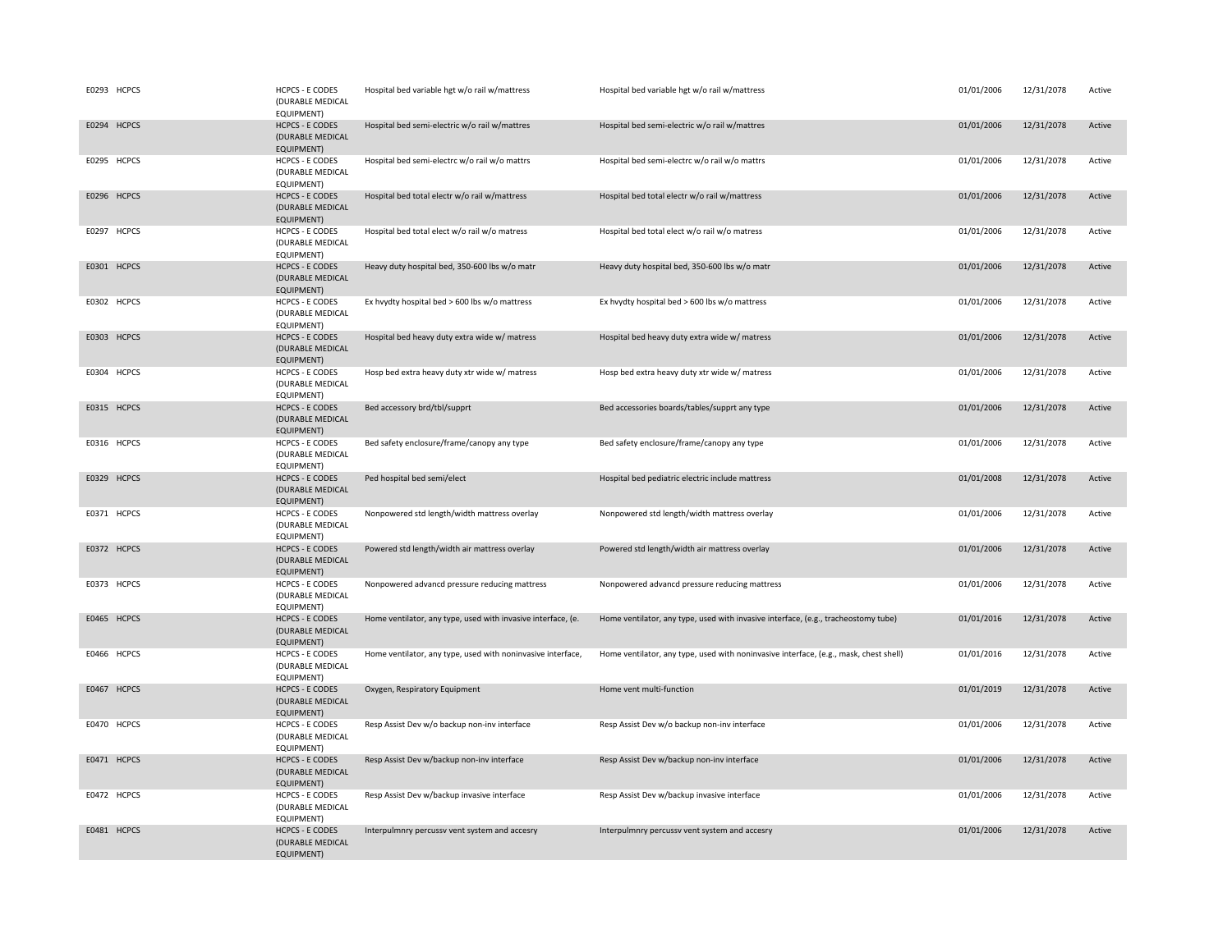| E0293 HCPCS | HCPCS - E CODES<br>(DURABLE MEDICAL<br>EQUIPMENT)               | Hospital bed variable hgt w/o rail w/mattress                | Hospital bed variable hgt w/o rail w/mattress                                         | 01/01/2006 | 12/31/2078 | Active |
|-------------|-----------------------------------------------------------------|--------------------------------------------------------------|---------------------------------------------------------------------------------------|------------|------------|--------|
| E0294 HCPCS | <b>HCPCS - E CODES</b><br>(DURABLE MEDICAL<br><b>EQUIPMENT)</b> | Hospital bed semi-electric w/o rail w/mattres                | Hospital bed semi-electric w/o rail w/mattres                                         | 01/01/2006 | 12/31/2078 | Active |
| E0295 HCPCS | <b>HCPCS - E CODES</b><br>(DURABLE MEDICAL<br>EQUIPMENT)        | Hospital bed semi-electrc w/o rail w/o mattrs                | Hospital bed semi-electrc w/o rail w/o mattrs                                         | 01/01/2006 | 12/31/2078 | Active |
| E0296 HCPCS | <b>HCPCS - E CODES</b><br>(DURABLE MEDICAL<br>EQUIPMENT)        | Hospital bed total electr w/o rail w/mattress                | Hospital bed total electr w/o rail w/mattress                                         | 01/01/2006 | 12/31/2078 | Active |
| E0297 HCPCS | <b>HCPCS - E CODES</b><br>(DURABLE MEDICAL<br>EQUIPMENT)        | Hospital bed total elect w/o rail w/o matress                | Hospital bed total elect w/o rail w/o matress                                         | 01/01/2006 | 12/31/2078 | Active |
| E0301 HCPCS | <b>HCPCS - E CODES</b><br>(DURABLE MEDICAL<br>EQUIPMENT)        | Heavy duty hospital bed, 350-600 lbs w/o matr                | Heavy duty hospital bed, 350-600 lbs w/o matr                                         | 01/01/2006 | 12/31/2078 | Active |
| E0302 HCPCS | <b>HCPCS - E CODES</b><br>(DURABLE MEDICAL<br>EQUIPMENT)        | Ex hvydty hospital bed > 600 lbs w/o mattress                | Ex hvydty hospital bed > 600 lbs w/o mattress                                         | 01/01/2006 | 12/31/2078 | Active |
| E0303 HCPCS | <b>HCPCS - E CODES</b><br>(DURABLE MEDICAL<br>EQUIPMENT)        | Hospital bed heavy duty extra wide w/ matress                | Hospital bed heavy duty extra wide w/ matress                                         | 01/01/2006 | 12/31/2078 | Active |
| E0304 HCPCS | <b>HCPCS - E CODES</b><br>(DURABLE MEDICAL<br>EQUIPMENT)        | Hosp bed extra heavy duty xtr wide w/ matress                | Hosp bed extra heavy duty xtr wide w/ matress                                         | 01/01/2006 | 12/31/2078 | Active |
| E0315 HCPCS | <b>HCPCS - E CODES</b><br>(DURABLE MEDICAL<br>EQUIPMENT)        | Bed accessory brd/tbl/supprt                                 | Bed accessories boards/tables/supprt any type                                         | 01/01/2006 | 12/31/2078 | Active |
| E0316 HCPCS | <b>HCPCS - E CODES</b><br>(DURABLE MEDICAL<br>EQUIPMENT)        | Bed safety enclosure/frame/canopy any type                   | Bed safety enclosure/frame/canopy any type                                            | 01/01/2006 | 12/31/2078 | Active |
| E0329 HCPCS | <b>HCPCS - E CODES</b><br>(DURABLE MEDICAL<br><b>EQUIPMENT)</b> | Ped hospital bed semi/elect                                  | Hospital bed pediatric electric include mattress                                      | 01/01/2008 | 12/31/2078 | Active |
| E0371 HCPCS | <b>HCPCS - E CODES</b><br>(DURABLE MEDICAL<br>EQUIPMENT)        | Nonpowered std length/width mattress overlay                 | Nonpowered std length/width mattress overlay                                          | 01/01/2006 | 12/31/2078 | Active |
| E0372 HCPCS | <b>HCPCS - E CODES</b><br>(DURABLE MEDICAL<br>EQUIPMENT)        | Powered std length/width air mattress overlay                | Powered std length/width air mattress overlay                                         | 01/01/2006 | 12/31/2078 | Active |
| E0373 HCPCS | <b>HCPCS - E CODES</b><br>(DURABLE MEDICAL<br>EQUIPMENT)        | Nonpowered advancd pressure reducing mattress                | Nonpowered advancd pressure reducing mattress                                         | 01/01/2006 | 12/31/2078 | Active |
| E0465 HCPCS | <b>HCPCS - E CODES</b><br>(DURABLE MEDICAL<br><b>EQUIPMENT)</b> | Home ventilator, any type, used with invasive interface, (e. | Home ventilator, any type, used with invasive interface, (e.g., tracheostomy tube)    | 01/01/2016 | 12/31/2078 | Active |
| E0466 HCPCS | <b>HCPCS - E CODES</b><br>(DURABLE MEDICAL<br>EQUIPMENT)        | Home ventilator, any type, used with noninvasive interface,  | Home ventilator, any type, used with noninvasive interface, (e.g., mask, chest shell) | 01/01/2016 | 12/31/2078 | Active |
| E0467 HCPCS | <b>HCPCS - E CODES</b><br>(DURABLE MEDICAL<br>EQUIPMENT)        | Oxygen, Respiratory Equipment                                | Home vent multi-function                                                              | 01/01/2019 | 12/31/2078 | Active |
| E0470 HCPCS | <b>HCPCS - E CODES</b><br>(DURABLE MEDICAL<br>EQUIPMENT)        | Resp Assist Dev w/o backup non-inv interface                 | Resp Assist Dev w/o backup non-inv interface                                          | 01/01/2006 | 12/31/2078 | Active |
| E0471 HCPCS | <b>HCPCS - E CODES</b><br>(DURABLE MEDICAL<br>EQUIPMENT)        | Resp Assist Dev w/backup non-inv interface                   | Resp Assist Dev w/backup non-inv interface                                            | 01/01/2006 | 12/31/2078 | Active |
| E0472 HCPCS | <b>HCPCS - E CODES</b><br>(DURABLE MEDICAL<br>EQUIPMENT)        | Resp Assist Dev w/backup invasive interface                  | Resp Assist Dev w/backup invasive interface                                           | 01/01/2006 | 12/31/2078 | Active |
| E0481 HCPCS | <b>HCPCS - E CODES</b><br>(DURABLE MEDICAL<br><b>EQUIPMENT)</b> | Interpulmnry percussv vent system and accesry                | Interpulmnry percussv vent system and accesry                                         | 01/01/2006 | 12/31/2078 | Active |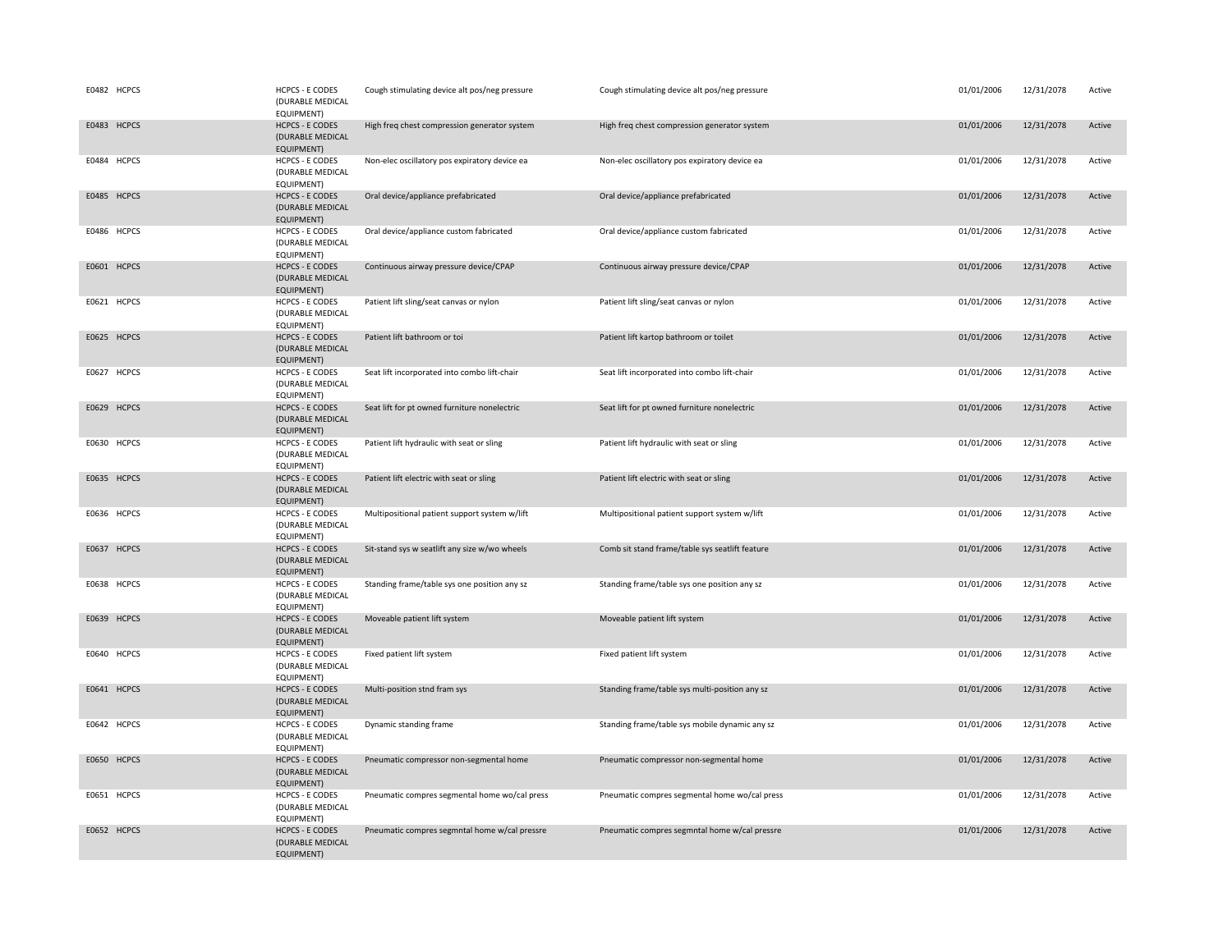| E0482 HCPCS | HCPCS - E CODES<br>(DURABLE MEDICAL<br>EQUIPMENT)               | Cough stimulating device alt pos/neg pressure | Cough stimulating device alt pos/neg pressure   | 01/01/2006 | 12/31/2078 | Active |
|-------------|-----------------------------------------------------------------|-----------------------------------------------|-------------------------------------------------|------------|------------|--------|
| E0483 HCPCS | <b>HCPCS - E CODES</b><br>(DURABLE MEDICAL<br><b>EQUIPMENT)</b> | High freq chest compression generator system  | High freq chest compression generator system    | 01/01/2006 | 12/31/2078 | Active |
| E0484 HCPCS | <b>HCPCS - E CODES</b><br>(DURABLE MEDICAL<br>EQUIPMENT)        | Non-elec oscillatory pos expiratory device ea | Non-elec oscillatory pos expiratory device ea   | 01/01/2006 | 12/31/2078 | Active |
| E0485 HCPCS | <b>HCPCS - E CODES</b><br>(DURABLE MEDICAL<br>EQUIPMENT)        | Oral device/appliance prefabricated           | Oral device/appliance prefabricated             | 01/01/2006 | 12/31/2078 | Active |
| E0486 HCPCS | <b>HCPCS - E CODES</b><br>(DURABLE MEDICAL<br>EQUIPMENT)        | Oral device/appliance custom fabricated       | Oral device/appliance custom fabricated         | 01/01/2006 | 12/31/2078 | Active |
| E0601 HCPCS | <b>HCPCS - E CODES</b><br>(DURABLE MEDICAL<br>EQUIPMENT)        | Continuous airway pressure device/CPAP        | Continuous airway pressure device/CPAP          | 01/01/2006 | 12/31/2078 | Active |
| E0621 HCPCS | <b>HCPCS - E CODES</b><br>(DURABLE MEDICAL<br>EQUIPMENT)        | Patient lift sling/seat canvas or nylon       | Patient lift sling/seat canvas or nylon         | 01/01/2006 | 12/31/2078 | Active |
| E0625 HCPCS | <b>HCPCS - E CODES</b><br>(DURABLE MEDICAL<br>EQUIPMENT)        | Patient lift bathroom or toi                  | Patient lift kartop bathroom or toilet          | 01/01/2006 | 12/31/2078 | Active |
| E0627 HCPCS | <b>HCPCS - E CODES</b><br>(DURABLE MEDICAL<br>EQUIPMENT)        | Seat lift incorporated into combo lift-chair  | Seat lift incorporated into combo lift-chair    | 01/01/2006 | 12/31/2078 | Active |
| E0629 HCPCS | <b>HCPCS - E CODES</b><br>(DURABLE MEDICAL<br>EQUIPMENT)        | Seat lift for pt owned furniture nonelectric  | Seat lift for pt owned furniture nonelectric    | 01/01/2006 | 12/31/2078 | Active |
| E0630 HCPCS | <b>HCPCS - E CODES</b><br>(DURABLE MEDICAL<br>EQUIPMENT)        | Patient lift hydraulic with seat or sling     | Patient lift hydraulic with seat or sling       | 01/01/2006 | 12/31/2078 | Active |
| E0635 HCPCS | <b>HCPCS - E CODES</b><br>(DURABLE MEDICAL<br><b>EQUIPMENT)</b> | Patient lift electric with seat or sling      | Patient lift electric with seat or sling        | 01/01/2006 | 12/31/2078 | Active |
| E0636 HCPCS | <b>HCPCS - E CODES</b><br>(DURABLE MEDICAL<br>EQUIPMENT)        | Multipositional patient support system w/lift | Multipositional patient support system w/lift   | 01/01/2006 | 12/31/2078 | Active |
| E0637 HCPCS | <b>HCPCS - E CODES</b><br>(DURABLE MEDICAL<br>EQUIPMENT)        | Sit-stand sys w seatlift any size w/wo wheels | Comb sit stand frame/table sys seatlift feature | 01/01/2006 | 12/31/2078 | Active |
| E0638 HCPCS | <b>HCPCS - E CODES</b><br>(DURABLE MEDICAL<br>EQUIPMENT)        | Standing frame/table sys one position any sz  | Standing frame/table sys one position any sz    | 01/01/2006 | 12/31/2078 | Active |
| E0639 HCPCS | <b>HCPCS - E CODES</b><br>(DURABLE MEDICAL<br>EQUIPMENT)        | Moveable patient lift system                  | Moveable patient lift system                    | 01/01/2006 | 12/31/2078 | Active |
| E0640 HCPCS | <b>HCPCS - E CODES</b><br>(DURABLE MEDICAL<br>EQUIPMENT)        | Fixed patient lift system                     | Fixed patient lift system                       | 01/01/2006 | 12/31/2078 | Active |
| E0641 HCPCS | <b>HCPCS - E CODES</b><br>(DURABLE MEDICAL<br><b>EQUIPMENT)</b> | Multi-position stnd fram sys                  | Standing frame/table sys multi-position any sz  | 01/01/2006 | 12/31/2078 | Active |
| E0642 HCPCS | <b>HCPCS - E CODES</b><br>(DURABLE MEDICAL<br>EQUIPMENT)        | Dynamic standing frame                        | Standing frame/table sys mobile dynamic any sz  | 01/01/2006 | 12/31/2078 | Active |
| E0650 HCPCS | <b>HCPCS - E CODES</b><br>(DURABLE MEDICAL<br><b>EQUIPMENT)</b> | Pneumatic compressor non-segmental home       | Pneumatic compressor non-segmental home         | 01/01/2006 | 12/31/2078 | Active |
| E0651 HCPCS | <b>HCPCS - E CODES</b><br>(DURABLE MEDICAL<br>EQUIPMENT)        | Pneumatic compres segmental home wo/cal press | Pneumatic compres segmental home wo/cal press   | 01/01/2006 | 12/31/2078 | Active |
| E0652 HCPCS | <b>HCPCS - E CODES</b><br>(DURABLE MEDICAL<br><b>EQUIPMENT)</b> | Pneumatic compres segmntal home w/cal pressre | Pneumatic compres segmntal home w/cal pressre   | 01/01/2006 | 12/31/2078 | Active |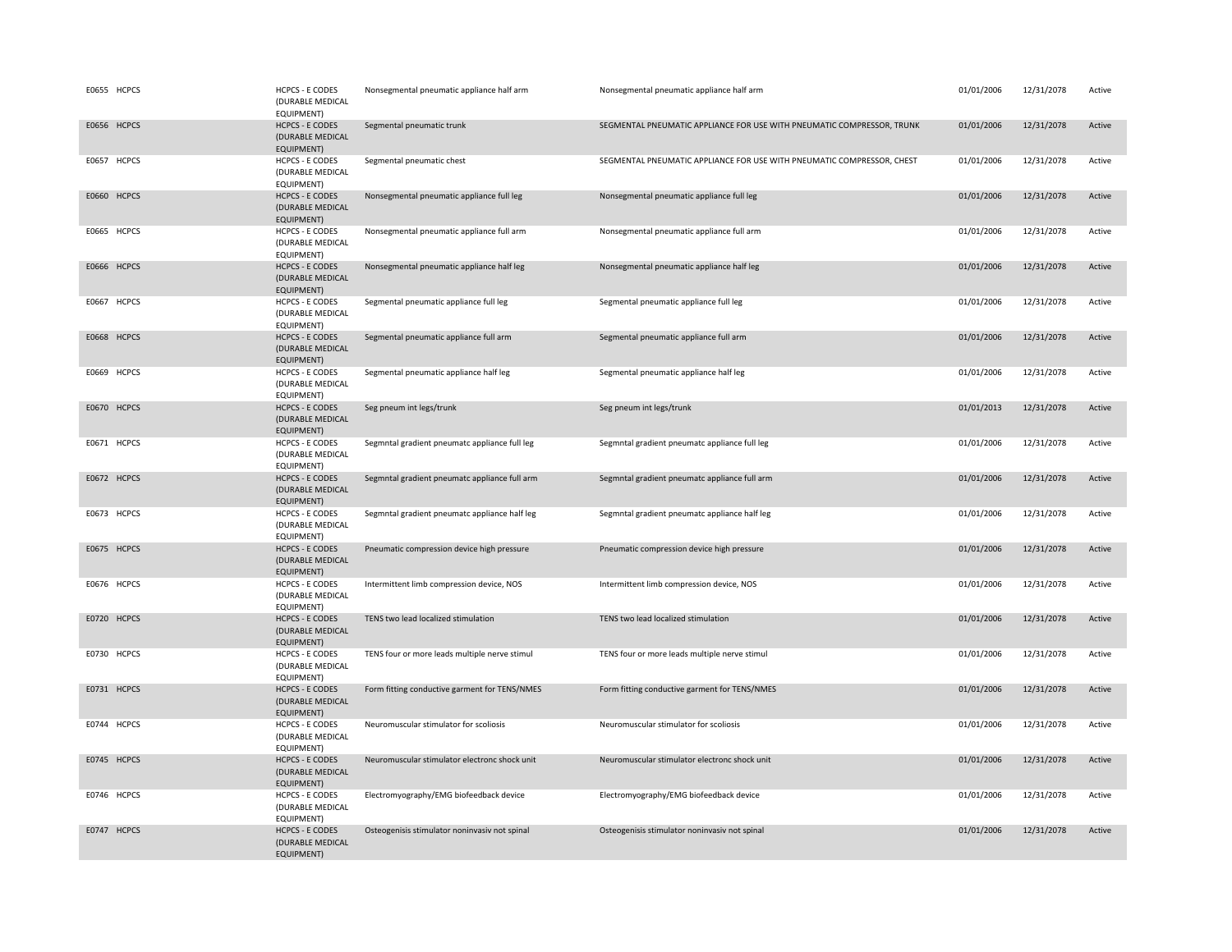| E0655 HCPCS | <b>HCPCS - E CODES</b><br>(DURABLE MEDICAL<br>EQUIPMENT)        | Nonsegmental pneumatic appliance half arm     | Nonsegmental pneumatic appliance half arm                              | 01/01/2006 | 12/31/2078 | Active |
|-------------|-----------------------------------------------------------------|-----------------------------------------------|------------------------------------------------------------------------|------------|------------|--------|
| E0656 HCPCS | <b>HCPCS - E CODES</b><br>(DURABLE MEDICAL<br><b>EQUIPMENT)</b> | Segmental pneumatic trunk                     | SEGMENTAL PNEUMATIC APPLIANCE FOR USE WITH PNEUMATIC COMPRESSOR, TRUNK | 01/01/2006 | 12/31/2078 | Active |
| E0657 HCPCS | <b>HCPCS - E CODES</b><br>(DURABLE MEDICAL<br>EQUIPMENT)        | Segmental pneumatic chest                     | SEGMENTAL PNEUMATIC APPLIANCE FOR USE WITH PNEUMATIC COMPRESSOR, CHEST | 01/01/2006 | 12/31/2078 | Active |
| E0660 HCPCS | <b>HCPCS - E CODES</b><br>(DURABLE MEDICAL<br><b>EQUIPMENT)</b> | Nonsegmental pneumatic appliance full leg     | Nonsegmental pneumatic appliance full leg                              | 01/01/2006 | 12/31/2078 | Active |
| E0665 HCPCS | <b>HCPCS - E CODES</b><br>(DURABLE MEDICAL<br>EQUIPMENT)        | Nonsegmental pneumatic appliance full arm     | Nonsegmental pneumatic appliance full arm                              | 01/01/2006 | 12/31/2078 | Active |
| E0666 HCPCS | <b>HCPCS - E CODES</b><br>(DURABLE MEDICAL<br>EQUIPMENT)        | Nonsegmental pneumatic appliance half leg     | Nonsegmental pneumatic appliance half leg                              | 01/01/2006 | 12/31/2078 | Active |
| E0667 HCPCS | <b>HCPCS - E CODES</b><br>(DURABLE MEDICAL<br>EQUIPMENT)        | Segmental pneumatic appliance full leg        | Segmental pneumatic appliance full leg                                 | 01/01/2006 | 12/31/2078 | Active |
| E0668 HCPCS | <b>HCPCS - E CODES</b><br>(DURABLE MEDICAL<br><b>EQUIPMENT)</b> | Segmental pneumatic appliance full arm        | Segmental pneumatic appliance full arm                                 | 01/01/2006 | 12/31/2078 | Active |
| E0669 HCPCS | <b>HCPCS - E CODES</b><br>(DURABLE MEDICAL<br>EQUIPMENT)        | Segmental pneumatic appliance half leg        | Segmental pneumatic appliance half leg                                 | 01/01/2006 | 12/31/2078 | Active |
| E0670 HCPCS | <b>HCPCS - E CODES</b><br>(DURABLE MEDICAL<br><b>EQUIPMENT)</b> | Seg pneum int legs/trunk                      | Seg pneum int legs/trunk                                               | 01/01/2013 | 12/31/2078 | Active |
| E0671 HCPCS | <b>HCPCS - E CODES</b><br>(DURABLE MEDICAL<br>EQUIPMENT)        | Segmntal gradient pneumatc appliance full leg | Segmntal gradient pneumatc appliance full leg                          | 01/01/2006 | 12/31/2078 | Active |
| E0672 HCPCS | <b>HCPCS - E CODES</b><br>(DURABLE MEDICAL<br><b>EQUIPMENT)</b> | Segmntal gradient pneumatc appliance full arm | Segmntal gradient pneumatc appliance full arm                          | 01/01/2006 | 12/31/2078 | Active |
| E0673 HCPCS | <b>HCPCS - E CODES</b><br>(DURABLE MEDICAL<br>EQUIPMENT)        | Segmntal gradient pneumatc appliance half leg | Segmntal gradient pneumatc appliance half leg                          | 01/01/2006 | 12/31/2078 | Active |
| E0675 HCPCS | <b>HCPCS - E CODES</b><br>(DURABLE MEDICAL<br>EQUIPMENT)        | Pneumatic compression device high pressure    | Pneumatic compression device high pressure                             | 01/01/2006 | 12/31/2078 | Active |
| E0676 HCPCS | <b>HCPCS - E CODES</b><br>(DURABLE MEDICAL<br>EQUIPMENT)        | Intermittent limb compression device, NOS     | Intermittent limb compression device, NOS                              | 01/01/2006 | 12/31/2078 | Active |
| E0720 HCPCS | <b>HCPCS - E CODES</b><br>(DURABLE MEDICAL<br><b>EQUIPMENT)</b> | TENS two lead localized stimulation           | TENS two lead localized stimulation                                    | 01/01/2006 | 12/31/2078 | Active |
| E0730 HCPCS | <b>HCPCS - E CODES</b><br>(DURABLE MEDICAL<br>EQUIPMENT)        | TENS four or more leads multiple nerve stimul | TENS four or more leads multiple nerve stimul                          | 01/01/2006 | 12/31/2078 | Active |
| E0731 HCPCS | <b>HCPCS - E CODES</b><br>(DURABLE MEDICAL<br>EQUIPMENT)        | Form fitting conductive garment for TENS/NMES | Form fitting conductive garment for TENS/NMES                          | 01/01/2006 | 12/31/2078 | Active |
| E0744 HCPCS | <b>HCPCS - E CODES</b><br>(DURABLE MEDICAL<br>EQUIPMENT)        | Neuromuscular stimulator for scoliosis        | Neuromuscular stimulator for scoliosis                                 | 01/01/2006 | 12/31/2078 | Active |
| E0745 HCPCS | <b>HCPCS - E CODES</b><br>(DURABLE MEDICAL<br><b>EQUIPMENT)</b> | Neuromuscular stimulator electronc shock unit | Neuromuscular stimulator electronc shock unit                          | 01/01/2006 | 12/31/2078 | Active |
| E0746 HCPCS | <b>HCPCS - E CODES</b><br>(DURABLE MEDICAL<br>EQUIPMENT)        | Electromyography/EMG biofeedback device       | Electromyography/EMG biofeedback device                                | 01/01/2006 | 12/31/2078 | Active |
| E0747 HCPCS | <b>HCPCS - E CODES</b><br>(DURABLE MEDICAL<br><b>EQUIPMENT)</b> | Osteogenisis stimulator noninvasiv not spinal | Osteogenisis stimulator noninvasiv not spinal                          | 01/01/2006 | 12/31/2078 | Active |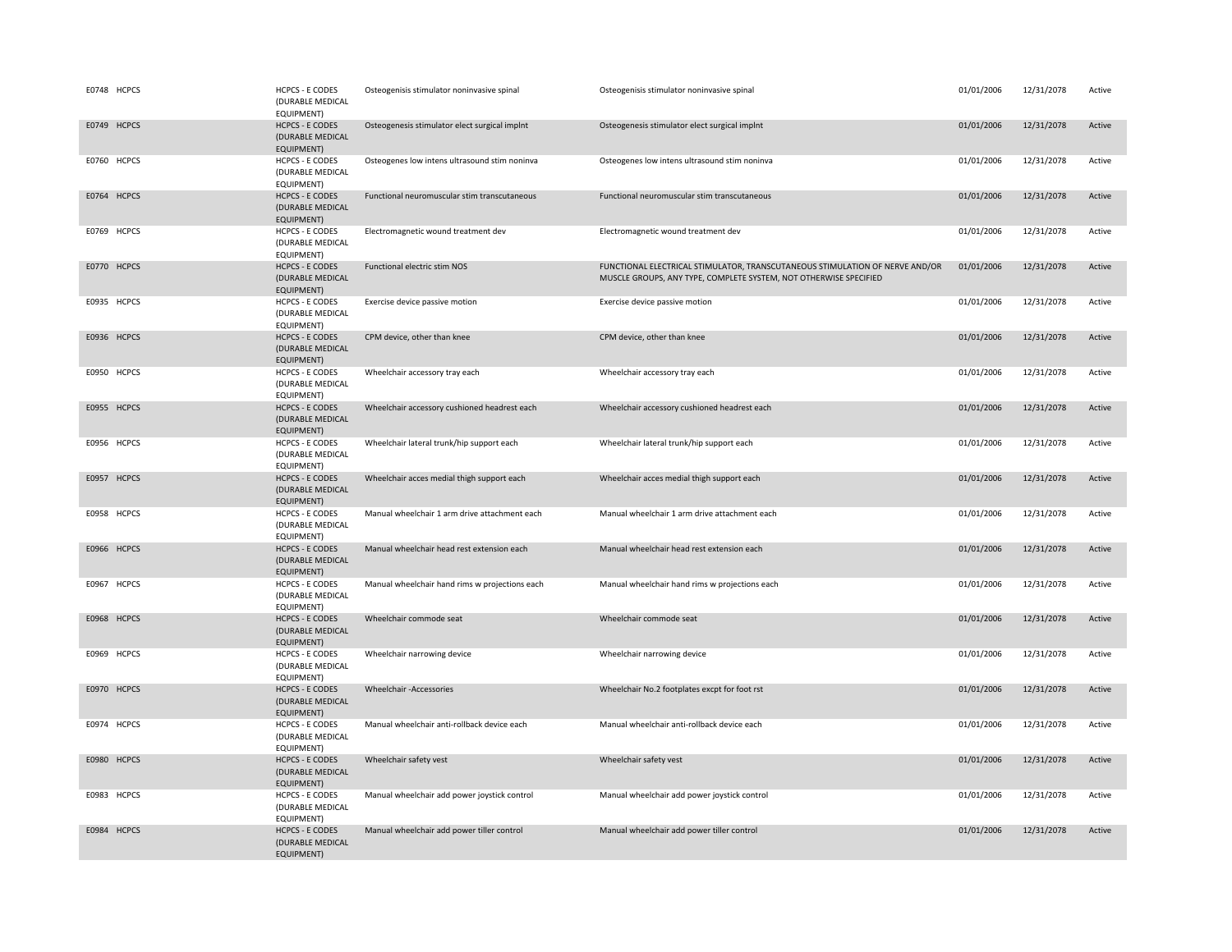| E0748 HCPCS | <b>HCPCS - E CODES</b><br>(DURABLE MEDICAL<br>EQUIPMENT)        | Osteogenisis stimulator noninvasive spinal     | Osteogenisis stimulator noninvasive spinal                                                                                                        | 01/01/2006 | 12/31/2078 | Active |
|-------------|-----------------------------------------------------------------|------------------------------------------------|---------------------------------------------------------------------------------------------------------------------------------------------------|------------|------------|--------|
| E0749 HCPCS | <b>HCPCS - E CODES</b><br>(DURABLE MEDICAL<br><b>EQUIPMENT)</b> | Osteogenesis stimulator elect surgical implnt  | Osteogenesis stimulator elect surgical implnt                                                                                                     | 01/01/2006 | 12/31/2078 | Active |
| E0760 HCPCS | <b>HCPCS - E CODES</b><br>(DURABLE MEDICAL<br>EQUIPMENT)        | Osteogenes low intens ultrasound stim noninva  | Osteogenes low intens ultrasound stim noninva                                                                                                     | 01/01/2006 | 12/31/2078 | Active |
| E0764 HCPCS | <b>HCPCS - E CODES</b><br>(DURABLE MEDICAL<br>EQUIPMENT)        | Functional neuromuscular stim transcutaneous   | Functional neuromuscular stim transcutaneous                                                                                                      | 01/01/2006 | 12/31/2078 | Active |
| E0769 HCPCS | <b>HCPCS - E CODES</b><br>(DURABLE MEDICAL<br>EQUIPMENT)        | Electromagnetic wound treatment dev            | Electromagnetic wound treatment dev                                                                                                               | 01/01/2006 | 12/31/2078 | Active |
| E0770 HCPCS | <b>HCPCS - E CODES</b><br>(DURABLE MEDICAL<br>EQUIPMENT)        | Functional electric stim NOS                   | FUNCTIONAL ELECTRICAL STIMULATOR, TRANSCUTANEOUS STIMULATION OF NERVE AND/OR<br>MUSCLE GROUPS, ANY TYPE, COMPLETE SYSTEM, NOT OTHERWISE SPECIFIED | 01/01/2006 | 12/31/2078 | Active |
| E0935 HCPCS | <b>HCPCS - E CODES</b><br>(DURABLE MEDICAL<br>EQUIPMENT)        | Exercise device passive motion                 | Exercise device passive motion                                                                                                                    | 01/01/2006 | 12/31/2078 | Active |
| E0936 HCPCS | <b>HCPCS - E CODES</b><br>(DURABLE MEDICAL<br>EQUIPMENT)        | CPM device, other than knee                    | CPM device, other than knee                                                                                                                       | 01/01/2006 | 12/31/2078 | Active |
| E0950 HCPCS | <b>HCPCS - E CODES</b><br>(DURABLE MEDICAL<br>EQUIPMENT)        | Wheelchair accessory tray each                 | Wheelchair accessory tray each                                                                                                                    | 01/01/2006 | 12/31/2078 | Active |
| E0955 HCPCS | <b>HCPCS - E CODES</b><br>(DURABLE MEDICAL<br><b>EQUIPMENT)</b> | Wheelchair accessory cushioned headrest each   | Wheelchair accessory cushioned headrest each                                                                                                      | 01/01/2006 | 12/31/2078 | Active |
| E0956 HCPCS | <b>HCPCS - E CODES</b><br>(DURABLE MEDICAL<br>EQUIPMENT)        | Wheelchair lateral trunk/hip support each      | Wheelchair lateral trunk/hip support each                                                                                                         | 01/01/2006 | 12/31/2078 | Active |
| E0957 HCPCS | <b>HCPCS - E CODES</b><br>(DURABLE MEDICAL<br>EQUIPMENT)        | Wheelchair acces medial thigh support each     | Wheelchair acces medial thigh support each                                                                                                        | 01/01/2006 | 12/31/2078 | Active |
| E0958 HCPCS | <b>HCPCS - E CODES</b><br>(DURABLE MEDICAL<br>EQUIPMENT)        | Manual wheelchair 1 arm drive attachment each  | Manual wheelchair 1 arm drive attachment each                                                                                                     | 01/01/2006 | 12/31/2078 | Active |
| E0966 HCPCS | <b>HCPCS - E CODES</b><br>(DURABLE MEDICAL<br>EQUIPMENT)        | Manual wheelchair head rest extension each     | Manual wheelchair head rest extension each                                                                                                        | 01/01/2006 | 12/31/2078 | Active |
| E0967 HCPCS | <b>HCPCS - E CODES</b><br>(DURABLE MEDICAL<br>EQUIPMENT)        | Manual wheelchair hand rims w projections each | Manual wheelchair hand rims w projections each                                                                                                    | 01/01/2006 | 12/31/2078 | Active |
| E0968 HCPCS | <b>HCPCS - E CODES</b><br>(DURABLE MEDICAL<br><b>EQUIPMENT)</b> | Wheelchair commode seat                        | Wheelchair commode seat                                                                                                                           | 01/01/2006 | 12/31/2078 | Active |
| E0969 HCPCS | <b>HCPCS - E CODES</b><br>(DURABLE MEDICAL<br>EQUIPMENT)        | Wheelchair narrowing device                    | Wheelchair narrowing device                                                                                                                       | 01/01/2006 | 12/31/2078 | Active |
| E0970 HCPCS | <b>HCPCS - E CODES</b><br>(DURABLE MEDICAL<br>EQUIPMENT)        | Wheelchair -Accessories                        | Wheelchair No.2 footplates excpt for foot rst                                                                                                     | 01/01/2006 | 12/31/2078 | Active |
| E0974 HCPCS | <b>HCPCS - E CODES</b><br>(DURABLE MEDICAL<br>EQUIPMENT)        | Manual wheelchair anti-rollback device each    | Manual wheelchair anti-rollback device each                                                                                                       | 01/01/2006 | 12/31/2078 | Active |
| E0980 HCPCS | <b>HCPCS - E CODES</b><br>(DURABLE MEDICAL<br><b>EQUIPMENT)</b> | Wheelchair safety vest                         | Wheelchair safety vest                                                                                                                            | 01/01/2006 | 12/31/2078 | Active |
| E0983 HCPCS | <b>HCPCS - E CODES</b><br>(DURABLE MEDICAL<br>EQUIPMENT)        | Manual wheelchair add power joystick control   | Manual wheelchair add power joystick control                                                                                                      | 01/01/2006 | 12/31/2078 | Active |
| E0984 HCPCS | <b>HCPCS - E CODES</b><br>(DURABLE MEDICAL<br><b>EQUIPMENT)</b> | Manual wheelchair add power tiller control     | Manual wheelchair add power tiller control                                                                                                        | 01/01/2006 | 12/31/2078 | Active |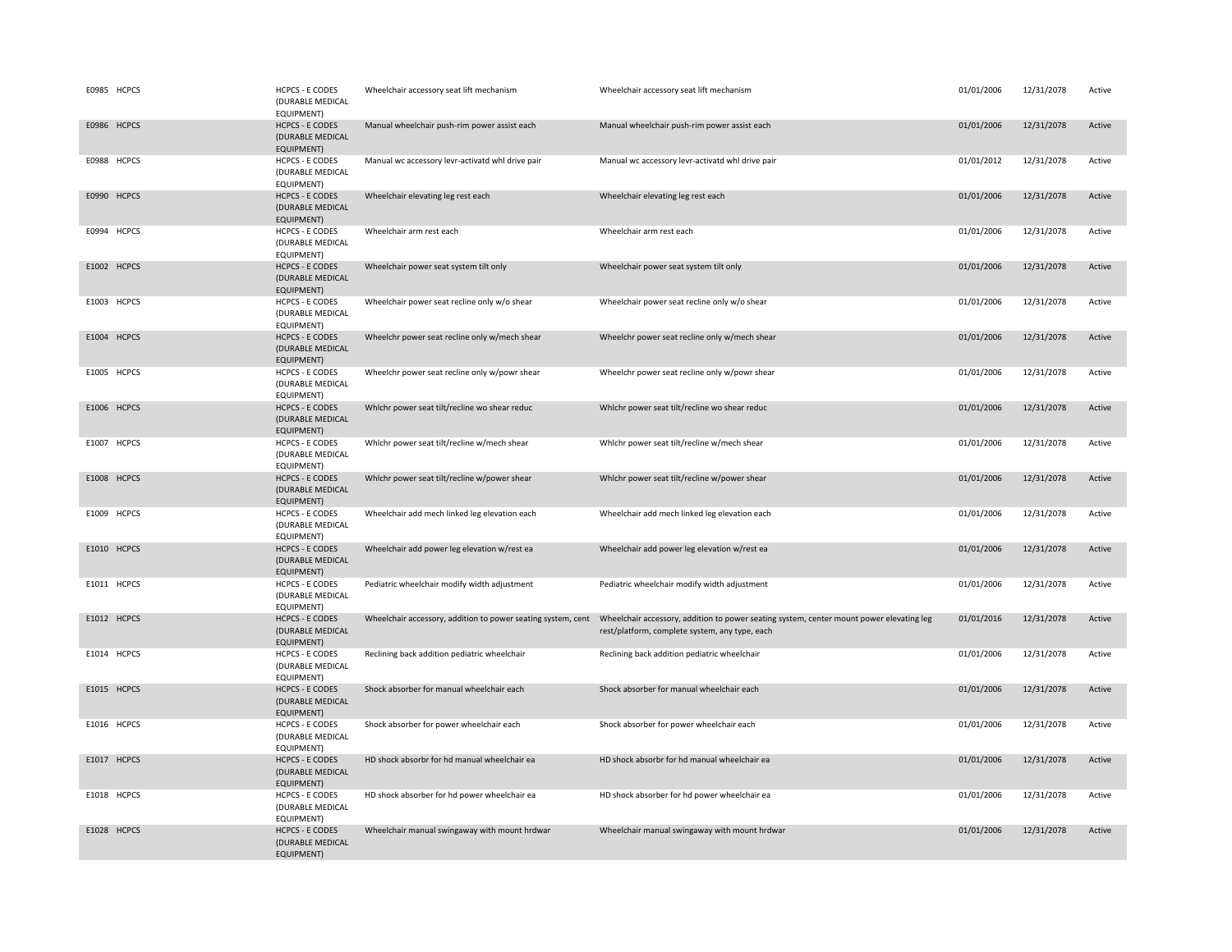| E0985 HCPCS | <b>HCPCS - E CODES</b><br>(DURABLE MEDICAL<br>EQUIPMENT)        | Wheelchair accessory seat lift mechanism         | Wheelchair accessory seat lift mechanism                                                                                                                                                                | 01/01/2006 | 12/31/2078 | Active |
|-------------|-----------------------------------------------------------------|--------------------------------------------------|---------------------------------------------------------------------------------------------------------------------------------------------------------------------------------------------------------|------------|------------|--------|
| E0986 HCPCS | <b>HCPCS - E CODES</b><br>(DURABLE MEDICAL<br><b>EQUIPMENT)</b> | Manual wheelchair push-rim power assist each     | Manual wheelchair push-rim power assist each                                                                                                                                                            | 01/01/2006 | 12/31/2078 | Active |
| E0988 HCPCS | <b>HCPCS - E CODES</b><br>(DURABLE MEDICAL<br>EQUIPMENT)        | Manual wc accessory levr-activatd whl drive pair | Manual wc accessory levr-activatd whl drive pair                                                                                                                                                        | 01/01/2012 | 12/31/2078 | Active |
| E0990 HCPCS | <b>HCPCS - E CODES</b><br>(DURABLE MEDICAL<br>EQUIPMENT)        | Wheelchair elevating leg rest each               | Wheelchair elevating leg rest each                                                                                                                                                                      | 01/01/2006 | 12/31/2078 | Active |
| E0994 HCPCS | <b>HCPCS - E CODES</b><br>(DURABLE MEDICAL<br>EQUIPMENT)        | Wheelchair arm rest each                         | Wheelchair arm rest each                                                                                                                                                                                | 01/01/2006 | 12/31/2078 | Active |
| E1002 HCPCS | <b>HCPCS - E CODES</b><br>(DURABLE MEDICAL<br>EQUIPMENT)        | Wheelchair power seat system tilt only           | Wheelchair power seat system tilt only                                                                                                                                                                  | 01/01/2006 | 12/31/2078 | Active |
| E1003 HCPCS | <b>HCPCS - E CODES</b><br>(DURABLE MEDICAL<br>EQUIPMENT)        | Wheelchair power seat recline only w/o shear     | Wheelchair power seat recline only w/o shear                                                                                                                                                            | 01/01/2006 | 12/31/2078 | Active |
| E1004 HCPCS | <b>HCPCS - E CODES</b><br>(DURABLE MEDICAL<br>EQUIPMENT)        | Wheelchr power seat recline only w/mech shear    | Wheelchr power seat recline only w/mech shear                                                                                                                                                           | 01/01/2006 | 12/31/2078 | Active |
| E1005 HCPCS | <b>HCPCS - E CODES</b><br>(DURABLE MEDICAL<br>EQUIPMENT)        | Wheelchr power seat recline only w/powr shear    | Wheelchr power seat recline only w/powr shear                                                                                                                                                           | 01/01/2006 | 12/31/2078 | Active |
| E1006 HCPCS | <b>HCPCS - E CODES</b><br>(DURABLE MEDICAL<br>EQUIPMENT)        | Whichr power seat tilt/recline wo shear reduc    | Whichr power seat tilt/recline wo shear reduc                                                                                                                                                           | 01/01/2006 | 12/31/2078 | Active |
| E1007 HCPCS | <b>HCPCS - E CODES</b><br>(DURABLE MEDICAL<br>EQUIPMENT)        | Whichr power seat tilt/recline w/mech shear      | Whichr power seat tilt/recline w/mech shear                                                                                                                                                             | 01/01/2006 | 12/31/2078 | Active |
| E1008 HCPCS | <b>HCPCS - E CODES</b><br>(DURABLE MEDICAL<br><b>EQUIPMENT)</b> | Whichr power seat tilt/recline w/power shear     | Whichr power seat tilt/recline w/power shear                                                                                                                                                            | 01/01/2006 | 12/31/2078 | Active |
| E1009 HCPCS | <b>HCPCS - E CODES</b><br>(DURABLE MEDICAL<br>EQUIPMENT)        | Wheelchair add mech linked leg elevation each    | Wheelchair add mech linked leg elevation each                                                                                                                                                           | 01/01/2006 | 12/31/2078 | Active |
| E1010 HCPCS | <b>HCPCS - E CODES</b><br>(DURABLE MEDICAL<br>EQUIPMENT)        | Wheelchair add power leg elevation w/rest ea     | Wheelchair add power leg elevation w/rest ea                                                                                                                                                            | 01/01/2006 | 12/31/2078 | Active |
| E1011 HCPCS | <b>HCPCS - E CODES</b><br>(DURABLE MEDICAL<br>EQUIPMENT)        | Pediatric wheelchair modify width adjustment     | Pediatric wheelchair modify width adjustment                                                                                                                                                            | 01/01/2006 | 12/31/2078 | Active |
| E1012 HCPCS | <b>HCPCS - E CODES</b><br>(DURABLE MEDICAL<br>EQUIPMENT)        |                                                  | Wheelchair accessory, addition to power seating system, cent Wheelchair accessory, addition to power seating system, center mount power elevating leg<br>rest/platform, complete system, any type, each | 01/01/2016 | 12/31/2078 | Active |
| E1014 HCPCS | <b>HCPCS - E CODES</b><br>(DURABLE MEDICAL<br>EQUIPMENT)        | Reclining back addition pediatric wheelchair     | Reclining back addition pediatric wheelchair                                                                                                                                                            | 01/01/2006 | 12/31/2078 | Active |
| E1015 HCPCS | <b>HCPCS - E CODES</b><br>(DURABLE MEDICAL<br><b>EQUIPMENT)</b> | Shock absorber for manual wheelchair each        | Shock absorber for manual wheelchair each                                                                                                                                                               | 01/01/2006 | 12/31/2078 | Active |
| E1016 HCPCS | <b>HCPCS - E CODES</b><br>(DURABLE MEDICAL<br>EQUIPMENT)        | Shock absorber for power wheelchair each         | Shock absorber for power wheelchair each                                                                                                                                                                | 01/01/2006 | 12/31/2078 | Active |
| E1017 HCPCS | <b>HCPCS - E CODES</b><br>(DURABLE MEDICAL<br><b>EQUIPMENT)</b> | HD shock absorbr for hd manual wheelchair ea     | HD shock absorbr for hd manual wheelchair ea                                                                                                                                                            | 01/01/2006 | 12/31/2078 | Active |
| E1018 HCPCS | <b>HCPCS - E CODES</b><br>(DURABLE MEDICAL<br>EQUIPMENT)        | HD shock absorber for hd power wheelchair ea     | HD shock absorber for hd power wheelchair ea                                                                                                                                                            | 01/01/2006 | 12/31/2078 | Active |
| E1028 HCPCS | <b>HCPCS - E CODES</b><br>(DURABLE MEDICAL<br><b>EQUIPMENT)</b> | Wheelchair manual swingaway with mount hrdwar    | Wheelchair manual swingaway with mount hrdwar                                                                                                                                                           | 01/01/2006 | 12/31/2078 | Active |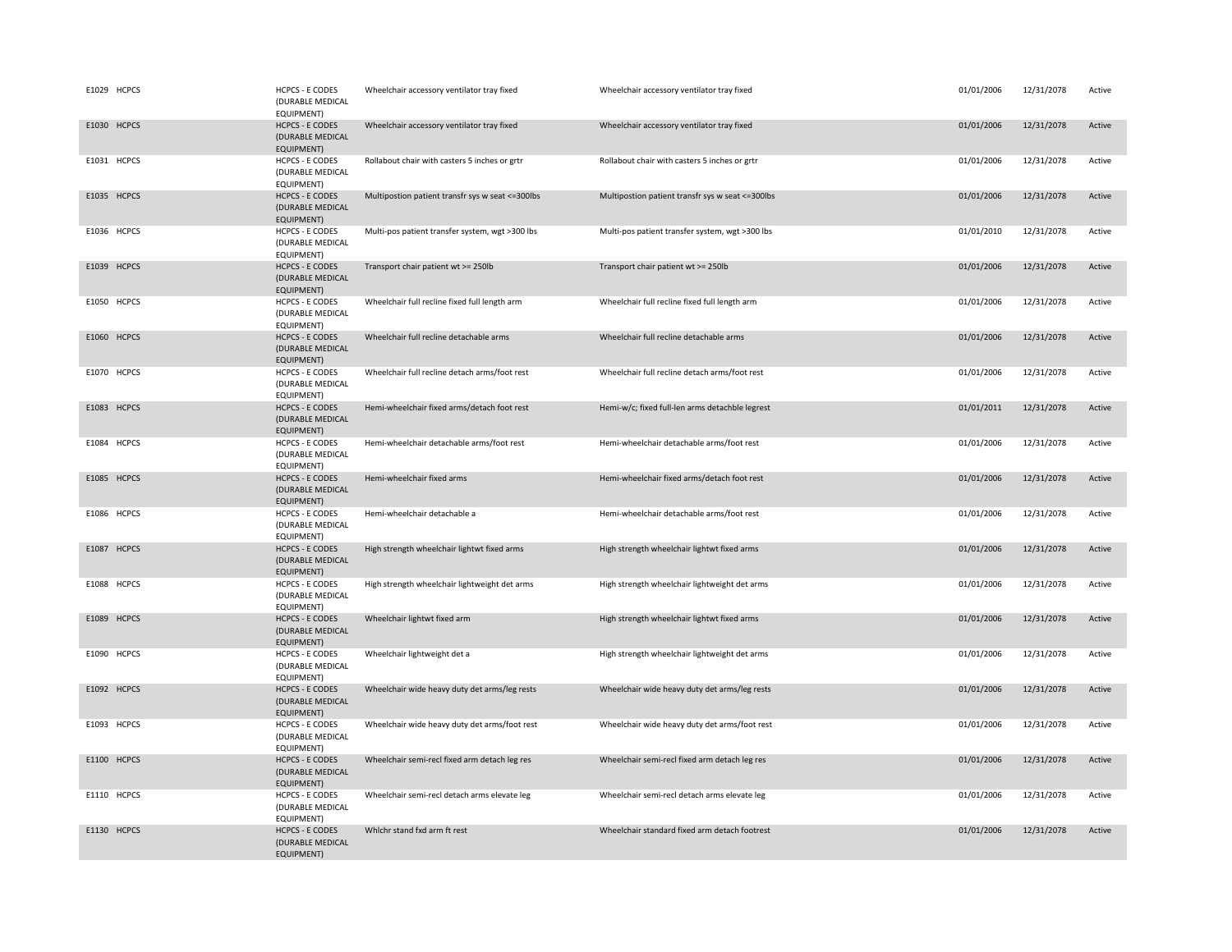| E1029 HCPCS | <b>HCPCS - E CODES</b><br>(DURABLE MEDICAL<br>EQUIPMENT)        | Wheelchair accessory ventilator tray fixed        | Wheelchair accessory ventilator tray fixed        | 01/01/2006 | 12/31/2078 | Active |
|-------------|-----------------------------------------------------------------|---------------------------------------------------|---------------------------------------------------|------------|------------|--------|
| E1030 HCPCS | <b>HCPCS - E CODES</b><br>(DURABLE MEDICAL<br><b>EQUIPMENT)</b> | Wheelchair accessory ventilator tray fixed        | Wheelchair accessory ventilator tray fixed        | 01/01/2006 | 12/31/2078 | Active |
| E1031 HCPCS | <b>HCPCS - E CODES</b><br>(DURABLE MEDICAL<br>EQUIPMENT)        | Rollabout chair with casters 5 inches or grtr     | Rollabout chair with casters 5 inches or grtr     | 01/01/2006 | 12/31/2078 | Active |
| E1035 HCPCS | <b>HCPCS - E CODES</b><br>(DURABLE MEDICAL<br>EQUIPMENT)        | Multipostion patient transfr sys w seat <= 300lbs | Multipostion patient transfr sys w seat <= 300lbs | 01/01/2006 | 12/31/2078 | Active |
| E1036 HCPCS | <b>HCPCS - E CODES</b><br>(DURABLE MEDICAL<br>EQUIPMENT)        | Multi-pos patient transfer system, wgt >300 lbs   | Multi-pos patient transfer system, wgt >300 lbs   | 01/01/2010 | 12/31/2078 | Active |
| E1039 HCPCS | <b>HCPCS - E CODES</b><br>(DURABLE MEDICAL<br>EQUIPMENT)        | Transport chair patient wt >= 250lb               | Transport chair patient wt >= 250lb               | 01/01/2006 | 12/31/2078 | Active |
| E1050 HCPCS | <b>HCPCS - E CODES</b><br>(DURABLE MEDICAL<br>EQUIPMENT)        | Wheelchair full recline fixed full length arm     | Wheelchair full recline fixed full length arm     | 01/01/2006 | 12/31/2078 | Active |
| E1060 HCPCS | <b>HCPCS - E CODES</b><br>(DURABLE MEDICAL<br>EQUIPMENT)        | Wheelchair full recline detachable arms           | Wheelchair full recline detachable arms           | 01/01/2006 | 12/31/2078 | Active |
| E1070 HCPCS | <b>HCPCS - E CODES</b><br>(DURABLE MEDICAL<br>EQUIPMENT)        | Wheelchair full recline detach arms/foot rest     | Wheelchair full recline detach arms/foot rest     | 01/01/2006 | 12/31/2078 | Active |
| E1083 HCPCS | <b>HCPCS - E CODES</b><br>(DURABLE MEDICAL<br>EQUIPMENT)        | Hemi-wheelchair fixed arms/detach foot rest       | Hemi-w/c; fixed full-len arms detachble legrest   | 01/01/2011 | 12/31/2078 | Active |
| E1084 HCPCS | <b>HCPCS - E CODES</b><br>(DURABLE MEDICAL<br>EQUIPMENT)        | Hemi-wheelchair detachable arms/foot rest         | Hemi-wheelchair detachable arms/foot rest         | 01/01/2006 | 12/31/2078 | Active |
| E1085 HCPCS | <b>HCPCS - E CODES</b><br>(DURABLE MEDICAL<br><b>EQUIPMENT)</b> | Hemi-wheelchair fixed arms                        | Hemi-wheelchair fixed arms/detach foot rest       | 01/01/2006 | 12/31/2078 | Active |
| E1086 HCPCS | <b>HCPCS - E CODES</b><br>(DURABLE MEDICAL<br>EQUIPMENT)        | Hemi-wheelchair detachable a                      | Hemi-wheelchair detachable arms/foot rest         | 01/01/2006 | 12/31/2078 | Active |
| E1087 HCPCS | <b>HCPCS - E CODES</b><br>(DURABLE MEDICAL<br><b>EQUIPMENT)</b> | High strength wheelchair lightwt fixed arms       | High strength wheelchair lightwt fixed arms       | 01/01/2006 | 12/31/2078 | Active |
| E1088 HCPCS | <b>HCPCS - E CODES</b><br>(DURABLE MEDICAL<br>EQUIPMENT)        | High strength wheelchair lightweight det arms     | High strength wheelchair lightweight det arms     | 01/01/2006 | 12/31/2078 | Active |
| E1089 HCPCS | <b>HCPCS - E CODES</b><br>(DURABLE MEDICAL<br>EQUIPMENT)        | Wheelchair lightwt fixed arm                      | High strength wheelchair lightwt fixed arms       | 01/01/2006 | 12/31/2078 | Active |
| E1090 HCPCS | <b>HCPCS - E CODES</b><br>(DURABLE MEDICAL<br>EQUIPMENT)        | Wheelchair lightweight det a                      | High strength wheelchair lightweight det arms     | 01/01/2006 | 12/31/2078 | Active |
| E1092 HCPCS | <b>HCPCS - E CODES</b><br>(DURABLE MEDICAL<br>EQUIPMENT)        | Wheelchair wide heavy duty det arms/leg rests     | Wheelchair wide heavy duty det arms/leg rests     | 01/01/2006 | 12/31/2078 | Active |
| E1093 HCPCS | <b>HCPCS - E CODES</b><br>(DURABLE MEDICAL<br>EQUIPMENT)        | Wheelchair wide heavy duty det arms/foot rest     | Wheelchair wide heavy duty det arms/foot rest     | 01/01/2006 | 12/31/2078 | Active |
| E1100 HCPCS | <b>HCPCS - E CODES</b><br>(DURABLE MEDICAL<br>EQUIPMENT)        | Wheelchair semi-recl fixed arm detach leg res     | Wheelchair semi-recl fixed arm detach leg res     | 01/01/2006 | 12/31/2078 | Active |
| E1110 HCPCS | <b>HCPCS - E CODES</b><br>(DURABLE MEDICAL<br>EQUIPMENT)        | Wheelchair semi-recl detach arms elevate leg      | Wheelchair semi-recl detach arms elevate leg      | 01/01/2006 | 12/31/2078 | Active |
| E1130 HCPCS | <b>HCPCS - E CODES</b><br>(DURABLE MEDICAL<br>EQUIPMENT)        | Whichr stand fxd arm ft rest                      | Wheelchair standard fixed arm detach footrest     | 01/01/2006 | 12/31/2078 | Active |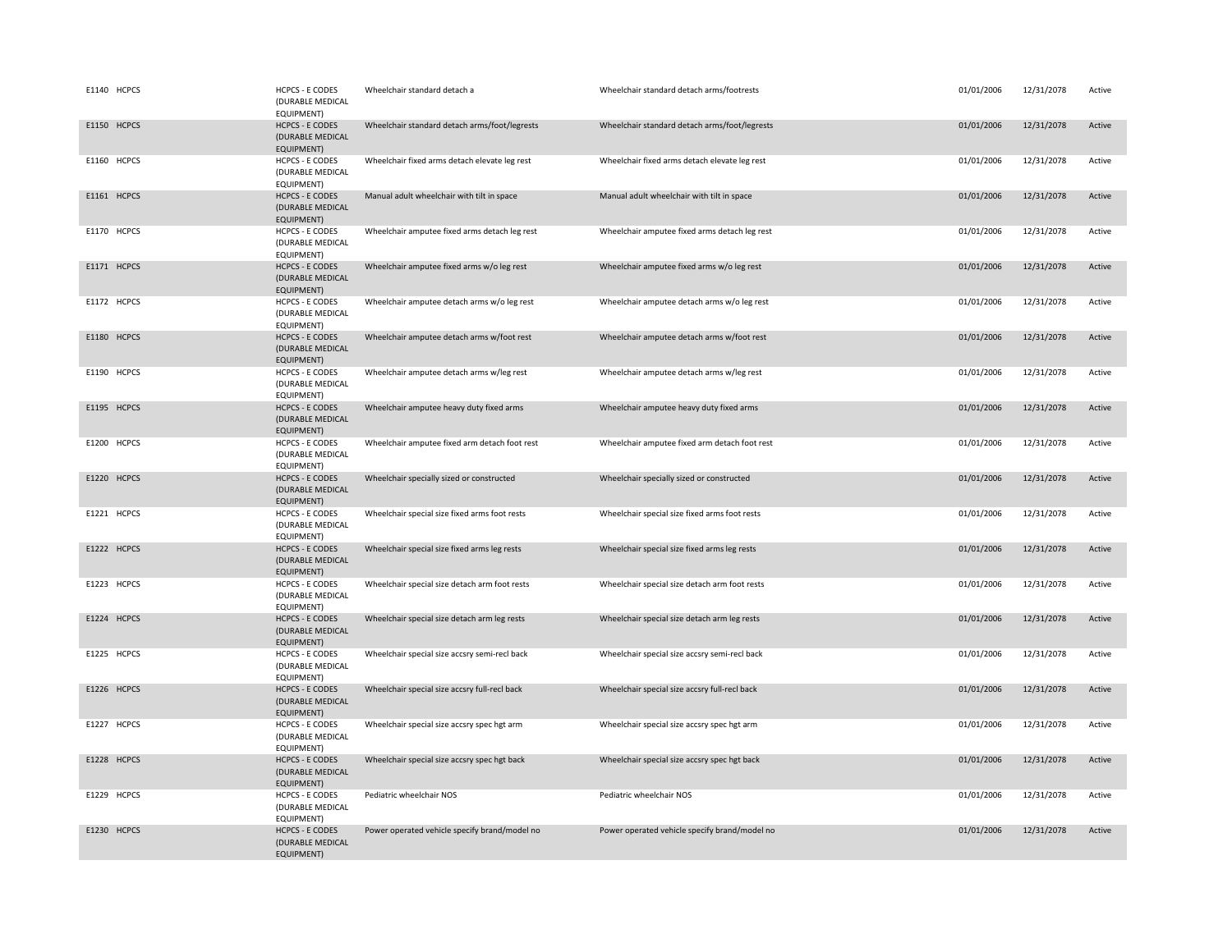| E1140 HCPCS | <b>HCPCS - E CODES</b><br>(DURABLE MEDICAL<br>EQUIPMENT)        | Wheelchair standard detach a                  | Wheelchair standard detach arms/footrests     | 01/01/2006 | 12/31/2078 | Active |
|-------------|-----------------------------------------------------------------|-----------------------------------------------|-----------------------------------------------|------------|------------|--------|
| E1150 HCPCS | <b>HCPCS - E CODES</b><br>(DURABLE MEDICAL<br>EQUIPMENT)        | Wheelchair standard detach arms/foot/legrests | Wheelchair standard detach arms/foot/legrests | 01/01/2006 | 12/31/2078 | Active |
| E1160 HCPCS | <b>HCPCS - E CODES</b><br>(DURABLE MEDICAL<br><b>EQUIPMENT)</b> | Wheelchair fixed arms detach elevate leg rest | Wheelchair fixed arms detach elevate leg rest | 01/01/2006 | 12/31/2078 | Active |
| E1161 HCPCS | <b>HCPCS - E CODES</b><br>(DURABLE MEDICAL<br>EQUIPMENT)        | Manual adult wheelchair with tilt in space    | Manual adult wheelchair with tilt in space    | 01/01/2006 | 12/31/2078 | Active |
| E1170 HCPCS | <b>HCPCS - E CODES</b><br>(DURABLE MEDICAL<br>EQUIPMENT)        | Wheelchair amputee fixed arms detach leg rest | Wheelchair amputee fixed arms detach leg rest | 01/01/2006 | 12/31/2078 | Active |
| E1171 HCPCS | <b>HCPCS - E CODES</b><br>(DURABLE MEDICAL<br>EQUIPMENT)        | Wheelchair amputee fixed arms w/o leg rest    | Wheelchair amputee fixed arms w/o leg rest    | 01/01/2006 | 12/31/2078 | Active |
| E1172 HCPCS | <b>HCPCS - E CODES</b><br>(DURABLE MEDICAL<br>EQUIPMENT)        | Wheelchair amputee detach arms w/o leg rest   | Wheelchair amputee detach arms w/o leg rest   | 01/01/2006 | 12/31/2078 | Active |
| E1180 HCPCS | <b>HCPCS - E CODES</b><br>(DURABLE MEDICAL<br>EQUIPMENT)        | Wheelchair amputee detach arms w/foot rest    | Wheelchair amputee detach arms w/foot rest    | 01/01/2006 | 12/31/2078 | Active |
| E1190 HCPCS | <b>HCPCS - E CODES</b><br>(DURABLE MEDICAL<br>EQUIPMENT)        | Wheelchair amputee detach arms w/leg rest     | Wheelchair amputee detach arms w/leg rest     | 01/01/2006 | 12/31/2078 | Active |
| E1195 HCPCS | <b>HCPCS - E CODES</b><br>(DURABLE MEDICAL<br>EQUIPMENT)        | Wheelchair amputee heavy duty fixed arms      | Wheelchair amputee heavy duty fixed arms      | 01/01/2006 | 12/31/2078 | Active |
| E1200 HCPCS | <b>HCPCS - E CODES</b><br>(DURABLE MEDICAL<br>EQUIPMENT)        | Wheelchair amputee fixed arm detach foot rest | Wheelchair amputee fixed arm detach foot rest | 01/01/2006 | 12/31/2078 | Active |
| E1220 HCPCS | <b>HCPCS - E CODES</b><br>(DURABLE MEDICAL<br>EQUIPMENT)        | Wheelchair specially sized or constructed     | Wheelchair specially sized or constructed     | 01/01/2006 | 12/31/2078 | Active |
| E1221 HCPCS | <b>HCPCS - E CODES</b><br>(DURABLE MEDICAL<br>EQUIPMENT)        | Wheelchair special size fixed arms foot rests | Wheelchair special size fixed arms foot rests | 01/01/2006 | 12/31/2078 | Active |
| E1222 HCPCS | <b>HCPCS - E CODES</b><br>(DURABLE MEDICAL<br>EQUIPMENT)        | Wheelchair special size fixed arms leg rests  | Wheelchair special size fixed arms leg rests  | 01/01/2006 | 12/31/2078 | Active |
| E1223 HCPCS | <b>HCPCS - E CODES</b><br>(DURABLE MEDICAL<br>EQUIPMENT)        | Wheelchair special size detach arm foot rests | Wheelchair special size detach arm foot rests | 01/01/2006 | 12/31/2078 | Active |
| E1224 HCPCS | <b>HCPCS - E CODES</b><br>(DURABLE MEDICAL<br>EQUIPMENT)        | Wheelchair special size detach arm leg rests  | Wheelchair special size detach arm leg rests  | 01/01/2006 | 12/31/2078 | Active |
| E1225 HCPCS | <b>HCPCS - E CODES</b><br>(DURABLE MEDICAL<br><b>EQUIPMENT)</b> | Wheelchair special size accsry semi-recl back | Wheelchair special size accsry semi-recl back | 01/01/2006 | 12/31/2078 | Active |
| E1226 HCPCS | <b>HCPCS - E CODES</b><br>(DURABLE MEDICAL<br>EQUIPMENT)        | Wheelchair special size accsry full-recl back | Wheelchair special size accsry full-recl back | 01/01/2006 | 12/31/2078 | Active |
| E1227 HCPCS | <b>HCPCS - E CODES</b><br>(DURABLE MEDICAL<br>EQUIPMENT)        | Wheelchair special size accsry spec hgt arm   | Wheelchair special size accsry spec hgt arm   | 01/01/2006 | 12/31/2078 | Active |
| E1228 HCPCS | <b>HCPCS - E CODES</b><br>(DURABLE MEDICAL<br>EQUIPMENT)        | Wheelchair special size accsry spec hgt back  | Wheelchair special size accsry spec hgt back  | 01/01/2006 | 12/31/2078 | Active |
| E1229 HCPCS | <b>HCPCS - E CODES</b><br>(DURABLE MEDICAL<br>EQUIPMENT)        | Pediatric wheelchair NOS                      | Pediatric wheelchair NOS                      | 01/01/2006 | 12/31/2078 | Active |
| E1230 HCPCS | <b>HCPCS - E CODES</b><br>(DURABLE MEDICAL<br><b>EQUIPMENT)</b> | Power operated vehicle specify brand/model no | Power operated vehicle specify brand/model no | 01/01/2006 | 12/31/2078 | Active |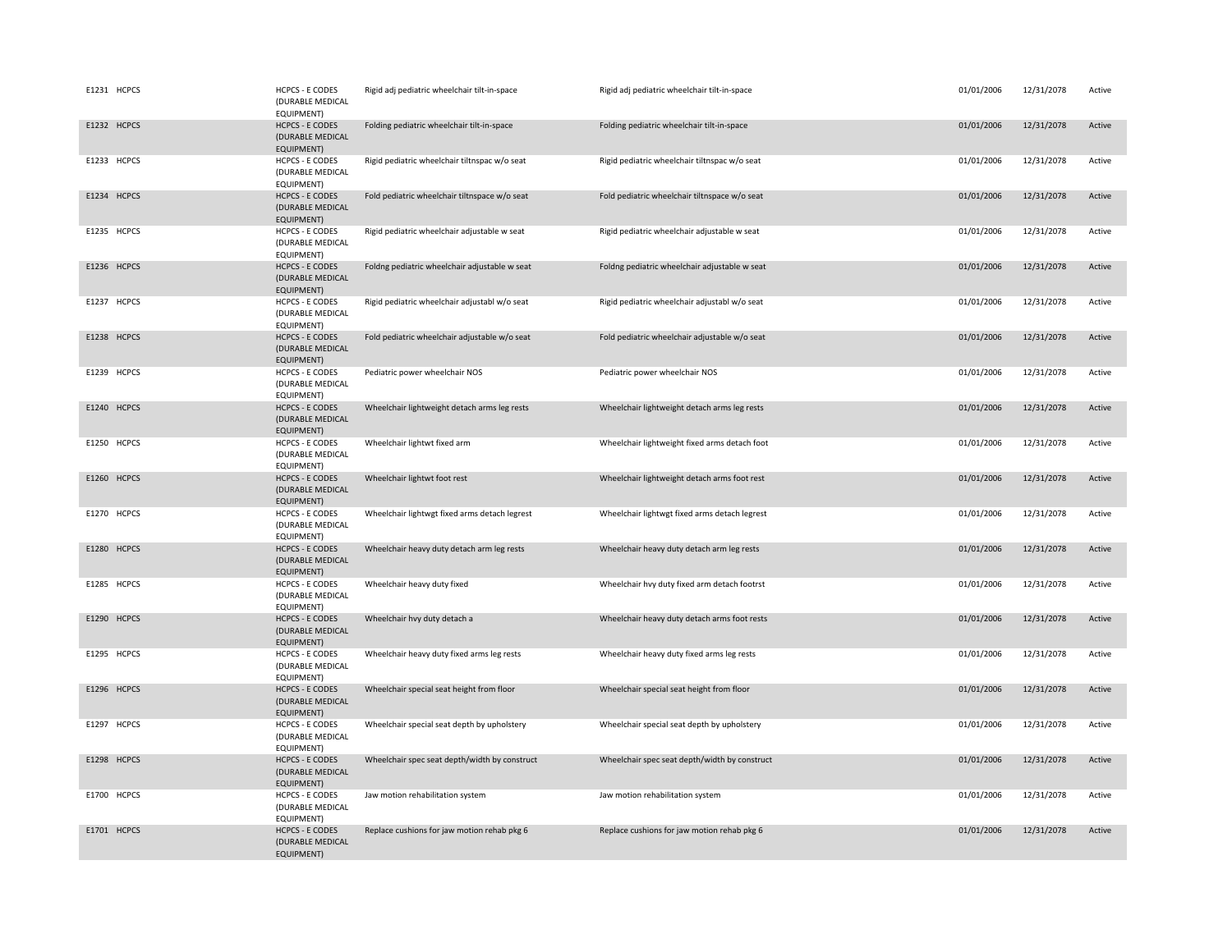| E1231 HCPCS           | <b>HCPCS - E CODES</b><br>(DURABLE MEDICAL<br>EQUIPMENT)        | Rigid adj pediatric wheelchair tilt-in-space  | Rigid adj pediatric wheelchair tilt-in-space  | 01/01/2006 | 12/31/2078 | Active |
|-----------------------|-----------------------------------------------------------------|-----------------------------------------------|-----------------------------------------------|------------|------------|--------|
| E1232 HCPCS           | <b>HCPCS - E CODES</b><br>(DURABLE MEDICAL<br>EQUIPMENT)        | Folding pediatric wheelchair tilt-in-space    | Folding pediatric wheelchair tilt-in-space    | 01/01/2006 | 12/31/2078 | Active |
| E1233 HCPCS           | <b>HCPCS - E CODES</b><br>(DURABLE MEDICAL<br>EQUIPMENT)        | Rigid pediatric wheelchair tiltnspac w/o seat | Rigid pediatric wheelchair tiltnspac w/o seat | 01/01/2006 | 12/31/2078 | Active |
| E1234 HCPCS           | <b>HCPCS - E CODES</b><br>(DURABLE MEDICAL<br>EQUIPMENT)        | Fold pediatric wheelchair tiltnspace w/o seat | Fold pediatric wheelchair tiltnspace w/o seat | 01/01/2006 | 12/31/2078 | Active |
| E1235 HCPCS           | <b>HCPCS - E CODES</b><br>(DURABLE MEDICAL<br>EQUIPMENT)        | Rigid pediatric wheelchair adjustable w seat  | Rigid pediatric wheelchair adjustable w seat  | 01/01/2006 | 12/31/2078 | Active |
| E1236 HCPCS           | <b>HCPCS - E CODES</b><br>(DURABLE MEDICAL<br>EQUIPMENT)        | Foldng pediatric wheelchair adjustable w seat | Foldng pediatric wheelchair adjustable w seat | 01/01/2006 | 12/31/2078 | Active |
| E1237 HCPCS           | <b>HCPCS - E CODES</b><br>(DURABLE MEDICAL<br>EQUIPMENT)        | Rigid pediatric wheelchair adjustabl w/o seat | Rigid pediatric wheelchair adjustabl w/o seat | 01/01/2006 | 12/31/2078 | Active |
| E1238 HCPCS           | <b>HCPCS - E CODES</b><br>(DURABLE MEDICAL<br>EQUIPMENT)        | Fold pediatric wheelchair adjustable w/o seat | Fold pediatric wheelchair adjustable w/o seat | 01/01/2006 | 12/31/2078 | Active |
| E1239 HCPCS           | <b>HCPCS - E CODES</b><br>(DURABLE MEDICAL<br>EQUIPMENT)        | Pediatric power wheelchair NOS                | Pediatric power wheelchair NOS                | 01/01/2006 | 12/31/2078 | Active |
| E1240 HCPCS           | <b>HCPCS - E CODES</b><br>(DURABLE MEDICAL<br>EQUIPMENT)        | Wheelchair lightweight detach arms leg rests  | Wheelchair lightweight detach arms leg rests  | 01/01/2006 | 12/31/2078 | Active |
| E1250 HCPCS           | <b>HCPCS - E CODES</b><br>(DURABLE MEDICAL<br>EQUIPMENT)        | Wheelchair lightwt fixed arm                  | Wheelchair lightweight fixed arms detach foot | 01/01/2006 | 12/31/2078 | Active |
| E1260 HCPCS           | <b>HCPCS - E CODES</b><br>(DURABLE MEDICAL<br><b>EQUIPMENT)</b> | Wheelchair lightwt foot rest                  | Wheelchair lightweight detach arms foot rest  | 01/01/2006 | 12/31/2078 | Active |
| E1270 HCPCS           | <b>HCPCS - E CODES</b><br>(DURABLE MEDICAL<br>EQUIPMENT)        | Wheelchair lightwgt fixed arms detach legrest | Wheelchair lightwgt fixed arms detach legrest | 01/01/2006 | 12/31/2078 | Active |
| E1280 HCPCS           | <b>HCPCS - E CODES</b><br>(DURABLE MEDICAL<br>EQUIPMENT)        | Wheelchair heavy duty detach arm leg rests    | Wheelchair heavy duty detach arm leg rests    | 01/01/2006 | 12/31/2078 | Active |
| E1285 HCPCS           | <b>HCPCS - E CODES</b><br>(DURABLE MEDICAL<br>EQUIPMENT)        | Wheelchair heavy duty fixed                   | Wheelchair hvy duty fixed arm detach footrst  | 01/01/2006 | 12/31/2078 | Active |
| E1290 HCPCS           | <b>HCPCS - E CODES</b><br>(DURABLE MEDICAL<br><b>EQUIPMENT)</b> | Wheelchair hvy duty detach a                  | Wheelchair heavy duty detach arms foot rests  | 01/01/2006 | 12/31/2078 | Active |
| E1295 HCPCS           | <b>HCPCS - E CODES</b><br>(DURABLE MEDICAL<br>EQUIPMENT)        | Wheelchair heavy duty fixed arms leg rests    | Wheelchair heavy duty fixed arms leg rests    | 01/01/2006 | 12/31/2078 | Active |
| E1296 HCPCS           | <b>HCPCS - E CODES</b><br>(DURABLE MEDICAL<br><b>EQUIPMENT)</b> | Wheelchair special seat height from floor     | Wheelchair special seat height from floor     | 01/01/2006 | 12/31/2078 | Active |
| E1297<br><b>HCPCS</b> | <b>HCPCS - E CODES</b><br>(DURABLE MEDICAL<br>EQUIPMENT)        | Wheelchair special seat depth by upholstery   | Wheelchair special seat depth by upholstery   | 01/01/2006 | 12/31/2078 | Active |
| E1298 HCPCS           | <b>HCPCS - E CODES</b><br>(DURABLE MEDICAL<br>EQUIPMENT)        | Wheelchair spec seat depth/width by construct | Wheelchair spec seat depth/width by construct | 01/01/2006 | 12/31/2078 | Active |
| E1700 HCPCS           | <b>HCPCS - E CODES</b><br>(DURABLE MEDICAL<br>EQUIPMENT)        | Jaw motion rehabilitation system              | Jaw motion rehabilitation system              | 01/01/2006 | 12/31/2078 | Active |
| E1701 HCPCS           | <b>HCPCS - E CODES</b><br>(DURABLE MEDICAL<br><b>EQUIPMENT)</b> | Replace cushions for jaw motion rehab pkg 6   | Replace cushions for jaw motion rehab pkg 6   | 01/01/2006 | 12/31/2078 | Active |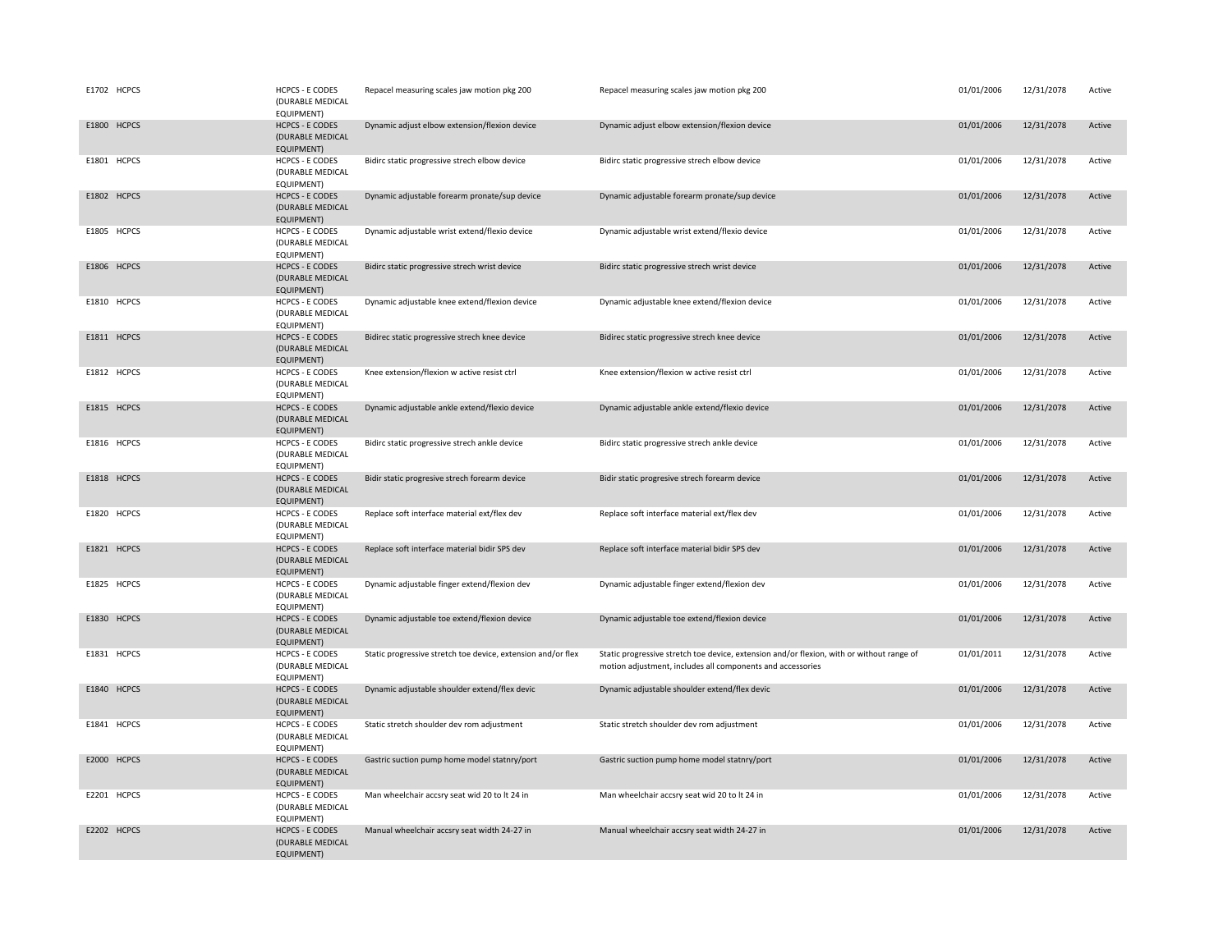| E1702 HCPCS | <b>HCPCS - E CODES</b><br>(DURABLE MEDICAL<br>EQUIPMENT)        | Repacel measuring scales jaw motion pkg 200                  | Repacel measuring scales jaw motion pkg 200                                                                                                             | 01/01/2006 | 12/31/2078 | Active |
|-------------|-----------------------------------------------------------------|--------------------------------------------------------------|---------------------------------------------------------------------------------------------------------------------------------------------------------|------------|------------|--------|
| E1800 HCPCS | <b>HCPCS - E CODES</b><br>(DURABLE MEDICAL<br><b>EQUIPMENT)</b> | Dynamic adjust elbow extension/flexion device                | Dynamic adjust elbow extension/flexion device                                                                                                           | 01/01/2006 | 12/31/2078 | Active |
| E1801 HCPCS | <b>HCPCS - E CODES</b><br>(DURABLE MEDICAL<br>EQUIPMENT)        | Bidirc static progressive strech elbow device                | Bidirc static progressive strech elbow device                                                                                                           | 01/01/2006 | 12/31/2078 | Active |
| E1802 HCPCS | <b>HCPCS - E CODES</b><br>(DURABLE MEDICAL<br>EQUIPMENT)        | Dynamic adjustable forearm pronate/sup device                | Dynamic adjustable forearm pronate/sup device                                                                                                           | 01/01/2006 | 12/31/2078 | Active |
| E1805 HCPCS | <b>HCPCS - E CODES</b><br>(DURABLE MEDICAL<br>EQUIPMENT)        | Dynamic adjustable wrist extend/flexio device                | Dynamic adjustable wrist extend/flexio device                                                                                                           | 01/01/2006 | 12/31/2078 | Active |
| E1806 HCPCS | <b>HCPCS - E CODES</b><br>(DURABLE MEDICAL<br>EQUIPMENT)        | Bidirc static progressive strech wrist device                | Bidirc static progressive strech wrist device                                                                                                           | 01/01/2006 | 12/31/2078 | Active |
| E1810 HCPCS | <b>HCPCS - E CODES</b><br>(DURABLE MEDICAL<br>EQUIPMENT)        | Dynamic adjustable knee extend/flexion device                | Dynamic adjustable knee extend/flexion device                                                                                                           | 01/01/2006 | 12/31/2078 | Active |
| E1811 HCPCS | <b>HCPCS - E CODES</b><br>(DURABLE MEDICAL<br>EQUIPMENT)        | Bidirec static progressive strech knee device                | Bidirec static progressive strech knee device                                                                                                           | 01/01/2006 | 12/31/2078 | Active |
| E1812 HCPCS | <b>HCPCS - E CODES</b><br>(DURABLE MEDICAL<br>EQUIPMENT)        | Knee extension/flexion w active resist ctrl                  | Knee extension/flexion w active resist ctrl                                                                                                             | 01/01/2006 | 12/31/2078 | Active |
| E1815 HCPCS | <b>HCPCS - E CODES</b><br>(DURABLE MEDICAL<br>EQUIPMENT)        | Dynamic adjustable ankle extend/flexio device                | Dynamic adjustable ankle extend/flexio device                                                                                                           | 01/01/2006 | 12/31/2078 | Active |
| E1816 HCPCS | <b>HCPCS - E CODES</b><br>(DURABLE MEDICAL<br>EQUIPMENT)        | Bidirc static progressive strech ankle device                | Bidirc static progressive strech ankle device                                                                                                           | 01/01/2006 | 12/31/2078 | Active |
| E1818 HCPCS | <b>HCPCS - E CODES</b><br>(DURABLE MEDICAL<br>EQUIPMENT)        | Bidir static progresive strech forearm device                | Bidir static progresive strech forearm device                                                                                                           | 01/01/2006 | 12/31/2078 | Active |
| E1820 HCPCS | <b>HCPCS - E CODES</b><br>(DURABLE MEDICAL<br>EQUIPMENT)        | Replace soft interface material ext/flex dev                 | Replace soft interface material ext/flex dev                                                                                                            | 01/01/2006 | 12/31/2078 | Active |
| E1821 HCPCS | <b>HCPCS - E CODES</b><br>(DURABLE MEDICAL<br>EQUIPMENT)        | Replace soft interface material bidir SPS dev                | Replace soft interface material bidir SPS dev                                                                                                           | 01/01/2006 | 12/31/2078 | Active |
| E1825 HCPCS | <b>HCPCS - E CODES</b><br>(DURABLE MEDICAL<br>EQUIPMENT)        | Dynamic adjustable finger extend/flexion dev                 | Dynamic adjustable finger extend/flexion dev                                                                                                            | 01/01/2006 | 12/31/2078 | Active |
| E1830 HCPCS | <b>HCPCS - E CODES</b><br>(DURABLE MEDICAL<br>EQUIPMENT)        | Dynamic adjustable toe extend/flexion device                 | Dynamic adjustable toe extend/flexion device                                                                                                            | 01/01/2006 | 12/31/2078 | Active |
| E1831 HCPCS | <b>HCPCS - E CODES</b><br>(DURABLE MEDICAL<br>EQUIPMENT)        | Static progressive stretch toe device, extension and/or flex | Static progressive stretch toe device, extension and/or flexion, with or without range of<br>motion adjustment, includes all components and accessories | 01/01/2011 | 12/31/2078 | Active |
| E1840 HCPCS | <b>HCPCS - E CODES</b><br>(DURABLE MEDICAL<br><b>EQUIPMENT)</b> | Dynamic adjustable shoulder extend/flex devic                | Dynamic adjustable shoulder extend/flex devic                                                                                                           | 01/01/2006 | 12/31/2078 | Active |
| E1841 HCPCS | <b>HCPCS - E CODES</b><br>(DURABLE MEDICAL<br>EQUIPMENT)        | Static stretch shoulder dev rom adjustment                   | Static stretch shoulder dev rom adjustment                                                                                                              | 01/01/2006 | 12/31/2078 | Active |
| E2000 HCPCS | <b>HCPCS - E CODES</b><br>(DURABLE MEDICAL<br><b>EQUIPMENT)</b> | Gastric suction pump home model statnry/port                 | Gastric suction pump home model statnry/port                                                                                                            | 01/01/2006 | 12/31/2078 | Active |
| E2201 HCPCS | <b>HCPCS - E CODES</b><br>(DURABLE MEDICAL<br>EQUIPMENT)        | Man wheelchair accsry seat wid 20 to lt 24 in                | Man wheelchair accsry seat wid 20 to lt 24 in                                                                                                           | 01/01/2006 | 12/31/2078 | Active |
| E2202 HCPCS | <b>HCPCS - E CODES</b><br>(DURABLE MEDICAL<br><b>EQUIPMENT)</b> | Manual wheelchair accsry seat width 24-27 in                 | Manual wheelchair accsry seat width 24-27 in                                                                                                            | 01/01/2006 | 12/31/2078 | Active |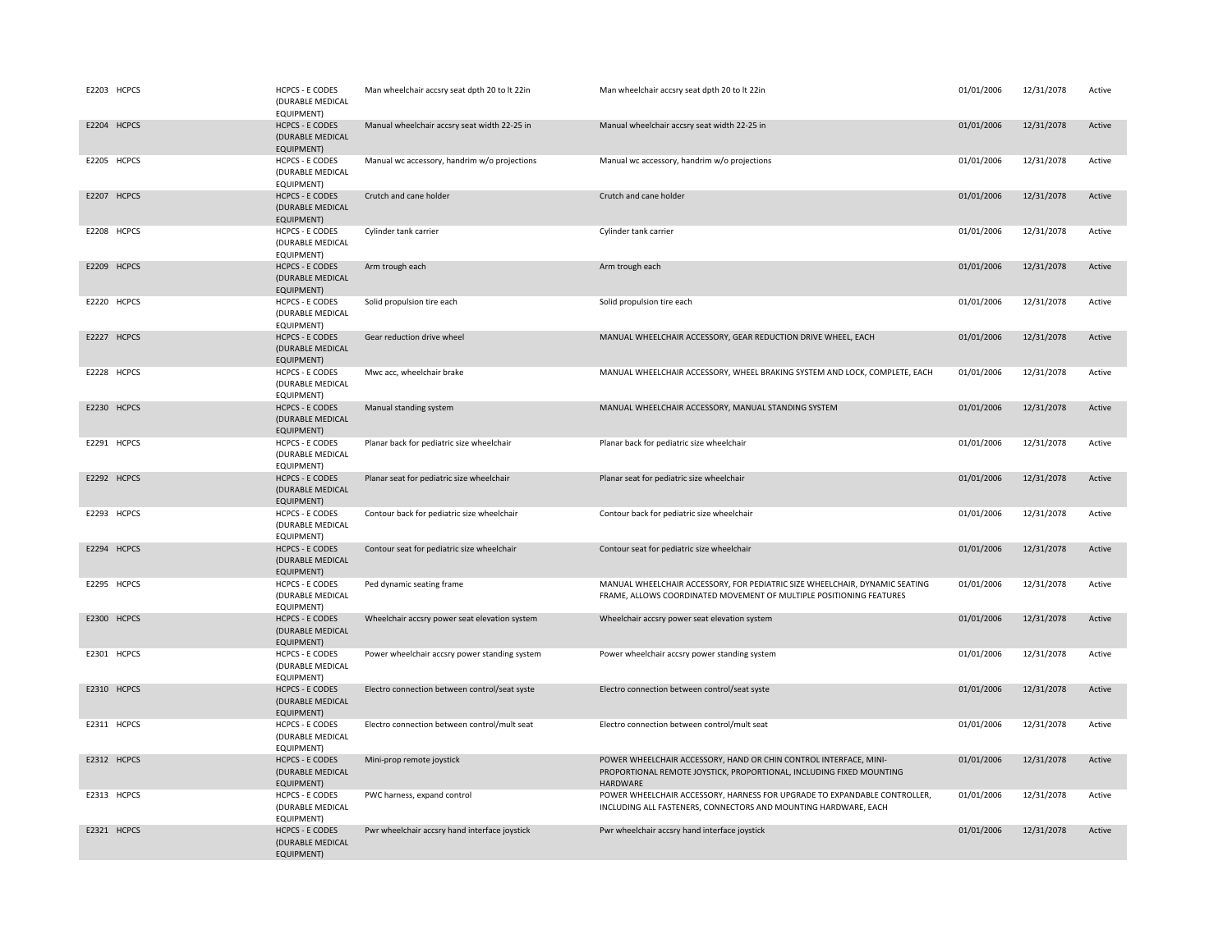| E2203 HCPCS | <b>HCPCS - E CODES</b><br>(DURABLE MEDICAL<br>EQUIPMENT)        | Man wheelchair accsry seat dpth 20 to lt 22in | Man wheelchair accsry seat dpth 20 to lt 22in                                                                                                         | 01/01/2006 | 12/31/2078 | Active |
|-------------|-----------------------------------------------------------------|-----------------------------------------------|-------------------------------------------------------------------------------------------------------------------------------------------------------|------------|------------|--------|
| E2204 HCPCS | <b>HCPCS - E CODES</b><br>(DURABLE MEDICAL<br><b>EQUIPMENT)</b> | Manual wheelchair accsry seat width 22-25 in  | Manual wheelchair accsry seat width 22-25 in                                                                                                          | 01/01/2006 | 12/31/2078 | Active |
| E2205 HCPCS | <b>HCPCS - E CODES</b><br>(DURABLE MEDICAL<br>EQUIPMENT)        | Manual wc accessory, handrim w/o projections  | Manual wc accessory, handrim w/o projections                                                                                                          | 01/01/2006 | 12/31/2078 | Active |
| E2207 HCPCS | <b>HCPCS - E CODES</b><br>(DURABLE MEDICAL<br>EQUIPMENT)        | Crutch and cane holder                        | Crutch and cane holder                                                                                                                                | 01/01/2006 | 12/31/2078 | Active |
| E2208 HCPCS | <b>HCPCS - E CODES</b><br>(DURABLE MEDICAL<br>EQUIPMENT)        | Cylinder tank carrier                         | Cylinder tank carrier                                                                                                                                 | 01/01/2006 | 12/31/2078 | Active |
| E2209 HCPCS | <b>HCPCS - E CODES</b><br>(DURABLE MEDICAL<br>EQUIPMENT)        | Arm trough each                               | Arm trough each                                                                                                                                       | 01/01/2006 | 12/31/2078 | Active |
| E2220 HCPCS | <b>HCPCS - E CODES</b><br>(DURABLE MEDICAL<br>EQUIPMENT)        | Solid propulsion tire each                    | Solid propulsion tire each                                                                                                                            | 01/01/2006 | 12/31/2078 | Active |
| E2227 HCPCS | <b>HCPCS - E CODES</b><br>(DURABLE MEDICAL<br><b>EQUIPMENT)</b> | Gear reduction drive wheel                    | MANUAL WHEELCHAIR ACCESSORY, GEAR REDUCTION DRIVE WHEEL, EACH                                                                                         | 01/01/2006 | 12/31/2078 | Active |
| E2228 HCPCS | <b>HCPCS - E CODES</b><br>(DURABLE MEDICAL<br>EQUIPMENT)        | Mwc acc, wheelchair brake                     | MANUAL WHEELCHAIR ACCESSORY, WHEEL BRAKING SYSTEM AND LOCK, COMPLETE, EACH                                                                            | 01/01/2006 | 12/31/2078 | Active |
| E2230 HCPCS | <b>HCPCS - E CODES</b><br>(DURABLE MEDICAL<br><b>EQUIPMENT)</b> | Manual standing system                        | MANUAL WHEELCHAIR ACCESSORY, MANUAL STANDING SYSTEM                                                                                                   | 01/01/2006 | 12/31/2078 | Active |
| E2291 HCPCS | <b>HCPCS - E CODES</b><br>(DURABLE MEDICAL<br>EQUIPMENT)        | Planar back for pediatric size wheelchair     | Planar back for pediatric size wheelchair                                                                                                             | 01/01/2006 | 12/31/2078 | Active |
| E2292 HCPCS | <b>HCPCS - E CODES</b><br>(DURABLE MEDICAL<br><b>EQUIPMENT)</b> | Planar seat for pediatric size wheelchair     | Planar seat for pediatric size wheelchair                                                                                                             | 01/01/2006 | 12/31/2078 | Active |
| E2293 HCPCS | <b>HCPCS - E CODES</b><br>(DURABLE MEDICAL<br>EQUIPMENT)        | Contour back for pediatric size wheelchair    | Contour back for pediatric size wheelchair                                                                                                            | 01/01/2006 | 12/31/2078 | Active |
| E2294 HCPCS | <b>HCPCS - E CODES</b><br>(DURABLE MEDICAL<br>EQUIPMENT)        | Contour seat for pediatric size wheelchair    | Contour seat for pediatric size wheelchair                                                                                                            | 01/01/2006 | 12/31/2078 | Active |
| E2295 HCPCS | <b>HCPCS - E CODES</b><br>(DURABLE MEDICAL<br>EQUIPMENT)        | Ped dynamic seating frame                     | MANUAL WHEELCHAIR ACCESSORY, FOR PEDIATRIC SIZE WHEELCHAIR, DYNAMIC SEATING<br>FRAME, ALLOWS COORDINATED MOVEMENT OF MULTIPLE POSITIONING FEATURES    | 01/01/2006 | 12/31/2078 | Active |
| E2300 HCPCS | <b>HCPCS - E CODES</b><br>(DURABLE MEDICAL<br><b>EQUIPMENT)</b> | Wheelchair accsry power seat elevation system | Wheelchair accsry power seat elevation system                                                                                                         | 01/01/2006 | 12/31/2078 | Active |
| E2301 HCPCS | <b>HCPCS - E CODES</b><br>(DURABLE MEDICAL<br>EQUIPMENT)        | Power wheelchair accsry power standing system | Power wheelchair accsry power standing system                                                                                                         | 01/01/2006 | 12/31/2078 | Active |
| E2310 HCPCS | <b>HCPCS - E CODES</b><br>(DURABLE MEDICAL<br><b>EQUIPMENT)</b> | Electro connection between control/seat syste | Electro connection between control/seat syste                                                                                                         | 01/01/2006 | 12/31/2078 | Active |
| E2311 HCPCS | <b>HCPCS - E CODES</b><br>(DURABLE MEDICAL<br>EQUIPMENT)        | Electro connection between control/mult seat  | Electro connection between control/mult seat                                                                                                          | 01/01/2006 | 12/31/2078 | Active |
| E2312 HCPCS | <b>HCPCS - E CODES</b><br>(DURABLE MEDICAL<br><b>EQUIPMENT)</b> | Mini-prop remote joystick                     | POWER WHEELCHAIR ACCESSORY, HAND OR CHIN CONTROL INTERFACE, MINI-<br>PROPORTIONAL REMOTE JOYSTICK, PROPORTIONAL, INCLUDING FIXED MOUNTING<br>HARDWARE | 01/01/2006 | 12/31/2078 | Active |
| E2313 HCPCS | <b>HCPCS - E CODES</b><br>(DURABLE MEDICAL<br>EQUIPMENT)        | PWC harness, expand control                   | POWER WHEELCHAIR ACCESSORY, HARNESS FOR UPGRADE TO EXPANDABLE CONTROLLER,<br>INCLUDING ALL FASTENERS, CONNECTORS AND MOUNTING HARDWARE, EACH          | 01/01/2006 | 12/31/2078 | Active |
| E2321 HCPCS | <b>HCPCS - E CODES</b><br>(DURABLE MEDICAL<br><b>EQUIPMENT)</b> | Pwr wheelchair accsry hand interface joystick | Pwr wheelchair accsry hand interface joystick                                                                                                         | 01/01/2006 | 12/31/2078 | Active |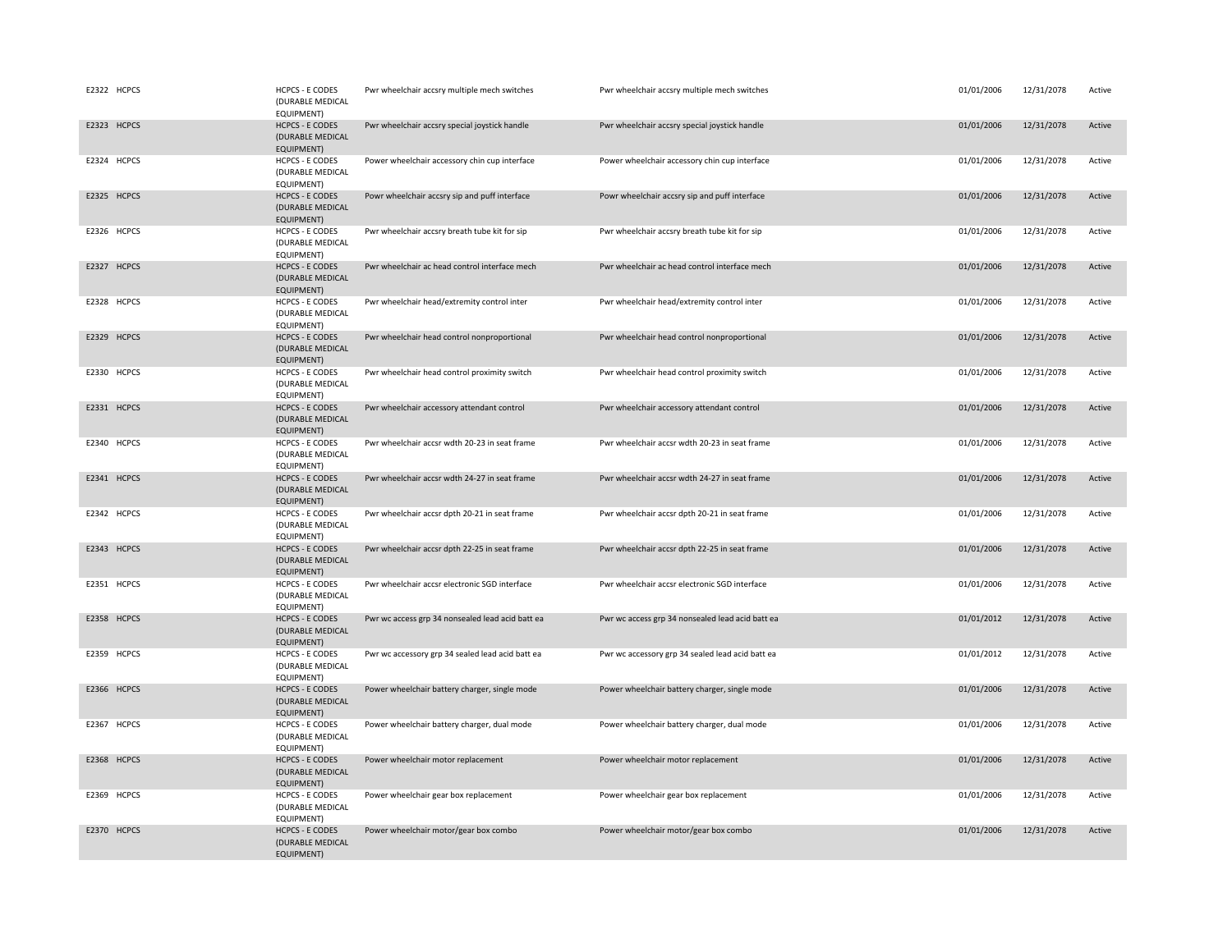| E2322 HCPCS | <b>HCPCS - E CODES</b><br>(DURABLE MEDICAL<br>EQUIPMENT)        | Pwr wheelchair accsry multiple mech switches     | Pwr wheelchair accsry multiple mech switches     | 01/01/2006 | 12/31/2078<br>Active |
|-------------|-----------------------------------------------------------------|--------------------------------------------------|--------------------------------------------------|------------|----------------------|
| E2323 HCPCS | <b>HCPCS - E CODES</b><br>(DURABLE MEDICAL<br><b>EQUIPMENT)</b> | Pwr wheelchair accsry special joystick handle    | Pwr wheelchair accsry special joystick handle    | 01/01/2006 | 12/31/2078<br>Active |
| E2324 HCPCS | <b>HCPCS - E CODES</b><br>(DURABLE MEDICAL<br>EQUIPMENT)        | Power wheelchair accessory chin cup interface    | Power wheelchair accessory chin cup interface    | 01/01/2006 | 12/31/2078<br>Active |
| E2325 HCPCS | <b>HCPCS - E CODES</b><br>(DURABLE MEDICAL<br>EQUIPMENT)        | Powr wheelchair accsry sip and puff interface    | Powr wheelchair accsry sip and puff interface    | 01/01/2006 | 12/31/2078<br>Active |
| E2326 HCPCS | <b>HCPCS - E CODES</b><br>(DURABLE MEDICAL<br>EQUIPMENT)        | Pwr wheelchair accsry breath tube kit for sip    | Pwr wheelchair accsry breath tube kit for sip    | 01/01/2006 | 12/31/2078<br>Active |
| E2327 HCPCS | <b>HCPCS - E CODES</b><br>(DURABLE MEDICAL<br>EQUIPMENT)        | Pwr wheelchair ac head control interface mech    | Pwr wheelchair ac head control interface mech    | 01/01/2006 | 12/31/2078<br>Active |
| E2328 HCPCS | <b>HCPCS - E CODES</b><br>(DURABLE MEDICAL<br>EQUIPMENT)        | Pwr wheelchair head/extremity control inter      | Pwr wheelchair head/extremity control inter      | 01/01/2006 | 12/31/2078<br>Active |
| E2329 HCPCS | <b>HCPCS - E CODES</b><br>(DURABLE MEDICAL<br>EQUIPMENT)        | Pwr wheelchair head control nonproportional      | Pwr wheelchair head control nonproportional      | 01/01/2006 | 12/31/2078<br>Active |
| E2330 HCPCS | <b>HCPCS - E CODES</b><br>(DURABLE MEDICAL<br>EQUIPMENT)        | Pwr wheelchair head control proximity switch     | Pwr wheelchair head control proximity switch     | 01/01/2006 | 12/31/2078<br>Active |
| E2331 HCPCS | <b>HCPCS - E CODES</b><br>(DURABLE MEDICAL<br>EQUIPMENT)        | Pwr wheelchair accessory attendant control       | Pwr wheelchair accessory attendant control       | 01/01/2006 | 12/31/2078<br>Active |
| E2340 HCPCS | <b>HCPCS - E CODES</b><br>(DURABLE MEDICAL<br>EQUIPMENT)        | Pwr wheelchair accsr wdth 20-23 in seat frame    | Pwr wheelchair accsr wdth 20-23 in seat frame    | 01/01/2006 | 12/31/2078<br>Active |
| E2341 HCPCS | <b>HCPCS - E CODES</b><br>(DURABLE MEDICAL<br><b>EQUIPMENT)</b> | Pwr wheelchair accsr wdth 24-27 in seat frame    | Pwr wheelchair accsr wdth 24-27 in seat frame    | 01/01/2006 | 12/31/2078<br>Active |
| E2342 HCPCS | <b>HCPCS - E CODES</b><br>(DURABLE MEDICAL<br>EQUIPMENT)        | Pwr wheelchair accsr dpth 20-21 in seat frame    | Pwr wheelchair accsr dpth 20-21 in seat frame    | 01/01/2006 | 12/31/2078<br>Active |
| E2343 HCPCS | <b>HCPCS - E CODES</b><br>(DURABLE MEDICAL<br>EQUIPMENT)        | Pwr wheelchair accsr dpth 22-25 in seat frame    | Pwr wheelchair accsr dpth 22-25 in seat frame    | 01/01/2006 | 12/31/2078<br>Active |
| E2351 HCPCS | <b>HCPCS - E CODES</b><br>(DURABLE MEDICAL<br>EQUIPMENT)        | Pwr wheelchair accsr electronic SGD interface    | Pwr wheelchair accsr electronic SGD interface    | 01/01/2006 | 12/31/2078<br>Active |
| E2358 HCPCS | <b>HCPCS - E CODES</b><br>(DURABLE MEDICAL<br>EQUIPMENT)        | Pwr wc access grp 34 nonsealed lead acid batt ea | Pwr wc access grp 34 nonsealed lead acid batt ea | 01/01/2012 | 12/31/2078<br>Active |
| E2359 HCPCS | <b>HCPCS - E CODES</b><br>(DURABLE MEDICAL<br>EQUIPMENT)        | Pwr wc accessory grp 34 sealed lead acid batt ea | Pwr wc accessory grp 34 sealed lead acid batt ea | 01/01/2012 | 12/31/2078<br>Active |
| E2366 HCPCS | <b>HCPCS - E CODES</b><br>(DURABLE MEDICAL<br><b>EQUIPMENT)</b> | Power wheelchair battery charger, single mode    | Power wheelchair battery charger, single mode    | 01/01/2006 | 12/31/2078<br>Active |
| E2367 HCPCS | <b>HCPCS - E CODES</b><br>(DURABLE MEDICAL<br>EQUIPMENT)        | Power wheelchair battery charger, dual mode      | Power wheelchair battery charger, dual mode      | 01/01/2006 | 12/31/2078<br>Active |
| E2368 HCPCS | <b>HCPCS - E CODES</b><br>(DURABLE MEDICAL<br>EQUIPMENT)        | Power wheelchair motor replacement               | Power wheelchair motor replacement               | 01/01/2006 | 12/31/2078<br>Active |
| E2369 HCPCS | <b>HCPCS - E CODES</b><br>(DURABLE MEDICAL<br>EQUIPMENT)        | Power wheelchair gear box replacement            | Power wheelchair gear box replacement            | 01/01/2006 | 12/31/2078<br>Active |
| E2370 HCPCS | <b>HCPCS - E CODES</b><br>(DURABLE MEDICAL<br><b>EQUIPMENT)</b> | Power wheelchair motor/gear box combo            | Power wheelchair motor/gear box combo            | 01/01/2006 | 12/31/2078<br>Active |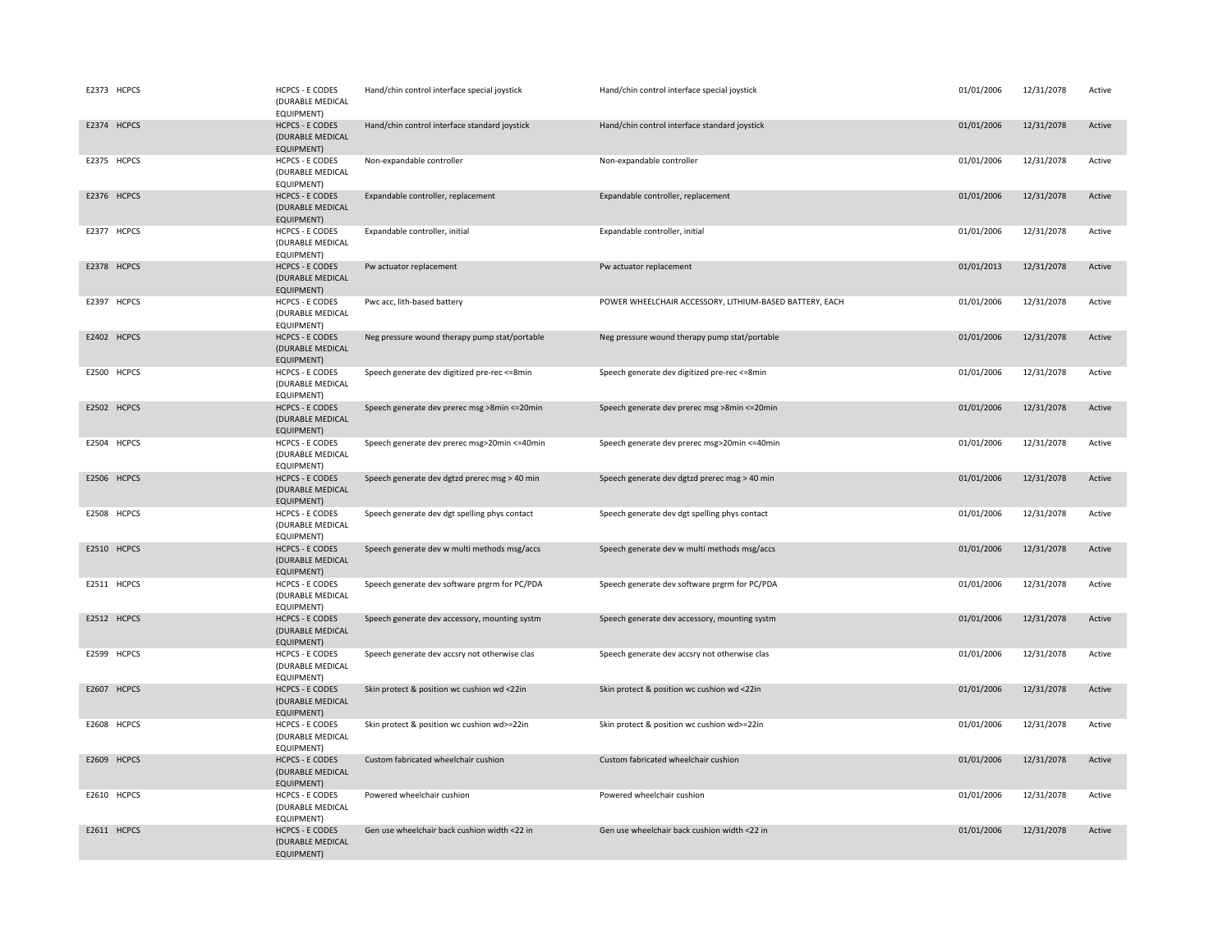| E2373 HCPCS | <b>HCPCS - E CODES</b><br>(DURABLE MEDICAL<br>EQUIPMENT)        | Hand/chin control interface special joystick  | Hand/chin control interface special joystick            | 01/01/2006 | 12/31/2078 | Active |
|-------------|-----------------------------------------------------------------|-----------------------------------------------|---------------------------------------------------------|------------|------------|--------|
| E2374 HCPCS | <b>HCPCS - E CODES</b><br>(DURABLE MEDICAL<br><b>EQUIPMENT)</b> | Hand/chin control interface standard joystick | Hand/chin control interface standard joystick           | 01/01/2006 | 12/31/2078 | Active |
| E2375 HCPCS | <b>HCPCS - E CODES</b><br>(DURABLE MEDICAL<br>EQUIPMENT)        | Non-expandable controller                     | Non-expandable controller                               | 01/01/2006 | 12/31/2078 | Active |
| E2376 HCPCS | <b>HCPCS - E CODES</b><br>(DURABLE MEDICAL<br>EQUIPMENT)        | Expandable controller, replacement            | Expandable controller, replacement                      | 01/01/2006 | 12/31/2078 | Active |
| E2377 HCPCS | <b>HCPCS - E CODES</b><br>(DURABLE MEDICAL<br>EQUIPMENT)        | Expandable controller, initial                | Expandable controller, initial                          | 01/01/2006 | 12/31/2078 | Active |
| E2378 HCPCS | <b>HCPCS - E CODES</b><br>(DURABLE MEDICAL<br>EQUIPMENT)        | Pw actuator replacement                       | Pw actuator replacement                                 | 01/01/2013 | 12/31/2078 | Active |
| E2397 HCPCS | <b>HCPCS - E CODES</b><br>(DURABLE MEDICAL<br>EQUIPMENT)        | Pwc acc, lith-based battery                   | POWER WHEELCHAIR ACCESSORY, LITHIUM-BASED BATTERY, EACH | 01/01/2006 | 12/31/2078 | Active |
| E2402 HCPCS | <b>HCPCS - E CODES</b><br>(DURABLE MEDICAL<br>EQUIPMENT)        | Neg pressure wound therapy pump stat/portable | Neg pressure wound therapy pump stat/portable           | 01/01/2006 | 12/31/2078 | Active |
| E2500 HCPCS | <b>HCPCS - E CODES</b><br>(DURABLE MEDICAL<br>EQUIPMENT)        | Speech generate dev digitized pre-rec <= 8min | Speech generate dev digitized pre-rec <= 8min           | 01/01/2006 | 12/31/2078 | Active |
| E2502 HCPCS | <b>HCPCS - E CODES</b><br>(DURABLE MEDICAL<br>EQUIPMENT)        | Speech generate dev prerec msg >8min <= 20min | Speech generate dev prerec msg >8min <= 20min           | 01/01/2006 | 12/31/2078 | Active |
| E2504 HCPCS | <b>HCPCS - E CODES</b><br>(DURABLE MEDICAL<br>EQUIPMENT)        | Speech generate dev prerec msg>20min <= 40min | Speech generate dev prerec msg>20min <= 40min           | 01/01/2006 | 12/31/2078 | Active |
| E2506 HCPCS | <b>HCPCS - E CODES</b><br>(DURABLE MEDICAL<br>EQUIPMENT)        | Speech generate dev dgtzd prerec msg > 40 min | Speech generate dev dgtzd prerec msg > 40 min           | 01/01/2006 | 12/31/2078 | Active |
| E2508 HCPCS | <b>HCPCS - E CODES</b><br>(DURABLE MEDICAL<br>EQUIPMENT)        | Speech generate dev dgt spelling phys contact | Speech generate dev dgt spelling phys contact           | 01/01/2006 | 12/31/2078 | Active |
| E2510 HCPCS | <b>HCPCS - E CODES</b><br>(DURABLE MEDICAL<br>EQUIPMENT)        | Speech generate dev w multi methods msg/accs  | Speech generate dev w multi methods msg/accs            | 01/01/2006 | 12/31/2078 | Active |
| E2511 HCPCS | <b>HCPCS - E CODES</b><br>(DURABLE MEDICAL<br>EQUIPMENT)        | Speech generate dev software prgrm for PC/PDA | Speech generate dev software prgrm for PC/PDA           | 01/01/2006 | 12/31/2078 | Active |
| E2512 HCPCS | <b>HCPCS - E CODES</b><br>(DURABLE MEDICAL<br>EQUIPMENT)        | Speech generate dev accessory, mounting systm | Speech generate dev accessory, mounting systm           | 01/01/2006 | 12/31/2078 | Active |
| E2599 HCPCS | <b>HCPCS - E CODES</b><br>(DURABLE MEDICAL<br>EQUIPMENT)        | Speech generate dev accsry not otherwise clas | Speech generate dev accsry not otherwise clas           | 01/01/2006 | 12/31/2078 | Active |
| E2607 HCPCS | <b>HCPCS - E CODES</b><br>(DURABLE MEDICAL<br>EQUIPMENT)        | Skin protect & position wc cushion wd <22in   | Skin protect & position wc cushion wd <22in             | 01/01/2006 | 12/31/2078 | Active |
| E2608 HCPCS | <b>HCPCS - E CODES</b><br>(DURABLE MEDICAL<br>EQUIPMENT)        | Skin protect & position wc cushion wd>=22in   | Skin protect & position wc cushion wd>=22in             | 01/01/2006 | 12/31/2078 | Active |
| E2609 HCPCS | <b>HCPCS - E CODES</b><br>(DURABLE MEDICAL<br><b>EQUIPMENT)</b> | Custom fabricated wheelchair cushion          | Custom fabricated wheelchair cushion                    | 01/01/2006 | 12/31/2078 | Active |
| E2610 HCPCS | <b>HCPCS - E CODES</b><br>(DURABLE MEDICAL<br>EQUIPMENT)        | Powered wheelchair cushion                    | Powered wheelchair cushion                              | 01/01/2006 | 12/31/2078 | Active |
| E2611 HCPCS | <b>HCPCS - E CODES</b><br>(DURABLE MEDICAL<br><b>EQUIPMENT)</b> | Gen use wheelchair back cushion width <22 in  | Gen use wheelchair back cushion width <22 in            | 01/01/2006 | 12/31/2078 | Active |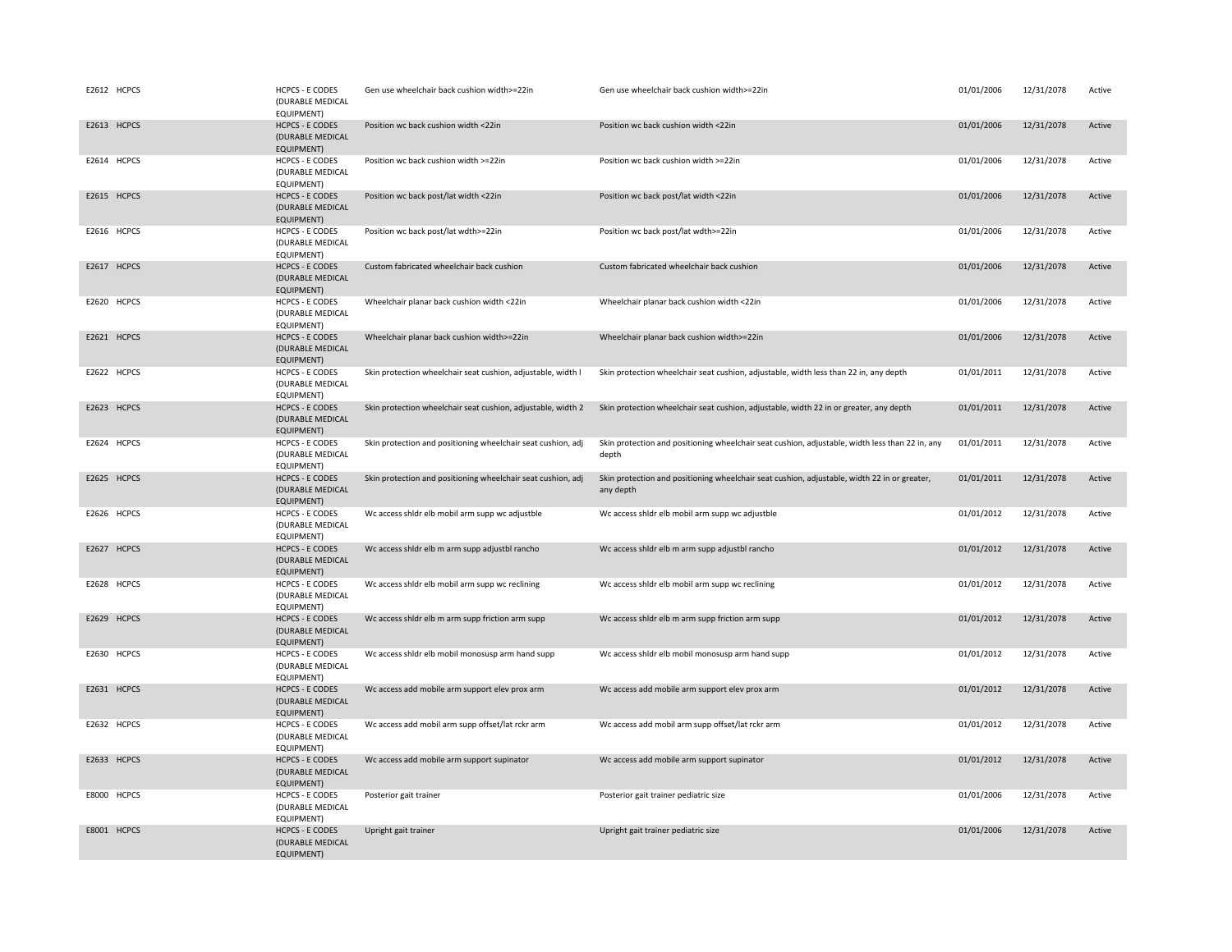| E2612 HCPCS | <b>HCPCS - E CODES</b><br>(DURABLE MEDICAL<br>EQUIPMENT)        | Gen use wheelchair back cushion width>=22in                  | Gen use wheelchair back cushion width>=22in                                                               | 01/01/2006 | 12/31/2078 | Active |
|-------------|-----------------------------------------------------------------|--------------------------------------------------------------|-----------------------------------------------------------------------------------------------------------|------------|------------|--------|
| E2613 HCPCS | <b>HCPCS - E CODES</b><br>(DURABLE MEDICAL<br><b>EQUIPMENT)</b> | Position wc back cushion width <22in                         | Position wc back cushion width <22in                                                                      | 01/01/2006 | 12/31/2078 | Active |
| E2614 HCPCS | <b>HCPCS - E CODES</b><br>(DURABLE MEDICAL<br>EQUIPMENT)        | Position wc back cushion width >=22in                        | Position wc back cushion width >=22in                                                                     | 01/01/2006 | 12/31/2078 | Active |
| E2615 HCPCS | <b>HCPCS - E CODES</b><br>(DURABLE MEDICAL<br>EQUIPMENT)        | Position wc back post/lat width <22in                        | Position wc back post/lat width <22in                                                                     | 01/01/2006 | 12/31/2078 | Active |
| E2616 HCPCS | <b>HCPCS - E CODES</b><br>(DURABLE MEDICAL<br>EQUIPMENT)        | Position wc back post/lat wdth>=22in                         | Position wc back post/lat wdth>=22in                                                                      | 01/01/2006 | 12/31/2078 | Active |
| E2617 HCPCS | <b>HCPCS - E CODES</b><br>(DURABLE MEDICAL<br>EQUIPMENT)        | Custom fabricated wheelchair back cushion                    | Custom fabricated wheelchair back cushion                                                                 | 01/01/2006 | 12/31/2078 | Active |
| E2620 HCPCS | <b>HCPCS - E CODES</b><br>(DURABLE MEDICAL<br>EQUIPMENT)        | Wheelchair planar back cushion width <22in                   | Wheelchair planar back cushion width <22in                                                                | 01/01/2006 | 12/31/2078 | Active |
| E2621 HCPCS | <b>HCPCS - E CODES</b><br>(DURABLE MEDICAL<br>EQUIPMENT)        | Wheelchair planar back cushion width>=22in                   | Wheelchair planar back cushion width>=22in                                                                | 01/01/2006 | 12/31/2078 | Active |
| E2622 HCPCS | <b>HCPCS - E CODES</b><br>(DURABLE MEDICAL<br>EQUIPMENT)        | Skin protection wheelchair seat cushion, adjustable, width I | Skin protection wheelchair seat cushion, adjustable, width less than 22 in, any depth                     | 01/01/2011 | 12/31/2078 | Active |
| E2623 HCPCS | <b>HCPCS - E CODES</b><br>(DURABLE MEDICAL<br>EQUIPMENT)        | Skin protection wheelchair seat cushion, adjustable, width 2 | Skin protection wheelchair seat cushion, adjustable, width 22 in or greater, any depth                    | 01/01/2011 | 12/31/2078 | Active |
| E2624 HCPCS | <b>HCPCS - E CODES</b><br>(DURABLE MEDICAL<br>EQUIPMENT)        | Skin protection and positioning wheelchair seat cushion, adj | Skin protection and positioning wheelchair seat cushion, adjustable, width less than 22 in, any<br>depth  | 01/01/2011 | 12/31/2078 | Active |
| E2625 HCPCS | <b>HCPCS - E CODES</b><br>(DURABLE MEDICAL<br>EQUIPMENT)        | Skin protection and positioning wheelchair seat cushion, adj | Skin protection and positioning wheelchair seat cushion, adjustable, width 22 in or greater,<br>any depth | 01/01/2011 | 12/31/2078 | Active |
| E2626 HCPCS | <b>HCPCS - E CODES</b><br>(DURABLE MEDICAL<br>EQUIPMENT)        | Wc access shidr elb mobil arm supp wc adjustble              | Wc access shidr elb mobil arm supp wc adjustble                                                           | 01/01/2012 | 12/31/2078 | Active |
| E2627 HCPCS | <b>HCPCS - E CODES</b><br>(DURABLE MEDICAL<br><b>EQUIPMENT)</b> | Wc access shidr elb m arm supp adjustbl rancho               | Wc access shidr elb m arm supp adjustbl rancho                                                            | 01/01/2012 | 12/31/2078 | Active |
| E2628 HCPCS | HCPCS - E CODES<br>(DURABLE MEDICAL<br>EQUIPMENT)               | Wc access shldr elb mobil arm supp wc reclining              | Wc access shldr elb mobil arm supp wc reclining                                                           | 01/01/2012 | 12/31/2078 | Active |
| E2629 HCPCS | <b>HCPCS - E CODES</b><br>(DURABLE MEDICAL<br>EQUIPMENT)        | Wc access shidr elb m arm supp friction arm supp             | Wc access shidr elb m arm supp friction arm supp                                                          | 01/01/2012 | 12/31/2078 | Active |
| E2630 HCPCS | <b>HCPCS - E CODES</b><br>(DURABLE MEDICAL<br>EQUIPMENT)        | Wc access shidr elb mobil monosusp arm hand supp             | Wc access shidr elb mobil monosusp arm hand supp                                                          | 01/01/2012 | 12/31/2078 | Active |
| E2631 HCPCS | <b>HCPCS - E CODES</b><br>(DURABLE MEDICAL<br>EQUIPMENT)        | Wc access add mobile arm support elev prox arm               | Wc access add mobile arm support elev prox arm                                                            | 01/01/2012 | 12/31/2078 | Active |
| E2632 HCPCS | <b>HCPCS - E CODES</b><br>(DURABLE MEDICAL<br>EQUIPMENT)        | Wc access add mobil arm supp offset/lat rckr arm             | Wc access add mobil arm supp offset/lat rckr arm                                                          | 01/01/2012 | 12/31/2078 | Active |
| E2633 HCPCS | <b>HCPCS - E CODES</b><br>(DURABLE MEDICAL<br>EQUIPMENT)        | Wc access add mobile arm support supinator                   | Wc access add mobile arm support supinator                                                                | 01/01/2012 | 12/31/2078 | Active |
| E8000 HCPCS | <b>HCPCS - E CODES</b><br>(DURABLE MEDICAL<br>EQUIPMENT)        | Posterior gait trainer                                       | Posterior gait trainer pediatric size                                                                     | 01/01/2006 | 12/31/2078 | Active |
| E8001 HCPCS | <b>HCPCS - E CODES</b><br>(DURABLE MEDICAL<br>EQUIPMENT)        | Upright gait trainer                                         | Upright gait trainer pediatric size                                                                       | 01/01/2006 | 12/31/2078 | Active |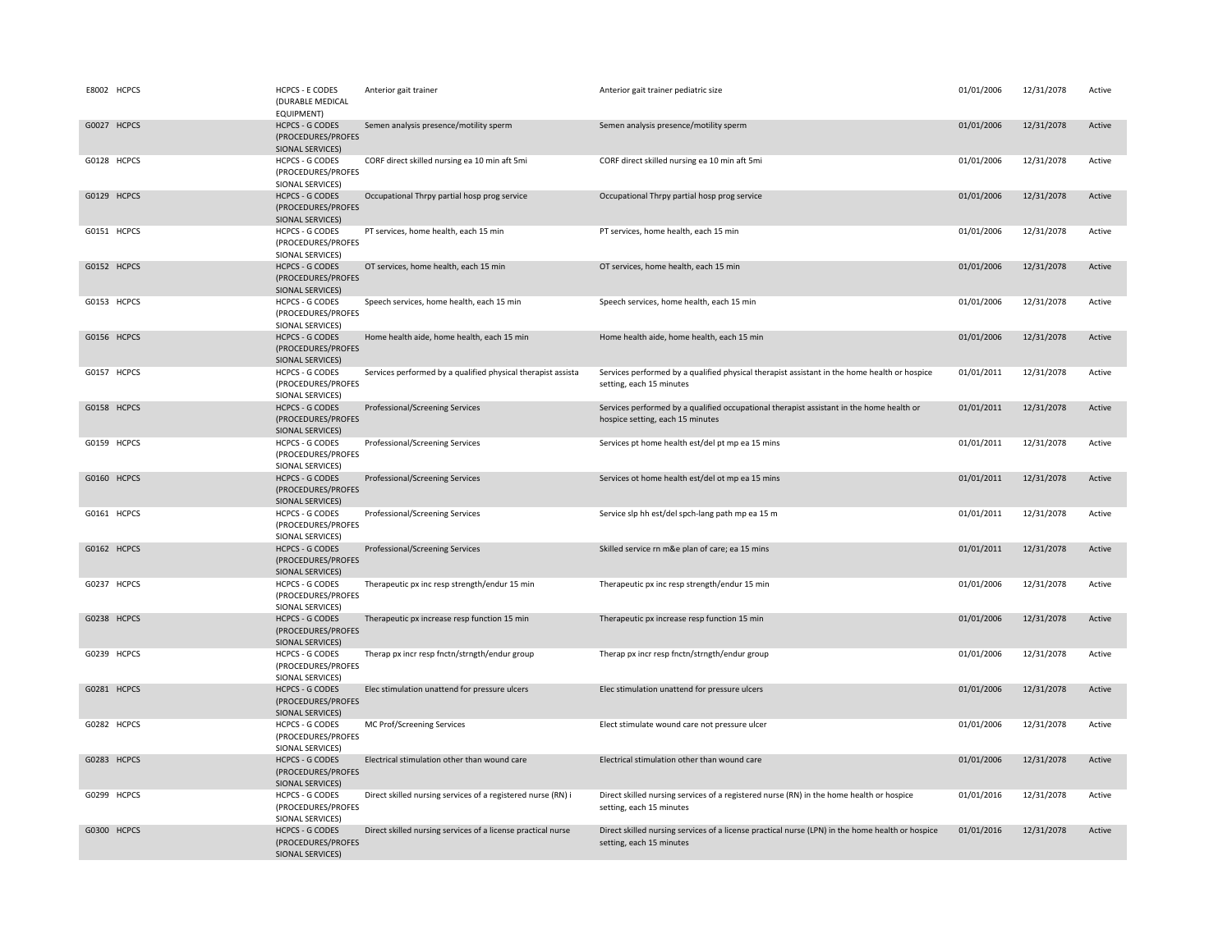|             | E8002 HCPCS | <b>HCPCS - E CODES</b><br>(DURABLE MEDICAL<br>EQUIPMENT)         | Anterior gait trainer                                        | Anterior gait trainer pediatric size                                                                                         | 01/01/2006 | 12/31/2078 | Active |
|-------------|-------------|------------------------------------------------------------------|--------------------------------------------------------------|------------------------------------------------------------------------------------------------------------------------------|------------|------------|--------|
| G0027 HCPCS |             | <b>HCPCS - G CODES</b><br>(PROCEDURES/PROFES<br>SIONAL SERVICES) | Semen analysis presence/motility sperm                       | Semen analysis presence/motility sperm                                                                                       | 01/01/2006 | 12/31/2078 | Active |
| G0128 HCPCS |             | <b>HCPCS - G CODES</b><br>(PROCEDURES/PROFES<br>SIONAL SERVICES) | CORF direct skilled nursing ea 10 min aft 5mi                | CORF direct skilled nursing ea 10 min aft 5mi                                                                                | 01/01/2006 | 12/31/2078 | Active |
| G0129 HCPCS |             | <b>HCPCS - G CODES</b><br>(PROCEDURES/PROFES<br>SIONAL SERVICES) | Occupational Thrpy partial hosp prog service                 | Occupational Thrpy partial hosp prog service                                                                                 | 01/01/2006 | 12/31/2078 | Active |
| G0151 HCPCS |             | <b>HCPCS - G CODES</b><br>(PROCEDURES/PROFES<br>SIONAL SERVICES) | PT services, home health, each 15 min                        | PT services, home health, each 15 min                                                                                        | 01/01/2006 | 12/31/2078 | Active |
| G0152 HCPCS |             | <b>HCPCS - G CODES</b><br>(PROCEDURES/PROFES<br>SIONAL SERVICES) | OT services, home health, each 15 min                        | OT services, home health, each 15 min                                                                                        | 01/01/2006 | 12/31/2078 | Active |
| G0153 HCPCS |             | <b>HCPCS - G CODES</b><br>(PROCEDURES/PROFES<br>SIONAL SERVICES) | Speech services, home health, each 15 min                    | Speech services, home health, each 15 min                                                                                    | 01/01/2006 | 12/31/2078 | Active |
| G0156 HCPCS |             | <b>HCPCS - G CODES</b><br>(PROCEDURES/PROFES<br>SIONAL SERVICES) | Home health aide, home health, each 15 min                   | Home health aide, home health, each 15 min                                                                                   | 01/01/2006 | 12/31/2078 | Active |
| G0157 HCPCS |             | HCPCS - G CODES<br>(PROCEDURES/PROFES<br>SIONAL SERVICES)        | Services performed by a qualified physical therapist assista | Services performed by a qualified physical therapist assistant in the home health or hospice<br>setting, each 15 minutes     | 01/01/2011 | 12/31/2078 | Active |
| G0158 HCPCS |             | <b>HCPCS - G CODES</b><br>(PROCEDURES/PROFES<br>SIONAL SERVICES) | Professional/Screening Services                              | Services performed by a qualified occupational therapist assistant in the home health or<br>hospice setting, each 15 minutes | 01/01/2011 | 12/31/2078 | Active |
| G0159 HCPCS |             | <b>HCPCS - G CODES</b><br>(PROCEDURES/PROFES<br>SIONAL SERVICES) | Professional/Screening Services                              | Services pt home health est/del pt mp ea 15 mins                                                                             | 01/01/2011 | 12/31/2078 | Active |
| G0160 HCPCS |             | <b>HCPCS - G CODES</b><br>(PROCEDURES/PROFES<br>SIONAL SERVICES) | Professional/Screening Services                              | Services ot home health est/del ot mp ea 15 mins                                                                             | 01/01/2011 | 12/31/2078 | Active |
| G0161 HCPCS |             | <b>HCPCS - G CODES</b><br>(PROCEDURES/PROFES<br>SIONAL SERVICES) | Professional/Screening Services                              | Service slp hh est/del spch-lang path mp ea 15 m                                                                             | 01/01/2011 | 12/31/2078 | Active |
| G0162 HCPCS |             | <b>HCPCS - G CODES</b><br>(PROCEDURES/PROFES<br>SIONAL SERVICES) | Professional/Screening Services                              | Skilled service rn m&e plan of care; ea 15 mins                                                                              | 01/01/2011 | 12/31/2078 | Active |
| G0237 HCPCS |             | <b>HCPCS - G CODES</b><br>(PROCEDURES/PROFES<br>SIONAL SERVICES) | Therapeutic px inc resp strength/endur 15 min                | Therapeutic px inc resp strength/endur 15 min                                                                                | 01/01/2006 | 12/31/2078 | Active |
| G0238 HCPCS |             | <b>HCPCS - G CODES</b><br>(PROCEDURES/PROFES<br>SIONAL SERVICES) | Therapeutic px increase resp function 15 min                 | Therapeutic px increase resp function 15 min                                                                                 | 01/01/2006 | 12/31/2078 | Active |
| G0239 HCPCS |             | <b>HCPCS - G CODES</b><br>(PROCEDURES/PROFES<br>SIONAL SERVICES) | Therap px incr resp fnctn/strngth/endur group                | Therap px incr resp fnctn/strngth/endur group                                                                                | 01/01/2006 | 12/31/2078 | Active |
| G0281 HCPCS |             | <b>HCPCS - G CODES</b><br>(PROCEDURES/PROFES<br>SIONAL SERVICES) | Elec stimulation unattend for pressure ulcers                | Elec stimulation unattend for pressure ulcers                                                                                | 01/01/2006 | 12/31/2078 | Active |
| G0282 HCPCS |             | <b>HCPCS - G CODES</b><br>(PROCEDURES/PROFES<br>SIONAL SERVICES) | MC Prof/Screening Services                                   | Elect stimulate wound care not pressure ulcer                                                                                | 01/01/2006 | 12/31/2078 | Active |
| G0283 HCPCS |             | <b>HCPCS - G CODES</b><br>(PROCEDURES/PROFES<br>SIONAL SERVICES) | Electrical stimulation other than wound care                 | Electrical stimulation other than wound care                                                                                 | 01/01/2006 | 12/31/2078 | Active |
| G0299 HCPCS |             | HCPCS - G CODES<br>(PROCEDURES/PROFES<br>SIONAL SERVICES)        | Direct skilled nursing services of a registered nurse (RN) i | Direct skilled nursing services of a registered nurse (RN) in the home health or hospice<br>setting, each 15 minutes         | 01/01/2016 | 12/31/2078 | Active |
| G0300 HCPCS |             | <b>HCPCS - G CODES</b><br>(PROCEDURES/PROFES<br>SIONAL SERVICES) | Direct skilled nursing services of a license practical nurse | Direct skilled nursing services of a license practical nurse (LPN) in the home health or hospice<br>setting, each 15 minutes | 01/01/2016 | 12/31/2078 | Active |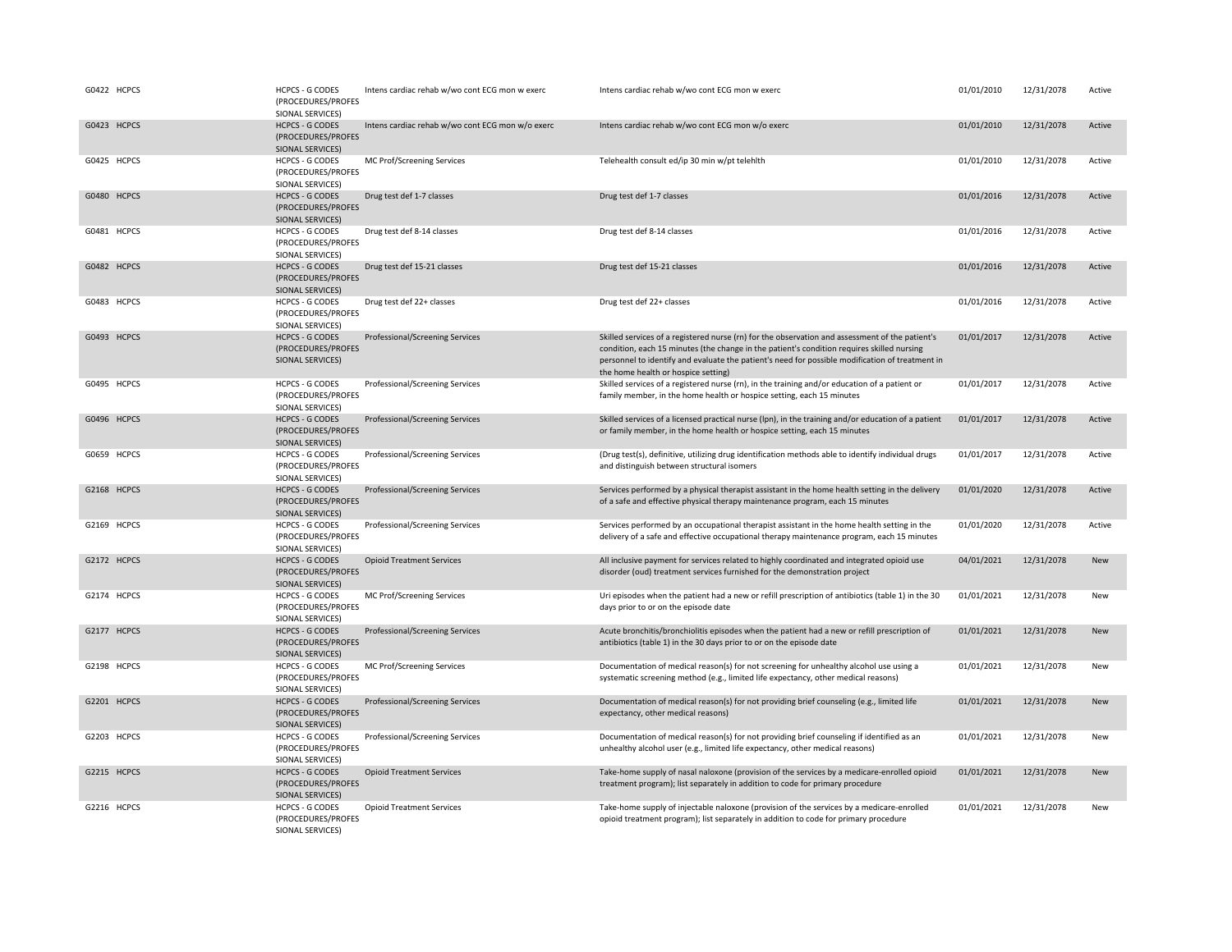| G0422 HCPCS | <b>HCPCS - G CODES</b><br>(PROCEDURES/PROFES<br>SIONAL SERVICES)        | Intens cardiac rehab w/wo cont ECG mon w exerc   | Intens cardiac rehab w/wo cont ECG mon w exerc                                                                                                                                                                                                                                                                                          | 01/01/2010 | 12/31/2078 | Active     |
|-------------|-------------------------------------------------------------------------|--------------------------------------------------|-----------------------------------------------------------------------------------------------------------------------------------------------------------------------------------------------------------------------------------------------------------------------------------------------------------------------------------------|------------|------------|------------|
| G0423 HCPCS | <b>HCPCS - G CODES</b><br>(PROCEDURES/PROFES<br>SIONAL SERVICES)        | Intens cardiac rehab w/wo cont ECG mon w/o exerc | Intens cardiac rehab w/wo cont ECG mon w/o exerc                                                                                                                                                                                                                                                                                        | 01/01/2010 | 12/31/2078 | Active     |
| G0425 HCPCS | <b>HCPCS - G CODES</b><br>(PROCEDURES/PROFES<br>SIONAL SERVICES)        | MC Prof/Screening Services                       | Telehealth consult ed/ip 30 min w/pt telehlth                                                                                                                                                                                                                                                                                           | 01/01/2010 | 12/31/2078 | Active     |
| G0480 HCPCS | <b>HCPCS - G CODES</b><br>(PROCEDURES/PROFES<br>SIONAL SERVICES)        | Drug test def 1-7 classes                        | Drug test def 1-7 classes                                                                                                                                                                                                                                                                                                               | 01/01/2016 | 12/31/2078 | Active     |
| G0481 HCPCS | <b>HCPCS - G CODES</b><br>(PROCEDURES/PROFES<br>SIONAL SERVICES)        | Drug test def 8-14 classes                       | Drug test def 8-14 classes                                                                                                                                                                                                                                                                                                              | 01/01/2016 | 12/31/2078 | Active     |
| G0482 HCPCS | <b>HCPCS - G CODES</b><br>(PROCEDURES/PROFES<br>SIONAL SERVICES)        | Drug test def 15-21 classes                      | Drug test def 15-21 classes                                                                                                                                                                                                                                                                                                             | 01/01/2016 | 12/31/2078 | Active     |
| G0483 HCPCS | HCPCS - G CODES<br>(PROCEDURES/PROFES<br>SIONAL SERVICES)               | Drug test def 22+ classes                        | Drug test def 22+ classes                                                                                                                                                                                                                                                                                                               | 01/01/2016 | 12/31/2078 | Active     |
| G0493 HCPCS | <b>HCPCS - G CODES</b><br>(PROCEDURES/PROFES<br>SIONAL SERVICES)        | Professional/Screening Services                  | Skilled services of a registered nurse (rn) for the observation and assessment of the patient's<br>condition, each 15 minutes (the change in the patient's condition requires skilled nursing<br>personnel to identify and evaluate the patient's need for possible modification of treatment in<br>the home health or hospice setting) | 01/01/2017 | 12/31/2078 | Active     |
| G0495 HCPCS | <b>HCPCS - G CODES</b><br>(PROCEDURES/PROFES<br>SIONAL SERVICES)        | Professional/Screening Services                  | Skilled services of a registered nurse (rn), in the training and/or education of a patient or<br>family member, in the home health or hospice setting, each 15 minutes                                                                                                                                                                  | 01/01/2017 | 12/31/2078 | Active     |
| G0496 HCPCS | <b>HCPCS - G CODES</b><br>(PROCEDURES/PROFES<br>SIONAL SERVICES)        | Professional/Screening Services                  | Skilled services of a licensed practical nurse (lpn), in the training and/or education of a patient<br>or family member, in the home health or hospice setting, each 15 minutes                                                                                                                                                         | 01/01/2017 | 12/31/2078 | Active     |
| G0659 HCPCS | <b>HCPCS - G CODES</b><br>(PROCEDURES/PROFES<br>SIONAL SERVICES)        | Professional/Screening Services                  | (Drug test(s), definitive, utilizing drug identification methods able to identify individual drugs<br>and distinguish between structural isomers                                                                                                                                                                                        | 01/01/2017 | 12/31/2078 | Active     |
| G2168 HCPCS | <b>HCPCS - G CODES</b><br>(PROCEDURES/PROFES<br>SIONAL SERVICES)        | Professional/Screening Services                  | Services performed by a physical therapist assistant in the home health setting in the delivery<br>of a safe and effective physical therapy maintenance program, each 15 minutes                                                                                                                                                        | 01/01/2020 | 12/31/2078 | Active     |
| G2169 HCPCS | <b>HCPCS - G CODES</b><br>(PROCEDURES/PROFES<br>SIONAL SERVICES)        | Professional/Screening Services                  | Services performed by an occupational therapist assistant in the home health setting in the<br>delivery of a safe and effective occupational therapy maintenance program, each 15 minutes                                                                                                                                               | 01/01/2020 | 12/31/2078 | Active     |
| G2172 HCPCS | <b>HCPCS - G CODES</b><br>(PROCEDURES/PROFES<br>SIONAL SERVICES)        | <b>Opioid Treatment Services</b>                 | All inclusive payment for services related to highly coordinated and integrated opioid use<br>disorder (oud) treatment services furnished for the demonstration project                                                                                                                                                                 | 04/01/2021 | 12/31/2078 | <b>New</b> |
| G2174 HCPCS | <b>HCPCS - G CODES</b><br>(PROCEDURES/PROFES<br>SIONAL SERVICES)        | MC Prof/Screening Services                       | Uri episodes when the patient had a new or refill prescription of antibiotics (table 1) in the 30<br>days prior to or on the episode date                                                                                                                                                                                               | 01/01/2021 | 12/31/2078 | New        |
| G2177 HCPCS | <b>HCPCS - G CODES</b><br>(PROCEDURES/PROFES<br><b>SIONAL SERVICES)</b> | Professional/Screening Services                  | Acute bronchitis/bronchiolitis episodes when the patient had a new or refill prescription of<br>antibiotics (table 1) in the 30 days prior to or on the episode date                                                                                                                                                                    | 01/01/2021 | 12/31/2078 | New        |
| G2198 HCPCS | <b>HCPCS - G CODES</b><br>(PROCEDURES/PROFES<br>SIONAL SERVICES)        | MC Prof/Screening Services                       | Documentation of medical reason(s) for not screening for unhealthy alcohol use using a<br>systematic screening method (e.g., limited life expectancy, other medical reasons)                                                                                                                                                            | 01/01/2021 | 12/31/2078 | New        |
| G2201 HCPCS | <b>HCPCS - G CODES</b><br>(PROCEDURES/PROFES<br>SIONAL SERVICES)        | Professional/Screening Services                  | Documentation of medical reason(s) for not providing brief counseling (e.g., limited life<br>expectancy, other medical reasons)                                                                                                                                                                                                         | 01/01/2021 | 12/31/2078 | <b>New</b> |
| G2203 HCPCS | <b>HCPCS - G CODES</b><br>(PROCEDURES/PROFES<br>SIONAL SERVICES)        | Professional/Screening Services                  | Documentation of medical reason(s) for not providing brief counseling if identified as an<br>unhealthy alcohol user (e.g., limited life expectancy, other medical reasons)                                                                                                                                                              | 01/01/2021 | 12/31/2078 | New        |
| G2215 HCPCS | <b>HCPCS - G CODES</b><br>(PROCEDURES/PROFES<br>SIONAL SERVICES)        | <b>Opioid Treatment Services</b>                 | Take-home supply of nasal naloxone (provision of the services by a medicare-enrolled opioid<br>treatment program); list separately in addition to code for primary procedure                                                                                                                                                            | 01/01/2021 | 12/31/2078 | New        |
| G2216 HCPCS | <b>HCPCS - G CODES</b><br>(PROCEDURES/PROFES<br>SIONAL SERVICES)        | <b>Opioid Treatment Services</b>                 | Take-home supply of injectable naloxone (provision of the services by a medicare-enrolled<br>opioid treatment program); list separately in addition to code for primary procedure                                                                                                                                                       | 01/01/2021 | 12/31/2078 | New        |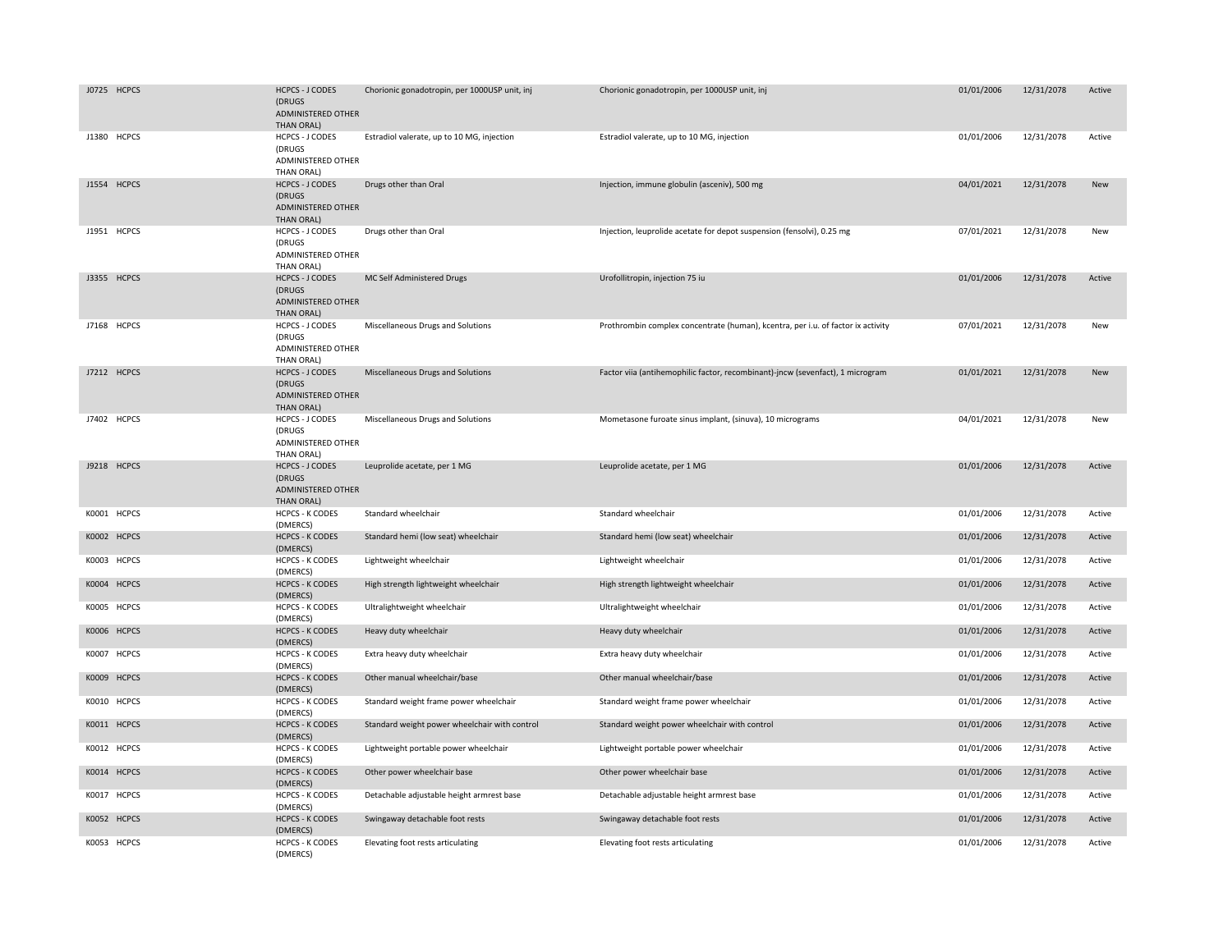| J0725 HCPCS | <b>HCPCS - J CODES</b><br>(DRUGS)<br>ADMINISTERED OTHER<br>THAN ORAL) | Chorionic gonadotropin, per 1000USP unit, inj | Chorionic gonadotropin, per 1000USP unit, inj                                    | 01/01/2006 | 12/31/2078 | Active     |
|-------------|-----------------------------------------------------------------------|-----------------------------------------------|----------------------------------------------------------------------------------|------------|------------|------------|
| J1380 HCPCS | HCPCS - J CODES<br>(DRUGS<br>ADMINISTERED OTHER<br>THAN ORAL)         | Estradiol valerate, up to 10 MG, injection    | Estradiol valerate, up to 10 MG, injection                                       | 01/01/2006 | 12/31/2078 | Active     |
| J1554 HCPCS | <b>HCPCS - J CODES</b><br>(DRUGS<br>ADMINISTERED OTHER<br>THAN ORAL)  | Drugs other than Oral                         | Injection, immune globulin (asceniv), 500 mg                                     | 04/01/2021 | 12/31/2078 | <b>New</b> |
| J1951 HCPCS | <b>HCPCS - J CODES</b><br>(DRUGS<br>ADMINISTERED OTHER<br>THAN ORAL)  | Drugs other than Oral                         | Injection, leuprolide acetate for depot suspension (fensolvi), 0.25 mg           | 07/01/2021 | 12/31/2078 | New        |
| J3355 HCPCS | <b>HCPCS - J CODES</b><br>(DRUGS<br>ADMINISTERED OTHER<br>THAN ORAL)  | MC Self Administered Drugs                    | Urofollitropin, injection 75 iu                                                  | 01/01/2006 | 12/31/2078 | Active     |
| J7168 HCPCS | <b>HCPCS - J CODES</b><br>(DRUGS<br>ADMINISTERED OTHER<br>THAN ORAL)  | Miscellaneous Drugs and Solutions             | Prothrombin complex concentrate (human), kcentra, per i.u. of factor ix activity | 07/01/2021 | 12/31/2078 | New        |
| J7212 HCPCS | <b>HCPCS - J CODES</b><br>(DRUGS<br>ADMINISTERED OTHER<br>THAN ORAL)  | Miscellaneous Drugs and Solutions             | Factor viia (antihemophilic factor, recombinant)-jncw (sevenfact), 1 microgram   | 01/01/2021 | 12/31/2078 | <b>New</b> |
| J7402 HCPCS | HCPCS - J CODES<br>(DRUGS<br>ADMINISTERED OTHER<br>THAN ORAL)         | Miscellaneous Drugs and Solutions             | Mometasone furoate sinus implant, (sinuva), 10 micrograms                        | 04/01/2021 | 12/31/2078 | New        |
| J9218 HCPCS | <b>HCPCS - J CODES</b><br>(DRUGS)<br>ADMINISTERED OTHER<br>THAN ORAL) | Leuprolide acetate, per 1 MG                  | Leuprolide acetate, per 1 MG                                                     | 01/01/2006 | 12/31/2078 | Active     |
| K0001 HCPCS | <b>HCPCS - K CODES</b><br>(DMERCS)                                    | Standard wheelchair                           | Standard wheelchair                                                              | 01/01/2006 | 12/31/2078 | Active     |
| K0002 HCPCS | <b>HCPCS - K CODES</b><br>(DMERCS)                                    | Standard hemi (low seat) wheelchair           | Standard hemi (low seat) wheelchair                                              | 01/01/2006 | 12/31/2078 | Active     |
| K0003 HCPCS | <b>HCPCS - K CODES</b><br>(DMERCS)                                    | Lightweight wheelchair                        | Lightweight wheelchair                                                           | 01/01/2006 | 12/31/2078 | Active     |
| K0004 HCPCS | <b>HCPCS - K CODES</b><br>(DMERCS)                                    | High strength lightweight wheelchair          | High strength lightweight wheelchair                                             | 01/01/2006 | 12/31/2078 | Active     |
| K0005 HCPCS | <b>HCPCS - K CODES</b><br>(DMERCS)                                    | Ultralightweight wheelchair                   | Ultralightweight wheelchair                                                      | 01/01/2006 | 12/31/2078 | Active     |
| K0006 HCPCS | <b>HCPCS - K CODES</b><br>(DMERCS)                                    | Heavy duty wheelchair                         | Heavy duty wheelchair                                                            | 01/01/2006 | 12/31/2078 | Active     |
| K0007 HCPCS | <b>HCPCS - K CODES</b><br>(DMERCS)                                    | Extra heavy duty wheelchair                   | Extra heavy duty wheelchair                                                      | 01/01/2006 | 12/31/2078 | Active     |
| K0009 HCPCS | <b>HCPCS - K CODES</b><br>(DMERCS)                                    | Other manual wheelchair/base                  | Other manual wheelchair/base                                                     | 01/01/2006 | 12/31/2078 | Active     |
| K0010 HCPCS | <b>HCPCS - K CODES</b><br>(DMERCS)                                    | Standard weight frame power wheelchair        | Standard weight frame power wheelchair                                           | 01/01/2006 | 12/31/2078 | Active     |
| K0011 HCPCS | <b>HCPCS - K CODES</b><br>(DMERCS)                                    | Standard weight power wheelchair with control | Standard weight power wheelchair with control                                    | 01/01/2006 | 12/31/2078 | Active     |
| K0012 HCPCS | <b>HCPCS - K CODES</b><br>(DMERCS)                                    | Lightweight portable power wheelchair         | Lightweight portable power wheelchair                                            | 01/01/2006 | 12/31/2078 | Active     |
| K0014 HCPCS | <b>HCPCS - K CODES</b><br>(DMERCS)                                    | Other power wheelchair base                   | Other power wheelchair base                                                      | 01/01/2006 | 12/31/2078 | Active     |
| K0017 HCPCS | <b>HCPCS - K CODES</b><br>(DMERCS)                                    | Detachable adjustable height armrest base     | Detachable adjustable height armrest base                                        | 01/01/2006 | 12/31/2078 | Active     |
| K0052 HCPCS | <b>HCPCS - K CODES</b><br>(DMERCS)                                    | Swingaway detachable foot rests               | Swingaway detachable foot rests                                                  | 01/01/2006 | 12/31/2078 | Active     |
| K0053 HCPCS | <b>HCPCS - K CODES</b><br>(DMERCS)                                    | Elevating foot rests articulating             | Elevating foot rests articulating                                                | 01/01/2006 | 12/31/2078 | Active     |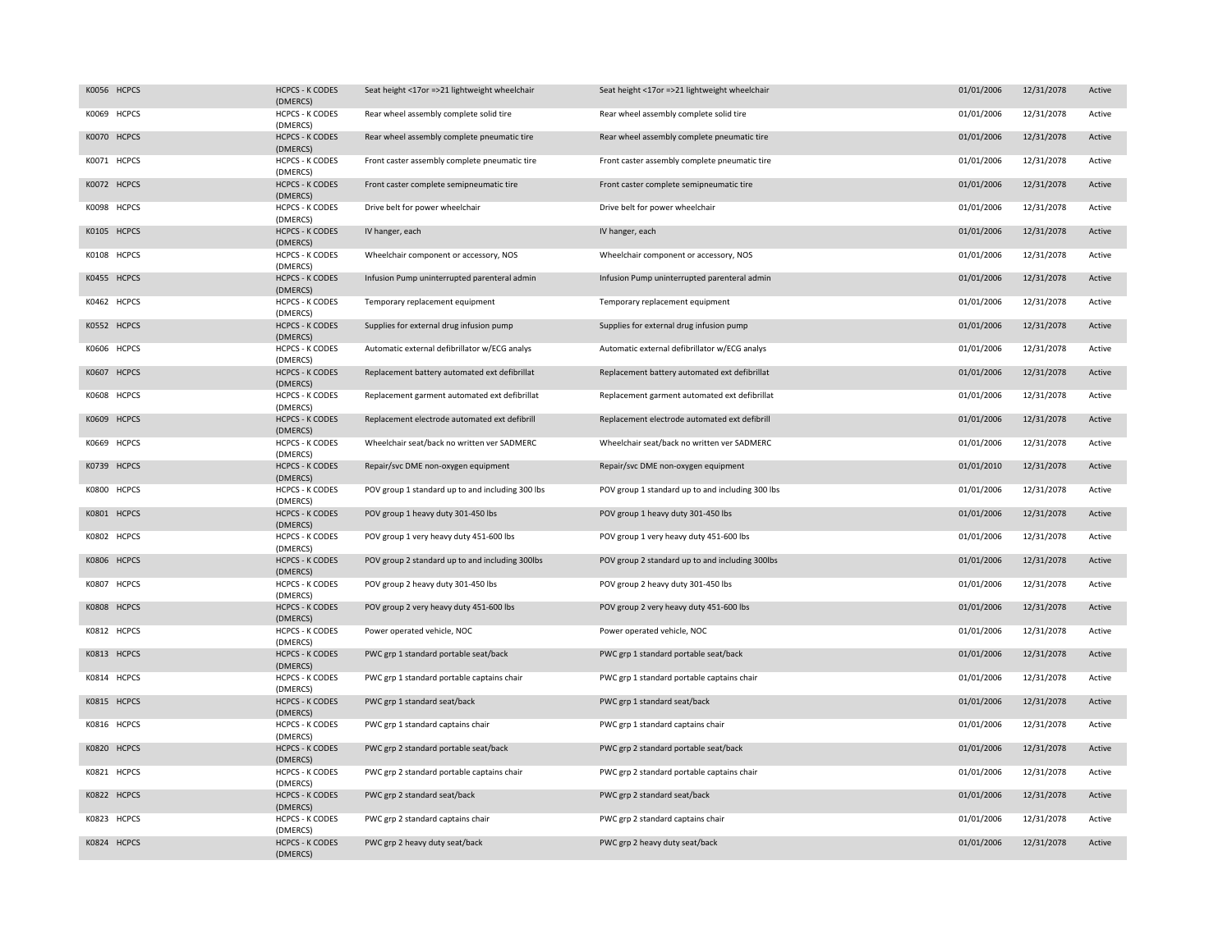| K0056 HCPCS | <b>HCPCS - K CODES</b><br>(DMERCS) | Seat height <17or =>21 lightweight wheelchair    | Seat height <17or =>21 lightweight wheelchair    | 01/01/2006 | 12/31/2078 | Active |
|-------------|------------------------------------|--------------------------------------------------|--------------------------------------------------|------------|------------|--------|
| K0069 HCPCS | <b>HCPCS - K CODES</b><br>(DMERCS) | Rear wheel assembly complete solid tire          | Rear wheel assembly complete solid tire          | 01/01/2006 | 12/31/2078 | Active |
| K0070 HCPCS | <b>HCPCS - K CODES</b><br>(DMERCS) | Rear wheel assembly complete pneumatic tire      | Rear wheel assembly complete pneumatic tire      | 01/01/2006 | 12/31/2078 | Active |
| K0071 HCPCS | <b>HCPCS - K CODES</b><br>(DMERCS) | Front caster assembly complete pneumatic tire    | Front caster assembly complete pneumatic tire    | 01/01/2006 | 12/31/2078 | Active |
| K0072 HCPCS | <b>HCPCS - K CODES</b><br>(DMERCS) | Front caster complete semipneumatic tire         | Front caster complete semipneumatic tire         | 01/01/2006 | 12/31/2078 | Active |
| K0098 HCPCS | <b>HCPCS - K CODES</b><br>(DMERCS) | Drive belt for power wheelchair                  | Drive belt for power wheelchair                  | 01/01/2006 | 12/31/2078 | Active |
| K0105 HCPCS | <b>HCPCS - K CODES</b><br>(DMERCS) | IV hanger, each                                  | IV hanger, each                                  | 01/01/2006 | 12/31/2078 | Active |
| K0108 HCPCS | <b>HCPCS - K CODES</b><br>(DMERCS) | Wheelchair component or accessory, NOS           | Wheelchair component or accessory, NOS           | 01/01/2006 | 12/31/2078 | Active |
| K0455 HCPCS | <b>HCPCS - K CODES</b><br>(DMERCS) | Infusion Pump uninterrupted parenteral admin     | Infusion Pump uninterrupted parenteral admin     | 01/01/2006 | 12/31/2078 | Active |
| K0462 HCPCS | <b>HCPCS - K CODES</b><br>(DMERCS) | Temporary replacement equipment                  | Temporary replacement equipment                  | 01/01/2006 | 12/31/2078 | Active |
| K0552 HCPCS | <b>HCPCS - K CODES</b><br>(DMERCS) | Supplies for external drug infusion pump         | Supplies for external drug infusion pump         | 01/01/2006 | 12/31/2078 | Active |
| K0606 HCPCS | <b>HCPCS - K CODES</b><br>(DMERCS) | Automatic external defibrillator w/ECG analys    | Automatic external defibrillator w/ECG analys    | 01/01/2006 | 12/31/2078 | Active |
| K0607 HCPCS | <b>HCPCS - K CODES</b><br>(DMERCS) | Replacement battery automated ext defibrillat    | Replacement battery automated ext defibrillat    | 01/01/2006 | 12/31/2078 | Active |
| K0608 HCPCS | <b>HCPCS - K CODES</b><br>(DMERCS) | Replacement garment automated ext defibrillat    | Replacement garment automated ext defibrillat    | 01/01/2006 | 12/31/2078 | Active |
| K0609 HCPCS | <b>HCPCS - K CODES</b><br>(DMERCS) | Replacement electrode automated ext defibrill    | Replacement electrode automated ext defibrill    | 01/01/2006 | 12/31/2078 | Active |
| K0669 HCPCS | <b>HCPCS - K CODES</b><br>(DMERCS) | Wheelchair seat/back no written ver SADMERC      | Wheelchair seat/back no written ver SADMERC      | 01/01/2006 | 12/31/2078 | Active |
| K0739 HCPCS | <b>HCPCS - K CODES</b><br>(DMERCS) | Repair/svc DME non-oxygen equipment              | Repair/svc DME non-oxygen equipment              | 01/01/2010 | 12/31/2078 | Active |
| K0800 HCPCS | <b>HCPCS - K CODES</b><br>(DMERCS) | POV group 1 standard up to and including 300 lbs | POV group 1 standard up to and including 300 lbs | 01/01/2006 | 12/31/2078 | Active |
| K0801 HCPCS | <b>HCPCS - K CODES</b><br>(DMERCS) | POV group 1 heavy duty 301-450 lbs               | POV group 1 heavy duty 301-450 lbs               | 01/01/2006 | 12/31/2078 | Active |
| K0802 HCPCS | <b>HCPCS - K CODES</b><br>(DMERCS) | POV group 1 very heavy duty 451-600 lbs          | POV group 1 very heavy duty 451-600 lbs          | 01/01/2006 | 12/31/2078 | Active |
| K0806 HCPCS | <b>HCPCS - K CODES</b><br>(DMERCS) | POV group 2 standard up to and including 300lbs  | POV group 2 standard up to and including 300lbs  | 01/01/2006 | 12/31/2078 | Active |
| K0807 HCPCS | <b>HCPCS - K CODES</b><br>(DMERCS) | POV group 2 heavy duty 301-450 lbs               | POV group 2 heavy duty 301-450 lbs               | 01/01/2006 | 12/31/2078 | Active |
| K0808 HCPCS | <b>HCPCS - K CODES</b><br>(DMERCS) | POV group 2 very heavy duty 451-600 lbs          | POV group 2 very heavy duty 451-600 lbs          | 01/01/2006 | 12/31/2078 | Active |
| K0812 HCPCS | <b>HCPCS - K CODES</b><br>(DMERCS) | Power operated vehicle, NOC                      | Power operated vehicle, NOC                      | 01/01/2006 | 12/31/2078 | Active |
| K0813 HCPCS | <b>HCPCS - K CODES</b><br>(DMERCS) | PWC grp 1 standard portable seat/back            | PWC grp 1 standard portable seat/back            | 01/01/2006 | 12/31/2078 | Active |
| K0814 HCPCS | <b>HCPCS - K CODES</b><br>(DMERCS) | PWC grp 1 standard portable captains chair       | PWC grp 1 standard portable captains chair       | 01/01/2006 | 12/31/2078 | Active |
| K0815 HCPCS | <b>HCPCS - K CODES</b><br>(DMERCS) | PWC grp 1 standard seat/back                     | PWC grp 1 standard seat/back                     | 01/01/2006 | 12/31/2078 | Active |
| K0816 HCPCS | <b>HCPCS - K CODES</b><br>(DMERCS) | PWC grp 1 standard captains chair                | PWC grp 1 standard captains chair                | 01/01/2006 | 12/31/2078 | Active |
| K0820 HCPCS | <b>HCPCS - K CODES</b><br>(DMERCS) | PWC grp 2 standard portable seat/back            | PWC grp 2 standard portable seat/back            | 01/01/2006 | 12/31/2078 | Active |
| K0821 HCPCS | <b>HCPCS - K CODES</b><br>(DMERCS) | PWC grp 2 standard portable captains chair       | PWC grp 2 standard portable captains chair       | 01/01/2006 | 12/31/2078 | Active |
| K0822 HCPCS | <b>HCPCS - K CODES</b><br>(DMERCS) | PWC grp 2 standard seat/back                     | PWC grp 2 standard seat/back                     | 01/01/2006 | 12/31/2078 | Active |
| K0823 HCPCS | <b>HCPCS - K CODES</b><br>(DMERCS) | PWC grp 2 standard captains chair                | PWC grp 2 standard captains chair                | 01/01/2006 | 12/31/2078 | Active |
| K0824 HCPCS | <b>HCPCS - K CODES</b><br>(DMERCS) | PWC grp 2 heavy duty seat/back                   | PWC grp 2 heavy duty seat/back                   | 01/01/2006 | 12/31/2078 | Active |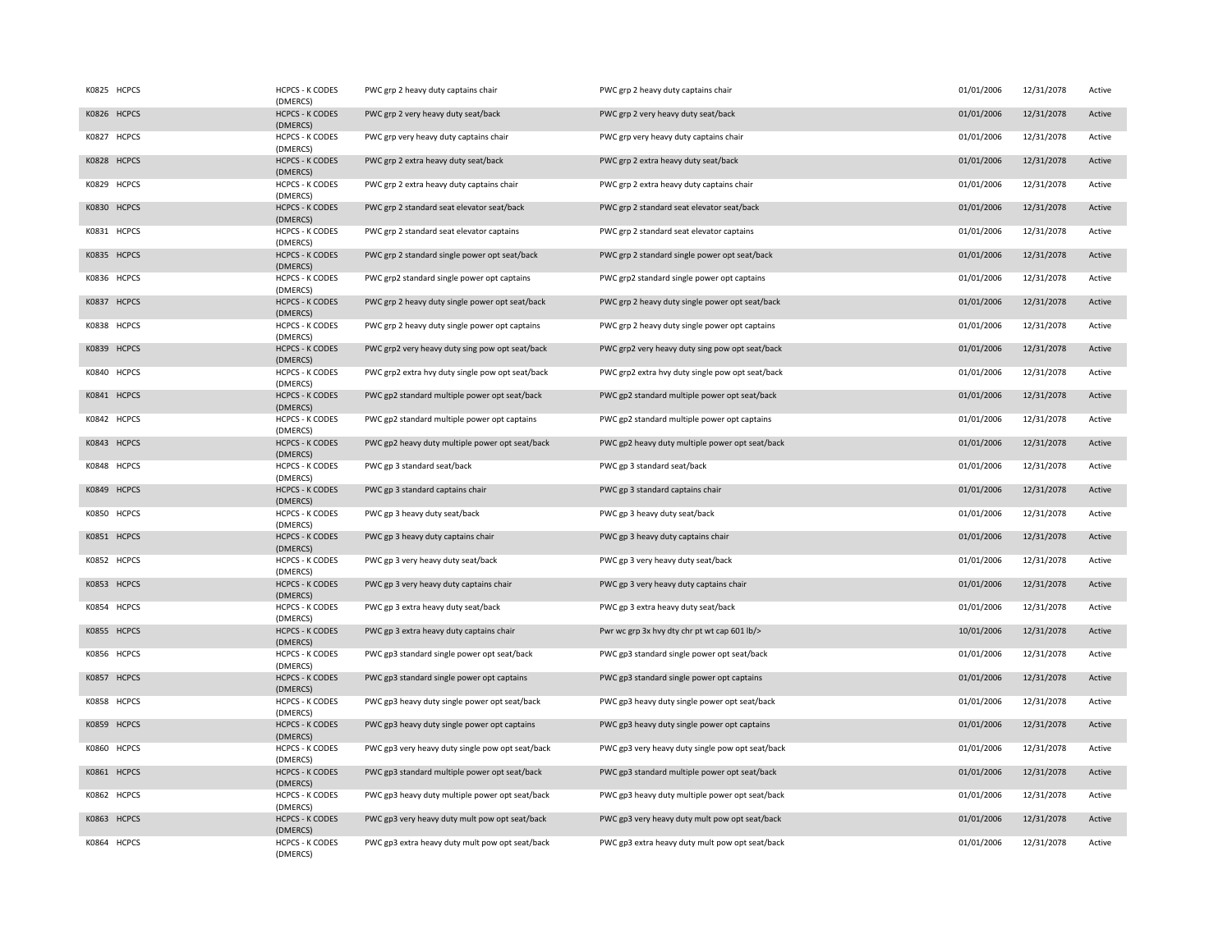| K0825 HCPCS | <b>HCPCS - K CODES</b><br>(DMERCS) | PWC grp 2 heavy duty captains chair              | PWC grp 2 heavy duty captains chair              | 01/01/2006 | 12/31/2078 | Active |
|-------------|------------------------------------|--------------------------------------------------|--------------------------------------------------|------------|------------|--------|
| K0826 HCPCS | <b>HCPCS - K CODES</b><br>(DMERCS) | PWC grp 2 very heavy duty seat/back              | PWC grp 2 very heavy duty seat/back              | 01/01/2006 | 12/31/2078 | Active |
| K0827 HCPCS | <b>HCPCS - K CODES</b><br>(DMERCS) | PWC grp very heavy duty captains chair           | PWC grp very heavy duty captains chair           | 01/01/2006 | 12/31/2078 | Active |
| K0828 HCPCS | <b>HCPCS - K CODES</b><br>(DMERCS) | PWC grp 2 extra heavy duty seat/back             | PWC grp 2 extra heavy duty seat/back             | 01/01/2006 | 12/31/2078 | Active |
| K0829 HCPCS | <b>HCPCS - K CODES</b><br>(DMERCS) | PWC grp 2 extra heavy duty captains chair        | PWC grp 2 extra heavy duty captains chair        | 01/01/2006 | 12/31/2078 | Active |
| K0830 HCPCS | <b>HCPCS - K CODES</b><br>(DMERCS) | PWC grp 2 standard seat elevator seat/back       | PWC grp 2 standard seat elevator seat/back       | 01/01/2006 | 12/31/2078 | Active |
| K0831 HCPCS | <b>HCPCS - K CODES</b><br>(DMERCS) | PWC grp 2 standard seat elevator captains        | PWC grp 2 standard seat elevator captains        | 01/01/2006 | 12/31/2078 | Active |
| K0835 HCPCS | <b>HCPCS - K CODES</b><br>(DMERCS) | PWC grp 2 standard single power opt seat/back    | PWC grp 2 standard single power opt seat/back    | 01/01/2006 | 12/31/2078 | Active |
| K0836 HCPCS | <b>HCPCS - K CODES</b><br>(DMERCS) | PWC grp2 standard single power opt captains      | PWC grp2 standard single power opt captains      | 01/01/2006 | 12/31/2078 | Active |
| K0837 HCPCS | <b>HCPCS - K CODES</b><br>(DMERCS) | PWC grp 2 heavy duty single power opt seat/back  | PWC grp 2 heavy duty single power opt seat/back  | 01/01/2006 | 12/31/2078 | Active |
| K0838 HCPCS | <b>HCPCS - K CODES</b><br>(DMERCS) | PWC grp 2 heavy duty single power opt captains   | PWC grp 2 heavy duty single power opt captains   | 01/01/2006 | 12/31/2078 | Active |
| K0839 HCPCS | <b>HCPCS - K CODES</b><br>(DMERCS) | PWC grp2 very heavy duty sing pow opt seat/back  | PWC grp2 very heavy duty sing pow opt seat/back  | 01/01/2006 | 12/31/2078 | Active |
| K0840 HCPCS | <b>HCPCS - K CODES</b><br>(DMERCS) | PWC grp2 extra hvy duty single pow opt seat/back | PWC grp2 extra hvy duty single pow opt seat/back | 01/01/2006 | 12/31/2078 | Active |
| K0841 HCPCS | <b>HCPCS - K CODES</b><br>(DMERCS) | PWC gp2 standard multiple power opt seat/back    | PWC gp2 standard multiple power opt seat/back    | 01/01/2006 | 12/31/2078 | Active |
| K0842 HCPCS | <b>HCPCS - K CODES</b><br>(DMERCS) | PWC gp2 standard multiple power opt captains     | PWC gp2 standard multiple power opt captains     | 01/01/2006 | 12/31/2078 | Active |
| K0843 HCPCS | <b>HCPCS - K CODES</b><br>(DMERCS) | PWC gp2 heavy duty multiple power opt seat/back  | PWC gp2 heavy duty multiple power opt seat/back  | 01/01/2006 | 12/31/2078 | Active |
| K0848 HCPCS | <b>HCPCS - K CODES</b><br>(DMERCS) | PWC gp 3 standard seat/back                      | PWC gp 3 standard seat/back                      | 01/01/2006 | 12/31/2078 | Active |
| K0849 HCPCS | <b>HCPCS - K CODES</b><br>(DMERCS) | PWC gp 3 standard captains chair                 | PWC gp 3 standard captains chair                 | 01/01/2006 | 12/31/2078 | Active |
| K0850 HCPCS | <b>HCPCS - K CODES</b><br>(DMERCS) | PWC gp 3 heavy duty seat/back                    | PWC gp 3 heavy duty seat/back                    | 01/01/2006 | 12/31/2078 | Active |
| K0851 HCPCS | <b>HCPCS - K CODES</b><br>(DMERCS) | PWC gp 3 heavy duty captains chair               | PWC gp 3 heavy duty captains chair               | 01/01/2006 | 12/31/2078 | Active |
| K0852 HCPCS | <b>HCPCS - K CODES</b><br>(DMERCS) | PWC gp 3 very heavy duty seat/back               | PWC gp 3 very heavy duty seat/back               | 01/01/2006 | 12/31/2078 | Active |
| K0853 HCPCS | <b>HCPCS - K CODES</b><br>(DMERCS) | PWC gp 3 very heavy duty captains chair          | PWC gp 3 very heavy duty captains chair          | 01/01/2006 | 12/31/2078 | Active |
| K0854 HCPCS | <b>HCPCS - K CODES</b><br>(DMERCS) | PWC gp 3 extra heavy duty seat/back              | PWC gp 3 extra heavy duty seat/back              | 01/01/2006 | 12/31/2078 | Active |
| K0855 HCPCS | <b>HCPCS - K CODES</b><br>(DMERCS) | PWC gp 3 extra heavy duty captains chair         | Pwr wc grp 3x hvy dty chr pt wt cap 601 lb/>     | 10/01/2006 | 12/31/2078 | Active |
| K0856 HCPCS | <b>HCPCS - K CODES</b><br>(DMERCS) | PWC gp3 standard single power opt seat/back      | PWC gp3 standard single power opt seat/back      | 01/01/2006 | 12/31/2078 | Active |
| K0857 HCPCS | <b>HCPCS - K CODES</b><br>(DMERCS) | PWC gp3 standard single power opt captains       | PWC gp3 standard single power opt captains       | 01/01/2006 | 12/31/2078 | Active |
| K0858 HCPCS | <b>HCPCS - K CODES</b><br>(DMERCS) | PWC gp3 heavy duty single power opt seat/back    | PWC gp3 heavy duty single power opt seat/back    | 01/01/2006 | 12/31/2078 | Active |
| K0859 HCPCS | <b>HCPCS - K CODES</b><br>(DMERCS) | PWC gp3 heavy duty single power opt captains     | PWC gp3 heavy duty single power opt captains     | 01/01/2006 | 12/31/2078 | Active |
| K0860 HCPCS | <b>HCPCS - K CODES</b><br>(DMERCS) | PWC gp3 very heavy duty single pow opt seat/back | PWC gp3 very heavy duty single pow opt seat/back | 01/01/2006 | 12/31/2078 | Active |
| K0861 HCPCS | <b>HCPCS - K CODES</b><br>(DMERCS) | PWC gp3 standard multiple power opt seat/back    | PWC gp3 standard multiple power opt seat/back    | 01/01/2006 | 12/31/2078 | Active |
| K0862 HCPCS | <b>HCPCS - K CODES</b><br>(DMERCS) | PWC gp3 heavy duty multiple power opt seat/back  | PWC gp3 heavy duty multiple power opt seat/back  | 01/01/2006 | 12/31/2078 | Active |
| K0863 HCPCS | <b>HCPCS - K CODES</b><br>(DMERCS) | PWC gp3 very heavy duty mult pow opt seat/back   | PWC gp3 very heavy duty mult pow opt seat/back   | 01/01/2006 | 12/31/2078 | Active |
| K0864 HCPCS | <b>HCPCS - K CODES</b><br>(DMERCS) | PWC gp3 extra heavy duty mult pow opt seat/back  | PWC gp3 extra heavy duty mult pow opt seat/back  | 01/01/2006 | 12/31/2078 | Active |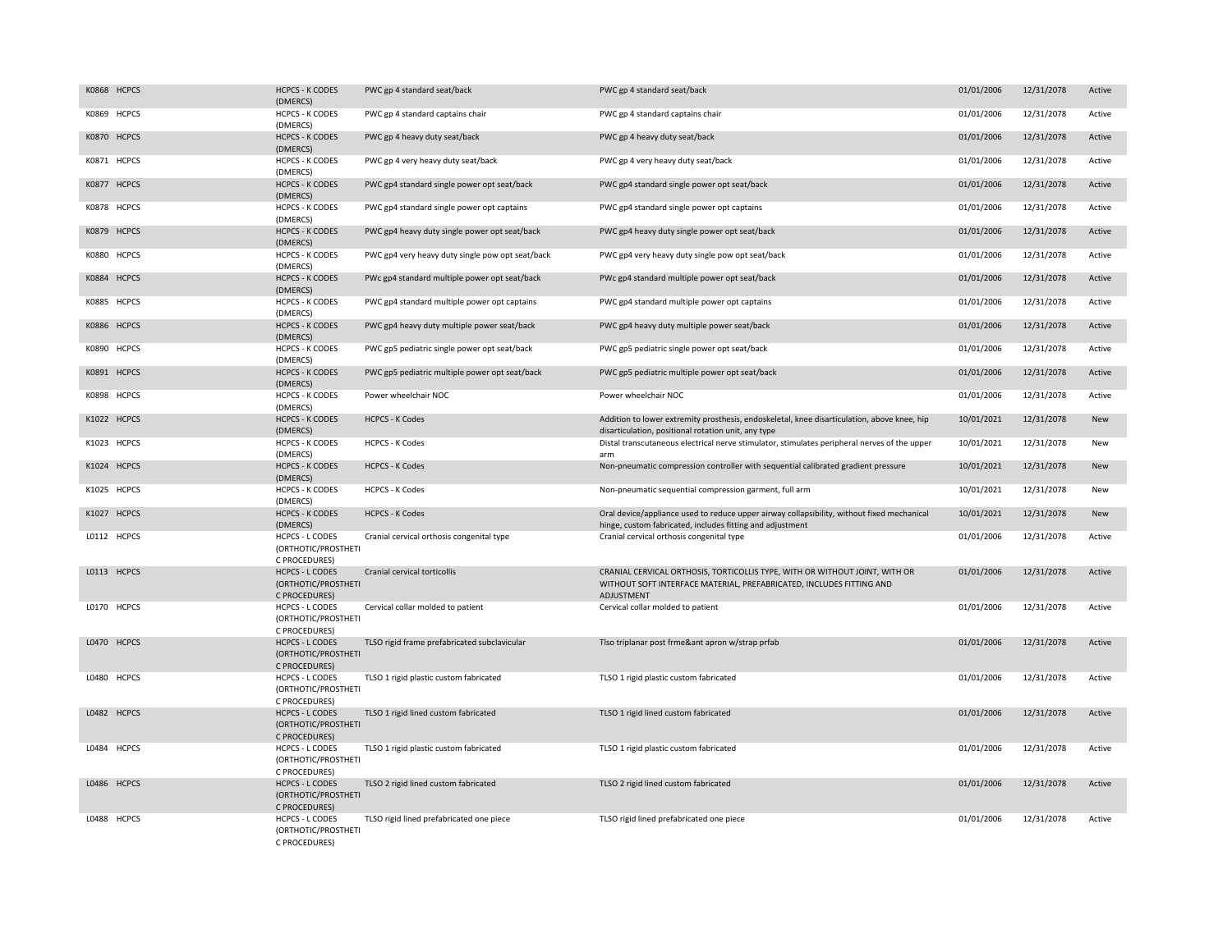| K0868 HCPCS | <b>HCPCS - K CODES</b><br>(DMERCS)                             | PWC gp 4 standard seat/back                      | PWC gp 4 standard seat/back                                                                                                                                              | 01/01/2006 | 12/31/2078 | Active |
|-------------|----------------------------------------------------------------|--------------------------------------------------|--------------------------------------------------------------------------------------------------------------------------------------------------------------------------|------------|------------|--------|
| K0869 HCPCS | <b>HCPCS - K CODES</b><br>(DMERCS)                             | PWC gp 4 standard captains chair                 | PWC gp 4 standard captains chair                                                                                                                                         | 01/01/2006 | 12/31/2078 | Active |
| K0870 HCPCS | <b>HCPCS - K CODES</b><br>(DMERCS)                             | PWC gp 4 heavy duty seat/back                    | PWC gp 4 heavy duty seat/back                                                                                                                                            | 01/01/2006 | 12/31/2078 | Active |
| K0871 HCPCS | <b>HCPCS - K CODES</b><br>(DMERCS)                             | PWC gp 4 very heavy duty seat/back               | PWC gp 4 very heavy duty seat/back                                                                                                                                       | 01/01/2006 | 12/31/2078 | Active |
| K0877 HCPCS | <b>HCPCS - K CODES</b><br>(DMERCS)                             | PWC gp4 standard single power opt seat/back      | PWC gp4 standard single power opt seat/back                                                                                                                              | 01/01/2006 | 12/31/2078 | Active |
| K0878 HCPCS | <b>HCPCS - K CODES</b><br>(DMERCS)                             | PWC gp4 standard single power opt captains       | PWC gp4 standard single power opt captains                                                                                                                               | 01/01/2006 | 12/31/2078 | Active |
| K0879 HCPCS | <b>HCPCS - K CODES</b><br>(DMERCS)                             | PWC gp4 heavy duty single power opt seat/back    | PWC gp4 heavy duty single power opt seat/back                                                                                                                            | 01/01/2006 | 12/31/2078 | Active |
| K0880 HCPCS | <b>HCPCS - K CODES</b><br>(DMERCS)                             | PWC gp4 very heavy duty single pow opt seat/back | PWC gp4 very heavy duty single pow opt seat/back                                                                                                                         | 01/01/2006 | 12/31/2078 | Active |
| K0884 HCPCS | <b>HCPCS - K CODES</b><br>(DMERCS)                             | PWc gp4 standard multiple power opt seat/back    | PWc gp4 standard multiple power opt seat/back                                                                                                                            | 01/01/2006 | 12/31/2078 | Active |
| K0885 HCPCS | <b>HCPCS - K CODES</b><br>(DMERCS)                             | PWC gp4 standard multiple power opt captains     | PWC gp4 standard multiple power opt captains                                                                                                                             | 01/01/2006 | 12/31/2078 | Active |
| K0886 HCPCS | <b>HCPCS - K CODES</b><br>(DMERCS)                             | PWC gp4 heavy duty multiple power seat/back      | PWC gp4 heavy duty multiple power seat/back                                                                                                                              | 01/01/2006 | 12/31/2078 | Active |
| K0890 HCPCS | <b>HCPCS - K CODES</b><br>(DMERCS)                             | PWC gp5 pediatric single power opt seat/back     | PWC gp5 pediatric single power opt seat/back                                                                                                                             | 01/01/2006 | 12/31/2078 | Active |
| K0891 HCPCS | <b>HCPCS - K CODES</b><br>(DMERCS)                             | PWC gp5 pediatric multiple power opt seat/back   | PWC gp5 pediatric multiple power opt seat/back                                                                                                                           | 01/01/2006 | 12/31/2078 | Active |
| K0898 HCPCS | <b>HCPCS - K CODES</b><br>(DMERCS)                             | Power wheelchair NOC                             | Power wheelchair NOC                                                                                                                                                     | 01/01/2006 | 12/31/2078 | Active |
| K1022 HCPCS | <b>HCPCS - K CODES</b><br>(DMERCS)                             | <b>HCPCS - K Codes</b>                           | Addition to lower extremity prosthesis, endoskeletal, knee disarticulation, above knee, hip<br>disarticulation, positional rotation unit, any type                       | 10/01/2021 | 12/31/2078 | New    |
| K1023 HCPCS | <b>HCPCS - K CODES</b><br>(DMERCS)                             | <b>HCPCS - K Codes</b>                           | Distal transcutaneous electrical nerve stimulator, stimulates peripheral nerves of the upper<br>arm                                                                      | 10/01/2021 | 12/31/2078 | New    |
| K1024 HCPCS | <b>HCPCS - K CODES</b><br>(DMERCS)                             | <b>HCPCS - K Codes</b>                           | Non-pneumatic compression controller with sequential calibrated gradient pressure                                                                                        | 10/01/2021 | 12/31/2078 | New    |
| K1025 HCPCS | <b>HCPCS - K CODES</b><br>(DMERCS)                             | <b>HCPCS - K Codes</b>                           | Non-pneumatic sequential compression garment, full arm                                                                                                                   | 10/01/2021 | 12/31/2078 | New    |
| K1027 HCPCS | <b>HCPCS - K CODES</b><br>(DMERCS)                             | <b>HCPCS - K Codes</b>                           | Oral device/appliance used to reduce upper airway collapsibility, without fixed mechanical<br>hinge, custom fabricated, includes fitting and adjustment                  | 10/01/2021 | 12/31/2078 | New    |
| L0112 HCPCS | <b>HCPCS - L CODES</b><br>(ORTHOTIC/PROSTHETI<br>C PROCEDURES) | Cranial cervical orthosis congenital type        | Cranial cervical orthosis congenital type                                                                                                                                | 01/01/2006 | 12/31/2078 | Active |
| L0113 HCPCS | <b>HCPCS - L CODES</b><br>(ORTHOTIC/PROSTHETI<br>C PROCEDURES) | Cranial cervical torticollis                     | CRANIAL CERVICAL ORTHOSIS, TORTICOLLIS TYPE, WITH OR WITHOUT JOINT, WITH OR<br>WITHOUT SOFT INTERFACE MATERIAL, PREFABRICATED, INCLUDES FITTING AND<br><b>ADJUSTMENT</b> | 01/01/2006 | 12/31/2078 | Active |
| L0170 HCPCS | HCPCS - L CODES<br>(ORTHOTIC/PROSTHETI<br>C PROCEDURES)        | Cervical collar molded to patient                | Cervical collar molded to patient                                                                                                                                        | 01/01/2006 | 12/31/2078 | Active |
| L0470 HCPCS | <b>HCPCS - L CODES</b><br>(ORTHOTIC/PROSTHETI<br>C PROCEDURES) | TLSO rigid frame prefabricated subclavicular     | Tlso triplanar post frme&ant apron w/strap prfab                                                                                                                         | 01/01/2006 | 12/31/2078 | Active |
| L0480 HCPCS | <b>HCPCS - L CODES</b><br>(ORTHOTIC/PROSTHETI<br>C PROCEDURES) | TLSO 1 rigid plastic custom fabricated           | TLSO 1 rigid plastic custom fabricated                                                                                                                                   | 01/01/2006 | 12/31/2078 | Active |
| L0482 HCPCS | <b>HCPCS - L CODES</b><br>(ORTHOTIC/PROSTHETI<br>C PROCEDURES) | TLSO 1 rigid lined custom fabricated             | TLSO 1 rigid lined custom fabricated                                                                                                                                     | 01/01/2006 | 12/31/2078 | Active |
| L0484 HCPCS | <b>HCPCS - L CODES</b><br>(ORTHOTIC/PROSTHETI<br>C PROCEDURES) | TLSO 1 rigid plastic custom fabricated           | TLSO 1 rigid plastic custom fabricated                                                                                                                                   | 01/01/2006 | 12/31/2078 | Active |
| L0486 HCPCS | <b>HCPCS - L CODES</b><br>(ORTHOTIC/PROSTHETI<br>C PROCEDURES) | TLSO 2 rigid lined custom fabricated             | TLSO 2 rigid lined custom fabricated                                                                                                                                     | 01/01/2006 | 12/31/2078 | Active |
| L0488 HCPCS | <b>HCPCS - L CODES</b><br>(ORTHOTIC/PROSTHETI<br>C PROCEDURES) | TLSO rigid lined prefabricated one piece         | TLSO rigid lined prefabricated one piece                                                                                                                                 | 01/01/2006 | 12/31/2078 | Active |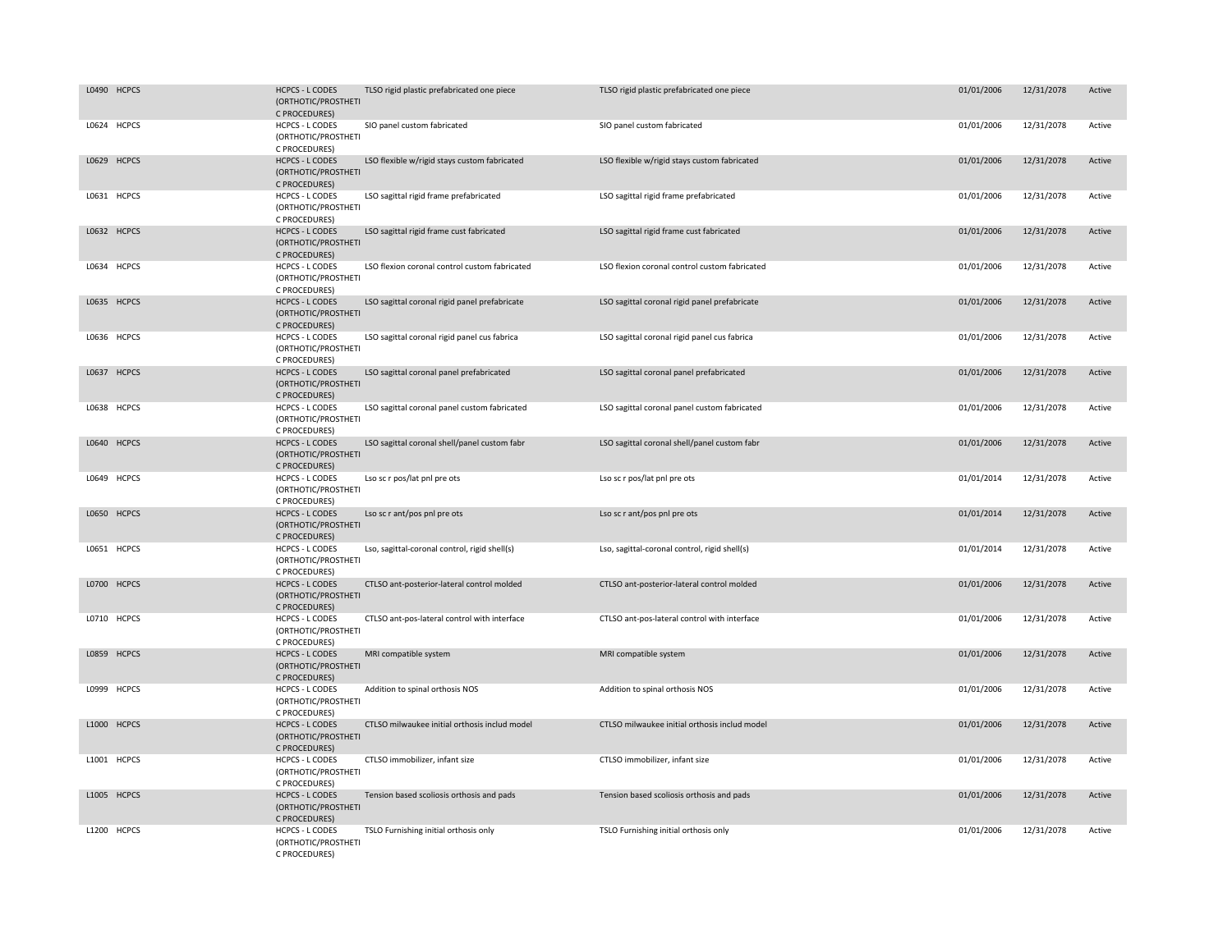|       | L0490 HCPCS  | <b>HCPCS - L CODES</b><br>(ORTHOTIC/PROSTHETI<br>C PROCEDURES) | TLSO rigid plastic prefabricated one piece    | TLSO rigid plastic prefabricated one piece    | 01/01/2006 | 12/31/2078 | Active |
|-------|--------------|----------------------------------------------------------------|-----------------------------------------------|-----------------------------------------------|------------|------------|--------|
|       | L0624 HCPCS  | <b>HCPCS - L CODES</b><br>(ORTHOTIC/PROSTHETI<br>C PROCEDURES) | SIO panel custom fabricated                   | SIO panel custom fabricated                   | 01/01/2006 | 12/31/2078 | Active |
|       | L0629 HCPCS  | <b>HCPCS - L CODES</b><br>(ORTHOTIC/PROSTHETI<br>C PROCEDURES) | LSO flexible w/rigid stays custom fabricated  | LSO flexible w/rigid stays custom fabricated  | 01/01/2006 | 12/31/2078 | Active |
|       | L0631 HCPCS  | HCPCS - L CODES<br>(ORTHOTIC/PROSTHETI<br>C PROCEDURES)        | LSO sagittal rigid frame prefabricated        | LSO sagittal rigid frame prefabricated        | 01/01/2006 | 12/31/2078 | Active |
|       | L0632 HCPCS  | <b>HCPCS - L CODES</b><br>(ORTHOTIC/PROSTHETI<br>C PROCEDURES) | LSO sagittal rigid frame cust fabricated      | LSO sagittal rigid frame cust fabricated      | 01/01/2006 | 12/31/2078 | Active |
|       | L0634 HCPCS  | HCPCS - L CODES<br>(ORTHOTIC/PROSTHETI<br>C PROCEDURES)        | LSO flexion coronal control custom fabricated | LSO flexion coronal control custom fabricated | 01/01/2006 | 12/31/2078 | Active |
|       | L0635 HCPCS  | <b>HCPCS - L CODES</b><br>(ORTHOTIC/PROSTHETI<br>C PROCEDURES) | LSO sagittal coronal rigid panel prefabricate | LSO sagittal coronal rigid panel prefabricate | 01/01/2006 | 12/31/2078 | Active |
|       | L0636 HCPCS  | <b>HCPCS - L CODES</b><br>(ORTHOTIC/PROSTHETI<br>C PROCEDURES) | LSO sagittal coronal rigid panel cus fabrica  | LSO sagittal coronal rigid panel cus fabrica  | 01/01/2006 | 12/31/2078 | Active |
| L0637 | <b>HCPCS</b> | <b>HCPCS - L CODES</b><br>(ORTHOTIC/PROSTHETI<br>C PROCEDURES) | LSO sagittal coronal panel prefabricated      | LSO sagittal coronal panel prefabricated      | 01/01/2006 | 12/31/2078 | Active |
|       | L0638 HCPCS  | HCPCS - L CODES<br>(ORTHOTIC/PROSTHETI<br>C PROCEDURES)        | LSO sagittal coronal panel custom fabricated  | LSO sagittal coronal panel custom fabricated  | 01/01/2006 | 12/31/2078 | Active |
|       | L0640 HCPCS  | <b>HCPCS - L CODES</b><br>(ORTHOTIC/PROSTHETI<br>C PROCEDURES) | LSO sagittal coronal shell/panel custom fabr  | LSO sagittal coronal shell/panel custom fabr  | 01/01/2006 | 12/31/2078 | Active |
|       | L0649 HCPCS  | <b>HCPCS - L CODES</b><br>(ORTHOTIC/PROSTHETI<br>C PROCEDURES) | Lso sc r pos/lat pnl pre ots                  | Lso sc r pos/lat pnl pre ots                  | 01/01/2014 | 12/31/2078 | Active |
|       | L0650 HCPCS  | <b>HCPCS - L CODES</b><br>(ORTHOTIC/PROSTHETI<br>C PROCEDURES) | Lso sc r ant/pos pnl pre ots                  | Lso sc r ant/pos pnl pre ots                  | 01/01/2014 | 12/31/2078 | Active |
|       | L0651 HCPCS  | <b>HCPCS - L CODES</b><br>(ORTHOTIC/PROSTHETI<br>C PROCEDURES) | Lso, sagittal-coronal control, rigid shell(s) | Lso, sagittal-coronal control, rigid shell(s) | 01/01/2014 | 12/31/2078 | Active |
|       | L0700 HCPCS  | <b>HCPCS - L CODES</b><br>(ORTHOTIC/PROSTHETI<br>C PROCEDURES) | CTLSO ant-posterior-lateral control molded    | CTLSO ant-posterior-lateral control molded    | 01/01/2006 | 12/31/2078 | Active |
|       | L0710 HCPCS  | HCPCS - L CODES<br>(ORTHOTIC/PROSTHETI<br>C PROCEDURES)        | CTLSO ant-pos-lateral control with interface  | CTLSO ant-pos-lateral control with interface  | 01/01/2006 | 12/31/2078 | Active |
|       | L0859 HCPCS  | <b>HCPCS - L CODES</b><br>(ORTHOTIC/PROSTHETI<br>C PROCEDURES) | MRI compatible system                         | MRI compatible system                         | 01/01/2006 | 12/31/2078 | Active |
|       | L0999 HCPCS  | <b>HCPCS - L CODES</b><br>(ORTHOTIC/PROSTHETI<br>C PROCEDURES) | Addition to spinal orthosis NOS               | Addition to spinal orthosis NOS               | 01/01/2006 | 12/31/2078 | Active |
|       | L1000 HCPCS  | <b>HCPCS - L CODES</b><br>(ORTHOTIC/PROSTHETI<br>C PROCEDURES) | CTLSO milwaukee initial orthosis includ model | CTLSO milwaukee initial orthosis includ model | 01/01/2006 | 12/31/2078 | Active |
|       | L1001 HCPCS  | HCPCS - L CODES<br>(ORTHOTIC/PROSTHETI<br>C PROCEDURES)        | CTLSO immobilizer, infant size                | CTLSO immobilizer, infant size                | 01/01/2006 | 12/31/2078 | Active |
|       | L1005 HCPCS  | <b>HCPCS - L CODES</b><br>(ORTHOTIC/PROSTHETI<br>C PROCEDURES) | Tension based scoliosis orthosis and pads     | Tension based scoliosis orthosis and pads     | 01/01/2006 | 12/31/2078 | Active |
|       | L1200 HCPCS  | <b>HCPCS - L CODES</b><br>(ORTHOTIC/PROSTHETI<br>C PROCEDURES) | TSLO Furnishing initial orthosis only         | TSLO Furnishing initial orthosis only         | 01/01/2006 | 12/31/2078 | Active |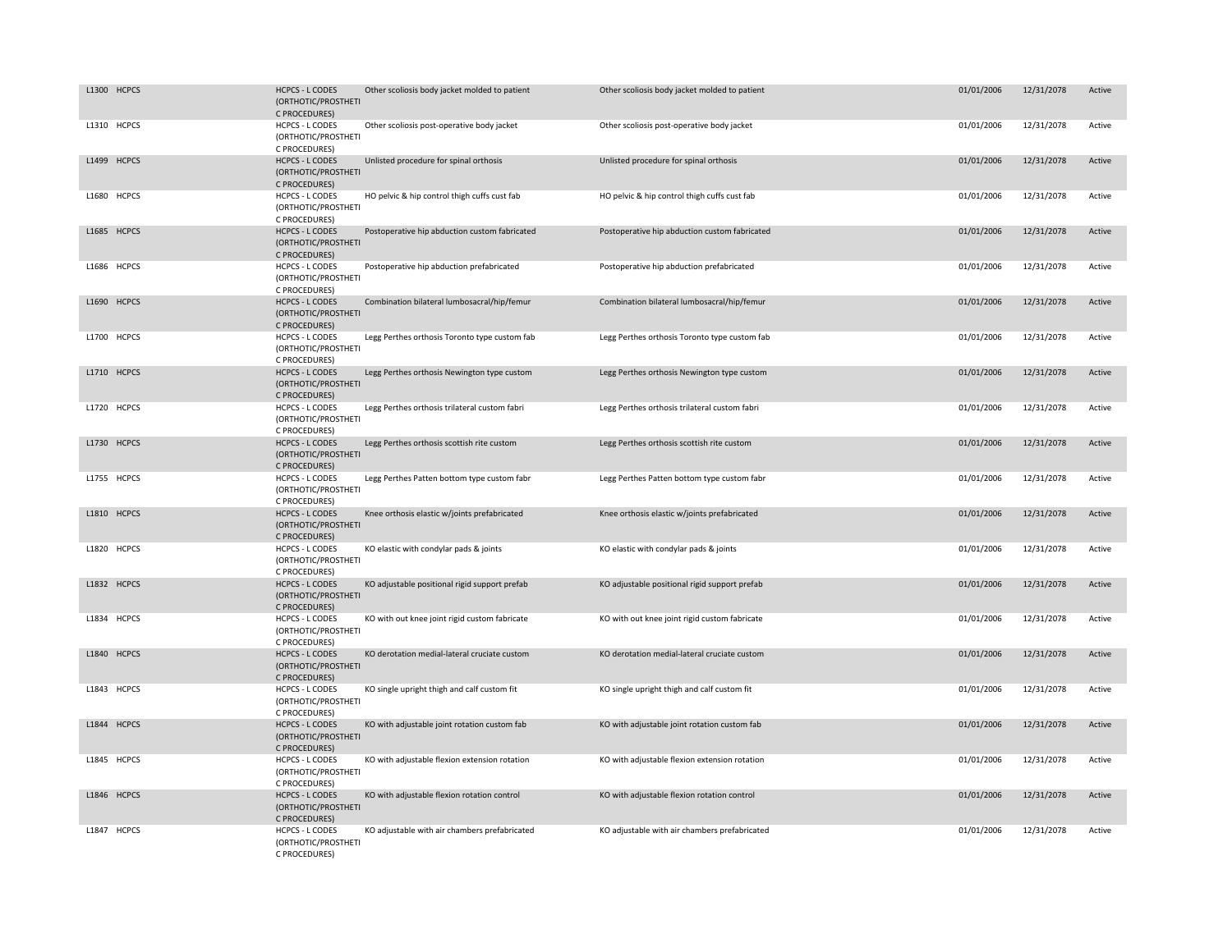| L1300 HCPCS | <b>HCPCS - L CODES</b><br>(ORTHOTIC/PROSTHETI<br>C PROCEDURES) | Other scoliosis body jacket molded to patient | Other scoliosis body jacket molded to patient | 01/01/2006 | 12/31/2078 | Active |
|-------------|----------------------------------------------------------------|-----------------------------------------------|-----------------------------------------------|------------|------------|--------|
| L1310 HCPCS | <b>HCPCS - L CODES</b><br>(ORTHOTIC/PROSTHETI<br>C PROCEDURES) | Other scoliosis post-operative body jacket    | Other scoliosis post-operative body jacket    | 01/01/2006 | 12/31/2078 | Active |
| L1499 HCPCS | <b>HCPCS - L CODES</b><br>(ORTHOTIC/PROSTHETI<br>C PROCEDURES) | Unlisted procedure for spinal orthosis        | Unlisted procedure for spinal orthosis        | 01/01/2006 | 12/31/2078 | Active |
| L1680 HCPCS | <b>HCPCS - L CODES</b><br>(ORTHOTIC/PROSTHETI<br>C PROCEDURES) | HO pelvic & hip control thigh cuffs cust fab  | HO pelvic & hip control thigh cuffs cust fab  | 01/01/2006 | 12/31/2078 | Active |
| L1685 HCPCS | <b>HCPCS - L CODES</b><br>(ORTHOTIC/PROSTHETI<br>C PROCEDURES) | Postoperative hip abduction custom fabricated | Postoperative hip abduction custom fabricated | 01/01/2006 | 12/31/2078 | Active |
| L1686 HCPCS | <b>HCPCS - L CODES</b><br>(ORTHOTIC/PROSTHETI<br>C PROCEDURES) | Postoperative hip abduction prefabricated     | Postoperative hip abduction prefabricated     | 01/01/2006 | 12/31/2078 | Active |
| L1690 HCPCS | <b>HCPCS - L CODES</b><br>(ORTHOTIC/PROSTHETI<br>C PROCEDURES) | Combination bilateral lumbosacral/hip/femur   | Combination bilateral lumbosacral/hip/femur   | 01/01/2006 | 12/31/2078 | Active |
| L1700 HCPCS | <b>HCPCS - L CODES</b><br>(ORTHOTIC/PROSTHETI<br>C PROCEDURES) | Legg Perthes orthosis Toronto type custom fab | Legg Perthes orthosis Toronto type custom fab | 01/01/2006 | 12/31/2078 | Active |
| L1710 HCPCS | <b>HCPCS - L CODES</b><br>(ORTHOTIC/PROSTHETI<br>C PROCEDURES) | Legg Perthes orthosis Newington type custom   | Legg Perthes orthosis Newington type custom   | 01/01/2006 | 12/31/2078 | Active |
| L1720 HCPCS | <b>HCPCS - L CODES</b><br>(ORTHOTIC/PROSTHETI<br>C PROCEDURES) | Legg Perthes orthosis trilateral custom fabri | Legg Perthes orthosis trilateral custom fabri | 01/01/2006 | 12/31/2078 | Active |
| L1730 HCPCS | <b>HCPCS - L CODES</b><br>(ORTHOTIC/PROSTHETI<br>C PROCEDURES) | Legg Perthes orthosis scottish rite custom    | Legg Perthes orthosis scottish rite custom    | 01/01/2006 | 12/31/2078 | Active |
| L1755 HCPCS | <b>HCPCS - L CODES</b><br>(ORTHOTIC/PROSTHETI<br>C PROCEDURES) | Legg Perthes Patten bottom type custom fabr   | Legg Perthes Patten bottom type custom fabr   | 01/01/2006 | 12/31/2078 | Active |
| L1810 HCPCS | <b>HCPCS - L CODES</b><br>(ORTHOTIC/PROSTHETI<br>C PROCEDURES) | Knee orthosis elastic w/joints prefabricated  | Knee orthosis elastic w/joints prefabricated  | 01/01/2006 | 12/31/2078 | Active |
| L1820 HCPCS | <b>HCPCS - L CODES</b><br>(ORTHOTIC/PROSTHETI<br>C PROCEDURES) | KO elastic with condylar pads & joints        | KO elastic with condylar pads & joints        | 01/01/2006 | 12/31/2078 | Active |
| L1832 HCPCS | <b>HCPCS - L CODES</b><br>(ORTHOTIC/PROSTHETI<br>C PROCEDURES) | KO adjustable positional rigid support prefab | KO adjustable positional rigid support prefab | 01/01/2006 | 12/31/2078 | Active |
| L1834 HCPCS | HCPCS - L CODES<br>(ORTHOTIC/PROSTHETI<br>C PROCEDURES)        | KO with out knee joint rigid custom fabricate | KO with out knee joint rigid custom fabricate | 01/01/2006 | 12/31/2078 | Active |
| L1840 HCPCS | <b>HCPCS - L CODES</b><br>(ORTHOTIC/PROSTHETI<br>C PROCEDURES) | KO derotation medial-lateral cruciate custom  | KO derotation medial-lateral cruciate custom  | 01/01/2006 | 12/31/2078 | Active |
| L1843 HCPCS | <b>HCPCS - L CODES</b><br>(ORTHOTIC/PROSTHETI<br>C PROCEDURES) | KO single upright thigh and calf custom fit   | KO single upright thigh and calf custom fit   | 01/01/2006 | 12/31/2078 | Active |
| L1844 HCPCS | <b>HCPCS - L CODES</b><br>(ORTHOTIC/PROSTHETI<br>C PROCEDURES) | KO with adjustable joint rotation custom fab  | KO with adjustable joint rotation custom fab  | 01/01/2006 | 12/31/2078 | Active |
| L1845 HCPCS | <b>HCPCS - L CODES</b><br>(ORTHOTIC/PROSTHETI<br>C PROCEDURES) | KO with adjustable flexion extension rotation | KO with adjustable flexion extension rotation | 01/01/2006 | 12/31/2078 | Active |
| L1846 HCPCS | <b>HCPCS - L CODES</b><br>(ORTHOTIC/PROSTHETI<br>C PROCEDURES) | KO with adjustable flexion rotation control   | KO with adjustable flexion rotation control   | 01/01/2006 | 12/31/2078 | Active |
| L1847 HCPCS | <b>HCPCS - L CODES</b><br>(ORTHOTIC/PROSTHETI<br>C PROCEDURES) | KO adjustable with air chambers prefabricated | KO adjustable with air chambers prefabricated | 01/01/2006 | 12/31/2078 | Active |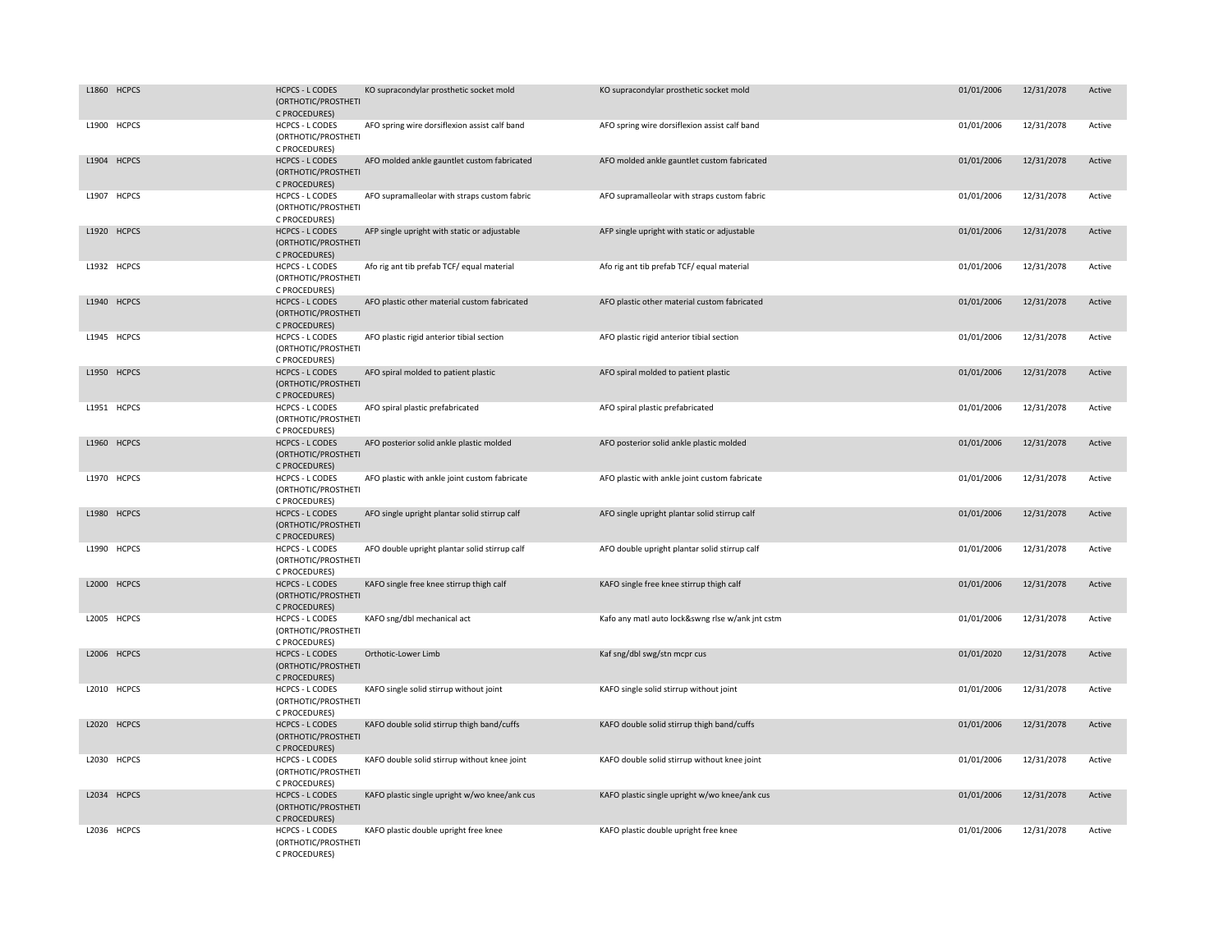| L1860 HCPCS | <b>HCPCS - L CODES</b><br>(ORTHOTIC/PROSTHETI<br>C PROCEDURES) | KO supracondylar prosthetic socket mold       | KO supracondylar prosthetic socket mold          | 01/01/2006 | 12/31/2078 | Active |
|-------------|----------------------------------------------------------------|-----------------------------------------------|--------------------------------------------------|------------|------------|--------|
| L1900 HCPCS | <b>HCPCS - L CODES</b><br>(ORTHOTIC/PROSTHETI<br>C PROCEDURES) | AFO spring wire dorsiflexion assist calf band | AFO spring wire dorsiflexion assist calf band    | 01/01/2006 | 12/31/2078 | Active |
| L1904 HCPCS | <b>HCPCS - L CODES</b><br>(ORTHOTIC/PROSTHETI<br>C PROCEDURES) | AFO molded ankle gauntlet custom fabricated   | AFO molded ankle gauntlet custom fabricated      | 01/01/2006 | 12/31/2078 | Active |
| L1907 HCPCS | HCPCS - L CODES<br>(ORTHOTIC/PROSTHETI<br>C PROCEDURES)        | AFO supramalleolar with straps custom fabric  | AFO supramalleolar with straps custom fabric     | 01/01/2006 | 12/31/2078 | Active |
| L1920 HCPCS | <b>HCPCS - L CODES</b><br>(ORTHOTIC/PROSTHETI<br>C PROCEDURES) | AFP single upright with static or adjustable  | AFP single upright with static or adjustable     | 01/01/2006 | 12/31/2078 | Active |
| L1932 HCPCS | <b>HCPCS - L CODES</b><br>(ORTHOTIC/PROSTHETI<br>C PROCEDURES) | Afo rig ant tib prefab TCF/ equal material    | Afo rig ant tib prefab TCF/ equal material       | 01/01/2006 | 12/31/2078 | Active |
| L1940 HCPCS | <b>HCPCS - L CODES</b><br>(ORTHOTIC/PROSTHETI<br>C PROCEDURES) | AFO plastic other material custom fabricated  | AFO plastic other material custom fabricated     | 01/01/2006 | 12/31/2078 | Active |
| L1945 HCPCS | <b>HCPCS - L CODES</b><br>(ORTHOTIC/PROSTHETI<br>C PROCEDURES) | AFO plastic rigid anterior tibial section     | AFO plastic rigid anterior tibial section        | 01/01/2006 | 12/31/2078 | Active |
| L1950 HCPCS | <b>HCPCS - L CODES</b><br>(ORTHOTIC/PROSTHETI<br>C PROCEDURES) | AFO spiral molded to patient plastic          | AFO spiral molded to patient plastic             | 01/01/2006 | 12/31/2078 | Active |
| L1951 HCPCS | <b>HCPCS - L CODES</b><br>(ORTHOTIC/PROSTHETI<br>C PROCEDURES) | AFO spiral plastic prefabricated              | AFO spiral plastic prefabricated                 | 01/01/2006 | 12/31/2078 | Active |
| L1960 HCPCS | <b>HCPCS - L CODES</b><br>(ORTHOTIC/PROSTHETI<br>C PROCEDURES) | AFO posterior solid ankle plastic molded      | AFO posterior solid ankle plastic molded         | 01/01/2006 | 12/31/2078 | Active |
| L1970 HCPCS | <b>HCPCS - L CODES</b><br>(ORTHOTIC/PROSTHETI<br>C PROCEDURES) | AFO plastic with ankle joint custom fabricate | AFO plastic with ankle joint custom fabricate    | 01/01/2006 | 12/31/2078 | Active |
| L1980 HCPCS | <b>HCPCS - L CODES</b><br>(ORTHOTIC/PROSTHETI<br>C PROCEDURES) | AFO single upright plantar solid stirrup calf | AFO single upright plantar solid stirrup calf    | 01/01/2006 | 12/31/2078 | Active |
| L1990 HCPCS | HCPCS - L CODES<br>(ORTHOTIC/PROSTHETI<br>C PROCEDURES)        | AFO double upright plantar solid stirrup calf | AFO double upright plantar solid stirrup calf    | 01/01/2006 | 12/31/2078 | Active |
| L2000 HCPCS | <b>HCPCS - L CODES</b><br>(ORTHOTIC/PROSTHETI<br>C PROCEDURES) | KAFO single free knee stirrup thigh calf      | KAFO single free knee stirrup thigh calf         | 01/01/2006 | 12/31/2078 | Active |
| L2005 HCPCS | <b>HCPCS - L CODES</b><br>(ORTHOTIC/PROSTHETI<br>C PROCEDURES) | KAFO sng/dbl mechanical act                   | Kafo any matl auto lock&swng rlse w/ank jnt cstm | 01/01/2006 | 12/31/2078 | Active |
| L2006 HCPCS | <b>HCPCS - L CODES</b><br>(ORTHOTIC/PROSTHETI<br>C PROCEDURES) | Orthotic-Lower Limb                           | Kaf sng/dbl swg/stn mcpr cus                     | 01/01/2020 | 12/31/2078 | Active |
| L2010 HCPCS | <b>HCPCS - L CODES</b><br>(ORTHOTIC/PROSTHETI<br>C PROCEDURES) | KAFO single solid stirrup without joint       | KAFO single solid stirrup without joint          | 01/01/2006 | 12/31/2078 | Active |
| L2020 HCPCS | <b>HCPCS - L CODES</b><br>(ORTHOTIC/PROSTHETI<br>C PROCEDURES) | KAFO double solid stirrup thigh band/cuffs    | KAFO double solid stirrup thigh band/cuffs       | 01/01/2006 | 12/31/2078 | Active |
| L2030 HCPCS | HCPCS - L CODES<br>(ORTHOTIC/PROSTHETI<br>C PROCEDURES)        | KAFO double solid stirrup without knee joint  | KAFO double solid stirrup without knee joint     | 01/01/2006 | 12/31/2078 | Active |
| L2034 HCPCS | <b>HCPCS - L CODES</b><br>(ORTHOTIC/PROSTHETI<br>C PROCEDURES) | KAFO plastic single upright w/wo knee/ank cus | KAFO plastic single upright w/wo knee/ank cus    | 01/01/2006 | 12/31/2078 | Active |
| L2036 HCPCS | <b>HCPCS - L CODES</b><br>(ORTHOTIC/PROSTHETI<br>C PROCEDURES) | KAFO plastic double upright free knee         | KAFO plastic double upright free knee            | 01/01/2006 | 12/31/2078 | Active |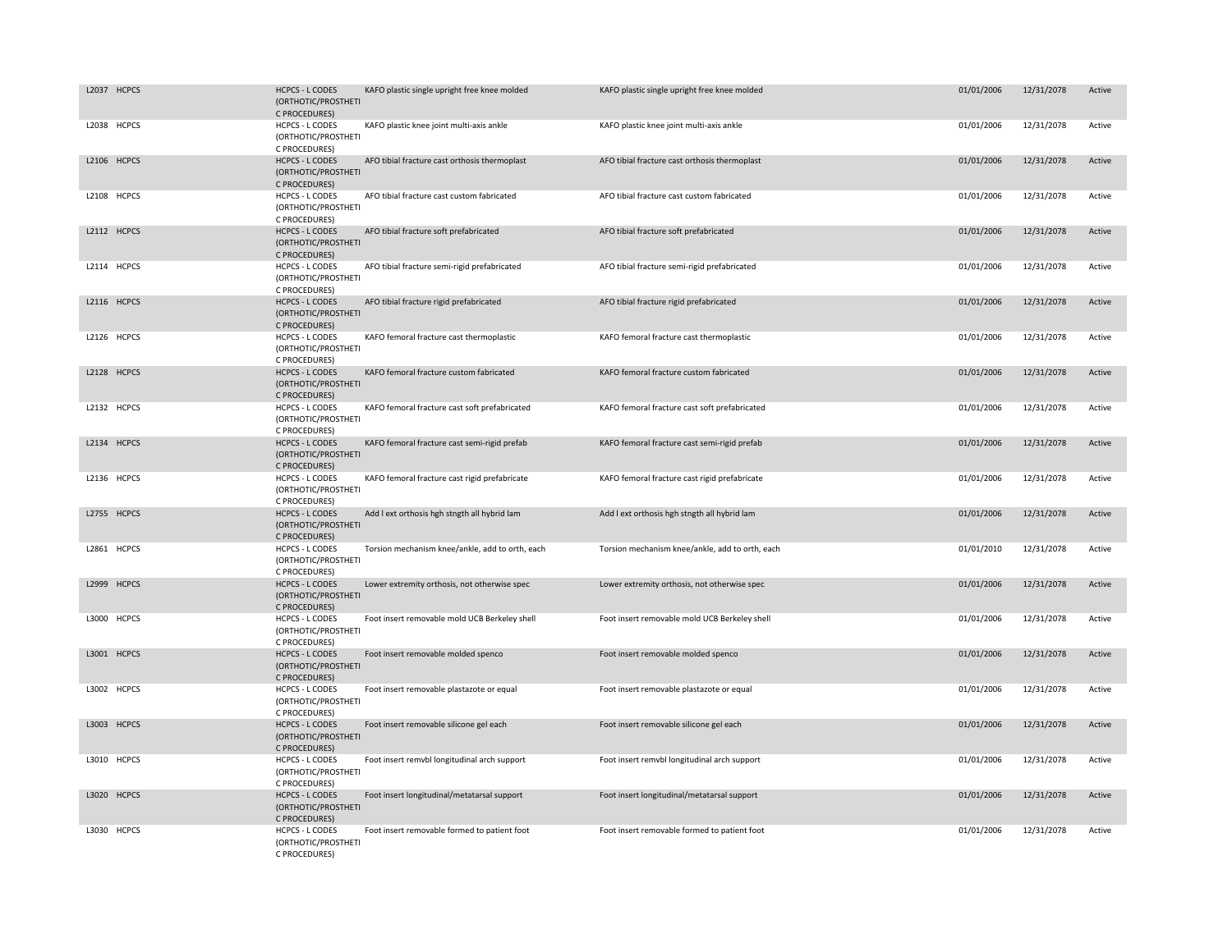| L2037 HCPCS | <b>HCPCS - L CODES</b><br>(ORTHOTIC/PROSTHETI<br>C PROCEDURES) | KAFO plastic single upright free knee molded    | KAFO plastic single upright free knee molded    | 01/01/2006 | 12/31/2078 | Active |
|-------------|----------------------------------------------------------------|-------------------------------------------------|-------------------------------------------------|------------|------------|--------|
| L2038 HCPCS | <b>HCPCS - L CODES</b><br>(ORTHOTIC/PROSTHETI<br>C PROCEDURES) | KAFO plastic knee joint multi-axis ankle        | KAFO plastic knee joint multi-axis ankle        | 01/01/2006 | 12/31/2078 | Active |
| L2106 HCPCS | <b>HCPCS - L CODES</b><br>(ORTHOTIC/PROSTHETI<br>C PROCEDURES) | AFO tibial fracture cast orthosis thermoplast   | AFO tibial fracture cast orthosis thermoplast   | 01/01/2006 | 12/31/2078 | Active |
| L2108 HCPCS | HCPCS - L CODES<br>(ORTHOTIC/PROSTHETI<br>C PROCEDURES)        | AFO tibial fracture cast custom fabricated      | AFO tibial fracture cast custom fabricated      | 01/01/2006 | 12/31/2078 | Active |
| L2112 HCPCS | <b>HCPCS - L CODES</b><br>(ORTHOTIC/PROSTHETI<br>C PROCEDURES) | AFO tibial fracture soft prefabricated          | AFO tibial fracture soft prefabricated          | 01/01/2006 | 12/31/2078 | Active |
| L2114 HCPCS | <b>HCPCS - L CODES</b><br>(ORTHOTIC/PROSTHETI<br>C PROCEDURES) | AFO tibial fracture semi-rigid prefabricated    | AFO tibial fracture semi-rigid prefabricated    | 01/01/2006 | 12/31/2078 | Active |
| L2116 HCPCS | <b>HCPCS - L CODES</b><br>(ORTHOTIC/PROSTHETI<br>C PROCEDURES) | AFO tibial fracture rigid prefabricated         | AFO tibial fracture rigid prefabricated         | 01/01/2006 | 12/31/2078 | Active |
| L2126 HCPCS | <b>HCPCS - L CODES</b><br>(ORTHOTIC/PROSTHETI<br>C PROCEDURES) | KAFO femoral fracture cast thermoplastic        | KAFO femoral fracture cast thermoplastic        | 01/01/2006 | 12/31/2078 | Active |
| L2128 HCPCS | <b>HCPCS - L CODES</b><br>(ORTHOTIC/PROSTHETI<br>C PROCEDURES) | KAFO femoral fracture custom fabricated         | KAFO femoral fracture custom fabricated         | 01/01/2006 | 12/31/2078 | Active |
| L2132 HCPCS | <b>HCPCS - L CODES</b><br>(ORTHOTIC/PROSTHETI<br>C PROCEDURES) | KAFO femoral fracture cast soft prefabricated   | KAFO femoral fracture cast soft prefabricated   | 01/01/2006 | 12/31/2078 | Active |
| L2134 HCPCS | <b>HCPCS - L CODES</b><br>(ORTHOTIC/PROSTHETI<br>C PROCEDURES) | KAFO femoral fracture cast semi-rigid prefab    | KAFO femoral fracture cast semi-rigid prefab    | 01/01/2006 | 12/31/2078 | Active |
| L2136 HCPCS | <b>HCPCS - L CODES</b><br>(ORTHOTIC/PROSTHETI<br>C PROCEDURES) | KAFO femoral fracture cast rigid prefabricate   | KAFO femoral fracture cast rigid prefabricate   | 01/01/2006 | 12/31/2078 | Active |
| L2755 HCPCS | <b>HCPCS - L CODES</b><br>(ORTHOTIC/PROSTHETI<br>C PROCEDURES) | Add I ext orthosis hgh stngth all hybrid lam    | Add I ext orthosis hgh stngth all hybrid lam    | 01/01/2006 | 12/31/2078 | Active |
| L2861 HCPCS | <b>HCPCS - L CODES</b><br>(ORTHOTIC/PROSTHETI<br>C PROCEDURES) | Torsion mechanism knee/ankle, add to orth, each | Torsion mechanism knee/ankle, add to orth, each | 01/01/2010 | 12/31/2078 | Active |
| L2999 HCPCS | <b>HCPCS - L CODES</b><br>(ORTHOTIC/PROSTHETI<br>C PROCEDURES) | Lower extremity orthosis, not otherwise spec    | Lower extremity orthosis, not otherwise spec    | 01/01/2006 | 12/31/2078 | Active |
| L3000 HCPCS | <b>HCPCS - L CODES</b><br>(ORTHOTIC/PROSTHETI<br>C PROCEDURES) | Foot insert removable mold UCB Berkeley shell   | Foot insert removable mold UCB Berkeley shell   | 01/01/2006 | 12/31/2078 | Active |
| L3001 HCPCS | <b>HCPCS - L CODES</b><br>(ORTHOTIC/PROSTHETI<br>C PROCEDURES) | Foot insert removable molded spenco             | Foot insert removable molded spenco             | 01/01/2006 | 12/31/2078 | Active |
| L3002 HCPCS | <b>HCPCS - L CODES</b><br>(ORTHOTIC/PROSTHETI<br>C PROCEDURES) | Foot insert removable plastazote or equal       | Foot insert removable plastazote or equal       | 01/01/2006 | 12/31/2078 | Active |
| L3003 HCPCS | <b>HCPCS - L CODES</b><br>(ORTHOTIC/PROSTHETI<br>C PROCEDURES) | Foot insert removable silicone gel each         | Foot insert removable silicone gel each         | 01/01/2006 | 12/31/2078 | Active |
| L3010 HCPCS | <b>HCPCS - L CODES</b><br>(ORTHOTIC/PROSTHETI<br>C PROCEDURES) | Foot insert remvbl longitudinal arch support    | Foot insert remvbl longitudinal arch support    | 01/01/2006 | 12/31/2078 | Active |
| L3020 HCPCS | <b>HCPCS - L CODES</b><br>(ORTHOTIC/PROSTHETI<br>C PROCEDURES) | Foot insert longitudinal/metatarsal support     | Foot insert longitudinal/metatarsal support     | 01/01/2006 | 12/31/2078 | Active |
| L3030 HCPCS | <b>HCPCS - L CODES</b><br>(ORTHOTIC/PROSTHETI<br>C PROCEDURES) | Foot insert removable formed to patient foot    | Foot insert removable formed to patient foot    | 01/01/2006 | 12/31/2078 | Active |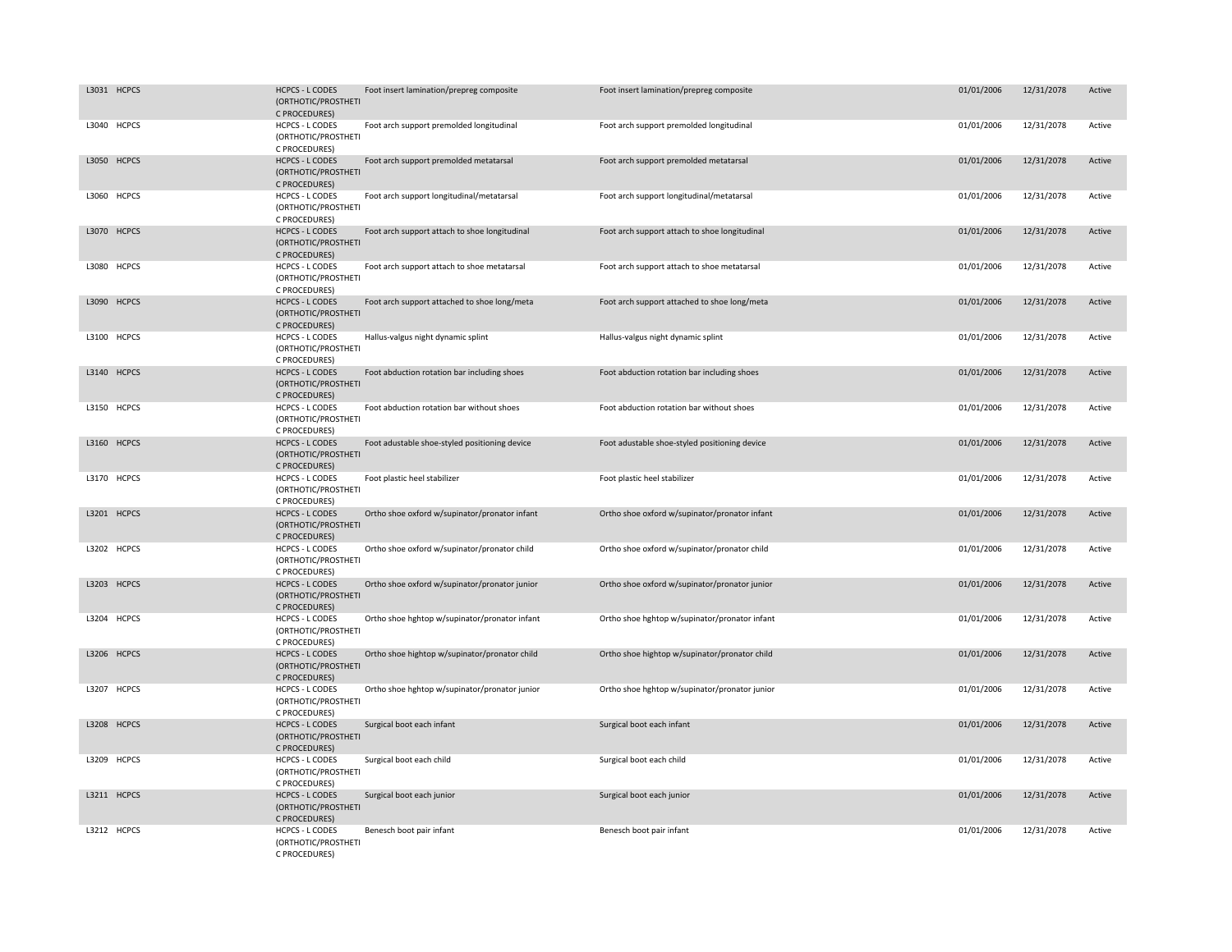| L3031 HCPCS | <b>HCPCS - L CODES</b>                                         |                                               | Foot insert lamination/prepreg composite      | 01/01/2006 | 12/31/2078 | Active |
|-------------|----------------------------------------------------------------|-----------------------------------------------|-----------------------------------------------|------------|------------|--------|
|             | (ORTHOTIC/PROSTHETI<br>C PROCEDURES)                           | Foot insert lamination/prepreg composite      |                                               |            |            |        |
| L3040 HCPCS | <b>HCPCS - L CODES</b><br>(ORTHOTIC/PROSTHETI<br>C PROCEDURES) | Foot arch support premolded longitudinal      | Foot arch support premolded longitudinal      | 01/01/2006 | 12/31/2078 | Active |
| L3050 HCPCS | <b>HCPCS - L CODES</b><br>(ORTHOTIC/PROSTHETI<br>C PROCEDURES) | Foot arch support premolded metatarsal        | Foot arch support premolded metatarsal        | 01/01/2006 | 12/31/2078 | Active |
| L3060 HCPCS | HCPCS - L CODES<br>(ORTHOTIC/PROSTHETI<br>C PROCEDURES)        | Foot arch support longitudinal/metatarsal     | Foot arch support longitudinal/metatarsal     | 01/01/2006 | 12/31/2078 | Active |
| L3070 HCPCS | <b>HCPCS - L CODES</b><br>(ORTHOTIC/PROSTHETI<br>C PROCEDURES) | Foot arch support attach to shoe longitudinal | Foot arch support attach to shoe longitudinal | 01/01/2006 | 12/31/2078 | Active |
| L3080 HCPCS | <b>HCPCS - L CODES</b><br>(ORTHOTIC/PROSTHETI<br>C PROCEDURES) | Foot arch support attach to shoe metatarsal   | Foot arch support attach to shoe metatarsal   | 01/01/2006 | 12/31/2078 | Active |
| L3090 HCPCS | <b>HCPCS - L CODES</b><br>(ORTHOTIC/PROSTHETI<br>C PROCEDURES) | Foot arch support attached to shoe long/meta  | Foot arch support attached to shoe long/meta  | 01/01/2006 | 12/31/2078 | Active |
| L3100 HCPCS | HCPCS - L CODES<br>(ORTHOTIC/PROSTHETI<br>C PROCEDURES)        | Hallus-valgus night dynamic splint            | Hallus-valgus night dynamic splint            | 01/01/2006 | 12/31/2078 | Active |
| L3140 HCPCS | <b>HCPCS - L CODES</b><br>(ORTHOTIC/PROSTHETI<br>C PROCEDURES) | Foot abduction rotation bar including shoes   | Foot abduction rotation bar including shoes   | 01/01/2006 | 12/31/2078 | Active |
| L3150 HCPCS | <b>HCPCS - L CODES</b><br>(ORTHOTIC/PROSTHETI<br>C PROCEDURES) | Foot abduction rotation bar without shoes     | Foot abduction rotation bar without shoes     | 01/01/2006 | 12/31/2078 | Active |
| L3160 HCPCS | <b>HCPCS - L CODES</b><br>(ORTHOTIC/PROSTHETI<br>C PROCEDURES) | Foot adustable shoe-styled positioning device | Foot adustable shoe-styled positioning device | 01/01/2006 | 12/31/2078 | Active |
| L3170 HCPCS | <b>HCPCS - L CODES</b><br>(ORTHOTIC/PROSTHETI<br>C PROCEDURES) | Foot plastic heel stabilizer                  | Foot plastic heel stabilizer                  | 01/01/2006 | 12/31/2078 | Active |
| L3201 HCPCS | <b>HCPCS - L CODES</b><br>(ORTHOTIC/PROSTHETI<br>C PROCEDURES) | Ortho shoe oxford w/supinator/pronator infant | Ortho shoe oxford w/supinator/pronator infant | 01/01/2006 | 12/31/2078 | Active |
| L3202 HCPCS | <b>HCPCS - L CODES</b><br>(ORTHOTIC/PROSTHETI<br>C PROCEDURES) | Ortho shoe oxford w/supinator/pronator child  | Ortho shoe oxford w/supinator/pronator child  | 01/01/2006 | 12/31/2078 | Active |
| L3203 HCPCS | <b>HCPCS - L CODES</b><br>(ORTHOTIC/PROSTHETI<br>C PROCEDURES) | Ortho shoe oxford w/supinator/pronator junior | Ortho shoe oxford w/supinator/pronator junior | 01/01/2006 | 12/31/2078 | Active |
| L3204 HCPCS | <b>HCPCS - L CODES</b><br>(ORTHOTIC/PROSTHETI<br>C PROCEDURES) | Ortho shoe hghtop w/supinator/pronator infant | Ortho shoe hghtop w/supinator/pronator infant | 01/01/2006 | 12/31/2078 | Active |
| L3206 HCPCS | <b>HCPCS - L CODES</b><br>(ORTHOTIC/PROSTHETI<br>C PROCEDURES) | Ortho shoe hightop w/supinator/pronator child | Ortho shoe hightop w/supinator/pronator child | 01/01/2006 | 12/31/2078 | Active |
| L3207 HCPCS | HCPCS - L CODES<br>(ORTHOTIC/PROSTHETI<br>C PROCEDURES)        | Ortho shoe hghtop w/supinator/pronator junior | Ortho shoe hghtop w/supinator/pronator junior | 01/01/2006 | 12/31/2078 | Active |
| L3208 HCPCS | <b>HCPCS - L CODES</b><br>(ORTHOTIC/PROSTHETI<br>C PROCEDURES) | Surgical boot each infant                     | Surgical boot each infant                     | 01/01/2006 | 12/31/2078 | Active |
| L3209 HCPCS | <b>HCPCS - L CODES</b><br>(ORTHOTIC/PROSTHETI<br>C PROCEDURES) | Surgical boot each child                      | Surgical boot each child                      | 01/01/2006 | 12/31/2078 | Active |
| L3211 HCPCS | <b>HCPCS - L CODES</b><br>(ORTHOTIC/PROSTHETI<br>C PROCEDURES) | Surgical boot each junior                     | Surgical boot each junior                     | 01/01/2006 | 12/31/2078 | Active |
| L3212 HCPCS | <b>HCPCS - L CODES</b><br>(ORTHOTIC/PROSTHETI<br>C PROCEDURES) | Benesch boot pair infant                      | Benesch boot pair infant                      | 01/01/2006 | 12/31/2078 | Active |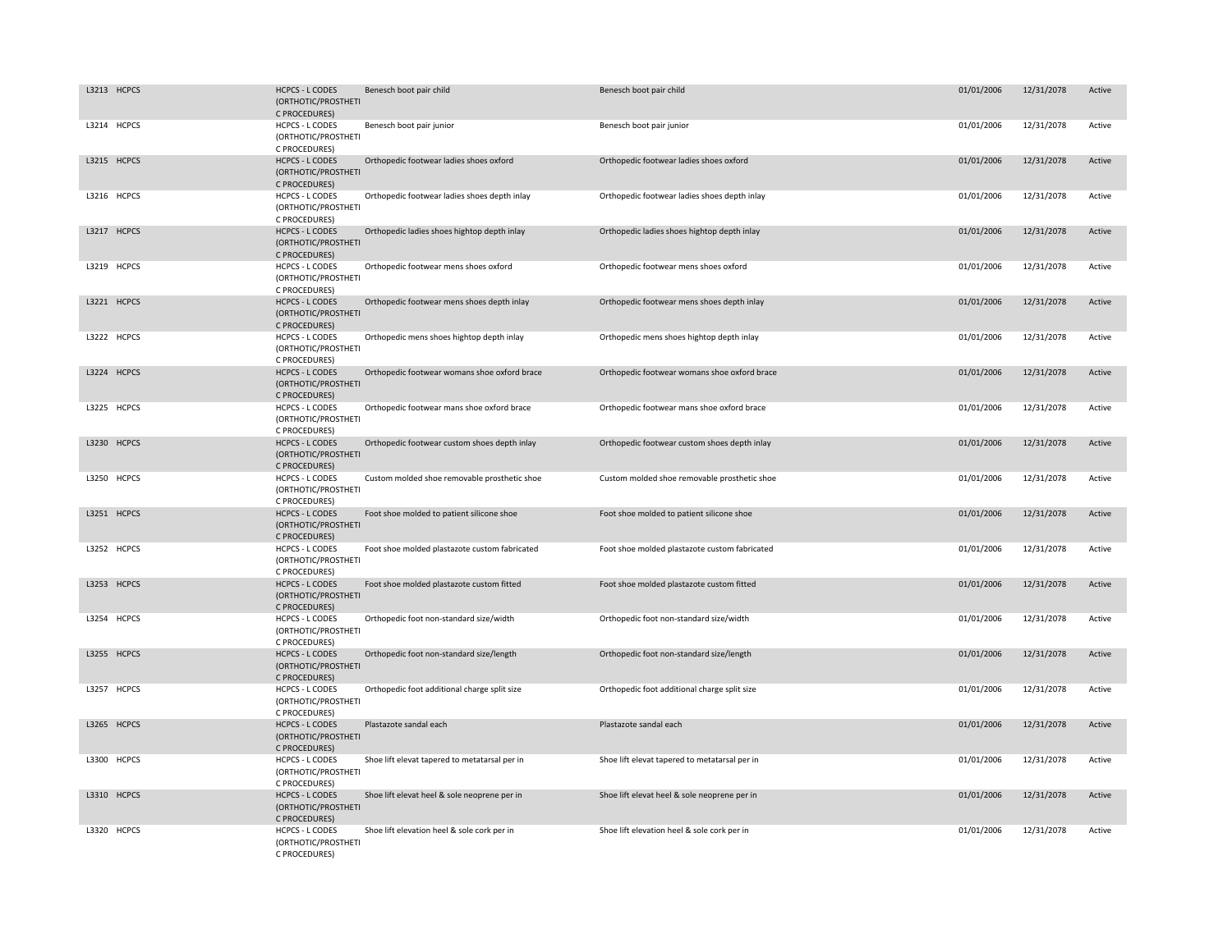| L3213 HCPCS | <b>HCPCS - L CODES</b><br>(ORTHOTIC/PROSTHETI<br>C PROCEDURES) | Benesch boot pair child                       | Benesch boot pair child                       | 01/01/2006 | 12/31/2078 | Active |
|-------------|----------------------------------------------------------------|-----------------------------------------------|-----------------------------------------------|------------|------------|--------|
| L3214 HCPCS | <b>HCPCS - L CODES</b><br>(ORTHOTIC/PROSTHETI<br>C PROCEDURES) | Benesch boot pair junior                      | Benesch boot pair junior                      | 01/01/2006 | 12/31/2078 | Active |
| L3215 HCPCS | <b>HCPCS - L CODES</b><br>(ORTHOTIC/PROSTHETI<br>C PROCEDURES) | Orthopedic footwear ladies shoes oxford       | Orthopedic footwear ladies shoes oxford       | 01/01/2006 | 12/31/2078 | Active |
| L3216 HCPCS | HCPCS - L CODES<br>(ORTHOTIC/PROSTHETI<br>C PROCEDURES)        | Orthopedic footwear ladies shoes depth inlay  | Orthopedic footwear ladies shoes depth inlay  | 01/01/2006 | 12/31/2078 | Active |
| L3217 HCPCS | <b>HCPCS - L CODES</b><br>(ORTHOTIC/PROSTHETI<br>C PROCEDURES) | Orthopedic ladies shoes hightop depth inlay   | Orthopedic ladies shoes hightop depth inlay   | 01/01/2006 | 12/31/2078 | Active |
| L3219 HCPCS | <b>HCPCS - L CODES</b><br>(ORTHOTIC/PROSTHETI<br>C PROCEDURES) | Orthopedic footwear mens shoes oxford         | Orthopedic footwear mens shoes oxford         | 01/01/2006 | 12/31/2078 | Active |
| L3221 HCPCS | <b>HCPCS - L CODES</b><br>(ORTHOTIC/PROSTHETI<br>C PROCEDURES) | Orthopedic footwear mens shoes depth inlay    | Orthopedic footwear mens shoes depth inlay    | 01/01/2006 | 12/31/2078 | Active |
| L3222 HCPCS | HCPCS - L CODES<br>(ORTHOTIC/PROSTHETI<br>C PROCEDURES)        | Orthopedic mens shoes hightop depth inlay     | Orthopedic mens shoes hightop depth inlay     | 01/01/2006 | 12/31/2078 | Active |
| L3224 HCPCS | <b>HCPCS - L CODES</b><br>(ORTHOTIC/PROSTHETI<br>C PROCEDURES) | Orthopedic footwear womans shoe oxford brace  | Orthopedic footwear womans shoe oxford brace  | 01/01/2006 | 12/31/2078 | Active |
| L3225 HCPCS | HCPCS - L CODES<br>(ORTHOTIC/PROSTHETI<br>C PROCEDURES)        | Orthopedic footwear mans shoe oxford brace    | Orthopedic footwear mans shoe oxford brace    | 01/01/2006 | 12/31/2078 | Active |
| L3230 HCPCS | <b>HCPCS - L CODES</b><br>(ORTHOTIC/PROSTHETI<br>C PROCEDURES) | Orthopedic footwear custom shoes depth inlay  | Orthopedic footwear custom shoes depth inlay  | 01/01/2006 | 12/31/2078 | Active |
| L3250 HCPCS | HCPCS - L CODES<br>(ORTHOTIC/PROSTHETI<br>C PROCEDURES)        | Custom molded shoe removable prosthetic shoe  | Custom molded shoe removable prosthetic shoe  | 01/01/2006 | 12/31/2078 | Active |
| L3251 HCPCS | <b>HCPCS - L CODES</b><br>(ORTHOTIC/PROSTHETI<br>C PROCEDURES) | Foot shoe molded to patient silicone shoe     | Foot shoe molded to patient silicone shoe     | 01/01/2006 | 12/31/2078 | Active |
| L3252 HCPCS | HCPCS - L CODES<br>(ORTHOTIC/PROSTHETI<br>C PROCEDURES)        | Foot shoe molded plastazote custom fabricated | Foot shoe molded plastazote custom fabricated | 01/01/2006 | 12/31/2078 | Active |
| L3253 HCPCS | <b>HCPCS - L CODES</b><br>(ORTHOTIC/PROSTHETI<br>C PROCEDURES) | Foot shoe molded plastazote custom fitted     | Foot shoe molded plastazote custom fitted     | 01/01/2006 | 12/31/2078 | Active |
| L3254 HCPCS | <b>HCPCS - L CODES</b><br>(ORTHOTIC/PROSTHETI<br>C PROCEDURES) | Orthopedic foot non-standard size/width       | Orthopedic foot non-standard size/width       | 01/01/2006 | 12/31/2078 | Active |
| L3255 HCPCS | <b>HCPCS - L CODES</b><br>(ORTHOTIC/PROSTHETI<br>C PROCEDURES) | Orthopedic foot non-standard size/length      | Orthopedic foot non-standard size/length      | 01/01/2006 | 12/31/2078 | Active |
| L3257 HCPCS | <b>HCPCS - L CODES</b><br>(ORTHOTIC/PROSTHETI<br>C PROCEDURES) | Orthopedic foot additional charge split size  | Orthopedic foot additional charge split size  | 01/01/2006 | 12/31/2078 | Active |
| L3265 HCPCS | <b>HCPCS - L CODES</b><br>(ORTHOTIC/PROSTHETI<br>C PROCEDURES) | Plastazote sandal each                        | Plastazote sandal each                        | 01/01/2006 | 12/31/2078 | Active |
| L3300 HCPCS | <b>HCPCS - L CODES</b><br>(ORTHOTIC/PROSTHETI<br>C PROCEDURES) | Shoe lift elevat tapered to metatarsal per in | Shoe lift elevat tapered to metatarsal per in | 01/01/2006 | 12/31/2078 | Active |
| L3310 HCPCS | <b>HCPCS - L CODES</b><br>(ORTHOTIC/PROSTHETI<br>C PROCEDURES) | Shoe lift elevat heel & sole neoprene per in  | Shoe lift elevat heel & sole neoprene per in  | 01/01/2006 | 12/31/2078 | Active |
| L3320 HCPCS | <b>HCPCS - L CODES</b><br>(ORTHOTIC/PROSTHETI<br>C PROCEDURES) | Shoe lift elevation heel & sole cork per in   | Shoe lift elevation heel & sole cork per in   | 01/01/2006 | 12/31/2078 | Active |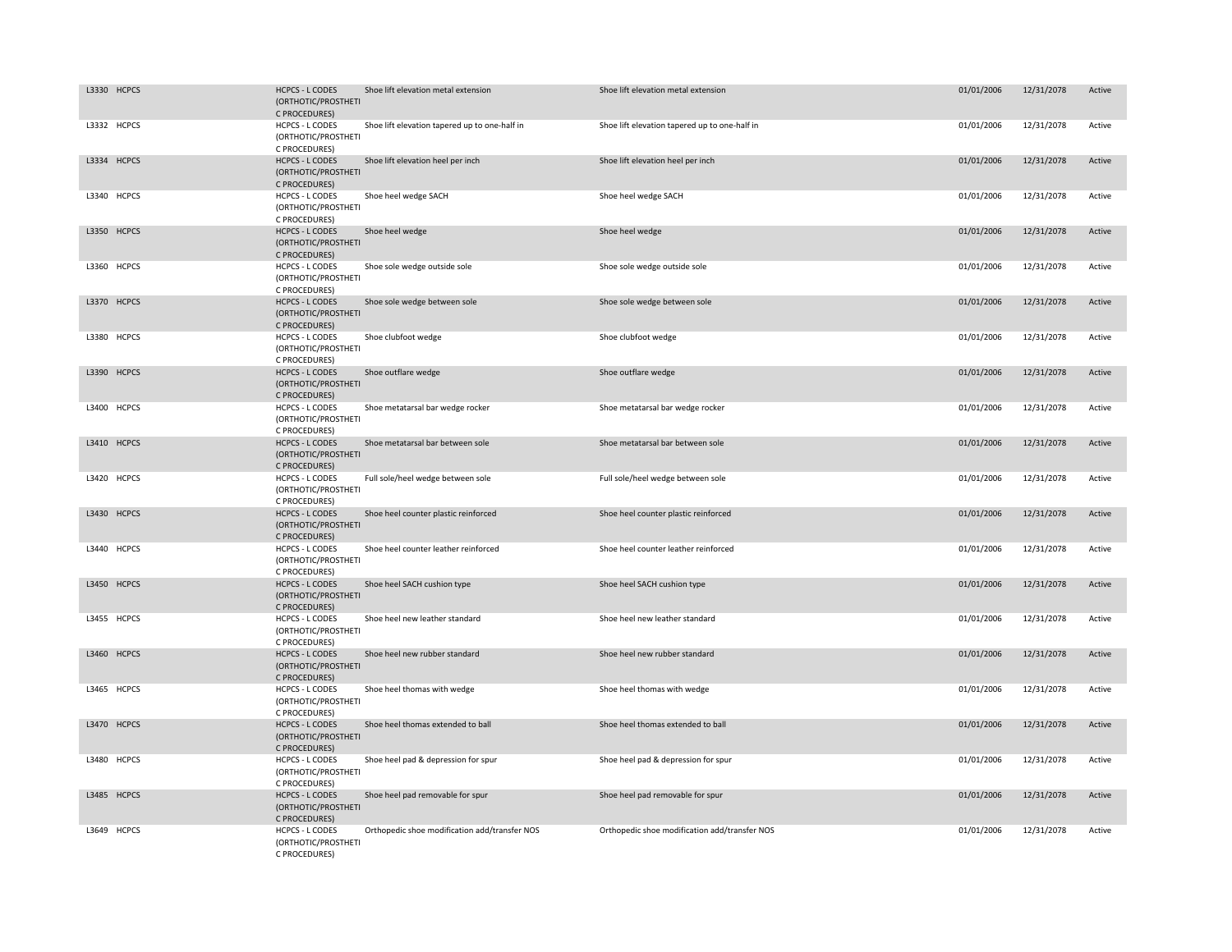| L3330 HCPCS | <b>HCPCS - L CODES</b><br>(ORTHOTIC/PROSTHETI<br>C PROCEDURES) | Shoe lift elevation metal extension           | Shoe lift elevation metal extension           | 01/01/2006 | 12/31/2078 | Active |
|-------------|----------------------------------------------------------------|-----------------------------------------------|-----------------------------------------------|------------|------------|--------|
| L3332 HCPCS | <b>HCPCS - L CODES</b><br>(ORTHOTIC/PROSTHETI<br>C PROCEDURES) | Shoe lift elevation tapered up to one-half in | Shoe lift elevation tapered up to one-half in | 01/01/2006 | 12/31/2078 | Active |
| L3334 HCPCS | <b>HCPCS - L CODES</b><br>(ORTHOTIC/PROSTHETI<br>C PROCEDURES) | Shoe lift elevation heel per inch             | Shoe lift elevation heel per inch             | 01/01/2006 | 12/31/2078 | Active |
| L3340 HCPCS | HCPCS - L CODES<br>(ORTHOTIC/PROSTHETI<br>C PROCEDURES)        | Shoe heel wedge SACH                          | Shoe heel wedge SACH                          | 01/01/2006 | 12/31/2078 | Active |
| L3350 HCPCS | <b>HCPCS - L CODES</b><br>(ORTHOTIC/PROSTHETI<br>C PROCEDURES) | Shoe heel wedge                               | Shoe heel wedge                               | 01/01/2006 | 12/31/2078 | Active |
| L3360 HCPCS | HCPCS - L CODES<br>(ORTHOTIC/PROSTHETI<br>C PROCEDURES)        | Shoe sole wedge outside sole                  | Shoe sole wedge outside sole                  | 01/01/2006 | 12/31/2078 | Active |
| L3370 HCPCS | <b>HCPCS - L CODES</b><br>(ORTHOTIC/PROSTHETI<br>C PROCEDURES) | Shoe sole wedge between sole                  | Shoe sole wedge between sole                  | 01/01/2006 | 12/31/2078 | Active |
| L3380 HCPCS | HCPCS - L CODES<br>(ORTHOTIC/PROSTHETI<br>C PROCEDURES)        | Shoe clubfoot wedge                           | Shoe clubfoot wedge                           | 01/01/2006 | 12/31/2078 | Active |
| L3390 HCPCS | <b>HCPCS - L CODES</b><br>(ORTHOTIC/PROSTHETI<br>C PROCEDURES) | Shoe outflare wedge                           | Shoe outflare wedge                           | 01/01/2006 | 12/31/2078 | Active |
| L3400 HCPCS | HCPCS - L CODES<br>(ORTHOTIC/PROSTHETI<br>C PROCEDURES)        | Shoe metatarsal bar wedge rocker              | Shoe metatarsal bar wedge rocker              | 01/01/2006 | 12/31/2078 | Active |
| L3410 HCPCS | <b>HCPCS - L CODES</b><br>(ORTHOTIC/PROSTHETI<br>C PROCEDURES) | Shoe metatarsal bar between sole              | Shoe metatarsal bar between sole              | 01/01/2006 | 12/31/2078 | Active |
| L3420 HCPCS | HCPCS - L CODES<br>(ORTHOTIC/PROSTHETI<br>C PROCEDURES)        | Full sole/heel wedge between sole             | Full sole/heel wedge between sole             | 01/01/2006 | 12/31/2078 | Active |
| L3430 HCPCS | <b>HCPCS - L CODES</b><br>(ORTHOTIC/PROSTHETI<br>C PROCEDURES) | Shoe heel counter plastic reinforced          | Shoe heel counter plastic reinforced          | 01/01/2006 | 12/31/2078 | Active |
| L3440 HCPCS | <b>HCPCS - L CODES</b><br>(ORTHOTIC/PROSTHETI<br>C PROCEDURES) | Shoe heel counter leather reinforced          | Shoe heel counter leather reinforced          | 01/01/2006 | 12/31/2078 | Active |
| L3450 HCPCS | <b>HCPCS - L CODES</b><br>(ORTHOTIC/PROSTHETI<br>C PROCEDURES) | Shoe heel SACH cushion type                   | Shoe heel SACH cushion type                   | 01/01/2006 | 12/31/2078 | Active |
| L3455 HCPCS | <b>HCPCS - L CODES</b><br>(ORTHOTIC/PROSTHETI<br>C PROCEDURES) | Shoe heel new leather standard                | Shoe heel new leather standard                | 01/01/2006 | 12/31/2078 | Active |
| L3460 HCPCS | <b>HCPCS - L CODES</b><br>(ORTHOTIC/PROSTHETI<br>C PROCEDURES) | Shoe heel new rubber standard                 | Shoe heel new rubber standard                 | 01/01/2006 | 12/31/2078 | Active |
| L3465 HCPCS | <b>HCPCS - L CODES</b><br>(ORTHOTIC/PROSTHETI<br>C PROCEDURES) | Shoe heel thomas with wedge                   | Shoe heel thomas with wedge                   | 01/01/2006 | 12/31/2078 | Active |
| L3470 HCPCS | <b>HCPCS - L CODES</b><br>(ORTHOTIC/PROSTHETI<br>C PROCEDURES) | Shoe heel thomas extended to ball             | Shoe heel thomas extended to ball             | 01/01/2006 | 12/31/2078 | Active |
| L3480 HCPCS | HCPCS - L CODES<br>(ORTHOTIC/PROSTHETI<br>C PROCEDURES)        | Shoe heel pad & depression for spur           | Shoe heel pad & depression for spur           | 01/01/2006 | 12/31/2078 | Active |
| L3485 HCPCS | <b>HCPCS - L CODES</b><br>(ORTHOTIC/PROSTHETI<br>C PROCEDURES) | Shoe heel pad removable for spur              | Shoe heel pad removable for spur              | 01/01/2006 | 12/31/2078 | Active |
| L3649 HCPCS | <b>HCPCS - L CODES</b><br>(ORTHOTIC/PROSTHETI<br>C PROCEDURES) | Orthopedic shoe modification add/transfer NOS | Orthopedic shoe modification add/transfer NOS | 01/01/2006 | 12/31/2078 | Active |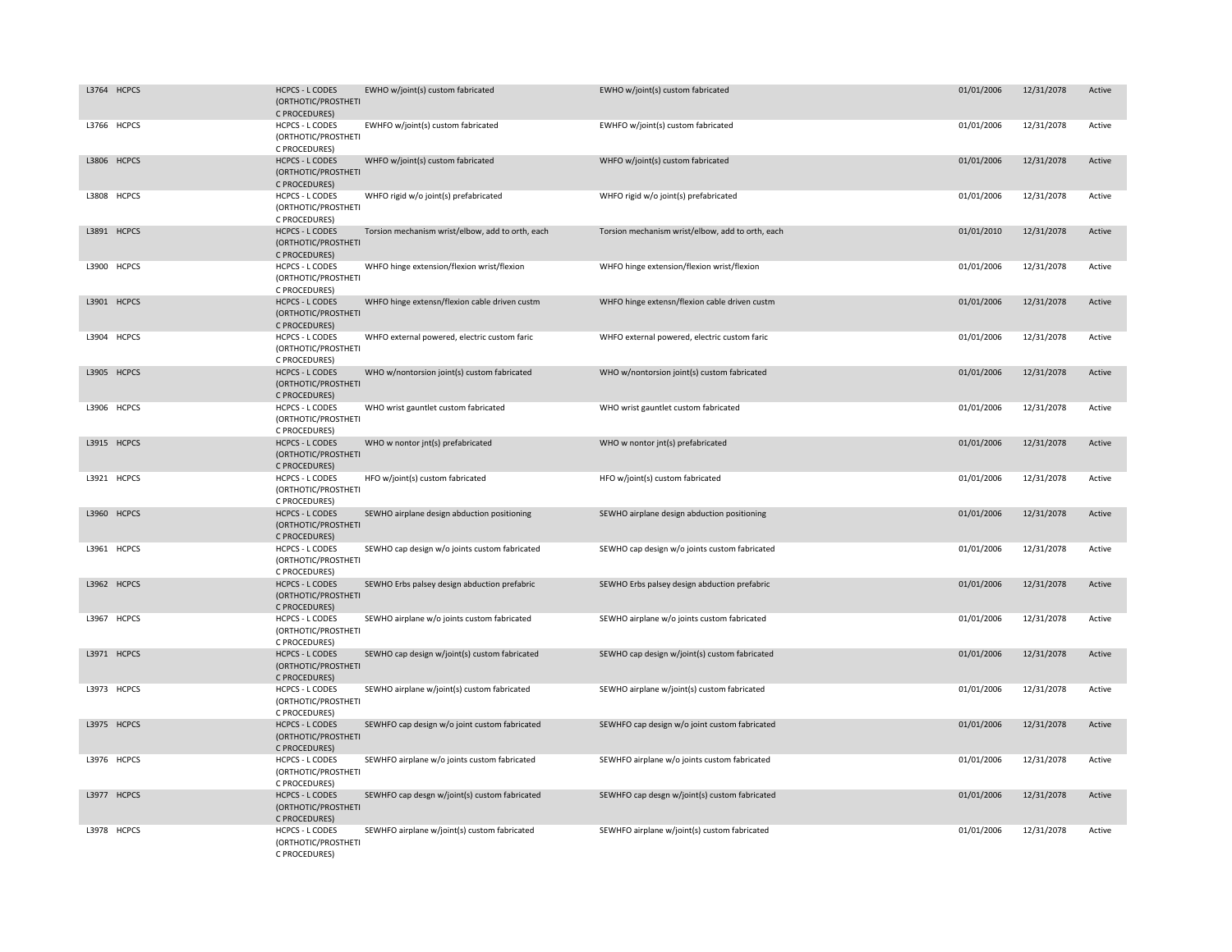| L3764 HCPCS | <b>HCPCS - L CODES</b><br>(ORTHOTIC/PROSTHETI<br>C PROCEDURES) | EWHO w/joint(s) custom fabricated                | EWHO w/joint(s) custom fabricated                | 01/01/2006 | 12/31/2078 | Active |
|-------------|----------------------------------------------------------------|--------------------------------------------------|--------------------------------------------------|------------|------------|--------|
| L3766 HCPCS | <b>HCPCS - L CODES</b><br>(ORTHOTIC/PROSTHETI<br>C PROCEDURES) | EWHFO w/joint(s) custom fabricated               | EWHFO w/joint(s) custom fabricated               | 01/01/2006 | 12/31/2078 | Active |
| L3806 HCPCS | <b>HCPCS - L CODES</b><br>(ORTHOTIC/PROSTHETI<br>C PROCEDURES) | WHFO w/joint(s) custom fabricated                | WHFO w/joint(s) custom fabricated                | 01/01/2006 | 12/31/2078 | Active |
| L3808 HCPCS | HCPCS - L CODES<br>(ORTHOTIC/PROSTHETI<br>C PROCEDURES)        | WHFO rigid w/o joint(s) prefabricated            | WHFO rigid w/o joint(s) prefabricated            | 01/01/2006 | 12/31/2078 | Active |
| L3891 HCPCS | <b>HCPCS - L CODES</b><br>(ORTHOTIC/PROSTHETI<br>C PROCEDURES) | Torsion mechanism wrist/elbow, add to orth, each | Torsion mechanism wrist/elbow, add to orth, each | 01/01/2010 | 12/31/2078 | Active |
| L3900 HCPCS | <b>HCPCS - L CODES</b><br>(ORTHOTIC/PROSTHETI<br>C PROCEDURES) | WHFO hinge extension/flexion wrist/flexion       | WHFO hinge extension/flexion wrist/flexion       | 01/01/2006 | 12/31/2078 | Active |
| L3901 HCPCS | <b>HCPCS - L CODES</b><br>(ORTHOTIC/PROSTHETI<br>C PROCEDURES) | WHFO hinge extensn/flexion cable driven custm    | WHFO hinge extensn/flexion cable driven custm    | 01/01/2006 | 12/31/2078 | Active |
| L3904 HCPCS | HCPCS - L CODES<br>(ORTHOTIC/PROSTHETI<br>C PROCEDURES)        | WHFO external powered, electric custom faric     | WHFO external powered, electric custom faric     | 01/01/2006 | 12/31/2078 | Active |
| L3905 HCPCS | <b>HCPCS - L CODES</b><br>(ORTHOTIC/PROSTHETI<br>C PROCEDURES) | WHO w/nontorsion joint(s) custom fabricated      | WHO w/nontorsion joint(s) custom fabricated      | 01/01/2006 | 12/31/2078 | Active |
| L3906 HCPCS | HCPCS - L CODES<br>(ORTHOTIC/PROSTHETI<br>C PROCEDURES)        | WHO wrist gauntlet custom fabricated             | WHO wrist gauntlet custom fabricated             | 01/01/2006 | 12/31/2078 | Active |
| L3915 HCPCS | <b>HCPCS - L CODES</b><br>(ORTHOTIC/PROSTHETI<br>C PROCEDURES) | WHO w nontor jnt(s) prefabricated                | WHO w nontor jnt(s) prefabricated                | 01/01/2006 | 12/31/2078 | Active |
| L3921 HCPCS | HCPCS - L CODES<br>(ORTHOTIC/PROSTHETI<br>C PROCEDURES)        | HFO w/joint(s) custom fabricated                 | HFO w/joint(s) custom fabricated                 | 01/01/2006 | 12/31/2078 | Active |
| L3960 HCPCS | <b>HCPCS - L CODES</b><br>(ORTHOTIC/PROSTHETI<br>C PROCEDURES) | SEWHO airplane design abduction positioning      | SEWHO airplane design abduction positioning      | 01/01/2006 | 12/31/2078 | Active |
| L3961 HCPCS | <b>HCPCS - L CODES</b><br>(ORTHOTIC/PROSTHETI<br>C PROCEDURES) | SEWHO cap design w/o joints custom fabricated    | SEWHO cap design w/o joints custom fabricated    | 01/01/2006 | 12/31/2078 | Active |
| L3962 HCPCS | <b>HCPCS - L CODES</b><br>(ORTHOTIC/PROSTHETI<br>C PROCEDURES) | SEWHO Erbs palsey design abduction prefabric     | SEWHO Erbs palsey design abduction prefabric     | 01/01/2006 | 12/31/2078 | Active |
| L3967 HCPCS | <b>HCPCS - L CODES</b><br>(ORTHOTIC/PROSTHETI<br>C PROCEDURES) | SEWHO airplane w/o joints custom fabricated      | SEWHO airplane w/o joints custom fabricated      | 01/01/2006 | 12/31/2078 | Active |
| L3971 HCPCS | <b>HCPCS - L CODES</b><br>(ORTHOTIC/PROSTHETI<br>C PROCEDURES) | SEWHO cap design w/joint(s) custom fabricated    | SEWHO cap design w/joint(s) custom fabricated    | 01/01/2006 | 12/31/2078 | Active |
| L3973 HCPCS | <b>HCPCS - L CODES</b><br>(ORTHOTIC/PROSTHETI<br>C PROCEDURES) | SEWHO airplane w/joint(s) custom fabricated      | SEWHO airplane w/joint(s) custom fabricated      | 01/01/2006 | 12/31/2078 | Active |
| L3975 HCPCS | <b>HCPCS - L CODES</b><br>(ORTHOTIC/PROSTHETI<br>C PROCEDURES) | SEWHFO cap design w/o joint custom fabricated    | SEWHFO cap design w/o joint custom fabricated    | 01/01/2006 | 12/31/2078 | Active |
| L3976 HCPCS | <b>HCPCS - L CODES</b><br>(ORTHOTIC/PROSTHETI<br>C PROCEDURES) | SEWHFO airplane w/o joints custom fabricated     | SEWHFO airplane w/o joints custom fabricated     | 01/01/2006 | 12/31/2078 | Active |
| L3977 HCPCS | <b>HCPCS - L CODES</b><br>(ORTHOTIC/PROSTHETI<br>C PROCEDURES) | SEWHFO cap desgn w/joint(s) custom fabricated    | SEWHFO cap desgn w/joint(s) custom fabricated    | 01/01/2006 | 12/31/2078 | Active |
| L3978 HCPCS | <b>HCPCS - L CODES</b><br>(ORTHOTIC/PROSTHETI<br>C PROCEDURES) | SEWHFO airplane w/joint(s) custom fabricated     | SEWHFO airplane w/joint(s) custom fabricated     | 01/01/2006 | 12/31/2078 | Active |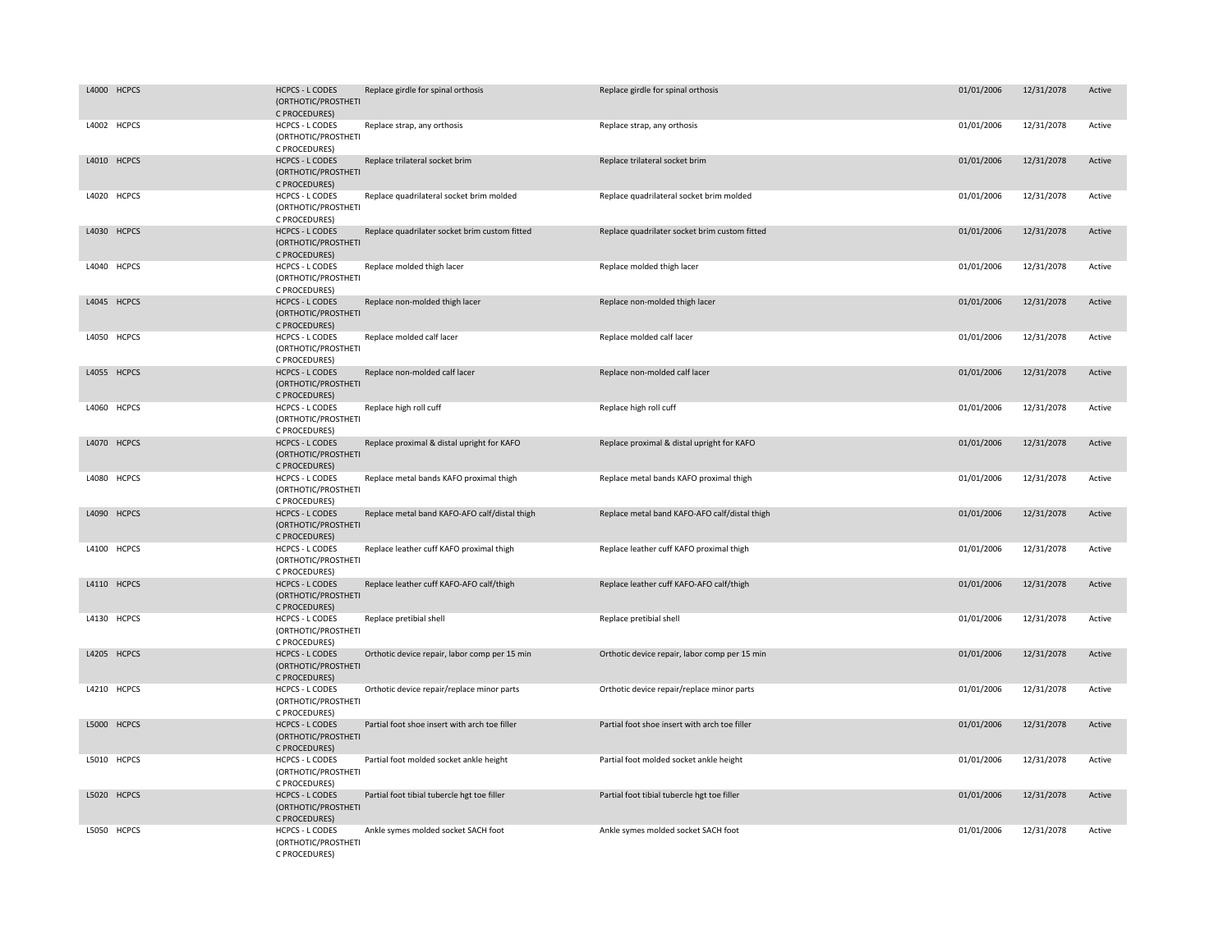| L4000 HCPCS | <b>HCPCS - L CODES</b><br>(ORTHOTIC/PROSTHETI<br>C PROCEDURES) | Replace girdle for spinal orthosis            | Replace girdle for spinal orthosis            | 01/01/2006 | 12/31/2078 | Active |
|-------------|----------------------------------------------------------------|-----------------------------------------------|-----------------------------------------------|------------|------------|--------|
| L4002 HCPCS | <b>HCPCS - L CODES</b><br>(ORTHOTIC/PROSTHETI<br>C PROCEDURES) | Replace strap, any orthosis                   | Replace strap, any orthosis                   | 01/01/2006 | 12/31/2078 | Active |
| L4010 HCPCS | <b>HCPCS - L CODES</b><br>(ORTHOTIC/PROSTHETI<br>C PROCEDURES) | Replace trilateral socket brim                | Replace trilateral socket brim                | 01/01/2006 | 12/31/2078 | Active |
| L4020 HCPCS | <b>HCPCS - L CODES</b><br>(ORTHOTIC/PROSTHETI<br>C PROCEDURES) | Replace quadrilateral socket brim molded      | Replace quadrilateral socket brim molded      | 01/01/2006 | 12/31/2078 | Active |
| L4030 HCPCS | <b>HCPCS - L CODES</b><br>(ORTHOTIC/PROSTHETI<br>C PROCEDURES) | Replace quadrilater socket brim custom fitted | Replace quadrilater socket brim custom fitted | 01/01/2006 | 12/31/2078 | Active |
| L4040 HCPCS | <b>HCPCS - L CODES</b><br>(ORTHOTIC/PROSTHETI<br>C PROCEDURES) | Replace molded thigh lacer                    | Replace molded thigh lacer                    | 01/01/2006 | 12/31/2078 | Active |
| L4045 HCPCS | <b>HCPCS - L CODES</b><br>(ORTHOTIC/PROSTHETI<br>C PROCEDURES) | Replace non-molded thigh lacer                | Replace non-molded thigh lacer                | 01/01/2006 | 12/31/2078 | Active |
| L4050 HCPCS | <b>HCPCS - L CODES</b><br>(ORTHOTIC/PROSTHETI<br>C PROCEDURES) | Replace molded calf lacer                     | Replace molded calf lacer                     | 01/01/2006 | 12/31/2078 | Active |
| L4055 HCPCS | <b>HCPCS - L CODES</b><br>(ORTHOTIC/PROSTHETI<br>C PROCEDURES) | Replace non-molded calf lacer                 | Replace non-molded calf lacer                 | 01/01/2006 | 12/31/2078 | Active |
| L4060 HCPCS | <b>HCPCS - L CODES</b><br>(ORTHOTIC/PROSTHETI<br>C PROCEDURES) | Replace high roll cuff                        | Replace high roll cuff                        | 01/01/2006 | 12/31/2078 | Active |
| L4070 HCPCS | <b>HCPCS - L CODES</b><br>(ORTHOTIC/PROSTHETI<br>C PROCEDURES) | Replace proximal & distal upright for KAFO    | Replace proximal & distal upright for KAFO    | 01/01/2006 | 12/31/2078 | Active |
| L4080 HCPCS | <b>HCPCS - L CODES</b><br>(ORTHOTIC/PROSTHETI<br>C PROCEDURES) | Replace metal bands KAFO proximal thigh       | Replace metal bands KAFO proximal thigh       | 01/01/2006 | 12/31/2078 | Active |
| L4090 HCPCS | <b>HCPCS - L CODES</b><br>(ORTHOTIC/PROSTHETI<br>C PROCEDURES) | Replace metal band KAFO-AFO calf/distal thigh | Replace metal band KAFO-AFO calf/distal thigh | 01/01/2006 | 12/31/2078 | Active |
| L4100 HCPCS | <b>HCPCS - L CODES</b><br>(ORTHOTIC/PROSTHETI<br>C PROCEDURES) | Replace leather cuff KAFO proximal thigh      | Replace leather cuff KAFO proximal thigh      | 01/01/2006 | 12/31/2078 | Active |
| L4110 HCPCS | <b>HCPCS - L CODES</b><br>(ORTHOTIC/PROSTHETI<br>C PROCEDURES) | Replace leather cuff KAFO-AFO calf/thigh      | Replace leather cuff KAFO-AFO calf/thigh      | 01/01/2006 | 12/31/2078 | Active |
| L4130 HCPCS | <b>HCPCS - L CODES</b><br>(ORTHOTIC/PROSTHETI<br>C PROCEDURES) | Replace pretibial shell                       | Replace pretibial shell                       | 01/01/2006 | 12/31/2078 | Active |
| L4205 HCPCS | <b>HCPCS - L CODES</b><br>(ORTHOTIC/PROSTHETI<br>C PROCEDURES) | Orthotic device repair, labor comp per 15 min | Orthotic device repair, labor comp per 15 min | 01/01/2006 | 12/31/2078 | Active |
| L4210 HCPCS | <b>HCPCS - L CODES</b><br>(ORTHOTIC/PROSTHETI<br>C PROCEDURES) | Orthotic device repair/replace minor parts    | Orthotic device repair/replace minor parts    | 01/01/2006 | 12/31/2078 | Active |
| L5000 HCPCS | <b>HCPCS - L CODES</b><br>(ORTHOTIC/PROSTHETI<br>C PROCEDURES) | Partial foot shoe insert with arch toe filler | Partial foot shoe insert with arch toe filler | 01/01/2006 | 12/31/2078 | Active |
| L5010 HCPCS | <b>HCPCS - L CODES</b><br>(ORTHOTIC/PROSTHETI<br>C PROCEDURES) | Partial foot molded socket ankle height       | Partial foot molded socket ankle height       | 01/01/2006 | 12/31/2078 | Active |
| L5020 HCPCS | <b>HCPCS - L CODES</b><br>(ORTHOTIC/PROSTHETI<br>C PROCEDURES) | Partial foot tibial tubercle hgt toe filler   | Partial foot tibial tubercle hgt toe filler   | 01/01/2006 | 12/31/2078 | Active |
| L5050 HCPCS | <b>HCPCS - L CODES</b><br>(ORTHOTIC/PROSTHETI<br>C PROCEDURES) | Ankle symes molded socket SACH foot           | Ankle symes molded socket SACH foot           | 01/01/2006 | 12/31/2078 | Active |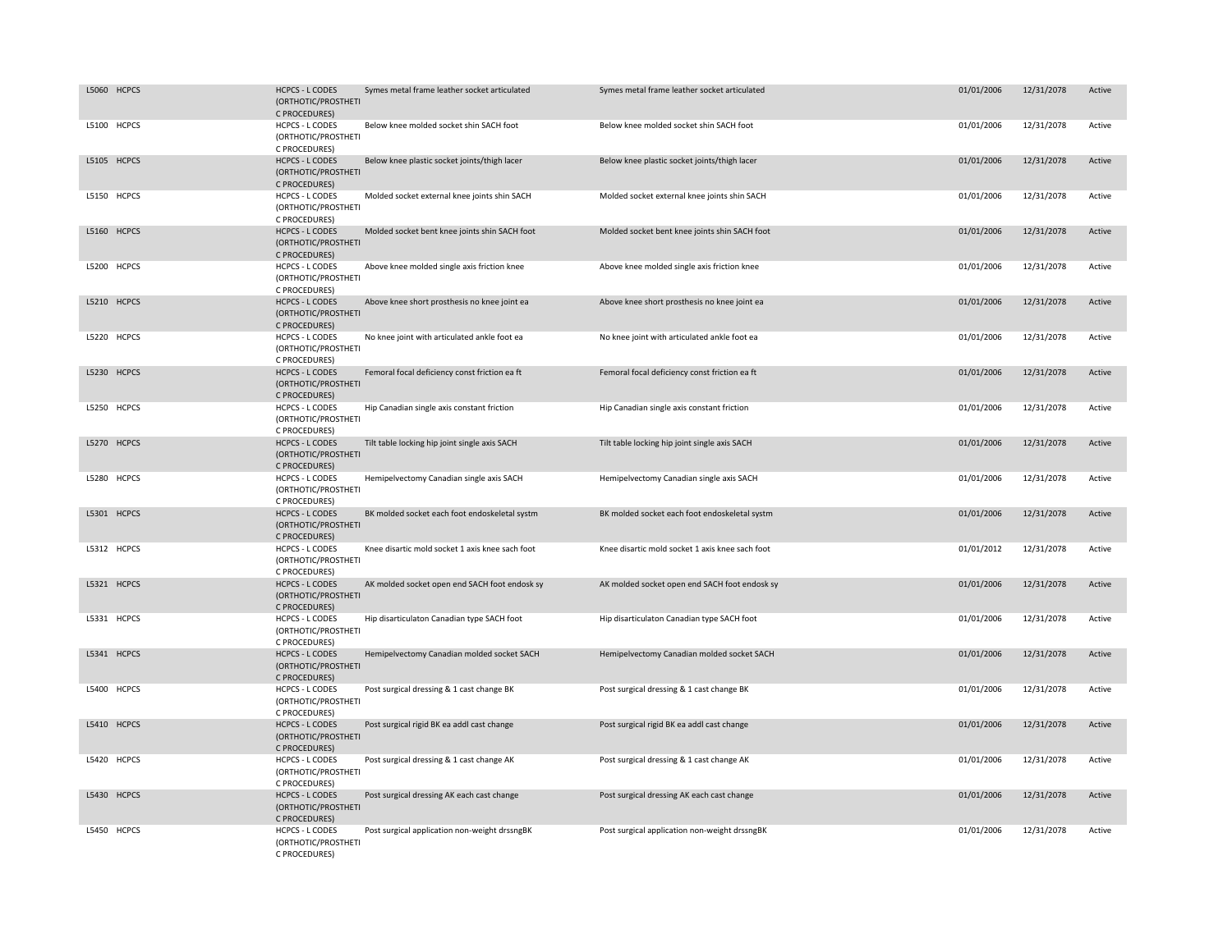| L5060 HCPCS | <b>HCPCS - L CODES</b><br>(ORTHOTIC/PROSTHETI                                   | Symes metal frame leather socket articulated    | Symes metal frame leather socket articulated    | 01/01/2006 | 12/31/2078 | Active |
|-------------|---------------------------------------------------------------------------------|-------------------------------------------------|-------------------------------------------------|------------|------------|--------|
| L5100 HCPCS | C PROCEDURES)<br><b>HCPCS - L CODES</b><br>(ORTHOTIC/PROSTHETI                  | Below knee molded socket shin SACH foot         | Below knee molded socket shin SACH foot         | 01/01/2006 | 12/31/2078 | Active |
| L5105 HCPCS | C PROCEDURES)<br><b>HCPCS - L CODES</b><br>(ORTHOTIC/PROSTHETI<br>C PROCEDURES) | Below knee plastic socket joints/thigh lacer    | Below knee plastic socket joints/thigh lacer    | 01/01/2006 | 12/31/2078 | Active |
| L5150 HCPCS | HCPCS - L CODES<br>(ORTHOTIC/PROSTHETI<br>C PROCEDURES)                         | Molded socket external knee joints shin SACH    | Molded socket external knee joints shin SACH    | 01/01/2006 | 12/31/2078 | Active |
| L5160 HCPCS | <b>HCPCS - L CODES</b><br>(ORTHOTIC/PROSTHETI<br>C PROCEDURES)                  | Molded socket bent knee joints shin SACH foot   | Molded socket bent knee joints shin SACH foot   | 01/01/2006 | 12/31/2078 | Active |
| L5200 HCPCS | <b>HCPCS - L CODES</b><br>(ORTHOTIC/PROSTHETI<br>C PROCEDURES)                  | Above knee molded single axis friction knee     | Above knee molded single axis friction knee     | 01/01/2006 | 12/31/2078 | Active |
| L5210 HCPCS | <b>HCPCS - L CODES</b><br>(ORTHOTIC/PROSTHETI<br>C PROCEDURES)                  | Above knee short prosthesis no knee joint ea    | Above knee short prosthesis no knee joint ea    | 01/01/2006 | 12/31/2078 | Active |
| L5220 HCPCS | <b>HCPCS - L CODES</b><br>(ORTHOTIC/PROSTHETI<br>C PROCEDURES)                  | No knee joint with articulated ankle foot ea    | No knee joint with articulated ankle foot ea    | 01/01/2006 | 12/31/2078 | Active |
| L5230 HCPCS | <b>HCPCS - L CODES</b><br>(ORTHOTIC/PROSTHETI<br>C PROCEDURES)                  | Femoral focal deficiency const friction ea ft   | Femoral focal deficiency const friction ea ft   | 01/01/2006 | 12/31/2078 | Active |
| L5250 HCPCS | HCPCS - L CODES<br>(ORTHOTIC/PROSTHETI<br>C PROCEDURES)                         | Hip Canadian single axis constant friction      | Hip Canadian single axis constant friction      | 01/01/2006 | 12/31/2078 | Active |
| L5270 HCPCS | <b>HCPCS - L CODES</b><br>(ORTHOTIC/PROSTHETI<br>C PROCEDURES)                  | Tilt table locking hip joint single axis SACH   | Tilt table locking hip joint single axis SACH   | 01/01/2006 | 12/31/2078 | Active |
| L5280 HCPCS | <b>HCPCS - L CODES</b><br>(ORTHOTIC/PROSTHETI<br>C PROCEDURES)                  | Hemipelvectomy Canadian single axis SACH        | Hemipelvectomy Canadian single axis SACH        | 01/01/2006 | 12/31/2078 | Active |
| L5301 HCPCS | <b>HCPCS - L CODES</b><br>(ORTHOTIC/PROSTHETI<br>C PROCEDURES)                  | BK molded socket each foot endoskeletal systm   | BK molded socket each foot endoskeletal systm   | 01/01/2006 | 12/31/2078 | Active |
| L5312 HCPCS | HCPCS - L CODES<br>(ORTHOTIC/PROSTHETI<br>C PROCEDURES)                         | Knee disartic mold socket 1 axis knee sach foot | Knee disartic mold socket 1 axis knee sach foot | 01/01/2012 | 12/31/2078 | Active |
| L5321 HCPCS | <b>HCPCS - L CODES</b><br>(ORTHOTIC/PROSTHETI<br>C PROCEDURES)                  | AK molded socket open end SACH foot endosk sy   | AK molded socket open end SACH foot endosk sy   | 01/01/2006 | 12/31/2078 | Active |
| L5331 HCPCS | <b>HCPCS - L CODES</b><br>(ORTHOTIC/PROSTHETI<br>C PROCEDURES)                  | Hip disarticulaton Canadian type SACH foot      | Hip disarticulaton Canadian type SACH foot      | 01/01/2006 | 12/31/2078 | Active |
| L5341 HCPCS | <b>HCPCS - L CODES</b><br>(ORTHOTIC/PROSTHETI<br>C PROCEDURES)                  | Hemipelvectomy Canadian molded socket SACH      | Hemipelvectomy Canadian molded socket SACH      | 01/01/2006 | 12/31/2078 | Active |
| L5400 HCPCS | <b>HCPCS - L CODES</b><br>(ORTHOTIC/PROSTHETI<br>C PROCEDURES)                  | Post surgical dressing & 1 cast change BK       | Post surgical dressing & 1 cast change BK       | 01/01/2006 | 12/31/2078 | Active |
| L5410 HCPCS | <b>HCPCS - L CODES</b><br>(ORTHOTIC/PROSTHETI<br>C PROCEDURES)                  | Post surgical rigid BK ea addl cast change      | Post surgical rigid BK ea addl cast change      | 01/01/2006 | 12/31/2078 | Active |
| L5420 HCPCS | <b>HCPCS - L CODES</b><br>(ORTHOTIC/PROSTHETI<br>C PROCEDURES)                  | Post surgical dressing & 1 cast change AK       | Post surgical dressing & 1 cast change AK       | 01/01/2006 | 12/31/2078 | Active |
| L5430 HCPCS | <b>HCPCS - L CODES</b><br>(ORTHOTIC/PROSTHETI<br>C PROCEDURES)                  | Post surgical dressing AK each cast change      | Post surgical dressing AK each cast change      | 01/01/2006 | 12/31/2078 | Active |
| L5450 HCPCS | <b>HCPCS - L CODES</b><br>(ORTHOTIC/PROSTHETI<br>C PROCEDURES)                  | Post surgical application non-weight drssngBK   | Post surgical application non-weight drssngBK   | 01/01/2006 | 12/31/2078 | Active |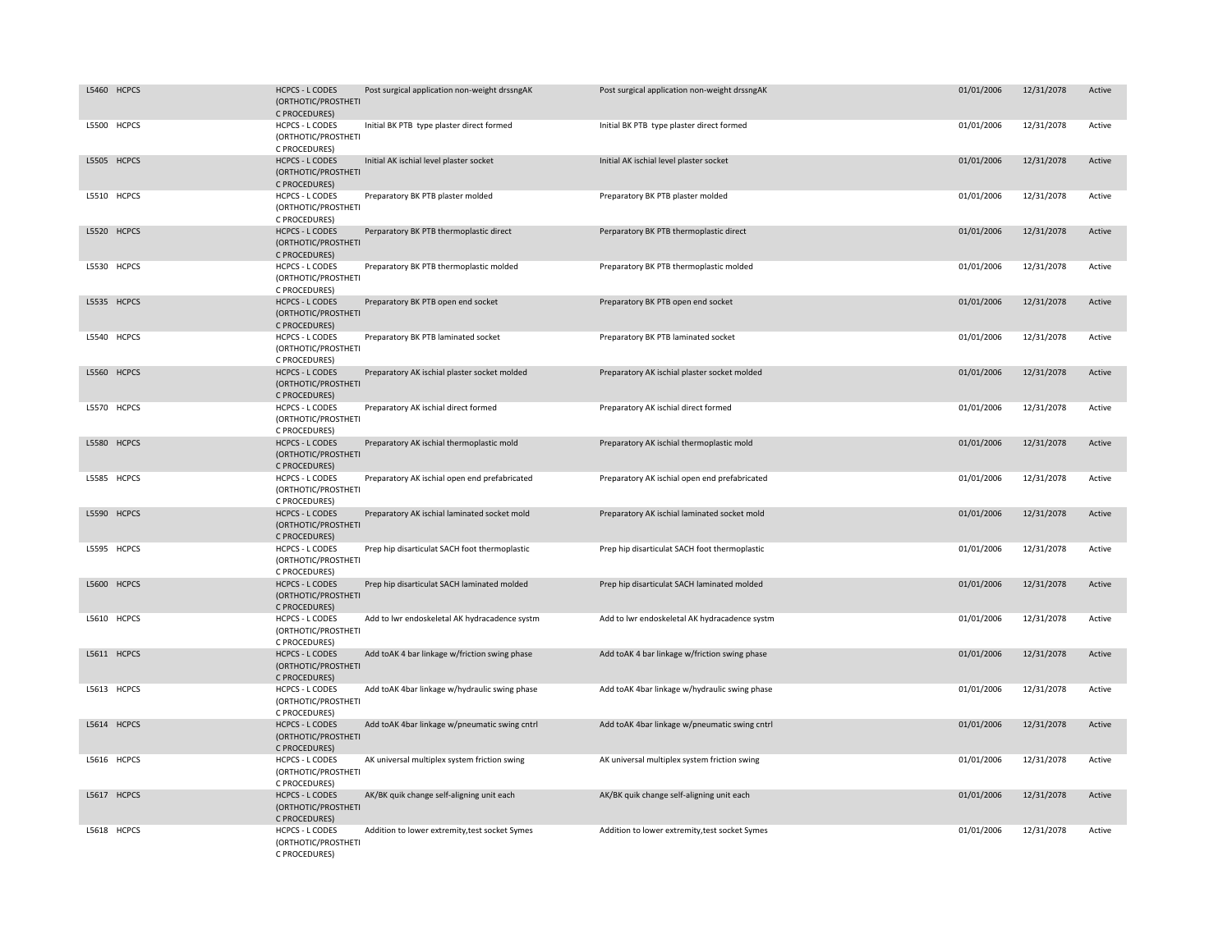| L5460 HCPCS | <b>HCPCS - L CODES</b><br>(ORTHOTIC/PROSTHETI<br>C PROCEDURES) | Post surgical application non-weight drssngAK  | Post surgical application non-weight drssngAK  | 01/01/2006 | 12/31/2078 | Active |
|-------------|----------------------------------------------------------------|------------------------------------------------|------------------------------------------------|------------|------------|--------|
| L5500 HCPCS | <b>HCPCS - L CODES</b><br>(ORTHOTIC/PROSTHETI<br>C PROCEDURES) | Initial BK PTB type plaster direct formed      | Initial BK PTB type plaster direct formed      | 01/01/2006 | 12/31/2078 | Active |
| L5505 HCPCS | <b>HCPCS - L CODES</b><br>(ORTHOTIC/PROSTHETI<br>C PROCEDURES) | Initial AK ischial level plaster socket        | Initial AK ischial level plaster socket        | 01/01/2006 | 12/31/2078 | Active |
| L5510 HCPCS | HCPCS - L CODES<br>(ORTHOTIC/PROSTHETI<br>C PROCEDURES)        | Preparatory BK PTB plaster molded              | Preparatory BK PTB plaster molded              | 01/01/2006 | 12/31/2078 | Active |
| L5520 HCPCS | <b>HCPCS - L CODES</b><br>(ORTHOTIC/PROSTHETI<br>C PROCEDURES) | Perparatory BK PTB thermoplastic direct        | Perparatory BK PTB thermoplastic direct        | 01/01/2006 | 12/31/2078 | Active |
| L5530 HCPCS | <b>HCPCS - L CODES</b><br>(ORTHOTIC/PROSTHETI<br>C PROCEDURES) | Preparatory BK PTB thermoplastic molded        | Preparatory BK PTB thermoplastic molded        | 01/01/2006 | 12/31/2078 | Active |
| L5535 HCPCS | <b>HCPCS - L CODES</b><br>(ORTHOTIC/PROSTHETI<br>C PROCEDURES) | Preparatory BK PTB open end socket             | Preparatory BK PTB open end socket             | 01/01/2006 | 12/31/2078 | Active |
| L5540 HCPCS | <b>HCPCS - L CODES</b><br>(ORTHOTIC/PROSTHETI<br>C PROCEDURES) | Preparatory BK PTB laminated socket            | Preparatory BK PTB laminated socket            | 01/01/2006 | 12/31/2078 | Active |
| L5560 HCPCS | <b>HCPCS - L CODES</b><br>(ORTHOTIC/PROSTHETI<br>C PROCEDURES) | Preparatory AK ischial plaster socket molded   | Preparatory AK ischial plaster socket molded   | 01/01/2006 | 12/31/2078 | Active |
| L5570 HCPCS | <b>HCPCS - L CODES</b><br>(ORTHOTIC/PROSTHETI<br>C PROCEDURES) | Preparatory AK ischial direct formed           | Preparatory AK ischial direct formed           | 01/01/2006 | 12/31/2078 | Active |
| L5580 HCPCS | <b>HCPCS - L CODES</b><br>(ORTHOTIC/PROSTHETI<br>C PROCEDURES) | Preparatory AK ischial thermoplastic mold      | Preparatory AK ischial thermoplastic mold      | 01/01/2006 | 12/31/2078 | Active |
| L5585 HCPCS | <b>HCPCS - L CODES</b><br>(ORTHOTIC/PROSTHETI<br>C PROCEDURES) | Preparatory AK ischial open end prefabricated  | Preparatory AK ischial open end prefabricated  | 01/01/2006 | 12/31/2078 | Active |
| L5590 HCPCS | <b>HCPCS - L CODES</b><br>(ORTHOTIC/PROSTHETI<br>C PROCEDURES) | Preparatory AK ischial laminated socket mold   | Preparatory AK ischial laminated socket mold   | 01/01/2006 | 12/31/2078 | Active |
| L5595 HCPCS | <b>HCPCS - L CODES</b><br>(ORTHOTIC/PROSTHETI<br>C PROCEDURES) | Prep hip disarticulat SACH foot thermoplastic  | Prep hip disarticulat SACH foot thermoplastic  | 01/01/2006 | 12/31/2078 | Active |
| L5600 HCPCS | <b>HCPCS - L CODES</b><br>(ORTHOTIC/PROSTHETI<br>C PROCEDURES) | Prep hip disarticulat SACH laminated molded    | Prep hip disarticulat SACH laminated molded    | 01/01/2006 | 12/31/2078 | Active |
| L5610 HCPCS | <b>HCPCS - L CODES</b><br>(ORTHOTIC/PROSTHETI<br>C PROCEDURES) | Add to lwr endoskeletal AK hydracadence systm  | Add to lwr endoskeletal AK hydracadence systm  | 01/01/2006 | 12/31/2078 | Active |
| L5611 HCPCS | <b>HCPCS - L CODES</b><br>(ORTHOTIC/PROSTHETI<br>C PROCEDURES) | Add toAK 4 bar linkage w/friction swing phase  | Add toAK 4 bar linkage w/friction swing phase  | 01/01/2006 | 12/31/2078 | Active |
| L5613 HCPCS | <b>HCPCS - L CODES</b><br>(ORTHOTIC/PROSTHETI<br>C PROCEDURES) | Add toAK 4bar linkage w/hydraulic swing phase  | Add toAK 4bar linkage w/hydraulic swing phase  | 01/01/2006 | 12/31/2078 | Active |
| L5614 HCPCS | <b>HCPCS - L CODES</b><br>(ORTHOTIC/PROSTHETI<br>C PROCEDURES) | Add toAK 4bar linkage w/pneumatic swing cntrl  | Add toAK 4bar linkage w/pneumatic swing cntrl  | 01/01/2006 | 12/31/2078 | Active |
| L5616 HCPCS | HCPCS - L CODES<br>(ORTHOTIC/PROSTHETI<br>C PROCEDURES)        | AK universal multiplex system friction swing   | AK universal multiplex system friction swing   | 01/01/2006 | 12/31/2078 | Active |
| L5617 HCPCS | <b>HCPCS - L CODES</b><br>(ORTHOTIC/PROSTHETI<br>C PROCEDURES) | AK/BK quik change self-aligning unit each      | AK/BK quik change self-aligning unit each      | 01/01/2006 | 12/31/2078 | Active |
| L5618 HCPCS | <b>HCPCS - L CODES</b><br>(ORTHOTIC/PROSTHETI<br>C PROCEDURES) | Addition to lower extremity, test socket Symes | Addition to lower extremity, test socket Symes | 01/01/2006 | 12/31/2078 | Active |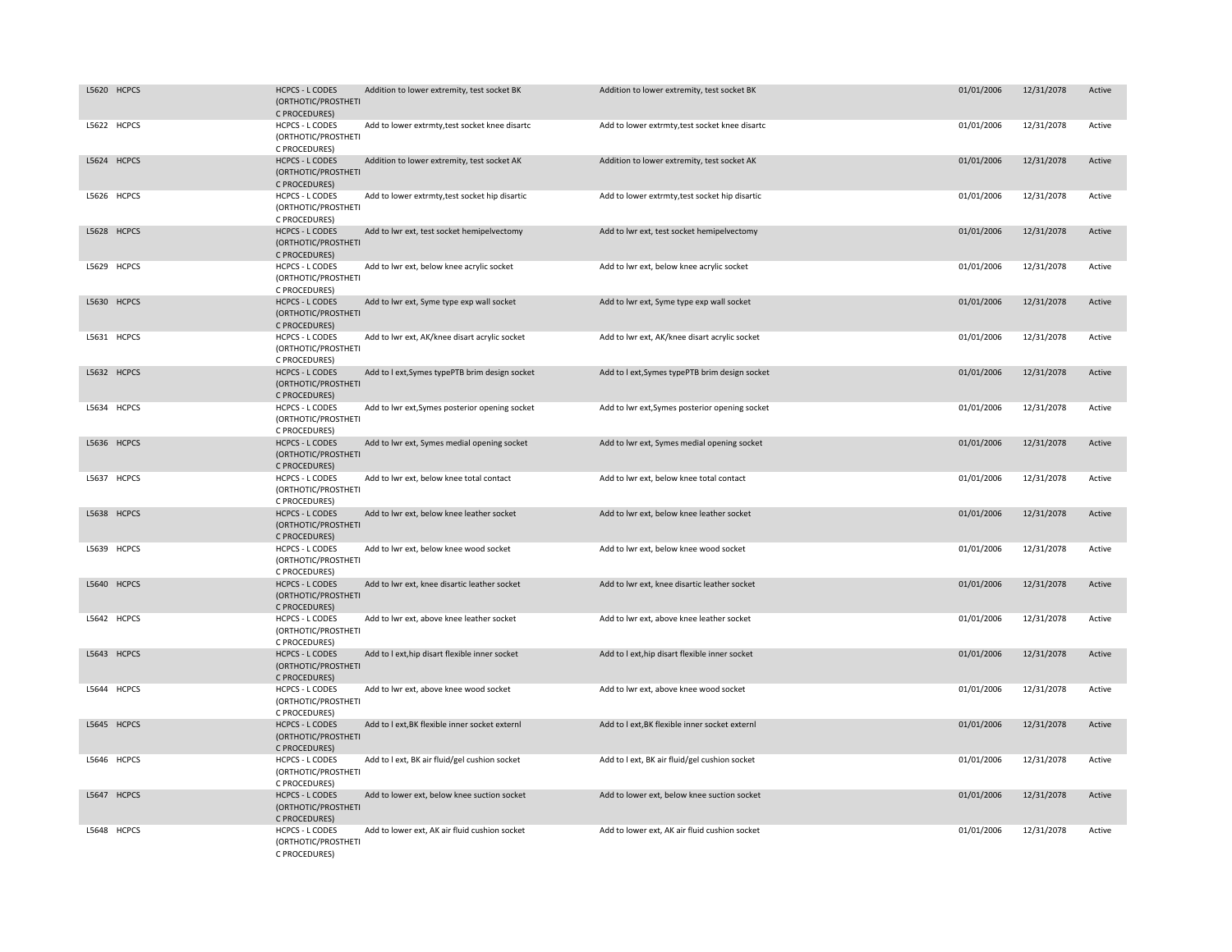| L5620 HCPCS | <b>HCPCS - L CODES</b><br>(ORTHOTIC/PROSTHETI<br>C PROCEDURES) | Addition to lower extremity, test socket BK    | Addition to lower extremity, test socket BK    | 01/01/2006 | 12/31/2078 | Active |
|-------------|----------------------------------------------------------------|------------------------------------------------|------------------------------------------------|------------|------------|--------|
| L5622 HCPCS | <b>HCPCS - L CODES</b><br>(ORTHOTIC/PROSTHETI<br>C PROCEDURES) | Add to lower extrmty, test socket knee disartc | Add to lower extrmty, test socket knee disartc | 01/01/2006 | 12/31/2078 | Active |
| L5624 HCPCS | <b>HCPCS - L CODES</b><br>(ORTHOTIC/PROSTHETI<br>C PROCEDURES) | Addition to lower extremity, test socket AK    | Addition to lower extremity, test socket AK    | 01/01/2006 | 12/31/2078 | Active |
| L5626 HCPCS | HCPCS - L CODES<br>(ORTHOTIC/PROSTHETI<br>C PROCEDURES)        | Add to lower extrmty, test socket hip disartic | Add to lower extrmty, test socket hip disartic | 01/01/2006 | 12/31/2078 | Active |
| L5628 HCPCS | <b>HCPCS - L CODES</b><br>(ORTHOTIC/PROSTHETI<br>C PROCEDURES) | Add to lwr ext, test socket hemipelvectomy     | Add to lwr ext, test socket hemipelvectomy     | 01/01/2006 | 12/31/2078 | Active |
| L5629 HCPCS | HCPCS - L CODES<br>(ORTHOTIC/PROSTHETI<br>C PROCEDURES)        | Add to lwr ext, below knee acrylic socket      | Add to lwr ext, below knee acrylic socket      | 01/01/2006 | 12/31/2078 | Active |
| L5630 HCPCS | <b>HCPCS - L CODES</b><br>(ORTHOTIC/PROSTHETI<br>C PROCEDURES) | Add to lwr ext, Syme type exp wall socket      | Add to lwr ext, Syme type exp wall socket      | 01/01/2006 | 12/31/2078 | Active |
| L5631 HCPCS | <b>HCPCS - L CODES</b><br>(ORTHOTIC/PROSTHETI<br>C PROCEDURES) | Add to lwr ext, AK/knee disart acrylic socket  | Add to lwr ext, AK/knee disart acrylic socket  | 01/01/2006 | 12/31/2078 | Active |
| L5632 HCPCS | <b>HCPCS - L CODES</b><br>(ORTHOTIC/PROSTHETI<br>C PROCEDURES) | Add to I ext, Symes typePTB brim design socket | Add to I ext, Symes typePTB brim design socket | 01/01/2006 | 12/31/2078 | Active |
| L5634 HCPCS | <b>HCPCS - L CODES</b><br>(ORTHOTIC/PROSTHETI<br>C PROCEDURES) | Add to lwr ext, Symes posterior opening socket | Add to lwr ext, Symes posterior opening socket | 01/01/2006 | 12/31/2078 | Active |
| L5636 HCPCS | <b>HCPCS - L CODES</b><br>(ORTHOTIC/PROSTHETI<br>C PROCEDURES) | Add to lwr ext, Symes medial opening socket    | Add to lwr ext, Symes medial opening socket    | 01/01/2006 | 12/31/2078 | Active |
| L5637 HCPCS | <b>HCPCS - L CODES</b><br>(ORTHOTIC/PROSTHETI<br>C PROCEDURES) | Add to lwr ext, below knee total contact       | Add to lwr ext, below knee total contact       | 01/01/2006 | 12/31/2078 | Active |
| L5638 HCPCS | <b>HCPCS - L CODES</b><br>(ORTHOTIC/PROSTHETI<br>C PROCEDURES) | Add to lwr ext, below knee leather socket      | Add to lwr ext, below knee leather socket      | 01/01/2006 | 12/31/2078 | Active |
| L5639 HCPCS | <b>HCPCS - L CODES</b><br>(ORTHOTIC/PROSTHETI<br>C PROCEDURES) | Add to lwr ext, below knee wood socket         | Add to lwr ext, below knee wood socket         | 01/01/2006 | 12/31/2078 | Active |
| L5640 HCPCS | <b>HCPCS - L CODES</b><br>(ORTHOTIC/PROSTHETI<br>C PROCEDURES) | Add to lwr ext, knee disartic leather socket   | Add to lwr ext, knee disartic leather socket   | 01/01/2006 | 12/31/2078 | Active |
| L5642 HCPCS | HCPCS - L CODES<br>(ORTHOTIC/PROSTHETI<br>C PROCEDURES)        | Add to lwr ext, above knee leather socket      | Add to lwr ext, above knee leather socket      | 01/01/2006 | 12/31/2078 | Active |
| L5643 HCPCS | <b>HCPCS - L CODES</b><br>(ORTHOTIC/PROSTHETI<br>C PROCEDURES) | Add to I ext, hip disart flexible inner socket | Add to I ext, hip disart flexible inner socket | 01/01/2006 | 12/31/2078 | Active |
| L5644 HCPCS | HCPCS - L CODES<br>(ORTHOTIC/PROSTHETI<br>C PROCEDURES)        | Add to lwr ext, above knee wood socket         | Add to lwr ext, above knee wood socket         | 01/01/2006 | 12/31/2078 | Active |
| L5645 HCPCS | <b>HCPCS - L CODES</b><br>(ORTHOTIC/PROSTHETI<br>C PROCEDURES) | Add to I ext, BK flexible inner socket externl | Add to I ext, BK flexible inner socket externl | 01/01/2006 | 12/31/2078 | Active |
| L5646 HCPCS | <b>HCPCS - L CODES</b><br>(ORTHOTIC/PROSTHETI<br>C PROCEDURES) | Add to I ext, BK air fluid/gel cushion socket  | Add to I ext, BK air fluid/gel cushion socket  | 01/01/2006 | 12/31/2078 | Active |
| L5647 HCPCS | <b>HCPCS - L CODES</b><br>(ORTHOTIC/PROSTHETI<br>C PROCEDURES) | Add to lower ext, below knee suction socket    | Add to lower ext, below knee suction socket    | 01/01/2006 | 12/31/2078 | Active |
| L5648 HCPCS | <b>HCPCS - L CODES</b><br>(ORTHOTIC/PROSTHETI<br>C PROCEDURES) | Add to lower ext, AK air fluid cushion socket  | Add to lower ext, AK air fluid cushion socket  | 01/01/2006 | 12/31/2078 | Active |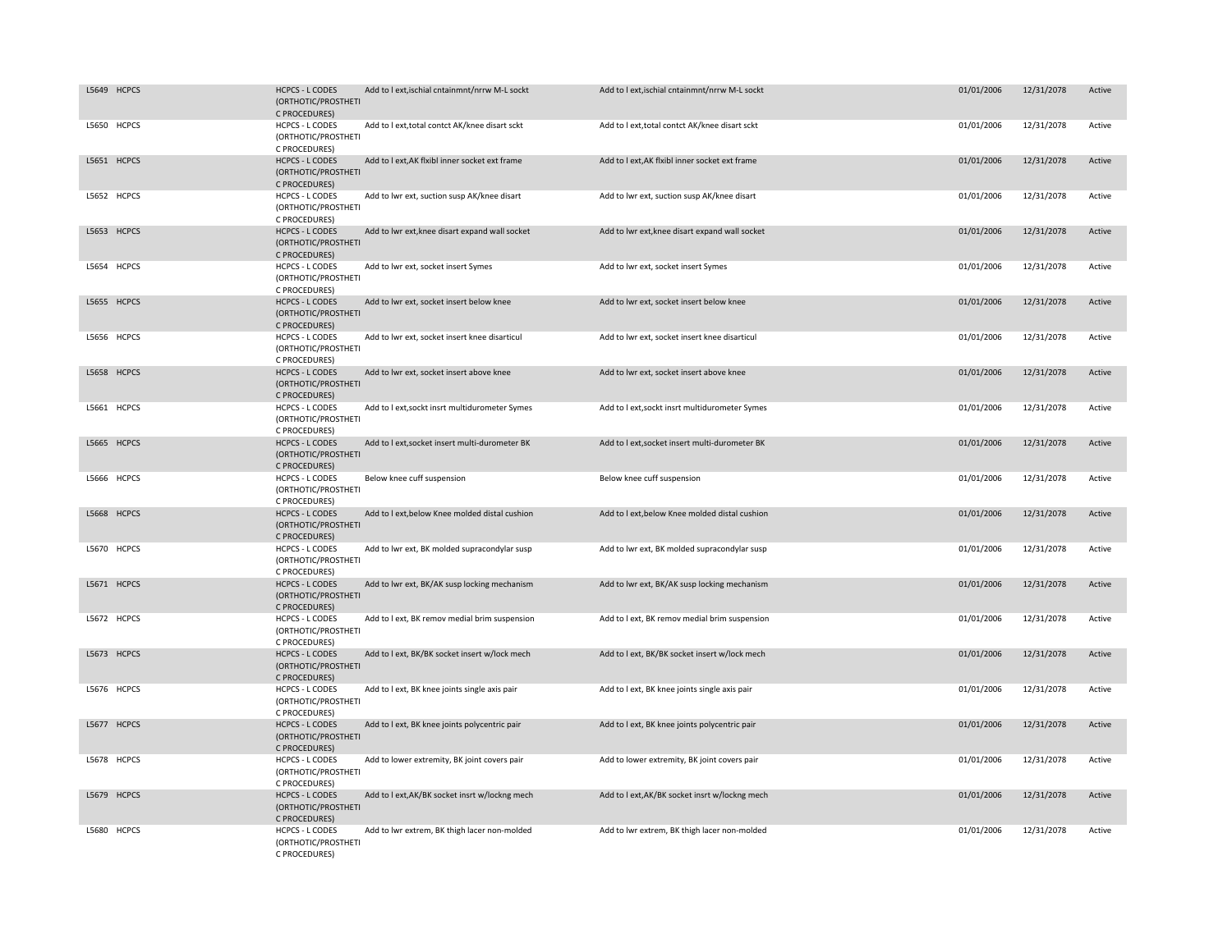| L5649 HCPCS | <b>HCPCS - L CODES</b><br>(ORTHOTIC/PROSTHETI<br>C PROCEDURES) | Add to I ext, is chial cntainmnt/nrrw M-L sockt | Add to I ext, ischial cntainmnt/nrrw M-L sockt | 01/01/2006 | 12/31/2078 | Active |
|-------------|----------------------------------------------------------------|-------------------------------------------------|------------------------------------------------|------------|------------|--------|
| L5650 HCPCS | <b>HCPCS - L CODES</b><br>(ORTHOTIC/PROSTHETI<br>C PROCEDURES) | Add to I ext, total contct AK/knee disart sckt  | Add to I ext, total contct AK/knee disart sckt | 01/01/2006 | 12/31/2078 | Active |
| L5651 HCPCS | <b>HCPCS - L CODES</b><br>(ORTHOTIC/PROSTHETI<br>C PROCEDURES) | Add to I ext, AK flxibl inner socket ext frame  | Add to I ext, AK flxibl inner socket ext frame | 01/01/2006 | 12/31/2078 | Active |
| L5652 HCPCS | HCPCS - L CODES<br>(ORTHOTIC/PROSTHETI<br>C PROCEDURES)        | Add to lwr ext, suction susp AK/knee disart     | Add to lwr ext, suction susp AK/knee disart    | 01/01/2006 | 12/31/2078 | Active |
| L5653 HCPCS | <b>HCPCS - L CODES</b><br>(ORTHOTIC/PROSTHETI<br>C PROCEDURES) | Add to lwr ext, knee disart expand wall socket  | Add to lwr ext, knee disart expand wall socket | 01/01/2006 | 12/31/2078 | Active |
| L5654 HCPCS | <b>HCPCS - L CODES</b><br>(ORTHOTIC/PROSTHETI<br>C PROCEDURES) | Add to lwr ext, socket insert Symes             | Add to lwr ext, socket insert Symes            | 01/01/2006 | 12/31/2078 | Active |
| L5655 HCPCS | <b>HCPCS - L CODES</b><br>(ORTHOTIC/PROSTHETI<br>C PROCEDURES) | Add to lwr ext, socket insert below knee        | Add to lwr ext, socket insert below knee       | 01/01/2006 | 12/31/2078 | Active |
| L5656 HCPCS | HCPCS - L CODES<br>(ORTHOTIC/PROSTHETI<br>C PROCEDURES)        | Add to lwr ext, socket insert knee disarticul   | Add to lwr ext, socket insert knee disarticul  | 01/01/2006 | 12/31/2078 | Active |
| L5658 HCPCS | <b>HCPCS - L CODES</b><br>(ORTHOTIC/PROSTHETI<br>C PROCEDURES) | Add to lwr ext, socket insert above knee        | Add to lwr ext, socket insert above knee       | 01/01/2006 | 12/31/2078 | Active |
| L5661 HCPCS | HCPCS - L CODES<br>(ORTHOTIC/PROSTHETI<br>C PROCEDURES)        | Add to I ext, sockt insrt multidurometer Symes  | Add to I ext, sockt insrt multidurometer Symes | 01/01/2006 | 12/31/2078 | Active |
| L5665 HCPCS | <b>HCPCS - L CODES</b><br>(ORTHOTIC/PROSTHETI<br>C PROCEDURES) | Add to I ext, socket insert multi-durometer BK  | Add to I ext, socket insert multi-durometer BK | 01/01/2006 | 12/31/2078 | Active |
| L5666 HCPCS | HCPCS - L CODES<br>(ORTHOTIC/PROSTHETI<br>C PROCEDURES)        | Below knee cuff suspension                      | Below knee cuff suspension                     | 01/01/2006 | 12/31/2078 | Active |
| L5668 HCPCS | <b>HCPCS - L CODES</b><br>(ORTHOTIC/PROSTHETI<br>C PROCEDURES) | Add to I ext, below Knee molded distal cushion  | Add to I ext, below Knee molded distal cushion | 01/01/2006 | 12/31/2078 | Active |
| L5670 HCPCS | <b>HCPCS - L CODES</b><br>(ORTHOTIC/PROSTHETI<br>C PROCEDURES) | Add to lwr ext, BK molded supracondylar susp    | Add to lwr ext, BK molded supracondylar susp   | 01/01/2006 | 12/31/2078 | Active |
| L5671 HCPCS | <b>HCPCS - L CODES</b><br>(ORTHOTIC/PROSTHETI<br>C PROCEDURES) | Add to lwr ext, BK/AK susp locking mechanism    | Add to lwr ext, BK/AK susp locking mechanism   | 01/01/2006 | 12/31/2078 | Active |
| L5672 HCPCS | <b>HCPCS - L CODES</b><br>(ORTHOTIC/PROSTHETI<br>C PROCEDURES) | Add to I ext, BK remov medial brim suspension   | Add to I ext, BK remov medial brim suspension  | 01/01/2006 | 12/31/2078 | Active |
| L5673 HCPCS | <b>HCPCS - L CODES</b><br>(ORTHOTIC/PROSTHETI<br>C PROCEDURES) | Add to I ext, BK/BK socket insert w/lock mech   | Add to I ext, BK/BK socket insert w/lock mech  | 01/01/2006 | 12/31/2078 | Active |
| L5676 HCPCS | <b>HCPCS - L CODES</b><br>(ORTHOTIC/PROSTHETI<br>C PROCEDURES) | Add to I ext, BK knee joints single axis pair   | Add to I ext, BK knee joints single axis pair  | 01/01/2006 | 12/31/2078 | Active |
| L5677 HCPCS | <b>HCPCS - L CODES</b><br>(ORTHOTIC/PROSTHETI<br>C PROCEDURES) | Add to I ext, BK knee joints polycentric pair   | Add to I ext, BK knee joints polycentric pair  | 01/01/2006 | 12/31/2078 | Active |
| L5678 HCPCS | HCPCS - L CODES<br>(ORTHOTIC/PROSTHETI<br>C PROCEDURES)        | Add to lower extremity, BK joint covers pair    | Add to lower extremity, BK joint covers pair   | 01/01/2006 | 12/31/2078 | Active |
| L5679 HCPCS | <b>HCPCS - L CODES</b><br>(ORTHOTIC/PROSTHETI<br>C PROCEDURES) | Add to I ext, AK/BK socket insrt w/lockng mech  | Add to I ext, AK/BK socket insrt w/lockng mech | 01/01/2006 | 12/31/2078 | Active |
| L5680 HCPCS | <b>HCPCS - L CODES</b><br>(ORTHOTIC/PROSTHETI<br>C PROCEDURES) | Add to lwr extrem, BK thigh lacer non-molded    | Add to lwr extrem, BK thigh lacer non-molded   | 01/01/2006 | 12/31/2078 | Active |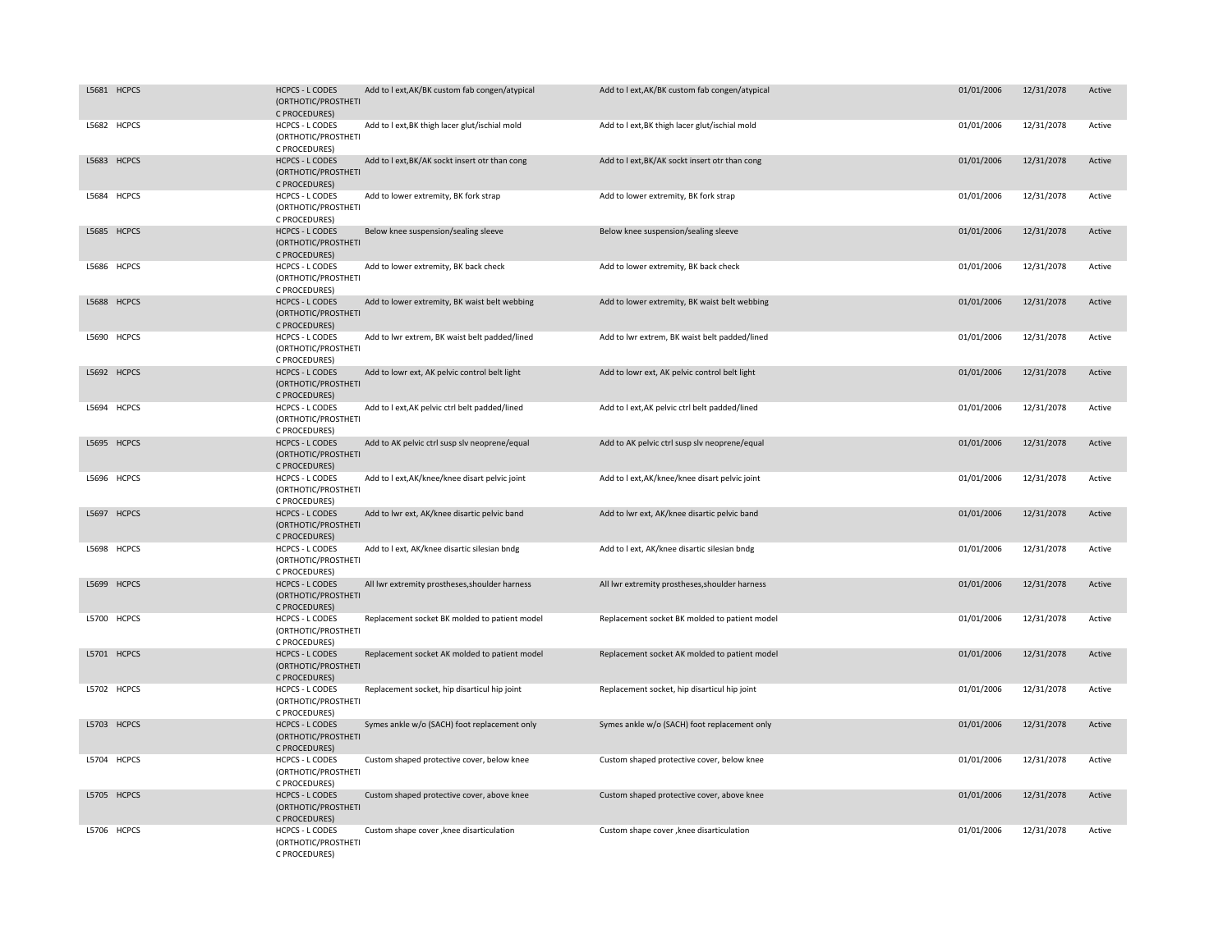| L5681 HCPCS | <b>HCPCS - L CODES</b><br>(ORTHOTIC/PROSTHETI<br>C PROCEDURES) | Add to I ext, AK/BK custom fab congen/atypical | Add to I ext, AK/BK custom fab congen/atypical | 01/01/2006 | 12/31/2078 | Active |
|-------------|----------------------------------------------------------------|------------------------------------------------|------------------------------------------------|------------|------------|--------|
| L5682 HCPCS | <b>HCPCS - L CODES</b><br>(ORTHOTIC/PROSTHETI<br>C PROCEDURES) | Add to I ext, BK thigh lacer glut/ischial mold | Add to I ext, BK thigh lacer glut/ischial mold | 01/01/2006 | 12/31/2078 | Active |
| L5683 HCPCS | <b>HCPCS - L CODES</b><br>(ORTHOTIC/PROSTHETI<br>C PROCEDURES) | Add to I ext, BK/AK sockt insert otr than cong | Add to I ext, BK/AK sockt insert otr than cong | 01/01/2006 | 12/31/2078 | Active |
| L5684 HCPCS | HCPCS - L CODES<br>(ORTHOTIC/PROSTHETI<br>C PROCEDURES)        | Add to lower extremity, BK fork strap          | Add to lower extremity, BK fork strap          | 01/01/2006 | 12/31/2078 | Active |
| L5685 HCPCS | <b>HCPCS - L CODES</b><br>(ORTHOTIC/PROSTHETI<br>C PROCEDURES) | Below knee suspension/sealing sleeve           | Below knee suspension/sealing sleeve           | 01/01/2006 | 12/31/2078 | Active |
| L5686 HCPCS | <b>HCPCS - L CODES</b><br>(ORTHOTIC/PROSTHETI<br>C PROCEDURES) | Add to lower extremity, BK back check          | Add to lower extremity, BK back check          | 01/01/2006 | 12/31/2078 | Active |
| L5688 HCPCS | <b>HCPCS - L CODES</b><br>(ORTHOTIC/PROSTHETI<br>C PROCEDURES) | Add to lower extremity, BK waist belt webbing  | Add to lower extremity, BK waist belt webbing  | 01/01/2006 | 12/31/2078 | Active |
| L5690 HCPCS | HCPCS - L CODES<br>(ORTHOTIC/PROSTHETI<br>C PROCEDURES)        | Add to lwr extrem, BK waist belt padded/lined  | Add to lwr extrem, BK waist belt padded/lined  | 01/01/2006 | 12/31/2078 | Active |
| L5692 HCPCS | <b>HCPCS - L CODES</b><br>(ORTHOTIC/PROSTHETI<br>C PROCEDURES) | Add to lowr ext, AK pelvic control belt light  | Add to lowr ext, AK pelvic control belt light  | 01/01/2006 | 12/31/2078 | Active |
| L5694 HCPCS | HCPCS - L CODES<br>(ORTHOTIC/PROSTHETI<br>C PROCEDURES)        | Add to I ext, AK pelvic ctrl belt padded/lined | Add to I ext, AK pelvic ctrl belt padded/lined | 01/01/2006 | 12/31/2078 | Active |
| L5695 HCPCS | <b>HCPCS - L CODES</b><br>(ORTHOTIC/PROSTHETI<br>C PROCEDURES) | Add to AK pelvic ctrl susp slv neoprene/equal  | Add to AK pelvic ctrl susp slv neoprene/equal  | 01/01/2006 | 12/31/2078 | Active |
| L5696 HCPCS | HCPCS - L CODES<br>(ORTHOTIC/PROSTHETI<br>C PROCEDURES)        | Add to I ext, AK/knee/knee disart pelvic joint | Add to I ext, AK/knee/knee disart pelvic joint | 01/01/2006 | 12/31/2078 | Active |
| L5697 HCPCS | <b>HCPCS - L CODES</b><br>(ORTHOTIC/PROSTHETI<br>C PROCEDURES) | Add to lwr ext, AK/knee disartic pelvic band   | Add to lwr ext, AK/knee disartic pelvic band   | 01/01/2006 | 12/31/2078 | Active |
| L5698 HCPCS | <b>HCPCS - L CODES</b><br>(ORTHOTIC/PROSTHETI<br>C PROCEDURES) | Add to I ext, AK/knee disartic silesian bndg   | Add to I ext, AK/knee disartic silesian bndg   | 01/01/2006 | 12/31/2078 | Active |
| L5699 HCPCS | <b>HCPCS - L CODES</b><br>(ORTHOTIC/PROSTHETI<br>C PROCEDURES) | All lwr extremity prostheses, shoulder harness | All lwr extremity prostheses, shoulder harness | 01/01/2006 | 12/31/2078 | Active |
| L5700 HCPCS | <b>HCPCS - L CODES</b><br>(ORTHOTIC/PROSTHETI<br>C PROCEDURES) | Replacement socket BK molded to patient model  | Replacement socket BK molded to patient model  | 01/01/2006 | 12/31/2078 | Active |
| L5701 HCPCS | <b>HCPCS - L CODES</b><br>(ORTHOTIC/PROSTHETI<br>C PROCEDURES) | Replacement socket AK molded to patient model  | Replacement socket AK molded to patient model  | 01/01/2006 | 12/31/2078 | Active |
| L5702 HCPCS | <b>HCPCS - L CODES</b><br>(ORTHOTIC/PROSTHETI<br>C PROCEDURES) | Replacement socket, hip disarticul hip joint   | Replacement socket, hip disarticul hip joint   | 01/01/2006 | 12/31/2078 | Active |
| L5703 HCPCS | <b>HCPCS - L CODES</b><br>(ORTHOTIC/PROSTHETI<br>C PROCEDURES) | Symes ankle w/o (SACH) foot replacement only   | Symes ankle w/o (SACH) foot replacement only   | 01/01/2006 | 12/31/2078 | Active |
| L5704 HCPCS | HCPCS - L CODES<br>(ORTHOTIC/PROSTHETI<br>C PROCEDURES)        | Custom shaped protective cover, below knee     | Custom shaped protective cover, below knee     | 01/01/2006 | 12/31/2078 | Active |
| L5705 HCPCS | <b>HCPCS - L CODES</b><br>(ORTHOTIC/PROSTHETI<br>C PROCEDURES) | Custom shaped protective cover, above knee     | Custom shaped protective cover, above knee     | 01/01/2006 | 12/31/2078 | Active |
| L5706 HCPCS | <b>HCPCS - L CODES</b><br>(ORTHOTIC/PROSTHETI<br>C PROCEDURES) | Custom shape cover , knee disarticulation      | Custom shape cover , knee disarticulation      | 01/01/2006 | 12/31/2078 | Active |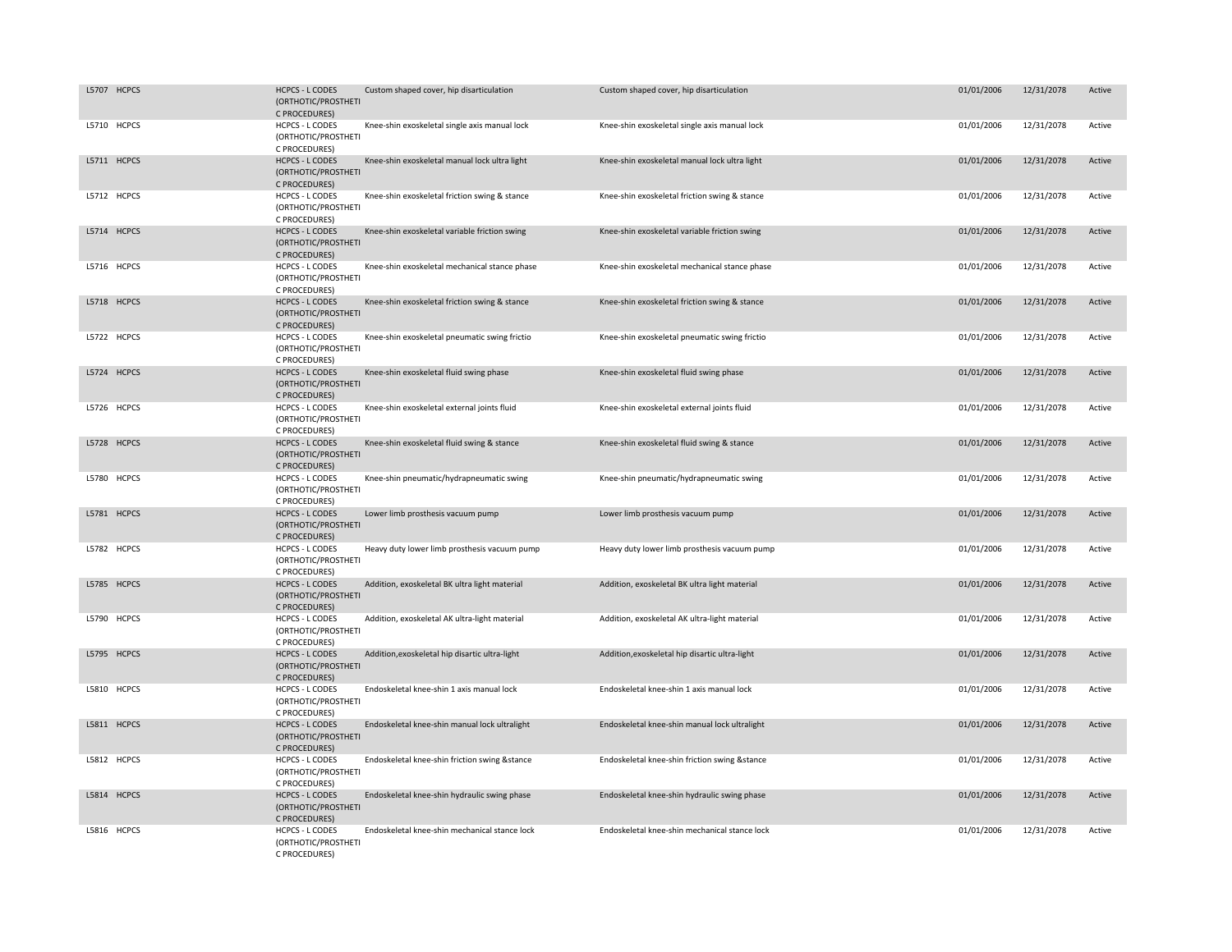| L5707 HCPCS | <b>HCPCS - L CODES</b><br>(ORTHOTIC/PROSTHETI<br>C PROCEDURES) | Custom shaped cover, hip disarticulation       | Custom shaped cover, hip disarticulation       | 01/01/2006 | 12/31/2078 | Active |
|-------------|----------------------------------------------------------------|------------------------------------------------|------------------------------------------------|------------|------------|--------|
| L5710 HCPCS | <b>HCPCS - L CODES</b><br>(ORTHOTIC/PROSTHETI<br>C PROCEDURES) | Knee-shin exoskeletal single axis manual lock  | Knee-shin exoskeletal single axis manual lock  | 01/01/2006 | 12/31/2078 | Active |
| L5711 HCPCS | <b>HCPCS - L CODES</b><br>(ORTHOTIC/PROSTHETI<br>C PROCEDURES) | Knee-shin exoskeletal manual lock ultra light  | Knee-shin exoskeletal manual lock ultra light  | 01/01/2006 | 12/31/2078 | Active |
| L5712 HCPCS | HCPCS - L CODES<br>(ORTHOTIC/PROSTHETI<br>C PROCEDURES)        | Knee-shin exoskeletal friction swing & stance  | Knee-shin exoskeletal friction swing & stance  | 01/01/2006 | 12/31/2078 | Active |
| L5714 HCPCS | <b>HCPCS - L CODES</b><br>(ORTHOTIC/PROSTHETI<br>C PROCEDURES) | Knee-shin exoskeletal variable friction swing  | Knee-shin exoskeletal variable friction swing  | 01/01/2006 | 12/31/2078 | Active |
| L5716 HCPCS | <b>HCPCS - L CODES</b><br>(ORTHOTIC/PROSTHETI<br>C PROCEDURES) | Knee-shin exoskeletal mechanical stance phase  | Knee-shin exoskeletal mechanical stance phase  | 01/01/2006 | 12/31/2078 | Active |
| L5718 HCPCS | <b>HCPCS - L CODES</b><br>(ORTHOTIC/PROSTHETI<br>C PROCEDURES) | Knee-shin exoskeletal friction swing & stance  | Knee-shin exoskeletal friction swing & stance  | 01/01/2006 | 12/31/2078 | Active |
| L5722 HCPCS | HCPCS - L CODES<br>(ORTHOTIC/PROSTHETI<br>C PROCEDURES)        | Knee-shin exoskeletal pneumatic swing frictio  | Knee-shin exoskeletal pneumatic swing frictio  | 01/01/2006 | 12/31/2078 | Active |
| L5724 HCPCS | <b>HCPCS - L CODES</b><br>(ORTHOTIC/PROSTHETI<br>C PROCEDURES) | Knee-shin exoskeletal fluid swing phase        | Knee-shin exoskeletal fluid swing phase        | 01/01/2006 | 12/31/2078 | Active |
| L5726 HCPCS | HCPCS - L CODES<br>(ORTHOTIC/PROSTHETI<br>C PROCEDURES)        | Knee-shin exoskeletal external joints fluid    | Knee-shin exoskeletal external joints fluid    | 01/01/2006 | 12/31/2078 | Active |
| L5728 HCPCS | <b>HCPCS - L CODES</b><br>(ORTHOTIC/PROSTHETI<br>C PROCEDURES) | Knee-shin exoskeletal fluid swing & stance     | Knee-shin exoskeletal fluid swing & stance     | 01/01/2006 | 12/31/2078 | Active |
| L5780 HCPCS | HCPCS - L CODES<br>(ORTHOTIC/PROSTHETI<br>C PROCEDURES)        | Knee-shin pneumatic/hydrapneumatic swing       | Knee-shin pneumatic/hydrapneumatic swing       | 01/01/2006 | 12/31/2078 | Active |
| L5781 HCPCS | <b>HCPCS - L CODES</b><br>(ORTHOTIC/PROSTHETI<br>C PROCEDURES) | Lower limb prosthesis vacuum pump              | Lower limb prosthesis vacuum pump              | 01/01/2006 | 12/31/2078 | Active |
| L5782 HCPCS | HCPCS - L CODES<br>(ORTHOTIC/PROSTHETI<br>C PROCEDURES)        | Heavy duty lower limb prosthesis vacuum pump   | Heavy duty lower limb prosthesis vacuum pump   | 01/01/2006 | 12/31/2078 | Active |
| L5785 HCPCS | <b>HCPCS - L CODES</b><br>(ORTHOTIC/PROSTHETI<br>C PROCEDURES) | Addition, exoskeletal BK ultra light material  | Addition, exoskeletal BK ultra light material  | 01/01/2006 | 12/31/2078 | Active |
| L5790 HCPCS | <b>HCPCS - L CODES</b><br>(ORTHOTIC/PROSTHETI<br>C PROCEDURES) | Addition, exoskeletal AK ultra-light material  | Addition, exoskeletal AK ultra-light material  | 01/01/2006 | 12/31/2078 | Active |
| L5795 HCPCS | <b>HCPCS - L CODES</b><br>(ORTHOTIC/PROSTHETI<br>C PROCEDURES) | Addition, exoskeletal hip disartic ultra-light | Addition, exoskeletal hip disartic ultra-light | 01/01/2006 | 12/31/2078 | Active |
| L5810 HCPCS | <b>HCPCS - L CODES</b><br>(ORTHOTIC/PROSTHETI<br>C PROCEDURES) | Endoskeletal knee-shin 1 axis manual lock      | Endoskeletal knee-shin 1 axis manual lock      | 01/01/2006 | 12/31/2078 | Active |
| L5811 HCPCS | <b>HCPCS - L CODES</b><br>(ORTHOTIC/PROSTHETI<br>C PROCEDURES) | Endoskeletal knee-shin manual lock ultralight  | Endoskeletal knee-shin manual lock ultralight  | 01/01/2006 | 12/31/2078 | Active |
| L5812 HCPCS | HCPCS - L CODES<br>(ORTHOTIC/PROSTHETI<br>C PROCEDURES)        | Endoskeletal knee-shin friction swing &stance  | Endoskeletal knee-shin friction swing &stance  | 01/01/2006 | 12/31/2078 | Active |
| L5814 HCPCS | <b>HCPCS - L CODES</b><br>(ORTHOTIC/PROSTHETI<br>C PROCEDURES) | Endoskeletal knee-shin hydraulic swing phase   | Endoskeletal knee-shin hydraulic swing phase   | 01/01/2006 | 12/31/2078 | Active |
| L5816 HCPCS | <b>HCPCS - L CODES</b><br>(ORTHOTIC/PROSTHETI<br>C PROCEDURES) | Endoskeletal knee-shin mechanical stance lock  | Endoskeletal knee-shin mechanical stance lock  | 01/01/2006 | 12/31/2078 | Active |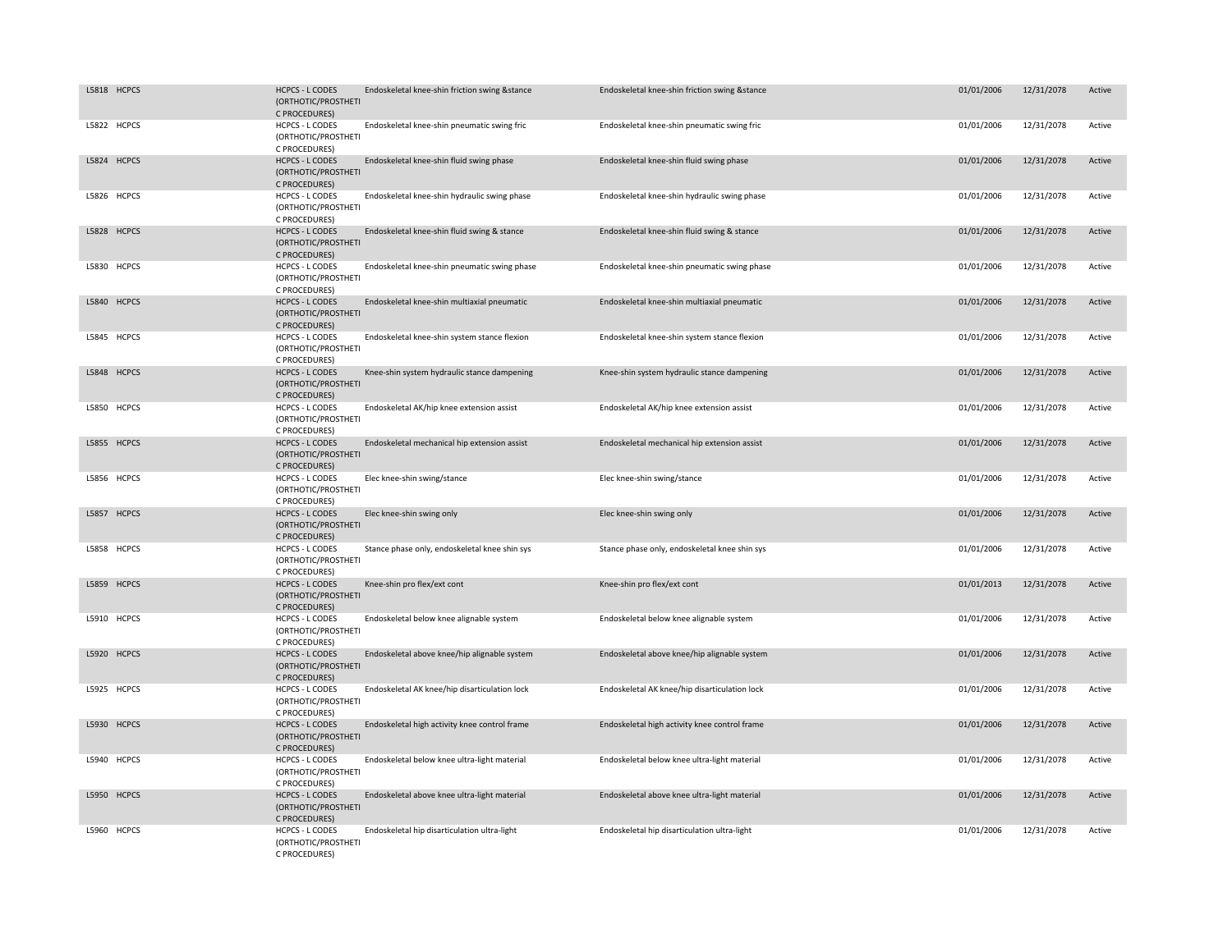| L5818 HCPCS | <b>HCPCS - L CODES</b><br>(ORTHOTIC/PROSTHETI<br>C PROCEDURES) | Endoskeletal knee-shin friction swing &stance | Endoskeletal knee-shin friction swing &stance | 01/01/2006 | 12/31/2078 | Active |
|-------------|----------------------------------------------------------------|-----------------------------------------------|-----------------------------------------------|------------|------------|--------|
| L5822 HCPCS | <b>HCPCS - L CODES</b><br>(ORTHOTIC/PROSTHETI<br>C PROCEDURES) | Endoskeletal knee-shin pneumatic swing fric   | Endoskeletal knee-shin pneumatic swing fric   | 01/01/2006 | 12/31/2078 | Active |
| L5824 HCPCS | <b>HCPCS - L CODES</b><br>(ORTHOTIC/PROSTHETI<br>C PROCEDURES) | Endoskeletal knee-shin fluid swing phase      | Endoskeletal knee-shin fluid swing phase      | 01/01/2006 | 12/31/2078 | Active |
| L5826 HCPCS | HCPCS - L CODES<br>(ORTHOTIC/PROSTHETI<br>C PROCEDURES)        | Endoskeletal knee-shin hydraulic swing phase  | Endoskeletal knee-shin hydraulic swing phase  | 01/01/2006 | 12/31/2078 | Active |
| L5828 HCPCS | <b>HCPCS - L CODES</b><br>(ORTHOTIC/PROSTHETI<br>C PROCEDURES) | Endoskeletal knee-shin fluid swing & stance   | Endoskeletal knee-shin fluid swing & stance   | 01/01/2006 | 12/31/2078 | Active |
| L5830 HCPCS | <b>HCPCS - L CODES</b><br>(ORTHOTIC/PROSTHETI<br>C PROCEDURES) | Endoskeletal knee-shin pneumatic swing phase  | Endoskeletal knee-shin pneumatic swing phase  | 01/01/2006 | 12/31/2078 | Active |
| L5840 HCPCS | <b>HCPCS - L CODES</b><br>(ORTHOTIC/PROSTHETI<br>C PROCEDURES) | Endoskeletal knee-shin multiaxial pneumatic   | Endoskeletal knee-shin multiaxial pneumatic   | 01/01/2006 | 12/31/2078 | Active |
| L5845 HCPCS | HCPCS - L CODES<br>(ORTHOTIC/PROSTHETI<br>C PROCEDURES)        | Endoskeletal knee-shin system stance flexion  | Endoskeletal knee-shin system stance flexion  | 01/01/2006 | 12/31/2078 | Active |
| L5848 HCPCS | <b>HCPCS - L CODES</b><br>(ORTHOTIC/PROSTHETI<br>C PROCEDURES) | Knee-shin system hydraulic stance dampening   | Knee-shin system hydraulic stance dampening   | 01/01/2006 | 12/31/2078 | Active |
| L5850 HCPCS | HCPCS - L CODES<br>(ORTHOTIC/PROSTHETI<br>C PROCEDURES)        | Endoskeletal AK/hip knee extension assist     | Endoskeletal AK/hip knee extension assist     | 01/01/2006 | 12/31/2078 | Active |
| L5855 HCPCS | <b>HCPCS - L CODES</b><br>(ORTHOTIC/PROSTHETI<br>C PROCEDURES) | Endoskeletal mechanical hip extension assist  | Endoskeletal mechanical hip extension assist  | 01/01/2006 | 12/31/2078 | Active |
| L5856 HCPCS | <b>HCPCS - L CODES</b><br>(ORTHOTIC/PROSTHETI<br>C PROCEDURES) | Elec knee-shin swing/stance                   | Elec knee-shin swing/stance                   | 01/01/2006 | 12/31/2078 | Active |
| L5857 HCPCS | <b>HCPCS - L CODES</b><br>(ORTHOTIC/PROSTHETI<br>C PROCEDURES) | Elec knee-shin swing only                     | Elec knee-shin swing only                     | 01/01/2006 | 12/31/2078 | Active |
| L5858 HCPCS | HCPCS - L CODES<br>(ORTHOTIC/PROSTHETI<br>C PROCEDURES)        | Stance phase only, endoskeletal knee shin sys | Stance phase only, endoskeletal knee shin sys | 01/01/2006 | 12/31/2078 | Active |
| L5859 HCPCS | <b>HCPCS - L CODES</b><br>(ORTHOTIC/PROSTHETI<br>C PROCEDURES) | Knee-shin pro flex/ext cont                   | Knee-shin pro flex/ext cont                   | 01/01/2013 | 12/31/2078 | Active |
| L5910 HCPCS | <b>HCPCS - L CODES</b><br>(ORTHOTIC/PROSTHETI<br>C PROCEDURES) | Endoskeletal below knee alignable system      | Endoskeletal below knee alignable system      | 01/01/2006 | 12/31/2078 | Active |
| L5920 HCPCS | <b>HCPCS - L CODES</b><br>(ORTHOTIC/PROSTHETI<br>C PROCEDURES) | Endoskeletal above knee/hip alignable system  | Endoskeletal above knee/hip alignable system  | 01/01/2006 | 12/31/2078 | Active |
| L5925 HCPCS | <b>HCPCS - L CODES</b><br>(ORTHOTIC/PROSTHETI<br>C PROCEDURES) | Endoskeletal AK knee/hip disarticulation lock | Endoskeletal AK knee/hip disarticulation lock | 01/01/2006 | 12/31/2078 | Active |
| L5930 HCPCS | <b>HCPCS - L CODES</b><br>(ORTHOTIC/PROSTHETI<br>C PROCEDURES) | Endoskeletal high activity knee control frame | Endoskeletal high activity knee control frame | 01/01/2006 | 12/31/2078 | Active |
| L5940 HCPCS | <b>HCPCS - L CODES</b><br>(ORTHOTIC/PROSTHETI<br>C PROCEDURES) | Endoskeletal below knee ultra-light material  | Endoskeletal below knee ultra-light material  | 01/01/2006 | 12/31/2078 | Active |
| L5950 HCPCS | <b>HCPCS - L CODES</b><br>(ORTHOTIC/PROSTHETI<br>C PROCEDURES) | Endoskeletal above knee ultra-light material  | Endoskeletal above knee ultra-light material  | 01/01/2006 | 12/31/2078 | Active |
| L5960 HCPCS | <b>HCPCS - L CODES</b><br>(ORTHOTIC/PROSTHETI<br>C PROCEDURES) | Endoskeletal hip disarticulation ultra-light  | Endoskeletal hip disarticulation ultra-light  | 01/01/2006 | 12/31/2078 | Active |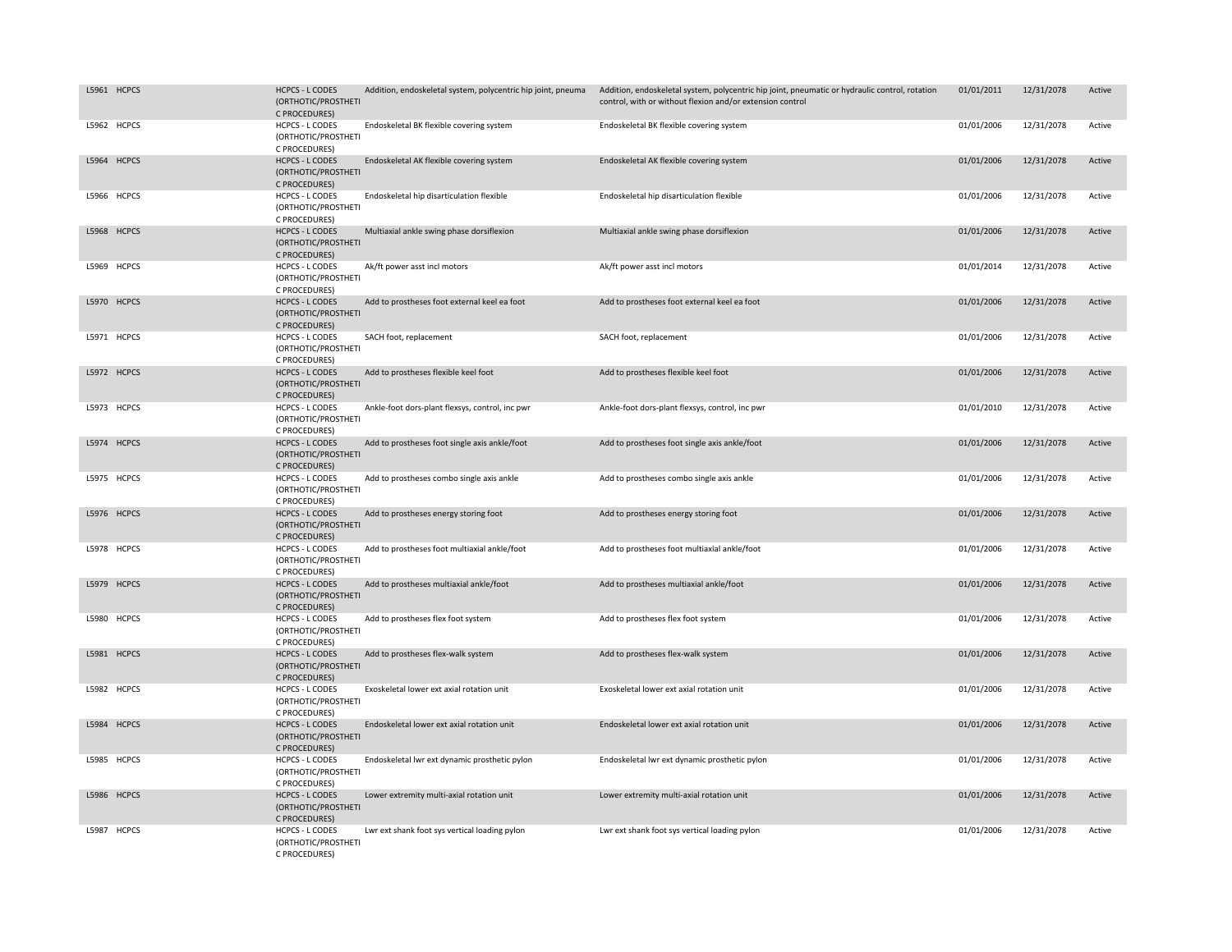| L5961 HCPCS | <b>HCPCS - L CODES</b><br>(ORTHOTIC/PROSTHETI<br>C PROCEDURES) | Addition, endoskeletal system, polycentric hip joint, pneuma | Addition, endoskeletal system, polycentric hip joint, pneumatic or hydraulic control, rotation<br>control, with or without flexion and/or extension control | 01/01/2011 | 12/31/2078 | Active |
|-------------|----------------------------------------------------------------|--------------------------------------------------------------|-------------------------------------------------------------------------------------------------------------------------------------------------------------|------------|------------|--------|
| L5962 HCPCS | <b>HCPCS - L CODES</b><br>(ORTHOTIC/PROSTHETI<br>C PROCEDURES) | Endoskeletal BK flexible covering system                     | Endoskeletal BK flexible covering system                                                                                                                    | 01/01/2006 | 12/31/2078 | Active |
| L5964 HCPCS | <b>HCPCS - L CODES</b><br>(ORTHOTIC/PROSTHETI<br>C PROCEDURES) | Endoskeletal AK flexible covering system                     | Endoskeletal AK flexible covering system                                                                                                                    | 01/01/2006 | 12/31/2078 | Active |
| L5966 HCPCS | <b>HCPCS - L CODES</b><br>(ORTHOTIC/PROSTHETI<br>C PROCEDURES) | Endoskeletal hip disarticulation flexible                    | Endoskeletal hip disarticulation flexible                                                                                                                   | 01/01/2006 | 12/31/2078 | Active |
| L5968 HCPCS | <b>HCPCS - L CODES</b><br>(ORTHOTIC/PROSTHETI<br>C PROCEDURES) | Multiaxial ankle swing phase dorsiflexion                    | Multiaxial ankle swing phase dorsiflexion                                                                                                                   | 01/01/2006 | 12/31/2078 | Active |
| L5969 HCPCS | <b>HCPCS - L CODES</b><br>(ORTHOTIC/PROSTHETI<br>C PROCEDURES) | Ak/ft power asst incl motors                                 | Ak/ft power asst incl motors                                                                                                                                | 01/01/2014 | 12/31/2078 | Active |
| L5970 HCPCS | <b>HCPCS - L CODES</b><br>(ORTHOTIC/PROSTHETI<br>C PROCEDURES) | Add to prostheses foot external keel ea foot                 | Add to prostheses foot external keel ea foot                                                                                                                | 01/01/2006 | 12/31/2078 | Active |
| L5971 HCPCS | <b>HCPCS - L CODES</b><br>(ORTHOTIC/PROSTHETI<br>C PROCEDURES) | SACH foot, replacement                                       | SACH foot, replacement                                                                                                                                      | 01/01/2006 | 12/31/2078 | Active |
| L5972 HCPCS | <b>HCPCS - L CODES</b><br>(ORTHOTIC/PROSTHETI<br>C PROCEDURES) | Add to prostheses flexible keel foot                         | Add to prostheses flexible keel foot                                                                                                                        | 01/01/2006 | 12/31/2078 | Active |
| L5973 HCPCS | <b>HCPCS - L CODES</b><br>(ORTHOTIC/PROSTHETI<br>C PROCEDURES) | Ankle-foot dors-plant flexsys, control, inc pwr              | Ankle-foot dors-plant flexsys, control, inc pwr                                                                                                             | 01/01/2010 | 12/31/2078 | Active |
| L5974 HCPCS | <b>HCPCS - L CODES</b><br>(ORTHOTIC/PROSTHETI<br>C PROCEDURES) | Add to prostheses foot single axis ankle/foot                | Add to prostheses foot single axis ankle/foot                                                                                                               | 01/01/2006 | 12/31/2078 | Active |
| L5975 HCPCS | <b>HCPCS - L CODES</b><br>(ORTHOTIC/PROSTHETI<br>C PROCEDURES) | Add to prostheses combo single axis ankle                    | Add to prostheses combo single axis ankle                                                                                                                   | 01/01/2006 | 12/31/2078 | Active |
| L5976 HCPCS | <b>HCPCS - L CODES</b><br>(ORTHOTIC/PROSTHETI<br>C PROCEDURES) | Add to prostheses energy storing foot                        | Add to prostheses energy storing foot                                                                                                                       | 01/01/2006 | 12/31/2078 | Active |
| L5978 HCPCS | <b>HCPCS - L CODES</b><br>(ORTHOTIC/PROSTHETI<br>C PROCEDURES) | Add to prostheses foot multiaxial ankle/foot                 | Add to prostheses foot multiaxial ankle/foot                                                                                                                | 01/01/2006 | 12/31/2078 | Active |
| L5979 HCPCS | <b>HCPCS - L CODES</b><br>(ORTHOTIC/PROSTHETI<br>C PROCEDURES) | Add to prostheses multiaxial ankle/foot                      | Add to prostheses multiaxial ankle/foot                                                                                                                     | 01/01/2006 | 12/31/2078 | Active |
| L5980 HCPCS | <b>HCPCS - L CODES</b><br>(ORTHOTIC/PROSTHETI<br>C PROCEDURES) | Add to prostheses flex foot system                           | Add to prostheses flex foot system                                                                                                                          | 01/01/2006 | 12/31/2078 | Active |
| L5981 HCPCS | <b>HCPCS - L CODES</b><br>(ORTHOTIC/PROSTHETI<br>C PROCEDURES) | Add to prostheses flex-walk system                           | Add to prostheses flex-walk system                                                                                                                          | 01/01/2006 | 12/31/2078 | Active |
| L5982 HCPCS | <b>HCPCS - L CODES</b><br>(ORTHOTIC/PROSTHETI<br>C PROCEDURES) | Exoskeletal lower ext axial rotation unit                    | Exoskeletal lower ext axial rotation unit                                                                                                                   | 01/01/2006 | 12/31/2078 | Active |
| L5984 HCPCS | <b>HCPCS - L CODES</b><br>(ORTHOTIC/PROSTHETI<br>C PROCEDURES) | Endoskeletal lower ext axial rotation unit                   | Endoskeletal lower ext axial rotation unit                                                                                                                  | 01/01/2006 | 12/31/2078 | Active |
| L5985 HCPCS | <b>HCPCS - L CODES</b><br>(ORTHOTIC/PROSTHETI<br>C PROCEDURES) | Endoskeletal lwr ext dynamic prosthetic pylon                | Endoskeletal Iwr ext dynamic prosthetic pylon                                                                                                               | 01/01/2006 | 12/31/2078 | Active |
| L5986 HCPCS | <b>HCPCS - L CODES</b><br>(ORTHOTIC/PROSTHETI<br>C PROCEDURES) | Lower extremity multi-axial rotation unit                    | Lower extremity multi-axial rotation unit                                                                                                                   | 01/01/2006 | 12/31/2078 | Active |
| L5987 HCPCS | <b>HCPCS - L CODES</b><br>(ORTHOTIC/PROSTHETI<br>C PROCEDURES) | Lwr ext shank foot sys vertical loading pylon                | Lwr ext shank foot sys vertical loading pylon                                                                                                               | 01/01/2006 | 12/31/2078 | Active |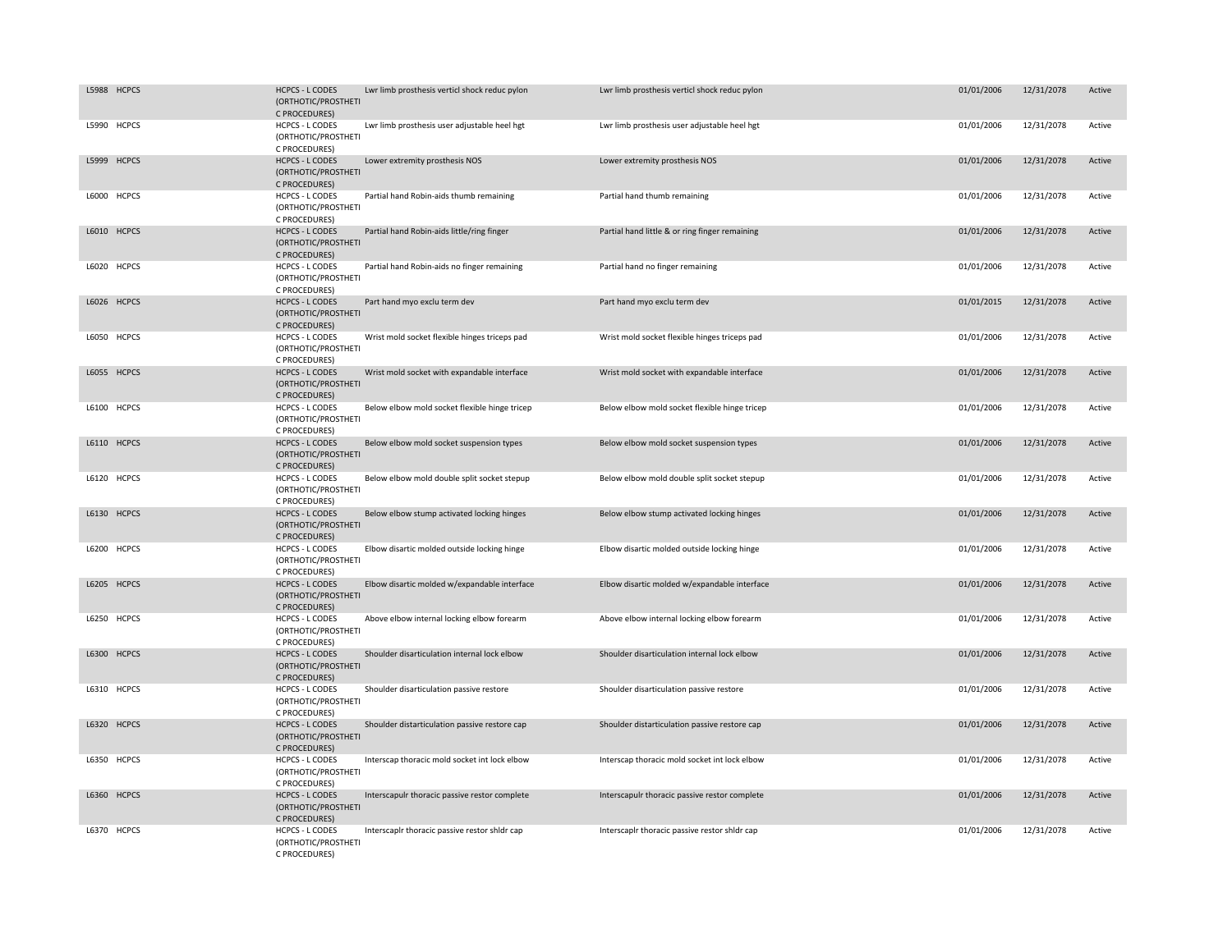| L5988 HCPCS | <b>HCPCS - L CODES</b><br>(ORTHOTIC/PROSTHETI<br>C PROCEDURES) | Lwr limb prosthesis verticl shock reduc pylon | Lwr limb prosthesis verticl shock reduc pylon  | 01/01/2006 | 12/31/2078 | Active |
|-------------|----------------------------------------------------------------|-----------------------------------------------|------------------------------------------------|------------|------------|--------|
| L5990 HCPCS | HCPCS - L CODES<br>(ORTHOTIC/PROSTHETI<br>C PROCEDURES)        | Lwr limb prosthesis user adjustable heel hgt  | Lwr limb prosthesis user adjustable heel hgt   | 01/01/2006 | 12/31/2078 | Active |
| L5999 HCPCS | <b>HCPCS - L CODES</b><br>(ORTHOTIC/PROSTHETI<br>C PROCEDURES) | Lower extremity prosthesis NOS                | Lower extremity prosthesis NOS                 | 01/01/2006 | 12/31/2078 | Active |
| L6000 HCPCS | <b>HCPCS - L CODES</b><br>(ORTHOTIC/PROSTHETI<br>C PROCEDURES) | Partial hand Robin-aids thumb remaining       | Partial hand thumb remaining                   | 01/01/2006 | 12/31/2078 | Active |
| L6010 HCPCS | <b>HCPCS - L CODES</b><br>(ORTHOTIC/PROSTHETI<br>C PROCEDURES) | Partial hand Robin-aids little/ring finger    | Partial hand little & or ring finger remaining | 01/01/2006 | 12/31/2078 | Active |
| L6020 HCPCS | <b>HCPCS - L CODES</b><br>(ORTHOTIC/PROSTHETI<br>C PROCEDURES) | Partial hand Robin-aids no finger remaining   | Partial hand no finger remaining               | 01/01/2006 | 12/31/2078 | Active |
| L6026 HCPCS | <b>HCPCS - L CODES</b><br>(ORTHOTIC/PROSTHETI<br>C PROCEDURES) | Part hand myo exclu term dev                  | Part hand myo exclu term dev                   | 01/01/2015 | 12/31/2078 | Active |
| L6050 HCPCS | <b>HCPCS - L CODES</b><br>(ORTHOTIC/PROSTHETI<br>C PROCEDURES) | Wrist mold socket flexible hinges triceps pad | Wrist mold socket flexible hinges triceps pad  | 01/01/2006 | 12/31/2078 | Active |
| L6055 HCPCS | <b>HCPCS - L CODES</b><br>(ORTHOTIC/PROSTHETI<br>C PROCEDURES) | Wrist mold socket with expandable interface   | Wrist mold socket with expandable interface    | 01/01/2006 | 12/31/2078 | Active |
| L6100 HCPCS | <b>HCPCS - L CODES</b><br>(ORTHOTIC/PROSTHETI<br>C PROCEDURES) | Below elbow mold socket flexible hinge tricep | Below elbow mold socket flexible hinge tricep  | 01/01/2006 | 12/31/2078 | Active |
| L6110 HCPCS | <b>HCPCS - L CODES</b><br>(ORTHOTIC/PROSTHETI<br>C PROCEDURES) | Below elbow mold socket suspension types      | Below elbow mold socket suspension types       | 01/01/2006 | 12/31/2078 | Active |
| L6120 HCPCS | <b>HCPCS - L CODES</b><br>(ORTHOTIC/PROSTHETI<br>C PROCEDURES) | Below elbow mold double split socket stepup   | Below elbow mold double split socket stepup    | 01/01/2006 | 12/31/2078 | Active |
| L6130 HCPCS | <b>HCPCS - L CODES</b><br>(ORTHOTIC/PROSTHETI<br>C PROCEDURES) | Below elbow stump activated locking hinges    | Below elbow stump activated locking hinges     | 01/01/2006 | 12/31/2078 | Active |
| L6200 HCPCS | <b>HCPCS - L CODES</b><br>(ORTHOTIC/PROSTHETI<br>C PROCEDURES) | Elbow disartic molded outside locking hinge   | Elbow disartic molded outside locking hinge    | 01/01/2006 | 12/31/2078 | Active |
| L6205 HCPCS | <b>HCPCS - L CODES</b><br>(ORTHOTIC/PROSTHETI<br>C PROCEDURES) | Elbow disartic molded w/expandable interface  | Elbow disartic molded w/expandable interface   | 01/01/2006 | 12/31/2078 | Active |
| L6250 HCPCS | HCPCS - L CODES<br>(ORTHOTIC/PROSTHETI<br>C PROCEDURES)        | Above elbow internal locking elbow forearm    | Above elbow internal locking elbow forearm     | 01/01/2006 | 12/31/2078 | Active |
| L6300 HCPCS | <b>HCPCS - L CODES</b><br>(ORTHOTIC/PROSTHETI<br>C PROCEDURES) | Shoulder disarticulation internal lock elbow  | Shoulder disarticulation internal lock elbow   | 01/01/2006 | 12/31/2078 | Active |
| L6310 HCPCS | <b>HCPCS - L CODES</b><br>(ORTHOTIC/PROSTHETI<br>C PROCEDURES) | Shoulder disarticulation passive restore      | Shoulder disarticulation passive restore       | 01/01/2006 | 12/31/2078 | Active |
| L6320 HCPCS | <b>HCPCS - L CODES</b><br>(ORTHOTIC/PROSTHETI<br>C PROCEDURES) | Shoulder distarticulation passive restore cap | Shoulder distarticulation passive restore cap  | 01/01/2006 | 12/31/2078 | Active |
| L6350 HCPCS | HCPCS - L CODES<br>(ORTHOTIC/PROSTHETI<br>C PROCEDURES)        | Interscap thoracic mold socket int lock elbow | Interscap thoracic mold socket int lock elbow  | 01/01/2006 | 12/31/2078 | Active |
| L6360 HCPCS | <b>HCPCS - L CODES</b><br>(ORTHOTIC/PROSTHETI<br>C PROCEDURES) | Interscapulr thoracic passive restor complete | Interscapulr thoracic passive restor complete  | 01/01/2006 | 12/31/2078 | Active |
| L6370 HCPCS | <b>HCPCS - L CODES</b><br>(ORTHOTIC/PROSTHETI<br>C PROCEDURES) | Interscaplr thoracic passive restor shldr cap | Interscaplr thoracic passive restor shldr cap  | 01/01/2006 | 12/31/2078 | Active |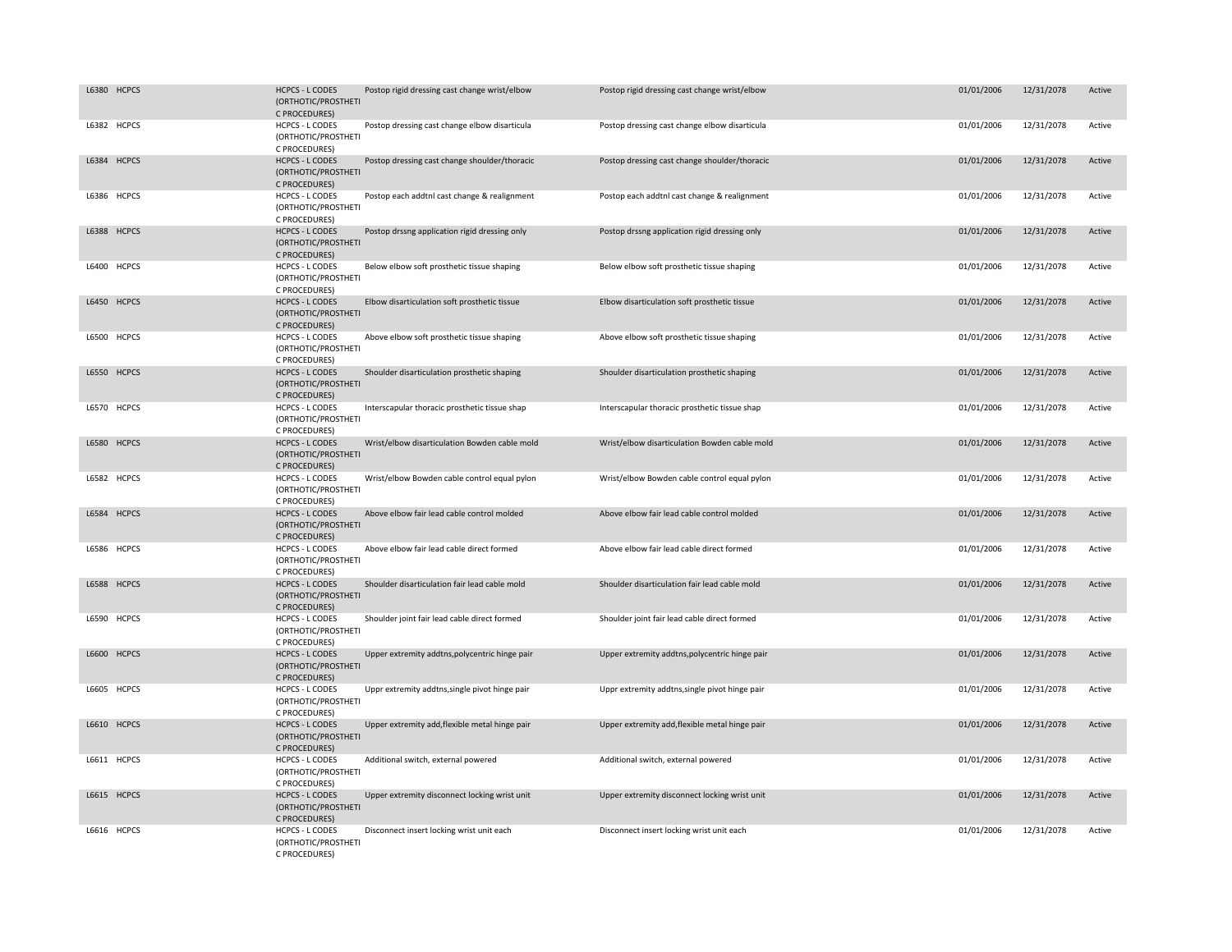| L6380 HCPCS | <b>HCPCS - L CODES</b><br>(ORTHOTIC/PROSTHETI<br>C PROCEDURES) | Postop rigid dressing cast change wrist/elbow  | Postop rigid dressing cast change wrist/elbow  | 01/01/2006 | 12/31/2078 | Active |
|-------------|----------------------------------------------------------------|------------------------------------------------|------------------------------------------------|------------|------------|--------|
| L6382 HCPCS | <b>HCPCS - L CODES</b><br>(ORTHOTIC/PROSTHETI<br>C PROCEDURES) | Postop dressing cast change elbow disarticula  | Postop dressing cast change elbow disarticula  | 01/01/2006 | 12/31/2078 | Active |
| L6384 HCPCS | <b>HCPCS - L CODES</b><br>(ORTHOTIC/PROSTHETI<br>C PROCEDURES) | Postop dressing cast change shoulder/thoracic  | Postop dressing cast change shoulder/thoracic  | 01/01/2006 | 12/31/2078 | Active |
| L6386 HCPCS | <b>HCPCS - L CODES</b><br>(ORTHOTIC/PROSTHETI<br>C PROCEDURES) | Postop each addtnl cast change & realignment   | Postop each addtnl cast change & realignment   | 01/01/2006 | 12/31/2078 | Active |
| L6388 HCPCS | <b>HCPCS - L CODES</b><br>(ORTHOTIC/PROSTHETI<br>C PROCEDURES) | Postop drssng application rigid dressing only  | Postop drssng application rigid dressing only  | 01/01/2006 | 12/31/2078 | Active |
| L6400 HCPCS | <b>HCPCS - L CODES</b><br>(ORTHOTIC/PROSTHETI<br>C PROCEDURES) | Below elbow soft prosthetic tissue shaping     | Below elbow soft prosthetic tissue shaping     | 01/01/2006 | 12/31/2078 | Active |
| L6450 HCPCS | <b>HCPCS - L CODES</b><br>(ORTHOTIC/PROSTHETI<br>C PROCEDURES) | Elbow disarticulation soft prosthetic tissue   | Elbow disarticulation soft prosthetic tissue   | 01/01/2006 | 12/31/2078 | Active |
| L6500 HCPCS | HCPCS - L CODES<br>(ORTHOTIC/PROSTHETI<br>C PROCEDURES)        | Above elbow soft prosthetic tissue shaping     | Above elbow soft prosthetic tissue shaping     | 01/01/2006 | 12/31/2078 | Active |
| L6550 HCPCS | <b>HCPCS - L CODES</b><br>(ORTHOTIC/PROSTHETI<br>C PROCEDURES) | Shoulder disarticulation prosthetic shaping    | Shoulder disarticulation prosthetic shaping    | 01/01/2006 | 12/31/2078 | Active |
| L6570 HCPCS | HCPCS - L CODES<br>(ORTHOTIC/PROSTHETI<br>C PROCEDURES)        | Interscapular thoracic prosthetic tissue shap  | Interscapular thoracic prosthetic tissue shap  | 01/01/2006 | 12/31/2078 | Active |
| L6580 HCPCS | <b>HCPCS - L CODES</b><br>(ORTHOTIC/PROSTHETI<br>C PROCEDURES) | Wrist/elbow disarticulation Bowden cable mold  | Wrist/elbow disarticulation Bowden cable mold  | 01/01/2006 | 12/31/2078 | Active |
| L6582 HCPCS | <b>HCPCS - L CODES</b><br>(ORTHOTIC/PROSTHETI<br>C PROCEDURES) | Wrist/elbow Bowden cable control equal pylon   | Wrist/elbow Bowden cable control equal pylon   | 01/01/2006 | 12/31/2078 | Active |
| L6584 HCPCS | <b>HCPCS - L CODES</b><br>(ORTHOTIC/PROSTHETI<br>C PROCEDURES) | Above elbow fair lead cable control molded     | Above elbow fair lead cable control molded     | 01/01/2006 | 12/31/2078 | Active |
| L6586 HCPCS | <b>HCPCS - L CODES</b><br>(ORTHOTIC/PROSTHETI<br>C PROCEDURES) | Above elbow fair lead cable direct formed      | Above elbow fair lead cable direct formed      | 01/01/2006 | 12/31/2078 | Active |
| L6588 HCPCS | <b>HCPCS - L CODES</b><br>(ORTHOTIC/PROSTHETI<br>C PROCEDURES) | Shoulder disarticulation fair lead cable mold  | Shoulder disarticulation fair lead cable mold  | 01/01/2006 | 12/31/2078 | Active |
| L6590 HCPCS | HCPCS - L CODES<br>(ORTHOTIC/PROSTHETI<br>C PROCEDURES)        | Shoulder joint fair lead cable direct formed   | Shoulder joint fair lead cable direct formed   | 01/01/2006 | 12/31/2078 | Active |
| L6600 HCPCS | <b>HCPCS - L CODES</b><br>(ORTHOTIC/PROSTHETI<br>C PROCEDURES) | Upper extremity addtns, polycentric hinge pair | Upper extremity addtns, polycentric hinge pair | 01/01/2006 | 12/31/2078 | Active |
| L6605 HCPCS | <b>HCPCS - L CODES</b><br>(ORTHOTIC/PROSTHETI<br>C PROCEDURES) | Uppr extremity addtns, single pivot hinge pair | Uppr extremity addtns, single pivot hinge pair | 01/01/2006 | 12/31/2078 | Active |
| L6610 HCPCS | <b>HCPCS - L CODES</b><br>(ORTHOTIC/PROSTHETI<br>C PROCEDURES) | Upper extremity add, flexible metal hinge pair | Upper extremity add, flexible metal hinge pair | 01/01/2006 | 12/31/2078 | Active |
| L6611 HCPCS | <b>HCPCS - L CODES</b><br>(ORTHOTIC/PROSTHETI<br>C PROCEDURES) | Additional switch, external powered            | Additional switch, external powered            | 01/01/2006 | 12/31/2078 | Active |
| L6615 HCPCS | <b>HCPCS - L CODES</b><br>(ORTHOTIC/PROSTHETI<br>C PROCEDURES) | Upper extremity disconnect locking wrist unit  | Upper extremity disconnect locking wrist unit  | 01/01/2006 | 12/31/2078 | Active |
| L6616 HCPCS | <b>HCPCS - L CODES</b><br>(ORTHOTIC/PROSTHETI<br>C PROCEDURES) | Disconnect insert locking wrist unit each      | Disconnect insert locking wrist unit each      | 01/01/2006 | 12/31/2078 | Active |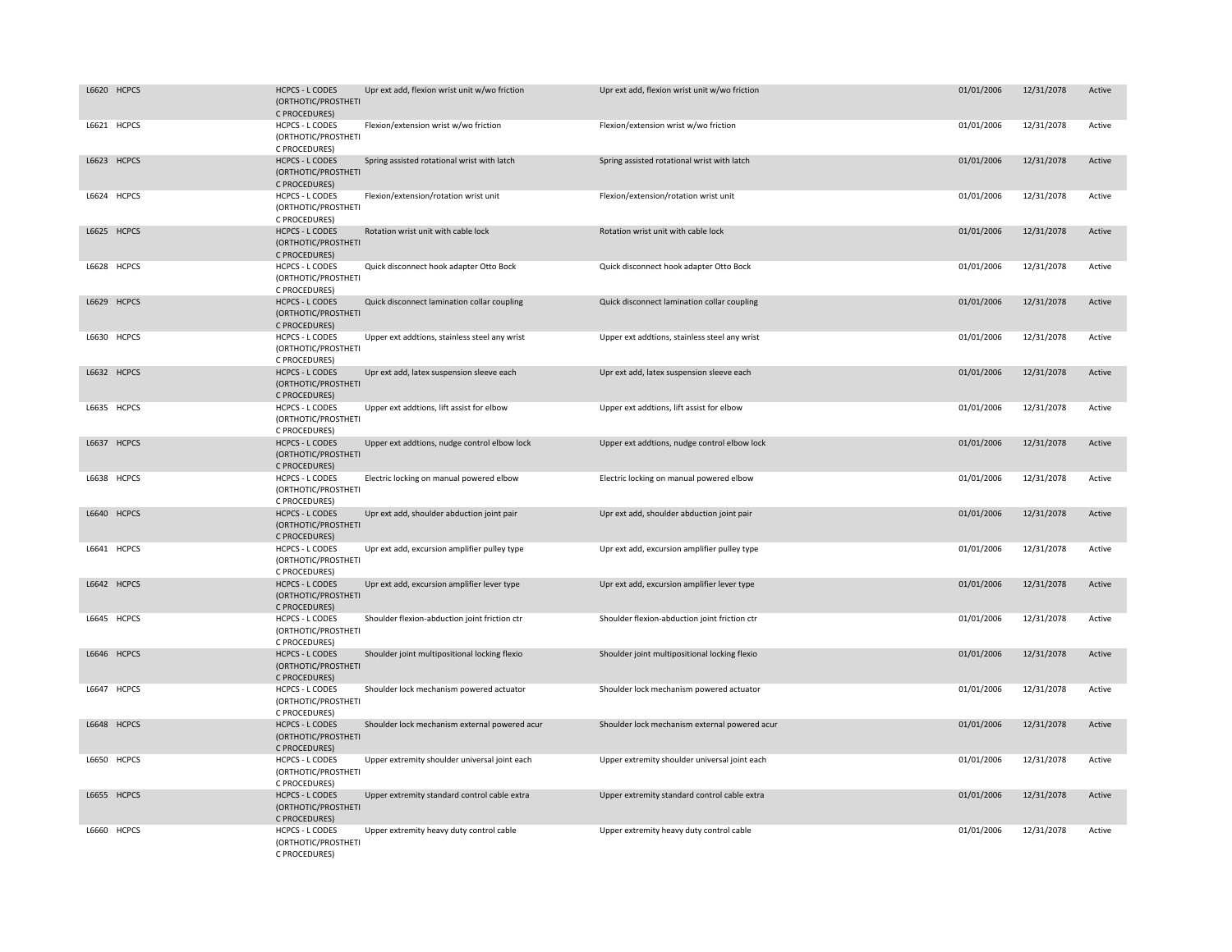| L6620 HCPCS | <b>HCPCS - L CODES</b><br>(ORTHOTIC/PROSTHETI<br>C PROCEDURES) | Upr ext add, flexion wrist unit w/wo friction | Upr ext add, flexion wrist unit w/wo friction | 01/01/2006 | 12/31/2078 | Active |
|-------------|----------------------------------------------------------------|-----------------------------------------------|-----------------------------------------------|------------|------------|--------|
| L6621 HCPCS | <b>HCPCS - L CODES</b><br>(ORTHOTIC/PROSTHETI<br>C PROCEDURES) | Flexion/extension wrist w/wo friction         | Flexion/extension wrist w/wo friction         | 01/01/2006 | 12/31/2078 | Active |
| L6623 HCPCS | <b>HCPCS - L CODES</b><br>(ORTHOTIC/PROSTHETI<br>C PROCEDURES) | Spring assisted rotational wrist with latch   | Spring assisted rotational wrist with latch   | 01/01/2006 | 12/31/2078 | Active |
| L6624 HCPCS | HCPCS - L CODES<br>(ORTHOTIC/PROSTHETI<br>C PROCEDURES)        | Flexion/extension/rotation wrist unit         | Flexion/extension/rotation wrist unit         | 01/01/2006 | 12/31/2078 | Active |
| L6625 HCPCS | <b>HCPCS - L CODES</b><br>(ORTHOTIC/PROSTHETI<br>C PROCEDURES) | Rotation wrist unit with cable lock           | Rotation wrist unit with cable lock           | 01/01/2006 | 12/31/2078 | Active |
| L6628 HCPCS | <b>HCPCS - L CODES</b><br>(ORTHOTIC/PROSTHETI<br>C PROCEDURES) | Quick disconnect hook adapter Otto Bock       | Quick disconnect hook adapter Otto Bock       | 01/01/2006 | 12/31/2078 | Active |
| L6629 HCPCS | <b>HCPCS - L CODES</b><br>(ORTHOTIC/PROSTHETI<br>C PROCEDURES) | Quick disconnect lamination collar coupling   | Quick disconnect lamination collar coupling   | 01/01/2006 | 12/31/2078 | Active |
| L6630 HCPCS | <b>HCPCS - L CODES</b><br>(ORTHOTIC/PROSTHETI<br>C PROCEDURES) | Upper ext addtions, stainless steel any wrist | Upper ext addtions, stainless steel any wrist | 01/01/2006 | 12/31/2078 | Active |
| L6632 HCPCS | <b>HCPCS - L CODES</b><br>(ORTHOTIC/PROSTHETI<br>C PROCEDURES) | Upr ext add, latex suspension sleeve each     | Upr ext add, latex suspension sleeve each     | 01/01/2006 | 12/31/2078 | Active |
| L6635 HCPCS | HCPCS - L CODES<br>(ORTHOTIC/PROSTHETI<br>C PROCEDURES)        | Upper ext addtions, lift assist for elbow     | Upper ext addtions, lift assist for elbow     | 01/01/2006 | 12/31/2078 | Active |
| L6637 HCPCS | <b>HCPCS - L CODES</b><br>(ORTHOTIC/PROSTHETI<br>C PROCEDURES) | Upper ext addtions, nudge control elbow lock  | Upper ext addtions, nudge control elbow lock  | 01/01/2006 | 12/31/2078 | Active |
| L6638 HCPCS | <b>HCPCS - L CODES</b><br>(ORTHOTIC/PROSTHETI<br>C PROCEDURES) | Electric locking on manual powered elbow      | Electric locking on manual powered elbow      | 01/01/2006 | 12/31/2078 | Active |
| L6640 HCPCS | <b>HCPCS - L CODES</b><br>(ORTHOTIC/PROSTHETI<br>C PROCEDURES) | Upr ext add, shoulder abduction joint pair    | Upr ext add, shoulder abduction joint pair    | 01/01/2006 | 12/31/2078 | Active |
| L6641 HCPCS | HCPCS - L CODES<br>(ORTHOTIC/PROSTHETI<br>C PROCEDURES)        | Upr ext add, excursion amplifier pulley type  | Upr ext add, excursion amplifier pulley type  | 01/01/2006 | 12/31/2078 | Active |
| L6642 HCPCS | <b>HCPCS - L CODES</b><br>(ORTHOTIC/PROSTHETI<br>C PROCEDURES) | Upr ext add, excursion amplifier lever type   | Upr ext add, excursion amplifier lever type   | 01/01/2006 | 12/31/2078 | Active |
| L6645 HCPCS | <b>HCPCS - L CODES</b><br>(ORTHOTIC/PROSTHETI<br>C PROCEDURES) | Shoulder flexion-abduction joint friction ctr | Shoulder flexion-abduction joint friction ctr | 01/01/2006 | 12/31/2078 | Active |
| L6646 HCPCS | <b>HCPCS - L CODES</b><br>(ORTHOTIC/PROSTHETI<br>C PROCEDURES) | Shoulder joint multipositional locking flexio | Shoulder joint multipositional locking flexio | 01/01/2006 | 12/31/2078 | Active |
| L6647 HCPCS | <b>HCPCS - L CODES</b><br>(ORTHOTIC/PROSTHETI<br>C PROCEDURES) | Shoulder lock mechanism powered actuator      | Shoulder lock mechanism powered actuator      | 01/01/2006 | 12/31/2078 | Active |
| L6648 HCPCS | <b>HCPCS - L CODES</b><br>(ORTHOTIC/PROSTHETI<br>C PROCEDURES) | Shoulder lock mechanism external powered acur | Shoulder lock mechanism external powered acur | 01/01/2006 | 12/31/2078 | Active |
| L6650 HCPCS | HCPCS - L CODES<br>(ORTHOTIC/PROSTHETI<br>C PROCEDURES)        | Upper extremity shoulder universal joint each | Upper extremity shoulder universal joint each | 01/01/2006 | 12/31/2078 | Active |
| L6655 HCPCS | <b>HCPCS - L CODES</b><br>(ORTHOTIC/PROSTHETI<br>C PROCEDURES) | Upper extremity standard control cable extra  | Upper extremity standard control cable extra  | 01/01/2006 | 12/31/2078 | Active |
| L6660 HCPCS | <b>HCPCS - L CODES</b><br>(ORTHOTIC/PROSTHETI<br>C PROCEDURES) | Upper extremity heavy duty control cable      | Upper extremity heavy duty control cable      | 01/01/2006 | 12/31/2078 | Active |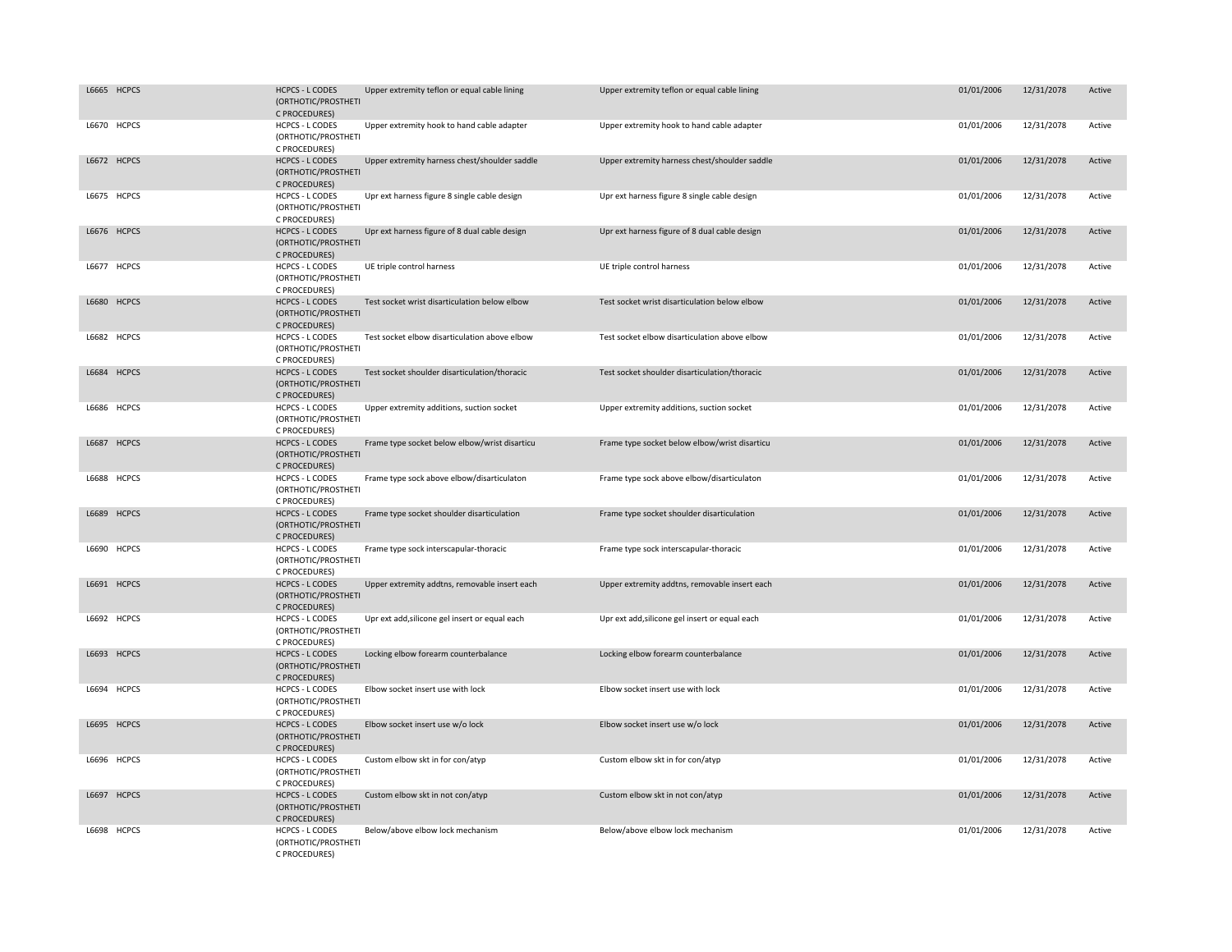|       | L6665 HCPCS  | <b>HCPCS - L CODES</b><br>(ORTHOTIC/PROSTHETI<br>C PROCEDURES) | Upper extremity teflon or equal cable lining   | Upper extremity teflon or equal cable lining   | 01/01/2006 | 12/31/2078 | Active |
|-------|--------------|----------------------------------------------------------------|------------------------------------------------|------------------------------------------------|------------|------------|--------|
|       | L6670 HCPCS  | <b>HCPCS - L CODES</b><br>(ORTHOTIC/PROSTHETI<br>C PROCEDURES) | Upper extremity hook to hand cable adapter     | Upper extremity hook to hand cable adapter     | 01/01/2006 | 12/31/2078 | Active |
|       | L6672 HCPCS  | <b>HCPCS - L CODES</b><br>(ORTHOTIC/PROSTHETI<br>C PROCEDURES) | Upper extremity harness chest/shoulder saddle  | Upper extremity harness chest/shoulder saddle  | 01/01/2006 | 12/31/2078 | Active |
|       | L6675 HCPCS  | HCPCS - L CODES<br>(ORTHOTIC/PROSTHETI<br>C PROCEDURES)        | Upr ext harness figure 8 single cable design   | Upr ext harness figure 8 single cable design   | 01/01/2006 | 12/31/2078 | Active |
|       | L6676 HCPCS  | <b>HCPCS - L CODES</b><br>(ORTHOTIC/PROSTHETI<br>C PROCEDURES) | Upr ext harness figure of 8 dual cable design  | Upr ext harness figure of 8 dual cable design  | 01/01/2006 | 12/31/2078 | Active |
|       | L6677 HCPCS  | <b>HCPCS - L CODES</b><br>(ORTHOTIC/PROSTHETI<br>C PROCEDURES) | UE triple control harness                      | UE triple control harness                      | 01/01/2006 | 12/31/2078 | Active |
|       | L6680 HCPCS  | <b>HCPCS - L CODES</b><br>(ORTHOTIC/PROSTHETI<br>C PROCEDURES) | Test socket wrist disarticulation below elbow  | Test socket wrist disarticulation below elbow  | 01/01/2006 | 12/31/2078 | Active |
|       | L6682 HCPCS  | HCPCS - L CODES<br>(ORTHOTIC/PROSTHETI<br>C PROCEDURES)        | Test socket elbow disarticulation above elbow  | Test socket elbow disarticulation above elbow  | 01/01/2006 | 12/31/2078 | Active |
|       | L6684 HCPCS  | <b>HCPCS - L CODES</b><br>(ORTHOTIC/PROSTHETI<br>C PROCEDURES) | Test socket shoulder disarticulation/thoracic  | Test socket shoulder disarticulation/thoracic  | 01/01/2006 | 12/31/2078 | Active |
|       | L6686 HCPCS  | <b>HCPCS - L CODES</b><br>(ORTHOTIC/PROSTHETI<br>C PROCEDURES) | Upper extremity additions, suction socket      | Upper extremity additions, suction socket      | 01/01/2006 | 12/31/2078 | Active |
|       | L6687 HCPCS  | <b>HCPCS - L CODES</b><br>(ORTHOTIC/PROSTHETI<br>C PROCEDURES) | Frame type socket below elbow/wrist disarticu  | Frame type socket below elbow/wrist disarticu  | 01/01/2006 | 12/31/2078 | Active |
|       | L6688 HCPCS  | <b>HCPCS - L CODES</b><br>(ORTHOTIC/PROSTHETI<br>C PROCEDURES) | Frame type sock above elbow/disarticulaton     | Frame type sock above elbow/disarticulaton     | 01/01/2006 | 12/31/2078 | Active |
|       | L6689 HCPCS  | <b>HCPCS - L CODES</b><br>(ORTHOTIC/PROSTHETI<br>C PROCEDURES) | Frame type socket shoulder disarticulation     | Frame type socket shoulder disarticulation     | 01/01/2006 | 12/31/2078 | Active |
|       | L6690 HCPCS  | <b>HCPCS - L CODES</b><br>(ORTHOTIC/PROSTHETI<br>C PROCEDURES) | Frame type sock interscapular-thoracic         | Frame type sock interscapular-thoracic         | 01/01/2006 | 12/31/2078 | Active |
|       | L6691 HCPCS  | <b>HCPCS - L CODES</b><br>(ORTHOTIC/PROSTHETI<br>C PROCEDURES) | Upper extremity addtns, removable insert each  | Upper extremity addtns, removable insert each  | 01/01/2006 | 12/31/2078 | Active |
|       | L6692 HCPCS  | HCPCS - L CODES<br>(ORTHOTIC/PROSTHETI<br>C PROCEDURES)        | Upr ext add, silicone gel insert or equal each | Upr ext add, silicone gel insert or equal each | 01/01/2006 | 12/31/2078 | Active |
|       | L6693 HCPCS  | <b>HCPCS - L CODES</b><br>(ORTHOTIC/PROSTHETI<br>C PROCEDURES) | Locking elbow forearm counterbalance           | Locking elbow forearm counterbalance           | 01/01/2006 | 12/31/2078 | Active |
|       | L6694 HCPCS  | HCPCS - L CODES<br>(ORTHOTIC/PROSTHETI<br>C PROCEDURES)        | Elbow socket insert use with lock              | Elbow socket insert use with lock              | 01/01/2006 | 12/31/2078 | Active |
|       | L6695 HCPCS  | <b>HCPCS - L CODES</b><br>(ORTHOTIC/PROSTHETI<br>C PROCEDURES) | Elbow socket insert use w/o lock               | Elbow socket insert use w/o lock               | 01/01/2006 | 12/31/2078 | Active |
|       | L6696 HCPCS  | <b>HCPCS - L CODES</b><br>(ORTHOTIC/PROSTHETI<br>C PROCEDURES) | Custom elbow skt in for con/atyp               | Custom elbow skt in for con/atyp               | 01/01/2006 | 12/31/2078 | Active |
| L6697 | <b>HCPCS</b> | <b>HCPCS - L CODES</b><br>(ORTHOTIC/PROSTHETI<br>C PROCEDURES) | Custom elbow skt in not con/atyp               | Custom elbow skt in not con/atyp               | 01/01/2006 | 12/31/2078 | Active |
|       | L6698 HCPCS  | <b>HCPCS - L CODES</b><br>(ORTHOTIC/PROSTHETI<br>C PROCEDURES) | Below/above elbow lock mechanism               | Below/above elbow lock mechanism               | 01/01/2006 | 12/31/2078 | Active |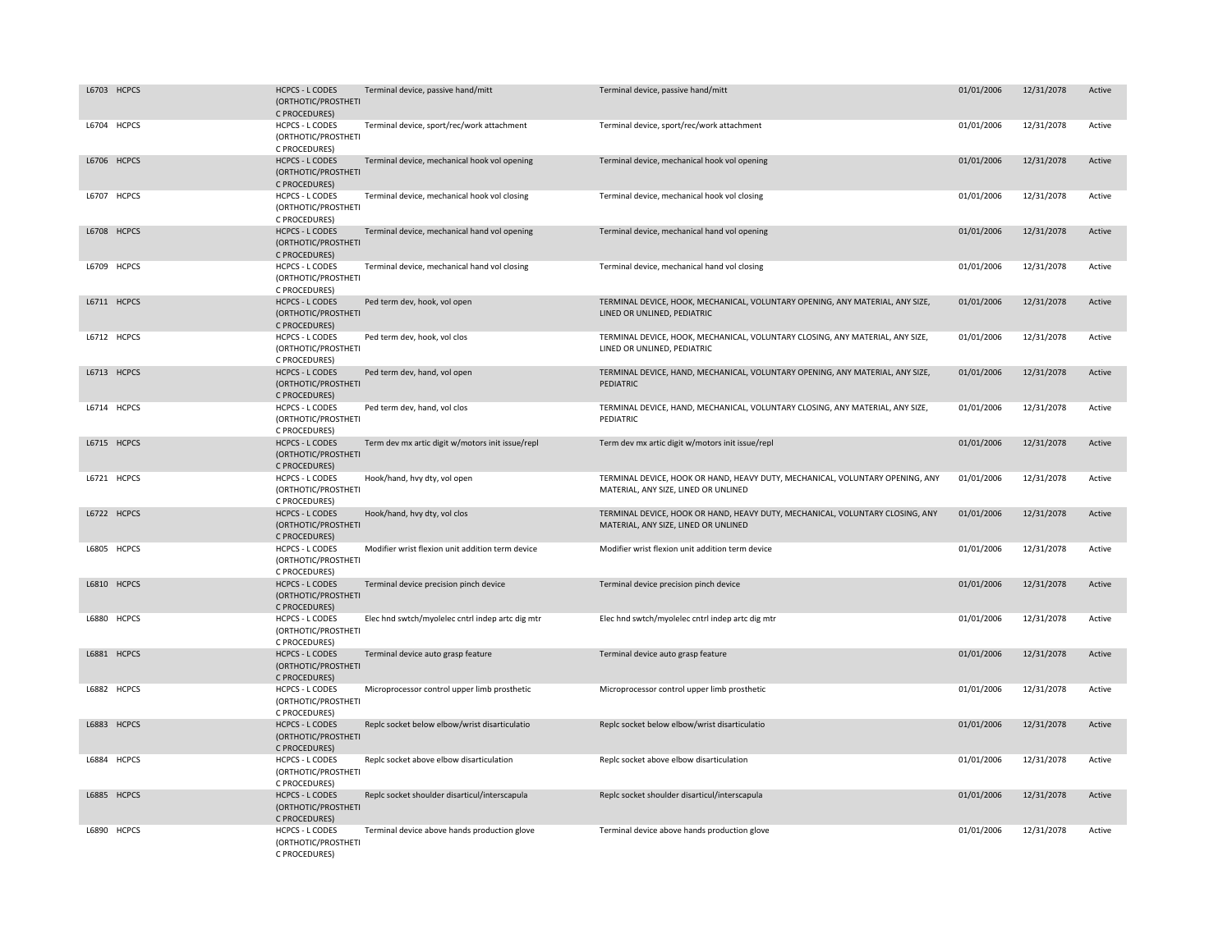| L6703 HCPCS | <b>HCPCS - L CODES</b><br>(ORTHOTIC/PROSTHETI<br>C PROCEDURES) | Terminal device, passive hand/mitt               | Terminal device, passive hand/mitt                                                                                    | 01/01/2006 | 12/31/2078 | Active |
|-------------|----------------------------------------------------------------|--------------------------------------------------|-----------------------------------------------------------------------------------------------------------------------|------------|------------|--------|
| L6704 HCPCS | <b>HCPCS - L CODES</b><br>(ORTHOTIC/PROSTHETI<br>C PROCEDURES) | Terminal device, sport/rec/work attachment       | Terminal device, sport/rec/work attachment                                                                            | 01/01/2006 | 12/31/2078 | Active |
| L6706 HCPCS | <b>HCPCS - L CODES</b><br>(ORTHOTIC/PROSTHETI<br>C PROCEDURES) | Terminal device, mechanical hook vol opening     | Terminal device, mechanical hook vol opening                                                                          | 01/01/2006 | 12/31/2078 | Active |
| L6707 HCPCS | HCPCS - L CODES<br>(ORTHOTIC/PROSTHETI<br>C PROCEDURES)        | Terminal device, mechanical hook vol closing     | Terminal device, mechanical hook vol closing                                                                          | 01/01/2006 | 12/31/2078 | Active |
| L6708 HCPCS | <b>HCPCS - L CODES</b><br>(ORTHOTIC/PROSTHETI<br>C PROCEDURES) | Terminal device, mechanical hand vol opening     | Terminal device, mechanical hand vol opening                                                                          | 01/01/2006 | 12/31/2078 | Active |
| L6709 HCPCS | <b>HCPCS - L CODES</b><br>(ORTHOTIC/PROSTHETI<br>C PROCEDURES) | Terminal device, mechanical hand vol closing     | Terminal device, mechanical hand vol closing                                                                          | 01/01/2006 | 12/31/2078 | Active |
| L6711 HCPCS | <b>HCPCS - L CODES</b><br>(ORTHOTIC/PROSTHETI<br>C PROCEDURES) | Ped term dev, hook, vol open                     | TERMINAL DEVICE, HOOK, MECHANICAL, VOLUNTARY OPENING, ANY MATERIAL, ANY SIZE,<br>LINED OR UNLINED, PEDIATRIC          | 01/01/2006 | 12/31/2078 | Active |
| L6712 HCPCS | <b>HCPCS - L CODES</b><br>(ORTHOTIC/PROSTHETI<br>C PROCEDURES) | Ped term dev, hook, vol clos                     | TERMINAL DEVICE, HOOK, MECHANICAL, VOLUNTARY CLOSING, ANY MATERIAL, ANY SIZE,<br>LINED OR UNLINED, PEDIATRIC          | 01/01/2006 | 12/31/2078 | Active |
| L6713 HCPCS | <b>HCPCS - L CODES</b><br>(ORTHOTIC/PROSTHETI<br>C PROCEDURES) | Ped term dev, hand, vol open                     | TERMINAL DEVICE, HAND, MECHANICAL, VOLUNTARY OPENING, ANY MATERIAL, ANY SIZE,<br>PEDIATRIC                            | 01/01/2006 | 12/31/2078 | Active |
| L6714 HCPCS | <b>HCPCS - L CODES</b><br>(ORTHOTIC/PROSTHETI<br>C PROCEDURES) | Ped term dev, hand, vol clos                     | TERMINAL DEVICE, HAND, MECHANICAL, VOLUNTARY CLOSING, ANY MATERIAL, ANY SIZE,<br>PEDIATRIC                            | 01/01/2006 | 12/31/2078 | Active |
| L6715 HCPCS | <b>HCPCS - L CODES</b><br>(ORTHOTIC/PROSTHETI<br>C PROCEDURES) | Term dev mx artic digit w/motors init issue/repl | Term dev mx artic digit w/motors init issue/repl                                                                      | 01/01/2006 | 12/31/2078 | Active |
| L6721 HCPCS | <b>HCPCS - L CODES</b><br>(ORTHOTIC/PROSTHETI<br>C PROCEDURES) | Hook/hand, hvy dty, vol open                     | TERMINAL DEVICE, HOOK OR HAND, HEAVY DUTY, MECHANICAL, VOLUNTARY OPENING, ANY<br>MATERIAL, ANY SIZE, LINED OR UNLINED | 01/01/2006 | 12/31/2078 | Active |
| L6722 HCPCS | <b>HCPCS - L CODES</b><br>(ORTHOTIC/PROSTHETI<br>C PROCEDURES) | Hook/hand, hvy dty, vol clos                     | TERMINAL DEVICE, HOOK OR HAND, HEAVY DUTY, MECHANICAL, VOLUNTARY CLOSING, ANY<br>MATERIAL, ANY SIZE, LINED OR UNLINED | 01/01/2006 | 12/31/2078 | Active |
| L6805 HCPCS | <b>HCPCS - L CODES</b><br>(ORTHOTIC/PROSTHETI<br>C PROCEDURES) | Modifier wrist flexion unit addition term device | Modifier wrist flexion unit addition term device                                                                      | 01/01/2006 | 12/31/2078 | Active |
| L6810 HCPCS | <b>HCPCS - L CODES</b><br>(ORTHOTIC/PROSTHETI<br>C PROCEDURES) | Terminal device precision pinch device           | Terminal device precision pinch device                                                                                | 01/01/2006 | 12/31/2078 | Active |
| L6880 HCPCS | <b>HCPCS - L CODES</b><br>(ORTHOTIC/PROSTHETI<br>C PROCEDURES) | Elec hnd swtch/myolelec cntrl indep artc dig mtr | Elec hnd swtch/myolelec cntrl indep artc dig mtr                                                                      | 01/01/2006 | 12/31/2078 | Active |
| L6881 HCPCS | <b>HCPCS - L CODES</b><br>(ORTHOTIC/PROSTHETI<br>C PROCEDURES) | Terminal device auto grasp feature               | Terminal device auto grasp feature                                                                                    | 01/01/2006 | 12/31/2078 | Active |
| L6882 HCPCS | <b>HCPCS - L CODES</b><br>(ORTHOTIC/PROSTHETI<br>C PROCEDURES) | Microprocessor control upper limb prosthetic     | Microprocessor control upper limb prosthetic                                                                          | 01/01/2006 | 12/31/2078 | Active |
| L6883 HCPCS | <b>HCPCS - L CODES</b><br>(ORTHOTIC/PROSTHETI<br>C PROCEDURES) | Replc socket below elbow/wrist disarticulatio    | Replc socket below elbow/wrist disarticulatio                                                                         | 01/01/2006 | 12/31/2078 | Active |
| L6884 HCPCS | <b>HCPCS - L CODES</b><br>(ORTHOTIC/PROSTHETI<br>C PROCEDURES) | Replc socket above elbow disarticulation         | Replc socket above elbow disarticulation                                                                              | 01/01/2006 | 12/31/2078 | Active |
| L6885 HCPCS | <b>HCPCS - L CODES</b><br>(ORTHOTIC/PROSTHETI<br>C PROCEDURES) | Replc socket shoulder disarticul/interscapula    | Replc socket shoulder disarticul/interscapula                                                                         | 01/01/2006 | 12/31/2078 | Active |
| L6890 HCPCS | <b>HCPCS - L CODES</b><br>(ORTHOTIC/PROSTHETI<br>C PROCEDURES) | Terminal device above hands production glove     | Terminal device above hands production glove                                                                          | 01/01/2006 | 12/31/2078 | Active |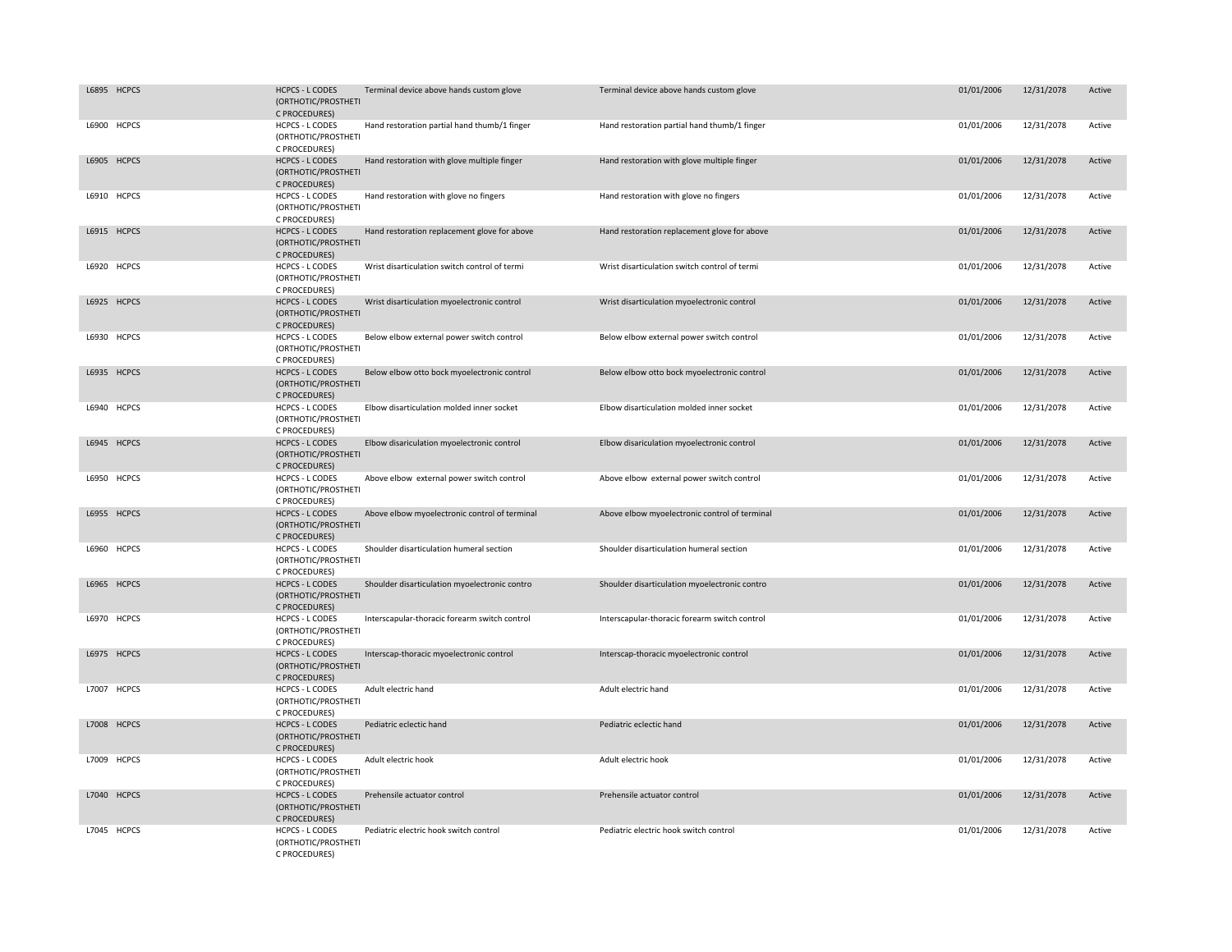| L6895 HCPCS | <b>HCPCS - L CODES</b><br>(ORTHOTIC/PROSTHETI<br>C PROCEDURES) | Terminal device above hands custom glove      | Terminal device above hands custom glove      | 01/01/2006 | 12/31/2078 | Active |
|-------------|----------------------------------------------------------------|-----------------------------------------------|-----------------------------------------------|------------|------------|--------|
| L6900 HCPCS | <b>HCPCS - L CODES</b><br>(ORTHOTIC/PROSTHETI<br>C PROCEDURES) | Hand restoration partial hand thumb/1 finger  | Hand restoration partial hand thumb/1 finger  | 01/01/2006 | 12/31/2078 | Active |
| L6905 HCPCS | <b>HCPCS - L CODES</b><br>(ORTHOTIC/PROSTHETI<br>C PROCEDURES) | Hand restoration with glove multiple finger   | Hand restoration with glove multiple finger   | 01/01/2006 | 12/31/2078 | Active |
| L6910 HCPCS | HCPCS - L CODES<br>(ORTHOTIC/PROSTHETI<br>C PROCEDURES)        | Hand restoration with glove no fingers        | Hand restoration with glove no fingers        | 01/01/2006 | 12/31/2078 | Active |
| L6915 HCPCS | <b>HCPCS - L CODES</b><br>(ORTHOTIC/PROSTHETI<br>C PROCEDURES) | Hand restoration replacement glove for above  | Hand restoration replacement glove for above  | 01/01/2006 | 12/31/2078 | Active |
| L6920 HCPCS | <b>HCPCS - L CODES</b><br>(ORTHOTIC/PROSTHETI<br>C PROCEDURES) | Wrist disarticulation switch control of termi | Wrist disarticulation switch control of termi | 01/01/2006 | 12/31/2078 | Active |
| L6925 HCPCS | <b>HCPCS - L CODES</b><br>(ORTHOTIC/PROSTHETI<br>C PROCEDURES) | Wrist disarticulation myoelectronic control   | Wrist disarticulation myoelectronic control   | 01/01/2006 | 12/31/2078 | Active |
| L6930 HCPCS | <b>HCPCS - L CODES</b><br>(ORTHOTIC/PROSTHETI<br>C PROCEDURES) | Below elbow external power switch control     | Below elbow external power switch control     | 01/01/2006 | 12/31/2078 | Active |
| L6935 HCPCS | <b>HCPCS - L CODES</b><br>(ORTHOTIC/PROSTHETI<br>C PROCEDURES) | Below elbow otto bock myoelectronic control   | Below elbow otto bock myoelectronic control   | 01/01/2006 | 12/31/2078 | Active |
| L6940 HCPCS | HCPCS - L CODES<br>(ORTHOTIC/PROSTHETI<br>C PROCEDURES)        | Elbow disarticulation molded inner socket     | Elbow disarticulation molded inner socket     | 01/01/2006 | 12/31/2078 | Active |
| L6945 HCPCS | <b>HCPCS - L CODES</b><br>(ORTHOTIC/PROSTHETI<br>C PROCEDURES) | Elbow disariculation myoelectronic control    | Elbow disariculation myoelectronic control    | 01/01/2006 | 12/31/2078 | Active |
| L6950 HCPCS | <b>HCPCS - L CODES</b><br>(ORTHOTIC/PROSTHETI<br>C PROCEDURES) | Above elbow external power switch control     | Above elbow external power switch control     | 01/01/2006 | 12/31/2078 | Active |
| L6955 HCPCS | <b>HCPCS - L CODES</b><br>(ORTHOTIC/PROSTHETI<br>C PROCEDURES) | Above elbow myoelectronic control of terminal | Above elbow myoelectronic control of terminal | 01/01/2006 | 12/31/2078 | Active |
| L6960 HCPCS | <b>HCPCS - L CODES</b><br>(ORTHOTIC/PROSTHETI<br>C PROCEDURES) | Shoulder disarticulation humeral section      | Shoulder disarticulation humeral section      | 01/01/2006 | 12/31/2078 | Active |
| L6965 HCPCS | <b>HCPCS - L CODES</b><br>(ORTHOTIC/PROSTHETI<br>C PROCEDURES) | Shoulder disarticulation myoelectronic contro | Shoulder disarticulation myoelectronic contro | 01/01/2006 | 12/31/2078 | Active |
| L6970 HCPCS | <b>HCPCS - L CODES</b><br>(ORTHOTIC/PROSTHETI<br>C PROCEDURES) | Interscapular-thoracic forearm switch control | Interscapular-thoracic forearm switch control | 01/01/2006 | 12/31/2078 | Active |
| L6975 HCPCS | <b>HCPCS - L CODES</b><br>(ORTHOTIC/PROSTHETI<br>C PROCEDURES) | Interscap-thoracic myoelectronic control      | Interscap-thoracic myoelectronic control      | 01/01/2006 | 12/31/2078 | Active |
| L7007 HCPCS | <b>HCPCS - L CODES</b><br>(ORTHOTIC/PROSTHETI<br>C PROCEDURES) | Adult electric hand                           | Adult electric hand                           | 01/01/2006 | 12/31/2078 | Active |
| L7008 HCPCS | <b>HCPCS - L CODES</b><br>(ORTHOTIC/PROSTHETI<br>C PROCEDURES) | Pediatric eclectic hand                       | Pediatric eclectic hand                       | 01/01/2006 | 12/31/2078 | Active |
| L7009 HCPCS | HCPCS - L CODES<br>(ORTHOTIC/PROSTHETI<br>C PROCEDURES)        | Adult electric hook                           | Adult electric hook                           | 01/01/2006 | 12/31/2078 | Active |
| L7040 HCPCS | <b>HCPCS - L CODES</b><br>(ORTHOTIC/PROSTHETI<br>C PROCEDURES) | Prehensile actuator control                   | Prehensile actuator control                   | 01/01/2006 | 12/31/2078 | Active |
| L7045 HCPCS | <b>HCPCS - L CODES</b><br>(ORTHOTIC/PROSTHETI<br>C PROCEDURES) | Pediatric electric hook switch control        | Pediatric electric hook switch control        | 01/01/2006 | 12/31/2078 | Active |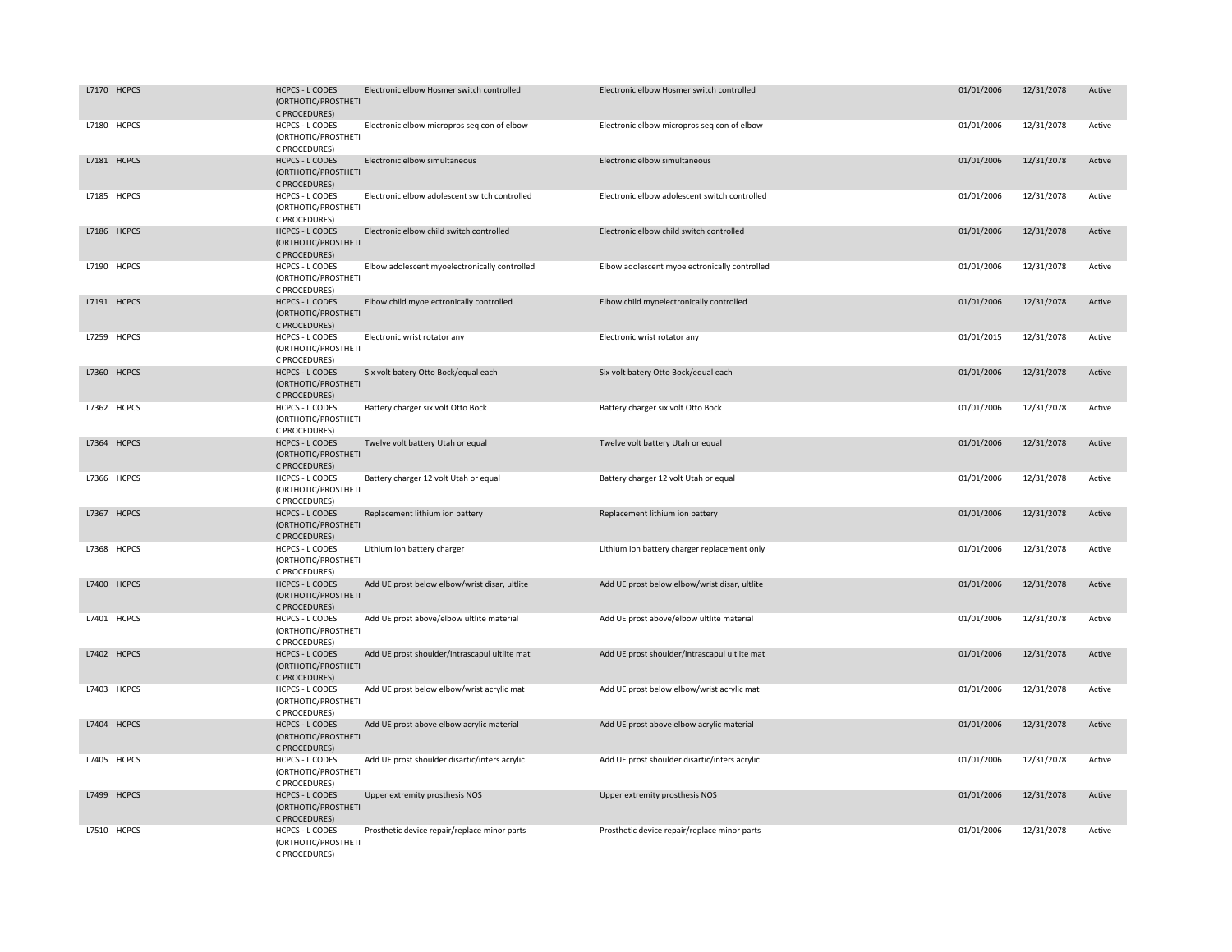| L7170 HCPCS | <b>HCPCS - L CODES</b><br>(ORTHOTIC/PROSTHETI<br>C PROCEDURES) | Electronic elbow Hosmer switch controlled     | Electronic elbow Hosmer switch controlled     | 01/01/2006 | 12/31/2078 | Active |
|-------------|----------------------------------------------------------------|-----------------------------------------------|-----------------------------------------------|------------|------------|--------|
| L7180 HCPCS | <b>HCPCS - L CODES</b><br>(ORTHOTIC/PROSTHETI<br>C PROCEDURES) | Electronic elbow micropros seq con of elbow   | Electronic elbow micropros seq con of elbow   | 01/01/2006 | 12/31/2078 | Active |
| L7181 HCPCS | <b>HCPCS - L CODES</b><br>(ORTHOTIC/PROSTHETI<br>C PROCEDURES) | Electronic elbow simultaneous                 | Electronic elbow simultaneous                 | 01/01/2006 | 12/31/2078 | Active |
| L7185 HCPCS | <b>HCPCS - L CODES</b><br>(ORTHOTIC/PROSTHETI<br>C PROCEDURES) | Electronic elbow adolescent switch controlled | Electronic elbow adolescent switch controlled | 01/01/2006 | 12/31/2078 | Active |
| L7186 HCPCS | <b>HCPCS - L CODES</b><br>(ORTHOTIC/PROSTHETI<br>C PROCEDURES) | Electronic elbow child switch controlled      | Electronic elbow child switch controlled      | 01/01/2006 | 12/31/2078 | Active |
| L7190 HCPCS | <b>HCPCS - L CODES</b><br>(ORTHOTIC/PROSTHETI<br>C PROCEDURES) | Elbow adolescent myoelectronically controlled | Elbow adolescent myoelectronically controlled | 01/01/2006 | 12/31/2078 | Active |
| L7191 HCPCS | <b>HCPCS - L CODES</b><br>(ORTHOTIC/PROSTHETI<br>C PROCEDURES) | Elbow child myoelectronically controlled      | Elbow child myoelectronically controlled      | 01/01/2006 | 12/31/2078 | Active |
| L7259 HCPCS | <b>HCPCS - L CODES</b><br>(ORTHOTIC/PROSTHETI<br>C PROCEDURES) | Electronic wrist rotator any                  | Electronic wrist rotator any                  | 01/01/2015 | 12/31/2078 | Active |
| L7360 HCPCS | <b>HCPCS - L CODES</b><br>(ORTHOTIC/PROSTHETI<br>C PROCEDURES) | Six volt batery Otto Bock/equal each          | Six volt batery Otto Bock/equal each          | 01/01/2006 | 12/31/2078 | Active |
| L7362 HCPCS | <b>HCPCS - L CODES</b><br>(ORTHOTIC/PROSTHETI<br>C PROCEDURES) | Battery charger six volt Otto Bock            | Battery charger six volt Otto Bock            | 01/01/2006 | 12/31/2078 | Active |
| L7364 HCPCS | <b>HCPCS - L CODES</b><br>(ORTHOTIC/PROSTHETI<br>C PROCEDURES) | Twelve volt battery Utah or equal             | Twelve volt battery Utah or equal             | 01/01/2006 | 12/31/2078 | Active |
| L7366 HCPCS | <b>HCPCS - L CODES</b><br>(ORTHOTIC/PROSTHETI<br>C PROCEDURES) | Battery charger 12 volt Utah or equal         | Battery charger 12 volt Utah or equal         | 01/01/2006 | 12/31/2078 | Active |
| L7367 HCPCS | <b>HCPCS - L CODES</b><br>(ORTHOTIC/PROSTHETI<br>C PROCEDURES) | Replacement lithium ion battery               | Replacement lithium ion battery               | 01/01/2006 | 12/31/2078 | Active |
| L7368 HCPCS | <b>HCPCS - L CODES</b><br>(ORTHOTIC/PROSTHETI<br>C PROCEDURES) | Lithium ion battery charger                   | Lithium ion battery charger replacement only  | 01/01/2006 | 12/31/2078 | Active |
| L7400 HCPCS | <b>HCPCS - L CODES</b><br>(ORTHOTIC/PROSTHETI<br>C PROCEDURES) | Add UE prost below elbow/wrist disar, ultlite | Add UE prost below elbow/wrist disar, ultlite | 01/01/2006 | 12/31/2078 | Active |
| L7401 HCPCS | HCPCS - L CODES<br>(ORTHOTIC/PROSTHETI<br>C PROCEDURES)        | Add UE prost above/elbow ultlite material     | Add UE prost above/elbow ultlite material     | 01/01/2006 | 12/31/2078 | Active |
| L7402 HCPCS | <b>HCPCS - L CODES</b><br>(ORTHOTIC/PROSTHETI<br>C PROCEDURES) | Add UE prost shoulder/intrascapul ultlite mat | Add UE prost shoulder/intrascapul ultlite mat | 01/01/2006 | 12/31/2078 | Active |
| L7403 HCPCS | <b>HCPCS - L CODES</b><br>(ORTHOTIC/PROSTHETI<br>C PROCEDURES) | Add UE prost below elbow/wrist acrylic mat    | Add UE prost below elbow/wrist acrylic mat    | 01/01/2006 | 12/31/2078 | Active |
| L7404 HCPCS | <b>HCPCS - L CODES</b><br>(ORTHOTIC/PROSTHETI<br>C PROCEDURES) | Add UE prost above elbow acrylic material     | Add UE prost above elbow acrylic material     | 01/01/2006 | 12/31/2078 | Active |
| L7405 HCPCS | <b>HCPCS - L CODES</b><br>(ORTHOTIC/PROSTHETI<br>C PROCEDURES) | Add UE prost shoulder disartic/inters acrylic | Add UE prost shoulder disartic/inters acrylic | 01/01/2006 | 12/31/2078 | Active |
| L7499 HCPCS | <b>HCPCS - L CODES</b><br>(ORTHOTIC/PROSTHETI<br>C PROCEDURES) | Upper extremity prosthesis NOS                | Upper extremity prosthesis NOS                | 01/01/2006 | 12/31/2078 | Active |
| L7510 HCPCS | <b>HCPCS - L CODES</b><br>(ORTHOTIC/PROSTHETI<br>C PROCEDURES) | Prosthetic device repair/replace minor parts  | Prosthetic device repair/replace minor parts  | 01/01/2006 | 12/31/2078 | Active |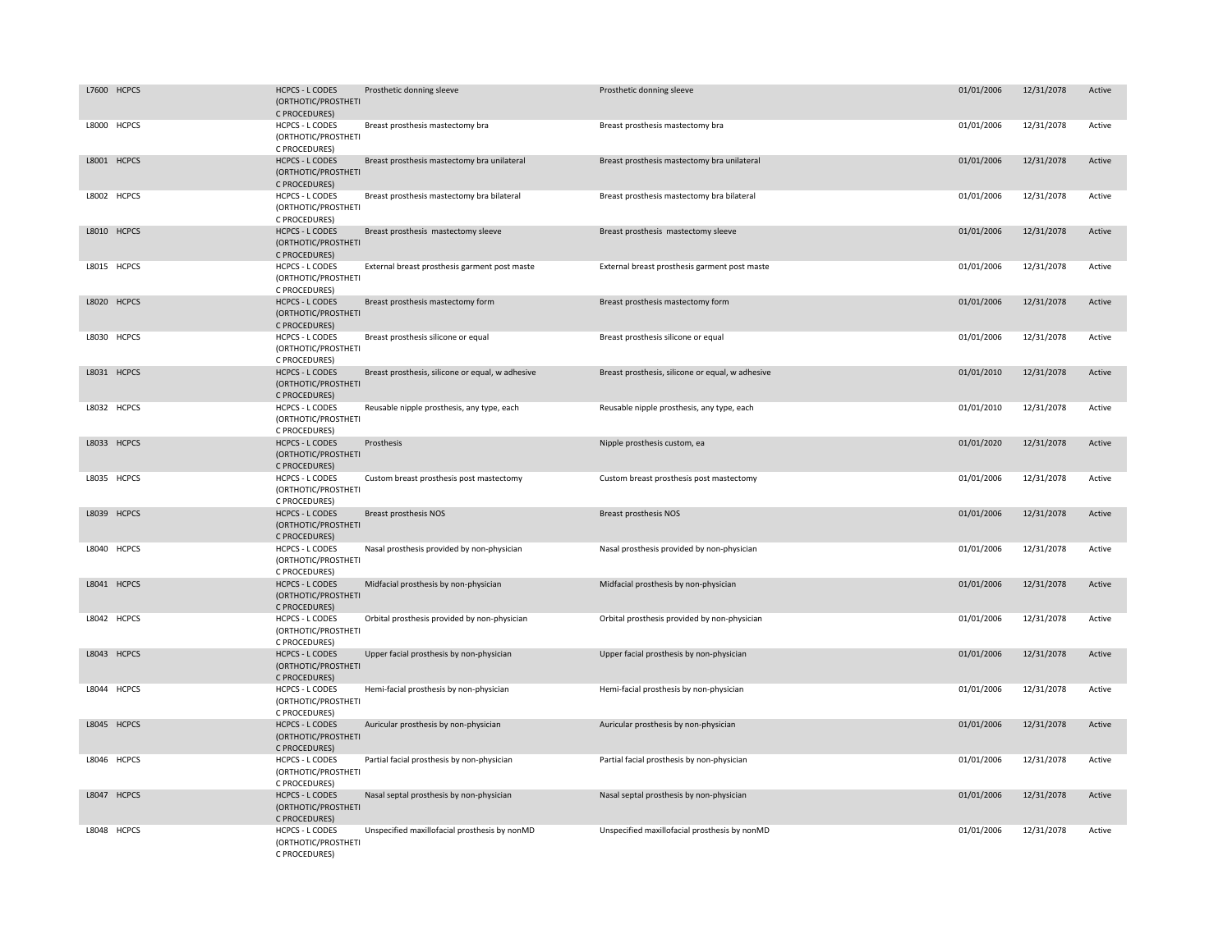| L7600 HCPCS | <b>HCPCS - L CODES</b><br>(ORTHOTIC/PROSTHETI<br>C PROCEDURES) | Prosthetic donning sleeve                        | Prosthetic donning sleeve                        | 01/01/2006 | 12/31/2078 | Active |
|-------------|----------------------------------------------------------------|--------------------------------------------------|--------------------------------------------------|------------|------------|--------|
| L8000 HCPCS | <b>HCPCS - L CODES</b><br>(ORTHOTIC/PROSTHETI<br>C PROCEDURES) | Breast prosthesis mastectomy bra                 | Breast prosthesis mastectomy bra                 | 01/01/2006 | 12/31/2078 | Active |
| L8001 HCPCS | <b>HCPCS - L CODES</b><br>(ORTHOTIC/PROSTHETI<br>C PROCEDURES) | Breast prosthesis mastectomy bra unilateral      | Breast prosthesis mastectomy bra unilateral      | 01/01/2006 | 12/31/2078 | Active |
| L8002 HCPCS | <b>HCPCS - L CODES</b><br>(ORTHOTIC/PROSTHETI<br>C PROCEDURES) | Breast prosthesis mastectomy bra bilateral       | Breast prosthesis mastectomy bra bilateral       | 01/01/2006 | 12/31/2078 | Active |
| L8010 HCPCS | <b>HCPCS - L CODES</b><br>(ORTHOTIC/PROSTHETI<br>C PROCEDURES) | Breast prosthesis mastectomy sleeve              | Breast prosthesis mastectomy sleeve              | 01/01/2006 | 12/31/2078 | Active |
| L8015 HCPCS | <b>HCPCS - L CODES</b><br>(ORTHOTIC/PROSTHETI<br>C PROCEDURES) | External breast prosthesis garment post maste    | External breast prosthesis garment post maste    | 01/01/2006 | 12/31/2078 | Active |
| L8020 HCPCS | <b>HCPCS - L CODES</b><br>(ORTHOTIC/PROSTHETI<br>C PROCEDURES) | Breast prosthesis mastectomy form                | Breast prosthesis mastectomy form                | 01/01/2006 | 12/31/2078 | Active |
| L8030 HCPCS | <b>HCPCS - L CODES</b><br>(ORTHOTIC/PROSTHETI<br>C PROCEDURES) | Breast prosthesis silicone or equal              | Breast prosthesis silicone or equal              | 01/01/2006 | 12/31/2078 | Active |
| L8031 HCPCS | <b>HCPCS - L CODES</b><br>(ORTHOTIC/PROSTHETI<br>C PROCEDURES) | Breast prosthesis, silicone or equal, w adhesive | Breast prosthesis, silicone or equal, w adhesive | 01/01/2010 | 12/31/2078 | Active |
| L8032 HCPCS | <b>HCPCS - L CODES</b><br>(ORTHOTIC/PROSTHETI<br>C PROCEDURES) | Reusable nipple prosthesis, any type, each       | Reusable nipple prosthesis, any type, each       | 01/01/2010 | 12/31/2078 | Active |
| L8033 HCPCS | <b>HCPCS - L CODES</b><br>(ORTHOTIC/PROSTHETI<br>C PROCEDURES) | Prosthesis                                       | Nipple prosthesis custom, ea                     | 01/01/2020 | 12/31/2078 | Active |
| L8035 HCPCS | <b>HCPCS - L CODES</b><br>(ORTHOTIC/PROSTHETI<br>C PROCEDURES) | Custom breast prosthesis post mastectomy         | Custom breast prosthesis post mastectomy         | 01/01/2006 | 12/31/2078 | Active |
| L8039 HCPCS | <b>HCPCS - L CODES</b><br>(ORTHOTIC/PROSTHETI<br>C PROCEDURES) | <b>Breast prosthesis NOS</b>                     | <b>Breast prosthesis NOS</b>                     | 01/01/2006 | 12/31/2078 | Active |
| L8040 HCPCS | <b>HCPCS - L CODES</b><br>(ORTHOTIC/PROSTHETI<br>C PROCEDURES) | Nasal prosthesis provided by non-physician       | Nasal prosthesis provided by non-physician       | 01/01/2006 | 12/31/2078 | Active |
| L8041 HCPCS | <b>HCPCS - L CODES</b><br>(ORTHOTIC/PROSTHETI<br>C PROCEDURES) | Midfacial prosthesis by non-physician            | Midfacial prosthesis by non-physician            | 01/01/2006 | 12/31/2078 | Active |
| L8042 HCPCS | <b>HCPCS - L CODES</b><br>(ORTHOTIC/PROSTHETI<br>C PROCEDURES) | Orbital prosthesis provided by non-physician     | Orbital prosthesis provided by non-physician     | 01/01/2006 | 12/31/2078 | Active |
| L8043 HCPCS | <b>HCPCS - L CODES</b><br>(ORTHOTIC/PROSTHETI<br>C PROCEDURES) | Upper facial prosthesis by non-physician         | Upper facial prosthesis by non-physician         | 01/01/2006 | 12/31/2078 | Active |
| L8044 HCPCS | <b>HCPCS - L CODES</b><br>(ORTHOTIC/PROSTHETI<br>C PROCEDURES) | Hemi-facial prosthesis by non-physician          | Hemi-facial prosthesis by non-physician          | 01/01/2006 | 12/31/2078 | Active |
| L8045 HCPCS | <b>HCPCS - L CODES</b><br>(ORTHOTIC/PROSTHETI<br>C PROCEDURES) | Auricular prosthesis by non-physician            | Auricular prosthesis by non-physician            | 01/01/2006 | 12/31/2078 | Active |
| L8046 HCPCS | <b>HCPCS - L CODES</b><br>(ORTHOTIC/PROSTHETI<br>C PROCEDURES) | Partial facial prosthesis by non-physician       | Partial facial prosthesis by non-physician       | 01/01/2006 | 12/31/2078 | Active |
| L8047 HCPCS | <b>HCPCS - L CODES</b><br>(ORTHOTIC/PROSTHETI<br>C PROCEDURES) | Nasal septal prosthesis by non-physician         | Nasal septal prosthesis by non-physician         | 01/01/2006 | 12/31/2078 | Active |
| L8048 HCPCS | <b>HCPCS - L CODES</b><br>(ORTHOTIC/PROSTHETI<br>C PROCEDURES) | Unspecified maxillofacial prosthesis by nonMD    | Unspecified maxillofacial prosthesis by nonMD    | 01/01/2006 | 12/31/2078 | Active |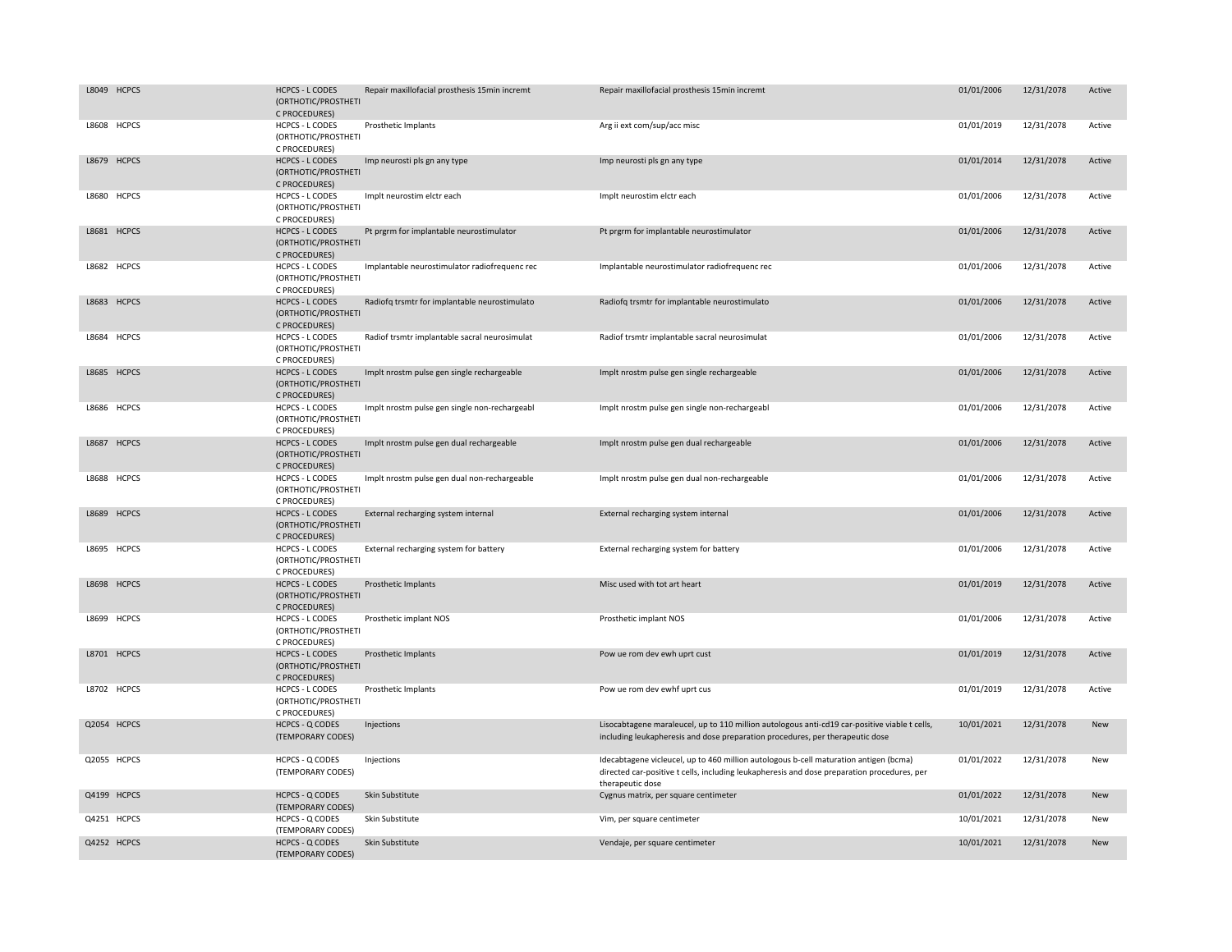|       | L8049 HCPCS  | <b>HCPCS - L CODES</b><br>(ORTHOTIC/PROSTHETI<br>C PROCEDURES) | Repair maxillofacial prosthesis 15min incremt | Repair maxillofacial prosthesis 15min incremt                                                                                                                                                            | 01/01/2006 | 12/31/2078 | Active     |
|-------|--------------|----------------------------------------------------------------|-----------------------------------------------|----------------------------------------------------------------------------------------------------------------------------------------------------------------------------------------------------------|------------|------------|------------|
| L8608 | <b>HCPCS</b> | <b>HCPCS - L CODES</b><br>(ORTHOTIC/PROSTHETI<br>C PROCEDURES) | Prosthetic Implants                           | Arg ii ext com/sup/acc misc                                                                                                                                                                              | 01/01/2019 | 12/31/2078 | Active     |
|       | L8679 HCPCS  | <b>HCPCS - L CODES</b><br>(ORTHOTIC/PROSTHETI<br>C PROCEDURES) | Imp neurosti pls gn any type                  | Imp neurosti pls gn any type                                                                                                                                                                             | 01/01/2014 | 12/31/2078 | Active     |
|       | L8680 HCPCS  | <b>HCPCS - L CODES</b><br>(ORTHOTIC/PROSTHETI<br>C PROCEDURES) | Implt neurostim elctr each                    | Implt neurostim elctr each                                                                                                                                                                               | 01/01/2006 | 12/31/2078 | Active     |
|       | L8681 HCPCS  | <b>HCPCS - L CODES</b><br>(ORTHOTIC/PROSTHETI<br>C PROCEDURES) | Pt prgrm for implantable neurostimulator      | Pt prgrm for implantable neurostimulator                                                                                                                                                                 | 01/01/2006 | 12/31/2078 | Active     |
|       | L8682 HCPCS  | <b>HCPCS - L CODES</b><br>(ORTHOTIC/PROSTHETI<br>C PROCEDURES) | Implantable neurostimulator radiofrequenc rec | Implantable neurostimulator radiofrequenc rec                                                                                                                                                            | 01/01/2006 | 12/31/2078 | Active     |
|       | L8683 HCPCS  | <b>HCPCS - L CODES</b><br>(ORTHOTIC/PROSTHETI<br>C PROCEDURES) | Radiofq trsmtr for implantable neurostimulato | Radiofq trsmtr for implantable neurostimulato                                                                                                                                                            | 01/01/2006 | 12/31/2078 | Active     |
|       | L8684 HCPCS  | <b>HCPCS - L CODES</b><br>(ORTHOTIC/PROSTHETI<br>C PROCEDURES) | Radiof trsmtr implantable sacral neurosimulat | Radiof trsmtr implantable sacral neurosimulat                                                                                                                                                            | 01/01/2006 | 12/31/2078 | Active     |
| L8685 | <b>HCPCS</b> | <b>HCPCS - L CODES</b><br>(ORTHOTIC/PROSTHETI<br>C PROCEDURES) | Implt nrostm pulse gen single rechargeable    | Implt nrostm pulse gen single rechargeable                                                                                                                                                               | 01/01/2006 | 12/31/2078 | Active     |
|       | L8686 HCPCS  | HCPCS - L CODES<br>(ORTHOTIC/PROSTHETI<br>C PROCEDURES)        | Implt nrostm pulse gen single non-rechargeabl | Implt nrostm pulse gen single non-rechargeabl                                                                                                                                                            | 01/01/2006 | 12/31/2078 | Active     |
|       | L8687 HCPCS  | <b>HCPCS - L CODES</b><br>(ORTHOTIC/PROSTHETI<br>C PROCEDURES) | Implt nrostm pulse gen dual rechargeable      | Implt nrostm pulse gen dual rechargeable                                                                                                                                                                 | 01/01/2006 | 12/31/2078 | Active     |
| L8688 | <b>HCPCS</b> | <b>HCPCS - L CODES</b><br>(ORTHOTIC/PROSTHETI<br>C PROCEDURES) | Implt nrostm pulse gen dual non-rechargeable  | Implt nrostm pulse gen dual non-rechargeable                                                                                                                                                             | 01/01/2006 | 12/31/2078 | Active     |
|       | L8689 HCPCS  | <b>HCPCS - L CODES</b><br>(ORTHOTIC/PROSTHETI<br>C PROCEDURES) | External recharging system internal           | External recharging system internal                                                                                                                                                                      | 01/01/2006 | 12/31/2078 | Active     |
|       | L8695 HCPCS  | <b>HCPCS - L CODES</b><br>(ORTHOTIC/PROSTHETI<br>C PROCEDURES) | External recharging system for battery        | External recharging system for battery                                                                                                                                                                   | 01/01/2006 | 12/31/2078 | Active     |
|       | L8698 HCPCS  | <b>HCPCS - L CODES</b><br>(ORTHOTIC/PROSTHETI<br>C PROCEDURES) | Prosthetic Implants                           | Misc used with tot art heart                                                                                                                                                                             | 01/01/2019 | 12/31/2078 | Active     |
|       | L8699 HCPCS  | <b>HCPCS - L CODES</b><br>(ORTHOTIC/PROSTHETI<br>C PROCEDURES) | Prosthetic implant NOS                        | Prosthetic implant NOS                                                                                                                                                                                   | 01/01/2006 | 12/31/2078 | Active     |
|       | L8701 HCPCS  | <b>HCPCS - L CODES</b><br>(ORTHOTIC/PROSTHETI<br>C PROCEDURES) | Prosthetic Implants                           | Pow ue rom dev ewh uprt cust                                                                                                                                                                             | 01/01/2019 | 12/31/2078 | Active     |
|       | L8702 HCPCS  | <b>HCPCS - L CODES</b><br>(ORTHOTIC/PROSTHETI<br>C PROCEDURES) | Prosthetic Implants                           | Pow ue rom dev ewhf uprt cus                                                                                                                                                                             | 01/01/2019 | 12/31/2078 | Active     |
|       | Q2054 HCPCS  | <b>HCPCS - Q CODES</b><br>(TEMPORARY CODES)                    | Injections                                    | Lisocabtagene maraleucel, up to 110 million autologous anti-cd19 car-positive viable t cells,<br>including leukapheresis and dose preparation procedures, per therapeutic dose                           | 10/01/2021 | 12/31/2078 | <b>New</b> |
|       | Q2055 HCPCS  | <b>HCPCS - Q CODES</b><br>(TEMPORARY CODES)                    | Injections                                    | Idecabtagene vicleucel, up to 460 million autologous b-cell maturation antigen (bcma)<br>directed car-positive t cells, including leukapheresis and dose preparation procedures, per<br>therapeutic dose | 01/01/2022 | 12/31/2078 | New        |
|       | Q4199 HCPCS  | <b>HCPCS - Q CODES</b><br>(TEMPORARY CODES)                    | Skin Substitute                               | Cygnus matrix, per square centimeter                                                                                                                                                                     | 01/01/2022 | 12/31/2078 | <b>New</b> |
|       | Q4251 HCPCS  | <b>HCPCS - Q CODES</b><br>(TEMPORARY CODES)                    | Skin Substitute                               | Vim, per square centimeter                                                                                                                                                                               | 10/01/2021 | 12/31/2078 | New        |
|       | Q4252 HCPCS  | <b>HCPCS - Q CODES</b><br>(TEMPORARY CODES)                    | Skin Substitute                               | Vendaje, per square centimeter                                                                                                                                                                           | 10/01/2021 | 12/31/2078 | New        |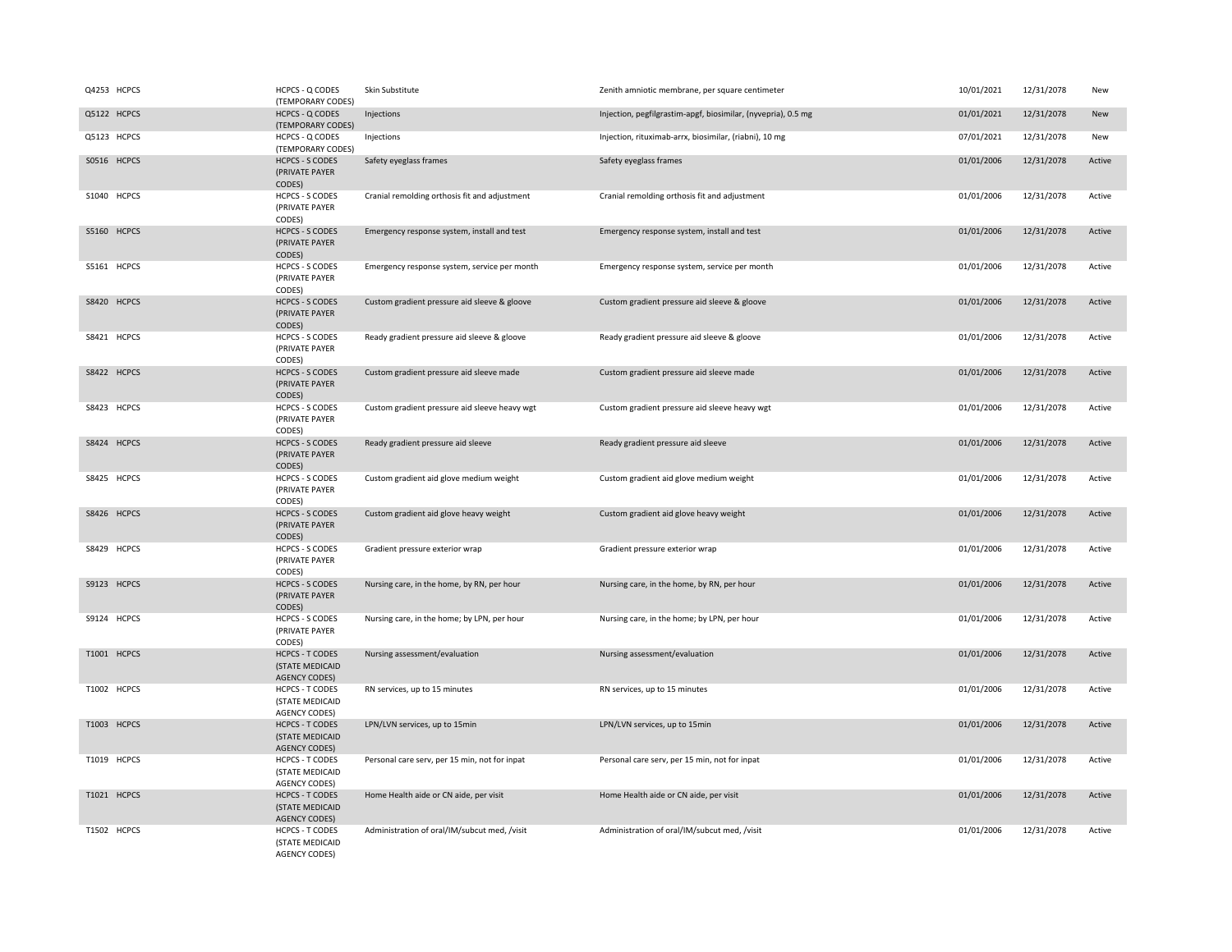| Q4253 HCPCS | HCPCS - Q CODES<br>(TEMPORARY CODES)                              | Skin Substitute                               | Zenith amniotic membrane, per square centimeter               | 10/01/2021 | 12/31/2078 | New    |
|-------------|-------------------------------------------------------------------|-----------------------------------------------|---------------------------------------------------------------|------------|------------|--------|
| Q5122 HCPCS | HCPCS - Q CODES<br>(TEMPORARY CODES)                              | Injections                                    | Injection, pegfilgrastim-apgf, biosimilar, (nyvepria), 0.5 mg | 01/01/2021 | 12/31/2078 | New    |
| Q5123 HCPCS | HCPCS - Q CODES<br>(TEMPORARY CODES)                              | Injections                                    | Injection, rituximab-arrx, biosimilar, (riabni), 10 mg        | 07/01/2021 | 12/31/2078 | New    |
| S0516 HCPCS | <b>HCPCS - S CODES</b><br>(PRIVATE PAYER<br>CODES)                | Safety eyeglass frames                        | Safety eyeglass frames                                        | 01/01/2006 | 12/31/2078 | Active |
| S1040 HCPCS | <b>HCPCS - S CODES</b><br>(PRIVATE PAYER<br>CODES)                | Cranial remolding orthosis fit and adjustment | Cranial remolding orthosis fit and adjustment                 | 01/01/2006 | 12/31/2078 | Active |
| S5160 HCPCS | <b>HCPCS - S CODES</b><br>(PRIVATE PAYER<br>CODES)                | Emergency response system, install and test   | Emergency response system, install and test                   | 01/01/2006 | 12/31/2078 | Active |
| S5161 HCPCS | <b>HCPCS - S CODES</b><br>(PRIVATE PAYER<br>CODES)                | Emergency response system, service per month  | Emergency response system, service per month                  | 01/01/2006 | 12/31/2078 | Active |
| S8420 HCPCS | <b>HCPCS - S CODES</b><br>(PRIVATE PAYER<br>CODES)                | Custom gradient pressure aid sleeve & gloove  | Custom gradient pressure aid sleeve & gloove                  | 01/01/2006 | 12/31/2078 | Active |
| S8421 HCPCS | <b>HCPCS - S CODES</b><br>(PRIVATE PAYER<br>CODES)                | Ready gradient pressure aid sleeve & gloove   | Ready gradient pressure aid sleeve & gloove                   | 01/01/2006 | 12/31/2078 | Active |
| S8422 HCPCS | <b>HCPCS - S CODES</b><br>(PRIVATE PAYER<br>CODES)                | Custom gradient pressure aid sleeve made      | Custom gradient pressure aid sleeve made                      | 01/01/2006 | 12/31/2078 | Active |
| S8423 HCPCS | <b>HCPCS - S CODES</b><br>(PRIVATE PAYER<br>CODES)                | Custom gradient pressure aid sleeve heavy wgt | Custom gradient pressure aid sleeve heavy wgt                 | 01/01/2006 | 12/31/2078 | Active |
| S8424 HCPCS | <b>HCPCS - S CODES</b><br>(PRIVATE PAYER<br>CODES)                | Ready gradient pressure aid sleeve            | Ready gradient pressure aid sleeve                            | 01/01/2006 | 12/31/2078 | Active |
| S8425 HCPCS | <b>HCPCS - S CODES</b><br>(PRIVATE PAYER<br>CODES)                | Custom gradient aid glove medium weight       | Custom gradient aid glove medium weight                       | 01/01/2006 | 12/31/2078 | Active |
| S8426 HCPCS | <b>HCPCS - S CODES</b><br>(PRIVATE PAYER<br>CODES)                | Custom gradient aid glove heavy weight        | Custom gradient aid glove heavy weight                        | 01/01/2006 | 12/31/2078 | Active |
| S8429 HCPCS | <b>HCPCS - S CODES</b><br>(PRIVATE PAYER<br>CODES)                | Gradient pressure exterior wrap               | Gradient pressure exterior wrap                               | 01/01/2006 | 12/31/2078 | Active |
| S9123 HCPCS | <b>HCPCS - S CODES</b><br>(PRIVATE PAYER<br>CODES)                | Nursing care, in the home, by RN, per hour    | Nursing care, in the home, by RN, per hour                    | 01/01/2006 | 12/31/2078 | Active |
| S9124 HCPCS | <b>HCPCS - S CODES</b><br>(PRIVATE PAYER<br>CODES)                | Nursing care, in the home; by LPN, per hour   | Nursing care, in the home; by LPN, per hour                   | 01/01/2006 | 12/31/2078 | Active |
| T1001 HCPCS | <b>HCPCS - T CODES</b><br>(STATE MEDICAID<br>AGENCY CODES)        | Nursing assessment/evaluation                 | Nursing assessment/evaluation                                 | 01/01/2006 | 12/31/2078 | Active |
| T1002 HCPCS | <b>HCPCS - T CODES</b><br>(STATE MEDICAID<br><b>AGENCY CODES)</b> | RN services, up to 15 minutes                 | RN services, up to 15 minutes                                 | 01/01/2006 | 12/31/2078 | Active |
| T1003 HCPCS | <b>HCPCS - T CODES</b><br>(STATE MEDICAID<br><b>AGENCY CODES)</b> | LPN/LVN services, up to 15min                 | LPN/LVN services, up to 15min                                 | 01/01/2006 | 12/31/2078 | Active |
| T1019 HCPCS | HCPCS - T CODES<br>(STATE MEDICAID<br><b>AGENCY CODES)</b>        | Personal care serv, per 15 min, not for inpat | Personal care serv, per 15 min, not for inpat                 | 01/01/2006 | 12/31/2078 | Active |
| T1021 HCPCS | <b>HCPCS - T CODES</b><br>(STATE MEDICAID<br><b>AGENCY CODES)</b> | Home Health aide or CN aide, per visit        | Home Health aide or CN aide, per visit                        | 01/01/2006 | 12/31/2078 | Active |
| T1502 HCPCS | <b>HCPCS - T CODES</b><br>(STATE MEDICAID<br><b>AGENCY CODES)</b> | Administration of oral/IM/subcut med, /visit  | Administration of oral/IM/subcut med, /visit                  | 01/01/2006 | 12/31/2078 | Active |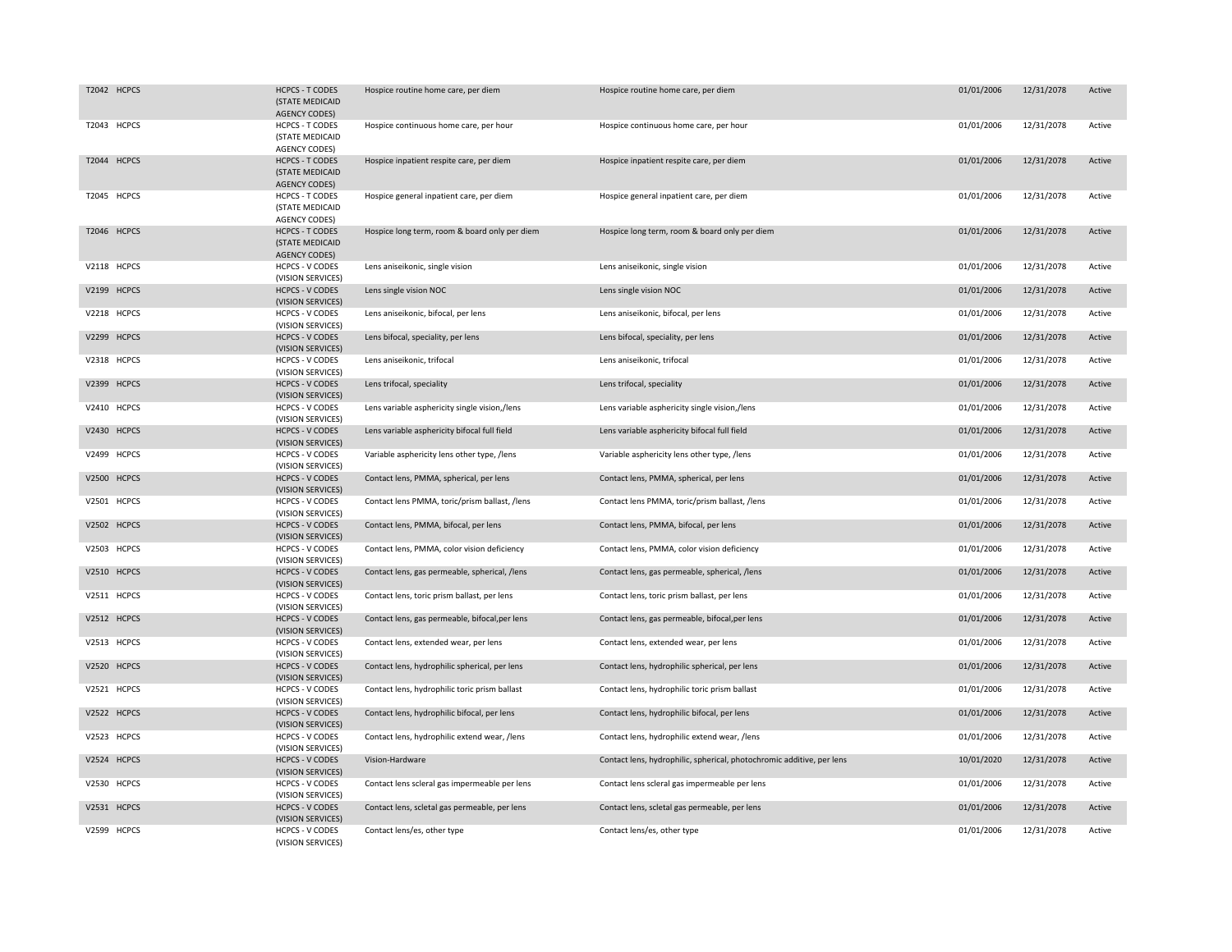| T2042 HCPCS | <b>HCPCS - T CODES</b><br>(STATE MEDICAID<br><b>AGENCY CODES)</b> | Hospice routine home care, per diem            | Hospice routine home care, per diem                                   | 01/01/2006 | 12/31/2078 | Active |
|-------------|-------------------------------------------------------------------|------------------------------------------------|-----------------------------------------------------------------------|------------|------------|--------|
| T2043 HCPCS | <b>HCPCS - T CODES</b><br>(STATE MEDICAID<br><b>AGENCY CODES)</b> | Hospice continuous home care, per hour         | Hospice continuous home care, per hour                                | 01/01/2006 | 12/31/2078 | Active |
| T2044 HCPCS | <b>HCPCS - T CODES</b><br>(STATE MEDICAID<br><b>AGENCY CODES)</b> | Hospice inpatient respite care, per diem       | Hospice inpatient respite care, per diem                              | 01/01/2006 | 12/31/2078 | Active |
| T2045 HCPCS | <b>HCPCS - T CODES</b><br>(STATE MEDICAID<br><b>AGENCY CODES)</b> | Hospice general inpatient care, per diem       | Hospice general inpatient care, per diem                              | 01/01/2006 | 12/31/2078 | Active |
| T2046 HCPCS | <b>HCPCS - T CODES</b><br>(STATE MEDICAID<br>AGENCY CODES)        | Hospice long term, room & board only per diem  | Hospice long term, room & board only per diem                         | 01/01/2006 | 12/31/2078 | Active |
| V2118 HCPCS | <b>HCPCS - V CODES</b><br>(VISION SERVICES)                       | Lens aniseikonic, single vision                | Lens aniseikonic, single vision                                       | 01/01/2006 | 12/31/2078 | Active |
| V2199 HCPCS | <b>HCPCS - V CODES</b><br>(VISION SERVICES)                       | Lens single vision NOC                         | Lens single vision NOC                                                | 01/01/2006 | 12/31/2078 | Active |
| V2218 HCPCS | HCPCS - V CODES<br>(VISION SERVICES)                              | Lens aniseikonic, bifocal, per lens            | Lens aniseikonic, bifocal, per lens                                   | 01/01/2006 | 12/31/2078 | Active |
| V2299 HCPCS | <b>HCPCS - V CODES</b><br>(VISION SERVICES)                       | Lens bifocal, speciality, per lens             | Lens bifocal, speciality, per lens                                    | 01/01/2006 | 12/31/2078 | Active |
| V2318 HCPCS | <b>HCPCS - V CODES</b><br>(VISION SERVICES)                       | Lens aniseikonic, trifocal                     | Lens aniseikonic, trifocal                                            | 01/01/2006 | 12/31/2078 | Active |
| V2399 HCPCS | <b>HCPCS - V CODES</b><br>(VISION SERVICES)                       | Lens trifocal, speciality                      | Lens trifocal, speciality                                             | 01/01/2006 | 12/31/2078 | Active |
| V2410 HCPCS | <b>HCPCS - V CODES</b><br>(VISION SERVICES)                       | Lens variable asphericity single vision,/lens  | Lens variable asphericity single vision,/lens                         | 01/01/2006 | 12/31/2078 | Active |
| V2430 HCPCS | <b>HCPCS - V CODES</b><br>(VISION SERVICES)                       | Lens variable asphericity bifocal full field   | Lens variable asphericity bifocal full field                          | 01/01/2006 | 12/31/2078 | Active |
| V2499 HCPCS | <b>HCPCS - V CODES</b><br>(VISION SERVICES)                       | Variable asphericity lens other type, /lens    | Variable asphericity lens other type, /lens                           | 01/01/2006 | 12/31/2078 | Active |
| V2500 HCPCS | <b>HCPCS - V CODES</b><br>(VISION SERVICES)                       | Contact lens, PMMA, spherical, per lens        | Contact lens, PMMA, spherical, per lens                               | 01/01/2006 | 12/31/2078 | Active |
| V2501 HCPCS | <b>HCPCS - V CODES</b><br>(VISION SERVICES)                       | Contact lens PMMA, toric/prism ballast, /lens  | Contact lens PMMA, toric/prism ballast, /lens                         | 01/01/2006 | 12/31/2078 | Active |
| V2502 HCPCS | <b>HCPCS - V CODES</b><br>(VISION SERVICES)                       | Contact lens, PMMA, bifocal, per lens          | Contact lens, PMMA, bifocal, per lens                                 | 01/01/2006 | 12/31/2078 | Active |
| V2503 HCPCS | <b>HCPCS - V CODES</b><br>(VISION SERVICES)                       | Contact lens, PMMA, color vision deficiency    | Contact lens, PMMA, color vision deficiency                           | 01/01/2006 | 12/31/2078 | Active |
| V2510 HCPCS | <b>HCPCS - V CODES</b><br>(VISION SERVICES)                       | Contact lens, gas permeable, spherical, /lens  | Contact lens, gas permeable, spherical, /lens                         | 01/01/2006 | 12/31/2078 | Active |
| V2511 HCPCS | <b>HCPCS - V CODES</b><br>(VISION SERVICES)                       | Contact lens, toric prism ballast, per lens    | Contact lens, toric prism ballast, per lens                           | 01/01/2006 | 12/31/2078 | Active |
| V2512 HCPCS | <b>HCPCS - V CODES</b><br>(VISION SERVICES)                       | Contact lens, gas permeable, bifocal, per lens | Contact lens, gas permeable, bifocal, per lens                        | 01/01/2006 | 12/31/2078 | Active |
| V2513 HCPCS | <b>HCPCS - V CODES</b><br>(VISION SERVICES)                       | Contact lens, extended wear, per lens          | Contact lens, extended wear, per lens                                 | 01/01/2006 | 12/31/2078 | Active |
| V2520 HCPCS | <b>HCPCS - V CODES</b><br>(VISION SERVICES)                       | Contact lens, hydrophilic spherical, per lens  | Contact lens, hydrophilic spherical, per lens                         | 01/01/2006 | 12/31/2078 | Active |
| V2521 HCPCS | <b>HCPCS - V CODES</b><br>(VISION SERVICES)                       | Contact lens, hydrophilic toric prism ballast  | Contact lens, hydrophilic toric prism ballast                         | 01/01/2006 | 12/31/2078 | Active |
| V2522 HCPCS | <b>HCPCS - V CODES</b><br>(VISION SERVICES)                       | Contact lens, hydrophilic bifocal, per lens    | Contact lens, hydrophilic bifocal, per lens                           | 01/01/2006 | 12/31/2078 | Active |
| V2523 HCPCS | <b>HCPCS - V CODES</b><br>(VISION SERVICES)                       | Contact lens, hydrophilic extend wear, /lens   | Contact lens, hydrophilic extend wear, /lens                          | 01/01/2006 | 12/31/2078 | Active |
| V2524 HCPCS | <b>HCPCS - V CODES</b><br>(VISION SERVICES)                       | Vision-Hardware                                | Contact lens, hydrophilic, spherical, photochromic additive, per lens | 10/01/2020 | 12/31/2078 | Active |
| V2530 HCPCS | <b>HCPCS - V CODES</b><br>(VISION SERVICES)                       | Contact lens scleral gas impermeable per lens  | Contact lens scleral gas impermeable per lens                         | 01/01/2006 | 12/31/2078 | Active |
| V2531 HCPCS | <b>HCPCS - V CODES</b><br>(VISION SERVICES)                       | Contact lens, scletal gas permeable, per lens  | Contact lens, scletal gas permeable, per lens                         | 01/01/2006 | 12/31/2078 | Active |
| V2599 HCPCS | <b>HCPCS - V CODES</b><br>(VISION SERVICES)                       | Contact lens/es, other type                    | Contact lens/es, other type                                           | 01/01/2006 | 12/31/2078 | Active |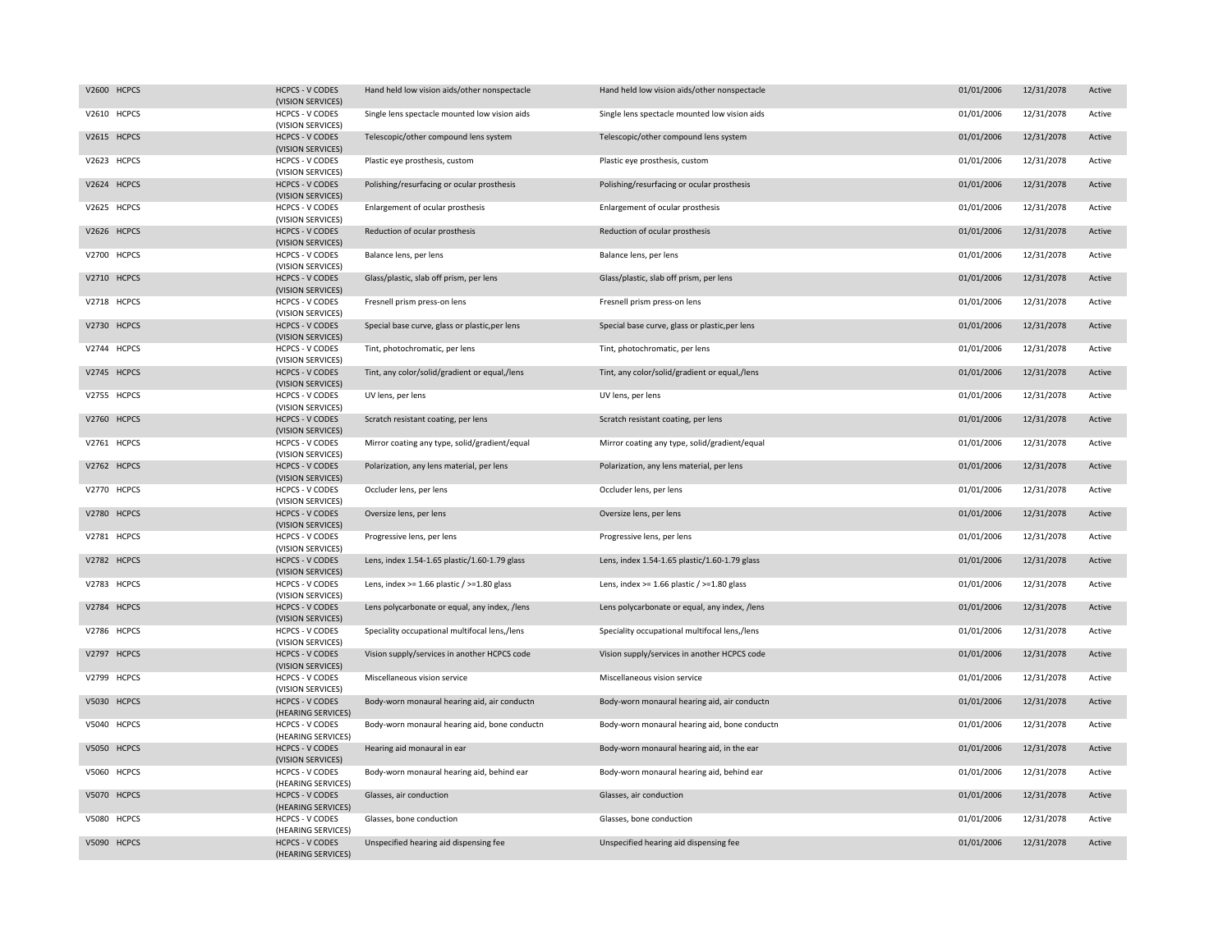| V2600 HCPCS | <b>HCPCS - V CODES</b><br>(VISION SERVICES)  | Hand held low vision aids/other nonspectacle      | Hand held low vision aids/other nonspectacle      | 01/01/2006 | 12/31/2078 | Active |
|-------------|----------------------------------------------|---------------------------------------------------|---------------------------------------------------|------------|------------|--------|
| V2610 HCPCS | HCPCS - V CODES<br>(VISION SERVICES)         | Single lens spectacle mounted low vision aids     | Single lens spectacle mounted low vision aids     | 01/01/2006 | 12/31/2078 | Active |
| V2615 HCPCS | <b>HCPCS - V CODES</b><br>(VISION SERVICES)  | Telescopic/other compound lens system             | Telescopic/other compound lens system             | 01/01/2006 | 12/31/2078 | Active |
| V2623 HCPCS | <b>HCPCS - V CODES</b><br>(VISION SERVICES)  | Plastic eye prosthesis, custom                    | Plastic eye prosthesis, custom                    | 01/01/2006 | 12/31/2078 | Active |
| V2624 HCPCS | <b>HCPCS - V CODES</b><br>(VISION SERVICES)  | Polishing/resurfacing or ocular prosthesis        | Polishing/resurfacing or ocular prosthesis        | 01/01/2006 | 12/31/2078 | Active |
| V2625 HCPCS | <b>HCPCS - V CODES</b><br>(VISION SERVICES)  | Enlargement of ocular prosthesis                  | Enlargement of ocular prosthesis                  | 01/01/2006 | 12/31/2078 | Active |
| V2626 HCPCS | <b>HCPCS - V CODES</b><br>(VISION SERVICES)  | Reduction of ocular prosthesis                    | Reduction of ocular prosthesis                    | 01/01/2006 | 12/31/2078 | Active |
| V2700 HCPCS | <b>HCPCS - V CODES</b><br>(VISION SERVICES)  | Balance lens, per lens                            | Balance lens, per lens                            | 01/01/2006 | 12/31/2078 | Active |
| V2710 HCPCS | <b>HCPCS - V CODES</b><br>(VISION SERVICES)  | Glass/plastic, slab off prism, per lens           | Glass/plastic, slab off prism, per lens           | 01/01/2006 | 12/31/2078 | Active |
| V2718 HCPCS | <b>HCPCS - V CODES</b><br>(VISION SERVICES)  | Fresnell prism press-on lens                      | Fresnell prism press-on lens                      | 01/01/2006 | 12/31/2078 | Active |
| V2730 HCPCS | <b>HCPCS - V CODES</b><br>(VISION SERVICES)  | Special base curve, glass or plastic, per lens    | Special base curve, glass or plastic, per lens    | 01/01/2006 | 12/31/2078 | Active |
| V2744 HCPCS | HCPCS - V CODES<br>(VISION SERVICES)         | Tint, photochromatic, per lens                    | Tint, photochromatic, per lens                    | 01/01/2006 | 12/31/2078 | Active |
| V2745 HCPCS | <b>HCPCS - V CODES</b><br>(VISION SERVICES)  | Tint, any color/solid/gradient or equal,/lens     | Tint, any color/solid/gradient or equal,/lens     | 01/01/2006 | 12/31/2078 | Active |
| V2755 HCPCS | <b>HCPCS - V CODES</b><br>(VISION SERVICES)  | UV lens, per lens                                 | UV lens, per lens                                 | 01/01/2006 | 12/31/2078 | Active |
| V2760 HCPCS | <b>HCPCS - V CODES</b><br>(VISION SERVICES)  | Scratch resistant coating, per lens               | Scratch resistant coating, per lens               | 01/01/2006 | 12/31/2078 | Active |
| V2761 HCPCS | HCPCS - V CODES<br>(VISION SERVICES)         | Mirror coating any type, solid/gradient/equal     | Mirror coating any type, solid/gradient/equal     | 01/01/2006 | 12/31/2078 | Active |
| V2762 HCPCS | <b>HCPCS - V CODES</b><br>(VISION SERVICES)  | Polarization, any lens material, per lens         | Polarization, any lens material, per lens         | 01/01/2006 | 12/31/2078 | Active |
| V2770 HCPCS | HCPCS - V CODES<br>(VISION SERVICES)         | Occluder lens, per lens                           | Occluder lens, per lens                           | 01/01/2006 | 12/31/2078 | Active |
| V2780 HCPCS | <b>HCPCS - V CODES</b><br>(VISION SERVICES)  | Oversize lens, per lens                           | Oversize lens, per lens                           | 01/01/2006 | 12/31/2078 | Active |
| V2781 HCPCS | HCPCS - V CODES<br>(VISION SERVICES)         | Progressive lens, per lens                        | Progressive lens, per lens                        | 01/01/2006 | 12/31/2078 | Active |
| V2782 HCPCS | <b>HCPCS - V CODES</b><br>(VISION SERVICES)  | Lens, index 1.54-1.65 plastic/1.60-1.79 glass     | Lens, index 1.54-1.65 plastic/1.60-1.79 glass     | 01/01/2006 | 12/31/2078 | Active |
| V2783 HCPCS | HCPCS - V CODES<br>(VISION SERVICES)         | Lens, index >= $1.66$ plastic $/$ >= $1.80$ glass | Lens, index >= $1.66$ plastic $/$ >= $1.80$ glass | 01/01/2006 | 12/31/2078 | Active |
| V2784 HCPCS | <b>HCPCS - V CODES</b><br>(VISION SERVICES)  | Lens polycarbonate or equal, any index, /lens     | Lens polycarbonate or equal, any index, /lens     | 01/01/2006 | 12/31/2078 | Active |
| V2786 HCPCS | <b>HCPCS - V CODES</b><br>(VISION SERVICES)  | Speciality occupational multifocal lens,/lens     | Speciality occupational multifocal lens,/lens     | 01/01/2006 | 12/31/2078 | Active |
| V2797 HCPCS | <b>HCPCS - V CODES</b><br>(VISION SERVICES)  | Vision supply/services in another HCPCS code      | Vision supply/services in another HCPCS code      | 01/01/2006 | 12/31/2078 | Active |
| V2799 HCPCS | <b>HCPCS - V CODES</b><br>(VISION SERVICES)  | Miscellaneous vision service                      | Miscellaneous vision service                      | 01/01/2006 | 12/31/2078 | Active |
| V5030 HCPCS | <b>HCPCS - V CODES</b><br>(HEARING SERVICES) | Body-worn monaural hearing aid, air conductn      | Body-worn monaural hearing aid, air conductn      | 01/01/2006 | 12/31/2078 | Active |
| V5040 HCPCS | <b>HCPCS - V CODES</b><br>(HEARING SERVICES) | Body-worn monaural hearing aid, bone conductn     | Body-worn monaural hearing aid, bone conductn     | 01/01/2006 | 12/31/2078 | Active |
| V5050 HCPCS | <b>HCPCS - V CODES</b><br>(VISION SERVICES)  | Hearing aid monaural in ear                       | Body-worn monaural hearing aid, in the ear        | 01/01/2006 | 12/31/2078 | Active |
| V5060 HCPCS | <b>HCPCS - V CODES</b><br>(HEARING SERVICES) | Body-worn monaural hearing aid, behind ear        | Body-worn monaural hearing aid, behind ear        | 01/01/2006 | 12/31/2078 | Active |
| V5070 HCPCS | <b>HCPCS - V CODES</b><br>(HEARING SERVICES) | Glasses, air conduction                           | Glasses, air conduction                           | 01/01/2006 | 12/31/2078 | Active |
| V5080 HCPCS | HCPCS - V CODES<br>(HEARING SERVICES)        | Glasses, bone conduction                          | Glasses, bone conduction                          | 01/01/2006 | 12/31/2078 | Active |
| V5090 HCPCS | <b>HCPCS - V CODES</b><br>(HEARING SERVICES) | Unspecified hearing aid dispensing fee            | Unspecified hearing aid dispensing fee            | 01/01/2006 | 12/31/2078 | Active |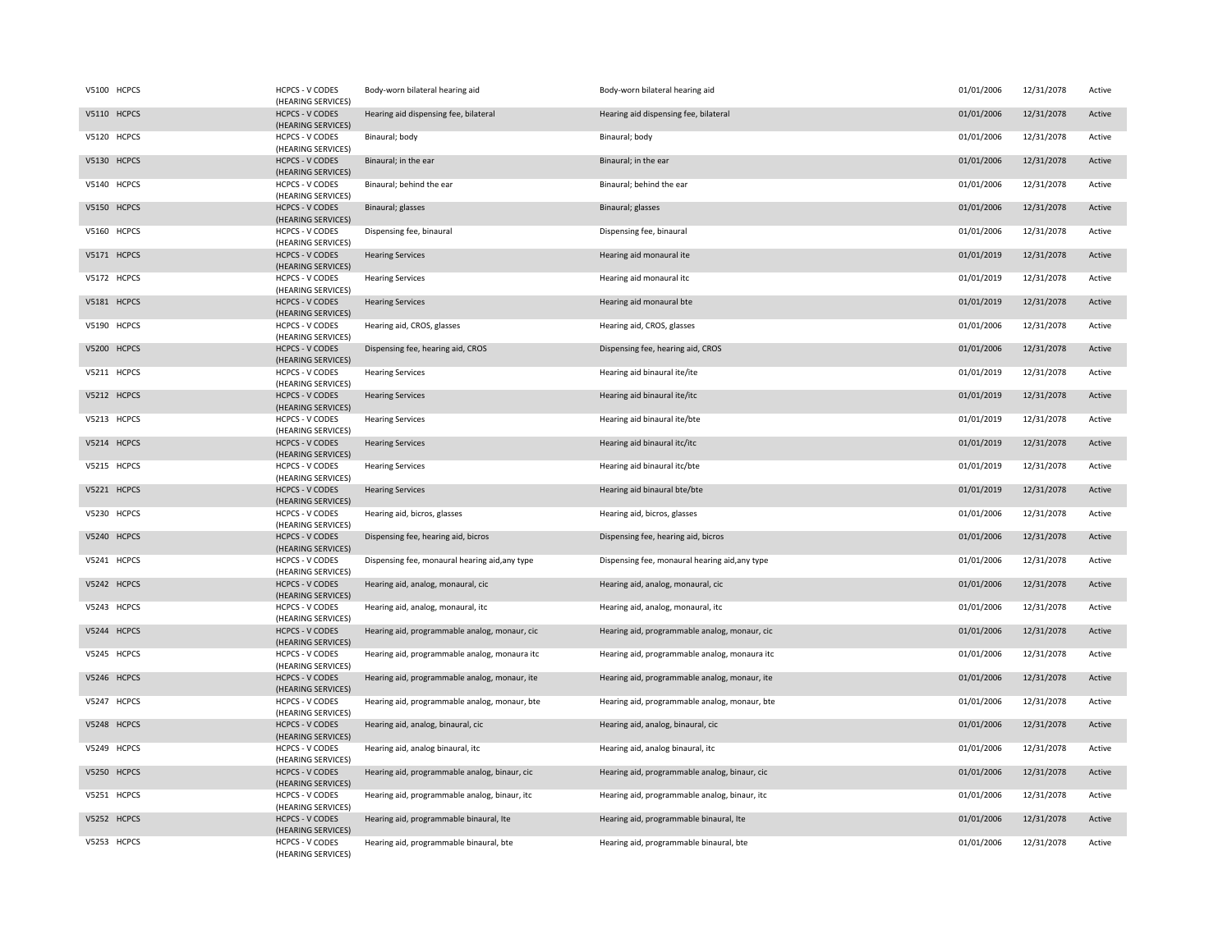| V5100 HCPCS | <b>HCPCS - V CODES</b><br>(HEARING SERVICES) | Body-worn bilateral hearing aid                | Body-worn bilateral hearing aid                | 01/01/2006 | 12/31/2078 | Active |
|-------------|----------------------------------------------|------------------------------------------------|------------------------------------------------|------------|------------|--------|
| V5110 HCPCS | <b>HCPCS - V CODES</b><br>(HEARING SERVICES) | Hearing aid dispensing fee, bilateral          | Hearing aid dispensing fee, bilateral          | 01/01/2006 | 12/31/2078 | Active |
| V5120 HCPCS | <b>HCPCS - V CODES</b><br>(HEARING SERVICES) | Binaural; body                                 | Binaural; body                                 | 01/01/2006 | 12/31/2078 | Active |
| V5130 HCPCS | <b>HCPCS - V CODES</b><br>(HEARING SERVICES) | Binaural; in the ear                           | Binaural; in the ear                           | 01/01/2006 | 12/31/2078 | Active |
| V5140 HCPCS | <b>HCPCS - V CODES</b><br>(HEARING SERVICES) | Binaural; behind the ear                       | Binaural; behind the ear                       | 01/01/2006 | 12/31/2078 | Active |
| V5150 HCPCS | <b>HCPCS - V CODES</b><br>(HEARING SERVICES) | Binaural; glasses                              | Binaural; glasses                              | 01/01/2006 | 12/31/2078 | Active |
| V5160 HCPCS | HCPCS - V CODES<br>(HEARING SERVICES)        | Dispensing fee, binaural                       | Dispensing fee, binaural                       | 01/01/2006 | 12/31/2078 | Active |
| V5171 HCPCS | <b>HCPCS - V CODES</b><br>(HEARING SERVICES) | <b>Hearing Services</b>                        | Hearing aid monaural ite                       | 01/01/2019 | 12/31/2078 | Active |
| V5172 HCPCS | HCPCS - V CODES<br>(HEARING SERVICES)        | <b>Hearing Services</b>                        | Hearing aid monaural itc                       | 01/01/2019 | 12/31/2078 | Active |
| V5181 HCPCS | <b>HCPCS - V CODES</b><br>(HEARING SERVICES) | <b>Hearing Services</b>                        | Hearing aid monaural bte                       | 01/01/2019 | 12/31/2078 | Active |
| V5190 HCPCS | HCPCS - V CODES<br>(HEARING SERVICES)        | Hearing aid, CROS, glasses                     | Hearing aid, CROS, glasses                     | 01/01/2006 | 12/31/2078 | Active |
| V5200 HCPCS | <b>HCPCS - V CODES</b><br>(HEARING SERVICES) | Dispensing fee, hearing aid, CROS              | Dispensing fee, hearing aid, CROS              | 01/01/2006 | 12/31/2078 | Active |
| V5211 HCPCS | <b>HCPCS - V CODES</b><br>(HEARING SERVICES) | <b>Hearing Services</b>                        | Hearing aid binaural ite/ite                   | 01/01/2019 | 12/31/2078 | Active |
| V5212 HCPCS | <b>HCPCS - V CODES</b><br>(HEARING SERVICES) | <b>Hearing Services</b>                        | Hearing aid binaural ite/itc                   | 01/01/2019 | 12/31/2078 | Active |
| V5213 HCPCS | <b>HCPCS - V CODES</b><br>(HEARING SERVICES) | <b>Hearing Services</b>                        | Hearing aid binaural ite/bte                   | 01/01/2019 | 12/31/2078 | Active |
| V5214 HCPCS | <b>HCPCS - V CODES</b><br>(HEARING SERVICES) | <b>Hearing Services</b>                        | Hearing aid binaural itc/itc                   | 01/01/2019 | 12/31/2078 | Active |
| V5215 HCPCS | HCPCS - V CODES<br>(HEARING SERVICES)        | <b>Hearing Services</b>                        | Hearing aid binaural itc/bte                   | 01/01/2019 | 12/31/2078 | Active |
| V5221 HCPCS | <b>HCPCS - V CODES</b><br>(HEARING SERVICES) | <b>Hearing Services</b>                        | Hearing aid binaural bte/bte                   | 01/01/2019 | 12/31/2078 | Active |
| V5230 HCPCS | HCPCS - V CODES<br>(HEARING SERVICES)        | Hearing aid, bicros, glasses                   | Hearing aid, bicros, glasses                   | 01/01/2006 | 12/31/2078 | Active |
| V5240 HCPCS | <b>HCPCS - V CODES</b><br>(HEARING SERVICES) | Dispensing fee, hearing aid, bicros            | Dispensing fee, hearing aid, bicros            | 01/01/2006 | 12/31/2078 | Active |
| V5241 HCPCS | <b>HCPCS - V CODES</b><br>(HEARING SERVICES) | Dispensing fee, monaural hearing aid, any type | Dispensing fee, monaural hearing aid, any type | 01/01/2006 | 12/31/2078 | Active |
| V5242 HCPCS | <b>HCPCS - V CODES</b><br>(HEARING SERVICES) | Hearing aid, analog, monaural, cic             | Hearing aid, analog, monaural, cic             | 01/01/2006 | 12/31/2078 | Active |
| V5243 HCPCS | HCPCS - V CODES<br>(HEARING SERVICES)        | Hearing aid, analog, monaural, itc             | Hearing aid, analog, monaural, itc             | 01/01/2006 | 12/31/2078 | Active |
| V5244 HCPCS | <b>HCPCS - V CODES</b><br>(HEARING SERVICES) | Hearing aid, programmable analog, monaur, cic  | Hearing aid, programmable analog, monaur, cic  | 01/01/2006 | 12/31/2078 | Active |
| V5245 HCPCS | <b>HCPCS - V CODES</b><br>(HEARING SERVICES) | Hearing aid, programmable analog, monaura itc  | Hearing aid, programmable analog, monaura itc  | 01/01/2006 | 12/31/2078 | Active |
| V5246 HCPCS | <b>HCPCS - V CODES</b><br>(HEARING SERVICES) | Hearing aid, programmable analog, monaur, ite  | Hearing aid, programmable analog, monaur, ite  | 01/01/2006 | 12/31/2078 | Active |
| V5247 HCPCS | <b>HCPCS - V CODES</b><br>(HEARING SERVICES) | Hearing aid, programmable analog, monaur, bte  | Hearing aid, programmable analog, monaur, bte  | 01/01/2006 | 12/31/2078 | Active |
| V5248 HCPCS | <b>HCPCS - V CODES</b><br>(HEARING SERVICES) | Hearing aid, analog, binaural, cic             | Hearing aid, analog, binaural, cic             | 01/01/2006 | 12/31/2078 | Active |
| V5249 HCPCS | <b>HCPCS - V CODES</b><br>(HEARING SERVICES) | Hearing aid, analog binaural, itc              | Hearing aid, analog binaural, itc              | 01/01/2006 | 12/31/2078 | Active |
| V5250 HCPCS | <b>HCPCS - V CODES</b><br>(HEARING SERVICES) | Hearing aid, programmable analog, binaur, cic  | Hearing aid, programmable analog, binaur, cic  | 01/01/2006 | 12/31/2078 | Active |
| V5251 HCPCS | <b>HCPCS - V CODES</b><br>(HEARING SERVICES) | Hearing aid, programmable analog, binaur, itc  | Hearing aid, programmable analog, binaur, itc  | 01/01/2006 | 12/31/2078 | Active |
| V5252 HCPCS | <b>HCPCS - V CODES</b><br>(HEARING SERVICES) | Hearing aid, programmable binaural, Ite        | Hearing aid, programmable binaural, Ite        | 01/01/2006 | 12/31/2078 | Active |
| V5253 HCPCS | <b>HCPCS - V CODES</b><br>(HEARING SERVICES) | Hearing aid, programmable binaural, bte        | Hearing aid, programmable binaural, bte        | 01/01/2006 | 12/31/2078 | Active |